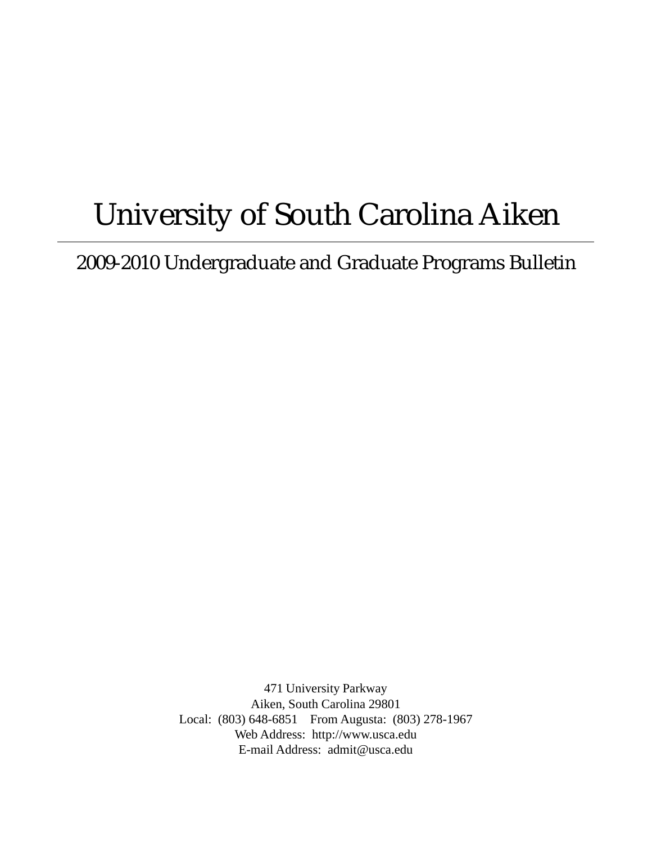# University of South Carolina Aiken

2009-2010 Undergraduate and Graduate Programs Bulletin

471 University Parkway Aiken, South Carolina 29801 Local: (803) 648-6851 From Augusta: (803) 278-1967 Web Address: http://www.usca.edu E-mail Address: admit@usca.edu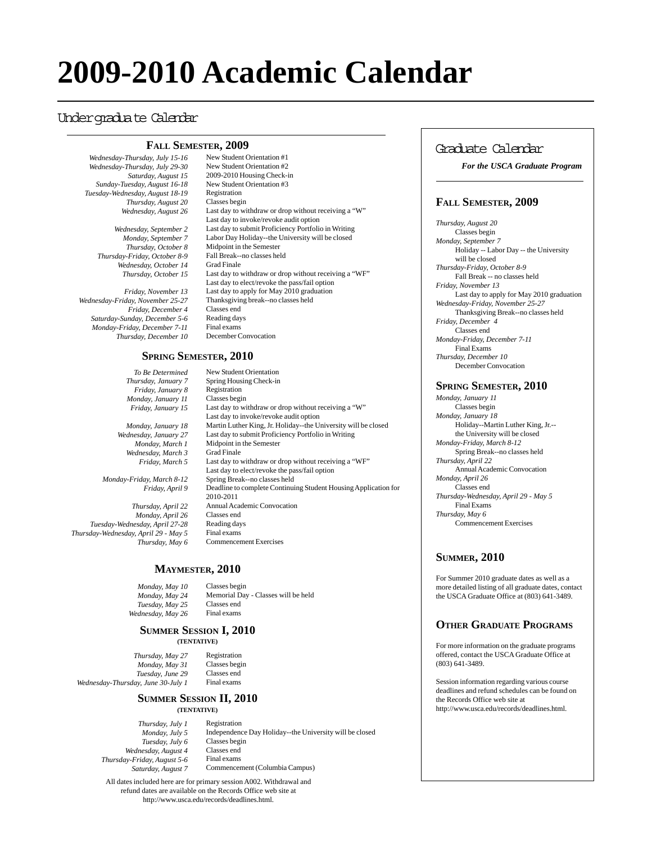# **2009-2010 Academic Calendar**

# Undergraduate Calendar

# **FALL SEMESTER, 2009**

*Wednesday-Thursday, July 15-16 Wednesday-Thursday, July 29-30 Saturday, August 15 Sunday-Tuesday, August 16-18 Tuesday-Wednesday, August 18-19 Thursday, August 20 Wednesday, August 26*

> *Wednesday, September 2 Monday, September 7 Thursday, October 8 Thursday-Friday, October 8-9 Wednesday, October 14 Thursday, October 15*

*Friday, November 13 Wednesday-Friday, November 25-27 Friday, December 4 Saturday-Sunday, December 5-6 Monday-Friday, December 7-11 Thursday, December 10*

New Student Orientation #1 New Student Orientation #2 2009-2010 Housing Check-in New Student Orientation #3 Registration Classes begin Last day to withdraw or drop without receiving a "W" Last day to invoke/revoke audit option Last day to submit Proficiency Portfolio in Writing Labor Day Holiday--the University will be closed Midpoint in the Semester Fall Break--no classes held Grad Finale Last day to withdraw or drop without receiving a "WF" Last day to elect/revoke the pass/fail option Last day to apply for May 2010 graduation Thanksgiving break--no classes held Classes end Reading days Final exams December Convocation

# **SPRING SEMESTER, 2010**

*To Be Determined Thursday, January 7 Friday, January 8 Monday, January 11 Friday, January 15*

*Monday, January 18 Wednesday, January 27 Monday, March 1 Wednesday, March 3 Friday, March 5*

*Monday-Friday, March 8-12 Friday, April 9*

*Thursday, April 22 Monday, April 26 Tuesday-Wednesday, April 27-28 Thursday-Wednesday, April 29 - May 5 Thursday, May 6*

New Student Orientation Spring Housing Check-in Registration Classes begin Last day to withdraw or drop without receiving a "W" Last day to invoke/revoke audit option Martin Luther King, Jr. Holiday--the University will be closed Last day to submit Proficiency Portfolio in Writing Midpoint in the Semester Grad Finale Last day to withdraw or drop without receiving a "WF" Last day to elect/revoke the pass/fail option Spring Break--no classes held Deadline to complete Continuing Student Housing Application for 2010-2011 Annual Academic Convocation Classes end Reading days Final exams Commencement Exercises

# **MAYMESTER, 2010**

*Monday, May 10 Monday, May 24 Tuesday, May 25 Wednesday, May 26* Classes begin Memorial Day - Classes will be held Classes end Final exams

# **SUMMER SESSION I, 2010**

**(TENTATIVE)**

*Thursday, May 27 Monday, May 31 Tuesday, June 29 Wednesday-Thursday, June 30-July 1*

Registration Classes begin Classes end Final exams

#### **SUMMER SESSION II, 2010 (TENTATIVE)**

*Thursday, July 1 Monday, July 5 Tuesday, July 6 Wednesday, August 4 Thursday-Friday, August 5-6 Saturday, August 7*

Registration Independence Day Holiday--the University will be closed Classes begin Classes end Final exams Commencement (Columbia Campus)

All dates included here are for primary session A002. Withdrawal and refund dates are available on the Records Office web site at http://www.usca.edu/records/deadlines.html.

# Graduate Calendar

*For the USCA Graduate Program*

# **FALL SEMESTER, 2009**

*Thursday, August 20* Classes begin *Monday, September 7* Holiday -- Labor Day -- the University will be closed *Thursday-Friday, October 8-9* Fall Break -- no classes held *Friday, November 13* Last day to apply for May 2010 graduation *Wednesday-Friday, November 25-27* Thanksgiving Break--no classes held *Friday, December 4* Classes end *Monday-Friday, December 7-11* Final Exams *Thursday, December 10* December Convocation

# **SPRING SEMESTER, 2010**

*Monday, January 11* Classes begin *Monday, January 18* Holiday--Martin Luther King, Jr.- the University will be closed *Monday-Friday, March 8-12* Spring Break--no classes held *Thursday, April 22* Annual Academic Convocation *Monday, April 26* Classes end *Thursday-Wednesday, April 29 - May 5* Final Exams *Thursday, May 6* Commencement Exercises

# **SUMMER, 2010**

For Summer 2010 graduate dates as well as a more detailed listing of all graduate dates, contact the USCA Graduate Office at (803) 641-3489.

# **OTHER GRADUATE PROGRAMS**

For more information on the graduate programs offered, contact the USCA Graduate Office at (803) 641-3489.

Session information regarding various course deadlines and refund schedules can be found on the Records Office web site at http://www.usca.edu/records/deadlines.html.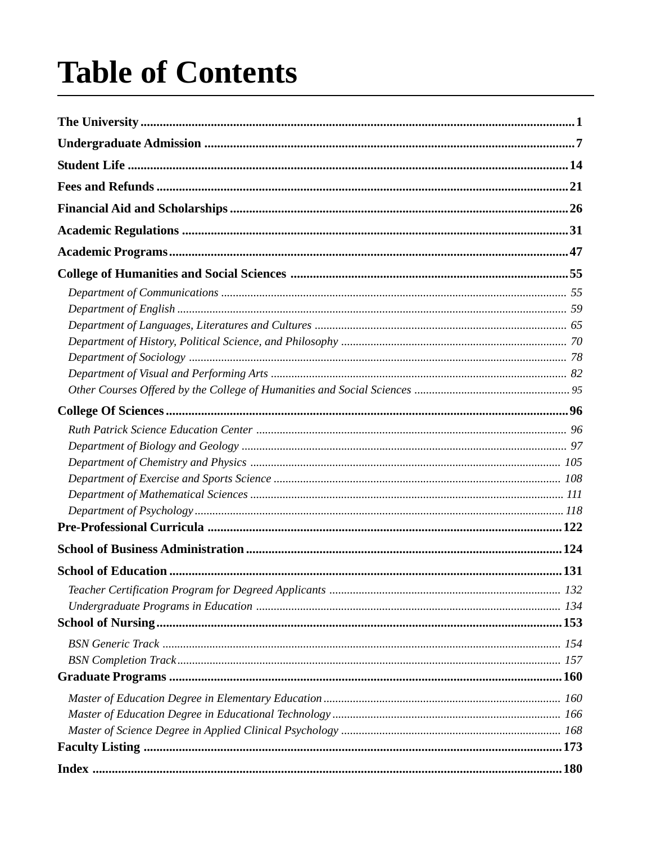# **Table of Contents**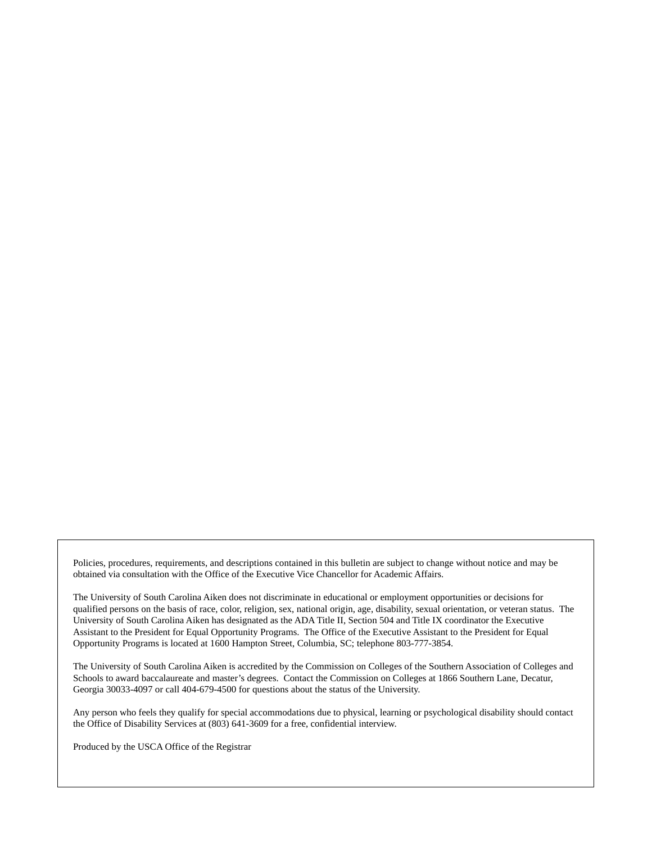Policies, procedures, requirements, and descriptions contained in this bulletin are subject to change without notice and may be obtained via consultation with the Office of the Executive Vice Chancellor for Academic Affairs.

The University of South Carolina Aiken does not discriminate in educational or employment opportunities or decisions for qualified persons on the basis of race, color, religion, sex, national origin, age, disability, sexual orientation, or veteran status. The University of South Carolina Aiken has designated as the ADA Title II, Section 504 and Title IX coordinator the Executive Assistant to the President for Equal Opportunity Programs. The Office of the Executive Assistant to the President for Equal Opportunity Programs is located at 1600 Hampton Street, Columbia, SC; telephone 803-777-3854.

The University of South Carolina Aiken is accredited by the Commission on Colleges of the Southern Association of Colleges and Schools to award baccalaureate and master's degrees. Contact the Commission on Colleges at 1866 Southern Lane, Decatur, Georgia 30033-4097 or call 404-679-4500 for questions about the status of the University.

Any person who feels they qualify for special accommodations due to physical, learning or psychological disability should contact the Office of Disability Services at (803) 641-3609 for a free, confidential interview.

Produced by the USCA Office of the Registrar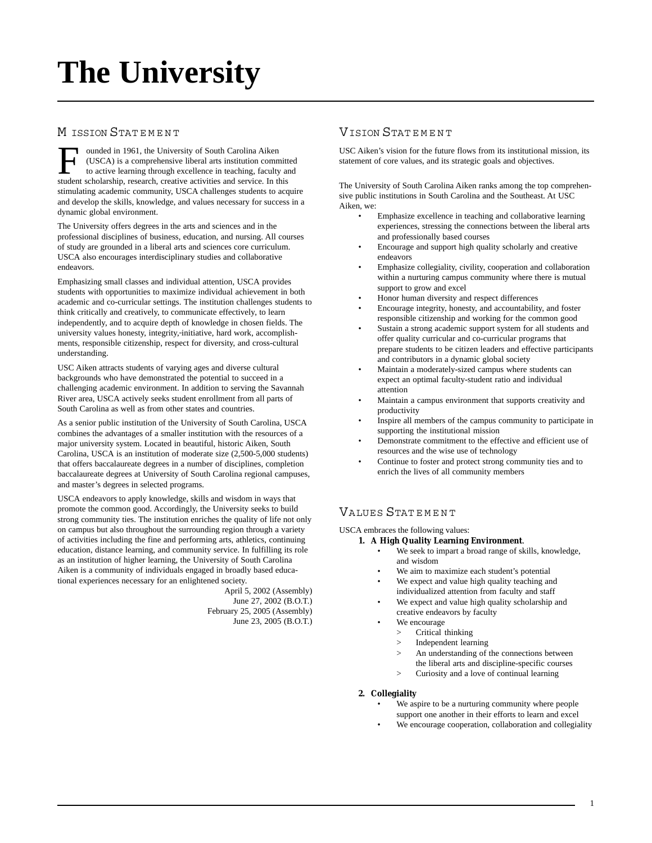# **The University**

# M ISSION STATEMENT

**T** ounded in 1961, the University of South Carolina Aiken (USCA) is a comprehensive liberal arts institution committed to active learning through excellence in teaching, faculty and student scholarship, research, creative activities and service. In this stimulating academic community, USCA challenges students to acquire and develop the skills, knowledge, and values necessary for success in a dynamic global environment.

The University offers degrees in the arts and sciences and in the professional disciplines of business, education, and nursing. All courses of study are grounded in a liberal arts and sciences core curriculum. USCA also encourages interdisciplinary studies and collaborative endeavors.

Emphasizing small classes and individual attention, USCA provides students with opportunities to maximize individual achievement in both academic and co-curricular settings. The institution challenges students to think critically and creatively, to communicate effectively, to learn independently, and to acquire depth of knowledge in chosen fields. The university values honesty, integrity, initiative, hard work, accomplishments, responsible citizenship, respect for diversity, and cross-cultural understanding.

USC Aiken attracts students of varying ages and diverse cultural backgrounds who have demonstrated the potential to succeed in a challenging academic environment. In addition to serving the Savannah River area, USCA actively seeks student enrollment from all parts of South Carolina as well as from other states and countries.

As a senior public institution of the University of South Carolina, USCA combines the advantages of a smaller institution with the resources of a major university system. Located in beautiful, historic Aiken, South Carolina, USCA is an institution of moderate size (2,500-5,000 students) that offers baccalaureate degrees in a number of disciplines, completion baccalaureate degrees at University of South Carolina regional campuses, and master's degrees in selected programs.

USCA endeavors to apply knowledge, skills and wisdom in ways that promote the common good. Accordingly, the University seeks to build strong community ties. The institution enriches the quality of life not only on campus but also throughout the surrounding region through a variety of activities including the fine and performing arts, athletics, continuing education, distance learning, and community service. In fulfilling its role as an institution of higher learning, the University of South Carolina Aiken is a community of individuals engaged in broadly based educational experiences necessary for an enlightened society.

April 5, 2002 (Assembly) June 27, 2002 (B.O.T.) February 25, 2005 (Assembly) June 23, 2005 (B.O.T.)

# VISION STAT E M E N T

USC Aiken's vision for the future flows from its institutional mission, its statement of core values, and its strategic goals and objectives.

The University of South Carolina Aiken ranks among the top comprehensive public institutions in South Carolina and the Southeast. At USC Aiken, we:

- Emphasize excellence in teaching and collaborative learning experiences, stressing the connections between the liberal arts and professionally based courses
- Encourage and support high quality scholarly and creative endeavors
- Emphasize collegiality, civility, cooperation and collaboration within a nurturing campus community where there is mutual support to grow and excel
- Honor human diversity and respect differences
- Encourage integrity, honesty, and accountability, and foster responsible citizenship and working for the common good
- Sustain a strong academic support system for all students and offer quality curricular and co-curricular programs that prepare students to be citizen leaders and effective participants and contributors in a dynamic global society
- Maintain a moderately-sized campus where students can expect an optimal faculty-student ratio and individual attention
- Maintain a campus environment that supports creativity and productivity
- Inspire all members of the campus community to participate in supporting the institutional mission
- Demonstrate commitment to the effective and efficient use of resources and the wise use of technology
- Continue to foster and protect strong community ties and to enrich the lives of all community members

# VALUES STAT E M E N T

USCA embraces the following values:

- **1. A High Quality Learning Environment**.
	- We seek to impart a broad range of skills, knowledge, and wisdom
		- We aim to maximize each student's potential
	- We expect and value high quality teaching and individualized attention from faculty and staff
	- We expect and value high quality scholarship and creative endeavors by faculty
	- We encourage
		- > Critical thinking
		- > Independent learning
		- > An understanding of the connections between the liberal arts and discipline-specific courses
		- > Curiosity and a love of continual learning

#### **2. Collegiality**

- We aspire to be a nurturing community where people support one another in their efforts to learn and excel
- We encourage cooperation, collaboration and collegiality

1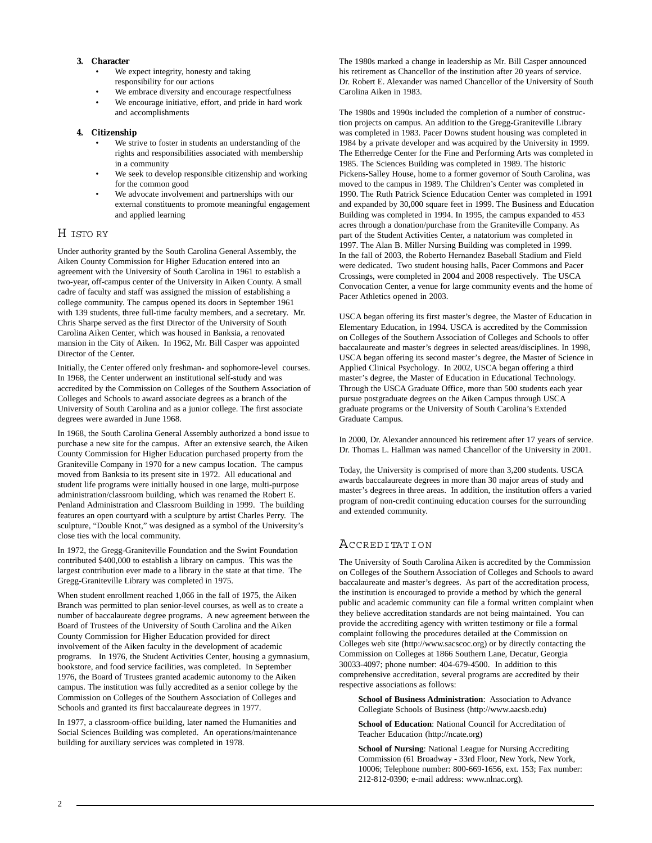#### **3. Character**

- We expect integrity, honesty and taking responsibility for our actions
- We embrace diversity and encourage respectfulness
- We encourage initiative, effort, and pride in hard work and accomplishments

#### **4. Citizenship**

- We strive to foster in students an understanding of the rights and responsibilities associated with membership in a community
- We seek to develop responsible citizenship and working for the common good
- We advocate involvement and partnerships with our external constituents to promote meaningful engagement and applied learning

# H ISTO RY

Under authority granted by the South Carolina General Assembly, the Aiken County Commission for Higher Education entered into an agreement with the University of South Carolina in 1961 to establish a two-year, off-campus center of the University in Aiken County. A small cadre of faculty and staff was assigned the mission of establishing a college community. The campus opened its doors in September 1961 with 139 students, three full-time faculty members, and a secretary. Mr. Chris Sharpe served as the first Director of the University of South Carolina Aiken Center, which was housed in Banksia, a renovated mansion in the City of Aiken. In 1962, Mr. Bill Casper was appointed Director of the Center.

Initially, the Center offered only freshman- and sophomore-level courses. In 1968, the Center underwent an institutional self-study and was accredited by the Commission on Colleges of the Southern Association of Colleges and Schools to award associate degrees as a branch of the University of South Carolina and as a junior college. The first associate degrees were awarded in June 1968.

In 1968, the South Carolina General Assembly authorized a bond issue to purchase a new site for the campus. After an extensive search, the Aiken County Commission for Higher Education purchased property from the Graniteville Company in 1970 for a new campus location. The campus moved from Banksia to its present site in 1972. All educational and student life programs were initially housed in one large, multi-purpose administration/classroom building, which was renamed the Robert E. Penland Administration and Classroom Building in 1999. The building features an open courtyard with a sculpture by artist Charles Perry. The sculpture, "Double Knot," was designed as a symbol of the University's close ties with the local community.

In 1972, the Gregg-Graniteville Foundation and the Swint Foundation contributed \$400,000 to establish a library on campus. This was the largest contribution ever made to a library in the state at that time. The Gregg-Graniteville Library was completed in 1975.

When student enrollment reached 1,066 in the fall of 1975, the Aiken Branch was permitted to plan senior-level courses, as well as to create a number of baccalaureate degree programs. A new agreement between the Board of Trustees of the University of South Carolina and the Aiken County Commission for Higher Education provided for direct involvement of the Aiken faculty in the development of academic programs. In 1976, the Student Activities Center, housing a gymnasium, bookstore, and food service facilities, was completed. In September 1976, the Board of Trustees granted academic autonomy to the Aiken campus. The institution was fully accredited as a senior college by the Commission on Colleges of the Southern Association of Colleges and Schools and granted its first baccalaureate degrees in 1977.

In 1977, a classroom-office building, later named the Humanities and Social Sciences Building was completed. An operations/maintenance building for auxiliary services was completed in 1978.

The 1980s marked a change in leadership as Mr. Bill Casper announced his retirement as Chancellor of the institution after 20 years of service. Dr. Robert E. Alexander was named Chancellor of the University of South Carolina Aiken in 1983.

The 1980s and 1990s included the completion of a number of construction projects on campus. An addition to the Gregg-Graniteville Library was completed in 1983. Pacer Downs student housing was completed in 1984 by a private developer and was acquired by the University in 1999. The Etherredge Center for the Fine and Performing Arts was completed in 1985. The Sciences Building was completed in 1989. The historic Pickens-Salley House, home to a former governor of South Carolina, was moved to the campus in 1989. The Children's Center was completed in 1990. The Ruth Patrick Science Education Center was completed in 1991 and expanded by 30,000 square feet in 1999. The Business and Education Building was completed in 1994. In 1995, the campus expanded to 453 acres through a donation/purchase from the Graniteville Company. As part of the Student Activities Center, a natatorium was completed in 1997. The Alan B. Miller Nursing Building was completed in 1999. In the fall of 2003, the Roberto Hernandez Baseball Stadium and Field were dedicated. Two student housing halls, Pacer Commons and Pacer Crossings, were completed in 2004 and 2008 respectively. The USCA Convocation Center, a venue for large community events and the home of Pacer Athletics opened in 2003.

USCA began offering its first master's degree, the Master of Education in Elementary Education, in 1994. USCA is accredited by the Commission on Colleges of the Southern Association of Colleges and Schools to offer baccalaureate and master's degrees in selected areas/disciplines. In 1998, USCA began offering its second master's degree, the Master of Science in Applied Clinical Psychology. In 2002, USCA began offering a third master's degree, the Master of Education in Educational Technology. Through the USCA Graduate Office, more than 500 students each year pursue postgraduate degrees on the Aiken Campus through USCA graduate programs or the University of South Carolina's Extended Graduate Campus.

In 2000, Dr. Alexander announced his retirement after 17 years of service. Dr. Thomas L. Hallman was named Chancellor of the University in 2001.

Today, the University is comprised of more than 3,200 students. USCA awards baccalaureate degrees in more than 30 major areas of study and master's degrees in three areas. In addition, the institution offers a varied program of non-credit continuing education courses for the surrounding and extended community.

# ACCREDITATION

The University of South Carolina Aiken is accredited by the Commission on Colleges of the Southern Association of Colleges and Schools to award baccalaureate and master's degrees. As part of the accreditation process, the institution is encouraged to provide a method by which the general public and academic community can file a formal written complaint when they believe accreditation standards are not being maintained. You can provide the accrediting agency with written testimony or file a formal complaint following the procedures detailed at the Commission on Colleges web site (http://www.sacscoc.org) or by directly contacting the Commission on Colleges at 1866 Southern Lane, Decatur, Georgia 30033-4097; phone number: 404-679-4500. In addition to this comprehensive accreditation, several programs are accredited by their respective associations as follows:

**School of Business Administration**: Association to Advance Collegiate Schools of Business (http://www.aacsb.edu)

**School of Education**: National Council for Accreditation of Teacher Education (http://ncate.org)

**School of Nursing**: National League for Nursing Accrediting Commission (61 Broadway - 33rd Floor, New York, New York, 10006; Telephone number: 800-669-1656, ext. 153; Fax number: 212-812-0390; e-mail address: www.nlnac.org).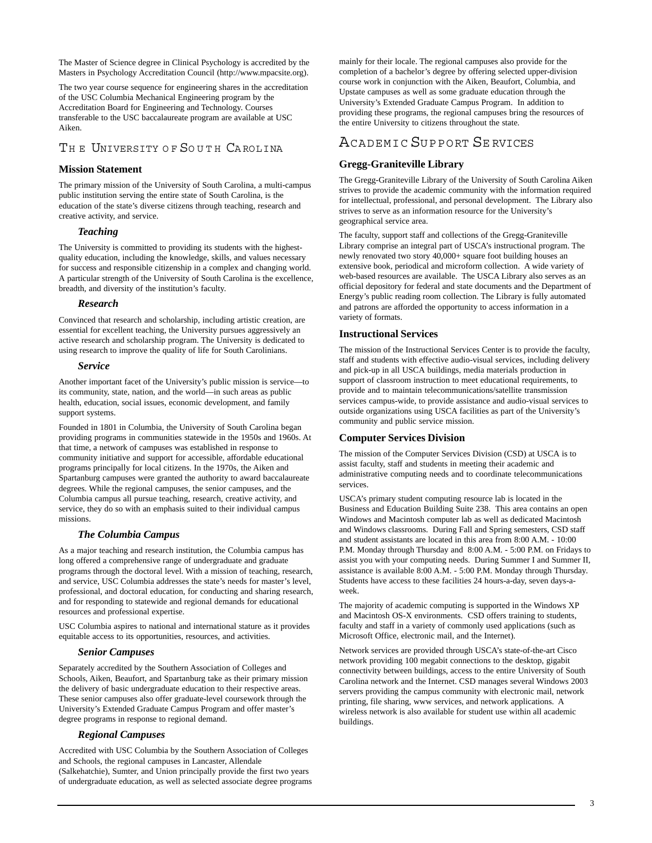The Master of Science degree in Clinical Psychology is accredited by the Masters in Psychology Accreditation Council (http://www.mpacsite.org).

The two year course sequence for engineering shares in the accreditation of the USC Columbia Mechanical Engineering program by the Accreditation Board for Engineering and Technology. Courses transferable to the USC baccalaureate program are available at USC Aiken.

# THE UNIVERSITY OF SOUTH CAROLINA

## **Mission Statement**

The primary mission of the University of South Carolina, a multi-campus public institution serving the entire state of South Carolina, is the education of the state's diverse citizens through teaching, research and creative activity, and service.

### *Teaching*

The University is committed to providing its students with the highestquality education, including the knowledge, skills, and values necessary for success and responsible citizenship in a complex and changing world. A particular strength of the University of South Carolina is the excellence, breadth, and diversity of the institution's faculty.

### *Research*

Convinced that research and scholarship, including artistic creation, are essential for excellent teaching, the University pursues aggressively an active research and scholarship program. The University is dedicated to using research to improve the quality of life for South Carolinians.

#### *Service*

Another important facet of the University's public mission is service—to its community, state, nation, and the world—in such areas as public health, education, social issues, economic development, and family support systems.

Founded in 1801 in Columbia, the University of South Carolina began providing programs in communities statewide in the 1950s and 1960s. At that time, a network of campuses was established in response to community initiative and support for accessible, affordable educational programs principally for local citizens. In the 1970s, the Aiken and Spartanburg campuses were granted the authority to award baccalaureate degrees. While the regional campuses, the senior campuses, and the Columbia campus all pursue teaching, research, creative activity, and service, they do so with an emphasis suited to their individual campus missions.

# *The Columbia Campus*

As a major teaching and research institution, the Columbia campus has long offered a comprehensive range of undergraduate and graduate programs through the doctoral level. With a mission of teaching, research, and service, USC Columbia addresses the state's needs for master's level, professional, and doctoral education, for conducting and sharing research, and for responding to statewide and regional demands for educational resources and professional expertise.

USC Columbia aspires to national and international stature as it provides equitable access to its opportunities, resources, and activities.

#### *Senior Campuses*

Separately accredited by the Southern Association of Colleges and Schools, Aiken, Beaufort, and Spartanburg take as their primary mission the delivery of basic undergraduate education to their respective areas. These senior campuses also offer graduate-level coursework through the University's Extended Graduate Campus Program and offer master's degree programs in response to regional demand.

#### *Regional Campuses*

Accredited with USC Columbia by the Southern Association of Colleges and Schools, the regional campuses in Lancaster, Allendale (Salkehatchie), Sumter, and Union principally provide the first two years of undergraduate education, as well as selected associate degree programs mainly for their locale. The regional campuses also provide for the completion of a bachelor's degree by offering selected upper-division course work in conjunction with the Aiken, Beaufort, Columbia, and Upstate campuses as well as some graduate education through the University's Extended Graduate Campus Program. In addition to providing these programs, the regional campuses bring the resources of the entire University to citizens throughout the state.

# ACADEMIC SUPPORT SE RVICES

# **[Gregg-Graniteville Library](http://library.usca.edu/Main/HomePage)**

The Gregg-Graniteville Library of the University of South Carolina Aiken strives to provide the academic community with the information required for intellectual, professional, and personal development. The Library also strives to serve as an information resource for the University's geographical service area.

The faculty, support staff and collections of the Gregg-Graniteville Library comprise an integral part of USCA's instructional program. The newly renovated two story 40,000+ square foot building houses an extensive book, periodical and microform collection. A wide variety of web-based resources are available. The USCA Library also serves as an official depository for federal and state documents and the Department of Energy's public reading room collection. The Library is fully automated and patrons are afforded the opportunity to access information in a variety of formats.

### **Instructional Services**

The mission of the Instructional Services Center is to provide the faculty, staff and students with effective audio-visual services, including delivery and pick-up in all USCA buildings, media materials production in support of classroom instruction to meet educational requirements, to provide and to maintain telecommunications/satellite transmission services campus-wide, to provide assistance and audio-visual services to outside organizations using USCA facilities as part of the University's community and public service mission.

#### **[Computer Services Division](http://www.usca.edu/CSD/)**

The mission of the Computer Services Division (CSD) at USCA is to assist faculty, staff and students in meeting their academic and administrative computing needs and to coordinate telecommunications services.

USCA's primary student computing resource lab is located in the Business and Education Building Suite 238. This area contains an open Windows and Macintosh computer lab as well as dedicated Macintosh and Windows classrooms. During Fall and Spring semesters, CSD staff and student assistants are located in this area from 8:00 A.M. - 10:00 P.M. Monday through Thursday and 8:00 A.M. - 5:00 P.M. on Fridays to assist you with your computing needs. During Summer I and Summer II, assistance is available 8:00 A.M. - 5:00 P.M. Monday through Thursday. Students have access to these facilities 24 hours-a-day, seven days-aweek.

The majority of academic computing is supported in the Windows XP and Macintosh OS-X environments. CSD offers training to students, faculty and staff in a variety of commonly used applications (such as Microsoft Office, electronic mail, and the Internet).

Network services are provided through USCA's state-of-the-art Cisco network providing 100 megabit connections to the desktop, gigabit connectivity between buildings, access to the entire University of South Carolina network and the Internet. CSD manages several Windows 2003 servers providing the campus community with electronic mail, network printing, file sharing, www services, and network applications. A wireless network is also available for student use within all academic buildings.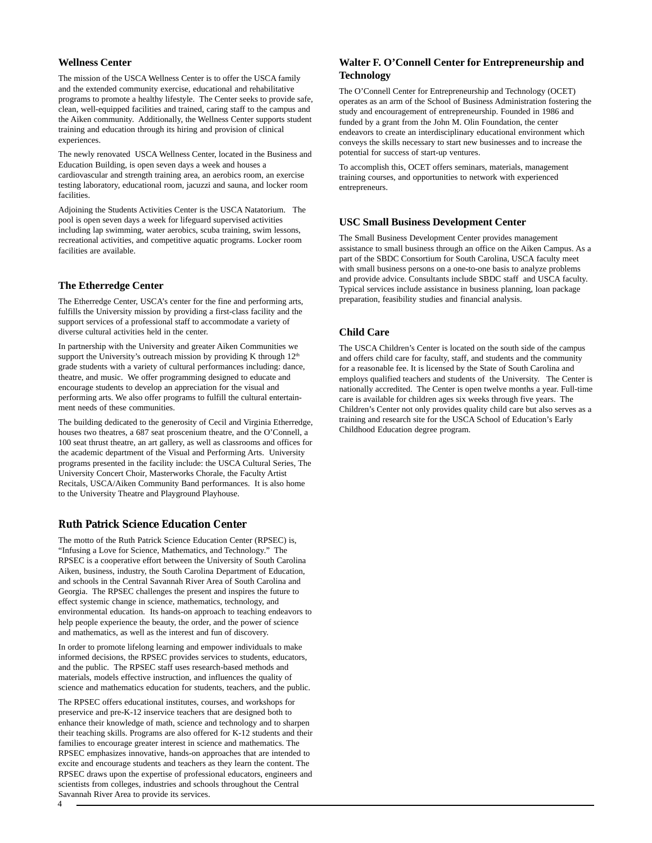#### **[Wellness Center](http://www.usca.edu/wellnesscenter/)**

The mission of the USCA Wellness Center is to offer the USCA family and the extended community exercise, educational and rehabilitative programs to promote a healthy lifestyle. The Center seeks to provide safe, clean, well-equipped facilities and trained, caring staff to the campus and the Aiken community. Additionally, the Wellness Center supports student training and education through its hiring and provision of clinical experiences.

The newly renovated USCA Wellness Center, located in the Business and Education Building, is open seven days a week and houses a cardiovascular and strength training area, an aerobics room, an exercise testing laboratory, educational room, jacuzzi and sauna, and locker room facilities.

Adjoining the Students Activities Center is the USCA Natatorium. The pool is open seven days a week for lifeguard supervised activities including lap swimming, water aerobics, scuba training, swim lessons, recreational activities, and competitive aquatic programs. Locker room facilities are available.

#### **[The Etherredge Center](http://web.usca.edu/etherredge-center/)**

The Etherredge Center, USCA's center for the fine and performing arts, fulfills the University mission by providing a first-class facility and the support services of a professional staff to accommodate a variety of diverse cultural activities held in the center.

In partnership with the University and greater Aiken Communities we support the University's outreach mission by providing K through  $12<sup>th</sup>$ grade students with a variety of cultural performances including: dance, theatre, and music. We offer programming designed to educate and encourage students to develop an appreciation for the visual and performing arts. We also offer programs to fulfill the cultural entertainment needs of these communities.

The building dedicated to the generosity of Cecil and Virginia Etherredge, houses two theatres, a 687 seat proscenium theatre, and the O'Connell, a 100 seat thrust theatre, an art gallery, as well as classrooms and offices for the academic department of the Visual and Performing Arts. University programs presented in the facility include: the USCA Cultural Series, The University Concert Choir, Masterworks Chorale, the Faculty Artist Recitals, USCA/Aiken Community Band performances. It is also home to the University Theatre and Playground Playhouse.

# **[Ruth Patrick Science Education Center](http://rpsec.usca.edu/)**

The motto of the Ruth Patrick Science Education Center (RPSEC) is, "Infusing a Love for Science, Mathematics, and Technology." The RPSEC is a cooperative effort between the University of South Carolina Aiken, business, industry, the South Carolina Department of Education, and schools in the Central Savannah River Area of South Carolina and Georgia. The RPSEC challenges the present and inspires the future to effect systemic change in science, mathematics, technology, and environmental education. Its hands-on approach to teaching endeavors to help people experience the beauty, the order, and the power of science and mathematics, as well as the interest and fun of discovery.

In order to promote lifelong learning and empower individuals to make informed decisions, the RPSEC provides services to students, educators, and the public. The RPSEC staff uses research-based methods and materials, models effective instruction, and influences the quality of science and mathematics education for students, teachers, and the public.

The RPSEC offers educational institutes, courses, and workshops for preservice and pre-K-12 inservice teachers that are designed both to enhance their knowledge of math, science and technology and to sharpen their teaching skills. Programs are also offered for K-12 students and their families to encourage greater interest in science and mathematics. The RPSEC emphasizes innovative, hands-on approaches that are intended to excite and encourage students and teachers as they learn the content. The RPSEC draws upon the expertise of professional educators, engineers and scientists from colleges, industries and schools throughout the Central Savannah River Area to provide its services.

# **Walter F. O'Connell Center for Entrepreneurship and Technology**

The O'Connell Center for Entrepreneurship and Technology (OCET) operates as an arm of the School of Business Administration fostering the study and encouragement of entrepreneurship. Founded in 1986 and funded by a grant from the John M. Olin Foundation, the center endeavors to create an interdisciplinary educational environment which conveys the skills necessary to start new businesses and to increase the potential for success of start-up ventures.

To accomplish this, OCET offers seminars, materials, management training courses, and opportunities to network with experienced entrepreneurs.

#### **[USC Small Business Development Center](http://www.usca.edu/sbdc/)**

The Small Business Development Center provides management assistance to small business through an office on the Aiken Campus. As a part of the SBDC Consortium for South Carolina, USCA faculty meet with small business persons on a one-to-one basis to analyze problems and provide advice. Consultants include SBDC staff and USCA faculty. Typical services include assistance in business planning, loan package preparation, feasibility studies and financial analysis.

# **[Child Care](http://www.usca.edu/childcenter/)**

The USCA Children's Center is located on the south side of the campus and offers child care for faculty, staff, and students and the community for a reasonable fee. It is licensed by the State of South Carolina and employs qualified teachers and students of the University. The Center is nationally accredited. The Center is open twelve months a year. Full-time care is available for children ages six weeks through five years. The Children's Center not only provides quality child care but also serves as a training and research site for the USCA School of Education's Early Childhood Education degree program.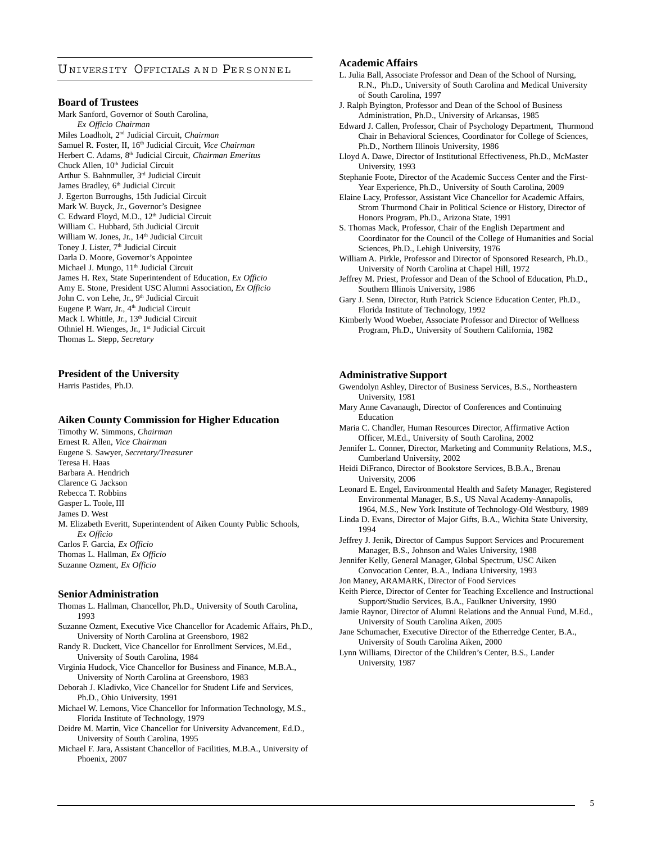# U NIVERSITY OFFICIALS AND PERSONNEL

#### **Board of Trustees**

Mark Sanford, Governor of South Carolina, *Ex Officio Chairman* Miles Loadholt, 2nd Judicial Circuit, *Chairman* Samuel R. Foster, II, 16<sup>th</sup> Judicial Circuit, *Vice Chairman* Herbert C. Adams, 8th Judicial Circuit, *Chairman Emeritus* Chuck Allen, 10<sup>th</sup> Judicial Circuit Arthur S. Bahnmuller, 3rd Judicial Circuit James Bradley, 6<sup>th</sup> Judicial Circuit J. Egerton Burroughs, 15th Judicial Circuit Mark W. Buyck, Jr., Governor's Designee C. Edward Floyd, M.D., 12<sup>th</sup> Judicial Circuit William C. Hubbard, 5th Judicial Circuit William W. Jones, Jr., 14<sup>th</sup> Judicial Circuit Toney J. Lister, 7<sup>th</sup> Judicial Circuit Darla D. Moore, Governor's Appointee Michael J. Mungo, 11<sup>th</sup> Judicial Circuit James H. Rex, State Superintendent of Education, *Ex Officio* Amy E. Stone, President USC Alumni Association, *Ex Officio* John C. von Lehe, Jr., 9<sup>th</sup> Judicial Circuit Eugene P. Warr, Jr., 4<sup>th</sup> Judicial Circuit Mack I. Whittle, Jr., 13<sup>th</sup> Judicial Circuit Othniel H. Wienges, Jr., 1<sup>st</sup> Judicial Circuit Thomas L. Stepp, *Secretary*

#### **President of the University**

Harris Pastides, Ph.D.

#### **Aiken County Commission for Higher Education**

Timothy W. Simmons, *Chairman* Ernest R. Allen, *Vice Chairman* Eugene S. Sawyer, *Secretary/Treasurer* Teresa H. Haas Barbara A. Hendrich Clarence G. Jackson Rebecca T. Robbins Gasper L. Toole, III James D. West M. Elizabeth Everitt, Superintendent of Aiken County Public Schools, *Ex Officio* Carlos F. Garcia, *Ex Officio* Thomas L. Hallman, *Ex Officio* Suzanne Ozment, *Ex Officio*

#### **Senior Administration**

Thomas L. Hallman, Chancellor, Ph.D., University of South Carolina, 1993

- Suzanne Ozment, Executive Vice Chancellor for Academic Affairs, Ph.D., University of North Carolina at Greensboro, 1982
- Randy R. Duckett, Vice Chancellor for Enrollment Services, M.Ed., University of South Carolina, 1984
- Virginia Hudock, Vice Chancellor for Business and Finance, M.B.A., University of North Carolina at Greensboro, 1983
- Deborah J. Kladivko, Vice Chancellor for Student Life and Services, Ph.D., Ohio University, 1991
- Michael W. Lemons, Vice Chancellor for Information Technology, M.S., Florida Institute of Technology, 1979
- Deidre M. Martin, Vice Chancellor for University Advancement, Ed.D., University of South Carolina, 1995
- Michael F. Jara, Assistant Chancellor of Facilities, M.B.A., University of Phoenix, 2007

# **Academic Affairs**

- L. Julia Ball, Associate Professor and Dean of the School of Nursing, R.N., Ph.D., University of South Carolina and Medical University of South Carolina, 1997
- J. Ralph Byington, Professor and Dean of the School of Business Administration, Ph.D., University of Arkansas, 1985
- Edward J. Callen, Professor, Chair of Psychology Department, Thurmond Chair in Behavioral Sciences, Coordinator for College of Sciences, Ph.D., Northern Illinois University, 1986
- Lloyd A. Dawe, Director of Institutional Effectiveness, Ph.D., McMaster University, 1993
- Stephanie Foote, Director of the Academic Success Center and the First-Year Experience, Ph.D., University of South Carolina, 2009
- Elaine Lacy, Professor, Assistant Vice Chancellor for Academic Affairs, Strom Thurmond Chair in Political Science or History, Director of Honors Program, Ph.D., Arizona State, 1991
- S. Thomas Mack, Professor, Chair of the English Department and Coordinator for the Council of the College of Humanities and Social Sciences, Ph.D., Lehigh University, 1976
- William A. Pirkle, Professor and Director of Sponsored Research, Ph.D., University of North Carolina at Chapel Hill, 1972
- Jeffrey M. Priest, Professor and Dean of the School of Education, Ph.D., Southern Illinois University, 1986
- Gary J. Senn, Director, Ruth Patrick Science Education Center, Ph.D., Florida Institute of Technology, 1992
- Kimberly Wood Woeber, Associate Professor and Director of Wellness Program, Ph.D., University of Southern California, 1982

#### **Administrative Support**

- Gwendolyn Ashley, Director of Business Services, B.S., Northeastern University, 1981
- Mary Anne Cavanaugh, Director of Conferences and Continuing Education
- Maria C. Chandler, Human Resources Director, Affirmative Action Officer, M.Ed., University of South Carolina, 2002
- Jennifer L. Conner, Director, Marketing and Community Relations, M.S., Cumberland University, 2002
- Heidi DiFranco, Director of Bookstore Services, B.B.A., Brenau University, 2006

Leonard E. Engel, Environmental Health and Safety Manager, Registered Environmental Manager, B.S., US Naval Academy-Annapolis, 1964, M.S., New York Institute of Technology-Old Westbury, 1989

- Linda D. Evans, Director of Major Gifts, B.A., Wichita State University, 1994
- Jeffrey J. Jenik, Director of Campus Support Services and Procurement Manager, B.S., Johnson and Wales University, 1988
- Jennifer Kelly, General Manager, Global Spectrum, USC Aiken Convocation Center, B.A., Indiana University, 1993
- Jon Maney, ARAMARK, Director of Food Services

Keith Pierce, Director of Center for Teaching Excellence and Instructional Support/Studio Services, B.A., Faulkner University, 1990

- Jamie Raynor, Director of Alumni Relations and the Annual Fund, M.Ed., University of South Carolina Aiken, 2005
- Jane Schumacher, Executive Director of the Etherredge Center, B.A., University of South Carolina Aiken, 2000
- Lynn Williams, Director of the Children's Center, B.S., Lander University, 1987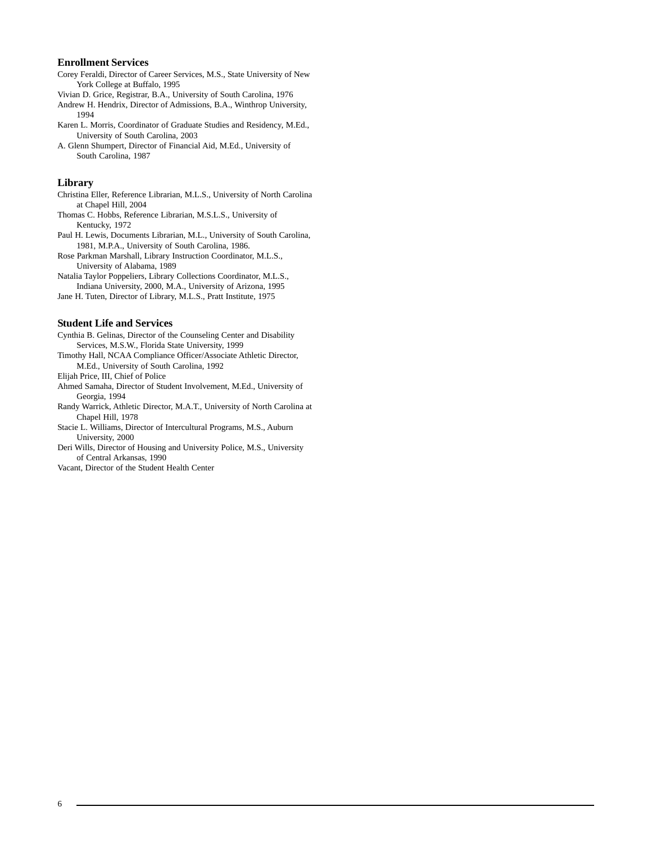#### **Enrollment Services**

- Corey Feraldi, Director of Career Services, M.S., State University of New York College at Buffalo, 1995
- Vivian D. Grice, Registrar, B.A., University of South Carolina, 1976
- Andrew H. Hendrix, Director of Admissions, B.A., Winthrop University, 1994
- Karen L. Morris, Coordinator of Graduate Studies and Residency, M.Ed., University of South Carolina, 2003
- A. Glenn Shumpert, Director of Financial Aid, M.Ed., University of South Carolina, 1987

#### **Library**

- Christina Eller, Reference Librarian, M.L.S., University of North Carolina at Chapel Hill, 2004
- Thomas C. Hobbs, Reference Librarian, M.S.L.S., University of Kentucky, 1972
- Paul H. Lewis, Documents Librarian, M.L., University of South Carolina, 1981, M.P.A., University of South Carolina, 1986.
- Rose Parkman Marshall, Library Instruction Coordinator, M.L.S., University of Alabama, 1989
- Natalia Taylor Poppeliers, Library Collections Coordinator, M.L.S., Indiana University, 2000, M.A., University of Arizona, 1995
- Jane H. Tuten, Director of Library, M.L.S., Pratt Institute, 1975

## **Student Life and Services**

Cynthia B. Gelinas, Director of the Counseling Center and Disability Services, M.S.W., Florida State University, 1999

- Timothy Hall, NCAA Compliance Officer/Associate Athletic Director, M.Ed., University of South Carolina, 1992
- Elijah Price, III, Chief of Police
- Ahmed Samaha, Director of Student Involvement, M.Ed., University of Georgia, 1994
- Randy Warrick, Athletic Director, M.A.T., University of North Carolina at Chapel Hill, 1978
- Stacie L. Williams, Director of Intercultural Programs, M.S., Auburn University, 2000
- Deri Wills, Director of Housing and University Police, M.S., University of Central Arkansas, 1990

Vacant, Director of the Student Health Center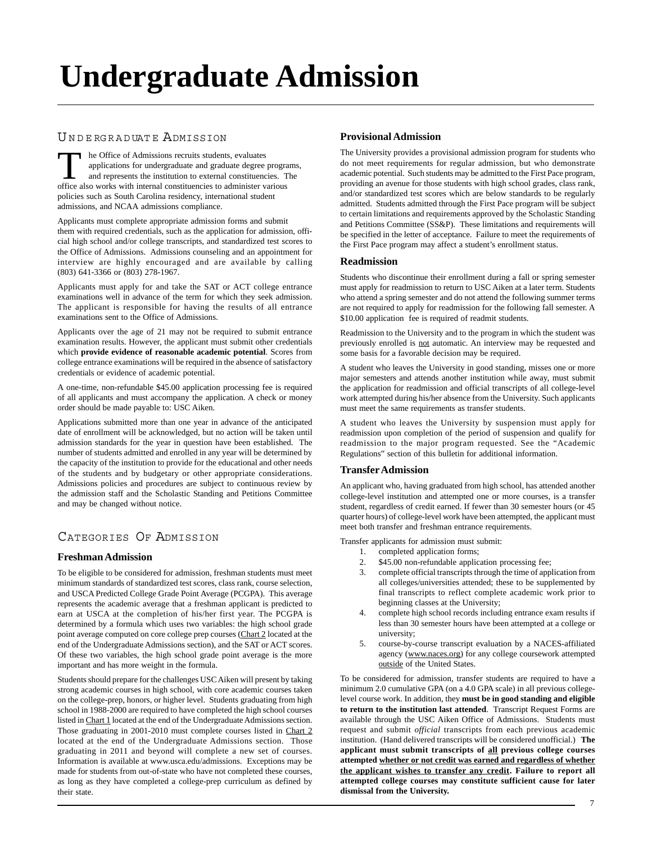# **Undergraduate Admission**

# UNDERGRADUATE ADMISSION

The Office of Admissions recruits students, evaluates<br>applications for undergraduate and graduate degree program<br>and represents the institution to external constituencies. T<br>office also works with internal constituencies t applications for undergraduate and graduate degree programs, and represents the institution to external constituencies. The policies such as South Carolina residency, international student admissions, and NCAA admissions compliance.

Applicants must complete appropriate admission forms and submit them with required credentials, such as the application for admission, official high school and/or college transcripts, and standardized test scores to the Office of Admissions. Admissions counseling and an appointment for interview are highly encouraged and are available by calling (803) 641-3366 or (803) 278-1967.

Applicants must apply for and take the SAT or ACT college entrance examinations well in advance of the term for which they seek admission. The applicant is responsible for having the results of all entrance examinations sent to the Office of Admissions.

Applicants over the age of 21 may not be required to submit entrance examination results. However, the applicant must submit other credentials which **provide evidence of reasonable academic potential**. Scores from college entrance examinations will be required in the absence of satisfactory credentials or evidence of academic potential.

A one-time, non-refundable \$45.00 application processing fee is required of all applicants and must accompany the application. A check or money order should be made payable to: USC Aiken.

Applications submitted more than one year in advance of the anticipated date of enrollment will be acknowledged, but no action will be taken until admission standards for the year in question have been established. The number of students admitted and enrolled in any year will be determined by the capacity of the institution to provide for the educational and other needs of the students and by budgetary or other appropriate considerations. Admissions policies and procedures are subject to continuous review by the admission staff and the Scholastic Standing and Petitions Committee and may be changed without notice.

# CATEGORIES OF ADMISSION

# **[Freshman Admission](http://www.usca.edu/admissions/freshmanadmissions.html)**

To be eligible to be considered for admission, freshman students must meet minimum standards of standardized test scores, class rank, course selection, and USCA Predicted College Grade Point Average (PCGPA). This average represents the academic average that a freshman applicant is predicted to earn at USCA at the completion of his/her first year. The PCGPA is determined by a formula which uses two variables: the high school grade point average computed on core college prep courses (Chart 2 located at the end of the Undergraduate Admissions section), and the SAT or ACT scores. Of these two variables, the high school grade point average is the more important and has more weight in the formula.

Students should prepare for the challenges USC Aiken will present by taking strong academic courses in high school, with core academic courses taken on the college-prep, honors, or higher level. Students graduating from high school in 1988-2000 are required to have completed the high school courses listed in Chart 1 located at the end of the Undergraduate Admissions section. Those graduating in 2001-2010 must complete courses listed in Chart 2 located at the end of the Undergraduate Admissions section. Those graduating in 2011 and beyond will complete a new set of courses. Information is available at www.usca.edu/admissions. Exceptions may be made for students from out-of-state who have not completed these courses, as long as they have completed a college-prep curriculum as defined by their state.

# **Provisional Admission**

The University provides a provisional admission program for students who do not meet requirements for regular admission, but who demonstrate academic potential. Such students may be admitted to the First Pace program, providing an avenue for those students with high school grades, class rank, and/or standardized test scores which are below standards to be regularly admitted. Students admitted through the First Pace program will be subject to certain limitations and requirements approved by the Scholastic Standing and Petitions Committee (SS&P). These limitations and requirements will be specified in the letter of acceptance. Failure to meet the requirements of the First Pace program may affect a student's enrollment status.

# **Readmission**

Students who discontinue their enrollment during a fall or spring semester must apply for readmission to return to USC Aiken at a later term. Students who attend a spring semester and do not attend the following summer terms are not required to apply for readmission for the following fall semester. A \$10.00 application fee is required of readmit students.

Readmission to the University and to the program in which the student was previously enrolled is not automatic. An interview may be requested and some basis for a favorable decision may be required.

A student who leaves the University in good standing, misses one or more major semesters and attends another institution while away, must submit the application for readmission and official transcripts of all college-level work attempted during his/her absence from the University. Such applicants must meet the same requirements as transfer students.

A student who leaves the University by suspension must apply for readmission upon completion of the period of suspension and qualify for readmission to the major program requested. See the "Academic Regulations" section of this bulletin for additional information.

# **[Transfer Admission](http://www.usca.edu/admissions/Transferadmissions.html)**

An applicant who, having graduated from high school, has attended another college-level institution and attempted one or more courses, is a transfer student, regardless of credit earned. If fewer than 30 semester hours (or 45 quarter hours) of college-level work have been attempted, the applicant must meet both transfer and freshman entrance requirements.

Transfer applicants for admission must submit:

- 1. completed application forms;
- 2. \$45.00 non-refundable application processing fee;
- 3. complete official transcripts through the time of application from all colleges/universities attended; these to be supplemented by final transcripts to reflect complete academic work prior to beginning classes at the University;
- 4. complete high school records including entrance exam results if less than 30 semester hours have been attempted at a college or university;
- 5. course-by-course transcript evaluation by a NACES-affiliated agency (www.naces.org) for any college coursework attempted outside of the United States.

To be considered for admission, transfer students are required to have a minimum 2.0 cumulative GPA (on a 4.0 GPA scale) in all previous collegelevel course work. In addition, they **must be in good standing and eligible to return to the institution last attended**. Transcript Request Forms are available through the USC Aiken Office of Admissions. Students must request and submit *official* transcripts from each previous academic institution. (Hand delivered transcripts will be considered unofficial.) **The applicant must submit transcripts of all previous college courses attempted whether or not credit was earned and regardless of whether the applicant wishes to transfer any credit. Failure to report all attempted college courses may constitute sufficient cause for later dismissal from the University.**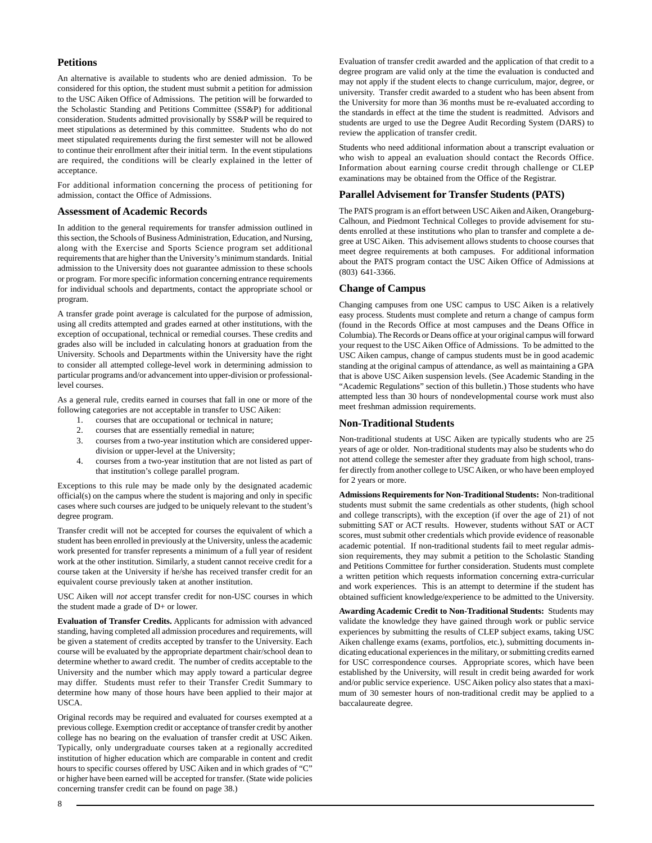### **Petitions**

An alternative is available to students who are denied admission. To be considered for this option, the student must submit a petition for admission to the USC Aiken Office of Admissions. The petition will be forwarded to the Scholastic Standing and Petitions Committee (SS&P) for additional consideration. Students admitted provisionally by SS&P will be required to meet stipulations as determined by this committee. Students who do not meet stipulated requirements during the first semester will not be allowed to continue their enrollment after their initial term. In the event stipulations are required, the conditions will be clearly explained in the letter of acceptance.

For additional information concerning the process of petitioning for admission, contact the Office of Admissions.

#### **Assessment of Academic Records**

In addition to the general requirements for transfer admission outlined in this section, the Schools of Business Administration, Education, and Nursing, along with the Exercise and Sports Science program set additional requirements that are higher than the University's minimum standards. Initial admission to the University does not guarantee admission to these schools or program. For more specific information concerning entrance requirements for individual schools and departments, contact the appropriate school or program.

A transfer grade point average is calculated for the purpose of admission, using all credits attempted and grades earned at other institutions, with the exception of occupational, technical or remedial courses. These credits and grades also will be included in calculating honors at graduation from the University. Schools and Departments within the University have the right to consider all attempted college-level work in determining admission to particular programs and/or advancement into upper-division or professionallevel courses.

As a general rule, credits earned in courses that fall in one or more of the following categories are not acceptable in transfer to USC Aiken:

- 1. courses that are occupational or technical in nature;
- 2. courses that are essentially remedial in nature;
- 3. courses from a two-year institution which are considered upperdivision or upper-level at the University;
- 4. courses from a two-year institution that are not listed as part of that institution's college parallel program.

Exceptions to this rule may be made only by the designated academic official(s) on the campus where the student is majoring and only in specific cases where such courses are judged to be uniquely relevant to the student's degree program.

Transfer credit will not be accepted for courses the equivalent of which a student has been enrolled in previously at the University, unless the academic work presented for transfer represents a minimum of a full year of resident work at the other institution. Similarly, a student cannot receive credit for a course taken at the University if he/she has received transfer credit for an equivalent course previously taken at another institution.

USC Aiken will *not* accept transfer credit for non-USC courses in which the student made a grade of D+ or lower.

**Evaluation of Transfer Credits.** Applicants for admission with advanced standing, having completed all admission procedures and requirements, will be given a statement of credits accepted by transfer to the University. Each course will be evaluated by the appropriate department chair/school dean to determine whether to award credit. The number of credits acceptable to the University and the number which may apply toward a particular degree may differ. Students must refer to their Transfer Credit Summary to determine how many of those hours have been applied to their major at USCA.

Original records may be required and evaluated for courses exempted at a previous college. Exemption credit or acceptance of transfer credit by another college has no bearing on the evaluation of transfer credit at USC Aiken. Typically, only undergraduate courses taken at a regionally accredited institution of higher education which are comparable in content and credit hours to specific courses offered by USC Aiken and in which grades of "C" or higher have been earned will be accepted for transfer. (State wide policies concerning transfer credit can be found on page 38.)

Evaluation of transfer credit awarded and the application of that credit to a degree program are valid only at the time the evaluation is conducted and may not apply if the student elects to change curriculum, major, degree, or university. Transfer credit awarded to a student who has been absent from the University for more than 36 months must be re-evaluated according to the standards in effect at the time the student is readmitted. Advisors and students are urged to use the Degree Audit Recording System (DARS) to review the application of transfer credit.

Students who need additional information about a transcript evaluation or who wish to appeal an evaluation should contact the Records Office. Information about earning course credit through challenge or CLEP examinations may be obtained from the Office of the Registrar.

#### **Parallel Advisement for Transfer Students (PATS)**

The PATS program is an effort between USC Aiken and Aiken, Orangeburg-Calhoun, and Piedmont Technical Colleges to provide advisement for students enrolled at these institutions who plan to transfer and complete a degree at USC Aiken. This advisement allows students to choose courses that meet degree requirements at both campuses. For additional information about the PATS program contact the USC Aiken Office of Admissions at (803) 641-3366.

#### **Change of Campus**

Changing campuses from one USC campus to USC Aiken is a relatively easy process. Students must complete and return a change of campus form (found in the Records Office at most campuses and the Deans Office in Columbia). The Records or Deans office at your original campus will forward your request to the USC Aiken Office of Admissions. To be admitted to the USC Aiken campus, change of campus students must be in good academic standing at the original campus of attendance, as well as maintaining a GPA that is above USC Aiken suspension levels. (See Academic Standing in the "Academic Regulations" section of this bulletin.) Those students who have attempted less than 30 hours of nondevelopmental course work must also meet freshman admission requirements.

#### **Non-Traditional Students**

Non-traditional students at USC Aiken are typically students who are 25 years of age or older. Non-traditional students may also be students who do not attend college the semester after they graduate from high school, transfer directly from another college to USC Aiken, or who have been employed for 2 years or more.

**Admissions Requirements for Non-Traditional Students:** Non-traditional students must submit the same credentials as other students, (high school and college transcripts), with the exception (if over the age of 21) of not submitting SAT or ACT results. However, students without SAT or ACT scores, must submit other credentials which provide evidence of reasonable academic potential. If non-traditional students fail to meet regular admission requirements, they may submit a petition to the Scholastic Standing and Petitions Committee for further consideration. Students must complete a written petition which requests information concerning extra-curricular and work experiences. This is an attempt to determine if the student has obtained sufficient knowledge/experience to be admitted to the University.

**Awarding Academic Credit to Non-Traditional Students:** Students may validate the knowledge they have gained through work or public service experiences by submitting the results of CLEP subject exams, taking USC Aiken challenge exams (exams, portfolios, etc.), submitting documents indicating educational experiences in the military, or submitting credits earned for USC correspondence courses. Appropriate scores, which have been established by the University, will result in credit being awarded for work and/or public service experience. USC Aiken policy also states that a maximum of 30 semester hours of non-traditional credit may be applied to a baccalaureate degree.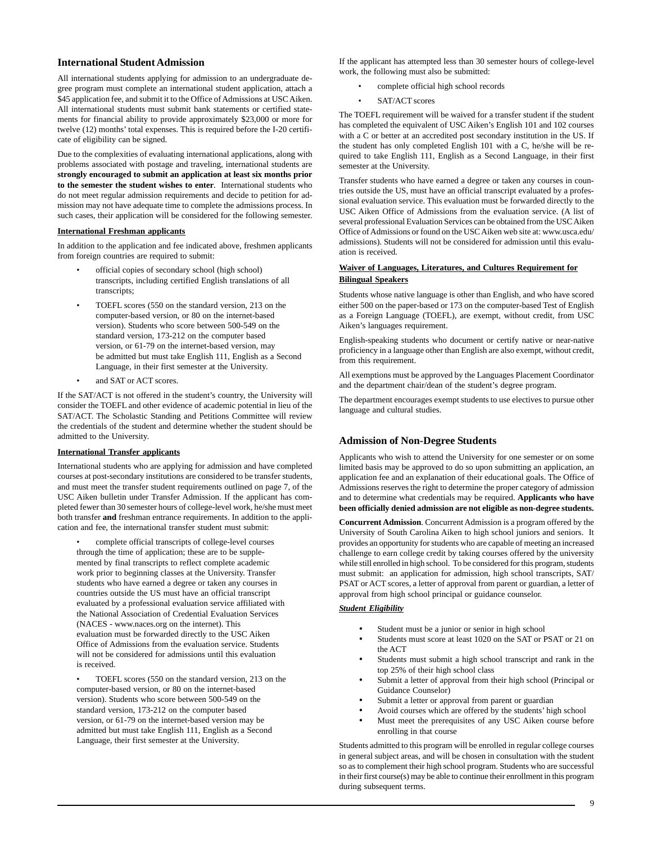#### **[International Student Admission](http://www.usca.edu/admissions/internationaladmissions.html)**

All international students applying for admission to an undergraduate degree program must complete an international student application, attach a \$45 application fee, and submit it to the Office of Admissions at USC Aiken. All international students must submit bank statements or certified statements for financial ability to provide approximately \$23,000 or more for twelve (12) months' total expenses. This is required before the I-20 certificate of eligibility can be signed.

Due to the complexities of evaluating international applications, along with problems associated with postage and traveling, international students are **strongly encouraged to submit an application at least six months prior to the semester the student wishes to enter**. International students who do not meet regular admission requirements and decide to petition for admission may not have adequate time to complete the admissions process. In such cases, their application will be considered for the following semester.

#### **International Freshman applicants**

In addition to the application and fee indicated above, freshmen applicants from foreign countries are required to submit:

- official copies of secondary school (high school) transcripts, including certified English translations of all transcripts;
- TOEFL scores (550 on the standard version, 213 on the computer-based version, or 80 on the internet-based version). Students who score between 500-549 on the standard version, 173-212 on the computer based version, or 61-79 on the internet-based version, may be admitted but must take English 111, English as a Second Language, in their first semester at the University.
- and SAT or ACT scores.

If the SAT/ACT is not offered in the student's country, the University will consider the TOEFL and other evidence of academic potential in lieu of the SAT/ACT. The Scholastic Standing and Petitions Committee will review the credentials of the student and determine whether the student should be admitted to the University.

#### **International Transfer applicants**

International students who are applying for admission and have completed courses at post-secondary institutions are considered to be transfer students, and must meet the transfer student requirements outlined on page 7, of the USC Aiken bulletin under Transfer Admission. If the applicant has completed fewer than 30 semester hours of college-level work, he/she must meet both transfer **and** freshman entrance requirements. In addition to the application and fee, the international transfer student must submit:

• complete official transcripts of college-level courses through the time of application; these are to be supplemented by final transcripts to reflect complete academic work prior to beginning classes at the University. Transfer students who have earned a degree or taken any courses in countries outside the US must have an official transcript evaluated by a professional evaluation service affiliated with the National Association of Credential Evaluation Services (NACES - www.naces.org on the internet). This evaluation must be forwarded directly to the USC Aiken Office of Admissions from the evaluation service. Students will not be considered for admissions until this evaluation is received.

• TOEFL scores (550 on the standard version, 213 on the computer-based version, or 80 on the internet-based version). Students who score between 500-549 on the standard version, 173-212 on the computer based version, or 61-79 on the internet-based version may be admitted but must take English 111, English as a Second Language, their first semester at the University.

If the applicant has attempted less than 30 semester hours of college-level work, the following must also be submitted:

- complete official high school records
- SAT/ACT scores

The TOEFL requirement will be waived for a transfer student if the student has completed the equivalent of USC Aiken's English 101 and 102 courses with a C or better at an accredited post secondary institution in the US. If the student has only completed English 101 with a C, he/she will be required to take English 111, English as a Second Language, in their first semester at the University.

Transfer students who have earned a degree or taken any courses in countries outside the US, must have an official transcript evaluated by a professional evaluation service. This evaluation must be forwarded directly to the USC Aiken Office of Admissions from the evaluation service. (A list of several professional Evaluation Services can be obtained from the USC Aiken Office of Admissions or found on the USC Aiken web site at: www.usca.edu/ admissions). Students will not be considered for admission until this evaluation is received.

#### **Waiver of Languages, Literatures, and Cultures Requirement for Bilingual Speakers**

Students whose native language is other than English, and who have scored either 500 on the paper-based or 173 on the computer-based Test of English as a Foreign Language (TOEFL), are exempt, without credit, from USC Aiken's languages requirement.

English-speaking students who document or certify native or near-native proficiency in a language other than English are also exempt, without credit, from this requirement.

All exemptions must be approved by the Languages Placement Coordinator and the department chair/dean of the student's degree program.

The department encourages exempt students to use electives to pursue other language and cultural studies.

#### **Admission of Non-Degree Students**

Applicants who wish to attend the University for one semester or on some limited basis may be approved to do so upon submitting an application, an application fee and an explanation of their educational goals. The Office of Admissions reserves the right to determine the proper category of admission and to determine what credentials may be required. **Applicants who have been officially denied admission are not eligible as non-degree students.**

**Concurrent Admission**. Concurrent Admission is a program offered by the University of South Carolina Aiken to high school juniors and seniors. It provides an opportunity for students who are capable of meeting an increased challenge to earn college credit by taking courses offered by the university while still enrolled in high school. To be considered for this program, students must submit: an application for admission, high school transcripts, SAT/ PSAT or ACT scores, a letter of approval from parent or guardian, a letter of approval from high school principal or guidance counselor.

#### *Student Eligibility*

- Student must be a junior or senior in high school
- Students must score at least 1020 on the SAT or PSAT or 21 on the ACT
- Students must submit a high school transcript and rank in the top 25% of their high school class
- Submit a letter of approval from their high school (Principal or Guidance Counselor)
- Submit a letter or approval from parent or guardian
- Avoid courses which are offered by the students' high school
- Must meet the prerequisites of any USC Aiken course before enrolling in that course

Students admitted to this program will be enrolled in regular college courses in general subject areas, and will be chosen in consultation with the student so as to complement their high school program. Students who are successful in their first course(s) may be able to continue their enrollment in this program during subsequent terms.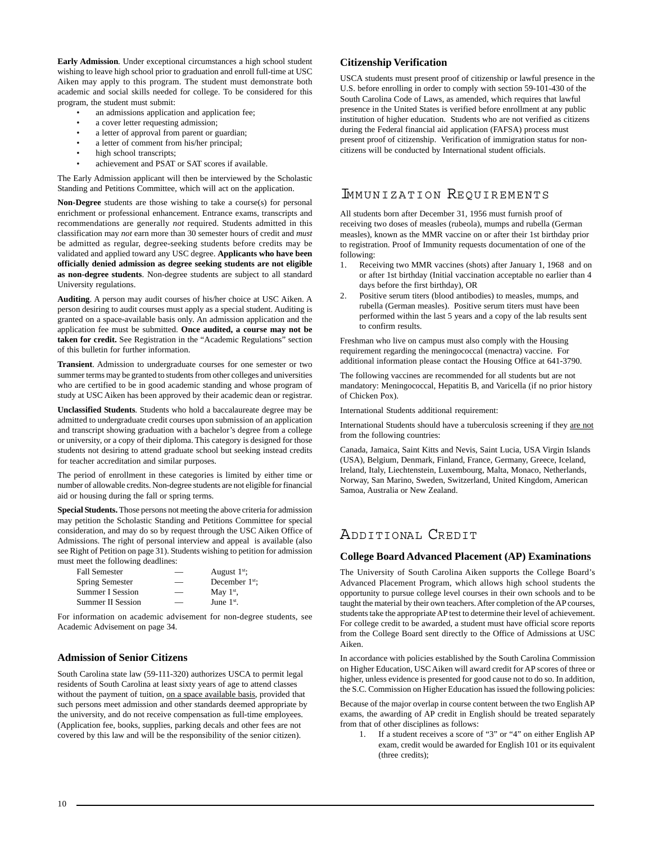**Early Admission**. Under exceptional circumstances a high school student wishing to leave high school prior to graduation and enroll full-time at USC Aiken may apply to this program. The student must demonstrate both academic and social skills needed for college. To be considered for this program, the student must submit:

- an admissions application and application fee;
- a cover letter requesting admission;
- a letter of approval from parent or guardian;
- a letter of comment from his/her principal;
- high school transcripts;
- achievement and PSAT or SAT scores if available.

The Early Admission applicant will then be interviewed by the Scholastic Standing and Petitions Committee, which will act on the application.

**Non-Degree** students are those wishing to take a course(s) for personal enrichment or professional enhancement. Entrance exams, transcripts and recommendations are generally *not* required. Students admitted in this classification may *not* earn more than 30 semester hours of credit and *must* be admitted as regular, degree-seeking students before credits may be validated and applied toward any USC degree. **Applicants who have been officially denied admission as degree seeking students are not eligible as non-degree students**. Non-degree students are subject to all standard University regulations.

**Auditing**. A person may audit courses of his/her choice at USC Aiken. A person desiring to audit courses must apply as a special student. Auditing is granted on a space-available basis only. An admission application and the application fee must be submitted. **Once audited, a course may not be taken for credit.** See Registration in the "Academic Regulations" section of this bulletin for further information.

**Transient**. Admission to undergraduate courses for one semester or two summer terms may be granted to students from other colleges and universities who are certified to be in good academic standing and whose program of study at USC Aiken has been approved by their academic dean or registrar.

**Unclassified Students**. Students who hold a baccalaureate degree may be admitted to undergraduate credit courses upon submission of an application and transcript showing graduation with a bachelor's degree from a college or university, or a copy of their diploma. This category is designed for those students not desiring to attend graduate school but seeking instead credits for teacher accreditation and similar purposes.

The period of enrollment in these categories is limited by either time or number of allowable credits. Non-degree students are not eligible for financial aid or housing during the fall or spring terms.

**Special Students.** Those persons not meeting the above criteria for admission may petition the Scholastic Standing and Petitions Committee for special consideration, and may do so by request through the USC Aiken Office of Admissions. The right of personal interview and appeal is available (also see Right of Petition on page 31). Students wishing to petition for admission must meet the following deadlines:

| <b>Fall Semester</b>     | August $1st$ ;   |
|--------------------------|------------------|
| Spring Semester          | December $1st$ : |
| <b>Summer I Session</b>  | May $1st$ ,      |
| <b>Summer II Session</b> | June $1st$ .     |

For information on academic advisement for non-degree students, see Academic Advisement on page 34.

#### **Admission of Senior Citizens**

South Carolina state law (59-111-320) authorizes USCA to permit legal residents of South Carolina at least sixty years of age to attend classes without the payment of tuition, on a space available basis, provided that such persons meet admission and other standards deemed appropriate by the university, and do not receive compensation as full-time employees. (Application fee, books, supplies, parking decals and other fees are not covered by this law and will be the responsibility of the senior citizen).

#### **Citizenship Verification**

USCA students must present proof of citizenship or lawful presence in the U.S. before enrolling in order to comply with section 59-101-430 of the South Carolina Code of Laws, as amended, which requires that lawful presence in the United States is verified before enrollment at any public institution of higher education. Students who are not verified as citizens during the Federal financial aid application (FAFSA) process must present proof of citizenship. Verification of immigration status for noncitizens will be conducted by International student officials.

# IMMUNIZATION REQUIREMENTS

All students born after December 31, 1956 must furnish proof of receiving two doses of measles (rubeola), mumps and rubella (German measles), known as the MMR vaccine on or after their 1st birthday prior to registration. Proof of Immunity requests documentation of one of the following:

- 1. Receiving two MMR vaccines (shots) after January 1, 1968 and on or after 1st birthday (Initial vaccination acceptable no earlier than 4 days before the first birthday), OR
- 2. Positive serum titers (blood antibodies) to measles, mumps, and rubella (German measles). Positive serum titers must have been performed within the last 5 years and a copy of the lab results sent to confirm results.

Freshman who live on campus must also comply with the Housing requirement regarding the meningococcal (menactra) vaccine. For additional information please contact the Housing Office at 641-3790.

The following vaccines are recommended for all students but are not mandatory: Meningococcal, Hepatitis B, and Varicella (if no prior history of Chicken Pox).

International Students additional requirement:

International Students should have a tuberculosis screening if they are not from the following countries:

Canada, Jamaica, Saint Kitts and Nevis, Saint Lucia, USA Virgin Islands (USA), Belgium, Denmark, Finland, France, Germany, Greece, Iceland, Ireland, Italy, Liechtenstein, Luxembourg, Malta, Monaco, Netherlands, Norway, San Marino, Sweden, Switzerland, United Kingdom, American Samoa, Australia or New Zealand.

# ADDITIONAL CREDIT

### **[College Board Advanced Placement \(AP\) Examinations](http://www.usca.edu/admissions/appolicy.html)**

The University of South Carolina Aiken supports the College Board's Advanced Placement Program, which allows high school students the opportunity to pursue college level courses in their own schools and to be taught the material by their own teachers. After completion of the AP courses, students take the appropriate AP test to determine their level of achievement. For college credit to be awarded, a student must have official score reports from the College Board sent directly to the Office of Admissions at USC Aiken.

In accordance with policies established by the South Carolina Commission on Higher Education, USC Aiken will award credit for AP scores of three or higher, unless evidence is presented for good cause not to do so. In addition, the S.C. Commission on Higher Education has issued the following policies:

Because of the major overlap in course content between the two English AP exams, the awarding of AP credit in English should be treated separately from that of other disciplines as follows:

1. If a student receives a score of "3" or "4" on either English AP exam, credit would be awarded for English 101 or its equivalent (three credits);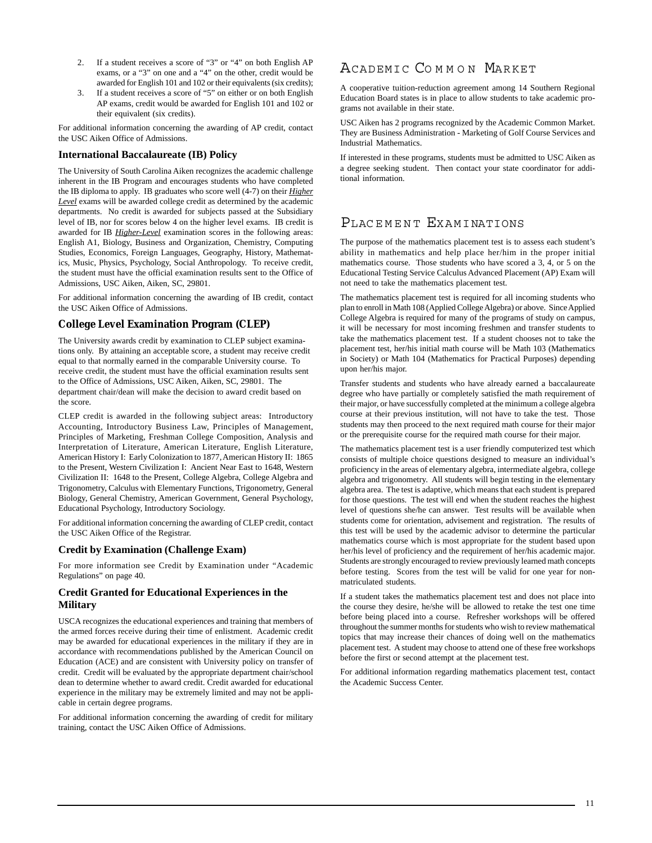- 2. If a student receives a score of "3" or "4" on both English AP exams, or a "3" on one and a "4" on the other, credit would be awarded for English 101 and 102 or their equivalents (six credits);
- If a student receives a score of "5" on either or on both English AP exams, credit would be awarded for English 101 and 102 or their equivalent (six credits).

For additional information concerning the awarding of AP credit, contact the USC Aiken Office of Admissions.

#### **International Baccalaureate (IB) Policy**

The University of South Carolina Aiken recognizes the academic challenge inherent in the IB Program and encourages students who have completed the IB diploma to apply. IB graduates who score well (4-7) on their *Higher Level* exams will be awarded college credit as determined by the academic departments. No credit is awarded for subjects passed at the Subsidiary level of IB, nor for scores below 4 on the higher level exams. IB credit is awarded for IB *Higher-Level* examination scores in the following areas: English A1, Biology, Business and Organization, Chemistry, Computing Studies, Economics, Foreign Languages, Geography, History, Mathematics, Music, Physics, Psychology, Social Anthropology. To receive credit, the student must have the official examination results sent to the Office of Admissions, USC Aiken, Aiken, SC, 29801.

For additional information concerning the awarding of IB credit, contact the USC Aiken Office of Admissions.

# **[College Level Examination Program \(CLEP\)](http://www.usca.edu/records/clepcreditpolicies.html)**

The University awards credit by examination to CLEP subject examinations only. By attaining an acceptable score, a student may receive credit equal to that normally earned in the comparable University course. To receive credit, the student must have the official examination results sent to the Office of Admissions, USC Aiken, Aiken, SC, 29801. The department chair/dean will make the decision to award credit based on the score.

CLEP credit is awarded in the following subject areas: Introductory Accounting, Introductory Business Law, Principles of Management, Principles of Marketing, Freshman College Composition, Analysis and Interpretation of Literature, American Literature, English Literature, American History I: Early Colonization to 1877, American History II: 1865 to the Present, Western Civilization I: Ancient Near East to 1648, Western Civilization II: 1648 to the Present, College Algebra, College Algebra and Trigonometry, Calculus with Elementary Functions, Trigonometry, General Biology, General Chemistry, American Government, General Psychology, Educational Psychology, Introductory Sociology.

For additional information concerning the awarding of CLEP credit, contact the USC Aiken Office of the Registrar.

#### **Credit by Examination (Challenge Exam)**

For more information see Credit by Examination under "Academic Regulations" on page 40.

## **Credit Granted for Educational Experiences in the Military**

USCA recognizes the educational experiences and training that members of the armed forces receive during their time of enlistment. Academic credit may be awarded for educational experiences in the military if they are in accordance with recommendations published by the American Council on Education (ACE) and are consistent with University policy on transfer of credit. Credit will be evaluated by the appropriate department chair/school dean to determine whether to award credit. Credit awarded for educational experience in the military may be extremely limited and may not be applicable in certain degree programs.

For additional information concerning the awarding of credit for military training, contact the USC Aiken Office of Admissions.

# ACADEMIC COMMON MARKET

A cooperative tuition-reduction agreement among 14 Southern Regional Education Board states is in place to allow students to take academic programs not available in their state.

USC Aiken has 2 programs recognized by the Academic Common Market. They are Business Administration - Marketing of Golf Course Services and Industrial Mathematics.

If interested in these programs, students must be admitted to USC Aiken as a degree seeking student. Then contact your state coordinator for additional information.

# PLACEMENT EXAMINATIONS

The purpose of the mathematics placement test is to assess each student's ability in mathematics and help place her/him in the proper initial mathematics course. Those students who have scored a 3, 4, or 5 on the Educational Testing Service Calculus Advanced Placement (AP) Exam will not need to take the mathematics placement test.

The mathematics placement test is required for all incoming students who plan to enroll in Math 108 (Applied College Algebra) or above. Since Applied College Algebra is required for many of the programs of study on campus, it will be necessary for most incoming freshmen and transfer students to take the mathematics placement test. If a student chooses not to take the placement test, her/his initial math course will be Math 103 (Mathematics in Society) or Math 104 (Mathematics for Practical Purposes) depending upon her/his major.

Transfer students and students who have already earned a baccalaureate degree who have partially or completely satisfied the math requirement of their major, or have successfully completed at the minimum a college algebra course at their previous institution, will not have to take the test. Those students may then proceed to the next required math course for their major or the prerequisite course for the required math course for their major.

The mathematics placement test is a user friendly computerized test which consists of multiple choice questions designed to measure an individual's proficiency in the areas of elementary algebra, intermediate algebra, college algebra and trigonometry. All students will begin testing in the elementary algebra area. The test is adaptive, which means that each student is prepared for those questions. The test will end when the student reaches the highest level of questions she/he can answer. Test results will be available when students come for orientation, advisement and registration. The results of this test will be used by the academic advisor to determine the particular mathematics course which is most appropriate for the student based upon her/his level of proficiency and the requirement of her/his academic major. Students are strongly encouraged to review previously learned math concepts before testing. Scores from the test will be valid for one year for nonmatriculated students.

If a student takes the mathematics placement test and does not place into the course they desire, he/she will be allowed to retake the test one time before being placed into a course. Refresher workshops will be offered throughout the summer months for students who wish to review mathematical topics that may increase their chances of doing well on the mathematics placement test. A student may choose to attend one of these free workshops before the first or second attempt at the placement test.

For additional information regarding mathematics placement test, contact the Academic Success Center.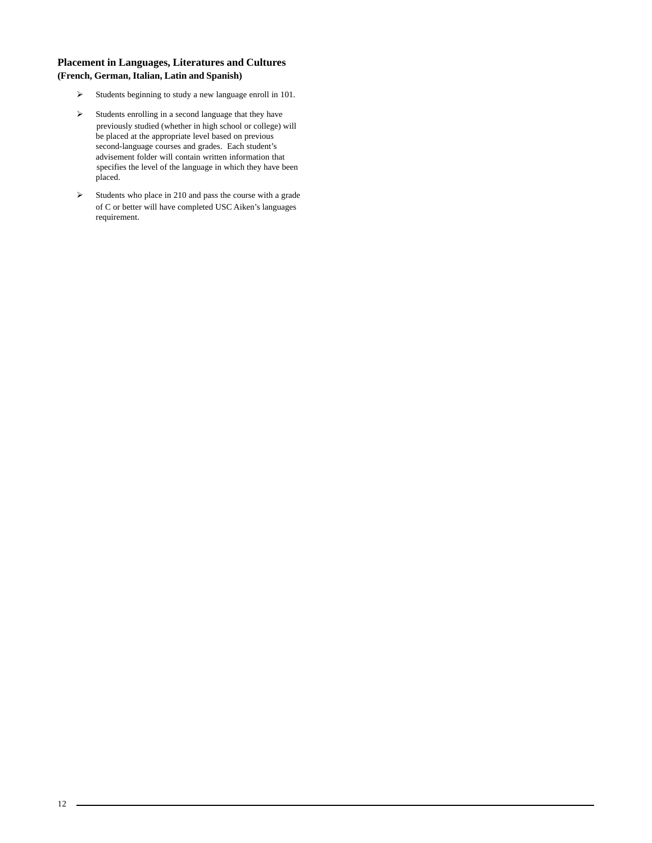# **Placement in Languages, Literatures and Cultures (French, German, Italian, Latin and Spanish)**

- $\blacktriangleright$ Students beginning to study a new language enroll in 101.
- $\blacktriangleright$  Students enrolling in a second language that they have previously studied (whether in high school or college) will be placed at the appropriate level based on previous second-language courses and grades. Each student's advisement folder will contain written information that specifies the level of the language in which they have been placed.
- $\blacktriangleright$  Students who place in 210 and pass the course with a grade of C or better will have completed USC Aiken's languages requirement.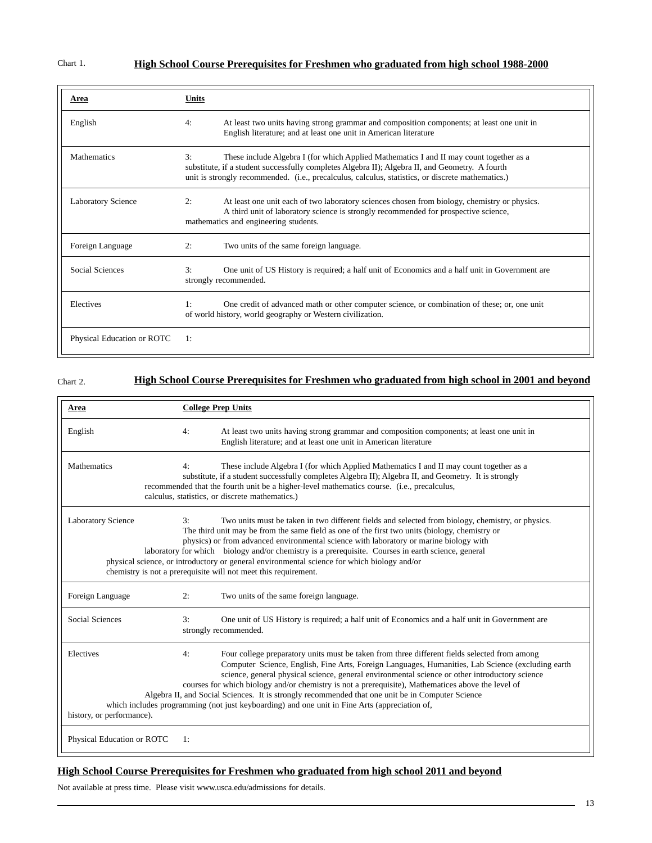# **High School Course Prerequisites for Freshmen who graduated from high school 1988-2000**

| Area                       | Units                                                                                                                                                                                                                                                                                                 |
|----------------------------|-------------------------------------------------------------------------------------------------------------------------------------------------------------------------------------------------------------------------------------------------------------------------------------------------------|
| English                    | At least two units having strong grammar and composition components; at least one unit in<br>4:<br>English literature; and at least one unit in American literature                                                                                                                                   |
| <b>Mathematics</b>         | 3:<br>These include Algebra I (for which Applied Mathematics I and II may count together as a<br>substitute, if a student successfully completes Algebra II); Algebra II, and Geometry. A fourth<br>unit is strongly recommended. (i.e., precalculus, calculus, statistics, or discrete mathematics.) |
| <b>Laboratory Science</b>  | At least one unit each of two laboratory sciences chosen from biology, chemistry or physics.<br>2:<br>A third unit of laboratory science is strongly recommended for prospective science,<br>mathematics and engineering students.                                                                    |
| Foreign Language           | 2:<br>Two units of the same foreign language.                                                                                                                                                                                                                                                         |
| Social Sciences            | 3:<br>One unit of US History is required; a half unit of Economics and a half unit in Government are<br>strongly recommended.                                                                                                                                                                         |
| Electives                  | One credit of advanced math or other computer science, or combination of these; or, one unit<br>1:<br>of world history, world geography or Western civilization.                                                                                                                                      |
| Physical Education or ROTC | 1:                                                                                                                                                                                                                                                                                                    |

Chart 2.

# **High School Course Prerequisites for Freshmen who graduated from high school in 2001 and beyond**

| Area                                   |    | <b>College Prep Units</b>                                                                                                                                                                                                                                                                                                                                                                                                                                                                                                                                                                                      |
|----------------------------------------|----|----------------------------------------------------------------------------------------------------------------------------------------------------------------------------------------------------------------------------------------------------------------------------------------------------------------------------------------------------------------------------------------------------------------------------------------------------------------------------------------------------------------------------------------------------------------------------------------------------------------|
| English                                | 4: | At least two units having strong grammar and composition components; at least one unit in<br>English literature; and at least one unit in American literature                                                                                                                                                                                                                                                                                                                                                                                                                                                  |
| <b>Mathematics</b>                     | 4: | These include Algebra I (for which Applied Mathematics I and II may count together as a<br>substitute, if a student successfully completes Algebra II); Algebra II, and Geometry. It is strongly<br>recommended that the fourth unit be a higher-level mathematics course. (i.e., precalculus,<br>calculus, statistics, or discrete mathematics.)                                                                                                                                                                                                                                                              |
| <b>Laboratory Science</b>              | 3: | Two units must be taken in two different fields and selected from biology, chemistry, or physics.<br>The third unit may be from the same field as one of the first two units (biology, chemistry or<br>physics) or from advanced environmental science with laboratory or marine biology with<br>laboratory for which biology and/or chemistry is a prerequisite. Courses in earth science, general<br>physical science, or introductory or general environmental science for which biology and/or<br>chemistry is not a prerequisite will not meet this requirement.                                          |
| Foreign Language                       | 2: | Two units of the same foreign language.                                                                                                                                                                                                                                                                                                                                                                                                                                                                                                                                                                        |
| Social Sciences                        | 3: | One unit of US History is required; a half unit of Economics and a half unit in Government are<br>strongly recommended.                                                                                                                                                                                                                                                                                                                                                                                                                                                                                        |
| Electives<br>history, or performance). | 4: | Four college preparatory units must be taken from three different fields selected from among<br>Computer Science, English, Fine Arts, Foreign Languages, Humanities, Lab Science (excluding earth<br>science, general physical science, general environmental science or other introductory science<br>courses for which biology and/or chemistry is not a prerequisite), Mathematices above the level of<br>Algebra II, and Social Sciences. It is strongly recommended that one unit be in Computer Science<br>which includes programming (not just keyboarding) and one unit in Fine Arts (appreciation of, |
| Physical Education or ROTC             | 1: |                                                                                                                                                                                                                                                                                                                                                                                                                                                                                                                                                                                                                |

# **High School Course Prerequisites for Freshmen who graduated from high school 2011 and beyond**

Not available at press time. Please visit www.usca.edu/admissions for details.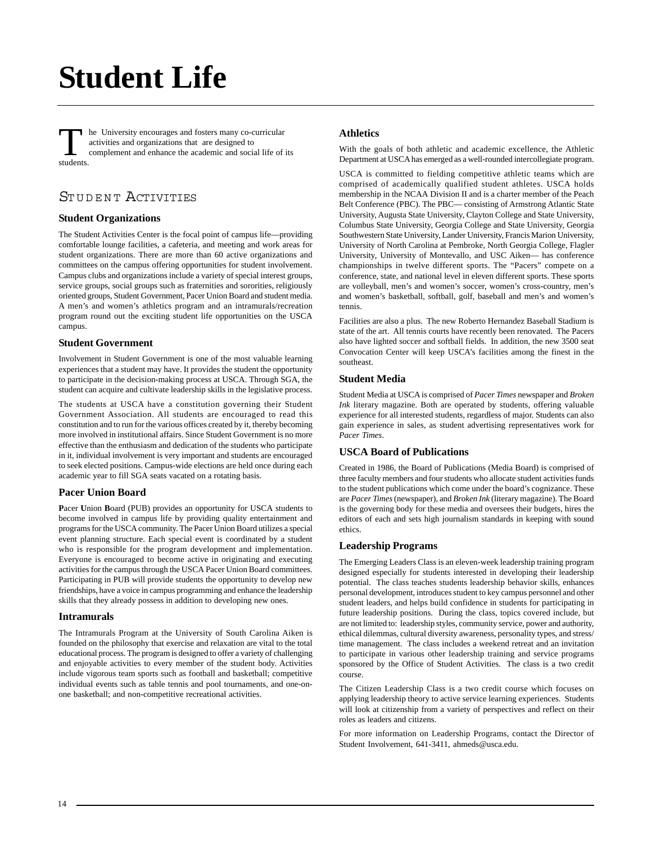# **Student Life**

The University encourages and fosters many co-curricular<br>activities and organizations that are designed to<br>complement and enhance the academic and social life of its<br>students activities and organizations that are designed to students.

# STUDENT ACTIVITIES

# **[Student Organizations](http://web.usca.edu/student-involvement/student-organizations/)**

The Student Activities Center is the focal point of campus life—providing comfortable lounge facilities, a cafeteria, and meeting and work areas for student organizations. There are more than 60 active organizations and committees on the campus offering opportunities for student involvement. Campus clubs and organizations include a variety of special interest groups, service groups, social groups such as fraternities and sororities, religiously oriented groups, Student Government, Pacer Union Board and student media. A men's and women's athletics program and an intramurals/recreation program round out the exciting student life opportunities on the USCA campus.

### **[Student Government](http://www.usca.edu/clubs/sga/)**

Involvement in Student Government is one of the most valuable learning experiences that a student may have. It provides the student the opportunity to participate in the decision-making process at USCA. Through SGA, the student can acquire and cultivate leadership skills in the legislative process.

The students at USCA have a constitution governing their Student Government Association. All students are encouraged to read this constitution and to run for the various offices created by it, thereby becoming more involved in institutional affairs. Since Student Government is no more effective than the enthusiasm and dedication of the students who participate in it, individual involvement is very important and students are encouraged to seek elected positions. Campus-wide elections are held once during each academic year to fill SGA seats vacated on a rotating basis.

# **Pacer Union Board**

**P**acer **U**nion **B**oard (PUB) provides an opportunity for USCA students to become involved in campus life by providing quality entertainment and programs for the USCA community. The Pacer Union Board utilizes a special event planning structure. Each special event is coordinated by a student who is responsible for the program development and implementation. Everyone is encouraged to become active in originating and executing activities for the campus through the USCA Pacer Union Board committees. Participating in PUB will provide students the opportunity to develop new friendships, have a voice in campus programming and enhance the leadership skills that they already possess in addition to developing new ones.

#### **[Intramurals](http://web.usca.edu/student-involvement/intramurals/)**

The Intramurals Program at the University of South Carolina Aiken is founded on the philosophy that exercise and relaxation are vital to the total educational process. The program is designed to offer a variety of challenging and enjoyable activities to every member of the student body. Activities include vigorous team sports such as football and basketball; competitive individual events such as table tennis and pool tournaments, and one-onone basketball; and non-competitive recreational activities.

# **[Athletics](http://www.pacersports.com/)**

With the goals of both athletic and academic excellence, the Athletic Department at USCA has emerged as a well-rounded intercollegiate program.

USCA is committed to fielding competitive athletic teams which are comprised of academically qualified student athletes. USCA holds membership in the NCAA Division II and is a charter member of the Peach Belt Conference (PBC). The PBC— consisting of Armstrong Atlantic State University, Augusta State University, Clayton College and State University, Columbus State University, Georgia College and State University, Georgia Southwestern State University, Lander University, Francis Marion University, University of North Carolina at Pembroke, North Georgia College, Flagler University, University of Montevallo, and USC Aiken— has conference championships in twelve different sports. The "Pacers" compete on a conference, state, and national level in eleven different sports. These sports are volleyball, men's and women's soccer, women's cross-country, men's and women's basketball, softball, golf, baseball and men's and women's tennis.

Facilities are also a plus. The new Roberto Hernandez Baseball Stadium is state of the art. All tennis courts have recently been renovated. The Pacers also have lighted soccer and softball fields. In addition, the new 3500 seat Convocation Center will keep USCA's facilities among the finest in the southeast.

### **Student Media**

Student Media at USCA is comprised of *Pacer Times* newspaper and *Broken Ink* literary magazine. Both are operated by students, offering valuable experience for all interested students, regardless of major. Students can also gain experience in sales, as student advertising representatives work for *Pacer Times*.

# **USCA Board of Publications**

Created in 1986, the Board of Publications (Media Board) is comprised of three faculty members and four students who allocate student activities funds to the student publications which come under the board's cognizance. These are *Pacer Times* (newspaper), and *Broken Ink* (literary magazine). The Board is the governing body for these media and oversees their budgets, hires the editors of each and sets high journalism standards in keeping with sound ethics.

### **Leadership Programs**

The Emerging Leaders Class is an eleven-week leadership training program designed especially for students interested in developing their leadership potential. The class teaches students leadership behavior skills, enhances personal development, introduces student to key campus personnel and other student leaders, and helps build confidence in students for participating in future leadership positions. During the class, topics covered include, but are not limited to: leadership styles, community service, power and authority, ethical dilemmas, cultural diversity awareness, personality types, and stress/ time management. The class includes a weekend retreat and an invitation to participate in various other leadership training and service programs sponsored by the Office of Student Activities. The class is a two credit course.

The Citizen Leadership Class is a two credit course which focuses on applying leadership theory to active service learning experiences. Students will look at citizenship from a variety of perspectives and reflect on their roles as leaders and citizens.

For more information on Leadership Programs, contact the Director of Student Involvement, 641-3411, ahmeds@usca.edu.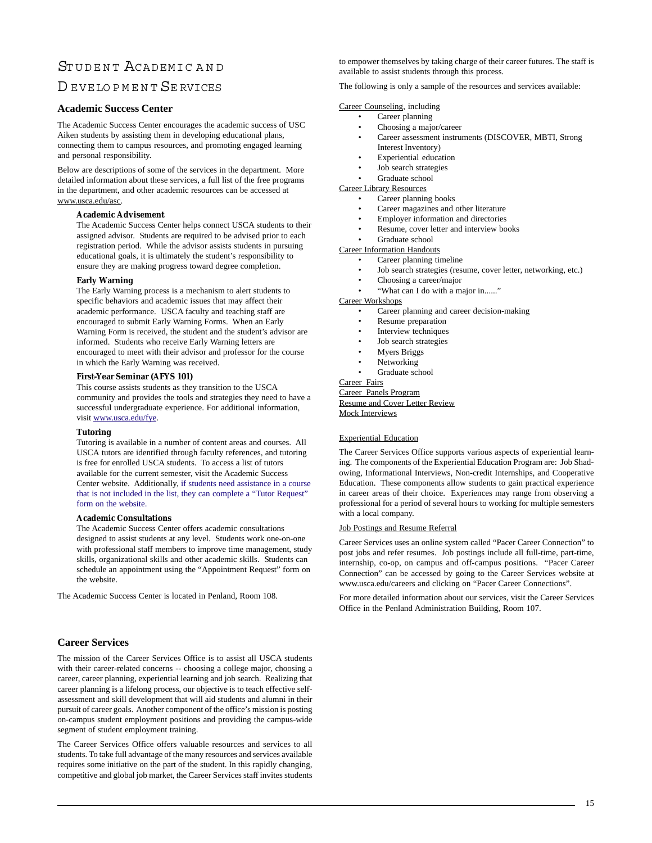# STUDENT ACADEMIC AND

# D EVELOPMENT SE RVICES

#### **Academic Success Center**

The Academic Success Center encourages the academic success of USC Aiken students by assisting them in developing educational plans, connecting them to campus resources, and promoting engaged learning and personal responsibility.

Below are descriptions of some of the services in the department. More detailed information about these services, a full list of the free programs in the department, and other academic resources can be accessed at www.usca.edu/asc.

#### **Academic Advisement**

The Academic Success Center helps connect USCA students to their assigned advisor. Students are required to be advised prior to each registration period. While the advisor assists students in pursuing educational goals, it is ultimately the student's responsibility to ensure they are making progress toward degree completion.

#### **Early Warning**

The Early Warning process is a mechanism to alert students to specific behaviors and academic issues that may affect their academic performance. USCA faculty and teaching staff are encouraged to submit Early Warning Forms. When an Early Warning Form is received, the student and the student's advisor are informed. Students who receive Early Warning letters are encouraged to meet with their advisor and professor for the course in which the Early Warning was received.

#### **First-Year Seminar (AFYS 101)**

This course assists students as they transition to the USCA community and provides the tools and strategies they need to have a successful undergraduate experience. For additional information, visit www.usca.edu/fye.

#### **Tutoring**

Tutoring is available in a number of content areas and courses. All USCA tutors are identified through faculty references, and tutoring is free for enrolled USCA students. To access a list of tutors available for the current semester, visit the Academic Success Center website. Additionally, if students need assistance in a course that is not included in the list, they can complete a "Tutor Request" form on the website.

#### **Academic Consultations**

The Academic Success Center offers academic consultations designed to assist students at any level. Students work one-on-one with professional staff members to improve time management, study skills, organizational skills and other academic skills. Students can schedule an appointment using the "Appointment Request" form on the website.

The Academic Success Center is located in Penland, Room 108.

# **[Career Services](http://web.usca.edu/career-services/)**

The mission of the Career Services Office is to assist all USCA students with their career-related concerns -- choosing a college major, choosing a career, career planning, experiential learning and job search. Realizing that career planning is a lifelong process, our objective is to teach effective selfassessment and skill development that will aid students and alumni in their pursuit of career goals. Another component of the office's mission is posting on-campus student employment positions and providing the campus-wide segment of student employment training.

The Career Services Office offers valuable resources and services to all students. To take full advantage of the many resources and services available requires some initiative on the part of the student. In this rapidly changing, competitive and global job market, the Career Services staff invites students to empower themselves by taking charge of their career futures. The staff is available to assist students through this process.

The following is only a sample of the resources and services available:

Career Counseling, including

- Career planning
- Choosing a major/career
- Career assessment instruments (DISCOVER, MBTI, Strong Interest Inventory)
- **Experiential** education
- Job search strategies
- Graduate school
- Career Library Resources Career planning books
	- Career magazines and other literature
	- Employer information and directories
	- Resume, cover letter and interview books
	- Graduate school

Career Information Handouts

- Career planning timeline
	- Job search strategies (resume, cover letter, networking, etc.)
	- Choosing a career/major
	- "What can I do with a major in......"

Career Workshops

- Career planning and career decision-making
- Resume preparation
- Interview techniques
- Job search strategies
- Myers Briggs
- **Networking**
- Graduate school

Career Fairs Career Panels Program Resume and Cover Letter Review

Mock Interviews

#### Experiential Education

The Career Services Office supports various aspects of experiential learning. The components of the Experiential Education Program are: Job Shadowing, Informational Interviews, Non-credit Internships, and Cooperative Education. These components allow students to gain practical experience in career areas of their choice. Experiences may range from observing a professional for a period of several hours to working for multiple semesters with a local company.

#### Job Postings and Resume Referral

Career Services uses an online system called "Pacer Career Connection" to post jobs and refer resumes. Job postings include all full-time, part-time, internship, co-op, on campus and off-campus positions. "Pacer Career Connection" can be accessed by going to the Career Services website at www.usca.edu/careers and clicking on "Pacer Career Connections".

For more detailed information about our services, visit the Career Services Office in the Penland Administration Building, Room 107.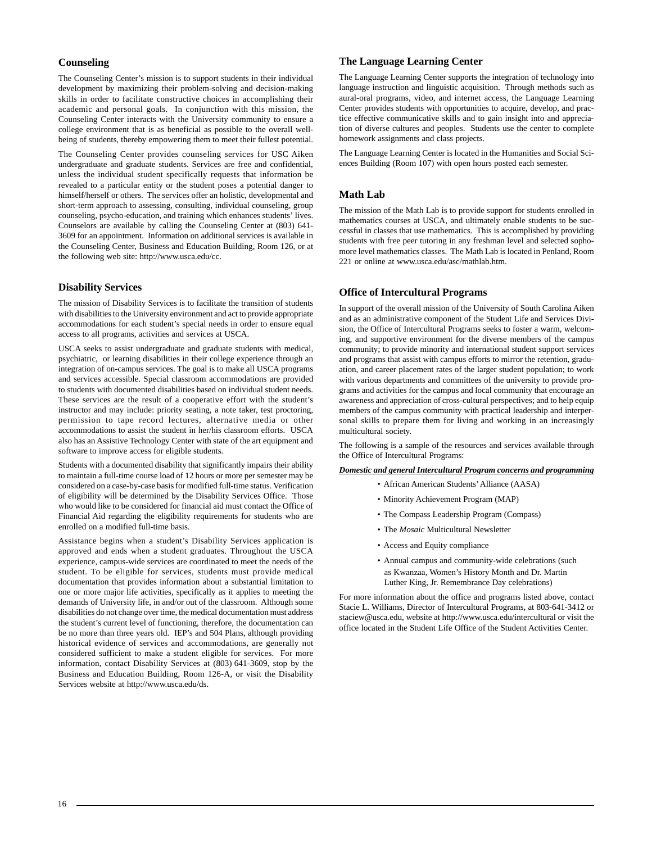## **[Counseling](http://www.usca.edu/cc/)**

The Counseling Center's mission is to support students in their individual development by maximizing their problem-solving and decision-making skills in order to facilitate constructive choices in accomplishing their academic and personal goals. In conjunction with this mission, the Counseling Center interacts with the University community to ensure a college environment that is as beneficial as possible to the overall wellbeing of students, thereby empowering them to meet their fullest potential.

The Counseling Center provides counseling services for USC Aiken undergraduate and graduate students. Services are free and confidential, unless the individual student specifically requests that information be revealed to a particular entity or the student poses a potential danger to himself/herself or others. The services offer an holistic, developmental and short-term approach to assessing, consulting, individual counseling, group counseling, psycho-education, and training which enhances students' lives. Counselors are available by calling the Counseling Center at (803) 641- 3609 for an appointment. Information on additional services is available in the Counseling Center, Business and Education Building, Room 126, or at the following web site: http://www.usca.edu/cc.

## **[Disability Services](http://www.usca.edu/ds/)**

The mission of Disability Services is to facilitate the transition of students with disabilities to the University environment and act to provide appropriate accommodations for each student's special needs in order to ensure equal access to all programs, activities and services at USCA.

USCA seeks to assist undergraduate and graduate students with medical, psychiatric, or learning disabilities in their college experience through an integration of on-campus services. The goal is to make all USCA programs and services accessible. Special classroom accommodations are provided to students with documented disabilities based on individual student needs. These services are the result of a cooperative effort with the student's instructor and may include: priority seating, a note taker, test proctoring, permission to tape record lectures, alternative media or other accommodations to assist the student in her/his classroom efforts. USCA also has an Assistive Technology Center with state of the art equipment and software to improve access for eligible students.

Students with a documented disability that significantly impairs their ability to maintain a full-time course load of 12 hours or more per semester may be considered on a case-by-case basis for modified full-time status. Verification of eligibility will be determined by the Disability Services Office. Those who would like to be considered for financial aid must contact the Office of Financial Aid regarding the eligibility requirements for students who are enrolled on a modified full-time basis.

Assistance begins when a student's Disability Services application is approved and ends when a student graduates. Throughout the USCA experience, campus-wide services are coordinated to meet the needs of the student. To be eligible for services, students must provide medical documentation that provides information about a substantial limitation to one or more major life activities, specifically as it applies to meeting the demands of University life, in and/or out of the classroom. Although some disabilities do not change over time, the medical documentation must address the student's current level of functioning, therefore, the documentation can be no more than three years old. IEP's and 504 Plans, although providing historical evidence of services and accommodations, are generally not considered sufficient to make a student eligible for services. For more information, contact Disability Services at (803) 641-3609, stop by the Business and Education Building, Room 126-A, or visit the Disability Services website at http://www.usca.edu/ds.

### **The Language Learning Center**

The Language Learning Center supports the integration of technology into language instruction and linguistic acquisition. Through methods such as aural-oral programs, video, and internet access, the Language Learning Center provides students with opportunities to acquire, develop, and practice effective communicative skills and to gain insight into and appreciation of diverse cultures and peoples. Students use the center to complete homework assignments and class projects.

The Language Learning Center is located in the Humanities and Social Sciences Building (Room 107) with open hours posted each semester.

## **[Math Lab](http://web.usca.edu/asc/tutoring/math-lab.dot)**

The mission of the Math Lab is to provide support for students enrolled in mathematics courses at USCA, and ultimately enable students to be successful in classes that use mathematics. This is accomplished by providing students with free peer tutoring in any freshman level and selected sophomore level mathematics classes. The Math Lab is located in Penland, Room 221 or online at www.usca.edu/asc/mathlab.htm.

# **[Office of Intercultural Programs](http://www.usca.edu/intercultural/)**

In support of the overall mission of the University of South Carolina Aiken and as an administrative component of the Student Life and Services Division, the Office of Intercultural Programs seeks to foster a warm, welcoming, and supportive environment for the diverse members of the campus community; to provide minority and international student support services and programs that assist with campus efforts to mirror the retention, graduation, and career placement rates of the larger student population; to work with various departments and committees of the university to provide programs and activities for the campus and local community that encourage an awareness and appreciation of cross-cultural perspectives; and to help equip members of the campus community with practical leadership and interpersonal skills to prepare them for living and working in an increasingly multicultural society.

The following is a sample of the resources and services available through the Office of Intercultural Programs:

#### *Domestic and general Intercultural Program concerns and programming*

- African American Students' Alliance (AASA)
- Minority Achievement Program (MAP)
- The Compass Leadership Program (Compass)
- The *Mosaic* Multicultural Newsletter
- Access and Equity compliance
- Annual campus and community-wide celebrations (such as Kwanzaa, Women's History Month and Dr. Martin Luther King, Jr. Remembrance Day celebrations)

For more information about the office and programs listed above, contact Stacie L. Williams, Director of Intercultural Programs, at 803-641-3412 or staciew@usca.edu, website at http://www.usca.edu/intercultural or visit the office located in the Student Life Office of the Student Activities Center.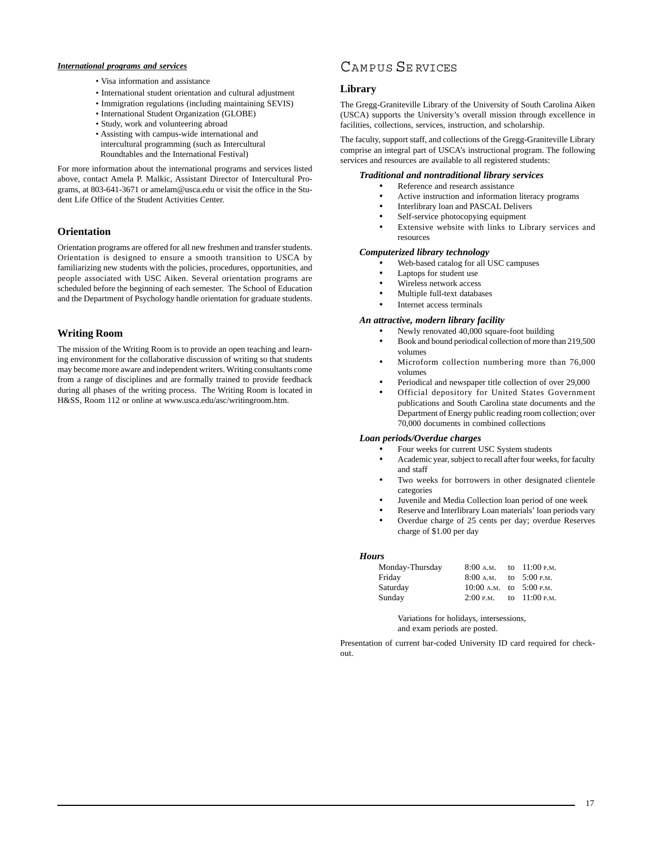#### *International programs and services*

- Visa information and assistance
- International student orientation and cultural adjustment
- Immigration regulations (including maintaining SEVIS)
- International Student Organization (GLOBE)
- Study, work and volunteering abroad
- Assisting with campus-wide international and intercultural programming (such as Intercultural Roundtables and the International Festival)

For more information about the international programs and services listed above, contact Amela P. Malkic, Assistant Director of Intercultural Programs, at 803-641-3671 or amelam@usca.edu or visit the office in the Student Life Office of the Student Activities Center.

# **Orientation**

Orientation programs are offered for all new freshmen and transfer students. Orientation is designed to ensure a smooth transition to USCA by familiarizing new students with the policies, procedures, opportunities, and people associated with USC Aiken. Several orientation programs are scheduled before the beginning of each semester. The School of Education and the Department of Psychology handle orientation for graduate students.

# **[Writing Room](http://web.usca.edu/asc/tutoring/writing-room.dot)**

The mission of the Writing Room is to provide an open teaching and learning environment for the collaborative discussion of writing so that students may become more aware and independent writers. Writing consultants come from a range of disciplines and are formally trained to provide feedback during all phases of the writing process. The Writing Room is located in H&SS, Room 112 or online at www.usca.edu/asc/writingroom.htm.

# CAMPUS SE RVICES

### **[Library](http://library.usca.edu/Main/HomePage)**

The Gregg-Graniteville Library of the University of South Carolina Aiken (USCA) supports the University's overall mission through excellence in facilities, collections, services, instruction, and scholarship.

The faculty, support staff, and collections of the Gregg-Graniteville Library comprise an integral part of USCA's instructional program. The following services and resources are available to all registered students:

### *Traditional and nontraditional library services*

- Reference and research assistance
- Active instruction and information literacy programs
- Interlibrary loan and PASCAL Delivers
- Self-service photocopying equipment
- Extensive website with links to Library services and resources

#### *Computerized library technology*

- Web-based catalog for all USC campuses
- Laptops for student use
- Wireless network access
- Multiple full-text databases
- Internet access terminals

#### *An attractive, modern library facility*

- Newly renovated 40,000 square-foot building
- Book and bound periodical collection of more than 219,500 volumes
- Microform collection numbering more than 76,000 volumes
- Periodical and newspaper title collection of over 29,000
- Official depository for United States Government publications and South Carolina state documents and the Department of Energy public reading room collection; over 70,000 documents in combined collections

# *Loan periods/Overdue charges*

- Four weeks for current USC System students
- Academic year, subject to recall after four weeks, for faculty and staff
- Two weeks for borrowers in other designated clientele categories
- Juvenile and Media Collection loan period of one week
- Reserve and Interlibrary Loan materials' loan periods vary
- Overdue charge of 25 cents per day; overdue Reserves charge of \$1.00 per day

#### *Hours*

| Monday-Thursday | 8:00 a.m.                   | to $11:00$ P.M. |
|-----------------|-----------------------------|-----------------|
| Friday          | 8:00 A.M. to $5:00$ P.M.    |                 |
| Saturday        | $10:00$ A.M. to $5:00$ P.M. |                 |
| Sunday          | 2:00 P.M. to $11:00$ P.M.   |                 |

Variations for holidays, intersessions, and exam periods are posted.

Presentation of current bar-coded University ID card required for checkout.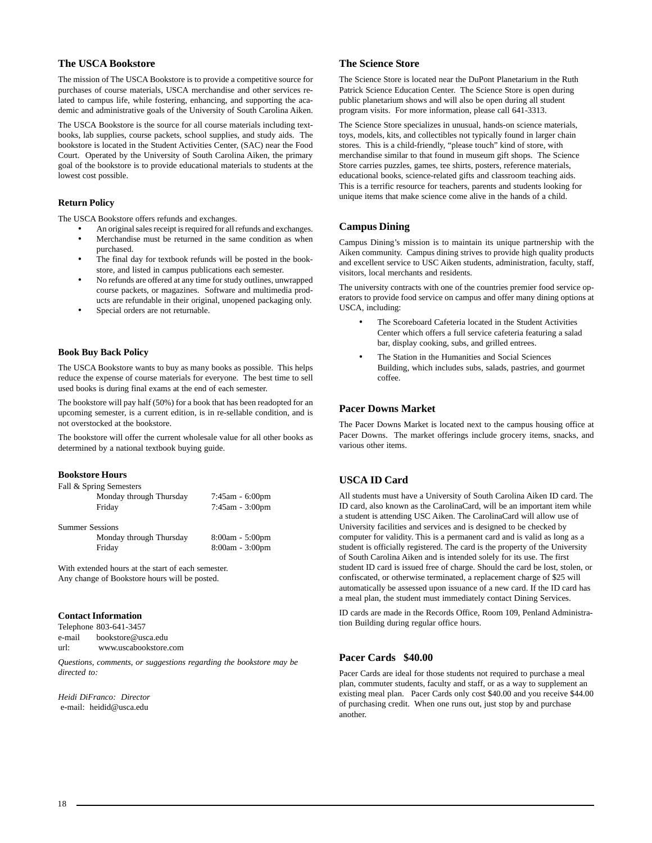# **[The USCA Bookstore](http://www.uscabookstore.com/)**

The mission of The USCA Bookstore is to provide a competitive source for purchases of course materials, USCA merchandise and other services related to campus life, while fostering, enhancing, and supporting the academic and administrative goals of the University of South Carolina Aiken.

The USCA Bookstore is the source for all course materials including textbooks, lab supplies, course packets, school supplies, and study aids. The bookstore is located in the Student Activities Center, (SAC) near the Food Court. Operated by the University of South Carolina Aiken, the primary goal of the bookstore is to provide educational materials to students at the lowest cost possible.

#### **Return Policy**

The USCA Bookstore offers refunds and exchanges.

- An original sales receipt is required for all refunds and exchanges.
- Merchandise must be returned in the same condition as when purchased.
- The final day for textbook refunds will be posted in the bookstore, and listed in campus publications each semester.
- No refunds are offered at any time for study outlines, unwrapped course packets, or magazines. Software and multimedia products are refundable in their original, unopened packaging only.
- Special orders are not returnable.

#### **Book Buy Back Policy**

The USCA Bookstore wants to buy as many books as possible. This helps reduce the expense of course materials for everyone. The best time to sell used books is during final exams at the end of each semester.

The bookstore will pay half (50%) for a book that has been readopted for an upcoming semester, is a current edition, is in re-sellable condition, and is not overstocked at the bookstore.

The bookstore will offer the current wholesale value for all other books as determined by a national textbook buying guide.

#### **Bookstore Hours**

|  |  |  | Fall & Spring Semesters |
|--|--|--|-------------------------|
|--|--|--|-------------------------|

| Monday through Thursday<br>Friday | $7:45$ am - 6:00pm<br>$7:45$ am - $3:00$ pm |
|-----------------------------------|---------------------------------------------|
| <b>Summer Sessions</b>            |                                             |
| Monday through Thursday           | $8:00am - 5:00pm$                           |
| Friday                            | $8:00am - 3:00pm$                           |

With extended hours at the start of each semester. Any change of Bookstore hours will be posted.

## **Contact Information**

Telephone 803-641-3457 e-mail bookstore@usca.edu url: www.uscabookstore.com

*Questions, comments, or suggestions regarding the bookstore may be directed to:*

*Heidi DiFranco: Director* e-mail: heidid@usca.edu

#### **[The Science Store](http://www.usca.edu/sciencestore/index2.html)**

The Science Store is located near the DuPont Planetarium in the Ruth Patrick Science Education Center. The Science Store is open during public planetarium shows and will also be open during all student program visits. For more information, please call 641-3313.

The Science Store specializes in unusual, hands-on science materials, toys, models, kits, and collectibles not typically found in larger chain stores. This is a child-friendly, "please touch" kind of store, with merchandise similar to that found in museum gift shops. The Science Store carries puzzles, games, tee shirts, posters, reference materials, educational books, science-related gifts and classroom teaching aids. This is a terrific resource for teachers, parents and students looking for unique items that make science come alive in the hands of a child.

#### **[Campus Dining](http://www.campusdish.com/en-US/CSSE/USCAiken)**

Campus Dining's mission is to maintain its unique partnership with the Aiken community. Campus dining strives to provide high quality products and excellent service to USC Aiken students, administration, faculty, staff, visitors, local merchants and residents.

The university contracts with one of the countries premier food service operators to provide food service on campus and offer many dining options at USCA, including:

- The Scoreboard Cafeteria located in the Student Activities Center which offers a full service cafeteria featuring a salad bar, display cooking, subs, and grilled entrees.
- The Station in the Humanities and Social Sciences Building, which includes subs, salads, pastries, and gourmet coffee.

#### **Pacer Downs Market**

The Pacer Downs Market is located next to the campus housing office at Pacer Downs. The market offerings include grocery items, snacks, and various other items.

# **USCA ID Card**

All students must have a University of South Carolina Aiken ID card. The ID card, also known as the CarolinaCard, will be an important item while a student is attending USC Aiken. The CarolinaCard will allow use of University facilities and services and is designed to be checked by computer for validity. This is a permanent card and is valid as long as a student is officially registered. The card is the property of the University of South Carolina Aiken and is intended solely for its use. The first student ID card is issued free of charge. Should the card be lost, stolen, or confiscated, or otherwise terminated, a replacement charge of \$25 will automatically be assessed upon issuance of a new card. If the ID card has a meal plan, the student must immediately contact Dining Services.

ID cards are made in the Records Office, Room 109, Penland Administration Building during regular office hours.

#### **Pacer Cards \$40.00**

Pacer Cards are ideal for those students not required to purchase a meal plan, commuter students, faculty and staff, or as a way to supplement an existing meal plan. Pacer Cards only cost \$40.00 and you receive \$44.00 of purchasing credit. When one runs out, just stop by and purchase another.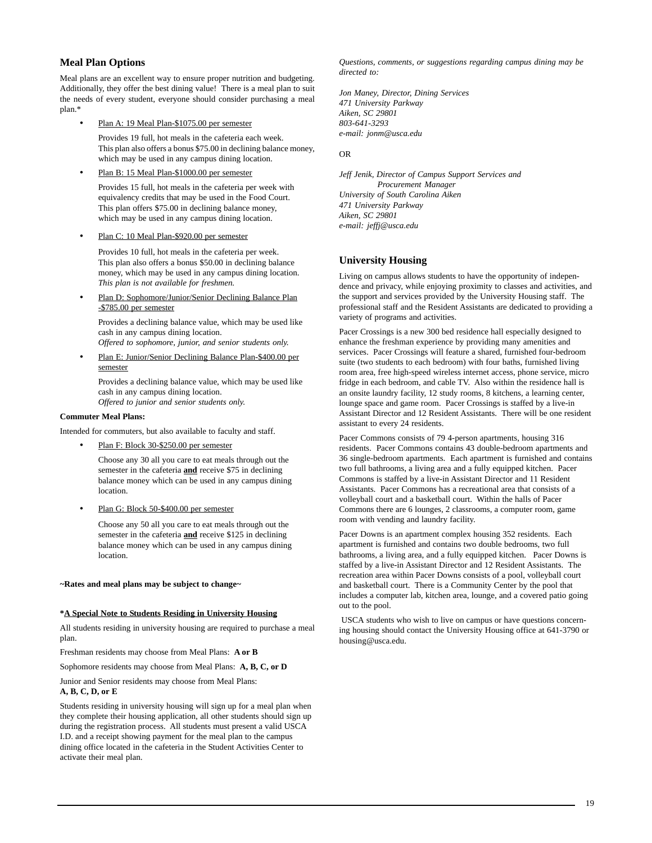#### **Meal Plan Options**

Meal plans are an excellent way to ensure proper nutrition and budgeting. Additionally, they offer the best dining value! There is a meal plan to suit the needs of every student, everyone should consider purchasing a meal plan.\*

Plan A: 19 Meal Plan-\$1075.00 per semester

Provides 19 full, hot meals in the cafeteria each week. This plan also offers a bonus \$75.00 in declining balance money, which may be used in any campus dining location.

Plan B: 15 Meal Plan-\$1000.00 per semester

Provides 15 full, hot meals in the cafeteria per week with equivalency credits that may be used in the Food Court. This plan offers \$75.00 in declining balance money, which may be used in any campus dining location.

• Plan C: 10 Meal Plan-\$920.00 per semester

Provides 10 full, hot meals in the cafeteria per week. This plan also offers a bonus \$50.00 in declining balance money, which may be used in any campus dining location. *This plan is not available for freshmen.*

Plan D: Sophomore/Junior/Senior Declining Balance Plan -\$785.00 per semester

Provides a declining balance value, which may be used like cash in any campus dining location.

*Offered to sophomore, junior, and senior students only.*

• Plan E: Junior/Senior Declining Balance Plan-\$400.00 per semester

Provides a declining balance value, which may be used like cash in any campus dining location. *Offered to junior and senior students only.*

### **Commuter Meal Plans:**

Intended for commuters, but also available to faculty and staff.

Plan F: Block 30-\$250.00 per semester

Choose any 30 all you care to eat meals through out the semester in the cafeteria **and** receive \$75 in declining balance money which can be used in any campus dining location.

Plan G: Block 50-\$400.00 per semester

Choose any 50 all you care to eat meals through out the semester in the cafeteria **and** receive \$125 in declining balance money which can be used in any campus dining location.

**~Rates and meal plans may be subject to change~**

#### **\*A Special Note to Students Residing in University Housing**

All students residing in university housing are required to purchase a meal plan.

Freshman residents may choose from Meal Plans: **A or B**

Sophomore residents may choose from Meal Plans: **A, B, C, or D**

Junior and Senior residents may choose from Meal Plans:

#### **A, B, C, D, or E**

Students residing in university housing will sign up for a meal plan when they complete their housing application, all other students should sign up during the registration process. All students must present a valid USCA I.D. and a receipt showing payment for the meal plan to the campus dining office located in the cafeteria in the Student Activities Center to activate their meal plan.

*Questions, comments, or suggestions regarding campus dining may be directed to:*

*Jon Maney, Director, Dining Services 471 University Parkway Aiken, SC 29801 803-641-3293 e-mail: jonm@usca.edu*

#### OR

*Jeff Jenik, Director of Campus Support Services and Procurement Manager University of South Carolina Aiken 471 University Parkway Aiken, SC 29801 e-mail: jeffj@usca.edu*

### **[University Housing](http://web.usca.edu/housing/)**

Living on campus allows students to have the opportunity of independence and privacy, while enjoying proximity to classes and activities, and the support and services provided by the University Housing staff. The professional staff and the Resident Assistants are dedicated to providing a variety of programs and activities.

Pacer Crossings is a new 300 bed residence hall especially designed to enhance the freshman experience by providing many amenities and services. Pacer Crossings will feature a shared, furnished four-bedroom suite (two students to each bedroom) with four baths, furnished living room area, free high-speed wireless internet access, phone service, micro fridge in each bedroom, and cable TV. Also within the residence hall is an onsite laundry facility, 12 study rooms, 8 kitchens, a learning center, lounge space and game room. Pacer Crossings is staffed by a live-in Assistant Director and 12 Resident Assistants. There will be one resident assistant to every 24 residents.

Pacer Commons consists of 79 4-person apartments, housing 316 residents. Pacer Commons contains 43 double-bedroom apartments and 36 single-bedroom apartments. Each apartment is furnished and contains two full bathrooms, a living area and a fully equipped kitchen. Pacer Commons is staffed by a live-in Assistant Director and 11 Resident Assistants. Pacer Commons has a recreational area that consists of a volleyball court and a basketball court. Within the halls of Pacer Commons there are 6 lounges, 2 classrooms, a computer room, game room with vending and laundry facility.

Pacer Downs is an apartment complex housing 352 residents. Each apartment is furnished and contains two double bedrooms, two full bathrooms, a living area, and a fully equipped kitchen. Pacer Downs is staffed by a live-in Assistant Director and 12 Resident Assistants. The recreation area within Pacer Downs consists of a pool, volleyball court and basketball court. There is a Community Center by the pool that includes a computer lab, kitchen area, lounge, and a covered patio going out to the pool.

 USCA students who wish to live on campus or have questions concerning housing should contact the University Housing office at 641-3790 or housing@usca.edu.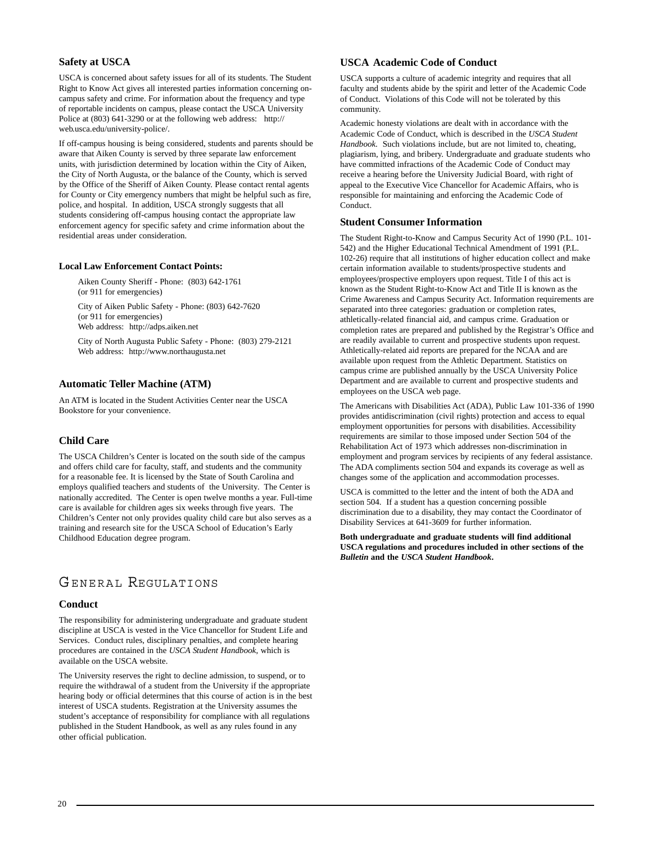# **[Safety at USCA](http://web.usca.edu/university-police/)**

USCA is concerned about safety issues for all of its students. The Student Right to Know Act gives all interested parties information concerning oncampus safety and crime. For information about the frequency and type of reportable incidents on campus, please contact the USCA University Police at (803) 641-3290 or at the following web address: http:// web.usca.edu/university-police/.

If off-campus housing is being considered, students and parents should be aware that Aiken County is served by three separate law enforcement units, with jurisdiction determined by location within the City of Aiken, the City of North Augusta, or the balance of the County, which is served by the Office of the Sheriff of Aiken County. Please contact rental agents for County or City emergency numbers that might be helpful such as fire, police, and hospital. In addition, USCA strongly suggests that all students considering off-campus housing contact the appropriate law enforcement agency for specific safety and crime information about the residential areas under consideration.

#### **Local Law Enforcement Contact Points:**

Aiken County Sheriff - Phone: (803) 642-1761 (or 911 for emergencies)

City of Aiken Public Safety - Phone: (803) 642-7620 (or 911 for emergencies) Web address: http://adps.aiken.net

City of North Augusta Public Safety - Phone: (803) 279-2121 Web address: http://www.northaugusta.net

#### **Automatic Teller Machine (ATM)**

An ATM is located in the Student Activities Center near the USCA Bookstore for your convenience.

#### **[Child Care](http://www.usca.edu/childcenter/)**

The USCA Children's Center is located on the south side of the campus and offers child care for faculty, staff, and students and the community for a reasonable fee. It is licensed by the State of South Carolina and employs qualified teachers and students of the University. The Center is nationally accredited. The Center is open twelve months a year. Full-time care is available for children ages six weeks through five years. The Children's Center not only provides quality child care but also serves as a training and research site for the USCA School of Education's Early Childhood Education degree program.

# GENERAL REGULATIONS

#### **Conduct**

The responsibility for administering undergraduate and graduate student discipline at USCA is vested in the Vice Chancellor for Student Life and Services. Conduct rules, disciplinary penalties, and complete hearing procedures are contained in the *USCA Student Handbook*, which is available on the USCA website.

The University reserves the right to decline admission, to suspend, or to require the withdrawal of a student from the University if the appropriate hearing body or official determines that this course of action is in the best interest of USCA students. Registration at the University assumes the student's acceptance of responsibility for compliance with all regulations published in the Student Handbook, as well as any rules found in any other official publication.

#### **USCA Academic Code of Conduct**

USCA supports a culture of academic integrity and requires that all faculty and students abide by the spirit and letter of the Academic Code of Conduct. Violations of this Code will not be tolerated by this community.

Academic honesty violations are dealt with in accordance with the Academic Code of Conduct, which is described in the *USCA Student Handbook*. Such violations include, but are not limited to, cheating, plagiarism, lying, and bribery. Undergraduate and graduate students who have committed infractions of the Academic Code of Conduct may receive a hearing before the University Judicial Board, with right of appeal to the Executive Vice Chancellor for Academic Affairs, who is responsible for maintaining and enforcing the Academic Code of Conduct.

#### **Student Consumer Information**

The Student Right-to-Know and Campus Security Act of 1990 (P.L. 101- 542) and the Higher Educational Technical Amendment of 1991 (P.L. 102-26) require that all institutions of higher education collect and make certain information available to students/prospective students and employees/prospective employers upon request. Title I of this act is known as the Student Right-to-Know Act and Title II is known as the Crime Awareness and Campus Security Act. Information requirements are separated into three categories: graduation or completion rates, athletically-related financial aid, and campus crime. Graduation or completion rates are prepared and published by the Registrar's Office and are readily available to current and prospective students upon request. Athletically-related aid reports are prepared for the NCAA and are available upon request from the Athletic Department. Statistics on campus crime are published annually by the USCA University Police Department and are available to current and prospective students and employees on the USCA web page.

The Americans with Disabilities Act (ADA), Public Law 101-336 of 1990 provides antidiscrimination (civil rights) protection and access to equal employment opportunities for persons with disabilities. Accessibility requirements are similar to those imposed under Section 504 of the Rehabilitation Act of 1973 which addresses non-discrimination in employment and program services by recipients of any federal assistance. The ADA compliments section 504 and expands its coverage as well as changes some of the application and accommodation processes.

USCA is committed to the letter and the intent of both the ADA and section 504. If a student has a question concerning possible discrimination due to a disability, they may contact the Coordinator of Disability Services at 641-3609 for further information.

**Both undergraduate and graduate students will find additional USCA regulations and procedures included in other sections of the** *Bulletin* **and the** *USCA Student Handbook***.**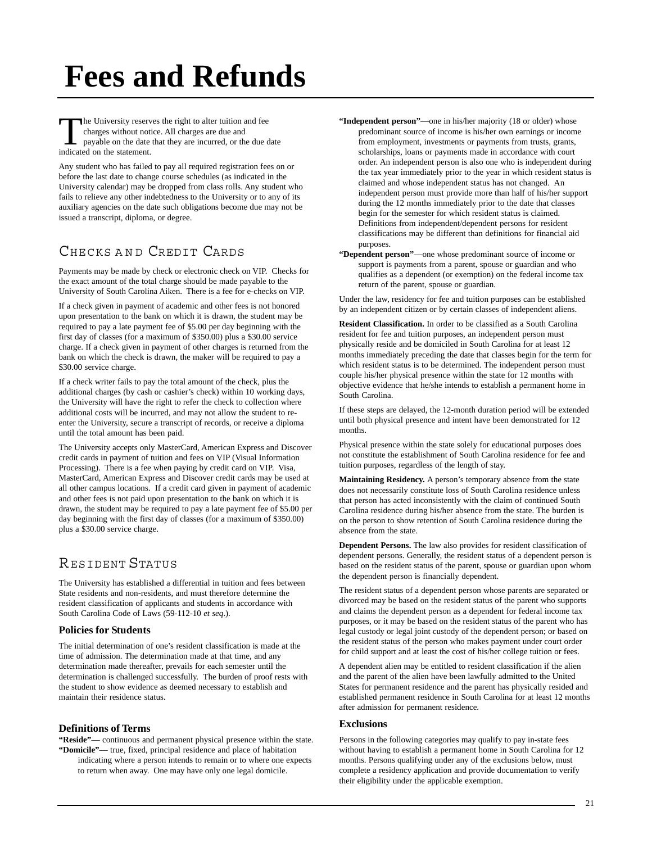# **Fees and Refunds**

The University reserves the right to alter tuition and fee charges without notice. All charges are due and payable on the date that they are incurred, or the due date indicated on the statement.

Any student who has failed to pay all required registration fees on or before the last date to change course schedules (as indicated in the University calendar) may be dropped from class rolls. Any student who fails to relieve any other indebtedness to the University or to any of its auxiliary agencies on the date such obligations become due may not be issued a transcript, diploma, or degree.

# CHECKS AND CREDIT CARDS

Payments may be made by check or electronic check on VIP. Checks for the exact amount of the total charge should be made payable to the University of South Carolina Aiken. There is a fee for e-checks on VIP.

If a check given in payment of academic and other fees is not honored upon presentation to the bank on which it is drawn, the student may be required to pay a late payment fee of \$5.00 per day beginning with the first day of classes (for a maximum of \$350.00) plus a \$30.00 service charge. If a check given in payment of other charges is returned from the bank on which the check is drawn, the maker will be required to pay a \$30.00 service charge.

If a check writer fails to pay the total amount of the check, plus the additional charges (by cash or cashier's check) within 10 working days, the University will have the right to refer the check to collection where additional costs will be incurred, and may not allow the student to reenter the University, secure a transcript of records, or receive a diploma until the total amount has been paid.

The University accepts only MasterCard, American Express and Discover credit cards in payment of tuition and fees on VIP (Visual Information Processing). There is a fee when paying by credit card on VIP. Visa, MasterCard, American Express and Discover credit cards may be used at all other campus locations. If a credit card given in payment of academic and other fees is not paid upon presentation to the bank on which it is drawn, the student may be required to pay a late payment fee of \$5.00 per day beginning with the first day of classes (for a maximum of \$350.00) plus a \$30.00 service charge.

# RESIDENT STATUS

The University has established a differential in tuition and fees between State residents and non-residents, and must therefore determine the resident classification of applicants and students in accordance with South Carolina Code of Laws (59-112-10 *et seq*.).

#### **Policies for Students**

The initial determination of one's resident classification is made at the time of admission. The determination made at that time, and any determination made thereafter, prevails for each semester until the determination is challenged successfully. The burden of proof rests with the student to show evidence as deemed necessary to establish and maintain their residence status.

# **Definitions of Terms**

**"Reside"**— continuous and permanent physical presence within the state. **"Domicile"**— true, fixed, principal residence and place of habitation indicating where a person intends to remain or to where one expects to return when away. One may have only one legal domicile.

- **"Independent person"**—one in his/her majority (18 or older) whose predominant source of income is his/her own earnings or income from employment, investments or payments from trusts, grants, scholarships, loans or payments made in accordance with court order. An independent person is also one who is independent during the tax year immediately prior to the year in which resident status is claimed and whose independent status has not changed. An independent person must provide more than half of his/her support during the 12 months immediately prior to the date that classes begin for the semester for which resident status is claimed. Definitions from independent/dependent persons for resident classifications may be different than definitions for financial aid purposes.
- **"Dependent person"**—one whose predominant source of income or support is payments from a parent, spouse or guardian and who qualifies as a dependent (or exemption) on the federal income tax return of the parent, spouse or guardian.

Under the law, residency for fee and tuition purposes can be established by an independent citizen or by certain classes of independent aliens.

**Resident Classification.** In order to be classified as a South Carolina resident for fee and tuition purposes, an independent person must physically reside and be domiciled in South Carolina for at least 12 months immediately preceding the date that classes begin for the term for which resident status is to be determined. The independent person must couple his/her physical presence within the state for 12 months with objective evidence that he/she intends to establish a permanent home in South Carolina.

If these steps are delayed, the 12-month duration period will be extended until both physical presence and intent have been demonstrated for 12 months.

Physical presence within the state solely for educational purposes does not constitute the establishment of South Carolina residence for fee and tuition purposes, regardless of the length of stay.

**Maintaining Residency.** A person's temporary absence from the state does not necessarily constitute loss of South Carolina residence unless that person has acted inconsistently with the claim of continued South Carolina residence during his/her absence from the state. The burden is on the person to show retention of South Carolina residence during the absence from the state.

**Dependent Persons.** The law also provides for resident classification of dependent persons. Generally, the resident status of a dependent person is based on the resident status of the parent, spouse or guardian upon whom the dependent person is financially dependent.

The resident status of a dependent person whose parents are separated or divorced may be based on the resident status of the parent who supports and claims the dependent person as a dependent for federal income tax purposes, or it may be based on the resident status of the parent who has legal custody or legal joint custody of the dependent person; or based on the resident status of the person who makes payment under court order for child support and at least the cost of his/her college tuition or fees.

A dependent alien may be entitled to resident classification if the alien and the parent of the alien have been lawfully admitted to the United States for permanent residence and the parent has physically resided and established permanent residence in South Carolina for at least 12 months after admission for permanent residence.

#### **Exclusions**

Persons in the following categories may qualify to pay in-state fees without having to establish a permanent home in South Carolina for 12 months. Persons qualifying under any of the exclusions below, must complete a residency application and provide documentation to verify their eligibility under the applicable exemption.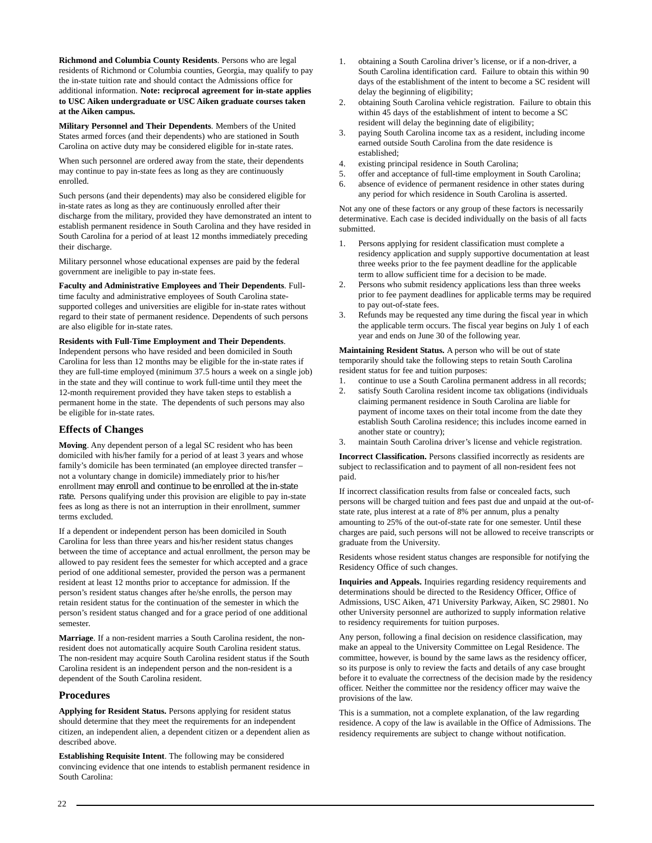**Richmond and Columbia County Residents**. Persons who are legal residents of Richmond or Columbia counties, Georgia, may qualify to pay the in-state tuition rate and should contact the Admissions office for additional information. **Note: reciprocal agreement for in-state applies to USC Aiken undergraduate or USC Aiken graduate courses taken at the Aiken campus.**

**Military Personnel and Their Dependents**. Members of the United States armed forces (and their dependents) who are stationed in South Carolina on active duty may be considered eligible for in-state rates.

When such personnel are ordered away from the state, their dependents may continue to pay in-state fees as long as they are continuously enrolled.

Such persons (and their dependents) may also be considered eligible for in-state rates as long as they are continuously enrolled after their discharge from the military, provided they have demonstrated an intent to establish permanent residence in South Carolina and they have resided in South Carolina for a period of at least 12 months immediately preceding their discharge.

Military personnel whose educational expenses are paid by the federal government are ineligible to pay in-state fees.

**Faculty and Administrative Employees and Their Dependents**. Fulltime faculty and administrative employees of South Carolina statesupported colleges and universities are eligible for in-state rates without regard to their state of permanent residence. Dependents of such persons are also eligible for in-state rates.

**Residents with Full-Time Employment and Their Dependents**. Independent persons who have resided and been domiciled in South Carolina for less than 12 months may be eligible for the in-state rates if they are full-time employed (minimum 37.5 hours a week on a single job) in the state and they will continue to work full-time until they meet the 12-month requirement provided they have taken steps to establish a permanent home in the state. The dependents of such persons may also be eligible for in-state rates.

# **Effects of Changes**

**Moving**. Any dependent person of a legal SC resident who has been domiciled with his/her family for a period of at least 3 years and whose family's domicile has been terminated (an employee directed transfer – not a voluntary change in domicile) immediately prior to his/her enrollment may enroll and continue to be enrolled at the in-state rate. Persons qualifying under this provision are eligible to pay in-state fees as long as there is not an interruption in their enrollment, summer terms excluded.

If a dependent or independent person has been domiciled in South Carolina for less than three years and his/her resident status changes between the time of acceptance and actual enrollment, the person may be allowed to pay resident fees the semester for which accepted and a grace period of one additional semester, provided the person was a permanent resident at least 12 months prior to acceptance for admission. If the person's resident status changes after he/she enrolls, the person may retain resident status for the continuation of the semester in which the person's resident status changed and for a grace period of one additional semester.

**Marriage**. If a non-resident marries a South Carolina resident, the nonresident does not automatically acquire South Carolina resident status. The non-resident may acquire South Carolina resident status if the South Carolina resident is an independent person and the non-resident is a dependent of the South Carolina resident.

# **Procedures**

**Applying for Resident Status.** Persons applying for resident status should determine that they meet the requirements for an independent citizen, an independent alien, a dependent citizen or a dependent alien as described above.

**Establishing Requisite Intent**. The following may be considered convincing evidence that one intends to establish permanent residence in South Carolina:

- 1. obtaining a South Carolina driver's license, or if a non-driver, a South Carolina identification card. Failure to obtain this within 90 days of the establishment of the intent to become a SC resident will delay the beginning of eligibility;
- 2. obtaining South Carolina vehicle registration. Failure to obtain this within 45 days of the establishment of intent to become a SC resident will delay the beginning date of eligibility;
- 3. paying South Carolina income tax as a resident, including income earned outside South Carolina from the date residence is established;
- 4. existing principal residence in South Carolina;
- 5. offer and acceptance of full-time employment in South Carolina;
- 6. absence of evidence of permanent residence in other states during any period for which residence in South Carolina is asserted.

Not any one of these factors or any group of these factors is necessarily determinative. Each case is decided individually on the basis of all facts submitted.

- 1. Persons applying for resident classification must complete a residency application and supply supportive documentation at least three weeks prior to the fee payment deadline for the applicable term to allow sufficient time for a decision to be made.
- 2. Persons who submit residency applications less than three weeks prior to fee payment deadlines for applicable terms may be required to pay out-of-state fees.
- 3. Refunds may be requested any time during the fiscal year in which the applicable term occurs. The fiscal year begins on July 1 of each year and ends on June 30 of the following year.

**Maintaining Resident Status.** A person who will be out of state temporarily should take the following steps to retain South Carolina resident status for fee and tuition purposes:

- 1. continue to use a South Carolina permanent address in all records;<br>2. satisfy South Carolina resident income tax obligations (individuals)
- satisfy South Carolina resident income tax obligations (individuals claiming permanent residence in South Carolina are liable for payment of income taxes on their total income from the date they establish South Carolina residence; this includes income earned in another state or country);
- 3. maintain South Carolina driver's license and vehicle registration.

**Incorrect Classification.** Persons classified incorrectly as residents are subject to reclassification and to payment of all non-resident fees not paid.

If incorrect classification results from false or concealed facts, such persons will be charged tuition and fees past due and unpaid at the out-ofstate rate, plus interest at a rate of 8% per annum, plus a penalty amounting to 25% of the out-of-state rate for one semester. Until these charges are paid, such persons will not be allowed to receive transcripts or graduate from the University.

Residents whose resident status changes are responsible for notifying the Residency Office of such changes.

**Inquiries and Appeals.** Inquiries regarding residency requirements and determinations should be directed to the Residency Officer, Office of Admissions, USC Aiken, 471 University Parkway, Aiken, SC 29801. No other University personnel are authorized to supply information relative to residency requirements for tuition purposes.

Any person, following a final decision on residence classification, may make an appeal to the University Committee on Legal Residence. The committee, however, is bound by the same laws as the residency officer, so its purpose is only to review the facts and details of any case brought before it to evaluate the correctness of the decision made by the residency officer. Neither the committee nor the residency officer may waive the provisions of the law.

This is a summation, not a complete explanation, of the law regarding residence. A copy of the law is available in the Office of Admissions. The residency requirements are subject to change without notification.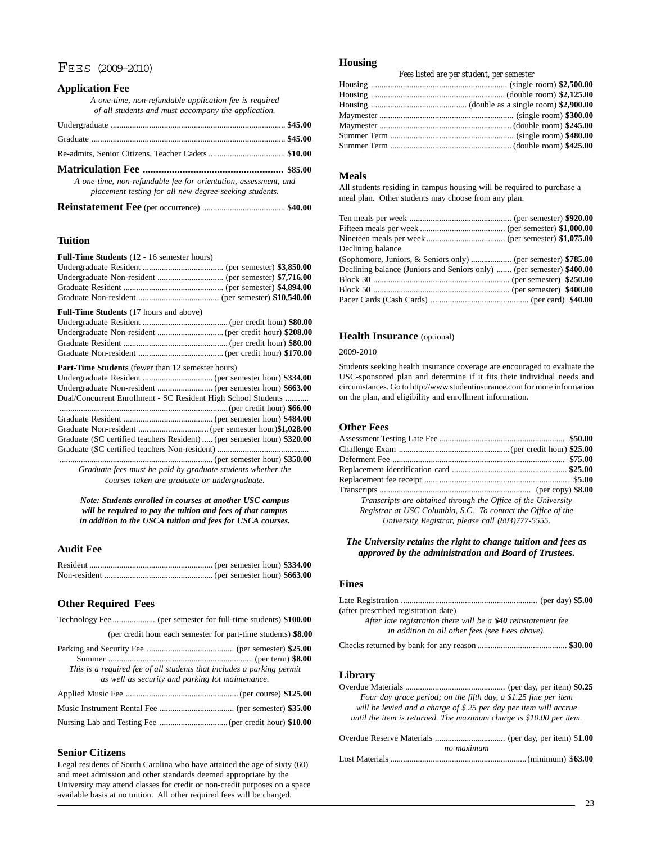# FEES (2009-2010)

# **Application Fee**

| A one-time, non-refundable application fee is required<br>of all students and must accompany the application.                                                                                                                     |  |
|-----------------------------------------------------------------------------------------------------------------------------------------------------------------------------------------------------------------------------------|--|
|                                                                                                                                                                                                                                   |  |
|                                                                                                                                                                                                                                   |  |
|                                                                                                                                                                                                                                   |  |
|                                                                                                                                                                                                                                   |  |
| $\alpha$ is the contract of the contract of the contract of the contract of the contract of the contract of the contract of the contract of the contract of the contract of the contract of the contract of the contract of the c |  |

*A one-time, non-refundable fee for orientation, assessment, and placement testing for all new degree-seeking students.*

|--|--|

## **Tuition**

| Full-Time Students (12 - 16 semester hours)                             |  |
|-------------------------------------------------------------------------|--|
|                                                                         |  |
|                                                                         |  |
|                                                                         |  |
|                                                                         |  |
| <b>Full-Time Students</b> (17 hours and above)                          |  |
|                                                                         |  |
|                                                                         |  |
|                                                                         |  |
|                                                                         |  |
| <b>Part-Time Students</b> (fewer than 12 semester hours)                |  |
|                                                                         |  |
|                                                                         |  |
| Dual/Concurrent Enrollment - SC Resident High School Students           |  |
|                                                                         |  |
|                                                                         |  |
|                                                                         |  |
| Graduate (SC certified teachers Resident)  (per semester hour) \$320.00 |  |
|                                                                         |  |
|                                                                         |  |

........................................................................ (per semester hour) **\$350.00** *Graduate fees must be paid by graduate students whether the courses taken are graduate or undergraduate.*

*Note: Students enrolled in courses at another USC campus will be required to pay the tuition and fees of that campus in addition to the USCA tuition and fees for USCA courses.*

### **Audit Fee**

## **Other Required Fees**

|  |  |  | (per credit hour each semester for part-time students) \$8.00 |  |  |
|--|--|--|---------------------------------------------------------------|--|--|

| This is a required fee of all students that includes a parking permit<br>as well as security and parking lot maintenance. |  |
|---------------------------------------------------------------------------------------------------------------------------|--|
|                                                                                                                           |  |
|                                                                                                                           |  |
|                                                                                                                           |  |

#### **Senior Citizens**

Legal residents of South Carolina who have attained the age of sixty (60) and meet admission and other standards deemed appropriate by the University may attend classes for credit or non-credit purposes on a space available basis at no tuition. All other required fees will be charged.

#### **Housing**

| Fees listed are per student, per semester |  |  |  |
|-------------------------------------------|--|--|--|
|                                           |  |  |  |
|                                           |  |  |  |
|                                           |  |  |  |
|                                           |  |  |  |
|                                           |  |  |  |
|                                           |  |  |  |
|                                           |  |  |  |
|                                           |  |  |  |

#### **Meals**

All students residing in campus housing will be required to purchase a meal plan. Other students may choose from any plan.

| Declining balance (Juniors and Seniors only)  (per semester) \$400.00 |
|-----------------------------------------------------------------------|
|                                                                       |
|                                                                       |
|                                                                       |
|                                                                       |

#### **Health Insurance** (optional)

# 2009-2010

Students seeking health insurance coverage are encouraged to evaluate the USC-sponsored plan and determine if it fits their individual needs and circumstances. Go to http://www.studentinsurance.com for more information on the plan, and eligibility and enrollment information.

# **Other Fees**

| Transcripts are obtained through the Office of the University |  |
|---------------------------------------------------------------|--|
| Registrar at USC Columbia, S.C. To contact the Office of the  |  |
| University Registrar, please call (803)777-5555.              |  |
|                                                               |  |

#### *The University retains the right to change tuition and fees as approved by the administration and Board of Trustees.*

#### **Fines**

| (after prescribed registration date)                           |  |
|----------------------------------------------------------------|--|
| After late registration there will be a \$40 reinstatement fee |  |
| in addition to all other fees (see Fees above).                |  |
|                                                                |  |

# **Library**

| Four day grace period; on the fifth day, a \$1.25 fine per item     |  |
|---------------------------------------------------------------------|--|
| will be levied and a charge of \$.25 per day per item will accrue   |  |
| until the item is returned. The maximum charge is \$10.00 per item. |  |
|                                                                     |  |

| no maximum |  |
|------------|--|
|            |  |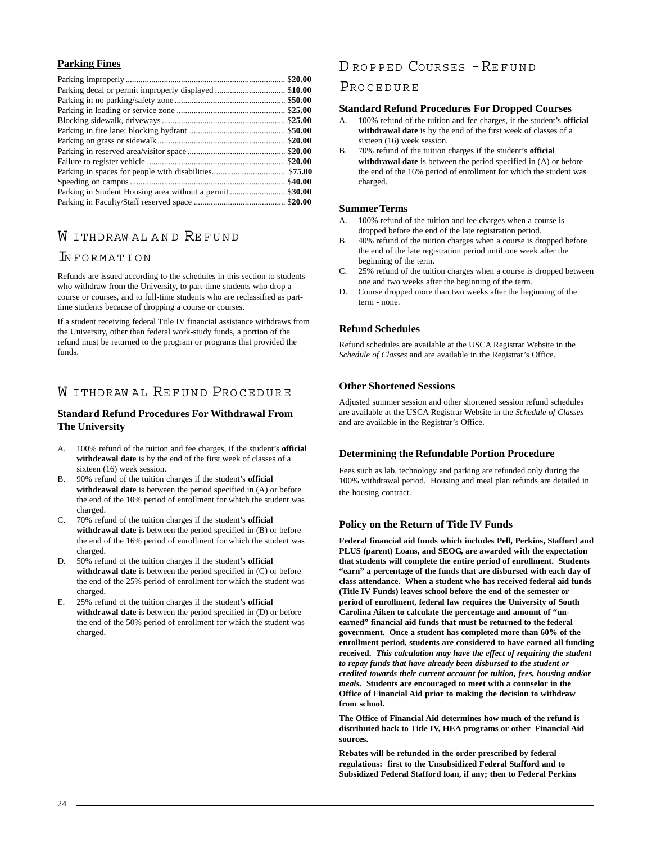# **Parking Fines**

|                                                          | \$20.00 |
|----------------------------------------------------------|---------|
|                                                          |         |
|                                                          |         |
|                                                          | \$25.00 |
|                                                          |         |
|                                                          |         |
|                                                          | \$20.00 |
|                                                          |         |
|                                                          |         |
|                                                          | \$75.00 |
|                                                          | \$40.00 |
| Parking in Student Housing area without a permit \$30.00 |         |
|                                                          |         |

# W ITHDRAW AL AND REFUND

# INFORMATION

Refunds are issued according to the schedules in this section to students who withdraw from the University, to part-time students who drop a course or courses, and to full-time students who are reclassified as parttime students because of dropping a course or courses.

If a student receiving federal Title IV financial assistance withdraws from the University, other than federal work-study funds, a portion of the refund must be returned to the program or programs that provided the funds.

# W ITHDRAWAL REFUND PROCEDURE

# **Standard Refund Procedures For Withdrawal From The University**

- A. 100% refund of the tuition and fee charges, if the student's **official withdrawal date** is by the end of the first week of classes of a sixteen (16) week session.
- B. 90% refund of the tuition charges if the student's **official withdrawal date** is between the period specified in (A) or before the end of the 10% period of enrollment for which the student was charged.
- C. 70% refund of the tuition charges if the student's **official withdrawal date** is between the period specified in (B) or before the end of the 16% period of enrollment for which the student was charged.
- D. 50% refund of the tuition charges if the student's **official withdrawal date** is between the period specified in (C) or before the end of the 25% period of enrollment for which the student was charged.
- E. 25% refund of the tuition charges if the student's **official withdrawal date** is between the period specified in (D) or before the end of the 50% period of enrollment for which the student was charged.

# D ROPPED COURSES -REFUND

# PROCEDURE

## **Standard Refund Procedures For Dropped Courses**

- A. 100% refund of the tuition and fee charges, if the student's **official withdrawal date** is by the end of the first week of classes of a sixteen (16) week session.
- B. 70% refund of the tuition charges if the student's **official withdrawal date** is between the period specified in (A) or before the end of the 16% period of enrollment for which the student was charged.

# **Summer Terms**

- A. 100% refund of the tuition and fee charges when a course is dropped before the end of the late registration period.
- B. 40% refund of the tuition charges when a course is dropped before the end of the late registration period until one week after the beginning of the term.
- C. 25% refund of the tuition charges when a course is dropped between one and two weeks after the beginning of the term.
- D. Course dropped more than two weeks after the beginning of the term - none.

# **Refund Schedules**

Refund schedules are available at the USCA Registrar Website in the *Schedule of Classes* and are available in the Registrar's Office.

# **Other Shortened Sessions**

Adjusted summer session and other shortened session refund schedules are available at the USCA Registrar Website in the *Schedule of Classes* and are available in the Registrar's Office.

# **Determining the Refundable Portion Procedure**

Fees such as lab, technology and parking are refunded only during the 100% withdrawal period. Housing and meal plan refunds are detailed in the housing contract.

# **Policy on the Return of Title IV Funds**

**Federal financial aid funds which includes Pell, Perkins, Stafford and PLUS (parent) Loans, and SEOG, are awarded with the expectation that students will complete the entire period of enrollment. Students "earn" a percentage of the funds that are disbursed with each day of class attendance. When a student who has received federal aid funds (Title IV Funds) leaves school before the end of the semester or period of enrollment, federal law requires the University of South Carolina Aiken to calculate the percentage and amount of "unearned" financial aid funds that must be returned to the federal government. Once a student has completed more than 60% of the enrollment period, students are considered to have earned all funding received.** *This calculation may have the effect of requiring the student to repay funds that have already been disbursed to the student or credited towards their current account for tuition, fees, housing and/or meals.* **Students are encouraged to meet with a counselor in the Office of Financial Aid prior to making the decision to withdraw from school.**

**The Office of Financial Aid determines how much of the refund is distributed back to Title IV, HEA programs or other Financial Aid sources.**

**Rebates will be refunded in the order prescribed by federal regulations: first to the Unsubsidized Federal Stafford and to Subsidized Federal Stafford loan, if any; then to Federal Perkins**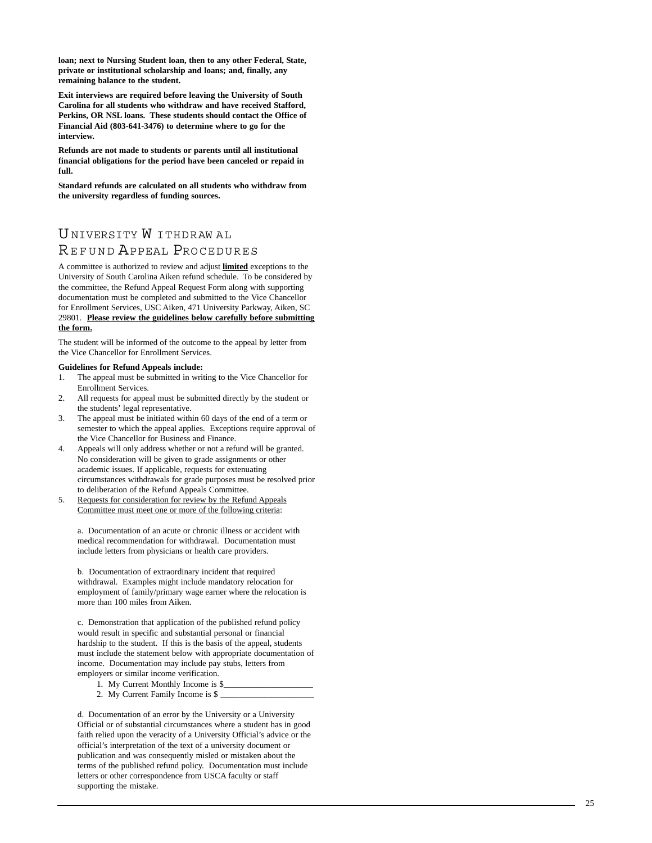**loan; next to Nursing Student loan, then to any other Federal, State, private or institutional scholarship and loans; and, finally, any remaining balance to the student.**

**Exit interviews are required before leaving the University of South Carolina for all students who withdraw and have received Stafford, Perkins, OR NSL loans. These students should contact the Office of Financial Aid (803-641-3476) to determine where to go for the interview.**

**Refunds are not made to students or parents until all institutional financial obligations for the period have been canceled or repaid in full.**

**Standard refunds are calculated on all students who withdraw from the university regardless of funding sources.**

# UNIVERSITY W ITHDRAW AL<br>REFUND APPEAL PROCEDURES

A committee is authorized to review and adjust **limited** exceptions to the University of South Carolina Aiken refund schedule. To be considered by the committee, the Refund Appeal Request Form along with supporting documentation must be completed and submitted to the Vice Chancellor for Enrollment Services, USC Aiken, 471 University Parkway, Aiken, SC 29801. **Please review the guidelines below carefully before submitting the form.**

The student will be informed of the outcome to the appeal by letter from the Vice Chancellor for Enrollment Services.

#### **Guidelines for Refund Appeals include:**

- 1. The appeal must be submitted in writing to the Vice Chancellor for Enrollment Services.
- 2. All requests for appeal must be submitted directly by the student or the students' legal representative.
- 3. The appeal must be initiated within 60 days of the end of a term or semester to which the appeal applies. Exceptions require approval of the Vice Chancellor for Business and Finance.
- 4. Appeals will only address whether or not a refund will be granted. No consideration will be given to grade assignments or other academic issues. If applicable, requests for extenuating circumstances withdrawals for grade purposes must be resolved prior to deliberation of the Refund Appeals Committee.
- 5. Requests for consideration for review by the Refund Appeals Committee must meet one or more of the following criteria:

a. Documentation of an acute or chronic illness or accident with medical recommendation for withdrawal. Documentation must include letters from physicians or health care providers.

b. Documentation of extraordinary incident that required withdrawal. Examples might include mandatory relocation for employment of family/primary wage earner where the relocation is more than 100 miles from Aiken.

c. Demonstration that application of the published refund policy would result in specific and substantial personal or financial hardship to the student. If this is the basis of the appeal, students must include the statement below with appropriate documentation of income. Documentation may include pay stubs, letters from employers or similar income verification.

- 1. My Current Monthly Income is \$
- 2. My Current Family Income is \$

d. Documentation of an error by the University or a University Official or of substantial circumstances where a student has in good faith relied upon the veracity of a University Official's advice or the official's interpretation of the text of a university document or publication and was consequently misled or mistaken about the terms of the published refund policy. Documentation must include letters or other correspondence from USCA faculty or staff supporting the mistake.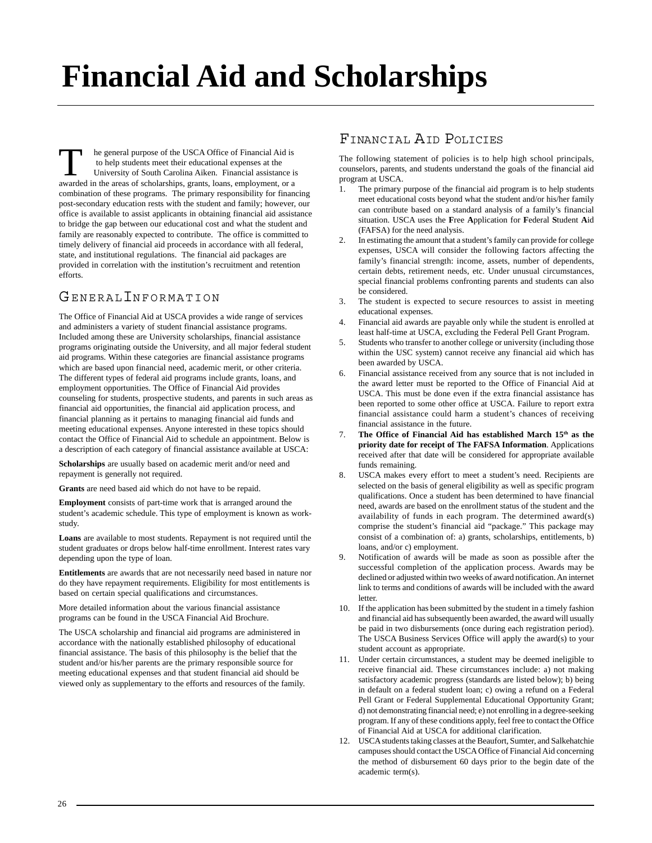# **Financial Aid and Scholarships**

he general purpose of the USCA Office of Financial Aid is to help students meet their educational expenses at the University of South Carolina Aiken. Financial assistance is awarded in the areas of scholarships, grants, loans, employment, or a combination of these programs. The primary responsibility for financing post-secondary education rests with the student and family; however, our office is available to assist applicants in obtaining financial aid assistance to bridge the gap between our educational cost and what the student and family are reasonably expected to contribute. The office is committed to timely delivery of financial aid proceeds in accordance with all federal, state, and institutional regulations. The financial aid packages are provided in correlation with the institution's recruitment and retention efforts.

# GENERALINFORMATION

The Office of Financial Aid at USCA provides a wide range of services and administers a variety of student financial assistance programs. Included among these are University scholarships, financial assistance programs originating outside the University, and all major federal student aid programs. Within these categories are financial assistance programs which are based upon financial need, academic merit, or other criteria. The different types of federal aid programs include grants, loans, and employment opportunities. The Office of Financial Aid provides counseling for students, prospective students, and parents in such areas as financial aid opportunities, the financial aid application process, and financial planning as it pertains to managing financial aid funds and meeting educational expenses. Anyone interested in these topics should contact the Office of Financial Aid to schedule an appointment. Below is a description of each category of financial assistance available at USCA:

**Scholarships** are usually based on academic merit and/or need and repayment is generally not required.

**Grants** are need based aid which do not have to be repaid.

**Employment** consists of part-time work that is arranged around the student's academic schedule. This type of employment is known as workstudy.

**Loans** are available to most students. Repayment is not required until the student graduates or drops below half-time enrollment. Interest rates vary depending upon the type of loan.

**Entitlements** are awards that are not necessarily need based in nature nor do they have repayment requirements. Eligibility for most entitlements is based on certain special qualifications and circumstances.

More detailed information about the various financial assistance programs can be found in the USCA Financial Aid Brochure.

The USCA scholarship and financial aid programs are administered in accordance with the nationally established philosophy of educational financial assistance. The basis of this philosophy is the belief that the student and/or his/her parents are the primary responsible source for meeting educational expenses and that student financial aid should be viewed only as supplementary to the efforts and resources of the family.

# FINANCIAL AID POLICIES

The following statement of policies is to help high school principals, counselors, parents, and students understand the goals of the financial aid program at USCA.

- 1. The primary purpose of the financial aid program is to help students meet educational costs beyond what the student and/or his/her family can contribute based on a standard analysis of a family's financial situation. USCA uses the **F**ree **A**pplication for **F**ederal **S**tudent **A**id (FAFSA) for the need analysis.
- 2. In estimating the amount that a student's family can provide for college expenses, USCA will consider the following factors affecting the family's financial strength: income, assets, number of dependents, certain debts, retirement needs, etc. Under unusual circumstances, special financial problems confronting parents and students can also be considered.
- 3. The student is expected to secure resources to assist in meeting educational expenses.
- 4. Financial aid awards are payable only while the student is enrolled at least half-time at USCA, excluding the Federal Pell Grant Program.
- 5. Students who transfer to another college or university (including those within the USC system) cannot receive any financial aid which has been awarded by USCA.
- 6. Financial assistance received from any source that is not included in the award letter must be reported to the Office of Financial Aid at USCA. This must be done even if the extra financial assistance has been reported to some other office at USCA. Failure to report extra financial assistance could harm a student's chances of receiving financial assistance in the future.
- 7. **The Office of Financial Aid has established March 15th as the priority date for receipt of The FAFSA Information**. Applications received after that date will be considered for appropriate available funds remaining.
- 8. USCA makes every effort to meet a student's need. Recipients are selected on the basis of general eligibility as well as specific program qualifications. Once a student has been determined to have financial need, awards are based on the enrollment status of the student and the availability of funds in each program. The determined award(s) comprise the student's financial aid "package." This package may consist of a combination of: a) grants, scholarships, entitlements, b) loans, and/or c) employment.
- 9. Notification of awards will be made as soon as possible after the successful completion of the application process. Awards may be declined or adjusted within two weeks of award notification. An internet link to terms and conditions of awards will be included with the award letter.
- 10. If the application has been submitted by the student in a timely fashion and financial aid has subsequently been awarded, the award will usually be paid in two disbursements (once during each registration period). The USCA Business Services Office will apply the award(s) to your student account as appropriate.
- 11. Under certain circumstances, a student may be deemed ineligible to receive financial aid. These circumstances include: a) not making satisfactory academic progress (standards are listed below); b) being in default on a federal student loan; c) owing a refund on a Federal Pell Grant or Federal Supplemental Educational Opportunity Grant; d) not demonstrating financial need; e) not enrolling in a degree-seeking program. If any of these conditions apply, feel free to contact the Office of Financial Aid at USCA for additional clarification.
- 12. USCA students taking classes at the Beaufort, Sumter, and Salkehatchie campuses should contact the USCA Office of Financial Aid concerning the method of disbursement 60 days prior to the begin date of the academic term(s).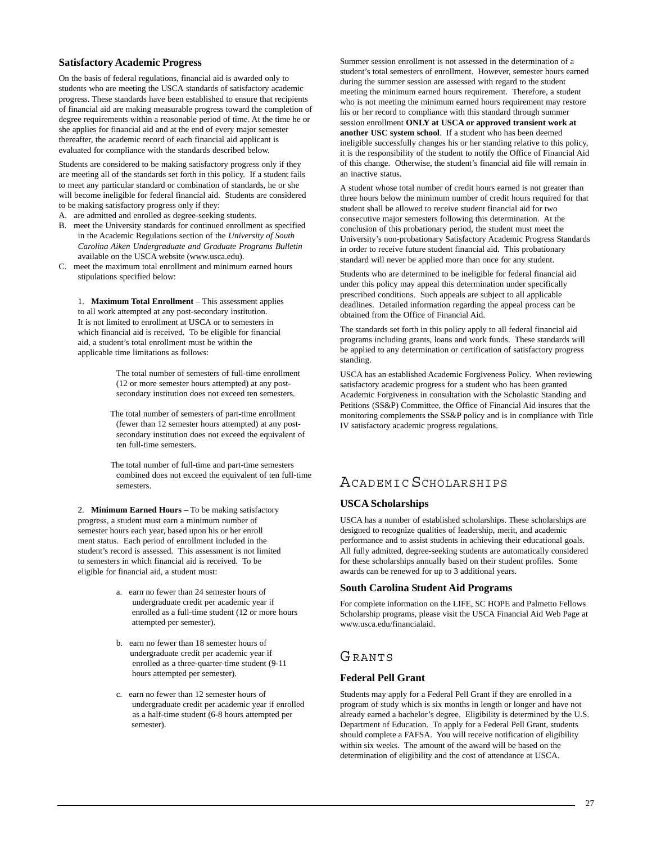#### **Satisfactory Academic Progress**

On the basis of federal regulations, financial aid is awarded only to students who are meeting the USCA standards of satisfactory academic progress. These standards have been established to ensure that recipients of financial aid are making measurable progress toward the completion of degree requirements within a reasonable period of time. At the time he or she applies for financial aid and at the end of every major semester thereafter, the academic record of each financial aid applicant is evaluated for compliance with the standards described below.

Students are considered to be making satisfactory progress only if they are meeting all of the standards set forth in this policy. If a student fails to meet any particular standard or combination of standards, he or she will become ineligible for federal financial aid. Students are considered to be making satisfactory progress only if they:

- A. are admitted and enrolled as degree-seeking students.
- B. meet the University standards for continued enrollment as specified in the Academic Regulations section of the *University of South Carolina Aiken Undergraduate and Graduate Programs Bulletin* available on the USCA website (www.usca.edu).
- C. meet the maximum total enrollment and minimum earned hours stipulations specified below:

1. **Maximum Total Enrollment** – This assessment applies to all work attempted at any post-secondary institution. It is not limited to enrollment at USCA or to semesters in which financial aid is received. To be eligible for financial aid, a student's total enrollment must be within the applicable time limitations as follows:

> The total number of semesters of full-time enrollment (12 or more semester hours attempted) at any postsecondary institution does not exceed ten semesters.

 The total number of semesters of part-time enrollment (fewer than 12 semester hours attempted) at any postsecondary institution does not exceed the equivalent of ten full-time semesters.

 The total number of full-time and part-time semesters combined does not exceed the equivalent of ten full-time semesters.

2. **Minimum Earned Hours** – To be making satisfactory progress, a student must earn a minimum number of semester hours each year, based upon his or her enroll ment status. Each period of enrollment included in the student's record is assessed. This assessment is not limited to semesters in which financial aid is received. To be eligible for financial aid, a student must:

- a. earn no fewer than 24 semester hours of undergraduate credit per academic year if enrolled as a full-time student (12 or more hours attempted per semester).
- b. earn no fewer than 18 semester hours of undergraduate credit per academic year if enrolled as a three-quarter-time student (9-11 hours attempted per semester).
- c. earn no fewer than 12 semester hours of undergraduate credit per academic year if enrolled as a half-time student (6-8 hours attempted per semester).

Summer session enrollment is not assessed in the determination of a student's total semesters of enrollment. However, semester hours earned during the summer session are assessed with regard to the student meeting the minimum earned hours requirement. Therefore, a student who is not meeting the minimum earned hours requirement may restore his or her record to compliance with this standard through summer session enrollment **ONLY at USCA or approved transient work at another USC system school**. If a student who has been deemed ineligible successfully changes his or her standing relative to this policy, it is the responsibility of the student to notify the Office of Financial Aid of this change. Otherwise, the student's financial aid file will remain in an inactive status.

A student whose total number of credit hours earned is not greater than three hours below the minimum number of credit hours required for that student shall be allowed to receive student financial aid for two consecutive major semesters following this determination. At the conclusion of this probationary period, the student must meet the University's non-probationary Satisfactory Academic Progress Standards in order to receive future student financial aid. This probationary standard will never be applied more than once for any student.

Students who are determined to be ineligible for federal financial aid under this policy may appeal this determination under specifically prescribed conditions. Such appeals are subject to all applicable deadlines. Detailed information regarding the appeal process can be obtained from the Office of Financial Aid.

The standards set forth in this policy apply to all federal financial aid programs including grants, loans and work funds. These standards will be applied to any determination or certification of satisfactory progress standing.

USCA has an established Academic Forgiveness Policy. When reviewing satisfactory academic progress for a student who has been granted Academic Forgiveness in consultation with the Scholastic Standing and Petitions (SS&P) Committee, the Office of Financial Aid insures that the monitoring complements the SS&P policy and is in compliance with Title IV satisfactory academic progress regulations.

# ACADEMIC SCHOLARSHIPS

# **USCA Scholarships**

USCA has a number of established scholarships. These scholarships are designed to recognize qualities of leadership, merit, and academic performance and to assist students in achieving their educational goals. All fully admitted, degree-seeking students are automatically considered for these scholarships annually based on their student profiles. Some awards can be renewed for up to 3 additional years.

#### **South Carolina Student Aid Programs**

For complete information on the LIFE, SC HOPE and Palmetto Fellows Scholarship programs, please visit the USCA Financial Aid Web Page at www.usca.edu/financialaid.

# **GRANTS**

# **Federal Pell Grant**

Students may apply for a Federal Pell Grant if they are enrolled in a program of study which is six months in length or longer and have not already earned a bachelor's degree. Eligibility is determined by the U.S. Department of Education. To apply for a Federal Pell Grant, students should complete a FAFSA. You will receive notification of eligibility within six weeks. The amount of the award will be based on the determination of eligibility and the cost of attendance at USCA.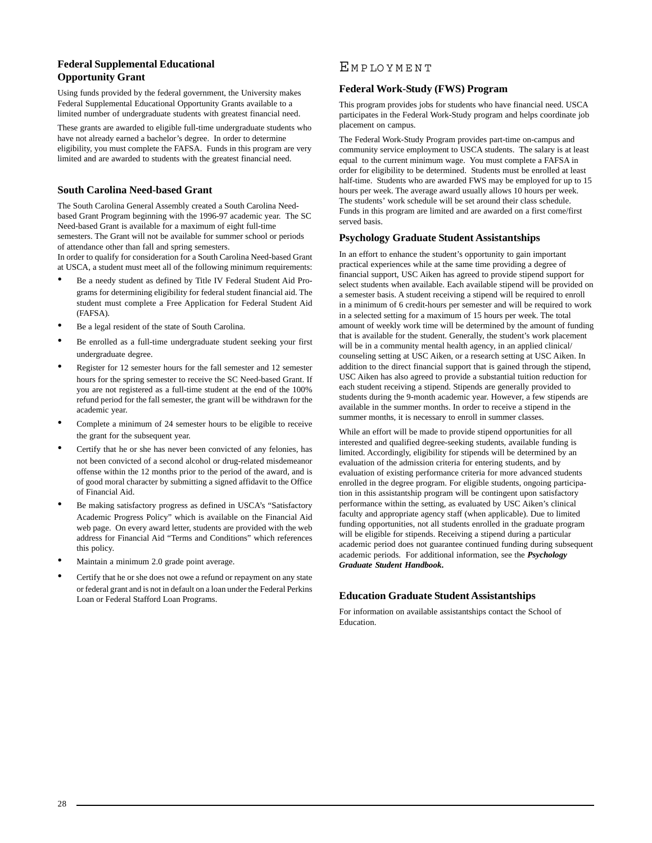# **Federal Supplemental Educational Opportunity Grant**

Using funds provided by the federal government, the University makes Federal Supplemental Educational Opportunity Grants available to a limited number of undergraduate students with greatest financial need.

These grants are awarded to eligible full-time undergraduate students who have not already earned a bachelor's degree. In order to determine eligibility, you must complete the FAFSA. Funds in this program are very limited and are awarded to students with the greatest financial need.

# **South Carolina Need-based Grant**

The South Carolina General Assembly created a South Carolina Needbased Grant Program beginning with the 1996-97 academic year. The SC Need-based Grant is available for a maximum of eight full-time semesters. The Grant will not be available for summer school or periods of attendance other than fall and spring semesters. In order to qualify for consideration for a South Carolina Need-based Grant at USCA, a student must meet all of the following minimum requirements:

- Be a needy student as defined by Title IV Federal Student Aid Programs for determining eligibility for federal student financial aid. The student must complete a Free Application for Federal Student Aid (FAFSA).
- Be a legal resident of the state of South Carolina.
- Be enrolled as a full-time undergraduate student seeking your first undergraduate degree.
- Register for 12 semester hours for the fall semester and 12 semester hours for the spring semester to receive the SC Need-based Grant. If you are not registered as a full-time student at the end of the 100% refund period for the fall semester, the grant will be withdrawn for the academic year.
- Complete a minimum of 24 semester hours to be eligible to receive the grant for the subsequent year.
- Certify that he or she has never been convicted of any felonies, has not been convicted of a second alcohol or drug-related misdemeanor offense within the 12 months prior to the period of the award, and is of good moral character by submitting a signed affidavit to the Office of Financial Aid.
- Be making satisfactory progress as defined in USCA's "Satisfactory Academic Progress Policy" which is available on the Financial Aid web page. On every award letter, students are provided with the web address for Financial Aid "Terms and Conditions" which references this policy.
- Maintain a minimum 2.0 grade point average.
- Certify that he or she does not owe a refund or repayment on any state or federal grant and is not in default on a loan under the Federal Perkins Loan or Federal Stafford Loan Programs.

# EM P LO Y M E N T

# **Federal Work-Study (FWS) Program**

This program provides jobs for students who have financial need. USCA participates in the Federal Work-Study program and helps coordinate job placement on campus.

The Federal Work-Study Program provides part-time on-campus and community service employment to USCA students. The salary is at least equal to the current minimum wage. You must complete a FAFSA in order for eligibility to be determined. Students must be enrolled at least half-time. Students who are awarded FWS may be employed for up to 15 hours per week. The average award usually allows 10 hours per week. The students' work schedule will be set around their class schedule. Funds in this program are limited and are awarded on a first come/first served basis.

# **Psychology Graduate Student Assistantships**

In an effort to enhance the student's opportunity to gain important practical experiences while at the same time providing a degree of financial support, USC Aiken has agreed to provide stipend support for select students when available. Each available stipend will be provided on a semester basis. A student receiving a stipend will be required to enroll in a minimum of 6 credit-hours per semester and will be required to work in a selected setting for a maximum of 15 hours per week. The total amount of weekly work time will be determined by the amount of funding that is available for the student. Generally, the student's work placement will be in a community mental health agency, in an applied clinical/ counseling setting at USC Aiken, or a research setting at USC Aiken. In addition to the direct financial support that is gained through the stipend, USC Aiken has also agreed to provide a substantial tuition reduction for each student receiving a stipend. Stipends are generally provided to students during the 9-month academic year. However, a few stipends are available in the summer months. In order to receive a stipend in the summer months, it is necessary to enroll in summer classes.

While an effort will be made to provide stipend opportunities for all interested and qualified degree-seeking students, available funding is limited. Accordingly, eligibility for stipends will be determined by an evaluation of the admission criteria for entering students, and by evaluation of existing performance criteria for more advanced students enrolled in the degree program. For eligible students, ongoing participation in this assistantship program will be contingent upon satisfactory performance within the setting, as evaluated by USC Aiken's clinical faculty and appropriate agency staff (when applicable). Due to limited funding opportunities, not all students enrolled in the graduate program will be eligible for stipends. Receiving a stipend during a particular academic period does not guarantee continued funding during subsequent academic periods. For additional information, see the *Psychology Graduate Student Handbook***.**

# **Education Graduate Student Assistantships**

For information on available assistantships contact the School of Education.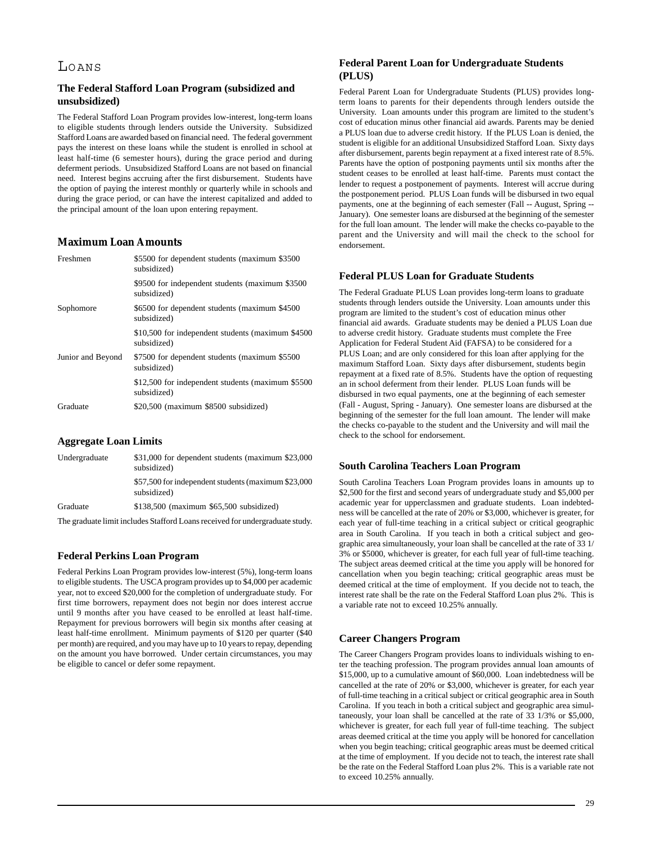# LOANS

# **The Federal Stafford Loan Program (subsidized and unsubsidized)**

The Federal Stafford Loan Program provides low-interest, long-term loans to eligible students through lenders outside the University. Subsidized Stafford Loans are awarded based on financial need. The federal government pays the interest on these loans while the student is enrolled in school at least half-time (6 semester hours), during the grace period and during deferment periods. Unsubsidized Stafford Loans are not based on financial need. Interest begins accruing after the first disbursement. Students have the option of paying the interest monthly or quarterly while in schools and during the grace period, or can have the interest capitalized and added to the principal amount of the loan upon entering repayment.

# **Maximum Loan Amounts**

| Freshmen          | \$5500 for dependent students (maximum \$3500)<br>subsidized)    |
|-------------------|------------------------------------------------------------------|
|                   | \$9500 for independent students (maximum \$3500)<br>subsidized)  |
| Sophomore         | \$6500 for dependent students (maximum \$4500)<br>subsidized)    |
|                   | \$10,500 for independent students (maximum \$4500<br>subsidized) |
| Junior and Beyond | \$7500 for dependent students (maximum \$5500)<br>subsidized)    |
|                   | \$12,500 for independent students (maximum \$5500<br>subsidized) |
| Graduate          | \$20,500 (maximum \$8500 subsidized)                             |
|                   |                                                                  |

#### **Aggregate Loan Limits**

| Undergraduate | \$31,000 for dependent students (maximum \$23,000)<br>subsidized)  |
|---------------|--------------------------------------------------------------------|
|               | \$57,500 for independent students (maximum \$23,000<br>subsidized) |
| Graduate      | \$138,500 (maximum \$65,500 subsidized)                            |
|               |                                                                    |

The graduate limit includes Stafford Loans received for undergraduate study.

# **Federal Perkins Loan Program**

Federal Perkins Loan Program provides low-interest (5%), long-term loans to eligible students. The USCA program provides up to \$4,000 per academic year, not to exceed \$20,000 for the completion of undergraduate study. For first time borrowers, repayment does not begin nor does interest accrue until 9 months after you have ceased to be enrolled at least half-time. Repayment for previous borrowers will begin six months after ceasing at least half-time enrollment. Minimum payments of \$120 per quarter (\$40 per month) are required, and you may have up to 10 years to repay, depending on the amount you have borrowed. Under certain circumstances, you may be eligible to cancel or defer some repayment.

# **Federal Parent Loan for Undergraduate Students (PLUS)**

Federal Parent Loan for Undergraduate Students (PLUS) provides longterm loans to parents for their dependents through lenders outside the University. Loan amounts under this program are limited to the student's cost of education minus other financial aid awards. Parents may be denied a PLUS loan due to adverse credit history. If the PLUS Loan is denied, the student is eligible for an additional Unsubsidized Stafford Loan. Sixty days after disbursement, parents begin repayment at a fixed interest rate of 8.5%. Parents have the option of postponing payments until six months after the student ceases to be enrolled at least half-time. Parents must contact the lender to request a postponement of payments. Interest will accrue during the postponement period. PLUS Loan funds will be disbursed in two equal payments, one at the beginning of each semester (Fall -- August, Spring -- January). One semester loans are disbursed at the beginning of the semester for the full loan amount. The lender will make the checks co-payable to the parent and the University and will mail the check to the school for endorsement.

## **Federal PLUS Loan for Graduate Students**

The Federal Graduate PLUS Loan provides long-term loans to graduate students through lenders outside the University. Loan amounts under this program are limited to the student's cost of education minus other financial aid awards. Graduate students may be denied a PLUS Loan due to adverse credit history. Graduate students must complete the Free Application for Federal Student Aid (FAFSA) to be considered for a PLUS Loan; and are only considered for this loan after applying for the maximum Stafford Loan. Sixty days after disbursement, students begin repayment at a fixed rate of 8.5%. Students have the option of requesting an in school deferment from their lender. PLUS Loan funds will be disbursed in two equal payments, one at the beginning of each semester (Fall - August, Spring - January). One semester loans are disbursed at the beginning of the semester for the full loan amount. The lender will make the checks co-payable to the student and the University and will mail the check to the school for endorsement.

# **South Carolina Teachers Loan Program**

South Carolina Teachers Loan Program provides loans in amounts up to \$2,500 for the first and second years of undergraduate study and \$5,000 per academic year for upperclassmen and graduate students. Loan indebtedness will be cancelled at the rate of 20% or \$3,000, whichever is greater, for each year of full-time teaching in a critical subject or critical geographic area in South Carolina. If you teach in both a critical subject and geographic area simultaneously, your loan shall be cancelled at the rate of 33 1/ 3% or \$5000, whichever is greater, for each full year of full-time teaching. The subject areas deemed critical at the time you apply will be honored for cancellation when you begin teaching; critical geographic areas must be deemed critical at the time of employment. If you decide not to teach, the interest rate shall be the rate on the Federal Stafford Loan plus 2%. This is a variable rate not to exceed 10.25% annually.

# **Career Changers Program**

The Career Changers Program provides loans to individuals wishing to enter the teaching profession. The program provides annual loan amounts of \$15,000, up to a cumulative amount of \$60,000. Loan indebtedness will be cancelled at the rate of 20% or \$3,000, whichever is greater, for each year of full-time teaching in a critical subject or critical geographic area in South Carolina. If you teach in both a critical subject and geographic area simultaneously, your loan shall be cancelled at the rate of 33 1/3% or \$5,000, whichever is greater, for each full year of full-time teaching. The subject areas deemed critical at the time you apply will be honored for cancellation when you begin teaching; critical geographic areas must be deemed critical at the time of employment. If you decide not to teach, the interest rate shall be the rate on the Federal Stafford Loan plus 2%. This is a variable rate not to exceed 10.25% annually.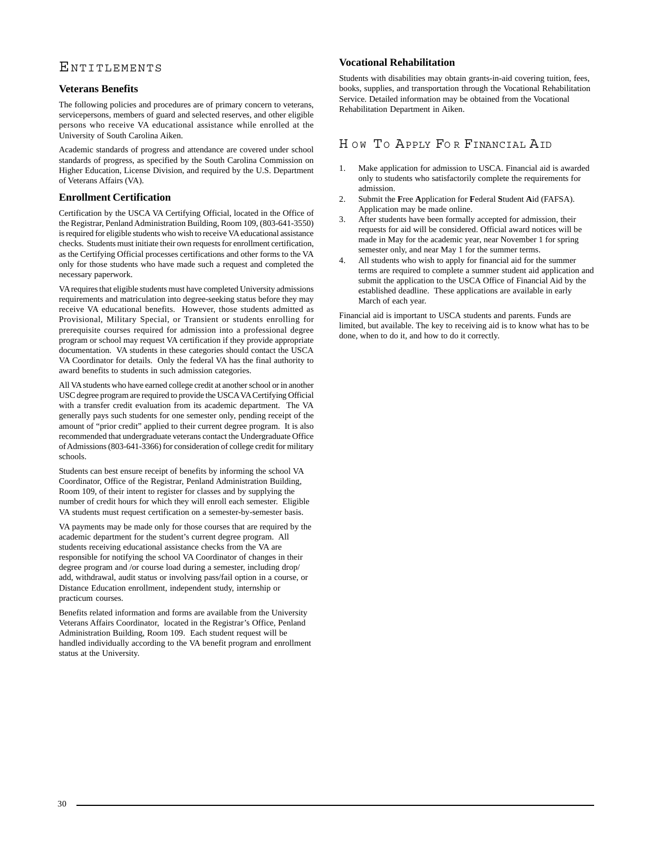# ENTITLEMENTS

# **Veterans Benefits**

The following policies and procedures are of primary concern to veterans, servicepersons, members of guard and selected reserves, and other eligible persons who receive VA educational assistance while enrolled at the University of South Carolina Aiken.

Academic standards of progress and attendance are covered under school standards of progress, as specified by the South Carolina Commission on Higher Education, License Division, and required by the U.S. Department of Veterans Affairs (VA).

# **Enrollment Certification**

Certification by the USCA VA Certifying Official, located in the Office of the Registrar, Penland Administration Building, Room 109, (803-641-3550) is required for eligible students who wish to receive VA educational assistance checks. Students must initiate their own requests for enrollment certification, as the Certifying Official processes certifications and other forms to the VA only for those students who have made such a request and completed the necessary paperwork.

VA requires that eligible students must have completed University admissions requirements and matriculation into degree-seeking status before they may receive VA educational benefits. However, those students admitted as Provisional, Military Special, or Transient or students enrolling for prerequisite courses required for admission into a professional degree program or school may request VA certification if they provide appropriate documentation. VA students in these categories should contact the USCA VA Coordinator for details. Only the federal VA has the final authority to award benefits to students in such admission categories.

All VA students who have earned college credit at another school or in another USC degree program are required to provide the USCA VA Certifying Official with a transfer credit evaluation from its academic department. The VA generally pays such students for one semester only, pending receipt of the amount of "prior credit" applied to their current degree program. It is also recommended that undergraduate veterans contact the Undergraduate Office of Admissions (803-641-3366) for consideration of college credit for military schools.

Students can best ensure receipt of benefits by informing the school VA Coordinator, Office of the Registrar, Penland Administration Building, Room 109, of their intent to register for classes and by supplying the number of credit hours for which they will enroll each semester. Eligible VA students must request certification on a semester-by-semester basis.

VA payments may be made only for those courses that are required by the academic department for the student's current degree program. All students receiving educational assistance checks from the VA are responsible for notifying the school VA Coordinator of changes in their degree program and /or course load during a semester, including drop/ add, withdrawal, audit status or involving pass/fail option in a course, or Distance Education enrollment, independent study, internship or practicum courses.

Benefits related information and forms are available from the University Veterans Affairs Coordinator, located in the Registrar's Office, Penland Administration Building, Room 109. Each student request will be handled individually according to the VA benefit program and enrollment status at the University.

## **Vocational Rehabilitation**

Students with disabilities may obtain grants-in-aid covering tuition, fees, books, supplies, and transportation through the Vocational Rehabilitation Service. Detailed information may be obtained from the Vocational Rehabilitation Department in Aiken.

# HOW TO APPLY FOR FINANCIAL AID

- 1. Make application for admission to USCA. Financial aid is awarded only to students who satisfactorily complete the requirements for admission.
- 2. Submit the **F**ree **A**pplication for **F**ederal **S**tudent **A**id (FAFSA). Application may be made online.
- 3. After students have been formally accepted for admission, their requests for aid will be considered. Official award notices will be made in May for the academic year, near November 1 for spring semester only, and near May 1 for the summer terms.
- 4. All students who wish to apply for financial aid for the summer terms are required to complete a summer student aid application and submit the application to the USCA Office of Financial Aid by the established deadline. These applications are available in early March of each year.

Financial aid is important to USCA students and parents. Funds are limited, but available. The key to receiving aid is to know what has to be done, when to do it, and how to do it correctly.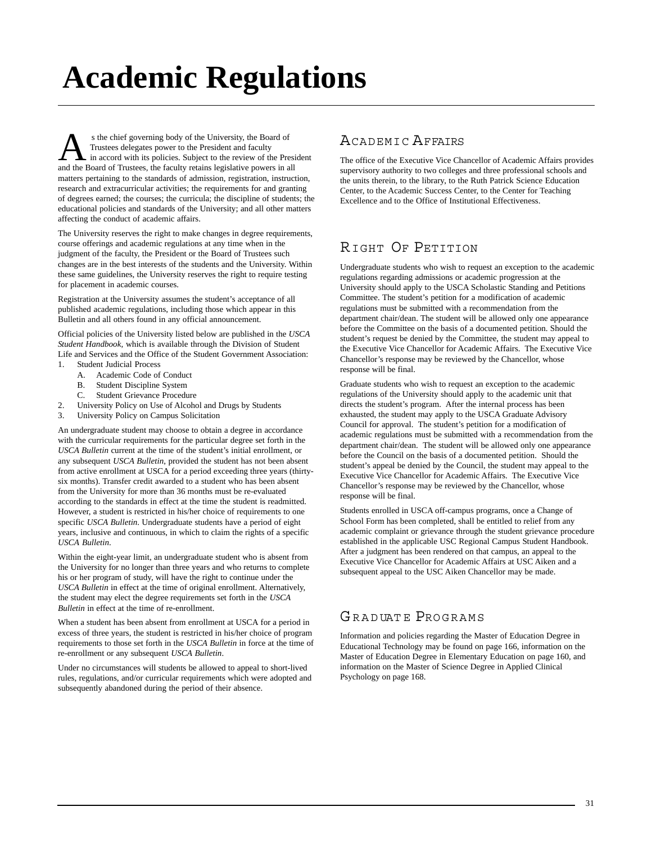# **Academic Regulations**

s the chief governing body of the University, the Board of<br>
Trustees delegates power to the President and faculty<br>
and the Board of Trustees the faculty retains legislative nowers in all Trustees delegates power to the President and faculty and the Board of Trustees, the faculty retains legislative powers in all matters pertaining to the standards of admission, registration, instruction, research and extracurricular activities; the requirements for and granting of degrees earned; the courses; the curricula; the discipline of students; the educational policies and standards of the University; and all other matters affecting the conduct of academic affairs.

The University reserves the right to make changes in degree requirements, course offerings and academic regulations at any time when in the judgment of the faculty, the President or the Board of Trustees such changes are in the best interests of the students and the University. Within these same guidelines, the University reserves the right to require testing for placement in academic courses.

Registration at the University assumes the student's acceptance of all published academic regulations, including those which appear in this Bulletin and all others found in any official announcement.

Official policies of the University listed below are published in the *USCA Student Handbook,* which is available through the Division of Student Life and Services and the Office of the Student Government Association: 1. Student Judicial Process

- A. Academic Code of Conduct
- B. Student Discipline System
- 
- C. Student Grievance Procedure
- 2. University Policy on Use of Alcohol and Drugs by Students
- 3. University Policy on Campus Solicitation

An undergraduate student may choose to obtain a degree in accordance with the curricular requirements for the particular degree set forth in the *USCA Bulletin* current at the time of the student's initial enrollment, or any subsequent *USCA Bulletin*, provided the student has not been absent from active enrollment at USCA for a period exceeding three years (thirtysix months). Transfer credit awarded to a student who has been absent from the University for more than 36 months must be re-evaluated according to the standards in effect at the time the student is readmitted. However, a student is restricted in his/her choice of requirements to one specific *USCA Bulletin*. Undergraduate students have a period of eight years, inclusive and continuous, in which to claim the rights of a specific *USCA Bulletin*.

Within the eight-year limit, an undergraduate student who is absent from the University for no longer than three years and who returns to complete his or her program of study, will have the right to continue under the *USCA Bulletin* in effect at the time of original enrollment. Alternatively, the student may elect the degree requirements set forth in the *USCA Bulletin* in effect at the time of re-enrollment.

When a student has been absent from enrollment at USCA for a period in excess of three years, the student is restricted in his/her choice of program requirements to those set forth in the *USCA Bulletin* in force at the time of re-enrollment or any subsequent *USCA Bulletin*.

Under no circumstances will students be allowed to appeal to short-lived rules, regulations, and/or curricular requirements which were adopted and subsequently abandoned during the period of their absence.

# ACADEMIC AFFAIRS

The office of the Executive Vice Chancellor of Academic Affairs provides supervisory authority to two colleges and three professional schools and the units therein, to the library, to the Ruth Patrick Science Education Center, to the Academic Success Center, to the Center for Teaching Excellence and to the Office of Institutional Effectiveness.

# RIGHT OF PETITION

Undergraduate students who wish to request an exception to the academic regulations regarding admissions or academic progression at the University should apply to the USCA Scholastic Standing and Petitions Committee. The student's petition for a modification of academic regulations must be submitted with a recommendation from the department chair/dean. The student will be allowed only one appearance before the Committee on the basis of a documented petition. Should the student's request be denied by the Committee, the student may appeal to the Executive Vice Chancellor for Academic Affairs. The Executive Vice Chancellor's response may be reviewed by the Chancellor, whose response will be final.

Graduate students who wish to request an exception to the academic regulations of the University should apply to the academic unit that directs the student's program. After the internal process has been exhausted, the student may apply to the USCA Graduate Advisory Council for approval. The student's petition for a modification of academic regulations must be submitted with a recommendation from the department chair/dean. The student will be allowed only one appearance before the Council on the basis of a documented petition. Should the student's appeal be denied by the Council, the student may appeal to the Executive Vice Chancellor for Academic Affairs. The Executive Vice Chancellor's response may be reviewed by the Chancellor, whose response will be final.

Students enrolled in USCA off-campus programs, once a Change of School Form has been completed, shall be entitled to relief from any academic complaint or grievance through the student grievance procedure established in the applicable USC Regional Campus Student Handbook. After a judgment has been rendered on that campus, an appeal to the Executive Vice Chancellor for Academic Affairs at USC Aiken and a subsequent appeal to the USC Aiken Chancellor may be made.

# [GR A D UAT E](http://www.usca.edu/admissions/Graduateadmissions.html) PROGRAMS

Information and policies regarding the Master of Education Degree in Educational Technology may be found on page 166, information on the Master of Education Degree in Elementary Education on page 160, and information on the Master of Science Degree in Applied Clinical Psychology on page 168.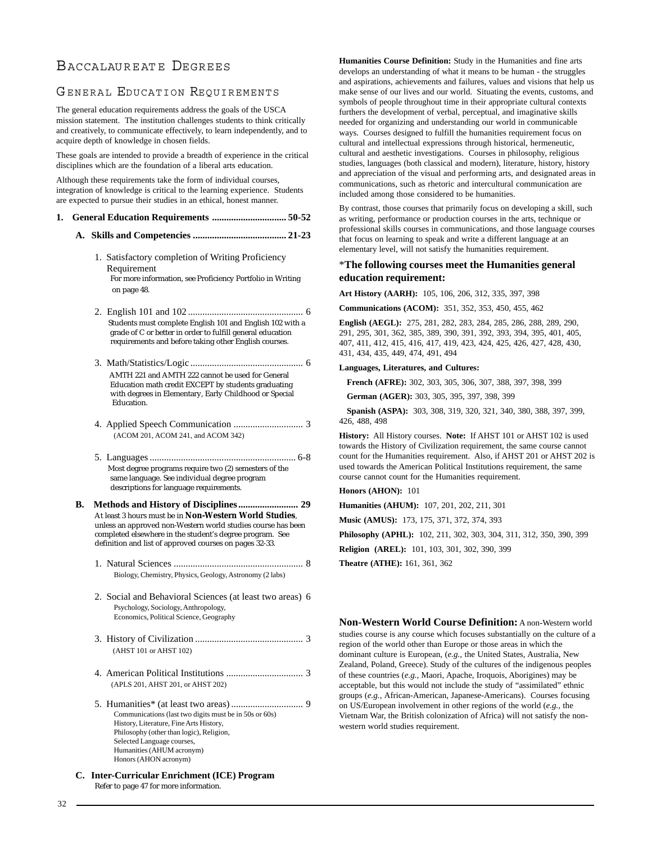# BACCALAUREATE DEGREES

# GENERAL EDUCATION REQUIREMENTS

The general education requirements address the goals of the USCA mission statement. The institution challenges students to think critically and creatively, to communicate effectively, to learn independently, and to acquire depth of knowledge in chosen fields.

These goals are intended to provide a breadth of experience in the critical disciplines which are the foundation of a liberal arts education.

Although these requirements take the form of individual courses, integration of knowledge is critical to the learning experience. Students are expected to pursue their studies in an ethical, honest manner.

- **1. General Education Requirements ............................... 50-52**
	- **A. Skills and Competencies ....................................... 21-23**
		- 1. Satisfactory completion of Writing Proficiency Requirement For more information, see Proficiency Portfolio in Writing on page 48.
		- 2. English 101 and 102 ................................................ 6 Students must complete English 101 and English 102 with a grade of C or better in order to fulfill general education requirements and before taking other English courses.
		- 3. Math/Statistics/Logic ............................................... 6 AMTH 221 and AMTH 222 cannot be used for General Education math credit EXCEPT by students graduating with degrees in Elementary, Early Childhood or Special Education.
		- 4. Applied Speech Communication ............................. 3 (ACOM 201, ACOM 241, and ACOM 342)
		- 5. Languages ............................................................. 6-8 Most degree programs require two (2) semesters of the same language. See individual degree program descriptions for language requirements.
	- **B. Methods and History of Disciplines......................... 29** At least 3 hours must be in **Non-Western World Studies**, unless an approved non-Western world studies course has been completed elsewhere in the student's degree program. See definition and list of approved courses on pages 32-33.
		- 1. Natural Sciences ...................................................... 8 Biology, Chemistry, Physics, Geology, Astronomy (2 labs)
		- 2. Social and Behavioral Sciences (at least two areas) 6 Psychology, Sociology, Anthropology, Economics, Political Science, Geography
		- 3. History of Civilization ............................................. 3 (AHST 101 or AHST 102)
		- 4. American Political Institutions ................................ 3 (APLS 201, AHST 201, or AHST 202)
		- 5. Humanities\* (at least two areas) .............................. 9 Communications (last two digits must be in 50s or 60s) History, Literature, Fine Arts History, Philosophy (other than logic), Religion, Selected Language courses, Humanities (AHUM acronym) Honors (AHON acronym)
	- **C. Inter-Curricular Enrichment (ICE) Program** Refer to page 47 for more information.

**Humanities Course Definition:** Study in the Humanities and fine arts develops an understanding of what it means to be human - the struggles and aspirations, achievements and failures, values and visions that help us make sense of our lives and our world. Situating the events, customs, and symbols of people throughout time in their appropriate cultural contexts furthers the development of verbal, perceptual, and imaginative skills needed for organizing and understanding our world in communicable ways. Courses designed to fulfill the humanities requirement focus on cultural and intellectual expressions through historical, hermeneutic, cultural and aesthetic investigations. Courses in philosophy, religious studies, languages (both classical and modern), literature, history, history and appreciation of the visual and performing arts, and designated areas in communications, such as rhetoric and intercultural communication are included among those considered to be humanities.

By contrast, those courses that primarily focus on developing a skill, such as writing, performance or production courses in the arts, technique or professional skills courses in communications, and those language courses that focus on learning to speak and write a different language at an elementary level, will not satisfy the humanities requirement.

## \***The following courses meet the Humanities general education requirement:**

**Art History (AARH):** 105, 106, 206, 312, 335, 397, 398

**Communications (ACOM):** 351, 352, 353, 450, 455, 462

**English (AEGL):** 275, 281, 282, 283, 284, 285, 286, 288, 289, 290, 291, 295, 301, 362, 385, 389, 390, 391, 392, 393, 394, 395, 401, 405, 407, 411, 412, 415, 416, 417, 419, 423, 424, 425, 426, 427, 428, 430, 431, 434, 435, 449, 474, 491, 494

#### **Languages, Literatures, and Cultures:**

**French (AFRE):** 302, 303, 305, 306, 307, 388, 397, 398, 399

**German (AGER):** 303, 305, 395, 397, 398, 399

**Spanish (ASPA):** 303, 308, 319, 320, 321, 340, 380, 388, 397, 399, 426, 488, 498

**History:** All History courses. **Note:** If AHST 101 or AHST 102 is used towards the History of Civilization requirement, the same course cannot count for the Humanities requirement. Also, if AHST 201 or AHST 202 is used towards the American Political Institutions requirement, the same course cannot count for the Humanities requirement.

### **Honors (AHON):** 101

**Humanities (AHUM):** 107, 201, 202, 211, 301

**Music (AMUS):** 173, 175, 371, 372, 374, 393

**Philosophy (APHL):** 102, 211, 302, 303, 304, 311, 312, 350, 390, 399

**Religion (AREL):** 101, 103, 301, 302, 390, 399

**Theatre (ATHE):** 161, 361, 362

**Non-Western World Course Definition:** A non-Western world studies course is any course which focuses substantially on the culture of a region of the world other than Europe or those areas in which the dominant culture is European, (*e.g.,* the United States, Australia, New Zealand, Poland, Greece). Study of the cultures of the indigenous peoples of these countries (*e.g.,* Maori, Apache, Iroquois, Aborigines) may be acceptable, but this would not include the study of "assimilated" ethnic groups (*e.g.,* African-American, Japanese-Americans). Courses focusing on US/European involvement in other regions of the world (*e.g.,* the Vietnam War, the British colonization of Africa) will not satisfy the nonwestern world studies requirement.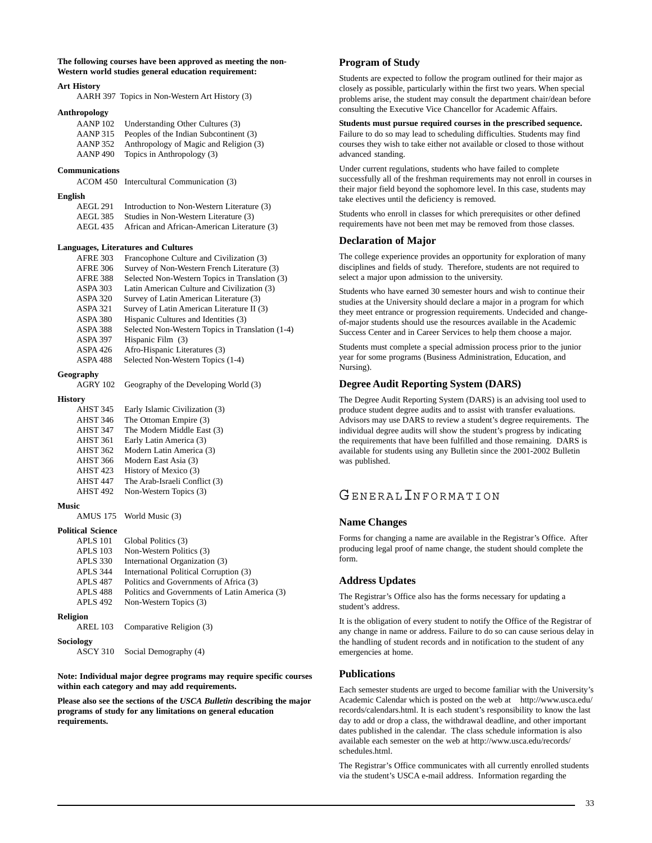**The following courses have been approved as meeting the non-Western world studies general education requirement:**

#### **Art History**

AARH 397 Topics in Non-Western Art History (3)

#### **Anthropology**

| Understanding Other Cultures (3)       |
|----------------------------------------|
| Peoples of the Indian Subcontinent (3) |
| Anthropology of Magic and Religion (3) |
| Topics in Anthropology (3)             |
|                                        |

#### **Communications**

ACOM 450 Intercultural Communication (3)

#### **English**

| AEGL 291        | Introduction to Non-Western Literature (3)  |
|-----------------|---------------------------------------------|
| <b>AEGL 385</b> | Studies in Non-Western Literature (3)       |
| AEGL 435        | African and African-American Literature (3) |

#### **Languages, Literatures and Cultures**

| <b>AFRE 303</b> | Francophone Culture and Civilization (3)         |
|-----------------|--------------------------------------------------|
| <b>AFRE 306</b> | Survey of Non-Western French Literature (3)      |
| <b>AFRE 388</b> | Selected Non-Western Topics in Translation (3)   |
| <b>ASPA 303</b> | Latin American Culture and Civilization (3)      |
| <b>ASPA 320</b> | Survey of Latin American Literature (3)          |
| <b>ASPA 321</b> | Survey of Latin American Literature II (3)       |
| <b>ASPA 380</b> | Hispanic Cultures and Identities (3)             |
| ASPA 388        | Selected Non-Western Topics in Translation (1-4) |
| <b>ASPA 397</b> | Hispanic Film (3)                                |
| <b>ASPA 426</b> | Afro-Hispanic Literatures (3)                    |
| ASPA 488        | Selected Non-Western Topics (1-4)                |

#### **Geography**

| AGRY 102 |  | Geography of the Developing World (3) |  |  |
|----------|--|---------------------------------------|--|--|
|----------|--|---------------------------------------|--|--|

#### **History**

| AHST 345            | Early Islamic Civilization (3) |
|---------------------|--------------------------------|
| AHST 346            | The Ottoman Empire (3)         |
| AHST 347            | The Modern Middle East (3)     |
| AHST 361            | Early Latin America (3)        |
| AHST 362            | Modern Latin America (3)       |
| <b>AHST 366</b>     | Modern East Asia (3)           |
| AHST <sub>423</sub> | History of Mexico (3)          |
| AHST <sub>447</sub> | The Arab-Israeli Conflict (3)  |
| AHST <sub>492</sub> | Non-Western Topics (3)         |

#### **Music**

AMUS 175 World Music (3)

#### **Political Science**

| <b>APLS 101</b> | Global Politics (3)                           |
|-----------------|-----------------------------------------------|
| <b>APLS 103</b> | Non-Western Politics (3)                      |
| <b>APLS 330</b> | International Organization (3)                |
| <b>APLS 344</b> | International Political Corruption (3)        |
| <b>APLS 487</b> | Politics and Governments of Africa (3)        |
| APLS 488        | Politics and Governments of Latin America (3) |
| <b>APLS 492</b> | Non-Western Topics (3)                        |
| <b>Religion</b> |                                               |
| <b>AREL 103</b> | Comparative Religion (3)                      |
| Sociology       |                                               |

ASCY 310 Social Demography (4)

**Note: Individual major degree programs may require specific courses within each category and may add requirements.**

**Please also see the sections of the** *USCA Bulletin* **describing the major programs of study for any limitations on general education requirements.**

#### **Program of Study**

Students are expected to follow the program outlined for their major as closely as possible, particularly within the first two years. When special problems arise, the student may consult the department chair/dean before consulting the Executive Vice Chancellor for Academic Affairs.

### **Students must pursue required courses in the prescribed sequence.**

Failure to do so may lead to scheduling difficulties. Students may find courses they wish to take either not available or closed to those without advanced standing.

Under current regulations, students who have failed to complete successfully all of the freshman requirements may not enroll in courses in their major field beyond the sophomore level. In this case, students may take electives until the deficiency is removed.

Students who enroll in classes for which prerequisites or other defined requirements have not been met may be removed from those classes.

#### **Declaration of Major**

The college experience provides an opportunity for exploration of many disciplines and fields of study. Therefore, students are not required to select a major upon admission to the university.

Students who have earned 30 semester hours and wish to continue their studies at the University should declare a major in a program for which they meet entrance or progression requirements. Undecided and changeof-major students should use the resources available in the Academic Success Center and in Career Services to help them choose a major.

Students must complete a special admission process prior to the junior year for some programs (Business Administration, Education, and Nursing).

#### **Degree Audit Reporting System (DARS)**

The Degree Audit Reporting System (DARS) is an advising tool used to produce student degree audits and to assist with transfer evaluations. Advisors may use DARS to review a student's degree requirements. The individual degree audits will show the student's progress by indicating the requirements that have been fulfilled and those remaining. DARS is available for students using any Bulletin since the 2001-2002 Bulletin was published.

# GENERAL**INFORMATION**

#### **Name Changes**

Forms for changing a name are available in the Registrar's Office. After producing legal proof of name change, the student should complete the form.

### **Address Updates**

The Registrar's Office also has the forms necessary for updating a student's address.

It is the obligation of every student to notify the Office of the Registrar of any change in name or address. Failure to do so can cause serious delay in the handling of student records and in notification to the student of any emergencies at home.

#### **Publications**

Each semester students are urged to become familiar with the University's Academic Calendar which is posted on the web at http://www.usca.edu/ records/calendars.html. It is each student's responsibility to know the last day to add or drop a class, the withdrawal deadline, and other important dates published in the calendar. The class schedule information is also available each semester on the web at http://www.usca.edu/records/ schedules.html.

The Registrar's Office communicates with all currently enrolled students via the student's USCA e-mail address. Information regarding the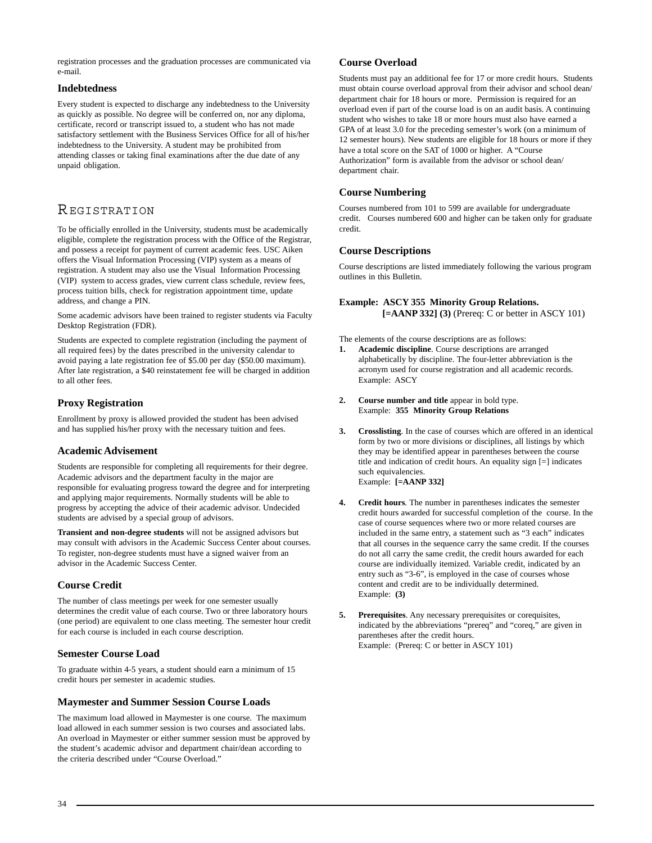registration processes and the graduation processes are communicated via e-mail.

### **Indebtedness**

Every student is expected to discharge any indebtedness to the University as quickly as possible. No degree will be conferred on, nor any diploma, certificate, record or transcript issued to, a student who has not made satisfactory settlement with the Business Services Office for all of his/her indebtedness to the University. A student may be prohibited from attending classes or taking final examinations after the due date of any unpaid obligation.

# REGISTRATION

To be officially enrolled in the University, students must be academically eligible, complete the registration process with the Office of the Registrar, and possess a receipt for payment of current academic fees. USC Aiken offers the Visual Information Processing (VIP) system as a means of registration. A student may also use the Visual Information Processing (VIP) system to access grades, view current class schedule, review fees, process tuition bills, check for registration appointment time, update address, and change a PIN.

Some academic advisors have been trained to register students via Faculty Desktop Registration (FDR).

Students are expected to complete registration (including the payment of all required fees) by the dates prescribed in the university calendar to avoid paying a late registration fee of \$5.00 per day (\$50.00 maximum). After late registration, a \$40 reinstatement fee will be charged in addition to all other fees.

# **Proxy Registration**

Enrollment by proxy is allowed provided the student has been advised and has supplied his/her proxy with the necessary tuition and fees.

# **Academic Advisement**

Students are responsible for completing all requirements for their degree. Academic advisors and the department faculty in the major are responsible for evaluating progress toward the degree and for interpreting and applying major requirements. Normally students will be able to progress by accepting the advice of their academic advisor. Undecided students are advised by a special group of advisors.

**Transient and non-degree students** will not be assigned advisors but may consult with advisors in the Academic Success Center about courses. To register, non-degree students must have a signed waiver from an advisor in the Academic Success Center.

# **Course Credit**

The number of class meetings per week for one semester usually determines the credit value of each course. Two or three laboratory hours (one period) are equivalent to one class meeting. The semester hour credit for each course is included in each course description.

# **Semester Course Load**

To graduate within 4-5 years, a student should earn a minimum of 15 credit hours per semester in academic studies.

# **Maymester and Summer Session Course Loads**

The maximum load allowed in Maymester is one course. The maximum load allowed in each summer session is two courses and associated labs. An overload in Maymester or either summer session must be approved by the student's academic advisor and department chair/dean according to the criteria described under "Course Overload."

### **Course Overload**

Students must pay an additional fee for 17 or more credit hours. Students must obtain course overload approval from their advisor and school dean/ department chair for 18 hours or more.Permission is required for an overload even if part of the course load is on an audit basis. A continuing student who wishes to take 18 or more hours must also have earned a GPA of at least 3.0 for the preceding semester's work (on a minimum of 12 semester hours). New students are eligible for 18 hours or more if they have a total score on the SAT of 1000 or higher. A "Course Authorization" form is available from the advisor or school dean/ department chair.

# **Course Numbering**

Courses numbered from 101 to 599 are available for undergraduate credit. Courses numbered 600 and higher can be taken only for graduate credit.

# **Course Descriptions**

Course descriptions are listed immediately following the various program outlines in this Bulletin.

# **Example: ASCY 355 Minority Group Relations. [=AANP 332] (3)** (Prereq: C or better in ASCY 101)

The elements of the course descriptions are as follows:

- **1. Academic discipline**. Course descriptions are arranged alphabetically by discipline. The four-letter abbreviation is the acronym used for course registration and all academic records. Example: ASCY
- **2. Course number and title** appear in bold type. Example: **355 Minority Group Relations**
- **3. Crosslisting**. In the case of courses which are offered in an identical form by two or more divisions or disciplines, all listings by which they may be identified appear in parentheses between the course title and indication of credit hours. An equality sign [=] indicates such equivalencies. Example: **[=AANP 332]**
- **4. Credit hours**. The number in parentheses indicates the semester credit hours awarded for successful completion of the course. In the case of course sequences where two or more related courses are included in the same entry, a statement such as "3 each" indicates that all courses in the sequence carry the same credit. If the courses do not all carry the same credit, the credit hours awarded for each course are individually itemized. Variable credit, indicated by an entry such as "3-6", is employed in the case of courses whose content and credit are to be individually determined. Example: **(3)**
- Prerequisites. Any necessary prerequisites or corequisites, indicated by the abbreviations "prereq" and "coreq," are given in parentheses after the credit hours. Example: (Prereq: C or better in ASCY 101)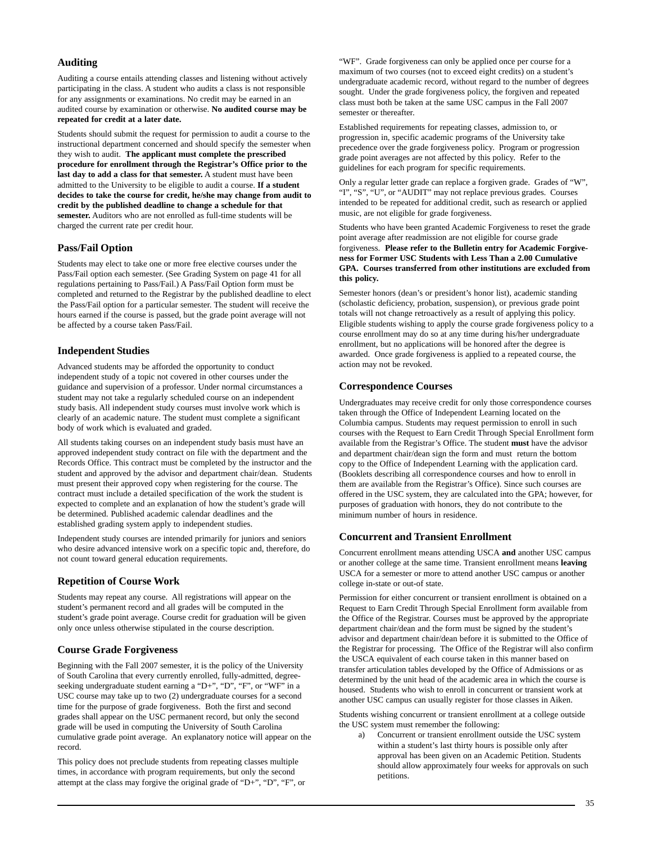# **Auditing**

Auditing a course entails attending classes and listening without actively participating in the class. A student who audits a class is not responsible for any assignments or examinations. No credit may be earned in an audited course by examination or otherwise. **No audited course may be repeated for credit at a later date.**

Students should submit the request for permission to audit a course to the instructional department concerned and should specify the semester when they wish to audit. **The applicant must complete the prescribed procedure for enrollment through the Registrar's Office prior to the last day to add a class for that semester.** A student must have been admitted to the University to be eligible to audit a course. **If a student decides to take the course for credit, he/she may change from audit to credit by the published deadline to change a schedule for that semester.** Auditors who are not enrolled as full-time students will be charged the current rate per credit hour.

### **Pass/Fail Option**

Students may elect to take one or more free elective courses under the Pass/Fail option each semester. (See Grading System on page 41 for all regulations pertaining to Pass/Fail.) A Pass/Fail Option form must be completed and returned to the Registrar by the published deadline to elect the Pass/Fail option for a particular semester. The student will receive the hours earned if the course is passed, but the grade point average will not be affected by a course taken Pass/Fail.

### **Independent Studies**

Advanced students may be afforded the opportunity to conduct independent study of a topic not covered in other courses under the guidance and supervision of a professor. Under normal circumstances a student may not take a regularly scheduled course on an independent study basis. All independent study courses must involve work which is clearly of an academic nature. The student must complete a significant body of work which is evaluated and graded.

All students taking courses on an independent study basis must have an approved independent study contract on file with the department and the Records Office. This contract must be completed by the instructor and the student and approved by the advisor and department chair/dean. Students must present their approved copy when registering for the course. The contract must include a detailed specification of the work the student is expected to complete and an explanation of how the student's grade will be determined. Published academic calendar deadlines and the established grading system apply to independent studies.

Independent study courses are intended primarily for juniors and seniors who desire advanced intensive work on a specific topic and, therefore, do not count toward general education requirements.

### **Repetition of Course Work**

Students may repeat any course. All registrations will appear on the student's permanent record and all grades will be computed in the student's grade point average. Course credit for graduation will be given only once unless otherwise stipulated in the course description.

### **Course Grade Forgiveness**

Beginning with the Fall 2007 semester, it is the policy of the University of South Carolina that every currently enrolled, fully-admitted, degreeseeking undergraduate student earning a "D+", "D", "F", or "WF" in a USC course may take up to two (2) undergraduate courses for a second time for the purpose of grade forgiveness. Both the first and second grades shall appear on the USC permanent record, but only the second grade will be used in computing the University of South Carolina cumulative grade point average. An explanatory notice will appear on the record.

This policy does not preclude students from repeating classes multiple times, in accordance with program requirements, but only the second attempt at the class may forgive the original grade of "D+", "D", "F", or "WF". Grade forgiveness can only be applied once per course for a maximum of two courses (not to exceed eight credits) on a student's undergraduate academic record, without regard to the number of degrees sought. Under the grade forgiveness policy, the forgiven and repeated class must both be taken at the same USC campus in the Fall 2007 semester or thereafter.

Established requirements for repeating classes, admission to, or progression in, specific academic programs of the University take precedence over the grade forgiveness policy. Program or progression grade point averages are not affected by this policy. Refer to the guidelines for each program for specific requirements.

Only a regular letter grade can replace a forgiven grade. Grades of "W", "I", "S", "U", or "AUDIT" may not replace previous grades. Courses intended to be repeated for additional credit, such as research or applied music, are not eligible for grade forgiveness.

Students who have been granted Academic Forgiveness to reset the grade point average after readmission are not eligible for course grade forgiveness. **Please refer to the Bulletin entry for Academic Forgiveness for Former USC Students with Less Than a 2.00 Cumulative GPA. Courses transferred from other institutions are excluded from this policy.**

Semester honors (dean's or president's honor list), academic standing (scholastic deficiency, probation, suspension), or previous grade point totals will not change retroactively as a result of applying this policy. Eligible students wishing to apply the course grade forgiveness policy to a course enrollment may do so at any time during his/her undergraduate enrollment, but no applications will be honored after the degree is awarded. Once grade forgiveness is applied to a repeated course, the action may not be revoked.

#### **Correspondence Courses**

Undergraduates may receive credit for only those correspondence courses taken through the Office of Independent Learning located on the Columbia campus. Students may request permission to enroll in such courses with the Request to Earn Credit Through Special Enrollment form available from the Registrar's Office. The student **must** have the advisor and department chair/dean sign the form and must return the bottom copy to the Office of Independent Learning with the application card. (Booklets describing all correspondence courses and how to enroll in them are available from the Registrar's Office). Since such courses are offered in the USC system, they are calculated into the GPA; however, for purposes of graduation with honors, they do not contribute to the minimum number of hours in residence.

### **Concurrent and Transient Enrollment**

Concurrent enrollment means attending USCA **and** another USC campus or another college at the same time. Transient enrollment means **leaving** USCA for a semester or more to attend another USC campus or another college in-state or out-of state.

Permission for either concurrent or transient enrollment is obtained on a Request to Earn Credit Through Special Enrollment form available from the Office of the Registrar. Courses must be approved by the appropriate department chair/dean and the form must be signed by the student's advisor and department chair/dean before it is submitted to the Office of the Registrar for processing. The Office of the Registrar will also confirm the USCA equivalent of each course taken in this manner based on transfer articulation tables developed by the Office of Admissions or as determined by the unit head of the academic area in which the course is housed. Students who wish to enroll in concurrent or transient work at another USC campus can usually register for those classes in Aiken.

Students wishing concurrent or transient enrollment at a college outside the USC system must remember the following:

a) Concurrent or transient enrollment outside the USC system within a student's last thirty hours is possible only after approval has been given on an Academic Petition. Students should allow approximately four weeks for approvals on such petitions.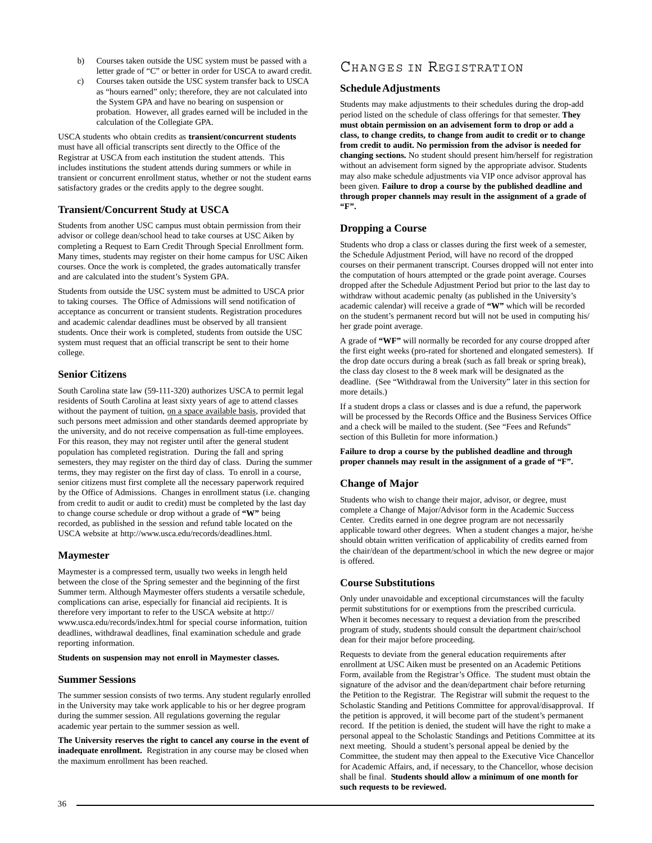- b) Courses taken outside the USC system must be passed with a letter grade of "C" or better in order for USCA to award credit.
- c) Courses taken outside the USC system transfer back to USCA as "hours earned" only; therefore, they are not calculated into the System GPA and have no bearing on suspension or probation. However, all grades earned will be included in the calculation of the Collegiate GPA.

USCA students who obtain credits as **transient/concurrent students** must have all official transcripts sent directly to the Office of the Registrar at USCA from each institution the student attends. This includes institutions the student attends during summers or while in transient or concurrent enrollment status, whether or not the student earns satisfactory grades or the credits apply to the degree sought.

# **Transient/Concurrent Study at USCA**

Students from another USC campus must obtain permission from their advisor or college dean/school head to take courses at USC Aiken by completing a Request to Earn Credit Through Special Enrollment form. Many times, students may register on their home campus for USC Aiken courses. Once the work is completed, the grades automatically transfer and are calculated into the student's System GPA.

Students from outside the USC system must be admitted to USCA prior to taking courses. The Office of Admissions will send notification of acceptance as concurrent or transient students. Registration procedures and academic calendar deadlines must be observed by all transient students. Once their work is completed, students from outside the USC system must request that an official transcript be sent to their home college.

# **Senior Citizens**

South Carolina state law (59-111-320) authorizes USCA to permit legal residents of South Carolina at least sixty years of age to attend classes without the payment of tuition, on a space available basis, provided that such persons meet admission and other standards deemed appropriate by the university, and do not receive compensation as full-time employees. For this reason, they may not register until after the general student population has completed registration. During the fall and spring semesters, they may register on the third day of class. During the summer terms, they may register on the first day of class. To enroll in a course, senior citizens must first complete all the necessary paperwork required by the Office of Admissions. Changes in enrollment status (i.e. changing from credit to audit or audit to credit) must be completed by the last day to change course schedule or drop without a grade of **"W"** being recorded, as published in the session and refund table located on the USCA website at http://www.usca.edu/records/deadlines.html.

# **Maymester**

Maymester is a compressed term, usually two weeks in length held between the close of the Spring semester and the beginning of the first Summer term. Although Maymester offers students a versatile schedule, complications can arise, especially for financial aid recipients. It is therefore very important to refer to the USCA website at http:// www.usca.edu/records/index.html for special course information, tuition deadlines, withdrawal deadlines, final examination schedule and grade reporting information.

**Students on suspension may not enroll in Maymester classes.**

#### **Summer Sessions**

The summer session consists of two terms. Any student regularly enrolled in the University may take work applicable to his or her degree program during the summer session. All regulations governing the regular academic year pertain to the summer session as well.

**The University reserves the right to cancel any course in the event of inadequate enrollment.** Registration in any course may be closed when the maximum enrollment has been reached.

# CHANGES IN REGISTRATION

### **Schedule Adjustments**

Students may make adjustments to their schedules during the drop-add period listed on the schedule of class offerings for that semester. **They must obtain permission on an advisement form to drop or add a class, to change credits, to change from audit to credit or to change from credit to audit. No permission from the advisor is needed for changing sections.** No student should present him/herself for registration without an advisement form signed by the appropriate advisor. Students may also make schedule adjustments via VIP once advisor approval has been given. **Failure to drop a course by the published deadline and through proper channels may result in the assignment of a grade of "F".**

# **Dropping a Course**

Students who drop a class or classes during the first week of a semester, the Schedule Adjustment Period, will have no record of the dropped courses on their permanent transcript. Courses dropped will not enter into the computation of hours attempted or the grade point average. Courses dropped after the Schedule Adjustment Period but prior to the last day to withdraw without academic penalty (as published in the University's academic calendar) will receive a grade of **"W"** which will be recorded on the student's permanent record but will not be used in computing his/ her grade point average.

A grade of **"WF"** will normally be recorded for any course dropped after the first eight weeks (pro-rated for shortened and elongated semesters). If the drop date occurs during a break (such as fall break or spring break), the class day closest to the 8 week mark will be designated as the deadline. (See "Withdrawal from the University" later in this section for more details.)

If a student drops a class or classes and is due a refund, the paperwork will be processed by the Records Office and the Business Services Office and a check will be mailed to the student. (See "Fees and Refunds" section of this Bulletin for more information.)

**Failure to drop a course by the published deadline and through proper channels may result in the assignment of a grade of "F".**

# **Change of Major**

Students who wish to change their major, advisor, or degree, must complete a Change of Major/Advisor form in the Academic Success Center. Credits earned in one degree program are not necessarily applicable toward other degrees. When a student changes a major, he/she should obtain written verification of applicability of credits earned from the chair/dean of the department/school in which the new degree or major is offered.

#### **Course Substitutions**

Only under unavoidable and exceptional circumstances will the faculty permit substitutions for or exemptions from the prescribed curricula. When it becomes necessary to request a deviation from the prescribed program of study, students should consult the department chair/school dean for their major before proceeding.

Requests to deviate from the general education requirements after enrollment at USC Aiken must be presented on an Academic Petitions Form, available from the Registrar's Office. The student must obtain the signature of the advisor and the dean/department chair before returning the Petition to the Registrar. The Registrar will submit the request to the Scholastic Standing and Petitions Committee for approval/disapproval. If the petition is approved, it will become part of the student's permanent record. If the petition is denied, the student will have the right to make a personal appeal to the Scholastic Standings and Petitions Committee at its next meeting. Should a student's personal appeal be denied by the Committee, the student may then appeal to the Executive Vice Chancellor for Academic Affairs, and, if necessary, to the Chancellor, whose decision shall be final. **Students should allow a minimum of one month for such requests to be reviewed.**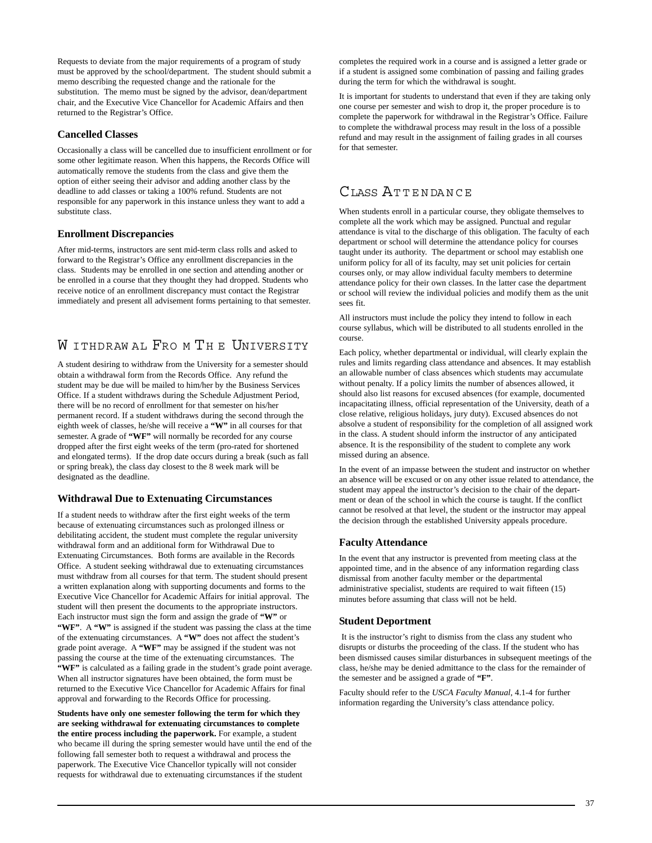Requests to deviate from the major requirements of a program of study must be approved by the school/department. The student should submit a memo describing the requested change and the rationale for the substitution. The memo must be signed by the advisor, dean/department chair, and the Executive Vice Chancellor for Academic Affairs and then returned to the Registrar's Office.

### **Cancelled Classes**

Occasionally a class will be cancelled due to insufficient enrollment or for some other legitimate reason. When this happens, the Records Office will automatically remove the students from the class and give them the option of either seeing their advisor and adding another class by the deadline to add classes or taking a 100% refund. Students are not responsible for any paperwork in this instance unless they want to add a substitute class.

# **Enrollment Discrepancies**

After mid-terms, instructors are sent mid-term class rolls and asked to forward to the Registrar's Office any enrollment discrepancies in the class. Students may be enrolled in one section and attending another or be enrolled in a course that they thought they had dropped. Students who receive notice of an enrollment discrepancy must contact the Registrar immediately and present all advisement forms pertaining to that semester.

# W ITHDRAW AL FRO M TH E UNIVERSITY

A student desiring to withdraw from the University for a semester should obtain a withdrawal form from the Records Office. Any refund the student may be due will be mailed to him/her by the Business Services Office. If a student withdraws during the Schedule Adjustment Period, there will be no record of enrollment for that semester on his/her permanent record. If a student withdraws during the second through the eighth week of classes, he/she will receive a **"W"** in all courses for that semester. A grade of **"WF"** will normally be recorded for any course dropped after the first eight weeks of the term (pro-rated for shortened and elongated terms). If the drop date occurs during a break (such as fall or spring break), the class day closest to the 8 week mark will be designated as the deadline.

#### **Withdrawal Due to Extenuating Circumstances**

If a student needs to withdraw after the first eight weeks of the term because of extenuating circumstances such as prolonged illness or debilitating accident, the student must complete the regular university withdrawal form and an additional form for Withdrawal Due to Extenuating Circumstances. Both forms are available in the Records Office. A student seeking withdrawal due to extenuating circumstances must withdraw from all courses for that term. The student should present a written explanation along with supporting documents and forms to the Executive Vice Chancellor for Academic Affairs for initial approval. The student will then present the documents to the appropriate instructors. Each instructor must sign the form and assign the grade of **"W"** or **"WF"**. A **"W"** is assigned if the student was passing the class at the time of the extenuating circumstances. A **"W"** does not affect the student's grade point average. A **"WF"** may be assigned if the student was not passing the course at the time of the extenuating circumstances. The **"WF"** is calculated as a failing grade in the student's grade point average. When all instructor signatures have been obtained, the form must be returned to the Executive Vice Chancellor for Academic Affairs for final approval and forwarding to the Records Office for processing.

**Students have only one semester following the term for which they are seeking withdrawal for extenuating circumstances to complete the entire process including the paperwork.** For example, a student who became ill during the spring semester would have until the end of the following fall semester both to request a withdrawal and process the paperwork. The Executive Vice Chancellor typically will not consider requests for withdrawal due to extenuating circumstances if the student

completes the required work in a course and is assigned a letter grade or if a student is assigned some combination of passing and failing grades during the term for which the withdrawal is sought.

It is important for students to understand that even if they are taking only one course per semester and wish to drop it, the proper procedure is to complete the paperwork for withdrawal in the Registrar's Office. Failure to complete the withdrawal process may result in the loss of a possible refund and may result in the assignment of failing grades in all courses for that semester.

# CLASS ATTENDANCE

When students enroll in a particular course, they obligate themselves to complete all the work which may be assigned. Punctual and regular attendance is vital to the discharge of this obligation. The faculty of each department or school will determine the attendance policy for courses taught under its authority. The department or school may establish one uniform policy for all of its faculty, may set unit policies for certain courses only, or may allow individual faculty members to determine attendance policy for their own classes. In the latter case the department or school will review the individual policies and modify them as the unit sees fit.

All instructors must include the policy they intend to follow in each course syllabus, which will be distributed to all students enrolled in the course.

Each policy, whether departmental or individual, will clearly explain the rules and limits regarding class attendance and absences. It may establish an allowable number of class absences which students may accumulate without penalty. If a policy limits the number of absences allowed, it should also list reasons for excused absences (for example, documented incapacitating illness, official representation of the University, death of a close relative, religious holidays, jury duty). Excused absences do not absolve a student of responsibility for the completion of all assigned work in the class. A student should inform the instructor of any anticipated absence. It is the responsibility of the student to complete any work missed during an absence.

In the event of an impasse between the student and instructor on whether an absence will be excused or on any other issue related to attendance, the student may appeal the instructor's decision to the chair of the department or dean of the school in which the course is taught. If the conflict cannot be resolved at that level, the student or the instructor may appeal the decision through the established University appeals procedure.

#### **Faculty Attendance**

In the event that any instructor is prevented from meeting class at the appointed time, and in the absence of any information regarding class dismissal from another faculty member or the departmental administrative specialist, students are required to wait fifteen (15) minutes before assuming that class will not be held.

#### **Student Deportment**

 It is the instructor's right to dismiss from the class any student who disrupts or disturbs the proceeding of the class. If the student who has been dismissed causes similar disturbances in subsequent meetings of the class, he/she may be denied admittance to the class for the remainder of the semester and be assigned a grade of **"F"**.

Faculty should refer to the *USCA Faculty Manual,* 4.1-4 for further information regarding the University's class attendance policy.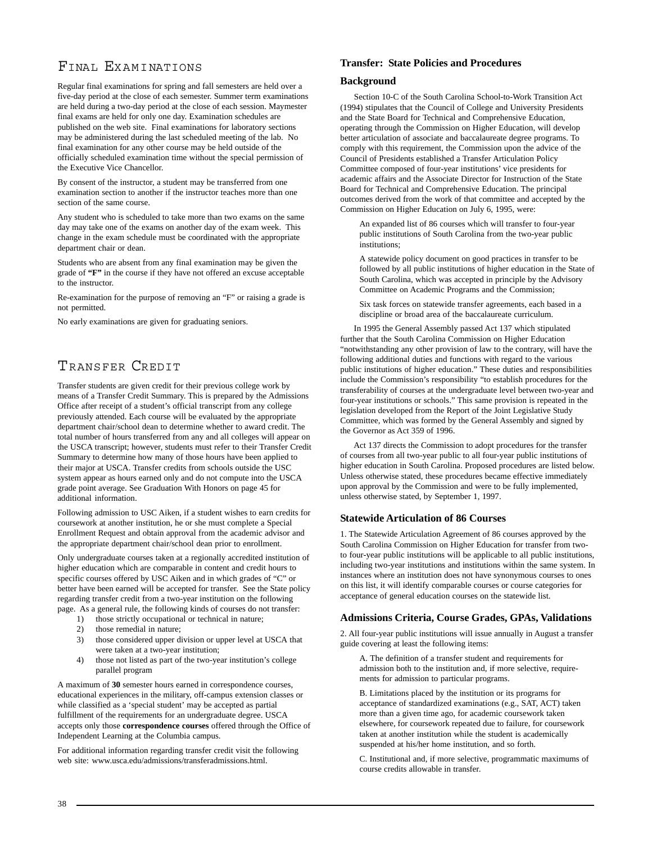# FINAL EXAMINATIONS

Regular final examinations for spring and fall semesters are held over a five-day period at the close of each semester. Summer term examinations are held during a two-day period at the close of each session. Maymester final exams are held for only one day. Examination schedules are published on the web site. Final examinations for laboratory sections may be administered during the last scheduled meeting of the lab. No final examination for any other course may be held outside of the officially scheduled examination time without the special permission of the Executive Vice Chancellor.

By consent of the instructor, a student may be transferred from one examination section to another if the instructor teaches more than one section of the same course.

Any student who is scheduled to take more than two exams on the same day may take one of the exams on another day of the exam week. This change in the exam schedule must be coordinated with the appropriate department chair or dean.

Students who are absent from any final examination may be given the grade of **"F"** in the course if they have not offered an excuse acceptable to the instructor.

Re-examination for the purpose of removing an "F" or raising a grade is not permitted.

No early examinations are given for graduating seniors.

# TRANSFER CREDIT

Transfer students are given credit for their previous college work by means of a Transfer Credit Summary. This is prepared by the Admissions Office after receipt of a student's official transcript from any college previously attended. Each course will be evaluated by the appropriate department chair/school dean to determine whether to award credit. The total number of hours transferred from any and all colleges will appear on the USCA transcript; however, students must refer to their Transfer Credit Summary to determine how many of those hours have been applied to their major at USCA. Transfer credits from schools outside the USC system appear as hours earned only and do not compute into the USCA grade point average. See Graduation With Honors on page 45 for additional information.

Following admission to USC Aiken, if a student wishes to earn credits for coursework at another institution, he or she must complete a Special Enrollment Request and obtain approval from the academic advisor and the appropriate department chair/school dean prior to enrollment.

Only undergraduate courses taken at a regionally accredited institution of higher education which are comparable in content and credit hours to specific courses offered by USC Aiken and in which grades of "C" or better have been earned will be accepted for transfer. See the State policy regarding transfer credit from a two-year institution on the following page. As a general rule, the following kinds of courses do not transfer:

- 1) those strictly occupational or technical in nature;
- 2) those remedial in nature;
- 3) those considered upper division or upper level at USCA that were taken at a two-year institution;
- 4) those not listed as part of the two-year institution's college parallel program

A maximum of **30** semester hours earned in correspondence courses, educational experiences in the military, off-campus extension classes or while classified as a 'special student' may be accepted as partial fulfillment of the requirements for an undergraduate degree. USCA accepts only those **correspondence courses** offered through the Office of Independent Learning at the Columbia campus.

For additional information regarding transfer credit visit the following web site: www.usca.edu/admissions/transferadmissions.html.

### **Transfer: State Policies and Procedures**

#### **Background**

 Section 10-C of the South Carolina School-to-Work Transition Act (1994) stipulates that the Council of College and University Presidents and the State Board for Technical and Comprehensive Education, operating through the Commission on Higher Education, will develop better articulation of associate and baccalaureate degree programs. To comply with this requirement, the Commission upon the advice of the Council of Presidents established a Transfer Articulation Policy Committee composed of four-year institutions' vice presidents for academic affairs and the Associate Director for Instruction of the State Board for Technical and Comprehensive Education. The principal outcomes derived from the work of that committee and accepted by the Commission on Higher Education on July 6, 1995, were:

An expanded list of 86 courses which will transfer to four-year public institutions of South Carolina from the two-year public institutions:

A statewide policy document on good practices in transfer to be followed by all public institutions of higher education in the State of South Carolina, which was accepted in principle by the Advisory Committee on Academic Programs and the Commission;

Six task forces on statewide transfer agreements, each based in a discipline or broad area of the baccalaureate curriculum.

 In 1995 the General Assembly passed Act 137 which stipulated further that the South Carolina Commission on Higher Education "notwithstanding any other provision of law to the contrary, will have the following additional duties and functions with regard to the various public institutions of higher education." These duties and responsibilities include the Commission's responsibility "to establish procedures for the transferability of courses at the undergraduate level between two-year and four-year institutions or schools." This same provision is repeated in the legislation developed from the Report of the Joint Legislative Study Committee, which was formed by the General Assembly and signed by the Governor as Act 359 of 1996.

 Act 137 directs the Commission to adopt procedures for the transfer of courses from all two-year public to all four-year public institutions of higher education in South Carolina. Proposed procedures are listed below. Unless otherwise stated, these procedures became effective immediately upon approval by the Commission and were to be fully implemented, unless otherwise stated, by September 1, 1997.

# **Statewide Articulation of 86 Courses**

1. The Statewide Articulation Agreement of 86 courses approved by the South Carolina Commission on Higher Education for transfer from twoto four-year public institutions will be applicable to all public institutions, including two-year institutions and institutions within the same system. In instances where an institution does not have synonymous courses to ones on this list, it will identify comparable courses or course categories for acceptance of general education courses on the statewide list.

#### **Admissions Criteria, Course Grades, GPAs, Validations**

2. All four-year public institutions will issue annually in August a transfer guide covering at least the following items:

A. The definition of a transfer student and requirements for admission both to the institution and, if more selective, requirements for admission to particular programs.

B. Limitations placed by the institution or its programs for acceptance of standardized examinations (e.g., SAT, ACT) taken more than a given time ago, for academic coursework taken elsewhere, for coursework repeated due to failure, for coursework taken at another institution while the student is academically suspended at his/her home institution, and so forth.

C. Institutional and, if more selective, programmatic maximums of course credits allowable in transfer.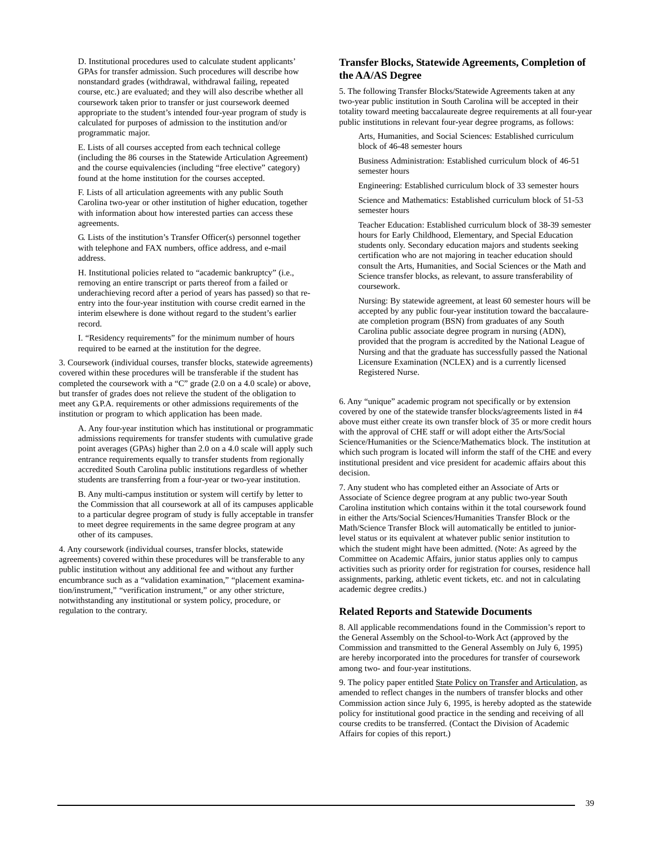D. Institutional procedures used to calculate student applicants' GPAs for transfer admission. Such procedures will describe how nonstandard grades (withdrawal, withdrawal failing, repeated course, etc.) are evaluated; and they will also describe whether all coursework taken prior to transfer or just coursework deemed appropriate to the student's intended four-year program of study is calculated for purposes of admission to the institution and/or programmatic major.

E. Lists of all courses accepted from each technical college (including the 86 courses in the Statewide Articulation Agreement) and the course equivalencies (including "free elective" category) found at the home institution for the courses accepted.

F. Lists of all articulation agreements with any public South Carolina two-year or other institution of higher education, together with information about how interested parties can access these agreements.

G. Lists of the institution's Transfer Officer(s) personnel together with telephone and FAX numbers, office address, and e-mail address.

H. Institutional policies related to "academic bankruptcy" (i.e., removing an entire transcript or parts thereof from a failed or underachieving record after a period of years has passed) so that reentry into the four-year institution with course credit earned in the interim elsewhere is done without regard to the student's earlier record.

I. "Residency requirements" for the minimum number of hours required to be earned at the institution for the degree.

3. Coursework (individual courses, transfer blocks, statewide agreements) covered within these procedures will be transferable if the student has completed the coursework with a "C" grade (2.0 on a 4.0 scale) or above, but transfer of grades does not relieve the student of the obligation to meet any G.P.A. requirements or other admissions requirements of the institution or program to which application has been made.

A. Any four-year institution which has institutional or programmatic admissions requirements for transfer students with cumulative grade point averages (GPAs) higher than 2.0 on a 4.0 scale will apply such entrance requirements equally to transfer students from regionally accredited South Carolina public institutions regardless of whether students are transferring from a four-year or two-year institution.

B. Any multi-campus institution or system will certify by letter to the Commission that all coursework at all of its campuses applicable to a particular degree program of study is fully acceptable in transfer to meet degree requirements in the same degree program at any other of its campuses.

4. Any coursework (individual courses, transfer blocks, statewide agreements) covered within these procedures will be transferable to any public institution without any additional fee and without any further encumbrance such as a "validation examination," "placement examination/instrument," "verification instrument," or any other stricture, notwithstanding any institutional or system policy, procedure, or regulation to the contrary.

# **Transfer Blocks, Statewide Agreements, Completion of the AA/AS Degree**

5. The following Transfer Blocks/Statewide Agreements taken at any two-year public institution in South Carolina will be accepted in their totality toward meeting baccalaureate degree requirements at all four-year public institutions in relevant four-year degree programs, as follows:

Arts, Humanities, and Social Sciences: Established curriculum block of 46-48 semester hours

Business Administration: Established curriculum block of 46-51 semester hours

Engineering: Established curriculum block of 33 semester hours

Science and Mathematics: Established curriculum block of 51-53 semester hours

Teacher Education: Established curriculum block of 38-39 semester hours for Early Childhood, Elementary, and Special Education students only. Secondary education majors and students seeking certification who are not majoring in teacher education should consult the Arts, Humanities, and Social Sciences or the Math and Science transfer blocks, as relevant, to assure transferability of coursework.

Nursing: By statewide agreement, at least 60 semester hours will be accepted by any public four-year institution toward the baccalaureate completion program (BSN) from graduates of any South Carolina public associate degree program in nursing (ADN), provided that the program is accredited by the National League of Nursing and that the graduate has successfully passed the National Licensure Examination (NCLEX) and is a currently licensed Registered Nurse.

6. Any "unique" academic program not specifically or by extension covered by one of the statewide transfer blocks/agreements listed in #4 above must either create its own transfer block of 35 or more credit hours with the approval of CHE staff or will adopt either the Arts/Social Science/Humanities or the Science/Mathematics block. The institution at which such program is located will inform the staff of the CHE and every institutional president and vice president for academic affairs about this decision.

7. Any student who has completed either an Associate of Arts or Associate of Science degree program at any public two-year South Carolina institution which contains within it the total coursework found in either the Arts/Social Sciences/Humanities Transfer Block or the Math/Science Transfer Block will automatically be entitled to juniorlevel status or its equivalent at whatever public senior institution to which the student might have been admitted. (Note: As agreed by the Committee on Academic Affairs, junior status applies only to campus activities such as priority order for registration for courses, residence hall assignments, parking, athletic event tickets, etc. and not in calculating academic degree credits.)

#### **Related Reports and Statewide Documents**

8. All applicable recommendations found in the Commission's report to the General Assembly on the School-to-Work Act (approved by the Commission and transmitted to the General Assembly on July 6, 1995) are hereby incorporated into the procedures for transfer of coursework among two- and four-year institutions.

9. The policy paper entitled State Policy on Transfer and Articulation, as amended to reflect changes in the numbers of transfer blocks and other Commission action since July 6, 1995, is hereby adopted as the statewide policy for institutional good practice in the sending and receiving of all course credits to be transferred. (Contact the Division of Academic Affairs for copies of this report.)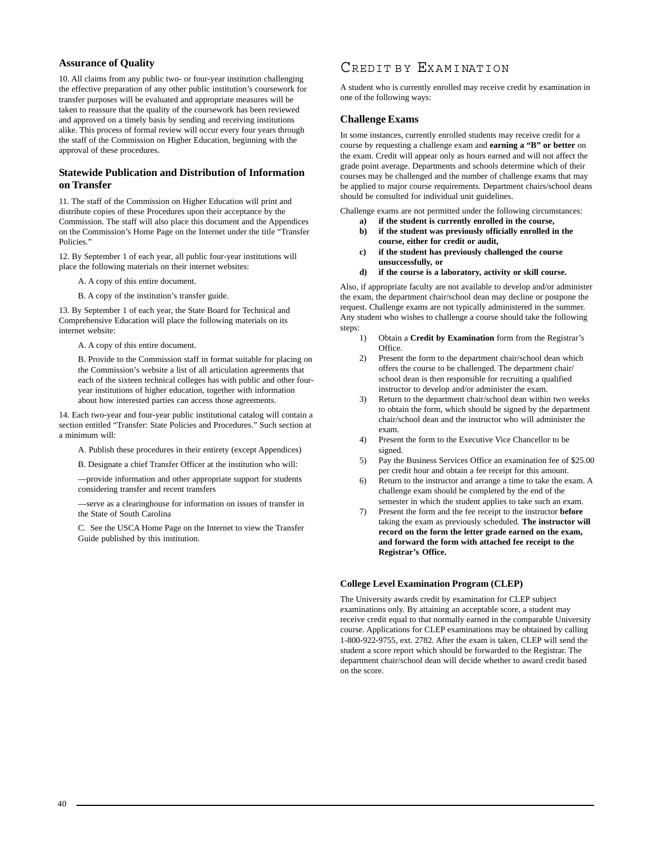# **Assurance of Quality**

10. All claims from any public two- or four-year institution challenging the effective preparation of any other public institution's coursework for transfer purposes will be evaluated and appropriate measures will be taken to reassure that the quality of the coursework has been reviewed and approved on a timely basis by sending and receiving institutions alike. This process of formal review will occur every four years through the staff of the Commission on Higher Education, beginning with the approval of these procedures.

# **Statewide Publication and Distribution of Information on Transfer**

11. The staff of the Commission on Higher Education will print and distribute copies of these Procedures upon their acceptance by the Commission. The staff will also place this document and the Appendices on the Commission's Home Page on the Internet under the title "Transfer Policies."

12. By September 1 of each year, all public four-year institutions will place the following materials on their internet websites:

A. A copy of this entire document.

B. A copy of the institution's transfer guide.

13. By September 1 of each year, the State Board for Technical and Comprehensive Education will place the following materials on its internet website:

A. A copy of this entire document.

B. Provide to the Commission staff in format suitable for placing on the Commission's website a list of all articulation agreements that each of the sixteen technical colleges has with public and other fouryear institutions of higher education, together with information about how interested parties can access those agreements.

14. Each two-year and four-year public institutional catalog will contain a section entitled "Transfer: State Policies and Procedures." Such section at a minimum will:

A. Publish these procedures in their entirety (except Appendices)

B. Designate a chief Transfer Officer at the institution who will:

—provide information and other appropriate support for students considering transfer and recent transfers

—serve as a clearinghouse for information on issues of transfer in the State of South Carolina

C. See the USCA Home Page on the Internet to view the Transfer Guide published by this institution.

# CREDIT BY EXAMINATION

A student who is currently enrolled may receive credit by examination in one of the following ways:

#### **Challenge Exams**

In some instances, currently enrolled students may receive credit for a course by requesting a challenge exam and **earning a "B" or better** on the exam. Credit will appear only as hours earned and will not affect the grade point average. Departments and schools determine which of their courses may be challenged and the number of challenge exams that may be applied to major course requirements. Department chairs/school deans should be consulted for individual unit guidelines.

Challenge exams are not permitted under the following circumstances:

- **a) if the student is currently enrolled in the course, b) if the student was previously officially enrolled in the**
- **course, either for credit or audit,**
- **c) if the student has previously challenged the course unsuccessfully, or**
- **d) if the course is a laboratory, activity or skill course.**

Also, if appropriate faculty are not available to develop and/or administer the exam, the department chair/school dean may decline or postpone the request. Challenge exams are not typically administered in the summer. Any student who wishes to challenge a course should take the following steps:

- 1) Obtain a **Credit by Examination** form from the Registrar's **Office**
- 2) Present the form to the department chair/school dean which offers the course to be challenged. The department chair/ school dean is then responsible for recruiting a qualified instructor to develop and/or administer the exam.
- 3) Return to the department chair/school dean within two weeks to obtain the form, which should be signed by the department chair/school dean and the instructor who will administer the exam.
- 4) Present the form to the Executive Vice Chancellor to be signed.
- 5) Pay the Business Services Office an examination fee of \$25.00 per credit hour and obtain a fee receipt for this amount.
- 6) Return to the instructor and arrange a time to take the exam. A challenge exam should be completed by the end of the semester in which the student applies to take such an exam.
- 7) Present the form and the fee receipt to the instructor **before** taking the exam as previously scheduled. **The instructor will record on the form the letter grade earned on the exam, and forward the form with attached fee receipt to the Registrar's Office.**

#### **[College Level Examination Program \(CLEP\)](http://www.usca.edu/records/clepcreditpolicies.html)**

The University awards credit by examination for CLEP subject examinations only. By attaining an acceptable score, a student may receive credit equal to that normally earned in the comparable University course. Applications for CLEP examinations may be obtained by calling 1-800-922-9755, ext. 2782. After the exam is taken, CLEP will send the student a score report which should be forwarded to the Registrar. The department chair/school dean will decide whether to award credit based on the score.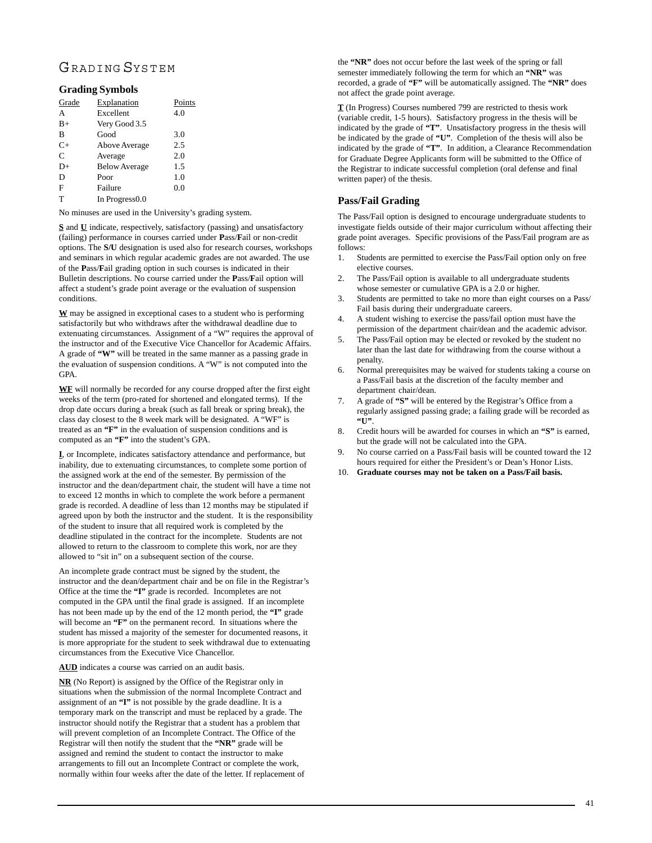# GRADING SYSTEM

# **Grading Symbols**

| Grade | Explanation                | Points |
|-------|----------------------------|--------|
| A     | Excellent                  | 4.0    |
| $B+$  | Very Good 3.5              |        |
| B     | Good                       | 3.0    |
| $C+$  | Above Average              | 2.5    |
| C     | Average                    | 2.0    |
| D+    | <b>Below Average</b>       | 1.5    |
| D     | Poor                       | 1.0    |
| F     | Failure                    | 0.0    |
| T     | In Progress <sub>0.0</sub> |        |

No minuses are used in the University's grading system.

**S** and **U** indicate, respectively, satisfactory (passing) and unsatisfactory (failing) performance in courses carried under **P**ass/**F**ail or non-credit options. The **S/U** designation is used also for research courses, workshops and seminars in which regular academic grades are not awarded. The use of the **P**ass/**F**ail grading option in such courses is indicated in their Bulletin descriptions. No course carried under the **P**ass/**F**ail option will affect a student's grade point average or the evaluation of suspension conditions.

**W** may be assigned in exceptional cases to a student who is performing satisfactorily but who withdraws after the withdrawal deadline due to extenuating circumstances. Assignment of a "W" requires the approval of the instructor and of the Executive Vice Chancellor for Academic Affairs. A grade of **"W"** will be treated in the same manner as a passing grade in the evaluation of suspension conditions. A "W" is not computed into the GPA.

**WF** will normally be recorded for any course dropped after the first eight weeks of the term (pro-rated for shortened and elongated terms). If the drop date occurs during a break (such as fall break or spring break), the class day closest to the 8 week mark will be designated. A "WF" is treated as an **"F"** in the evaluation of suspension conditions and is computed as an **"F"** into the student's GPA.

**I**, or Incomplete, indicates satisfactory attendance and performance, but inability, due to extenuating circumstances, to complete some portion of the assigned work at the end of the semester. By permission of the instructor and the dean/department chair, the student will have a time not to exceed 12 months in which to complete the work before a permanent grade is recorded. A deadline of less than 12 months may be stipulated if agreed upon by both the instructor and the student. It is the responsibility of the student to insure that all required work is completed by the deadline stipulated in the contract for the incomplete. Students are not allowed to return to the classroom to complete this work, nor are they allowed to "sit in" on a subsequent section of the course.

An incomplete grade contract must be signed by the student, the instructor and the dean/department chair and be on file in the Registrar's Office at the time the **"I"** grade is recorded. Incompletes are not computed in the GPA until the final grade is assigned. If an incomplete has not been made up by the end of the 12 month period, the **"I"** grade will become an "F" on the permanent record. In situations where the student has missed a majority of the semester for documented reasons, it is more appropriate for the student to seek withdrawal due to extenuating circumstances from the Executive Vice Chancellor.

**AUD** indicates a course was carried on an audit basis.

**NR** (No Report) is assigned by the Office of the Registrar only in situations when the submission of the normal Incomplete Contract and assignment of an **"I"** is not possible by the grade deadline. It is a temporary mark on the transcript and must be replaced by a grade. The instructor should notify the Registrar that a student has a problem that will prevent completion of an Incomplete Contract. The Office of the Registrar will then notify the student that the **"NR"** grade will be assigned and remind the student to contact the instructor to make arrangements to fill out an Incomplete Contract or complete the work, normally within four weeks after the date of the letter. If replacement of

the **"NR"** does not occur before the last week of the spring or fall semester immediately following the term for which an **"NR"** was recorded, a grade of **"F"** will be automatically assigned. The **"NR"** does not affect the grade point average.

**T** (In Progress) Courses numbered 799 are restricted to thesis work (variable credit, 1-5 hours). Satisfactory progress in the thesis will be indicated by the grade of **"T"**. Unsatisfactory progress in the thesis will be indicated by the grade of **"U"**. Completion of the thesis will also be indicated by the grade of **"T"**. In addition, a Clearance Recommendation for Graduate Degree Applicants form will be submitted to the Office of the Registrar to indicate successful completion (oral defense and final written paper) of the thesis.

# **Pass/Fail Grading**

The Pass/Fail option is designed to encourage undergraduate students to investigate fields outside of their major curriculum without affecting their grade point averages. Specific provisions of the Pass/Fail program are as follows:

- 1. Students are permitted to exercise the Pass/Fail option only on free elective courses.
- 2. The Pass/Fail option is available to all undergraduate students whose semester or cumulative GPA is a 2.0 or higher.
- 3. Students are permitted to take no more than eight courses on a Pass/ Fail basis during their undergraduate careers.
- 4. A student wishing to exercise the pass/fail option must have the permission of the department chair/dean and the academic advisor.
- 5. The Pass/Fail option may be elected or revoked by the student no later than the last date for withdrawing from the course without a penalty.
- 6. Normal prerequisites may be waived for students taking a course on a Pass/Fail basis at the discretion of the faculty member and department chair/dean.
- 7. A grade of **"S"** will be entered by the Registrar's Office from a regularly assigned passing grade; a failing grade will be recorded as **"U"**.
- 8. Credit hours will be awarded for courses in which an **"S"** is earned, but the grade will not be calculated into the GPA.
- 9. No course carried on a Pass/Fail basis will be counted toward the 12 hours required for either the President's or Dean's Honor Lists.
- 10. **Graduate courses may not be taken on a Pass/Fail basis.**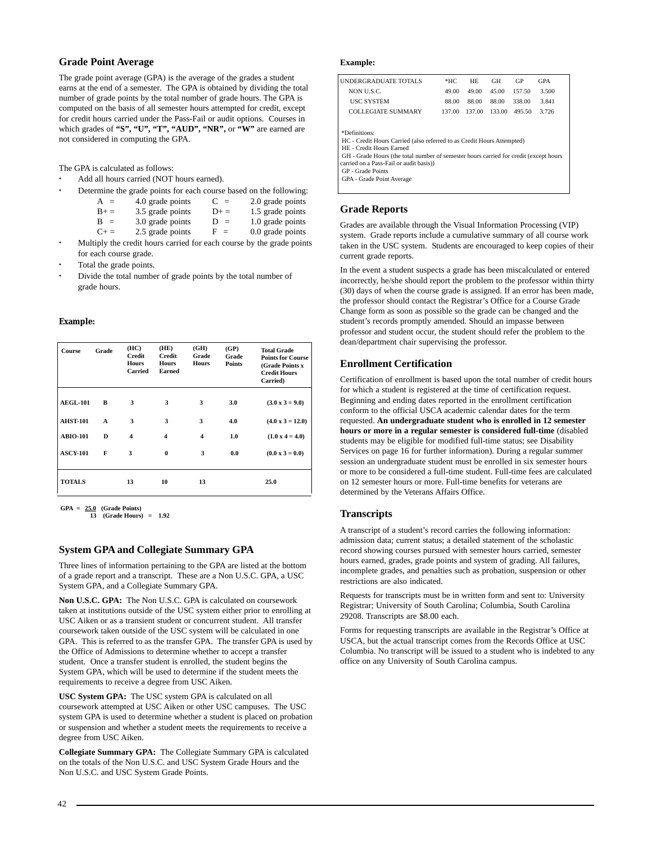# **Grade Point Average**

The grade point average (GPA) is the average of the grades a student earns at the end of a semester. The GPA is obtained by dividing the total number of grade points by the total number of grade hours. The GPA is computed on the basis of all semester hours attempted for credit, except for credit hours carried under the Pass-Fail or audit options. Courses in which grades of **"S", "U", "T", "AUD", "NR",** or **"W"** are earned are not considered in computing the GPA.

The GPA is calculated as follows:

**·** Add all hours carried (NOT hours earned).

| ۰ |             | Determine the grade points for each course based on the following: |        |                    |
|---|-------------|--------------------------------------------------------------------|--------|--------------------|
|   | $A =$       | 4.0 grade points                                                   | $C =$  | 2.0 grade points   |
|   | $B+ =$      | 3.5 grade points                                                   | $D+ =$ | 1.5 grade points   |
|   | $B =$       | 3.0 grade points                                                   | $D =$  | 1.0 grade points   |
|   | $C_{\pm} =$ | 2.5 grade points                                                   | $F =$  | $0.0$ grade points |

- **·** Multiply the credit hours carried for each course by the grade points for each course grade.
- **·** Total the grade points.
- **·** Divide the total number of grade points by the total number of grade hours.

#### **Example:**

| Course          | Grade | (HC)<br>Credit<br><b>Hours</b><br><b>Carried</b> | (HE)<br><b>Credit</b><br><b>Hours</b><br>Earned | (GH)<br>Grade<br><b>Hours</b> | (GP)<br>Grade<br><b>Points</b> | <b>Total Grade</b><br><b>Points for Course</b><br>(Grade Points x<br><b>Credit Hours</b><br>Carried) |
|-----------------|-------|--------------------------------------------------|-------------------------------------------------|-------------------------------|--------------------------------|------------------------------------------------------------------------------------------------------|
| <b>AEGL-101</b> | в     | 3                                                | 3                                               | 3                             | 3.0                            | $(3.0 \times 3 = 9.0)$                                                                               |
| <b>AHST-101</b> | A     | 3                                                | 3                                               | 3                             | 4.0                            | $(4.0 \times 3 = 12.0)$                                                                              |
| <b>ABIO-101</b> | D     | 4                                                | 4                                               | $\overline{\mathbf{4}}$       | 1.0                            | $(1.0 x 4 = 4.0)$                                                                                    |
| <b>ASCY-101</b> | F     | 3                                                | $\mathbf{0}$                                    | 3                             | 0.0                            | $(0.0 x 3 = 0.0)$                                                                                    |
| <b>TOTALS</b>   |       | 13                                               | 10                                              | 13                            |                                | 25.0                                                                                                 |

 **GPA = 25.0 (Grade Points)**

 **13 (Grade Hours) = 1.92**

### **System GPA and Collegiate Summary GPA**

Three lines of information pertaining to the GPA are listed at the bottom of a grade report and a transcript. These are a Non U.S.C. GPA, a USC System GPA, and a Collegiate Summary GPA.

**Non U.S.C. GPA:** The Non U.S.C. GPA is calculated on coursework taken at institutions outside of the USC system either prior to enrolling at USC Aiken or as a transient student or concurrent student. All transfer coursework taken outside of the USC system will be calculated in one GPA. This is referred to as the transfer GPA. The transfer GPA is used by the Office of Admissions to determine whether to accept a transfer student. Once a transfer student is enrolled, the student begins the System GPA, which will be used to determine if the student meets the requirements to receive a degree from USC Aiken.

**USC System GPA:** The USC system GPA is calculated on all coursework attempted at USC Aiken or other USC campuses. The USC system GPA is used to determine whether a student is placed on probation or suspension and whether a student meets the requirements to receive a degree from USC Aiken.

**Collegiate Summary GPA:** The Collegiate Summary GPA is calculated on the totals of the Non U.S.C. and USC System Grade Hours and the Non U.S.C. and USC System Grade Points.

#### **Example:**

| UNDERGRADUATE TOTALS                                                                  | $*HC$  | HF.    | GH     | GP     | <b>GPA</b> |
|---------------------------------------------------------------------------------------|--------|--------|--------|--------|------------|
| NON U.S.C.                                                                            | 49.00  | 49.00  | 45.00  | 157.50 | 3.500      |
| <b>USC SYSTEM</b>                                                                     | 88.00  | 88.00  | 88.00  | 338.00 | 3.841      |
| <b>COLLEGIATE SUMMARY</b>                                                             | 137.00 | 137.00 | 133.00 | 495.50 | 3.726      |
|                                                                                       |        |        |        |        |            |
| *Definitions:                                                                         |        |        |        |        |            |
| HC - Credit Hours Carried (also referred to as Credit Hours Attempted)                |        |        |        |        |            |
| HE - Credit Hours Earned                                                              |        |        |        |        |            |
| GH - Grade Hours (the total number of semester hours carried for credit (except hours |        |        |        |        |            |
| carried on a Pass-Fail or audit basis))                                               |        |        |        |        |            |
| GP - Grade Points                                                                     |        |        |        |        |            |
| GPA - Grade Point Average                                                             |        |        |        |        |            |
|                                                                                       |        |        |        |        |            |

### **Grade Reports**

Grades are available through the Visual Information Processing (VIP) system. Grade reports include a cumulative summary of all course work taken in the USC system. Students are encouraged to keep copies of their current grade reports.

In the event a student suspects a grade has been miscalculated or entered incorrectly, he/she should report the problem to the professor within thirty (30) days of when the course grade is assigned. If an error has been made, the professor should contact the Registrar's Office for a Course Grade Change form as soon as possible so the grade can be changed and the student's records promptly amended. Should an impasse between professor and student occur, the student should refer the problem to the dean/department chair supervising the professor.

### **Enrollment Certification**

Certification of enrollment is based upon the total number of credit hours for which a student is registered at the time of certification request. Beginning and ending dates reported in the enrollment certification conform to the official USCA academic calendar dates for the term requested. **An undergraduate student who is enrolled in 12 semester hours or more in a regular semester is considered full-time** (disabled students may be eligible for modified full-time status; see Disability Services on page 16 for further information). During a regular summer session an undergraduate student must be enrolled in six semester hours or more to be considered a full-time student. Full-time fees are calculated on 12 semester hours or more. Full-time benefits for veterans are determined by the Veterans Affairs Office.

### **Transcripts**

A transcript of a student's record carries the following information: admission data; current status; a detailed statement of the scholastic record showing courses pursued with semester hours carried, semester hours earned, grades, grade points and system of grading. All failures, incomplete grades, and penalties such as probation, suspension or other restrictions are also indicated.

Requests for transcripts must be in written form and sent to: University Registrar; University of South Carolina; Columbia, South Carolina 29208. Transcripts are \$8.00 each.

Forms for requesting transcripts are available in the Registrar's Office at USCA, but the actual transcript comes from the Records Office at USC Columbia. No transcript will be issued to a student who is indebted to any office on any University of South Carolina campus.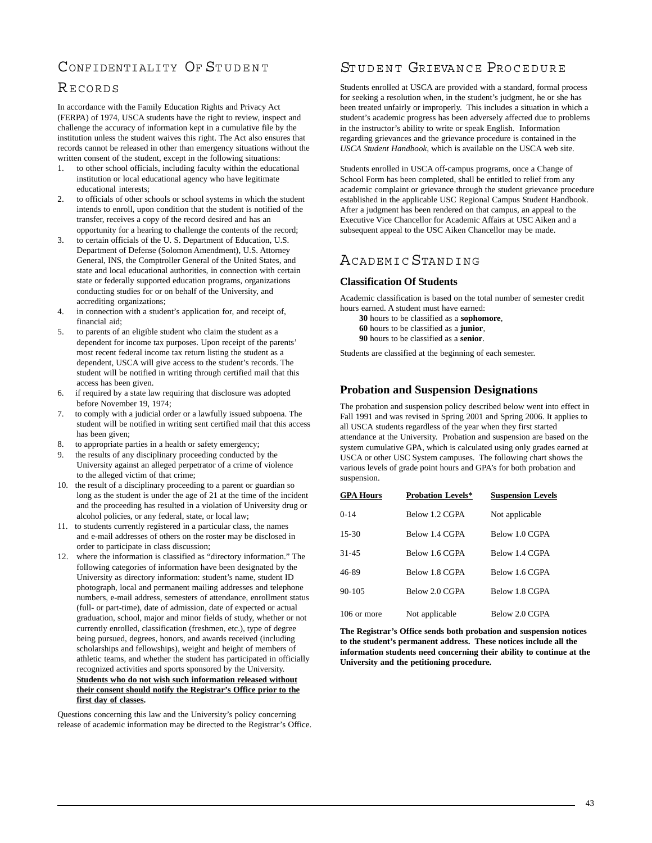# CONFIDENTIALITY OF STUDENT

# RECORDS

In accordance with the Family Education Rights and Privacy Act (FERPA) of 1974, USCA students have the right to review, inspect and challenge the accuracy of information kept in a cumulative file by the institution unless the student waives this right. The Act also ensures that records cannot be released in other than emergency situations without the written consent of the student, except in the following situations:

- 1. to other school officials, including faculty within the educational institution or local educational agency who have legitimate educational interests;
- 2. to officials of other schools or school systems in which the student intends to enroll, upon condition that the student is notified of the transfer, receives a copy of the record desired and has an opportunity for a hearing to challenge the contents of the record;
- 3. to certain officials of the U. S. Department of Education, U.S. Department of Defense (Solomon Amendment), U.S. Attorney General, INS, the Comptroller General of the United States, and state and local educational authorities, in connection with certain state or federally supported education programs, organizations conducting studies for or on behalf of the University, and accrediting organizations;
- 4. in connection with a student's application for, and receipt of, financial aid;
- 5. to parents of an eligible student who claim the student as a dependent for income tax purposes. Upon receipt of the parents' most recent federal income tax return listing the student as a dependent, USCA will give access to the student's records. The student will be notified in writing through certified mail that this access has been given.
- 6. if required by a state law requiring that disclosure was adopted before November 19, 1974;
- 7. to comply with a judicial order or a lawfully issued subpoena. The student will be notified in writing sent certified mail that this access has been given;
- 8. to appropriate parties in a health or safety emergency;
- the results of any disciplinary proceeding conducted by the University against an alleged perpetrator of a crime of violence to the alleged victim of that crime;
- 10. the result of a disciplinary proceeding to a parent or guardian so long as the student is under the age of 21 at the time of the incident and the proceeding has resulted in a violation of University drug or alcohol policies, or any federal, state, or local law;
- 11. to students currently registered in a particular class, the names and e-mail addresses of others on the roster may be disclosed in order to participate in class discussion;
- 12. where the information is classified as "directory information." The following categories of information have been designated by the University as directory information: student's name, student ID photograph, local and permanent mailing addresses and telephone numbers, e-mail address, semesters of attendance, enrollment status (full- or part-time), date of admission, date of expected or actual graduation, school, major and minor fields of study, whether or not currently enrolled, classification (freshmen, etc.), type of degree being pursued, degrees, honors, and awards received (including scholarships and fellowships), weight and height of members of athletic teams, and whether the student has participated in officially recognized activities and sports sponsored by the University. **Students who do not wish such information released without their consent should notify the Registrar's Office prior to the first day of classes.**

Questions concerning this law and the University's policy concerning release of academic information may be directed to the Registrar's Office.

# STUDENT GRIEVANCE PROCEDURE

Students enrolled at USCA are provided with a standard, formal process for seeking a resolution when, in the student's judgment, he or she has been treated unfairly or improperly. This includes a situation in which a student's academic progress has been adversely affected due to problems in the instructor's ability to write or speak English. Information regarding grievances and the grievance procedure is contained in the *USCA Student Handbook*, which is available on the USCA web site.

Students enrolled in USCA off-campus programs, once a Change of School Form has been completed, shall be entitled to relief from any academic complaint or grievance through the student grievance procedure established in the applicable USC Regional Campus Student Handbook. After a judgment has been rendered on that campus, an appeal to the Executive Vice Chancellor for Academic Affairs at USC Aiken and a subsequent appeal to the USC Aiken Chancellor may be made.

# ACADEMIC STANDING

# **Classification Of Students**

Academic classification is based on the total number of semester credit hours earned. A student must have earned:

**30** hours to be classified as a **sophomore**, **60** hours to be classified as a **junior**,

**90** hours to be classified as a **senior**.

Students are classified at the beginning of each semester.

# **Probation and Suspension Designations**

The probation and suspension policy described below went into effect in Fall 1991 and was revised in Spring 2001 and Spring 2006. It applies to all USCA students regardless of the year when they first started attendance at the University. Probation and suspension are based on the system cumulative GPA, which is calculated using only grades earned at USCA or other USC System campuses. The following chart shows the various levels of grade point hours and GPA's for both probation and suspension.

| <b>GPA Hours</b> | <b>Probation Levels*</b> | <b>Suspension Levels</b> |
|------------------|--------------------------|--------------------------|
| $0 - 14$         | Below 1.2 CGPA           | Not applicable           |
| $15 - 30$        | Below 1.4 CGPA           | Below 1.0 CGPA           |
| $31 - 45$        | Below 1.6 CGPA           | Below 1.4 CGPA           |
| 46-89            | Below 1.8 CGPA           | Below 1.6 CGPA           |
| $90 - 105$       | Below 2.0 CGPA           | Below 1.8 CGPA           |
| 106 or more      | Not applicable           | Below 2.0 CGPA           |

**The Registrar's Office sends both probation and suspension notices to the student's permanent address. These notices include all the information students need concerning their ability to continue at the University and the petitioning procedure.**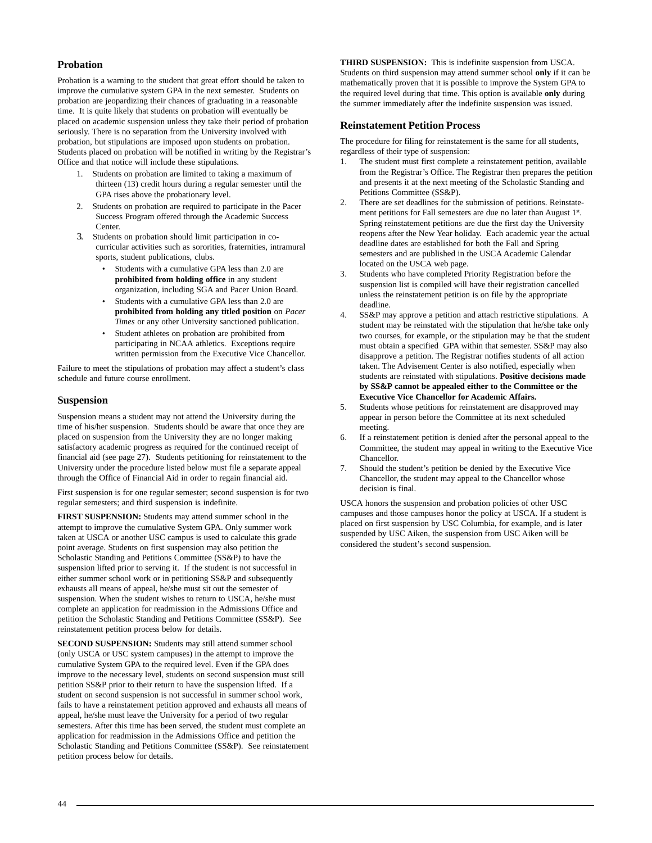# **Probation**

Probation is a warning to the student that great effort should be taken to improve the cumulative system GPA in the next semester. Students on probation are jeopardizing their chances of graduating in a reasonable time. It is quite likely that students on probation will eventually be placed on academic suspension unless they take their period of probation seriously. There is no separation from the University involved with probation, but stipulations are imposed upon students on probation. Students placed on probation will be notified in writing by the Registrar's Office and that notice will include these stipulations.

- 1. Students on probation are limited to taking a maximum of thirteen (13) credit hours during a regular semester until the GPA rises above the probationary level.
- 2. Students on probation are required to participate in the Pacer Success Program offered through the Academic Success Center.
- 3. Students on probation should limit participation in cocurricular activities such as sororities, fraternities, intramural sports, student publications, clubs.
	- Students with a cumulative GPA less than 2.0 are **prohibited from holding office** in any student organization, including SGA and Pacer Union Board.
	- Students with a cumulative GPA less than 2.0 are **prohibited from holding any titled position** on *Pacer Times* or any other University sanctioned publication.
	- Student athletes on probation are prohibited from participating in NCAA athletics. Exceptions require written permission from the Executive Vice Chancellor.

Failure to meet the stipulations of probation may affect a student's class schedule and future course enrollment.

### **Suspension**

Suspension means a student may not attend the University during the time of his/her suspension. Students should be aware that once they are placed on suspension from the University they are no longer making satisfactory academic progress as required for the continued receipt of financial aid (see page 27). Students petitioning for reinstatement to the University under the procedure listed below must file a separate appeal through the Office of Financial Aid in order to regain financial aid.

First suspension is for one regular semester; second suspension is for two regular semesters; and third suspension is indefinite.

**FIRST SUSPENSION:** Students may attend summer school in the attempt to improve the cumulative System GPA. Only summer work taken at USCA or another USC campus is used to calculate this grade point average. Students on first suspension may also petition the Scholastic Standing and Petitions Committee (SS&P) to have the suspension lifted prior to serving it. If the student is not successful in either summer school work or in petitioning SS&P and subsequently exhausts all means of appeal, he/she must sit out the semester of suspension. When the student wishes to return to USCA, he/she must complete an application for readmission in the Admissions Office and petition the Scholastic Standing and Petitions Committee (SS&P). See reinstatement petition process below for details.

**SECOND SUSPENSION:** Students may still attend summer school (only USCA or USC system campuses) in the attempt to improve the cumulative System GPA to the required level. Even if the GPA does improve to the necessary level, students on second suspension must still petition SS&P prior to their return to have the suspension lifted. If a student on second suspension is not successful in summer school work, fails to have a reinstatement petition approved and exhausts all means of appeal, he/she must leave the University for a period of two regular semesters. After this time has been served, the student must complete an application for readmission in the Admissions Office and petition the Scholastic Standing and Petitions Committee (SS&P). See reinstatement petition process below for details.

**THIRD SUSPENSION:** This is indefinite suspension from USCA. Students on third suspension may attend summer school **only** if it can be mathematically proven that it is possible to improve the System GPA to the required level during that time. This option is available **only** during the summer immediately after the indefinite suspension was issued.

### **Reinstatement Petition Process**

The procedure for filing for reinstatement is the same for all students, regardless of their type of suspension:

- 1. The student must first complete a reinstatement petition, available from the Registrar's Office. The Registrar then prepares the petition and presents it at the next meeting of the Scholastic Standing and Petitions Committee (SS&P).
- 2. There are set deadlines for the submission of petitions. Reinstatement petitions for Fall semesters are due no later than August 1<sup>st</sup>. Spring reinstatement petitions are due the first day the University reopens after the New Year holiday. Each academic year the actual deadline dates are established for both the Fall and Spring semesters and are published in the USCA Academic Calendar located on the USCA web page.
- 3. Students who have completed Priority Registration before the suspension list is compiled will have their registration cancelled unless the reinstatement petition is on file by the appropriate deadline.
- 4. SS&P may approve a petition and attach restrictive stipulations. A student may be reinstated with the stipulation that he/she take only two courses, for example, or the stipulation may be that the student must obtain a specified GPA within that semester. SS&P may also disapprove a petition. The Registrar notifies students of all action taken. The Advisement Center is also notified, especially when students are reinstated with stipulations. **Positive decisions made by SS&P cannot be appealed either to the Committee or the Executive Vice Chancellor for Academic Affairs.**
- 5. Students whose petitions for reinstatement are disapproved may appear in person before the Committee at its next scheduled meeting.
- 6. If a reinstatement petition is denied after the personal appeal to the Committee, the student may appeal in writing to the Executive Vice Chancellor.
- 7. Should the student's petition be denied by the Executive Vice Chancellor, the student may appeal to the Chancellor whose decision is final.

USCA honors the suspension and probation policies of other USC campuses and those campuses honor the policy at USCA. If a student is placed on first suspension by USC Columbia, for example, and is later suspended by USC Aiken, the suspension from USC Aiken will be considered the student's second suspension.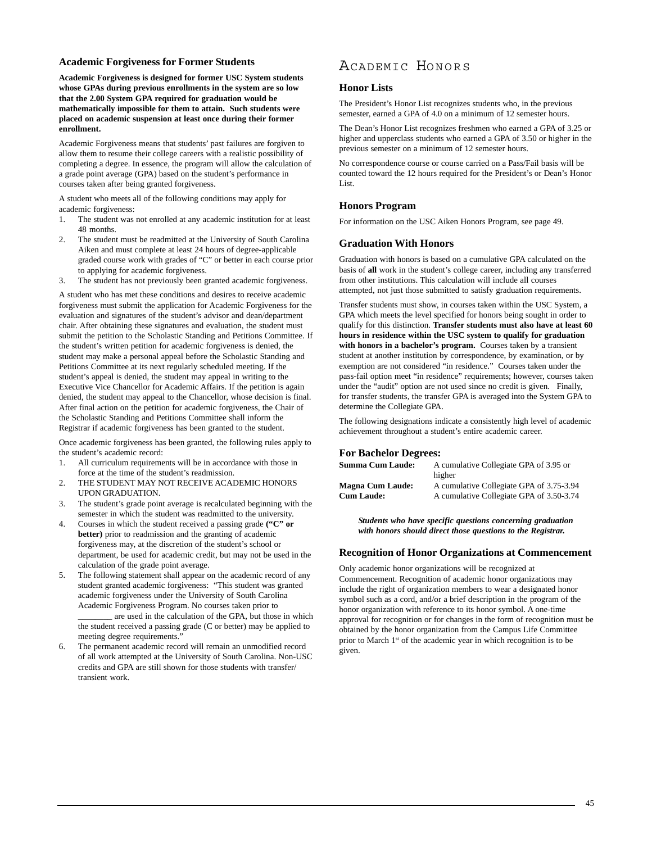### **Academic Forgiveness for Former Students**

**Academic Forgiveness is designed for former USC System students whose GPAs during previous enrollments in the system are so low that the 2.00 System GPA required for graduation would be mathematically impossible for them to attain. Such students were placed on academic suspension at least once during their former enrollment.**

Academic Forgiveness means that students' past failures are forgiven to allow them to resume their college careers with a realistic possibility of completing a degree. In essence, the program will allow the calculation of a grade point average (GPA) based on the student's performance in courses taken after being granted forgiveness.

A student who meets all of the following conditions may apply for academic forgiveness:

- 1. The student was not enrolled at any academic institution for at least 48 months.
- 2. The student must be readmitted at the University of South Carolina Aiken and must complete at least 24 hours of degree-applicable graded course work with grades of "C" or better in each course prior to applying for academic forgiveness.
- 3. The student has not previously been granted academic forgiveness.

A student who has met these conditions and desires to receive academic forgiveness must submit the application for Academic Forgiveness for the evaluation and signatures of the student's advisor and dean/department chair. After obtaining these signatures and evaluation, the student must submit the petition to the Scholastic Standing and Petitions Committee. If the student's written petition for academic forgiveness is denied, the student may make a personal appeal before the Scholastic Standing and Petitions Committee at its next regularly scheduled meeting. If the student's appeal is denied, the student may appeal in writing to the Executive Vice Chancellor for Academic Affairs. If the petition is again denied, the student may appeal to the Chancellor, whose decision is final. After final action on the petition for academic forgiveness, the Chair of the Scholastic Standing and Petitions Committee shall inform the Registrar if academic forgiveness has been granted to the student.

Once academic forgiveness has been granted, the following rules apply to the student's academic record:

- 1. All curriculum requirements will be in accordance with those in force at the time of the student's readmission.
- 2. THE STUDENT MAY NOT RECEIVE ACADEMIC HONORS UPON GRADUATION.
- 3. The student's grade point average is recalculated beginning with the semester in which the student was readmitted to the university.
- 4. Courses in which the student received a passing grade **("C" or better)** prior to readmission and the granting of academic forgiveness may, at the discretion of the student's school or department, be used for academic credit, but may not be used in the calculation of the grade point average.
- 5. The following statement shall appear on the academic record of any student granted academic forgiveness: "This student was granted academic forgiveness under the University of South Carolina Academic Forgiveness Program. No courses taken prior to are used in the calculation of the GPA, but those in which the student received a passing grade (C or better) may be applied to meeting degree requirements."
- 6. The permanent academic record will remain an unmodified record of all work attempted at the University of South Carolina. Non-USC credits and GPA are still shown for those students with transfer/ transient work.

# ACADEMIC HONORS

# **Honor Lists**

The President's Honor List recognizes students who, in the previous semester, earned a GPA of 4.0 on a minimum of 12 semester hours.

The Dean's Honor List recognizes freshmen who earned a GPA of 3.25 or higher and upperclass students who earned a GPA of 3.50 or higher in the previous semester on a minimum of 12 semester hours.

No correspondence course or course carried on a Pass/Fail basis will be counted toward the 12 hours required for the President's or Dean's Honor List.

### **Honors Program**

For information on the USC Aiken Honors Program, see page 49.

### **Graduation With Honors**

Graduation with honors is based on a cumulative GPA calculated on the basis of **all** work in the student's college career, including any transferred from other institutions. This calculation will include all courses attempted, not just those submitted to satisfy graduation requirements.

Transfer students must show, in courses taken within the USC System, a GPA which meets the level specified for honors being sought in order to qualify for this distinction. **Transfer students must also have at least 60 hours in residence within the USC system to qualify for graduation** with honors in a bachelor's program. Courses taken by a transient student at another institution by correspondence, by examination, or by exemption are not considered "in residence." Courses taken under the pass-fail option meet "in residence" requirements; however, courses taken under the "audit" option are not used since no credit is given. Finally, for transfer students, the transfer GPA is averaged into the System GPA to determine the Collegiate GPA.

The following designations indicate a consistently high level of academic achievement throughout a student's entire academic career.

### **For Bachelor Degrees:**

| <b>Summa Cum Laude:</b> | A cumulative Collegiate GPA of 3.95 or<br>higher |
|-------------------------|--------------------------------------------------|
| <b>Magna Cum Laude:</b> | A cumulative Collegiate GPA of 3.75-3.94         |
| <b>Cum Laude:</b>       | A cumulative Collegiate GPA of 3.50-3.74         |

*Students who have specific questions concerning graduation with honors should direct those questions to the Registrar.*

#### **Recognition of Honor Organizations at Commencement**

Only academic honor organizations will be recognized at Commencement. Recognition of academic honor organizations may include the right of organization members to wear a designated honor symbol such as a cord, and/or a brief description in the program of the honor organization with reference to its honor symbol. A one-time approval for recognition or for changes in the form of recognition must be obtained by the honor organization from the Campus Life Committee prior to March  $1<sup>st</sup>$  of the academic year in which recognition is to be given.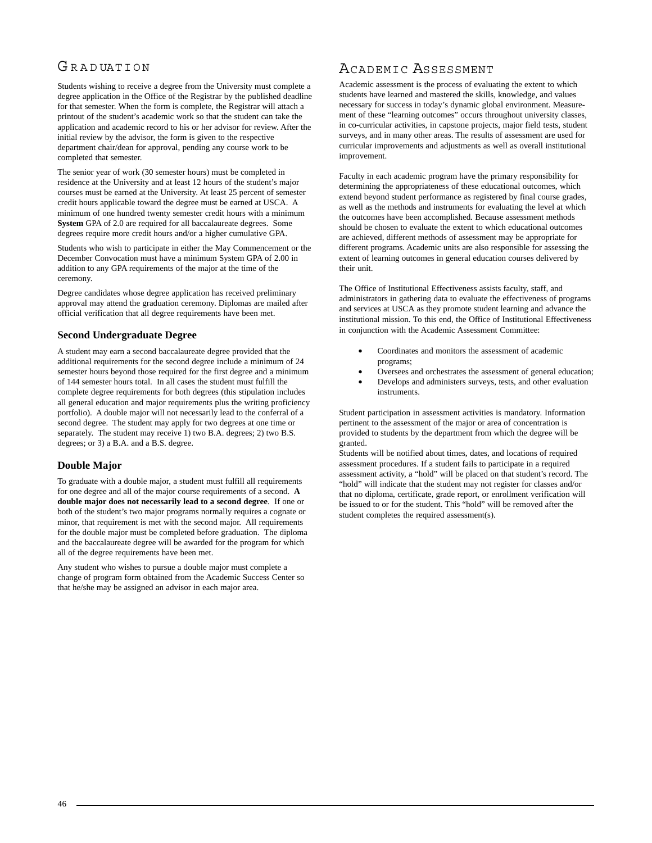# G R A D UATION

Students wishing to receive a degree from the University must complete a degree application in the Office of the Registrar by the published deadline for that semester. When the form is complete, the Registrar will attach a printout of the student's academic work so that the student can take the application and academic record to his or her advisor for review. After the initial review by the advisor, the form is given to the respective department chair/dean for approval, pending any course work to be completed that semester.

The senior year of work (30 semester hours) must be completed in residence at the University and at least 12 hours of the student's major courses must be earned at the University. At least 25 percent of semester credit hours applicable toward the degree must be earned at USCA. A minimum of one hundred twenty semester credit hours with a minimum **System** GPA of 2.0 are required for all baccalaureate degrees. Some degrees require more credit hours and/or a higher cumulative GPA.

Students who wish to participate in either the May Commencement or the December Convocation must have a minimum System GPA of 2.00 in addition to any GPA requirements of the major at the time of the ceremony.

Degree candidates whose degree application has received preliminary approval may attend the graduation ceremony. Diplomas are mailed after official verification that all degree requirements have been met.

# **Second Undergraduate Degree**

A student may earn a second baccalaureate degree provided that the additional requirements for the second degree include a minimum of 24 semester hours beyond those required for the first degree and a minimum of 144 semester hours total. In all cases the student must fulfill the complete degree requirements for both degrees (this stipulation includes all general education and major requirements plus the writing proficiency portfolio). A double major will not necessarily lead to the conferral of a second degree. The student may apply for two degrees at one time or separately. The student may receive 1) two B.A. degrees; 2) two B.S. degrees; or 3) a B.A. and a B.S. degree.

# **Double Major**

To graduate with a double major, a student must fulfill all requirements for one degree and all of the major course requirements of a second. **A double major does not necessarily lead to a second degree**. If one or both of the student's two major programs normally requires a cognate or minor, that requirement is met with the second major. All requirements for the double major must be completed before graduation. The diploma and the baccalaureate degree will be awarded for the program for which all of the degree requirements have been met.

Any student who wishes to pursue a double major must complete a change of program form obtained from the Academic Success Center so that he/she may be assigned an advisor in each major area.

# ACADEMIC ASSESSMENT

Academic assessment is the process of evaluating the extent to which students have learned and mastered the skills, knowledge, and values necessary for success in today's dynamic global environment. Measurement of these "learning outcomes" occurs throughout university classes, in co-curricular activities, in capstone projects, major field tests, student surveys, and in many other areas. The results of assessment are used for curricular improvements and adjustments as well as overall institutional improvement.

Faculty in each academic program have the primary responsibility for determining the appropriateness of these educational outcomes, which extend beyond student performance as registered by final course grades, as well as the methods and instruments for evaluating the level at which the outcomes have been accomplished. Because assessment methods should be chosen to evaluate the extent to which educational outcomes are achieved, different methods of assessment may be appropriate for different programs. Academic units are also responsible for assessing the extent of learning outcomes in general education courses delivered by their unit.

The Office of Institutional Effectiveness assists faculty, staff, and administrators in gathering data to evaluate the effectiveness of programs and services at USCA as they promote student learning and advance the institutional mission. To this end, the Office of Institutional Effectiveness in conjunction with the Academic Assessment Committee:

- Coordinates and monitors the assessment of academic programs;
- Oversees and orchestrates the assessment of general education;
- Develops and administers surveys, tests, and other evaluation instruments.

Student participation in assessment activities is mandatory. Information pertinent to the assessment of the major or area of concentration is provided to students by the department from which the degree will be granted.

Students will be notified about times, dates, and locations of required assessment procedures. If a student fails to participate in a required assessment activity, a "hold" will be placed on that student's record. The "hold" will indicate that the student may not register for classes and/or that no diploma, certificate, grade report, or enrollment verification will be issued to or for the student. This "hold" will be removed after the student completes the required assessment(s).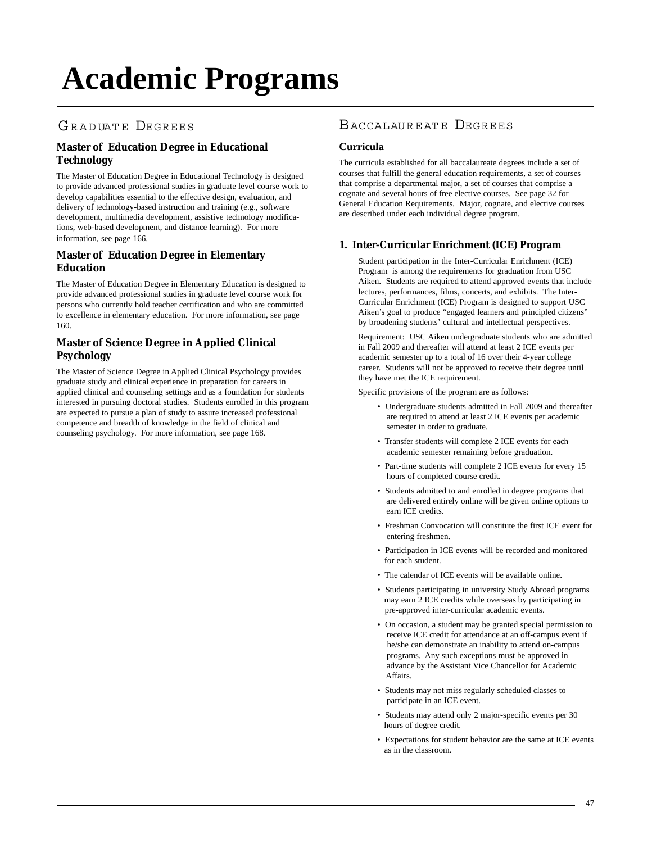# **Academic Programs**

# GRADUATE DEGREES

# **[Master of Education Degree in Educational](http://edtech.usca.edu/) Technology**

The Master of Education Degree in Educational Technology is designed to provide advanced professional studies in graduate level course work to develop capabilities essential to the effective design, evaluation, and delivery of technology-based instruction and training (e.g., software development, multimedia development, assistive technology modifications, web-based development, and distance learning). For more information, see page 166.

# **[Master of Education Degree in Elementary](http://www.usca.edu/education/elementaryedmasters.html) Education**

The Master of Education Degree in Elementary Education is designed to provide advanced professional studies in graduate level course work for persons who currently hold teacher certification and who are committed to excellence in elementary education. For more information, see page 160.

# **[Master of Science Degree in Applied Clinical](http://www.usca.edu/psychology/master.html) Psychology**

The Master of Science Degree in Applied Clinical Psychology provides graduate study and clinical experience in preparation for careers in applied clinical and counseling settings and as a foundation for students interested in pursuing doctoral studies. Students enrolled in this program are expected to pursue a plan of study to assure increased professional competence and breadth of knowledge in the field of clinical and counseling psychology. For more information, see page 168.

# BACCALAUREATE DEGREES

# **Curricula**

The curricula established for all baccalaureate degrees include a set of courses that fulfill the general education requirements, a set of courses that comprise a departmental major, a set of courses that comprise a cognate and several hours of free elective courses. See page 32 for General Education Requirements. Major, cognate, and elective courses are described under each individual degree program.

# **1. Inter-Curricular Enrichment (ICE) Program**

Student participation in the Inter-Curricular Enrichment (ICE) Program is among the requirements for graduation from USC Aiken. Students are required to attend approved events that include lectures, performances, films, concerts, and exhibits. The Inter-Curricular Enrichment (ICE) Program is designed to support USC Aiken's goal to produce "engaged learners and principled citizens" by broadening students' cultural and intellectual perspectives.

Requirement: USC Aiken undergraduate students who are admitted in Fall 2009 and thereafter will attend at least 2 ICE events per academic semester up to a total of 16 over their 4-year college career. Students will not be approved to receive their degree until they have met the ICE requirement.

Specific provisions of the program are as follows:

- Undergraduate students admitted in Fall 2009 and thereafter are required to attend at least 2 ICE events per academic semester in order to graduate.
- Transfer students will complete 2 ICE events for each academic semester remaining before graduation.
- Part-time students will complete 2 ICE events for every 15 hours of completed course credit.
- Students admitted to and enrolled in degree programs that are delivered entirely online will be given online options to earn ICE credits.
- Freshman Convocation will constitute the first ICE event for entering freshmen.
- Participation in ICE events will be recorded and monitored for each student.
- The calendar of ICE events will be available online.
- Students participating in university Study Abroad programs may earn 2 ICE credits while overseas by participating in pre-approved inter-curricular academic events.
- On occasion, a student may be granted special permission to receive ICE credit for attendance at an off-campus event if he/she can demonstrate an inability to attend on-campus programs. Any such exceptions must be approved in advance by the Assistant Vice Chancellor for Academic Affairs.
- Students may not miss regularly scheduled classes to participate in an ICE event.
- Students may attend only 2 major-specific events per 30 hours of degree credit.
- Expectations for student behavior are the same at ICE events as in the classroom.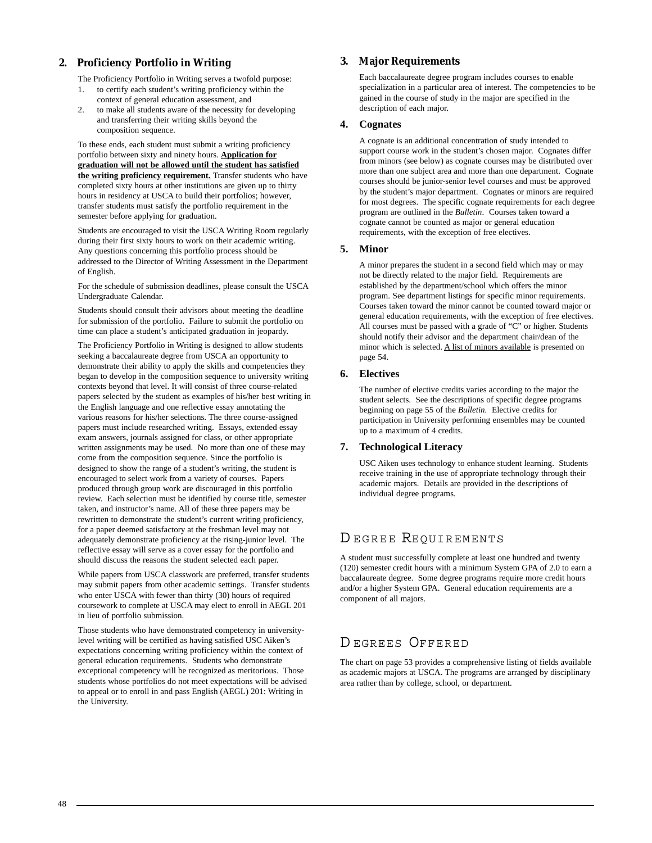# **2. Proficiency Portfolio in Writing**

The Proficiency Portfolio in Writing serves a twofold purpose:

- 1. to certify each student's writing proficiency within the context of general education assessment, and
- 2. to make all students aware of the necessity for developing and transferring their writing skills beyond the composition sequence.

To these ends, each student must submit a writing proficiency portfolio between sixty and ninety hours. **Application for graduation will not be allowed until the student has satisfied the writing proficiency requirement.** Transfer students who have completed sixty hours at other institutions are given up to thirty hours in residency at USCA to build their portfolios; however, transfer students must satisfy the portfolio requirement in the semester before applying for graduation.

Students are encouraged to visit the USCA Writing Room regularly during their first sixty hours to work on their academic writing. Any questions concerning this portfolio process should be addressed to the Director of Writing Assessment in the Department of English.

For the schedule of submission deadlines, please consult the USCA Undergraduate Calendar.

Students should consult their advisors about meeting the deadline for submission of the portfolio. Failure to submit the portfolio on time can place a student's anticipated graduation in jeopardy.

The Proficiency Portfolio in Writing is designed to allow students seeking a baccalaureate degree from USCA an opportunity to demonstrate their ability to apply the skills and competencies they began to develop in the composition sequence to university writing contexts beyond that level. It will consist of three course-related papers selected by the student as examples of his/her best writing in the English language and one reflective essay annotating the various reasons for his/her selections. The three course-assigned papers must include researched writing. Essays, extended essay exam answers, journals assigned for class, or other appropriate written assignments may be used. No more than one of these may come from the composition sequence. Since the portfolio is designed to show the range of a student's writing, the student is encouraged to select work from a variety of courses. Papers produced through group work are discouraged in this portfolio review. Each selection must be identified by course title, semester taken, and instructor's name. All of these three papers may be rewritten to demonstrate the student's current writing proficiency, for a paper deemed satisfactory at the freshman level may not adequately demonstrate proficiency at the rising-junior level. The reflective essay will serve as a cover essay for the portfolio and should discuss the reasons the student selected each paper.

While papers from USCA classwork are preferred, transfer students may submit papers from other academic settings. Transfer students who enter USCA with fewer than thirty (30) hours of required coursework to complete at USCA may elect to enroll in AEGL 201 in lieu of portfolio submission.

Those students who have demonstrated competency in universitylevel writing will be certified as having satisfied USC Aiken's expectations concerning writing proficiency within the context of general education requirements. Students who demonstrate exceptional competency will be recognized as meritorious. Those students whose portfolios do not meet expectations will be advised to appeal or to enroll in and pass English (AEGL) 201: Writing in the University.

# **3. Major Requirements**

Each baccalaureate degree program includes courses to enable specialization in a particular area of interest. The competencies to be gained in the course of study in the major are specified in the description of each major.

### **4. Cognates**

A cognate is an additional concentration of study intended to support course work in the student's chosen major. Cognates differ from minors (see below) as cognate courses may be distributed over more than one subject area and more than one department. Cognate courses should be junior-senior level courses and must be approved by the student's major department. Cognates or minors are required for most degrees. The specific cognate requirements for each degree program are outlined in the *Bulletin*. Courses taken toward a cognate cannot be counted as major or general education requirements, with the exception of free electives.

#### **5. Minor**

A minor prepares the student in a second field which may or may not be directly related to the major field. Requirements are established by the department/school which offers the minor program. See department listings for specific minor requirements. Courses taken toward the minor cannot be counted toward major or general education requirements, with the exception of free electives. All courses must be passed with a grade of "C" or higher. Students should notify their advisor and the department chair/dean of the minor which is selected. A list of minors available is presented on page 54.

### **6. Electives**

The number of elective credits varies according to the major the student selects. See the descriptions of specific degree programs beginning on page 55 of the *Bulletin.* Elective credits for participation in University performing ensembles may be counted up to a maximum of 4 credits.

# **7. Technological Literacy**

USC Aiken uses technology to enhance student learning. Students receive training in the use of appropriate technology through their academic majors. Details are provided in the descriptions of individual degree programs.

# D EGREE REQUIREMENTS

A student must successfully complete at least one hundred and twenty (120) semester credit hours with a minimum System GPA of 2.0 to earn a baccalaureate degree. Some degree programs require more credit hours and/or a higher System GPA. General education requirements are a component of all majors.

# D EGREES OFFERED

The chart on page 53 provides a comprehensive listing of fields available as academic majors at USCA. The programs are arranged by disciplinary area rather than by college, school, or department.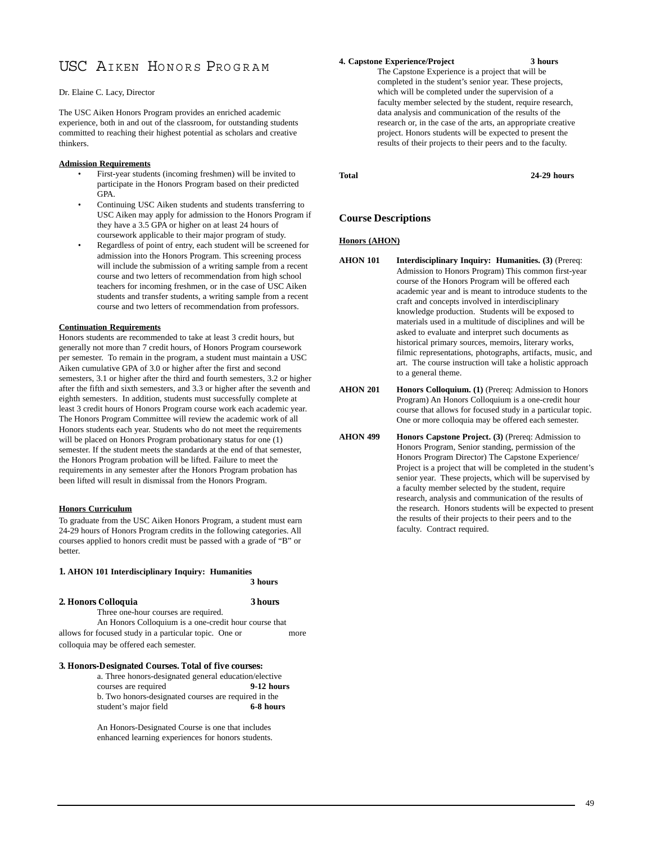# [USC AIKEN HONORS](http://web.usca.edu/honorsprogram/) PROGRAM

#### Dr. Elaine C. Lacy, Director

The USC Aiken Honors Program provides an enriched academic experience, both in and out of the classroom, for outstanding students committed to reaching their highest potential as scholars and creative thinkers.

#### **Admission Requirements**

- First-year students (incoming freshmen) will be invited to participate in the Honors Program based on their predicted GPA.
- Continuing USC Aiken students and students transferring to USC Aiken may apply for admission to the Honors Program if they have a 3.5 GPA or higher on at least 24 hours of coursework applicable to their major program of study.
- Regardless of point of entry, each student will be screened for admission into the Honors Program. This screening process will include the submission of a writing sample from a recent course and two letters of recommendation from high school teachers for incoming freshmen, or in the case of USC Aiken students and transfer students, a writing sample from a recent course and two letters of recommendation from professors.

#### **Continuation Requirements**

Honors students are recommended to take at least 3 credit hours, but generally not more than 7 credit hours, of Honors Program coursework per semester. To remain in the program, a student must maintain a USC Aiken cumulative GPA of 3.0 or higher after the first and second semesters, 3.1 or higher after the third and fourth semesters, 3.2 or higher after the fifth and sixth semesters, and 3.3 or higher after the seventh and eighth semesters. In addition, students must successfully complete at least 3 credit hours of Honors Program course work each academic year. The Honors Program Committee will review the academic work of all Honors students each year. Students who do not meet the requirements will be placed on Honors Program probationary status for one (1) semester. If the student meets the standards at the end of that semester, the Honors Program probation will be lifted. Failure to meet the requirements in any semester after the Honors Program probation has been lifted will result in dismissal from the Honors Program.

#### **Honors Curriculum**

To graduate from the USC Aiken Honors Program, a student must earn 24-29 hours of Honors Program credits in the following categories. All courses applied to honors credit must be passed with a grade of "B" or better.

#### **1. AHON 101 Interdisciplinary Inquiry: Humanities**

**3 hours**

#### **2. Honors Colloquia 3 hours**

Three one-hour courses are required. An Honors Colloquium is a one-credit hour course that allows for focused study in a particular topic. One or more colloquia may be offered each semester.

#### **3. Honors-Designated Courses. Total of five courses:**

| a. Three honors-designated general education/elective |            |
|-------------------------------------------------------|------------|
| courses are required                                  | 9-12 hours |
| b. Two honors-designated courses are required in the  |            |
| student's major field                                 | 6-8 hours  |

An Honors-Designated Course is one that includes enhanced learning experiences for honors students.

#### **4. Capstone Experience/Project 3 hours**

The Capstone Experience is a project that will be completed in the student's senior year. These projects, which will be completed under the supervision of a faculty member selected by the student, require research, data analysis and communication of the results of the research or, in the case of the arts, an appropriate creative project. Honors students will be expected to present the results of their projects to their peers and to the faculty.

**Total 24-29 hours**

#### **Course Descriptions**

#### **Honors (AHON)**

**AHON 101 Interdisciplinary Inquiry: Humanities. (3)** (Prereq: Admission to Honors Program) This common first-year course of the Honors Program will be offered each academic year and is meant to introduce students to the craft and concepts involved in interdisciplinary knowledge production. Students will be exposed to materials used in a multitude of disciplines and will be asked to evaluate and interpret such documents as historical primary sources, memoirs, literary works, filmic representations, photographs, artifacts, music, and art. The course instruction will take a holistic approach to a general theme.

AHON 201 **Honors Colloquium.** (1) (Prereq: Admission to Honors Program) An Honors Colloquium is a one-credit hour course that allows for focused study in a particular topic. One or more colloquia may be offered each semester.

**AHON 499 Honors Capstone Project. (3)** (Prereq: Admission to Honors Program, Senior standing, permission of the Honors Program Director) The Capstone Experience/ Project is a project that will be completed in the student's senior year. These projects, which will be supervised by a faculty member selected by the student, require research, analysis and communication of the results of the research. Honors students will be expected to present the results of their projects to their peers and to the faculty. Contract required.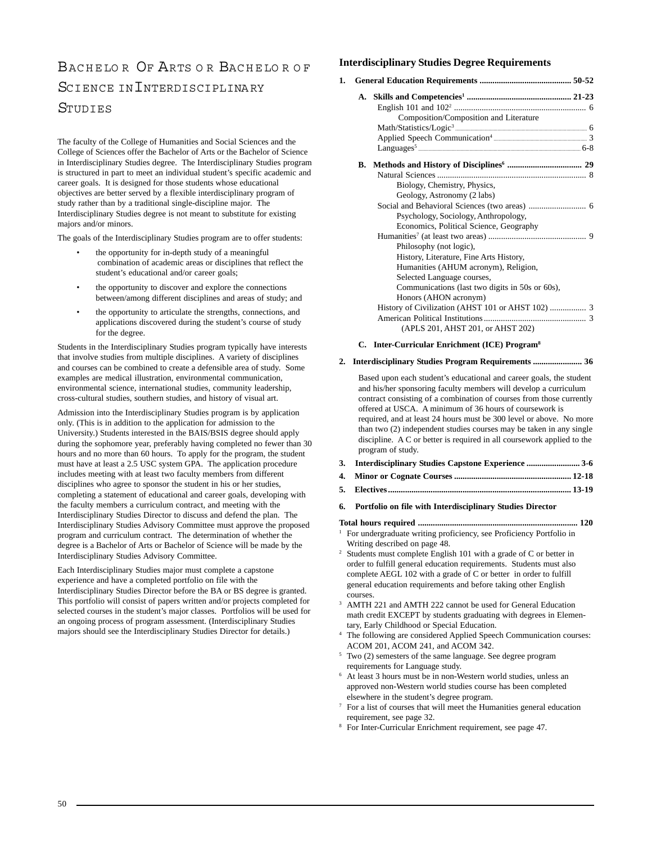# BACHELOR OF ARTS OR BACHELOR OF SCIENCE IN INTERDISCIPLINARY **STUDIES**

The faculty of the College of Humanities and Social Sciences and the College of Sciences offer the Bachelor of Arts or the Bachelor of Science in Interdisciplinary Studies degree. The Interdisciplinary Studies program is structured in part to meet an individual student's specific academic and career goals. It is designed for those students whose educational objectives are better served by a flexible interdisciplinary program of study rather than by a traditional single-discipline major. The Interdisciplinary Studies degree is not meant to substitute for existing majors and/or minors.

The goals of the Interdisciplinary Studies program are to offer students:

- the opportunity for in-depth study of a meaningful combination of academic areas or disciplines that reflect the student's educational and/or career goals;
- the opportunity to discover and explore the connections between/among different disciplines and areas of study; and
- the opportunity to articulate the strengths, connections, and applications discovered during the student's course of study for the degree.

Students in the Interdisciplinary Studies program typically have interests that involve studies from multiple disciplines. A variety of disciplines and courses can be combined to create a defensible area of study. Some examples are medical illustration, environmental communication, environmental science, international studies, community leadership, cross-cultural studies, southern studies, and history of visual art.

Admission into the Interdisciplinary Studies program is by application only. (This is in addition to the application for admission to the University.) Students interested in the BAIS/BSIS degree should apply during the sophomore year, preferably having completed no fewer than 30 hours and no more than 60 hours. To apply for the program, the student must have at least a 2.5 USC system GPA. The application procedure includes meeting with at least two faculty members from different disciplines who agree to sponsor the student in his or her studies, completing a statement of educational and career goals, developing with the faculty members a curriculum contract, and meeting with the Interdisciplinary Studies Director to discuss and defend the plan. The Interdisciplinary Studies Advisory Committee must approve the proposed program and curriculum contract. The determination of whether the degree is a Bachelor of Arts or Bachelor of Science will be made by the Interdisciplinary Studies Advisory Committee.

Each Interdisciplinary Studies major must complete a capstone experience and have a completed portfolio on file with the Interdisciplinary Studies Director before the BA or BS degree is granted. This portfolio will consist of papers written and/or projects completed for selected courses in the student's major classes. Portfolios will be used for an ongoing process of program assessment. (Interdisciplinary Studies majors should see the Interdisciplinary Studies Director for details.)

# **Interdisciplinary Studies Degree Requirements**

|  | Composition/Composition and Literature            |  |
|--|---------------------------------------------------|--|
|  |                                                   |  |
|  |                                                   |  |
|  |                                                   |  |
|  |                                                   |  |
|  |                                                   |  |
|  | Biology, Chemistry, Physics,                      |  |
|  | Geology, Astronomy (2 labs)                       |  |
|  |                                                   |  |
|  | Psychology, Sociology, Anthropology,              |  |
|  | Economics, Political Science, Geography           |  |
|  |                                                   |  |
|  | Philosophy (not logic),                           |  |
|  | History, Literature, Fine Arts History,           |  |
|  | Humanities (AHUM acronym), Religion,              |  |
|  | Selected Language courses,                        |  |
|  | Communications (last two digits in 50s or 60s),   |  |
|  | Honors (AHON acronym)                             |  |
|  | History of Civilization (AHST 101 or AHST 102)  3 |  |
|  |                                                   |  |
|  | (APLS 201, AHST 201, or AHST 202)                 |  |
|  |                                                   |  |

#### **C. Inter-Curricular Enrichment (ICE) Program8**

#### **2. Interdisciplinary Studies Program Requirements ....................... 36**

Based upon each student's educational and career goals, the student and his/her sponsoring faculty members will develop a curriculum contract consisting of a combination of courses from those currently offered at USCA. A minimum of 36 hours of coursework is required, and at least 24 hours must be 300 level or above. No more than two (2) independent studies courses may be taken in any single discipline. A C or better is required in all coursework applied to the program of study.

- **3. Interdisciplinary Studies Capstone Experience ......................... 3-6**
- **4. Minor or Cognate Courses ....................................................... 12-18**
- **5. Electives ...................................................................................... 13-19**
- **6. Portfolio on file with Interdisciplinary Studies Director**

**Total hours required ........................................................................... 120** <sup>1</sup> For undergraduate writing proficiency, see Proficiency Portfolio in Writing described on page 48.

<sup>2</sup> Students must complete English 101 with a grade of C or better in order to fulfill general education requirements. Students must also complete AEGL 102 with a grade of C or better in order to fulfill general education requirements and before taking other English courses.

<sup>3</sup> AMTH 221 and AMTH 222 cannot be used for General Education math credit EXCEPT by students graduating with degrees in Elementary, Early Childhood or Special Education.

The following are considered Applied Speech Communication courses: ACOM 201, ACOM 241, and ACOM 342.

- <sup>5</sup> Two (2) semesters of the same language. See degree program requirements for Language study.
- <sup>6</sup> At least 3 hours must be in non-Western world studies, unless an approved non-Western world studies course has been completed elsewhere in the student's degree program.
- $7$  For a list of courses that will meet the Humanities general education requirement, see page 32.
- <sup>8</sup> For Inter-Curricular Enrichment requirement, see page 47.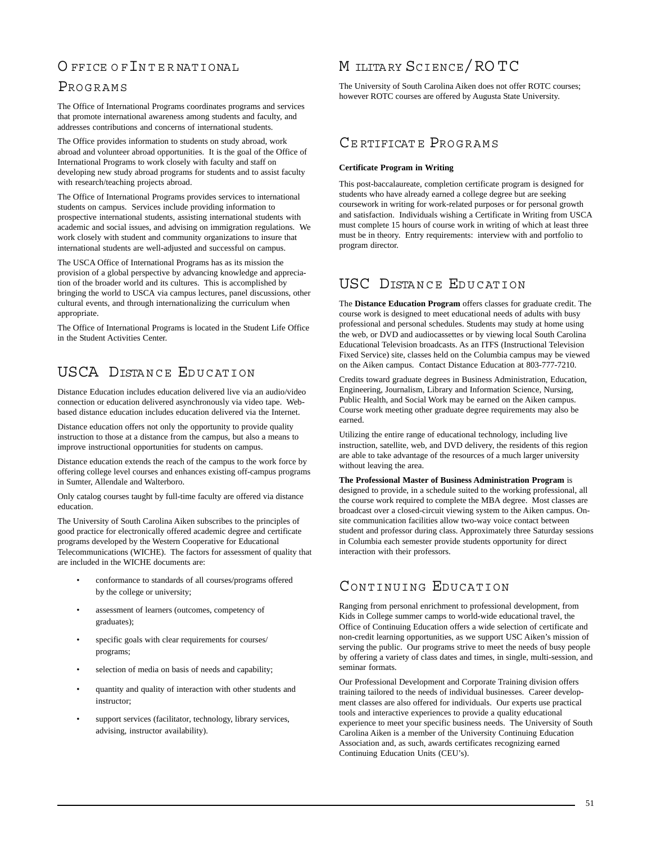# O FFICE OF INTERNATIONAL

# PROGRAMS

The Office of International Programs coordinates programs and services that promote international awareness among students and faculty, and addresses contributions and concerns of international students.

The Office provides information to students on study abroad, work abroad and volunteer abroad opportunities. It is the goal of the Office of International Programs to work closely with faculty and staff on developing new study abroad programs for students and to assist faculty with research/teaching projects abroad.

The Office of International Programs provides services to international students on campus. Services include providing information to prospective international students, assisting international students with academic and social issues, and advising on immigration regulations. We work closely with student and community organizations to insure that international students are well-adjusted and successful on campus.

The USCA Office of International Programs has as its mission the provision of a global perspective by advancing knowledge and appreciation of the broader world and its cultures. This is accomplished by bringing the world to USCA via campus lectures, panel discussions, other cultural events, and through internationalizing the curriculum when appropriate.

The Office of International Programs is located in the Student Life Office in the Student Activities Center.

# USCA DISTANCE EDUCATION

Distance Education includes education delivered live via an audio/video connection or education delivered asynchronously via video tape. Webbased distance education includes education delivered via the Internet.

Distance education offers not only the opportunity to provide quality instruction to those at a distance from the campus, but also a means to improve instructional opportunities for students on campus.

Distance education extends the reach of the campus to the work force by offering college level courses and enhances existing off-campus programs in Sumter, Allendale and Walterboro.

Only catalog courses taught by full-time faculty are offered via distance education.

The University of South Carolina Aiken subscribes to the principles of good practice for electronically offered academic degree and certificate programs developed by the Western Cooperative for Educational Telecommunications (WICHE). The factors for assessment of quality that are included in the WICHE documents are:

- conformance to standards of all courses/programs offered by the college or university;
- assessment of learners (outcomes, competency of graduates);
- specific goals with clear requirements for courses/ programs;
- selection of media on basis of needs and capability;
- quantity and quality of interaction with other students and instructor;
- support services (facilitator, technology, library services, advising, instructor availability).

# M ILITA RY SCIENCE/RO TC

The University of South Carolina Aiken does not offer ROTC courses; however ROTC courses are offered by Augusta State University.

# CERTIFICATE PROGRAMS

### **Certificate Program in Writing**

This post-baccalaureate, completion certificate program is designed for students who have already earned a college degree but are seeking coursework in writing for work-related purposes or for personal growth and satisfaction. Individuals wishing a Certificate in Writing from USCA must complete 15 hours of course work in writing of which at least three must be in theory. Entry requirements: interview with and portfolio to program director.

# USC DISTANCE EDUCATION

The **Distance Education Program** offers classes for graduate credit. The course work is designed to meet educational needs of adults with busy professional and personal schedules. Students may study at home using the web, or DVD and audiocassettes or by viewing local South Carolina Educational Television broadcasts. As an ITFS (Instructional Television Fixed Service) site, classes held on the Columbia campus may be viewed on the Aiken campus. Contact Distance Education at 803-777-7210.

Credits toward graduate degrees in Business Administration, Education, Engineering, Journalism, Library and Information Science, Nursing, Public Health, and Social Work may be earned on the Aiken campus. Course work meeting other graduate degree requirements may also be earned.

Utilizing the entire range of educational technology, including live instruction, satellite, web, and DVD delivery, the residents of this region are able to take advantage of the resources of a much larger university without leaving the area.

# **The Professional Master of Business Administration Program** is

designed to provide, in a schedule suited to the working professional, all the course work required to complete the MBA degree. Most classes are broadcast over a closed-circuit viewing system to the Aiken campus. Onsite communication facilities allow two-way voice contact between student and professor during class. Approximately three Saturday sessions in Columbia each semester provide students opportunity for direct interaction with their professors.

# [CONTINUING EDUCATION](http://web.usca.edu/conted/)

Ranging from personal enrichment to professional development, from Kids in College summer camps to world-wide educational travel, the Office of Continuing Education offers a wide selection of certificate and non-credit learning opportunities, as we support USC Aiken's mission of serving the public. Our programs strive to meet the needs of busy people by offering a variety of class dates and times, in single, multi-session, and seminar formats.

Our Professional Development and Corporate Training division offers training tailored to the needs of individual businesses. Career development classes are also offered for individuals. Our experts use practical tools and interactive experiences to provide a quality educational experience to meet your specific business needs. The University of South Carolina Aiken is a member of the University Continuing Education Association and, as such, awards certificates recognizing earned Continuing Education Units (CEU's).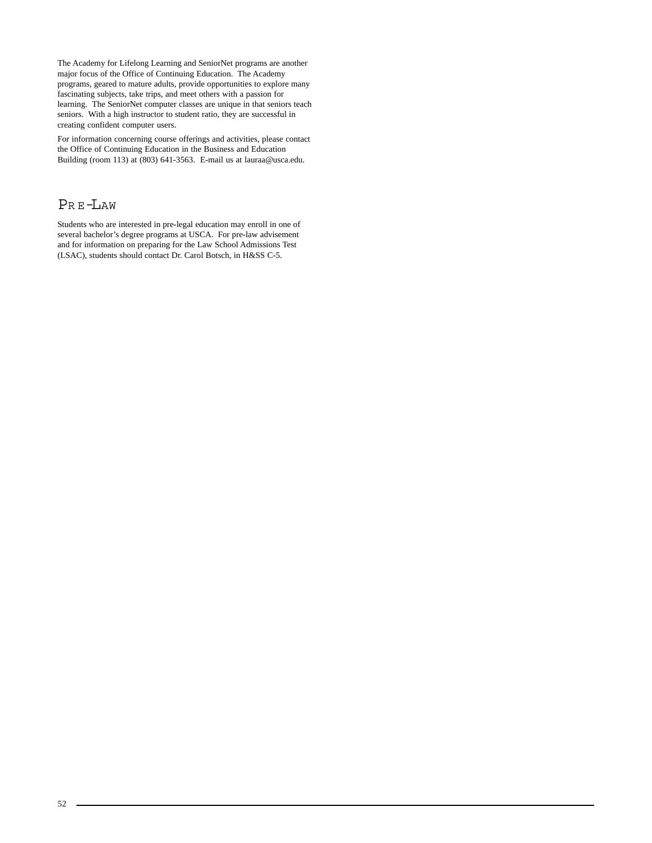The Academy for Lifelong Learning and SeniorNet programs are another major focus of the Office of Continuing Education. The Academy programs, geared to mature adults, provide opportunities to explore many fascinating subjects, take trips, and meet others with a passion for learning. The SeniorNet computer classes are unique in that seniors teach seniors. With a high instructor to student ratio, they are successful in creating confident computer users.

For information concerning course offerings and activities, please contact the Office of Continuing Education in the Business and Education Building (room 113) at (803) 641-3563. E-mail us at lauraa@usca.edu.

# PR E-LAW

Students who are interested in pre-legal education may enroll in one of several bachelor's degree programs at USCA. For pre-law advisement and for information on preparing for the Law School Admissions Test (LSAC), students should contact Dr. Carol Botsch, in H&SS C-5.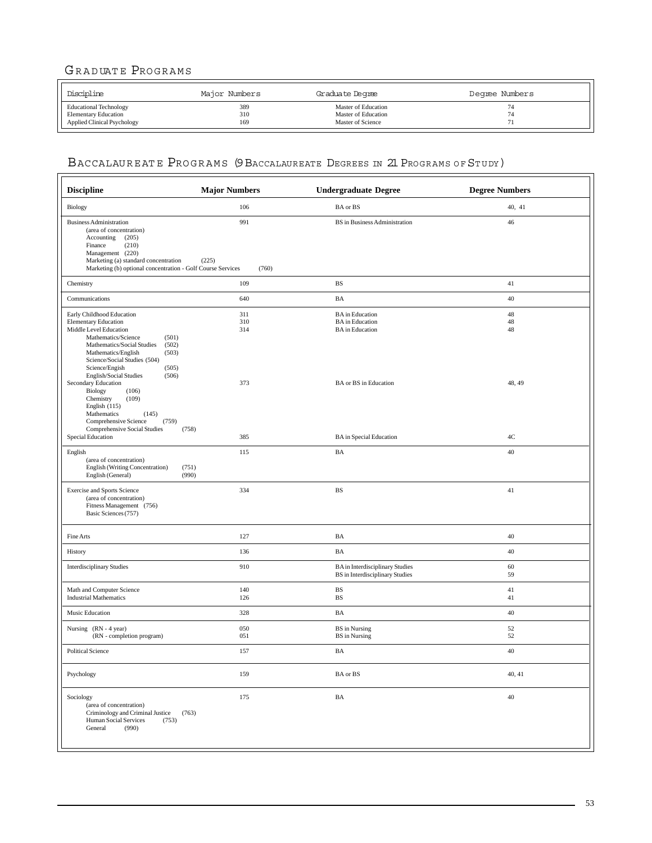# GRADUATE PROGRAMS

| Discipline                         | Major Numbers | Graduate Degree     | Degree Numbers |
|------------------------------------|---------------|---------------------|----------------|
| <b>Educational Technology</b>      | 389           | Master of Education |                |
| <b>Elementary Education</b>        | 310           | Master of Education |                |
| <b>Applied Clinical Psychology</b> | 169           | Master of Science   |                |

# BACCALAUREATE PROGRAMS (9 BACCALAUREATE DEGREES IN 21 PROGRAMS OF STUDY)

| <b>Discipline</b>                                                                                                                                                                                                                                    | <b>Major Numbers</b>  | <b>Undergraduate Degree</b>                                                      | <b>Degree Numbers</b> |
|------------------------------------------------------------------------------------------------------------------------------------------------------------------------------------------------------------------------------------------------------|-----------------------|----------------------------------------------------------------------------------|-----------------------|
| <b>Biology</b>                                                                                                                                                                                                                                       | 106                   | BA or BS                                                                         | 40, 41                |
| <b>Business Administration</b><br>(area of concentration)<br>Accounting<br>(205)<br>(210)<br>Finance<br>Management (220)<br>Marketing (a) standard concentration<br>Marketing (b) optional concentration - Golf Course Services                      | 991<br>(225)<br>(760) | BS in Business Administration                                                    | 46                    |
| Chemistry                                                                                                                                                                                                                                            | 109                   | <b>BS</b>                                                                        | 41                    |
| Communications                                                                                                                                                                                                                                       | 640                   | BA                                                                               | 40                    |
| Early Childhood Education<br><b>Elementary Education</b><br>Middle Level Education<br>Mathematics/Science<br>(501)<br>Mathematics/Social Studies<br>(502)<br>Mathematics/English<br>(503)<br>Science/Social Studies (504)<br>Science/Engish<br>(505) | 311<br>310<br>314     | <b>BA</b> in Education<br><b>BA</b> in Education<br><b>BA</b> in Education       | 48<br>48<br>48        |
| English/Social Studies<br>(506)<br>Secondary Education<br>Biology<br>(106)<br>Chemistry<br>(109)<br>English (115)<br>Mathematics<br>(145)<br>Comprehensive Science<br>(759)<br>Comprehensive Social Studies                                          | 373<br>(758)          | <b>BA</b> or <b>BS</b> in Education                                              | 48, 49                |
| Special Education                                                                                                                                                                                                                                    | 385                   | <b>BA</b> in Special Education                                                   | 4C                    |
| English<br>(area of concentration)<br>English (Writing Concentration)<br>English (General)                                                                                                                                                           | 115<br>(751)<br>(990) | BA                                                                               | 40                    |
| <b>Exercise and Sports Science</b><br>(area of concentration)<br>Fitness Management (756)<br>Basic Sciences (757)                                                                                                                                    | 334                   | <b>BS</b>                                                                        | 41                    |
| Fine Arts                                                                                                                                                                                                                                            | 127                   | BA                                                                               | 40                    |
| History                                                                                                                                                                                                                                              | 136                   | BA                                                                               | 40                    |
| <b>Interdisciplinary Studies</b>                                                                                                                                                                                                                     | 910                   | <b>BA</b> in Interdisciplinary Studies<br><b>BS</b> in Interdisciplinary Studies | 60<br>59              |
| Math and Computer Science<br><b>Industrial Mathematics</b>                                                                                                                                                                                           | 140<br>126            | <b>BS</b><br><b>BS</b>                                                           | 41<br>41              |
| Music Education                                                                                                                                                                                                                                      | 328                   | BA                                                                               | 40                    |
| Nursing (RN - 4 year)<br>(RN - completion program)                                                                                                                                                                                                   | 050<br>051            | <b>BS</b> in Nursing<br><b>BS</b> in Nursing                                     | 52<br>52              |
| <b>Political Science</b>                                                                                                                                                                                                                             | 157                   | BA                                                                               | 40                    |
| Psychology                                                                                                                                                                                                                                           | 159                   | BA or BS                                                                         | 40, 41                |
| Sociology<br>(area of concentration)<br>Criminology and Criminal Justice<br>Human Social Services<br>(753)<br>General<br>(990)                                                                                                                       | 175<br>(763)          | $\rm BA$                                                                         | 40                    |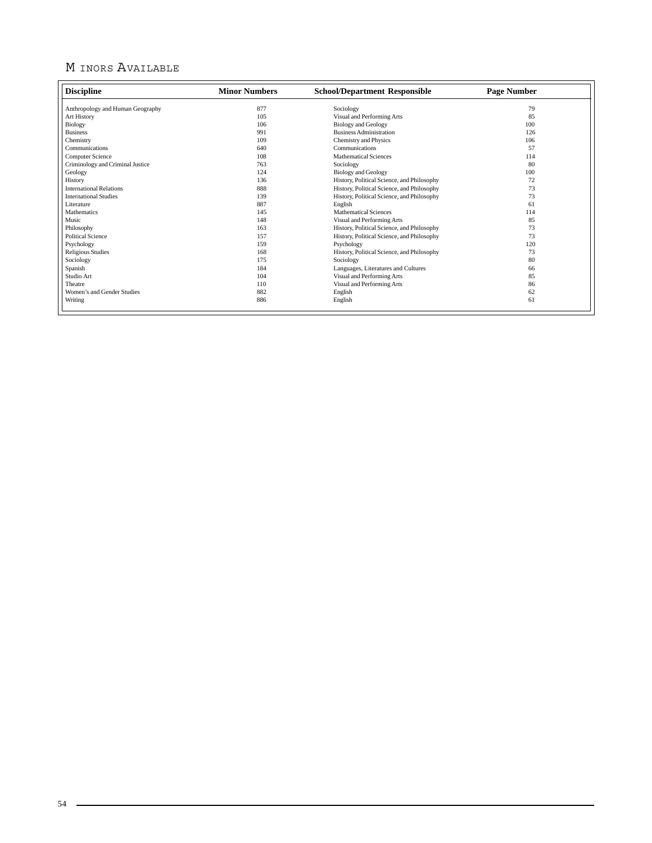# M INORS AVAILABLE

| <b>Discipline</b>                | <b>Minor Numbers</b> | <b>School/Department Responsible</b>       | <b>Page Number</b> |
|----------------------------------|----------------------|--------------------------------------------|--------------------|
| Anthropology and Human Geography | 877                  | Sociology                                  | 79                 |
| Art History                      | 105                  | Visual and Performing Arts                 | 85                 |
| Biology                          | 106                  | <b>Biology</b> and Geology                 | 100                |
| <b>Business</b>                  | 991                  | <b>Business Administration</b>             | 126                |
| Chemistry                        | 109                  | Chemistry and Physics                      | 106                |
| Communications                   | 640                  | Communications                             | 57                 |
| <b>Computer Science</b>          | 108                  | <b>Mathematical Sciences</b>               | 114                |
| Criminology and Criminal Justice | 763                  | Sociology                                  | 80                 |
| Geology                          | 124                  | <b>Biology and Geology</b>                 | 100                |
| History                          | 136                  | History, Political Science, and Philosophy | 72                 |
| <b>International Relations</b>   | 888                  | History, Political Science, and Philosophy | 73                 |
| <b>International Studies</b>     | 139                  | History, Political Science, and Philosophy | 73                 |
| Literature                       | 887                  | English                                    | 61                 |
| Mathematics                      | 145                  | <b>Mathematical Sciences</b>               | 114                |
| Music                            | 148                  | Visual and Performing Arts                 | 85                 |
| Philosophy                       | 163                  | History, Political Science, and Philosophy | 73                 |
| <b>Political Science</b>         | 157                  | History, Political Science, and Philosophy | 73                 |
| Psychology                       | 159                  | Psychology                                 | 120                |
| <b>Religious Studies</b>         | 168                  | History, Political Science, and Philosophy | 73                 |
| Sociology                        | 175                  | Sociology                                  | 80                 |
| Spanish                          | 184                  | Languages, Literatures and Cultures        | 66                 |
| Studio Art                       | 104                  | Visual and Performing Arts                 | 85                 |
| Theatre                          | 110                  | Visual and Performing Arts                 | 86                 |
| Women's and Gender Studies       | 882                  | English                                    | 62                 |
| Writing                          | 886                  | English                                    | 61                 |
|                                  |                      |                                            |                    |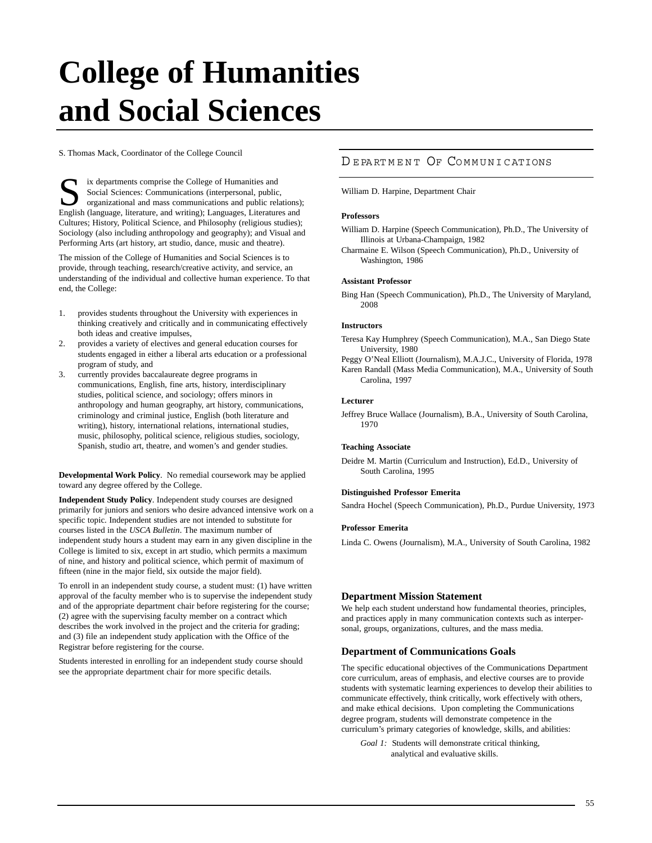# **College of Humanities and Social Sciences**

S. Thomas Mack, Coordinator of the College Council

ix departments comprise the College of Humanities and Social Sciences: Communications (interpersonal, public, organizational and mass communications and public relations); English (language, literature, and writing); Languages, Literatures and Cultures; History, Political Science, and Philosophy (religious studies); Sociology (also including anthropology and geography); and Visual and Performing Arts (art history, art studio, dance, music and theatre).

The mission of the College of Humanities and Social Sciences is to provide, through teaching, research/creative activity, and service, an understanding of the individual and collective human experience. To that end, the College:

- 1. provides students throughout the University with experiences in thinking creatively and critically and in communicating effectively both ideas and creative impulses,
- 2. provides a variety of electives and general education courses for students engaged in either a liberal arts education or a professional program of study, and
- 3. currently provides baccalaureate degree programs in communications, English, fine arts, history, interdisciplinary studies, political science, and sociology; offers minors in anthropology and human geography, art history, communications, criminology and criminal justice, English (both literature and writing), history, international relations, international studies, music, philosophy, political science, religious studies, sociology, Spanish, studio art, theatre, and women's and gender studies.

**Developmental Work Policy**. No remedial coursework may be applied toward any degree offered by the College.

**Independent Study Policy**. Independent study courses are designed primarily for juniors and seniors who desire advanced intensive work on a specific topic. Independent studies are not intended to substitute for courses listed in the *USCA Bulletin*. The maximum number of independent study hours a student may earn in any given discipline in the College is limited to six, except in art studio, which permits a maximum of nine, and history and political science, which permit of maximum of fifteen (nine in the major field, six outside the major field).

To enroll in an independent study course, a student must: (1) have written approval of the faculty member who is to supervise the independent study and of the appropriate department chair before registering for the course; (2) agree with the supervising faculty member on a contract which describes the work involved in the project and the criteria for grading; and (3) file an independent study application with the Office of the Registrar before registering for the course.

Students interested in enrolling for an independent study course should see the appropriate department chair for more specific details.

# DEPARTMENT OF [COMMUNICATIONS](http://web.usca.edu/communications/)

William D. Harpine, Department Chair

#### **Professors**

William D. Harpine (Speech Communication), Ph.D., The University of Illinois at Urbana-Champaign, 1982

Charmaine E. Wilson (Speech Communication), Ph.D., University of Washington, 1986

#### **Assistant Professor**

Bing Han (Speech Communication), Ph.D., The University of Maryland, 2008

### **Instructors**

Teresa Kay Humphrey (Speech Communication), M.A., San Diego State University, 1980

Peggy O'Neal Elliott (Journalism), M.A.J.C., University of Florida, 1978 Karen Randall (Mass Media Communication), M.A., University of South Carolina, 1997

#### **Lecturer**

Jeffrey Bruce Wallace (Journalism), B.A., University of South Carolina, 1970

#### **Teaching Associate**

Deidre M. Martin (Curriculum and Instruction), Ed.D., University of South Carolina, 1995

#### **Distinguished Professor Emerita**

Sandra Hochel (Speech Communication), Ph.D., Purdue University, 1973

### **Professor Emerita**

Linda C. Owens (Journalism), M.A., University of South Carolina, 1982

#### **Department Mission Statement**

We help each student understand how fundamental theories, principles, and practices apply in many communication contexts such as interpersonal, groups, organizations, cultures, and the mass media.

#### **Department of Communications Goals**

The specific educational objectives of the Communications Department core curriculum, areas of emphasis, and elective courses are to provide students with systematic learning experiences to develop their abilities to communicate effectively, think critically, work effectively with others, and make ethical decisions. Upon completing the Communications degree program, students will demonstrate competence in the curriculum's primary categories of knowledge, skills, and abilities:

*Goal 1:* Students will demonstrate critical thinking, analytical and evaluative skills.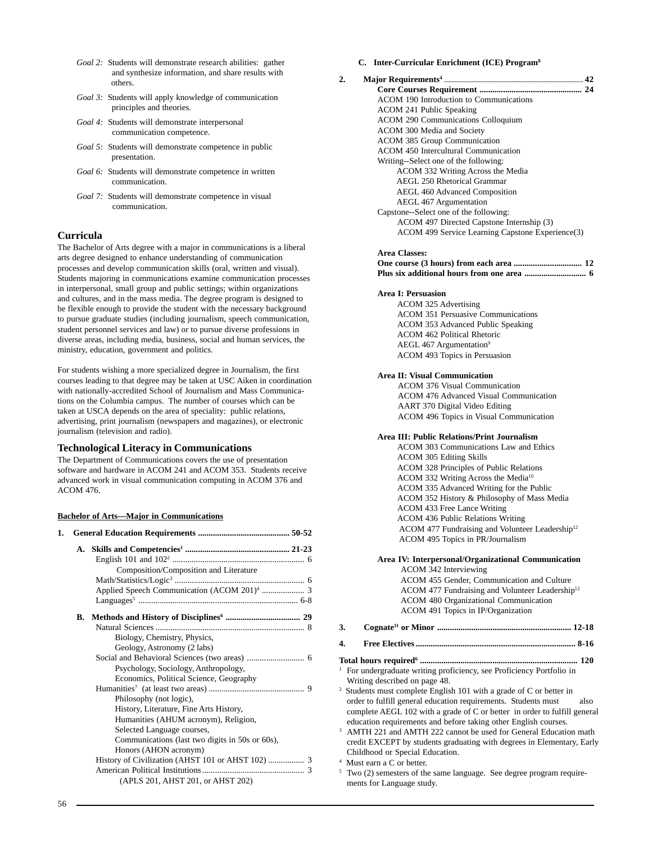- *Goal 2:* Students will demonstrate research abilities: gather and synthesize information, and share results with others.
- *Goal 3:* Students will apply knowledge of communication principles and theories.
- *Goal 4:* Students will demonstrate interpersonal communication competence.
- *Goal 5:* Students will demonstrate competence in public presentation.
- *Goal 6:* Students will demonstrate competence in written communication.
- *Goal 7:* Students will demonstrate competence in visual communication.

# **Curricula**

The Bachelor of Arts degree with a major in communications is a liberal arts degree designed to enhance understanding of communication processes and develop communication skills (oral, written and visual). Students majoring in communications examine communication processes in interpersonal, small group and public settings; within organizations and cultures, and in the mass media. The degree program is designed to be flexible enough to provide the student with the necessary background to pursue graduate studies (including journalism, speech communication, student personnel services and law) or to pursue diverse professions in diverse areas, including media, business, social and human services, the ministry, education, government and politics.

For students wishing a more specialized degree in Journalism, the first courses leading to that degree may be taken at USC Aiken in coordination with nationally-accredited School of Journalism and Mass Communications on the Columbia campus. The number of courses which can be taken at USCA depends on the area of speciality: public relations, advertising, print journalism (newspapers and magazines), or electronic journalism (television and radio).

# **Technological Literacy in Communications**

The Department of Communications covers the use of presentation software and hardware in ACOM 241 and ACOM 353. Students receive advanced work in visual communication computing in ACOM 376 and ACOM 476.

#### **Bachelor of Arts—Major in Communications**

| 1. |    |                                                   |
|----|----|---------------------------------------------------|
|    | A. |                                                   |
|    |    |                                                   |
|    |    | Composition/Composition and Literature            |
|    |    |                                                   |
|    |    |                                                   |
|    |    |                                                   |
|    |    |                                                   |
|    |    |                                                   |
|    |    | Biology, Chemistry, Physics,                      |
|    |    | Geology, Astronomy (2 labs)                       |
|    |    |                                                   |
|    |    | Psychology, Sociology, Anthropology,              |
|    |    | Economics, Political Science, Geography           |
|    |    |                                                   |
|    |    | Philosophy (not logic),                           |
|    |    | History, Literature, Fine Arts History,           |
|    |    | Humanities (AHUM acronym), Religion,              |
|    |    | Selected Language courses,                        |
|    |    | Communications (last two digits in 50s or 60s),   |
|    |    | Honors (AHON acronym)                             |
|    |    | History of Civilization (AHST 101 or AHST 102)  3 |
|    |    |                                                   |
|    |    | (APLS 201, AHST 201, or AHST 202)                 |

### **C. Inter-Curricular Enrichment (ICE) Program8**

| 2. |                                                  | 42 |
|----|--------------------------------------------------|----|
|    |                                                  |    |
|    | ACOM 190 Introduction to Communications          |    |
|    | ACOM 241 Public Speaking                         |    |
|    | <b>ACOM 290 Communications Colloquium</b>        |    |
|    | ACOM 300 Media and Society                       |    |
|    | ACOM 385 Group Communication                     |    |
|    | ACOM 450 Intercultural Communication             |    |
|    | Writing--Select one of the following:            |    |
|    | ACOM 332 Writing Across the Media                |    |
|    | AEGL 250 Rhetorical Grammar                      |    |
|    | <b>AEGL 460 Advanced Composition</b>             |    |
|    | <b>AEGL 467 Argumentation</b>                    |    |
|    | Capstone--Select one of the following:           |    |
|    | ACOM 497 Directed Capstone Internship (3)        |    |
|    | ACOM 499 Service Learning Capstone Experience(3) |    |
|    | Area Classes:                                    |    |

# **One course (3 hours) from each area ................................ 12**

### **Area I: Persuasion**

ACOM 325 Advertising ACOM 351 Persuasive Communications ACOM 353 Advanced Public Speaking ACOM 462 Political Rhetoric AEGL 467 Argumentation<sup>9</sup> ACOM 493 Topics in Persuasion

#### **Area II: Visual Communication**

ACOM 376 Visual Communication ACOM 476 Advanced Visual Communication AART 370 Digital Video Editing ACOM 496 Topics in Visual Communication

#### **Area III: Public Relations/Print Journalism**

ACOM 303 Communications Law and Ethics ACOM 305 Editing Skills ACOM 328 Principles of Public Relations ACOM 332 Writing Across the Media10 ACOM 335 Advanced Writing for the Public ACOM 352 History & Philosophy of Mass Media ACOM 433 Free Lance Writing ACOM 436 Public Relations Writing ACOM 477 Fundraising and Volunteer Leadership<sup>12</sup> ACOM 495 Topics in PR/Journalism

### **Area IV: Interpersonal/Organizational Communication** ACOM 342 Interviewing ACOM 455 Gender, Communication and Culture ACOM 477 Fundraising and Volunteer Leadership<sup>12</sup> ACOM 480 Organizational Communication ACOM 491 Topics in IP/Organization

**3. Cognate11 or Minor ............................................................... 12-18**

### **4. Free Electives ........................................................................... 8-16**

- **Total hours required6 .......................................................................... 120**
- <sup>1</sup> For undergraduate writing proficiency, see Proficiency Portfolio in Writing described on page 48.

2 Students must complete English 101 with a grade of C or better in order to fulfill general education requirements. Students must also complete AEGL 102 with a grade of C or better in order to fulfill general education requirements and before taking other English courses.

<sup>3</sup> AMTH 221 and AMTH 222 cannot be used for General Education math credit EXCEPT by students graduating with degrees in Elementary, Early Childhood or Special Education.

4 Must earn a C or better.

<sup>5</sup> Two (2) semesters of the same language. See degree program requirements for Language study.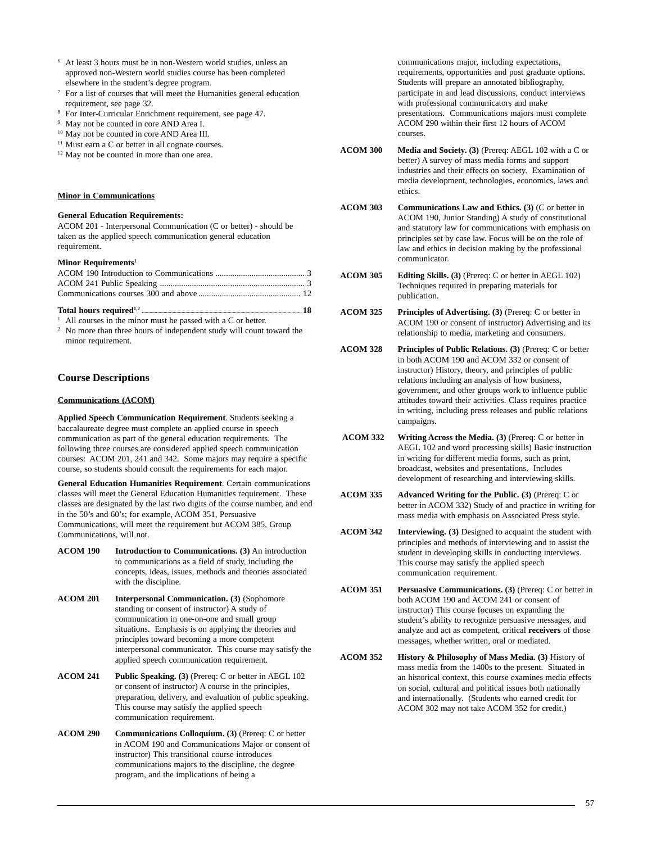- <sup>6</sup> At least 3 hours must be in non-Western world studies, unless an approved non-Western world studies course has been completed elsewhere in the student's degree program.
- <sup>7</sup> For a list of courses that will meet the Humanities general education requirement, see page 32.
- <sup>8</sup> For Inter-Curricular Enrichment requirement, see page 47.
- May not be counted in core AND Area I.
- <sup>10</sup> May not be counted in core AND Area III.
- <sup>11</sup> Must earn a C or better in all cognate courses.
- <sup>12</sup> May not be counted in more than one area.

#### **Minor in Communications**

#### **General Education Requirements:**

ACOM 201 - Interpersonal Communication (C or better) - should be taken as the applied speech communication general education requirement.

#### **Minor Requirements1**

All courses in the minor must be passed with a C or better.

<sup>2</sup> No more than three hours of independent study will count toward the minor requirement.

# **Course Descriptions**

#### **Communications (ACOM)**

**Applied Speech Communication Requirement**. Students seeking a baccalaureate degree must complete an applied course in speech communication as part of the general education requirements. The following three courses are considered applied speech communication courses: ACOM 201, 241 and 342. Some majors may require a specific course, so students should consult the requirements for each major.

**General Education Humanities Requirement**. Certain communications classes will meet the General Education Humanities requirement. These classes are designated by the last two digits of the course number, and end in the 50's and 60's; for example, ACOM 351, Persuasive Communications, will meet the requirement but ACOM 385, Group Communications, will not.

- **ACOM 190 Introduction to Communications. (3)** An introduction to communications as a field of study, including the concepts, ideas, issues, methods and theories associated with the discipline.
- **ACOM 201 Interpersonal Communication. (3)** (Sophomore standing or consent of instructor) A study of communication in one-on-one and small group situations. Emphasis is on applying the theories and principles toward becoming a more competent interpersonal communicator. This course may satisfy the applied speech communication requirement.
- **ACOM 241 Public Speaking. (3)** (Prereq: C or better in AEGL 102 or consent of instructor) A course in the principles, preparation, delivery, and evaluation of public speaking. This course may satisfy the applied speech communication requirement.
- **ACOM 290 Communications Colloquium. (3)** (Prereq: C or better in ACOM 190 and Communications Major or consent of instructor) This transitional course introduces communications majors to the discipline, the degree program, and the implications of being a

communications major, including expectations, requirements, opportunities and post graduate options. Students will prepare an annotated bibliography, participate in and lead discussions, conduct interviews with professional communicators and make presentations. Communications majors must complete ACOM 290 within their first 12 hours of ACOM courses.

- **ACOM 300 Media and Society. (3)** (Prereq: AEGL 102 with a C or better) A survey of mass media forms and support industries and their effects on society. Examination of media development, technologies, economics, laws and ethics.
- **ACOM 303 Communications Law and Ethics. (3)** (C or better in ACOM 190, Junior Standing) A study of constitutional and statutory law for communications with emphasis on principles set by case law. Focus will be on the role of law and ethics in decision making by the professional communicator.
- **ACOM 305 Editing Skills. (3)** (Prereq: C or better in AEGL 102) Techniques required in preparing materials for publication.
- **ACOM 325 Principles of Advertising. (3)** (Prereq: C or better in ACOM 190 or consent of instructor) Advertising and its relationship to media, marketing and consumers.
- **ACOM 328 Principles of Public Relations. (3)** (Prereq: C or better in both ACOM 190 and ACOM 332 or consent of instructor) History, theory, and principles of public relations including an analysis of how business, government, and other groups work to influence public attitudes toward their activities. Class requires practice in writing, including press releases and public relations campaigns.
- **ACOM 332 Writing Across the Media. (3)** (Prereq: C or better in AEGL 102 and word processing skills) Basic instruction in writing for different media forms, such as print, broadcast, websites and presentations. Includes development of researching and interviewing skills.
- **ACOM 335 Advanced Writing for the Public. (3)** (Prereq: C or better in ACOM 332) Study of and practice in writing for mass media with emphasis on Associated Press style.
- **ACOM 342 Interviewing. (3)** Designed to acquaint the student with principles and methods of interviewing and to assist the student in developing skills in conducting interviews. This course may satisfy the applied speech communication requirement.
- **ACOM 351 Persuasive Communications. (3)** (Prereq: C or better in both ACOM 190 and ACOM 241 or consent of instructor) This course focuses on expanding the student's ability to recognize persuasive messages, and analyze and act as competent, critical **receivers** of those messages, whether written, oral or mediated.
- **ACOM 352 History & Philosophy of Mass Media. (3)** History of mass media from the 1400s to the present. Situated in an historical context, this course examines media effects on social, cultural and political issues both nationally and internationally. (Students who earned credit for ACOM 302 may not take ACOM 352 for credit.)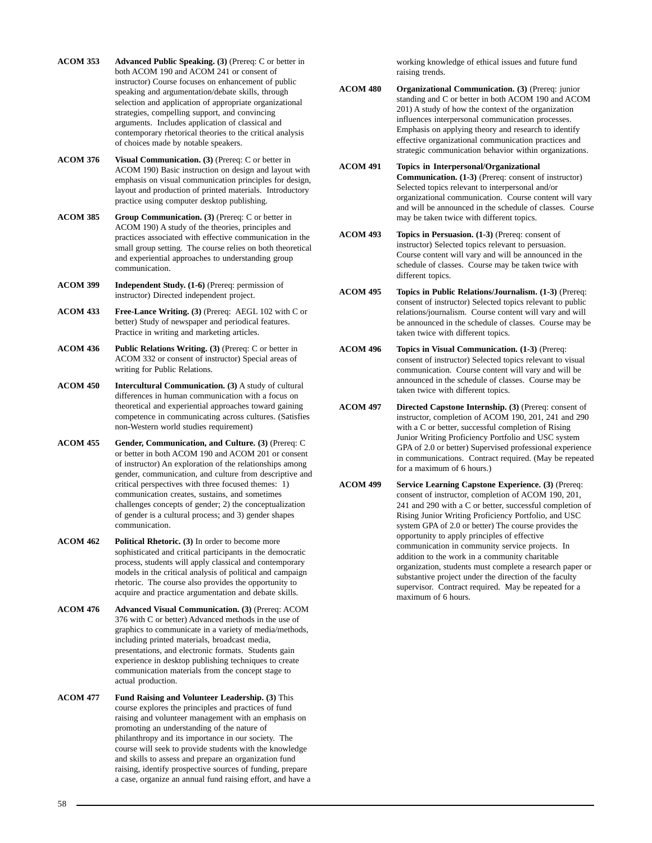**ACOM 353 Advanced Public Speaking. (3)** (Prereq: C or better in both ACOM 190 and ACOM 241 or consent of instructor) Course focuses on enhancement of public speaking and argumentation/debate skills, through selection and application of appropriate organizational strategies, compelling support, and convincing arguments. Includes application of classical and contemporary rhetorical theories to the critical analysis of choices made by notable speakers.

**ACOM 376 Visual Communication. (3)** (Prereq: C or better in ACOM 190) Basic instruction on design and layout with emphasis on visual communication principles for design, layout and production of printed materials. Introductory practice using computer desktop publishing.

**ACOM 385 Group Communication. (3)** (Prereq: C or better in ACOM 190) A study of the theories, principles and practices associated with effective communication in the small group setting. The course relies on both theoretical and experiential approaches to understanding group communication.

**ACOM 399 Independent Study. (1-6)** (Prereq: permission of instructor) Directed independent project.

**ACOM 433 Free-Lance Writing. (3)** (Prereq: AEGL 102 with C or better) Study of newspaper and periodical features. Practice in writing and marketing articles.

**ACOM 436 Public Relations Writing. (3)** (Prereq: C or better in ACOM 332 or consent of instructor) Special areas of writing for Public Relations.

**ACOM 450 Intercultural Communication. (3)** A study of cultural differences in human communication with a focus on theoretical and experiential approaches toward gaining competence in communicating across cultures. (Satisfies non-Western world studies requirement)

**ACOM 455 Gender, Communication, and Culture. (3)** (Prereq: C or better in both ACOM 190 and ACOM 201 or consent of instructor) An exploration of the relationships among gender, communication, and culture from descriptive and critical perspectives with three focused themes: 1) communication creates, sustains, and sometimes challenges concepts of gender; 2) the conceptualization of gender is a cultural process; and 3) gender shapes communication.

**ACOM 462 Political Rhetoric. (3)** In order to become more sophisticated and critical participants in the democratic process, students will apply classical and contemporary models in the critical analysis of political and campaign rhetoric. The course also provides the opportunity to acquire and practice argumentation and debate skills.

**ACOM 476 Advanced Visual Communication. (3)** (Prereq: ACOM 376 with C or better) Advanced methods in the use of graphics to communicate in a variety of media/methods, including printed materials, broadcast media, presentations, and electronic formats. Students gain experience in desktop publishing techniques to create communication materials from the concept stage to actual production.

**ACOM 477 Fund Raising and Volunteer Leadership. (3)** This course explores the principles and practices of fund raising and volunteer management with an emphasis on promoting an understanding of the nature of philanthropy and its importance in our society. The course will seek to provide students with the knowledge and skills to assess and prepare an organization fund raising, identify prospective sources of funding, prepare a case, organize an annual fund raising effort, and have a

working knowledge of ethical issues and future fund raising trends.

**ACOM 480 Organizational Communication. (3)** (Prereq: junior standing and C or better in both ACOM 190 and ACOM 201) A study of how the context of the organization influences interpersonal communication processes. Emphasis on applying theory and research to identify effective organizational communication practices and strategic communication behavior within organizations.

**ACOM 491 Topics in Interpersonal/Organizational Communication. (1-3)** (Prereq: consent of instructor) Selected topics relevant to interpersonal and/or organizational communication. Course content will vary and will be announced in the schedule of classes. Course may be taken twice with different topics.

**ACOM 493 Topics in Persuasion. (1-3)** (Prereq: consent of instructor) Selected topics relevant to persuasion. Course content will vary and will be announced in the schedule of classes. Course may be taken twice with different topics.

**ACOM 495 Topics in Public Relations/Journalism. (1-3)** (Prereq: consent of instructor) Selected topics relevant to public relations/journalism. Course content will vary and will be announced in the schedule of classes. Course may be taken twice with different topics.

**ACOM 496 Topics in Visual Communication. (1-3)** (Prereq: consent of instructor) Selected topics relevant to visual communication. Course content will vary and will be announced in the schedule of classes. Course may be taken twice with different topics.

**ACOM 497 Directed Capstone Internship. (3)** (Prereq: consent of instructor, completion of ACOM 190, 201, 241 and 290 with a C or better, successful completion of Rising Junior Writing Proficiency Portfolio and USC system GPA of 2.0 or better) Supervised professional experience in communications. Contract required. (May be repeated for a maximum of 6 hours.)

**ACOM 499 Service Learning Capstone Experience. (3)** (Prereq: consent of instructor, completion of ACOM 190, 201, 241 and 290 with a C or better, successful completion of Rising Junior Writing Proficiency Portfolio, and USC system GPA of 2.0 or better) The course provides the opportunity to apply principles of effective communication in community service projects. In addition to the work in a community charitable organization, students must complete a research paper or substantive project under the direction of the faculty supervisor. Contract required. May be repeated for a maximum of 6 hours.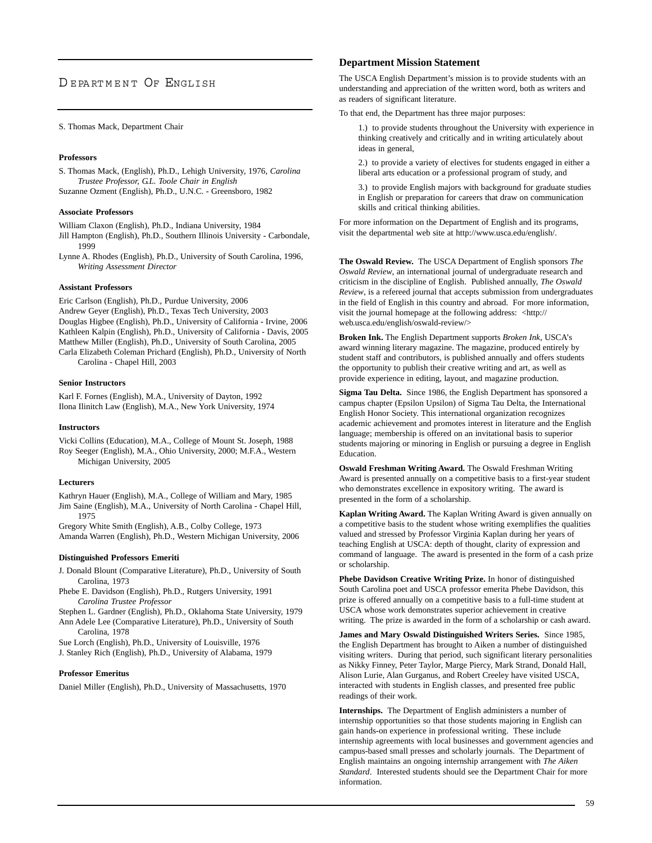# DEPARTMENT OF ENGLISH

#### S. Thomas Mack, Department Chair

#### **Professors**

S. Thomas Mack, (English), Ph.D., Lehigh University, 1976, *Carolina Trustee Professor, G.L. Toole Chair in English* Suzanne Ozment (English), Ph.D., U.N.C. - Greensboro, 1982

#### **Associate Professors**

William Claxon (English), Ph.D., Indiana University, 1984 Jill Hampton (English), Ph.D., Southern Illinois University - Carbondale, 1999

Lynne A. Rhodes (English), Ph.D., University of South Carolina, 1996, *Writing Assessment Director*

#### **Assistant Professors**

Eric Carlson (English), Ph.D., Purdue University, 2006 Andrew Geyer (English), Ph.D., Texas Tech University, 2003 Douglas Higbee (English), Ph.D., University of California - Irvine, 2006 Kathleen Kalpin (English), Ph.D., University of California - Davis, 2005 Matthew Miller (English), Ph.D., University of South Carolina, 2005 Carla Elizabeth Coleman Prichard (English), Ph.D., University of North Carolina - Chapel Hill, 2003

#### **Senior Instructors**

Karl F. Fornes (English), M.A., University of Dayton, 1992 Ilona Ilinitch Law (English), M.A., New York University, 1974

#### **Instructors**

Vicki Collins (Education), M.A., College of Mount St. Joseph, 1988 Roy Seeger (English), M.A., Ohio University, 2000; M.F.A., Western Michigan University, 2005

#### **Lecturers**

Kathryn Hauer (English), M.A., College of William and Mary, 1985 Jim Saine (English), M.A., University of North Carolina - Chapel Hill, 1975

Gregory White Smith (English), A.B., Colby College, 1973 Amanda Warren (English), Ph.D., Western Michigan University, 2006

#### **Distinguished Professors Emeriti**

J. Donald Blount (Comparative Literature), Ph.D., University of South Carolina, 1973

- Phebe E. Davidson (English), Ph.D., Rutgers University, 1991 *Carolina Trustee Professor*
- Stephen L. Gardner (English), Ph.D., Oklahoma State University, 1979 Ann Adele Lee (Comparative Literature), Ph.D., University of South Carolina, 1978

Sue Lorch (English), Ph.D., University of Louisville, 1976 J. Stanley Rich (English), Ph.D., University of Alabama, 1979

#### **Professor Emeritus**

Daniel Miller (English), Ph.D., University of Massachusetts, 1970

### **Department Mission Statement**

The USCA English Department's mission is to provide students with an understanding and appreciation of the written word, both as writers and as readers of significant literature.

To that end, the Department has three major purposes:

1.) to provide students throughout the University with experience in thinking creatively and critically and in writing articulately about ideas in general,

2.) to provide a variety of electives for students engaged in either a liberal arts education or a professional program of study, and

3.) to provide English majors with background for graduate studies in English or preparation for careers that draw on communication skills and critical thinking abilities.

For more information on the Department of English and its programs, visit the departmental web site at http://www.usca.edu/english/.

**The Oswald Review.** The USCA Department of English sponsors *The Oswald Review*, an international journal of undergraduate research and criticism in the discipline of English. Published annually, *The Oswald Review*, is a refereed journal that accepts submission from undergraduates in the field of English in this country and abroad. For more information, visit the journal homepage at the following address: <http:// web.usca.edu/english/oswald-review/>

**Broken Ink.** The English Department supports *Broken Ink*, USCA's award winning literary magazine. The magazine, produced entirely by student staff and contributors, is published annually and offers students the opportunity to publish their creative writing and art, as well as provide experience in editing, layout, and magazine production.

**Sigma Tau Delta.** Since 1986, the English Department has sponsored a campus chapter (Epsilon Upsilon) of Sigma Tau Delta, the International English Honor Society. This international organization recognizes academic achievement and promotes interest in literature and the English language; membership is offered on an invitational basis to superior students majoring or minoring in English or pursuing a degree in English Education.

**Oswald Freshman Writing Award.** The Oswald Freshman Writing Award is presented annually on a competitive basis to a first-year student who demonstrates excellence in expository writing. The award is presented in the form of a scholarship.

**Kaplan Writing Award.** The Kaplan Writing Award is given annually on a competitive basis to the student whose writing exemplifies the qualities valued and stressed by Professor Virginia Kaplan during her years of teaching English at USCA: depth of thought, clarity of expression and command of language. The award is presented in the form of a cash prize or scholarship.

**Phebe Davidson Creative Writing Prize.** In honor of distinguished South Carolina poet and USCA professor emerita Phebe Davidson, this prize is offered annually on a competitive basis to a full-time student at USCA whose work demonstrates superior achievement in creative writing. The prize is awarded in the form of a scholarship or cash award.

**James and Mary Oswald Distinguished Writers Series.** Since 1985, the English Department has brought to Aiken a number of distinguished visiting writers. During that period, such significant literary personalities as Nikky Finney, Peter Taylor, Marge Piercy, Mark Strand, Donald Hall, Alison Lurie, Alan Gurganus, and Robert Creeley have visited USCA, interacted with students in English classes, and presented free public readings of their work.

**Internships.** The Department of English administers a number of internship opportunities so that those students majoring in English can gain hands-on experience in professional writing. These include internship agreements with local businesses and government agencies and campus-based small presses and scholarly journals. The Department of English maintains an ongoing internship arrangement with *The Aiken Standard*. Interested students should see the Department Chair for more information.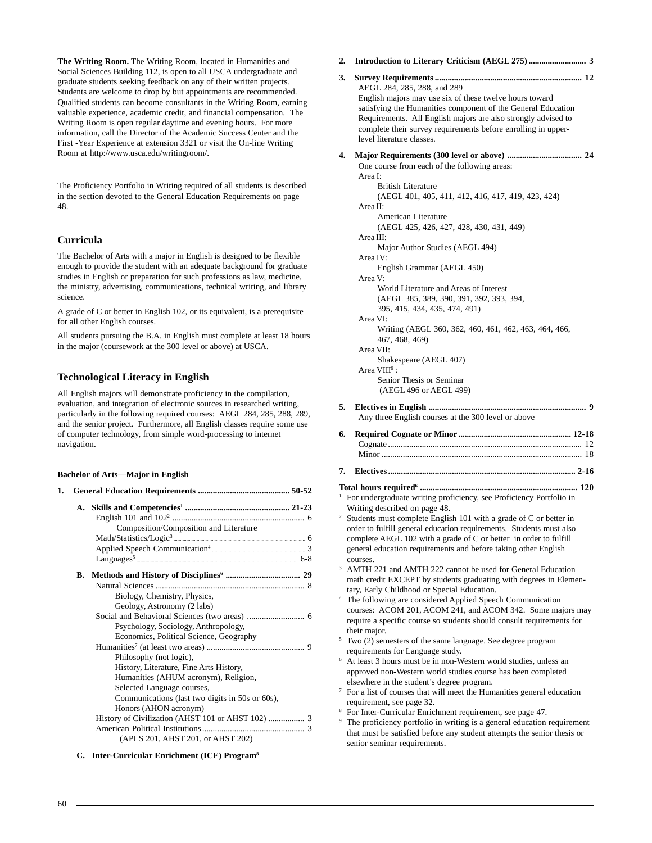**The Writing Room.** The Writing Room, located in Humanities and Social Sciences Building 112, is open to all USCA undergraduate and graduate students seeking feedback on any of their written projects. Students are welcome to drop by but appointments are recommended. Qualified students can become consultants in the Writing Room, earning valuable experience, academic credit, and financial compensation. The Writing Room is open regular daytime and evening hours. For more information, call the Director of the Academic Success Center and the First -Year Experience at extension 3321 or visit the On-line Writing Room at http://www.usca.edu/writingroom/.

The Proficiency Portfolio in Writing required of all students is described in the section devoted to the General Education Requirements on page 48.

# **Curricula**

The Bachelor of Arts with a major in English is designed to be flexible enough to provide the student with an adequate background for graduate studies in English or preparation for such professions as law, medicine, the ministry, advertising, communications, technical writing, and library science.

A grade of C or better in English 102, or its equivalent, is a prerequisite for all other English courses.

All students pursuing the B.A. in English must complete at least 18 hours in the major (coursework at the 300 level or above) at USCA.

# **Technological Literacy in English**

All English majors will demonstrate proficiency in the compilation, evaluation, and integration of electronic sources in researched writing, particularly in the following required courses: AEGL 284, 285, 288, 289, and the senior project. Furthermore, all English classes require some use of computer technology, from simple word-processing to internet navigation.

#### **Bachelor of Arts—Major in English**

| 1. |                                                 |  |
|----|-------------------------------------------------|--|
|    |                                                 |  |
|    |                                                 |  |
|    | Composition/Composition and Literature          |  |
|    |                                                 |  |
|    |                                                 |  |
|    |                                                 |  |
|    |                                                 |  |
|    |                                                 |  |
|    | Biology, Chemistry, Physics,                    |  |
|    | Geology, Astronomy (2 labs)                     |  |
|    |                                                 |  |
|    | Psychology, Sociology, Anthropology,            |  |
|    | Economics, Political Science, Geography         |  |
|    |                                                 |  |
|    | Philosophy (not logic),                         |  |
|    | History, Literature, Fine Arts History,         |  |
|    | Humanities (AHUM acronym), Religion,            |  |
|    | Selected Language courses,                      |  |
|    | Communications (last two digits in 50s or 60s), |  |
|    | Honors (AHON acronym)                           |  |
|    |                                                 |  |
|    |                                                 |  |
|    | (APLS 201, AHST 201, or AHST 202)               |  |

**C. Inter-Curricular Enrichment (ICE) Program8**

- **2. Introduction to Literary Criticism (AEGL 275) ........................... 3**
- **3. Survey Requirements ..................................................................... 12** AEGL 284, 285, 288, and 289 English majors may use six of these twelve hours toward satisfying the Humanities component of the General Education Requirements. All English majors are also strongly advised to complete their survey requirements before enrolling in upperlevel literature classes.

#### **4. Major Requirements (300 level or above) ................................... 24**

One course from each of the following areas: Area I: British Literature (AEGL 401, 405, 411, 412, 416, 417, 419, 423, 424) Area II: American Literature (AEGL 425, 426, 427, 428, 430, 431, 449) Area III: Major Author Studies (AEGL 494) Area IV: English Grammar (AEGL 450) Area V: World Literature and Areas of Interest (AEGL 385, 389, 390, 391, 392, 393, 394, 395, 415, 434, 435, 474, 491) Area VI: Writing (AEGL 360, 362, 460, 461, 462, 463, 464, 466, 467, 468, 469) Area VII: Shakespeare (AEGL 407) Area VIII<sup>9</sup>: Senior Thesis or Seminar (AEGL 496 or AEGL 499) **5. Electives in English .......................................................................... 9** Any three English courses at the 300 level or above **6. Required Cognate or Minor ..................................................... 12-18** Cognate ........................................................................................... 12 Minor .............................................................................................. 18 **7. Electives ........................................................................................ 2-16 Total hours required6 .......................................................................... 120**

- <sup>1</sup> For undergraduate writing proficiency, see Proficiency Portfolio in Writing described on page 48.
- Students must complete English 101 with a grade of C or better in order to fulfill general education requirements. Students must also complete AEGL 102 with a grade of C or better in order to fulfill general education requirements and before taking other English courses.
- <sup>3</sup> AMTH 221 and AMTH 222 cannot be used for General Education math credit EXCEPT by students graduating with degrees in Elementary, Early Childhood or Special Education.
- <sup>4</sup> The following are considered Applied Speech Communication courses: ACOM 201, ACOM 241, and ACOM 342. Some majors may require a specific course so students should consult requirements for their major.
- <sup>5</sup> Two (2) semesters of the same language. See degree program requirements for Language study.
- <sup>6</sup> At least 3 hours must be in non-Western world studies, unless an approved non-Western world studies course has been completed elsewhere in the student's degree program.
- $7$  For a list of courses that will meet the Humanities general education requirement, see page 32.
- <sup>8</sup> For Inter-Curricular Enrichment requirement, see page 47.<br><sup>9</sup> The proficiency portfolio in writing is a general education.
- The proficiency portfolio in writing is a general education requirement that must be satisfied before any student attempts the senior thesis or senior seminar requirements.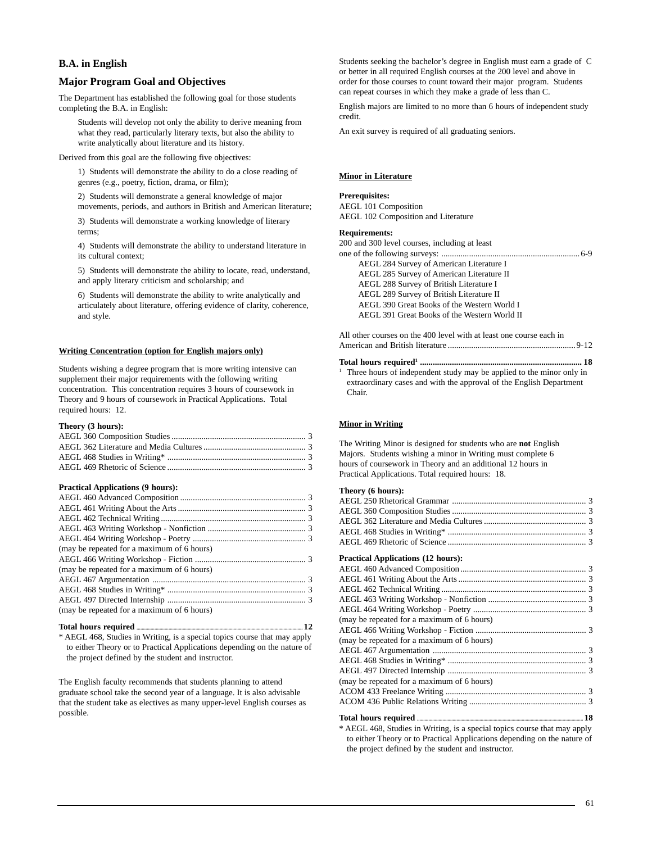# **B.A. in English**

# **Major Program Goal and Objectives**

The Department has established the following goal for those students completing the B.A. in English:

Students will develop not only the ability to derive meaning from what they read, particularly literary texts, but also the ability to write analytically about literature and its history.

Derived from this goal are the following five objectives:

1) Students will demonstrate the ability to do a close reading of genres (e.g., poetry, fiction, drama, or film);

2) Students will demonstrate a general knowledge of major movements, periods, and authors in British and American literature;

3) Students will demonstrate a working knowledge of literary terms;

4) Students will demonstrate the ability to understand literature in its cultural context;

5) Students will demonstrate the ability to locate, read, understand, and apply literary criticism and scholarship; and

6) Students will demonstrate the ability to write analytically and articulately about literature, offering evidence of clarity, coherence, and style.

#### **Writing Concentration (option for English majors only)**

Students wishing a degree program that is more writing intensive can supplement their major requirements with the following writing concentration. This concentration requires 3 hours of coursework in Theory and 9 hours of coursework in Practical Applications. Total required hours: 12.

#### **Theory (3 hours):**

#### **Practical Applications (9 hours):**

#### **Total hours required .................................................................................................................................. 12**

\* AEGL 468, Studies in Writing, is a special topics course that may apply to either Theory or to Practical Applications depending on the nature of the project defined by the student and instructor.

The English faculty recommends that students planning to attend graduate school take the second year of a language. It is also advisable that the student take as electives as many upper-level English courses as possible.

Students seeking the bachelor's degree in English must earn a grade of C or better in all required English courses at the 200 level and above in order for those courses to count toward their major program. Students can repeat courses in which they make a grade of less than C.

English majors are limited to no more than 6 hours of independent study credit.

An exit survey is required of all graduating seniors.

#### **Minor in Literature**

#### **Prerequisites:**

AEGL 101 Composition AEGL 102 Composition and Literature

#### **Requirements:**

| 200 and 300 level courses, including at least |  |
|-----------------------------------------------|--|
|                                               |  |
| AEGL 284 Survey of American Literature I      |  |
| AEGL 285 Survey of American Literature II     |  |
| AEGL 288 Survey of British Literature I       |  |
| AEGL 289 Survey of British Literature II      |  |
| AEGL 390 Great Books of the Western World I   |  |
| AEGL 391 Great Books of the Western World II  |  |
|                                               |  |

All other courses on the 400 level with at least one course each in American and British literature ............................................................9-12

#### **Total hours required1 ............................................................................ 18**

<sup>1</sup> Three hours of independent study may be applied to the minor only in extraordinary cases and with the approval of the English Department Chair.

#### **Minor in Writing**

The Writing Minor is designed for students who are **not** English Majors. Students wishing a minor in Writing must complete 6 hours of coursework in Theory and an additional 12 hours in Practical Applications. Total required hours: 18.

#### **Theory (6 hours):**

#### **Practical Applications (12 hours):**

| المالية المنادية المتحددة المتحدثة والمستحدثة المستحدثة المتحددة المتحددة المتحددة المتحددة المتحددة المتحددة |  |
|---------------------------------------------------------------------------------------------------------------|--|
|                                                                                                               |  |
|                                                                                                               |  |
| (may be repeated for a maximum of 6 hours)                                                                    |  |
|                                                                                                               |  |
|                                                                                                               |  |
|                                                                                                               |  |
| (may be repeated for a maximum of 6 hours)                                                                    |  |
|                                                                                                               |  |
| (may be repeated for a maximum of 6 hours)                                                                    |  |
|                                                                                                               |  |
|                                                                                                               |  |
|                                                                                                               |  |
|                                                                                                               |  |
|                                                                                                               |  |
|                                                                                                               |  |

\* AEGL 468, Studies in Writing, is a special topics course that may apply to either Theory or to Practical Applications depending on the nature of the project defined by the student and instructor.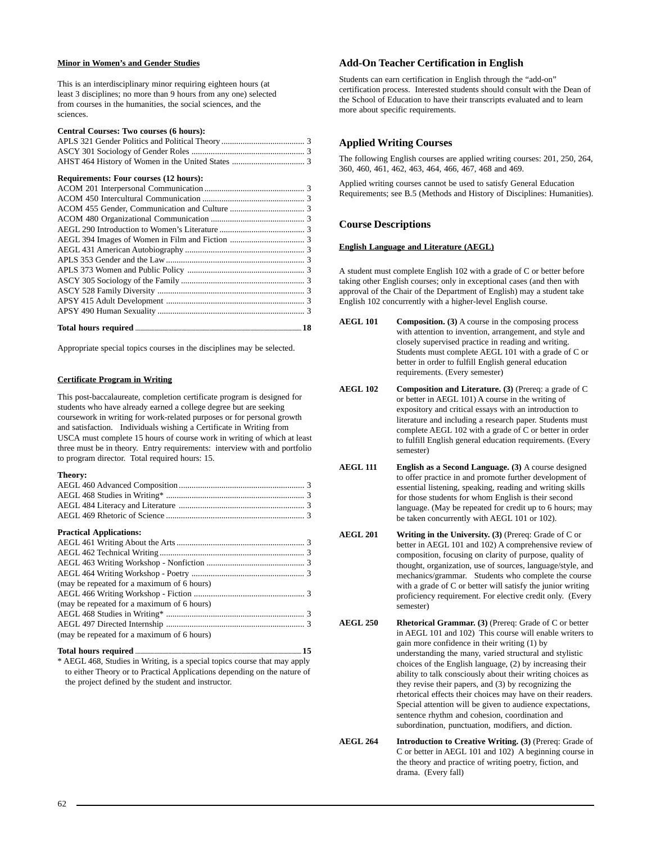#### **Minor in Women's and Gender Studies**

This is an interdisciplinary minor requiring eighteen hours (at least 3 disciplines; no more than 9 hours from any one) selected from courses in the humanities, the social sciences, and the sciences.

#### **Central Courses: Two courses (6 hours):**

#### **Requirements: Four courses (12 hours):**

| Total hours required <b>Manual Lines and September 28</b> |  |
|-----------------------------------------------------------|--|

Appropriate special topics courses in the disciplines may be selected.

#### **Certificate Program in Writing**

This post-baccalaureate, completion certificate program is designed for students who have already earned a college degree but are seeking coursework in writing for work-related purposes or for personal growth and satisfaction. Individuals wishing a Certificate in Writing from USCA must complete 15 hours of course work in writing of which at least three must be in theory. Entry requirements: interview with and portfolio to program director. Total required hours: 15.

#### **Theory:**

#### **Practical Applications:**

| (may be repeated for a maximum of 6 hours) |  |
|--------------------------------------------|--|
|                                            |  |
| (may be repeated for a maximum of 6 hours) |  |
|                                            |  |
|                                            |  |
| (may be repeated for a maximum of 6 hours) |  |

# **Total hours required .................................................................................................................................. 15** \* AEGL 468, Studies in Writing, is a special topics course that may apply

to either Theory or to Practical Applications depending on the nature of the project defined by the student and instructor.

### **Add-On Teacher Certification in English**

Students can earn certification in English through the "add-on" certification process. Interested students should consult with the Dean of the School of Education to have their transcripts evaluated and to learn more about specific requirements.

### **Applied Writing Courses**

The following English courses are applied writing courses: 201, 250, 264, 360, 460, 461, 462, 463, 464, 466, 467, 468 and 469.

Applied writing courses cannot be used to satisfy General Education Requirements; see B.5 (Methods and History of Disciplines: Humanities).

### **Course Descriptions**

#### **English Language and Literature (AEGL)**

A student must complete English 102 with a grade of C or better before taking other English courses; only in exceptional cases (and then with approval of the Chair of the Department of English) may a student take English 102 concurrently with a higher-level English course.

- **AEGL 101 Composition. (3)** A course in the composing process with attention to invention, arrangement, and style and closely supervised practice in reading and writing. Students must complete AEGL 101 with a grade of C or better in order to fulfill English general education requirements. (Every semester)
- **AEGL 102 Composition and Literature. (3)** (Prereq: a grade of C or better in AEGL 101) A course in the writing of expository and critical essays with an introduction to literature and including a research paper. Students must complete AEGL 102 with a grade of C or better in order to fulfill English general education requirements. (Every semester)
- **AEGL 111 English as a Second Language. (3)** A course designed to offer practice in and promote further development of essential listening, speaking, reading and writing skills for those students for whom English is their second language. (May be repeated for credit up to 6 hours; may be taken concurrently with AEGL 101 or 102).
- **AEGL 201 Writing in the University. (3)** (Prereq: Grade of C or better in AEGL 101 and 102) A comprehensive review of composition, focusing on clarity of purpose, quality of thought, organization, use of sources, language/style, and mechanics/grammar. Students who complete the course with a grade of C or better will satisfy the junior writing proficiency requirement. For elective credit only. (Every semester)
- **AEGL 250 Rhetorical Grammar. (3)** (Prereq: Grade of C or better in AEGL 101 and 102) This course will enable writers to gain more confidence in their writing (1) by understanding the many, varied structural and stylistic choices of the English language, (2) by increasing their ability to talk consciously about their writing choices as they revise their papers, and (3) by recognizing the rhetorical effects their choices may have on their readers. Special attention will be given to audience expectations, sentence rhythm and cohesion, coordination and subordination, punctuation, modifiers, and diction.

**AEGL 264** Introduction to Creative Writing. (3) (Prereq: Grade of C or better in AEGL 101 and 102) A beginning course in the theory and practice of writing poetry, fiction, and drama. (Every fall)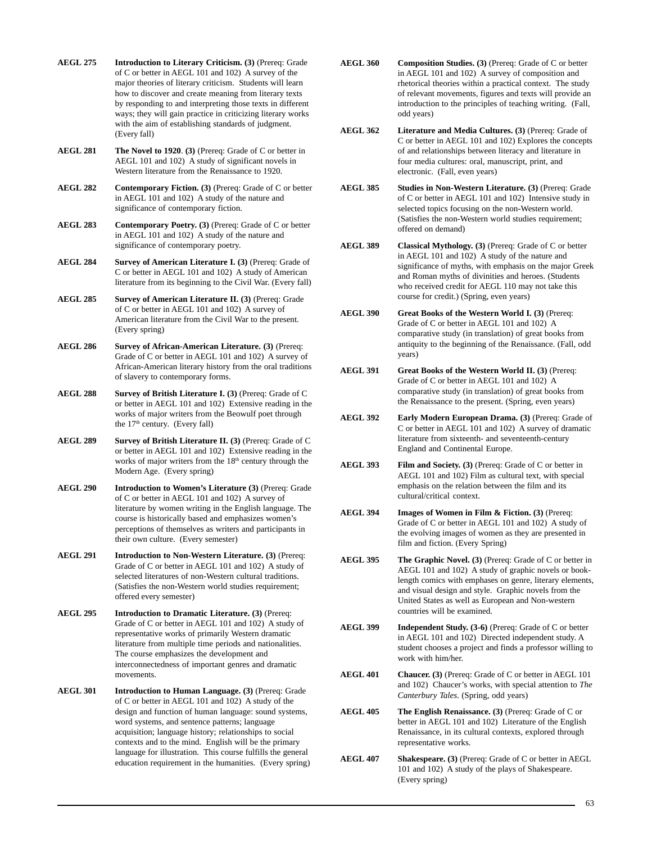**AEGL 275 Introduction to Literary Criticism. (3)** (Prereq: Grade of C or better in AEGL 101 and 102) A survey of the major theories of literary criticism. Students will learn how to discover and create meaning from literary texts by responding to and interpreting those texts in different ways; they will gain practice in criticizing literary works with the aim of establishing standards of judgment. (Every fall)

**AEGL 281 The Novel to 1920**. **(3)** (Prereq: Grade of C or better in AEGL 101 and 102) A study of significant novels in Western literature from the Renaissance to 1920.

**AEGL 282 Contemporary Fiction. (3)** (Prereq: Grade of C or better in AEGL 101 and 102) A study of the nature and significance of contemporary fiction.

**AEGL 283 Contemporary Poetry. (3)** (Prereq: Grade of C or better in AEGL 101 and 102) A study of the nature and significance of contemporary poetry.

- **AEGL 284** Survey of American Literature I. (3) (Prereq: Grade of C or better in AEGL 101 and 102) A study of American literature from its beginning to the Civil War. (Every fall)
- **AEGL 285 Survey of American Literature II. (3)** (Prereq: Grade of C or better in AEGL 101 and 102) A survey of American literature from the Civil War to the present. (Every spring)
- **AEGL 286 Survey of African-American Literature. (3)** (Prereq: Grade of C or better in AEGL 101 and 102) A survey of African-American literary history from the oral traditions of slavery to contemporary forms.
- **AEGL 288 Survey of British Literature I. (3)** (Prereq: Grade of C or better in AEGL 101 and 102) Extensive reading in the works of major writers from the Beowulf poet through the  $17<sup>th</sup>$  century. (Every fall)
- **AEGL 289 Survey of British Literature II. (3)** (Prereq: Grade of C or better in AEGL 101 and 102) Extensive reading in the works of major writers from the  $18<sup>th</sup>$  century through the Modern Age. (Every spring)
- **AEGL 290 Introduction to Women's Literature (3)** (Prereq: Grade of C or better in AEGL 101 and 102) A survey of literature by women writing in the English language. The course is historically based and emphasizes women's perceptions of themselves as writers and participants in their own culture. (Every semester)
- **AEGL 291 Introduction to Non-Western Literature. (3)** (Prereq: Grade of C or better in AEGL 101 and 102) A study of selected literatures of non-Western cultural traditions. (Satisfies the non-Western world studies requirement; offered every semester)
- **AEGL 295 Introduction to Dramatic Literature. (3)** (Prereq: Grade of C or better in AEGL 101 and 102) A study of representative works of primarily Western dramatic literature from multiple time periods and nationalities. The course emphasizes the development and interconnectedness of important genres and dramatic movements.
- **AEGL 301 Introduction to Human Language. (3)** (Prereq: Grade of C or better in AEGL 101 and 102) A study of the design and function of human language: sound systems, word systems, and sentence patterns; language acquisition; language history; relationships to social contexts and to the mind. English will be the primary language for illustration. This course fulfills the general education requirement in the humanities. (Every spring)
- **AEGL 360 Composition Studies. (3)** (Prereq: Grade of C or better in AEGL 101 and 102) A survey of composition and rhetorical theories within a practical context. The study of relevant movements, figures and texts will provide an introduction to the principles of teaching writing. (Fall, odd years)
- **AEGL 362 Literature and Media Cultures. (3)** (Prereq: Grade of C or better in AEGL 101 and 102) Explores the concepts of and relationships between literacy and literature in four media cultures: oral, manuscript, print, and electronic. (Fall, even years)
- **AEGL 385 Studies in Non-Western Literature. (3)** (Prereq: Grade of C or better in AEGL 101 and 102) Intensive study in selected topics focusing on the non-Western world. (Satisfies the non-Western world studies requirement; offered on demand)
- **AEGL 389 Classical Mythology. (3)** (Prereq: Grade of C or better in AEGL 101 and 102) A study of the nature and significance of myths, with emphasis on the major Greek and Roman myths of divinities and heroes. (Students who received credit for AEGL 110 may not take this course for credit.) (Spring, even years)
- **AEGL 390 Great Books of the Western World I. (3)** (Prereq: Grade of C or better in AEGL 101 and 102) A comparative study (in translation) of great books from antiquity to the beginning of the Renaissance. (Fall, odd years)
- **AEGL 391 Great Books of the Western World II. (3)** (Prereq: Grade of C or better in AEGL 101 and 102) A comparative study (in translation) of great books from the Renaissance to the present. (Spring, even years)
- **AEGL 392 Early Modern European Drama. (3)** (Prereq: Grade of C or better in AEGL 101 and 102) A survey of dramatic literature from sixteenth- and seventeenth-century England and Continental Europe.
- **AEGL 393 Film and Society. (3)** (Prereq: Grade of C or better in AEGL 101 and 102) Film as cultural text, with special emphasis on the relation between the film and its cultural/critical context.
- **AEGL 394** Images of Women in Film & Fiction. (3) (Prereq: Grade of C or better in AEGL 101 and 102) A study of the evolving images of women as they are presented in film and fiction. (Every Spring)
- **AEGL 395 The Graphic Novel. (3)** (Prereq: Grade of C or better in AEGL 101 and 102) A study of graphic novels or booklength comics with emphases on genre, literary elements, and visual design and style. Graphic novels from the United States as well as European and Non-western countries will be examined.
- **AEGL 399 Independent Study. (3-6)** (Prereq: Grade of C or better in AEGL 101 and 102) Directed independent study. A student chooses a project and finds a professor willing to work with him/her.
- **AEGL 401 Chaucer. (3)** (Prereq: Grade of C or better in AEGL 101 and 102) Chaucer's works, with special attention to *The Canterbury Tales*. (Spring, odd years)
- **AEGL 405 The English Renaissance. (3)** (Prereq: Grade of C or better in AEGL 101 and 102) Literature of the English Renaissance, in its cultural contexts, explored through representative works.
- **AEGL 407 Shakespeare. (3)** (Prereq: Grade of C or better in AEGL 101 and 102) A study of the plays of Shakespeare. (Every spring)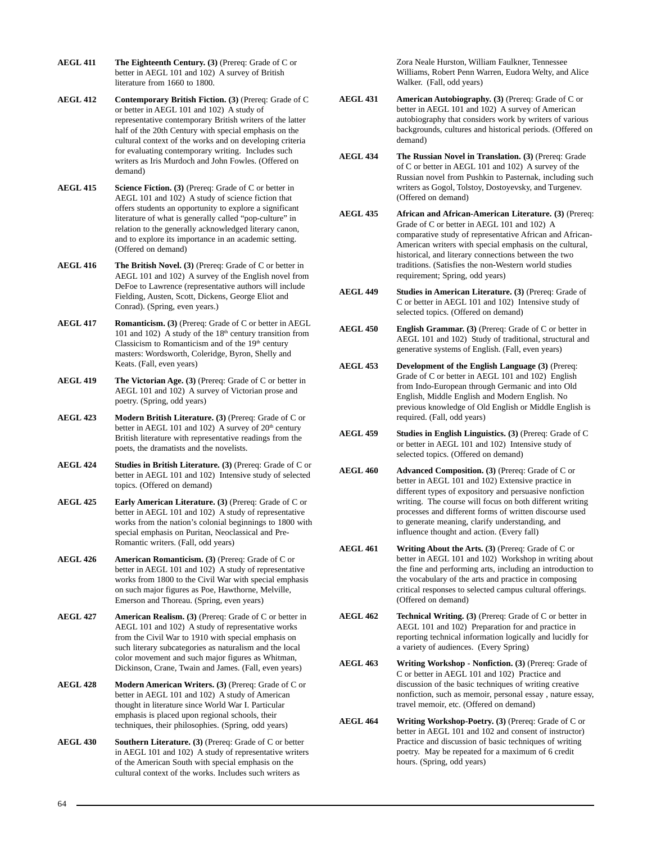- **AEGL 411 The Eighteenth Century. (3)** (Prereq: Grade of C or better in AEGL 101 and 102) A survey of British literature from 1660 to 1800.
- **AEGL 412 Contemporary British Fiction. (3)** (Prereq: Grade of C or better in AEGL 101 and 102) A study of representative contemporary British writers of the latter half of the 20th Century with special emphasis on the cultural context of the works and on developing criteria for evaluating contemporary writing. Includes such writers as Iris Murdoch and John Fowles. (Offered on demand)
- AEGL 415 Science Fiction. (3) (Prereq: Grade of C or better in AEGL 101 and 102) A study of science fiction that offers students an opportunity to explore a significant literature of what is generally called "pop-culture" in relation to the generally acknowledged literary canon, and to explore its importance in an academic setting. (Offered on demand)
- **AEGL 416 The British Novel. (3)** (Prereq: Grade of C or better in AEGL 101 and 102) A survey of the English novel from DeFoe to Lawrence (representative authors will include Fielding, Austen, Scott, Dickens, George Eliot and Conrad). (Spring, even years.)
- **AEGL 417 Romanticism. (3)** (Prereq: Grade of C or better in AEGL 101 and 102) A study of the  $18<sup>th</sup>$  century transition from Classicism to Romanticism and of the  $19<sup>th</sup>$  century masters: Wordsworth, Coleridge, Byron, Shelly and Keats. (Fall, even years)
- **AEGL 419 The Victorian Age. (3)** (Prereq: Grade of C or better in AEGL 101 and 102) A survey of Victorian prose and poetry. (Spring, odd years)
- **AEGL 423 Modern British Literature. (3)** (Prereq: Grade of C or better in AEGL 101 and 102) A survey of  $20<sup>th</sup>$  century British literature with representative readings from the poets, the dramatists and the novelists.
- **AEGL 424 Studies in British Literature. (3)** (Prereq: Grade of C or better in AEGL 101 and 102) Intensive study of selected topics. (Offered on demand)
- **AEGL 425 Early American Literature. (3)** (Prereq: Grade of C or better in AEGL 101 and 102) A study of representative works from the nation's colonial beginnings to 1800 with special emphasis on Puritan, Neoclassical and Pre-Romantic writers. (Fall, odd years)
- **AEGL 426 American Romanticism. (3)** (Prereq: Grade of C or better in AEGL 101 and 102) A study of representative works from 1800 to the Civil War with special emphasis on such major figures as Poe, Hawthorne, Melville, Emerson and Thoreau. (Spring, even years)
- **AEGL 427 American Realism. (3)** (Prereq: Grade of C or better in AEGL 101 and 102) A study of representative works from the Civil War to 1910 with special emphasis on such literary subcategories as naturalism and the local color movement and such major figures as Whitman, Dickinson, Crane, Twain and James. (Fall, even years)
- **AEGL 428 Modern American Writers. (3)** (Prereq: Grade of C or better in AEGL 101 and 102) A study of American thought in literature since World War I. Particular emphasis is placed upon regional schools, their techniques, their philosophies. (Spring, odd years)
- **AEGL 430 Southern Literature. (3)** (Prereq: Grade of C or better in AEGL 101 and 102) A study of representative writers of the American South with special emphasis on the cultural context of the works. Includes such writers as

Zora Neale Hurston, William Faulkner, Tennessee Williams, Robert Penn Warren, Eudora Welty, and Alice Walker. (Fall, odd years)

- **AEGL 431** American Autobiography. (3) (Prereq: Grade of C or better in AEGL 101 and 102) A survey of American autobiography that considers work by writers of various backgrounds, cultures and historical periods. (Offered on demand)
- **AEGL 434 The Russian Novel in Translation. (3)** (Prereq: Grade of C or better in AEGL 101 and 102) A survey of the Russian novel from Pushkin to Pasternak, including such writers as Gogol, Tolstoy, Dostoyevsky, and Turgenev. (Offered on demand)
- **AEGL 435 African and African-American Literature. (3)** (Prereq: Grade of C or better in AEGL 101 and 102) A comparative study of representative African and African-American writers with special emphasis on the cultural, historical, and literary connections between the two traditions. (Satisfies the non-Western world studies requirement; Spring, odd years)
- **AEGL 449 Studies in American Literature. (3)** (Prereq: Grade of C or better in AEGL 101 and 102) Intensive study of selected topics. (Offered on demand)
- **AEGL 450 English Grammar. (3)** (Prereq: Grade of C or better in AEGL 101 and 102) Study of traditional, structural and generative systems of English. (Fall, even years)
- **AEGL 453 Development of the English Language (3)** (Prereq: Grade of C or better in AEGL 101 and 102) English from Indo-European through Germanic and into Old English, Middle English and Modern English. No previous knowledge of Old English or Middle English is required. (Fall, odd years)
- **AEGL 459 Studies in English Linguistics. (3)** (Prereq: Grade of C or better in AEGL 101 and 102) Intensive study of selected topics. (Offered on demand)
- **AEGL 460 Advanced Composition. (3)** (Prereq: Grade of C or better in AEGL 101 and 102) Extensive practice in different types of expository and persuasive nonfiction writing. The course will focus on both different writing processes and different forms of written discourse used to generate meaning, clarify understanding, and influence thought and action. (Every fall)
- **AEGL 461 Writing About the Arts. (3)** (Prereq: Grade of C or better in AEGL 101 and 102) Workshop in writing about the fine and performing arts, including an introduction to the vocabulary of the arts and practice in composing critical responses to selected campus cultural offerings. (Offered on demand)
- **AEGL 462 Technical Writing. (3)** (Prereq: Grade of C or better in AEGL 101 and 102) Preparation for and practice in reporting technical information logically and lucidly for a variety of audiences. (Every Spring)
- **AEGL 463 Writing Workshop Nonfiction. (3)** (Prereq: Grade of C or better in AEGL 101 and 102) Practice and discussion of the basic techniques of writing creative nonfiction, such as memoir, personal essay , nature essay, travel memoir, etc. (Offered on demand)
- **AEGL 464 Writing Workshop-Poetry. (3)** (Prereq: Grade of C or better in AEGL 101 and 102 and consent of instructor) Practice and discussion of basic techniques of writing poetry. May be repeated for a maximum of 6 credit hours. (Spring, odd years)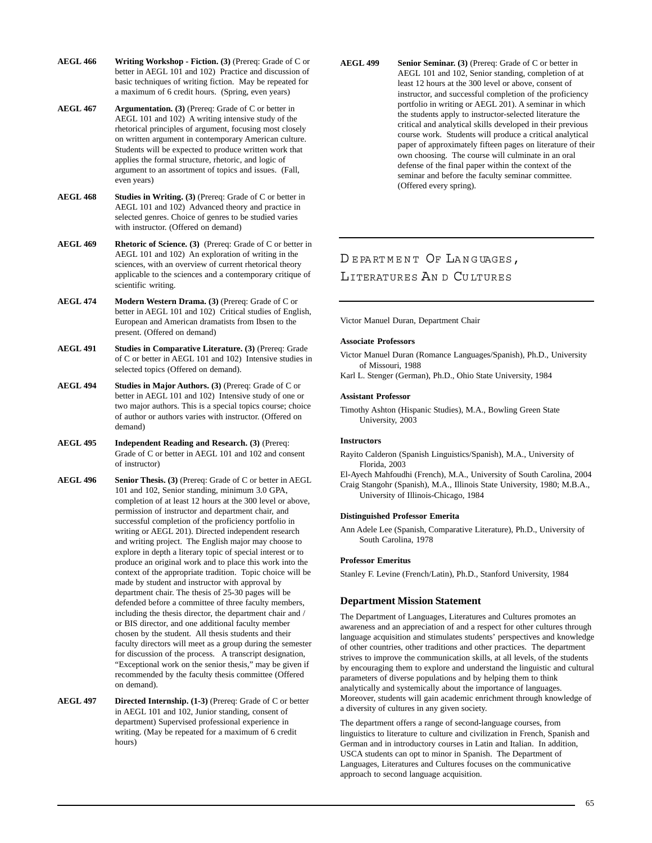**AEGL 466 Writing Workshop - Fiction. (3)** (Prereq: Grade of C or better in AEGL 101 and 102) Practice and discussion of basic techniques of writing fiction. May be repeated for a maximum of 6 credit hours. (Spring, even years)

- **AEGL 467** Argumentation. (3) (Prereq: Grade of C or better in AEGL 101 and 102) A writing intensive study of the rhetorical principles of argument, focusing most closely on written argument in contemporary American culture. Students will be expected to produce written work that applies the formal structure, rhetoric, and logic of argument to an assortment of topics and issues. (Fall, even years)
- **AEGL 468** Studies in Writing. (3) (Prereq: Grade of C or better in AEGL 101 and 102) Advanced theory and practice in selected genres. Choice of genres to be studied varies with instructor. (Offered on demand)

**AEGL 469 Rhetoric of Science. (3)** (Prereq: Grade of C or better in AEGL 101 and 102) An exploration of writing in the sciences, with an overview of current rhetorical theory applicable to the sciences and a contemporary critique of scientific writing.

- **AEGL 474 Modern Western Drama. (3)** (Prereq: Grade of C or better in AEGL 101 and 102) Critical studies of English, European and American dramatists from Ibsen to the present. (Offered on demand)
- **AEGL 491 Studies in Comparative Literature. (3)** (Prereq: Grade of C or better in AEGL 101 and 102) Intensive studies in selected topics (Offered on demand).
- **AEGL 494** Studies in Major Authors. (3) (Prereq: Grade of C or better in AEGL 101 and 102) Intensive study of one or two major authors. This is a special topics course; choice of author or authors varies with instructor. (Offered on demand)
- **AEGL 495 Independent Reading and Research. (3)** (Prereq: Grade of C or better in AEGL 101 and 102 and consent of instructor)
- AEGL 496 Senior Thesis. (3) (Prereq: Grade of C or better in AEGL 101 and 102, Senior standing, minimum 3.0 GPA, completion of at least 12 hours at the 300 level or above, permission of instructor and department chair, and successful completion of the proficiency portfolio in writing or AEGL 201). Directed independent research and writing project. The English major may choose to explore in depth a literary topic of special interest or to produce an original work and to place this work into the context of the appropriate tradition. Topic choice will be made by student and instructor with approval by department chair. The thesis of 25-30 pages will be defended before a committee of three faculty members, including the thesis director, the department chair and / or BIS director, and one additional faculty member chosen by the student. All thesis students and their faculty directors will meet as a group during the semester for discussion of the process. A transcript designation, "Exceptional work on the senior thesis," may be given if recommended by the faculty thesis committee (Offered on demand).
- **AEGL 497 Directed Internship. (1-3)** (Prereq: Grade of C or better in AEGL 101 and 102, Junior standing, consent of department) Supervised professional experience in writing. (May be repeated for a maximum of 6 credit hours)

**AEGL 499 Senior Seminar. (3)** (Prereq: Grade of C or better in AEGL 101 and 102, Senior standing, completion of at least 12 hours at the 300 level or above, consent of instructor, and successful completion of the proficiency portfolio in writing or AEGL 201). A seminar in which the students apply to instructor-selected literature the critical and analytical skills developed in their previous course work. Students will produce a critical analytical paper of approximately fifteen pages on literature of their own choosing. The course will culminate in an oral defense of the final paper within the context of the seminar and before the faculty seminar committee. (Offered every spring).

# DEPARTMENT OF LANGUAGES, LITERATURES AN D CU LTURES

Victor Manuel Duran, Department Chair

#### **Associate Professors**

- Victor Manuel Duran (Romance Languages/Spanish), Ph.D., University of Missouri, 1988
- Karl L. Stenger (German), Ph.D., Ohio State University, 1984

#### **Assistant Professor**

Timothy Ashton (Hispanic Studies), M.A., Bowling Green State University, 2003

### **Instructors**

Rayito Calderon (Spanish Linguistics/Spanish), M.A., University of Florida, 2003

El-Ayech Mahfoudhi (French), M.A., University of South Carolina, 2004 Craig Stangohr (Spanish), M.A., Illinois State University, 1980; M.B.A., University of Illinois-Chicago, 1984

#### **Distinguished Professor Emerita**

Ann Adele Lee (Spanish, Comparative Literature), Ph.D., University of South Carolina, 1978

#### **Professor Emeritus**

Stanley F. Levine (French/Latin), Ph.D., Stanford University, 1984

# **Department Mission Statement**

The Department of Languages, Literatures and Cultures promotes an awareness and an appreciation of and a respect for other cultures through language acquisition and stimulates students' perspectives and knowledge of other countries, other traditions and other practices. The department strives to improve the communication skills, at all levels, of the students by encouraging them to explore and understand the linguistic and cultural parameters of diverse populations and by helping them to think analytically and systemically about the importance of languages. Moreover, students will gain academic enrichment through knowledge of a diversity of cultures in any given society.

The department offers a range of second-language courses, from linguistics to literature to culture and civilization in French, Spanish and German and in introductory courses in Latin and Italian. In addition, USCA students can opt to minor in Spanish. The Department of Languages, Literatures and Cultures focuses on the communicative approach to second language acquisition.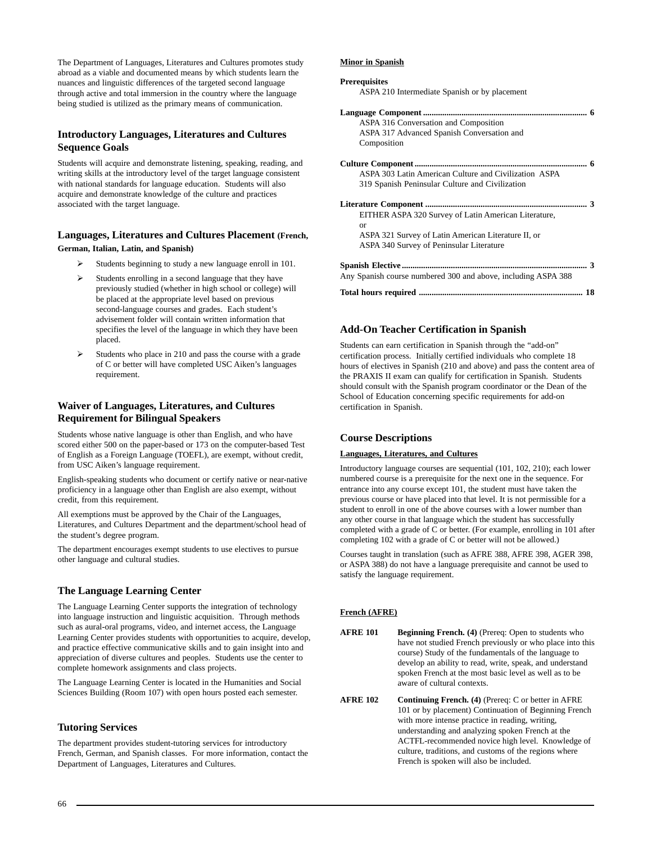The Department of Languages, Literatures and Cultures promotes study abroad as a viable and documented means by which students learn the nuances and linguistic differences of the targeted second language through active and total immersion in the country where the language being studied is utilized as the primary means of communication.

# **Introductory Languages, Literatures and Cultures Sequence Goals**

Students will acquire and demonstrate listening, speaking, reading, and writing skills at the introductory level of the target language consistent with national standards for language education. Students will also acquire and demonstrate knowledge of the culture and practices associated with the target language.

# **Languages, Literatures and Cultures Placement (French, German, Italian, Latin, and Spanish)**

- $\blacktriangleright$ Students beginning to study a new language enroll in 101.
- $\blacktriangleright$  Students enrolling in a second language that they have previously studied (whether in high school or college) will be placed at the appropriate level based on previous second-language courses and grades. Each student's advisement folder will contain written information that specifies the level of the language in which they have been placed.
- $\blacktriangleright$  Students who place in 210 and pass the course with a grade of C or better will have completed USC Aiken's languages requirement.

# **Waiver of Languages, Literatures, and Cultures Requirement for Bilingual Speakers**

Students whose native language is other than English, and who have scored either 500 on the paper-based or 173 on the computer-based Test of English as a Foreign Language (TOEFL), are exempt, without credit, from USC Aiken's language requirement.

English-speaking students who document or certify native or near-native proficiency in a language other than English are also exempt, without credit, from this requirement.

All exemptions must be approved by the Chair of the Languages, Literatures, and Cultures Department and the department/school head of the student's degree program.

The department encourages exempt students to use electives to pursue other language and cultural studies.

# **The Language Learning Center**

The Language Learning Center supports the integration of technology into language instruction and linguistic acquisition. Through methods such as aural-oral programs, video, and internet access, the Language Learning Center provides students with opportunities to acquire, develop, and practice effective communicative skills and to gain insight into and appreciation of diverse cultures and peoples. Students use the center to complete homework assignments and class projects.

The Language Learning Center is located in the Humanities and Social Sciences Building (Room 107) with open hours posted each semester.

# **Tutoring Services**

The department provides student-tutoring services for introductory French, German, and Spanish classes. For more information, contact the Department of Languages, Literatures and Cultures.

#### **Minor in Spanish**

#### **Prerequisites**

ASPA 210 Intermediate Spanish or by placement

| ASPA 316 Conversation and Composition<br>ASPA 317 Advanced Spanish Conversation and<br>Composition |
|----------------------------------------------------------------------------------------------------|
|                                                                                                    |
| ASPA 303 Latin American Culture and Civilization ASPA                                              |
| 319 Spanish Peninsular Culture and Civilization                                                    |
|                                                                                                    |
| EITHER ASPA 320 Survey of Latin American Literature,                                               |
| or                                                                                                 |
| ASPA 321 Survey of Latin American Literature II, or                                                |
| ASPA 340 Survey of Peninsular Literature                                                           |
|                                                                                                    |
| Any Spanish course numbered 300 and above, including ASPA 388                                      |
| 18                                                                                                 |

# **Add-On Teacher Certification in Spanish**

Students can earn certification in Spanish through the "add-on" certification process. Initially certified individuals who complete 18 hours of electives in Spanish (210 and above) and pass the content area of the PRAXIS II exam can qualify for certification in Spanish. Students should consult with the Spanish program coordinator or the Dean of the School of Education concerning specific requirements for add-on certification in Spanish.

# **Course Descriptions**

#### **Languages, Literatures, and Cultures**

Introductory language courses are sequential (101, 102, 210); each lower numbered course is a prerequisite for the next one in the sequence. For entrance into any course except 101, the student must have taken the previous course or have placed into that level. It is not permissible for a student to enroll in one of the above courses with a lower number than any other course in that language which the student has successfully completed with a grade of C or better. (For example, enrolling in 101 after completing 102 with a grade of C or better will not be allowed.)

Courses taught in translation (such as AFRE 388, AFRE 398, AGER 398, or ASPA 388) do not have a language prerequisite and cannot be used to satisfy the language requirement.

#### **French (AFRE)**

- **AFRE 101** Beginning French. (4) (Prereq: Open to students who have not studied French previously or who place into this course) Study of the fundamentals of the language to develop an ability to read, write, speak, and understand spoken French at the most basic level as well as to be aware of cultural contexts.
- **AFRE 102** Continuing French. (4) (Prereq: C or better in AFRE 101 or by placement) Continuation of Beginning French with more intense practice in reading, writing, understanding and analyzing spoken French at the ACTFL-recommended novice high level. Knowledge of culture, traditions, and customs of the regions where French is spoken will also be included.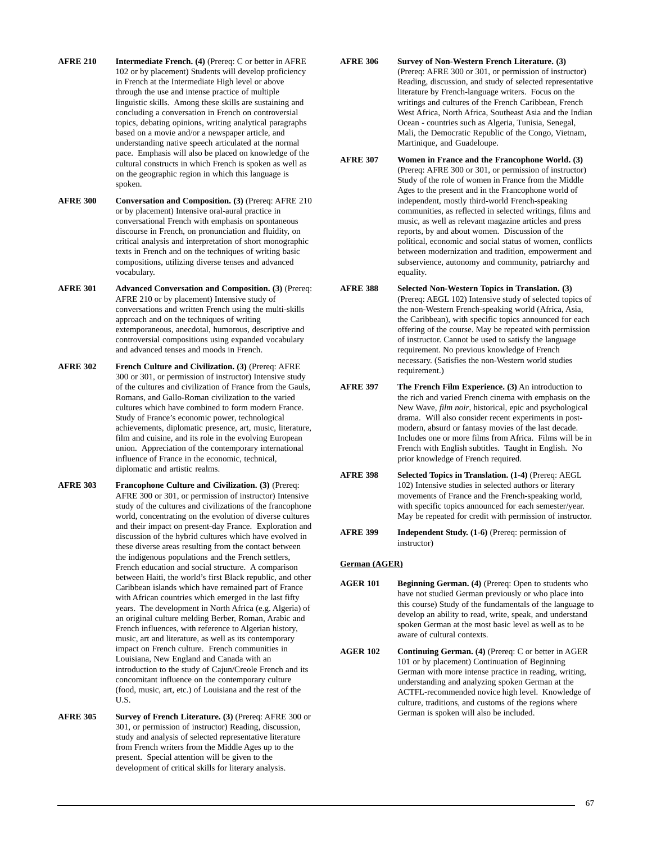- **AFRE 210** Intermediate French. (4) (Prereq: C or better in AFRE 102 or by placement) Students will develop proficiency in French at the Intermediate High level or above through the use and intense practice of multiple linguistic skills. Among these skills are sustaining and concluding a conversation in French on controversial topics, debating opinions, writing analytical paragraphs based on a movie and/or a newspaper article, and understanding native speech articulated at the normal pace. Emphasis will also be placed on knowledge of the cultural constructs in which French is spoken as well as on the geographic region in which this language is spoken.
- **AFRE 300 Conversation and Composition. (3)** (Prereq: AFRE 210 or by placement) Intensive oral-aural practice in conversational French with emphasis on spontaneous discourse in French, on pronunciation and fluidity, on critical analysis and interpretation of short monographic texts in French and on the techniques of writing basic compositions, utilizing diverse tenses and advanced vocabulary.
- **AFRE 301 Advanced Conversation and Composition. (3)** (Prereq: AFRE 210 or by placement) Intensive study of conversations and written French using the multi-skills approach and on the techniques of writing extemporaneous, anecdotal, humorous, descriptive and controversial compositions using expanded vocabulary and advanced tenses and moods in French.
- **AFRE 302 French Culture and Civilization. (3)** (Prereq: AFRE 300 or 301, or permission of instructor) Intensive study of the cultures and civilization of France from the Gauls, Romans, and Gallo-Roman civilization to the varied cultures which have combined to form modern France. Study of France's economic power, technological achievements, diplomatic presence, art, music, literature, film and cuisine, and its role in the evolving European union. Appreciation of the contemporary international influence of France in the economic, technical, diplomatic and artistic realms.
- **AFRE 303 Francophone Culture and Civilization. (3)** (Prereq: AFRE 300 or 301, or permission of instructor) Intensive study of the cultures and civilizations of the francophone world, concentrating on the evolution of diverse cultures and their impact on present-day France. Exploration and discussion of the hybrid cultures which have evolved in these diverse areas resulting from the contact between the indigenous populations and the French settlers, French education and social structure. A comparison between Haiti, the world's first Black republic, and other Caribbean islands which have remained part of France with African countries which emerged in the last fifty years. The development in North Africa (e.g. Algeria) of an original culture melding Berber, Roman, Arabic and French influences, with reference to Algerian history, music, art and literature, as well as its contemporary impact on French culture. French communities in Louisiana, New England and Canada with an introduction to the study of Cajun/Creole French and its concomitant influence on the contemporary culture (food, music, art, etc.) of Louisiana and the rest of the U.S.
- **AFRE 305 Survey of French Literature. (3)** (Prereq: AFRE 300 or 301, or permission of instructor) Reading, discussion, study and analysis of selected representative literature from French writers from the Middle Ages up to the present. Special attention will be given to the development of critical skills for literary analysis.
- **AFRE 306 Survey of Non-Western French Literature. (3)** (Prereq: AFRE 300 or 301, or permission of instructor) Reading, discussion, and study of selected representative literature by French-language writers. Focus on the writings and cultures of the French Caribbean, French West Africa, North Africa, Southeast Asia and the Indian Ocean - countries such as Algeria, Tunisia, Senegal, Mali, the Democratic Republic of the Congo, Vietnam, Martinique, and Guadeloupe.
- **AFRE 307 Women in France and the Francophone World. (3)** (Prereq: AFRE 300 or 301, or permission of instructor) Study of the role of women in France from the Middle Ages to the present and in the Francophone world of independent, mostly third-world French-speaking communities, as reflected in selected writings, films and music, as well as relevant magazine articles and press reports, by and about women. Discussion of the political, economic and social status of women, conflicts between modernization and tradition, empowerment and subservience, autonomy and community, patriarchy and equality.
- **AFRE 388 Selected Non-Western Topics in Translation. (3)** (Prereq: AEGL 102) Intensive study of selected topics of the non-Western French-speaking world (Africa, Asia, the Caribbean), with specific topics announced for each offering of the course. May be repeated with permission of instructor. Cannot be used to satisfy the language requirement. No previous knowledge of French necessary. (Satisfies the non-Western world studies requirement.)
- **AFRE 397 The French Film Experience. (3)** An introduction to the rich and varied French cinema with emphasis on the New Wave, *film noir*, historical, epic and psychological drama. Will also consider recent experiments in postmodern, absurd or fantasy movies of the last decade. Includes one or more films from Africa. Films will be in French with English subtitles. Taught in English. No prior knowledge of French required.
- **AFRE 398 Selected Topics in Translation. (1-4)** (Prereq: AEGL 102) Intensive studies in selected authors or literary movements of France and the French-speaking world, with specific topics announced for each semester/year. May be repeated for credit with permission of instructor.
- **AFRE 399 Independent Study. (1-6)** (Prereq: permission of instructor)

#### **German (AGER)**

- **AGER 101** Beginning German. (4) (Prereq: Open to students who have not studied German previously or who place into this course) Study of the fundamentals of the language to develop an ability to read, write, speak, and understand spoken German at the most basic level as well as to be aware of cultural contexts.
- **AGER 102 Continuing German. (4)** (Prereq: C or better in AGER 101 or by placement) Continuation of Beginning German with more intense practice in reading, writing, understanding and analyzing spoken German at the ACTFL-recommended novice high level. Knowledge of culture, traditions, and customs of the regions where German is spoken will also be included.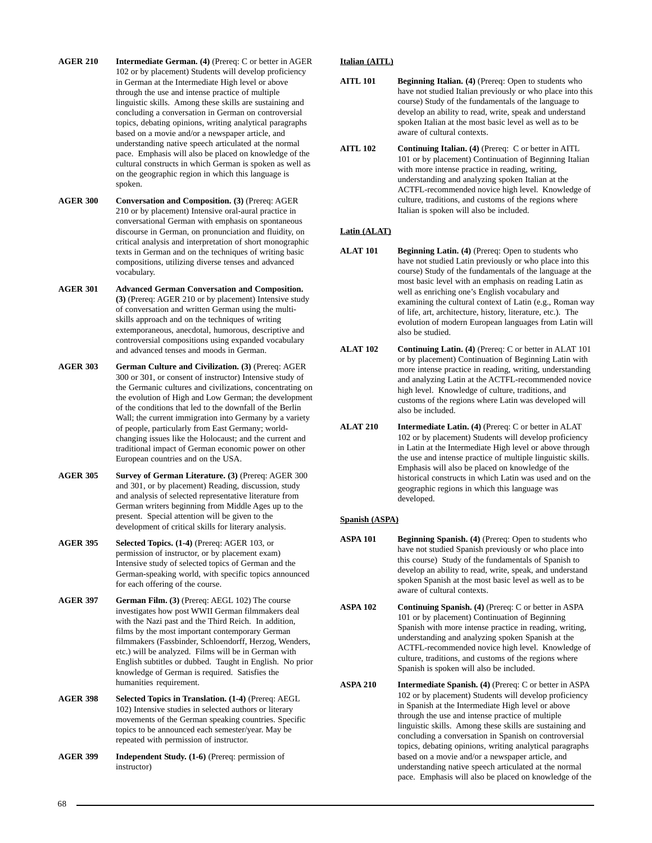- **AGER 210 Intermediate German. (4)** (Prereq: C or better in AGER 102 or by placement) Students will develop proficiency in German at the Intermediate High level or above through the use and intense practice of multiple linguistic skills. Among these skills are sustaining and concluding a conversation in German on controversial topics, debating opinions, writing analytical paragraphs based on a movie and/or a newspaper article, and understanding native speech articulated at the normal pace. Emphasis will also be placed on knowledge of the cultural constructs in which German is spoken as well as on the geographic region in which this language is spoken.
- **AGER 300 Conversation and Composition. (3)** (Prereq: AGER 210 or by placement) Intensive oral-aural practice in conversational German with emphasis on spontaneous discourse in German, on pronunciation and fluidity, on critical analysis and interpretation of short monographic texts in German and on the techniques of writing basic compositions, utilizing diverse tenses and advanced vocabulary.
- **AGER 301 Advanced German Conversation and Composition. (3)** (Prereq: AGER 210 or by placement) Intensive study of conversation and written German using the multiskills approach and on the techniques of writing extemporaneous, anecdotal, humorous, descriptive and controversial compositions using expanded vocabulary and advanced tenses and moods in German.
- **AGER 303 German Culture and Civilization. (3)** (Prereq: AGER 300 or 301, or consent of instructor) Intensive study of the Germanic cultures and civilizations, concentrating on the evolution of High and Low German; the development of the conditions that led to the downfall of the Berlin Wall; the current immigration into Germany by a variety of people, particularly from East Germany; worldchanging issues like the Holocaust; and the current and traditional impact of German economic power on other European countries and on the USA.
- **AGER 305 Survey of German Literature. (3)** (Prereq: AGER 300 and 301, or by placement) Reading, discussion, study and analysis of selected representative literature from German writers beginning from Middle Ages up to the present. Special attention will be given to the development of critical skills for literary analysis.
- **AGER 395 Selected Topics. (1-4)** (Prereq: AGER 103, or permission of instructor, or by placement exam) Intensive study of selected topics of German and the German-speaking world, with specific topics announced for each offering of the course.
- **AGER 397 German Film. (3)** (Prereq: AEGL 102) The course investigates how post WWII German filmmakers deal with the Nazi past and the Third Reich. In addition, films by the most important contemporary German filmmakers (Fassbinder, Schloendorff, Herzog, Wenders, etc.) will be analyzed. Films will be in German with English subtitles or dubbed. Taught in English. No prior knowledge of German is required. Satisfies the humanities requirement.
- **AGER 398 Selected Topics in Translation. (1-4)** (Prereq: AEGL 102) Intensive studies in selected authors or literary movements of the German speaking countries. Specific topics to be announced each semester/year. May be repeated with permission of instructor.
- **AGER 399 Independent Study. (1-6)** (Prereq: permission of instructor)

# **Italian (AITL)**

- **AITL 101 Beginning Italian. (4)** (Prereq: Open to students who have not studied Italian previously or who place into this course) Study of the fundamentals of the language to develop an ability to read, write, speak and understand spoken Italian at the most basic level as well as to be aware of cultural contexts.
- **AITL 102 Continuing Italian. (4)** (Prereq: C or better in AITL 101 or by placement) Continuation of Beginning Italian with more intense practice in reading, writing, understanding and analyzing spoken Italian at the ACTFL-recommended novice high level. Knowledge of culture, traditions, and customs of the regions where Italian is spoken will also be included.

# **Latin (ALAT)**

- **ALAT 101 Beginning Latin. (4)** (Prereq: Open to students who have not studied Latin previously or who place into this course) Study of the fundamentals of the language at the most basic level with an emphasis on reading Latin as well as enriching one's English vocabulary and examining the cultural context of Latin (e.g., Roman way of life, art, architecture, history, literature, etc.). The evolution of modern European languages from Latin will also be studied.
- **ALAT 102 Continuing Latin. (4)** (Prereq: C or better in ALAT 101 or by placement) Continuation of Beginning Latin with more intense practice in reading, writing, understanding and analyzing Latin at the ACTFL-recommended novice high level. Knowledge of culture, traditions, and customs of the regions where Latin was developed will also be included.
- **ALAT 210 Intermediate Latin. (4)** (Prereq: C or better in ALAT 102 or by placement) Students will develop proficiency in Latin at the Intermediate High level or above through the use and intense practice of multiple linguistic skills. Emphasis will also be placed on knowledge of the historical constructs in which Latin was used and on the geographic regions in which this language was developed.

# **Spanish (ASPA)**

- **ASPA 101 Beginning Spanish. (4)** (Prereq: Open to students who have not studied Spanish previously or who place into this course) Study of the fundamentals of Spanish to develop an ability to read, write, speak, and understand spoken Spanish at the most basic level as well as to be aware of cultural contexts.
- **ASPA 102 Continuing Spanish. (4)** (Prereq: C or better in ASPA 101 or by placement) Continuation of Beginning Spanish with more intense practice in reading, writing, understanding and analyzing spoken Spanish at the ACTFL-recommended novice high level. Knowledge of culture, traditions, and customs of the regions where Spanish is spoken will also be included.
- **ASPA 210 Intermediate Spanish. (4)** (Prereq: C or better in ASPA 102 or by placement) Students will develop proficiency in Spanish at the Intermediate High level or above through the use and intense practice of multiple linguistic skills. Among these skills are sustaining and concluding a conversation in Spanish on controversial topics, debating opinions, writing analytical paragraphs based on a movie and/or a newspaper article, and understanding native speech articulated at the normal pace. Emphasis will also be placed on knowledge of the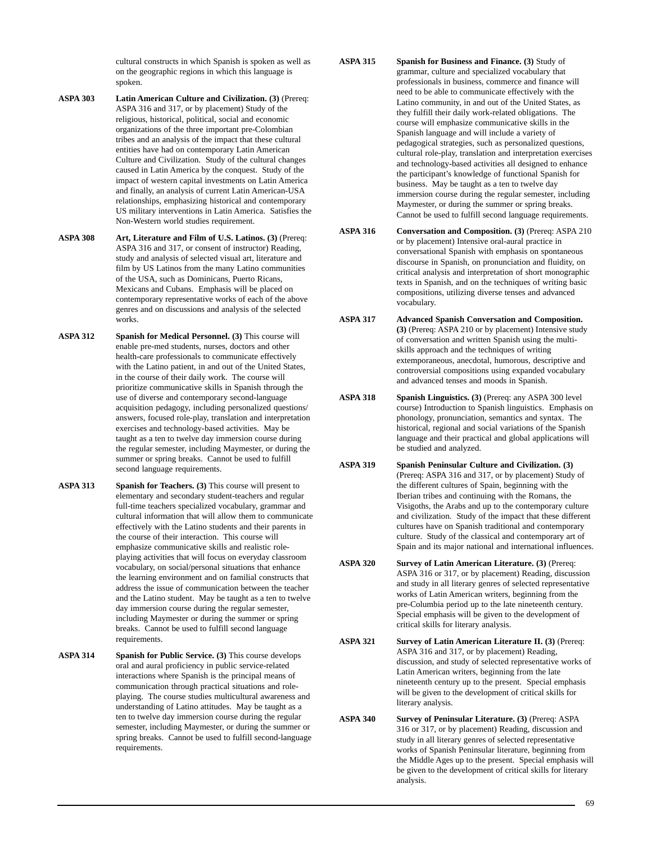cultural constructs in which Spanish is spoken as well as on the geographic regions in which this language is spoken.

- **ASPA 303 Latin American Culture and Civilization. (3)** (Prereq: ASPA 316 and 317, or by placement) Study of the religious, historical, political, social and economic organizations of the three important pre-Colombian tribes and an analysis of the impact that these cultural entities have had on contemporary Latin American Culture and Civilization. Study of the cultural changes caused in Latin America by the conquest. Study of the impact of western capital investments on Latin America and finally, an analysis of current Latin American-USA relationships, emphasizing historical and contemporary US military interventions in Latin America. Satisfies the Non-Western world studies requirement.
- **ASPA 308 Art, Literature and Film of U.S. Latinos. (3)** (Prereq: ASPA 316 and 317, or consent of instructor) Reading, study and analysis of selected visual art, literature and film by US Latinos from the many Latino communities of the USA, such as Dominicans, Puerto Ricans, Mexicans and Cubans. Emphasis will be placed on contemporary representative works of each of the above genres and on discussions and analysis of the selected works.
- **ASPA 312** Spanish for Medical Personnel. (3) This course will enable pre-med students, nurses, doctors and other health-care professionals to communicate effectively with the Latino patient, in and out of the United States, in the course of their daily work. The course will prioritize communicative skills in Spanish through the use of diverse and contemporary second-language acquisition pedagogy, including personalized questions/ answers, focused role-play, translation and interpretation exercises and technology-based activities. May be taught as a ten to twelve day immersion course during the regular semester, including Maymester, or during the summer or spring breaks. Cannot be used to fulfill second language requirements.
- **ASPA 313 Spanish for Teachers. (3)** This course will present to elementary and secondary student-teachers and regular full-time teachers specialized vocabulary, grammar and cultural information that will allow them to communicate effectively with the Latino students and their parents in the course of their interaction. This course will emphasize communicative skills and realistic roleplaying activities that will focus on everyday classroom vocabulary, on social/personal situations that enhance the learning environment and on familial constructs that address the issue of communication between the teacher and the Latino student. May be taught as a ten to twelve day immersion course during the regular semester, including Maymester or during the summer or spring breaks. Cannot be used to fulfill second language requirements.
- **ASPA 314 Spanish for Public Service. (3)** This course develops oral and aural proficiency in public service-related interactions where Spanish is the principal means of communication through practical situations and roleplaying. The course studies multicultural awareness and understanding of Latino attitudes. May be taught as a ten to twelve day immersion course during the regular semester, including Maymester, or during the summer or spring breaks. Cannot be used to fulfill second-language requirements.
- **ASPA 315 Spanish for Business and Finance. (3)** Study of grammar, culture and specialized vocabulary that professionals in business, commerce and finance will need to be able to communicate effectively with the Latino community, in and out of the United States, as they fulfill their daily work-related obligations. The course will emphasize communicative skills in the Spanish language and will include a variety of pedagogical strategies, such as personalized questions, cultural role-play, translation and interpretation exercises and technology-based activities all designed to enhance the participant's knowledge of functional Spanish for business. May be taught as a ten to twelve day immersion course during the regular semester, including Maymester, or during the summer or spring breaks. Cannot be used to fulfill second language requirements.
- **ASPA 316 Conversation and Composition. (3)** (Prereq: ASPA 210 or by placement) Intensive oral-aural practice in conversational Spanish with emphasis on spontaneous discourse in Spanish, on pronunciation and fluidity, on critical analysis and interpretation of short monographic texts in Spanish, and on the techniques of writing basic compositions, utilizing diverse tenses and advanced vocabulary.
- **ASPA 317 Advanced Spanish Conversation and Composition. (3)** (Prereq: ASPA 210 or by placement) Intensive study of conversation and written Spanish using the multiskills approach and the techniques of writing extemporaneous, anecdotal, humorous, descriptive and controversial compositions using expanded vocabulary and advanced tenses and moods in Spanish.
- **ASPA 318 Spanish Linguistics. (3)** (Prereq: any ASPA 300 level course) Introduction to Spanish linguistics. Emphasis on phonology, pronunciation, semantics and syntax. The historical, regional and social variations of the Spanish language and their practical and global applications will be studied and analyzed.
- **ASPA 319 Spanish Peninsular Culture and Civilization. (3)** (Prereq: ASPA 316 and 317, or by placement) Study of the different cultures of Spain, beginning with the Iberian tribes and continuing with the Romans, the Visigoths, the Arabs and up to the contemporary culture and civilization. Study of the impact that these different cultures have on Spanish traditional and contemporary culture. Study of the classical and contemporary art of Spain and its major national and international influences.
- **ASPA 320 Survey of Latin American Literature. (3)** (Prereq: ASPA 316 or 317, or by placement) Reading, discussion and study in all literary genres of selected representative works of Latin American writers, beginning from the pre-Columbia period up to the late nineteenth century. Special emphasis will be given to the development of critical skills for literary analysis.
- **ASPA 321 Survey of Latin American Literature II. (3)** (Prereq: ASPA 316 and 317, or by placement) Reading, discussion, and study of selected representative works of Latin American writers, beginning from the late nineteenth century up to the present. Special emphasis will be given to the development of critical skills for literary analysis.
- **ASPA 340 Survey of Peninsular Literature. (3)** (Prereq: ASPA 316 or 317, or by placement) Reading, discussion and study in all literary genres of selected representative works of Spanish Peninsular literature, beginning from the Middle Ages up to the present. Special emphasis will be given to the development of critical skills for literary analysis.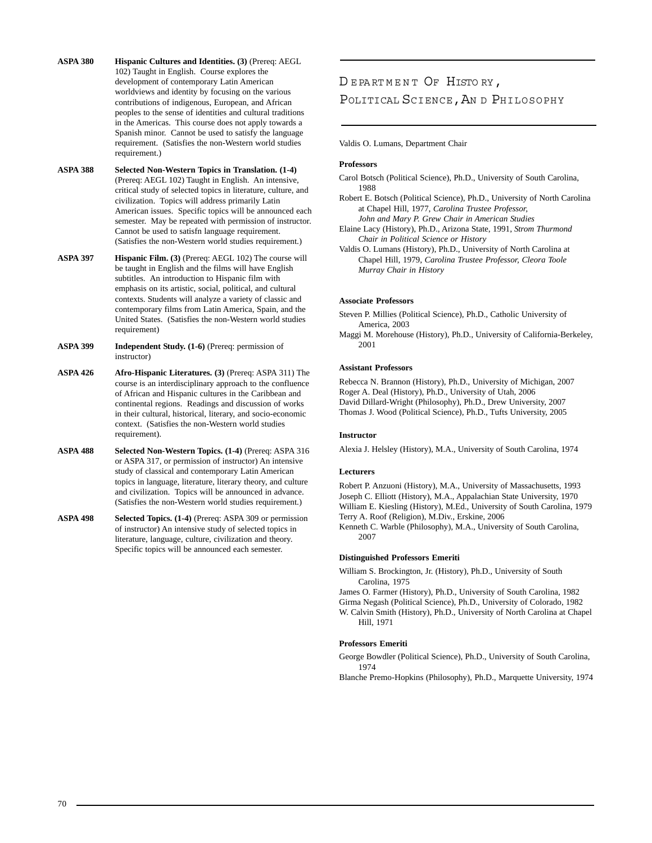- **ASPA 380 Hispanic Cultures and Identities. (3) (Prereq: AEGL)** 102) Taught in English. Course explores the development of contemporary Latin American worldviews and identity by focusing on the various contributions of indigenous, European, and African peoples to the sense of identities and cultural traditions in the Americas. This course does not apply towards a Spanish minor. Cannot be used to satisfy the language requirement. (Satisfies the non-Western world studies requirement.)
- **ASPA 388 Selected Non-Western Topics in Translation. (1-4)** (Prereq: AEGL 102) Taught in English. An intensive, critical study of selected topics in literature, culture, and civilization. Topics will address primarily Latin American issues. Specific topics will be announced each semester. May be repeated with permission of instructor. Cannot be used to satisfn language requirement. (Satisfies the non-Western world studies requirement.)
- **ASPA 397 Hispanic Film. (3)** (Prereq: AEGL 102) The course will be taught in English and the films will have English subtitles. An introduction to Hispanic film with emphasis on its artistic, social, political, and cultural contexts. Students will analyze a variety of classic and contemporary films from Latin America, Spain, and the United States. (Satisfies the non-Western world studies requirement)
- **ASPA 399 Independent Study. (1-6)** (Prereq: permission of instructor)
- **ASPA 426 Afro-Hispanic Literatures. (3)** (Prereq: ASPA 311) The course is an interdisciplinary approach to the confluence of African and Hispanic cultures in the Caribbean and continental regions. Readings and discussion of works in their cultural, historical, literary, and socio-economic context. (Satisfies the non-Western world studies requirement).
- **ASPA 488 Selected Non-Western Topics. (1-4)** (Prereq: ASPA 316 or ASPA 317, or permission of instructor) An intensive study of classical and contemporary Latin American topics in language, literature, literary theory, and culture and civilization. Topics will be announced in advance. (Satisfies the non-Western world studies requirement.)
- **ASPA 498 Selected Topics. (1-4)** (Prereq: ASPA 309 or permission of instructor) An intensive study of selected topics in literature, language, culture, civilization and theory. Specific topics will be announced each semester.

# DEPARTMENT OF HISTORY, POLITICAL SCIENCE, AN D PHILOSOPHY

Valdis O. Lumans, Department Chair

#### **Professors**

- Carol Botsch (Political Science), Ph.D., University of South Carolina, 1988
- Robert E. Botsch (Political Science), Ph.D., University of North Carolina at Chapel Hill, 1977, *Carolina Trustee Professor, John and Mary P. Grew Chair in American Studies*
- Elaine Lacy (History), Ph.D., Arizona State, 1991, *Strom Thurmond Chair in Political Science or History*

Valdis O. Lumans (History), Ph.D., University of North Carolina at Chapel Hill, 1979, *Carolina Trustee Professor, Cleora Toole Murray Chair in History*

#### **Associate Professors**

Steven P. Millies (Political Science), Ph.D., Catholic University of America, 2003

Maggi M. Morehouse (History), Ph.D., University of California-Berkeley, 2001

#### **Assistant Professors**

Rebecca N. Brannon (History), Ph.D., University of Michigan, 2007 Roger A. Deal (History), Ph.D., University of Utah, 2006 David Dillard-Wright (Philosophy), Ph.D., Drew University, 2007 Thomas J. Wood (Political Science), Ph.D., Tufts University, 2005

#### **Instructor**

Alexia J. Helsley (History), M.A., University of South Carolina, 1974

#### **Lecturers**

Robert P. Anzuoni (History), M.A., University of Massachusetts, 1993 Joseph C. Elliott (History), M.A., Appalachian State University, 1970 William E. Kiesling (History), M.Ed., University of South Carolina, 1979 Terry A. Roof (Religion), M.Div., Erskine, 2006

Kenneth C. Warble (Philosophy), M.A., University of South Carolina, 2007

#### **Distinguished Professors Emeriti**

William S. Brockington, Jr. (History), Ph.D., University of South Carolina, 1975

James O. Farmer (History), Ph.D., University of South Carolina, 1982 Girma Negash (Political Science), Ph.D., University of Colorado, 1982 W. Calvin Smith (History), Ph.D., University of North Carolina at Chapel Hill, 1971

## **Professors Emeriti**

George Bowdler (Political Science), Ph.D., University of South Carolina, 1974

Blanche Premo-Hopkins (Philosophy), Ph.D., Marquette University, 1974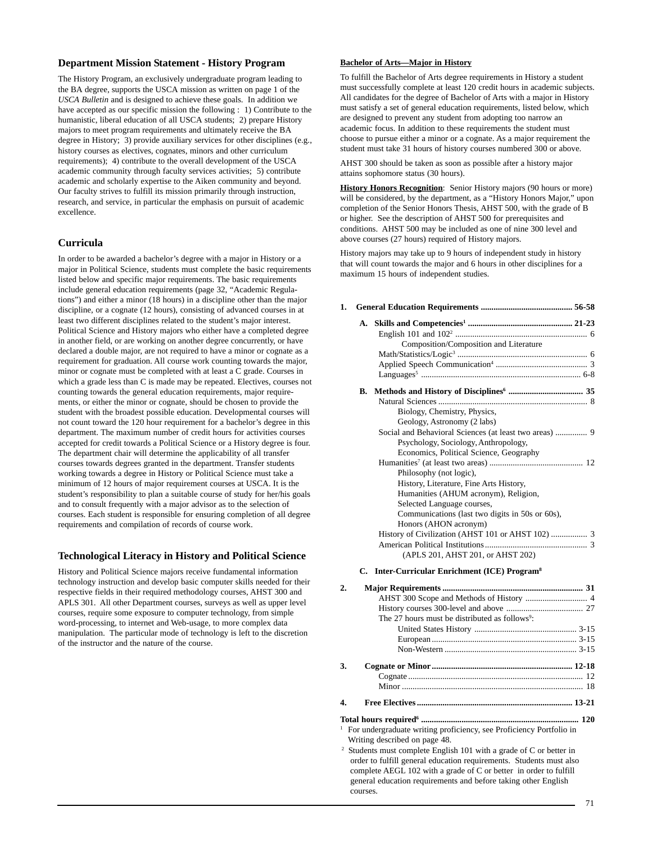## **Department Mission Statement - History Program**

The History Program, an exclusively undergraduate program leading to the BA degree, supports the USCA mission as written on page 1 of the *USCA Bulletin* and is designed to achieve these goals. In addition we have accepted as our specific mission the following : 1) Contribute to the humanistic, liberal education of all USCA students; 2) prepare History majors to meet program requirements and ultimately receive the BA degree in History; 3) provide auxiliary services for other disciplines (e.g., history courses as electives, cognates, minors and other curriculum requirements); 4) contribute to the overall development of the USCA academic community through faculty services activities; 5) contribute academic and scholarly expertise to the Aiken community and beyond. Our faculty strives to fulfill its mission primarily through instruction, research, and service, in particular the emphasis on pursuit of academic excellence.

## **Curricula**

In order to be awarded a bachelor's degree with a major in History or a major in Political Science, students must complete the basic requirements listed below and specific major requirements. The basic requirements include general education requirements (page 32, "Academic Regulations") and either a minor (18 hours) in a discipline other than the major discipline, or a cognate (12 hours), consisting of advanced courses in at least two different disciplines related to the student's major interest. Political Science and History majors who either have a completed degree in another field, or are working on another degree concurrently, or have declared a double major, are not required to have a minor or cognate as a requirement for graduation. All course work counting towards the major, minor or cognate must be completed with at least a C grade. Courses in which a grade less than C is made may be repeated. Electives, courses not counting towards the general education requirements, major requirements, or either the minor or cognate, should be chosen to provide the student with the broadest possible education. Developmental courses will not count toward the 120 hour requirement for a bachelor's degree in this department. The maximum number of credit hours for activities courses accepted for credit towards a Political Science or a History degree is four. The department chair will determine the applicability of all transfer courses towards degrees granted in the department. Transfer students working towards a degree in History or Political Science must take a minimum of 12 hours of major requirement courses at USCA. It is the student's responsibility to plan a suitable course of study for her/his goals and to consult frequently with a major advisor as to the selection of courses. Each student is responsible for ensuring completion of all degree requirements and compilation of records of course work.

## **Technological Literacy in History and Political Science**

History and Political Science majors receive fundamental information technology instruction and develop basic computer skills needed for their respective fields in their required methodology courses, AHST 300 and APLS 301. All other Department courses, surveys as well as upper level courses, require some exposure to computer technology, from simple word-processing, to internet and Web-usage, to more complex data manipulation. The particular mode of technology is left to the discretion of the instructor and the nature of the course.

## **Bachelor of Arts—Major in History**

To fulfill the Bachelor of Arts degree requirements in History a student must successfully complete at least 120 credit hours in academic subjects. All candidates for the degree of Bachelor of Arts with a major in History must satisfy a set of general education requirements, listed below, which are designed to prevent any student from adopting too narrow an academic focus. In addition to these requirements the student must choose to pursue either a minor or a cognate. As a major requirement the student must take 31 hours of history courses numbered 300 or above.

AHST 300 should be taken as soon as possible after a history major attains sophomore status (30 hours).

**History Honors Recognition**: Senior History majors (90 hours or more) will be considered, by the department, as a "History Honors Major," upon completion of the Senior Honors Thesis, AHST 500, with the grade of B or higher. See the description of AHST 500 for prerequisites and conditions. AHST 500 may be included as one of nine 300 level and above courses (27 hours) required of History majors.

History majors may take up to 9 hours of independent study in history that will count towards the major and 6 hours in other disciplines for a maximum 15 hours of independent studies.

#### **1. General Education Requirements ........................................... 56-58**

| А. |                                                        |  |
|----|--------------------------------------------------------|--|
|    |                                                        |  |
|    | Composition/Composition and Literature                 |  |
|    |                                                        |  |
|    |                                                        |  |
|    |                                                        |  |
| В. |                                                        |  |
|    |                                                        |  |
|    | Biology, Chemistry, Physics,                           |  |
|    | Geology, Astronomy (2 labs)                            |  |
|    | Social and Behavioral Sciences (at least two areas)  9 |  |
|    | Psychology, Sociology, Anthropology,                   |  |
|    | Economics, Political Science, Geography                |  |
|    |                                                        |  |
|    | Philosophy (not logic),                                |  |
|    | History, Literature, Fine Arts History,                |  |
|    | Humanities (AHUM acronym), Religion,                   |  |
|    | Selected Language courses,                             |  |
|    | Communications (last two digits in 50s or 60s),        |  |
|    | Honors (AHON acronym)                                  |  |
|    |                                                        |  |
|    |                                                        |  |
|    | (APLS 201, AHST 201, or AHST 202)                      |  |

#### **C. Inter-Curricular Enrichment (ICE) Program8**

| $\overline{2}$ . |                                                                                  |  |
|------------------|----------------------------------------------------------------------------------|--|
|                  |                                                                                  |  |
|                  |                                                                                  |  |
|                  | The 27 hours must be distributed as follows <sup>9</sup> :                       |  |
|                  |                                                                                  |  |
|                  |                                                                                  |  |
|                  |                                                                                  |  |
| 3.               |                                                                                  |  |
|                  |                                                                                  |  |
|                  |                                                                                  |  |
| 4.               |                                                                                  |  |
|                  |                                                                                  |  |
|                  | $\frac{1}{1}$ For undergraduate writing proficiency see Proficiency Portfolio in |  |

- ite writing proficiency, see Proficiency Portfolio in Writing described on page 48.<br><sup>2</sup> Students must complete English 101 with a grade of C or better in
- order to fulfill general education requirements. Students must also complete AEGL 102 with a grade of C or better in order to fulfill general education requirements and before taking other English courses.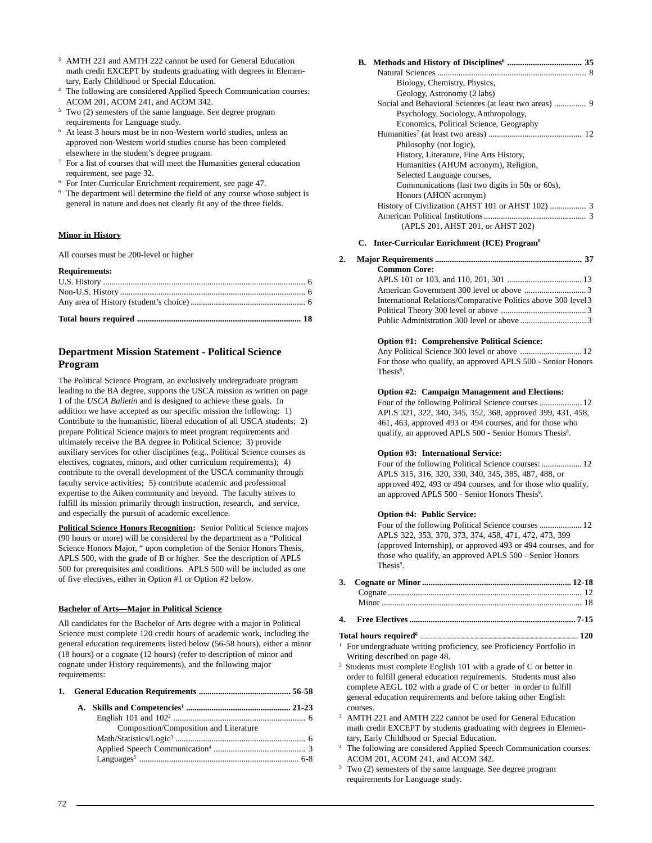- <sup>3</sup> AMTH 221 and AMTH 222 cannot be used for General Education math credit EXCEPT by students graduating with degrees in Elementary, Early Childhood or Special Education.
- The following are considered Applied Speech Communication courses: ACOM 201, ACOM 241, and ACOM 342.
- <sup>5</sup> Two (2) semesters of the same language. See degree program requirements for Language study.
- <sup>6</sup> At least 3 hours must be in non-Western world studies, unless an approved non-Western world studies course has been completed elsewhere in the student's degree program.
- <sup>7</sup> For a list of courses that will meet the Humanities general education requirement, see page 32.
- <sup>8</sup> For Inter-Curricular Enrichment requirement, see page 47.
- <sup>9</sup> The department will determine the field of any course whose subject is general in nature and does not clearly fit any of the three fields.

## **Minor in History**

All courses must be 200-level or higher

#### **Requirements:**

## **Department Mission Statement - Political Science Program**

The Political Science Program, an exclusively undergraduate program leading to the BA degree, supports the USCA mission as written on page 1 of the *USCA Bulletin* and is designed to achieve these goals. In addition we have accepted as our specific mission the following: 1) Contribute to the humanistic, liberal education of all USCA students; 2) prepare Political Science majors to meet program requirements and ultimately receive the BA degree in Political Science; 3) provide auxiliary services for other disciplines (e.g., Political Science courses as electives, cognates, minors, and other curriculum requirements); 4) contribute to the overall development of the USCA community through faculty service activities; 5) contribute academic and professional expertise to the Aiken community and beyond. The faculty strives to fulfill its mission primarily through instruction, research, and service, and especially the pursuit of academic excellence.

**Political Science Honors Recognition:** Senior Political Science majors (90 hours or more) will be considered by the department as a "Political Science Honors Major, " upon completion of the Senior Honors Thesis, APLS 500, with the grade of B or higher. See the description of APLS 500 for prerequisites and conditions. APLS 500 will be included as one of five electives, either in Option #1 or Option #2 below.

## **Bachelor of Arts—Major in Political Science**

All candidates for the Bachelor of Arts degree with a major in Political Science must complete 120 credit hours of academic work, including the general education requirements listed below (56-58 hours), either a minor (18 hours) or a cognate (12 hours) (refer to description of minor and cognate under History requirements), and the following major requirements:

| 1. |  |  |
|----|--|--|
|    |  |  |

| Composition/Composition and Literature |  |
|----------------------------------------|--|
|                                        |  |
|                                        |  |
|                                        |  |

| Biology, Chemistry, Physics,                    |
|-------------------------------------------------|
| Geology, Astronomy (2 labs)                     |
|                                                 |
| Psychology, Sociology, Anthropology,            |
| Economics, Political Science, Geography         |
|                                                 |
| Philosophy (not logic),                         |
| History, Literature, Fine Arts History,         |
| Humanities (AHUM acronym), Religion,            |
| Selected Language courses,                      |
| Communications (last two digits in 50s or 60s), |
| Honors (AHON acronym)                           |
|                                                 |
|                                                 |
| (APLS 201, AHST 201, or AHST 202)               |
|                                                 |

#### **C. Inter-Curricular Enrichment (ICE) Program8**

#### **2. Major Requirements ..................................................................... 37 Common Core:** APLS 101 or 103, and 110, 201, 301 ................................... 13 American Government 300 level or above ............................. 3 International Relations/Comparative Politics above 300 level3 Political Theory 300 level or above ........................................ 3 Public Administration 300 level or above ............................... 3

#### **Option #1: Comprehensive Political Science:**

Any Political Science 300 level or above ................................. 12 For those who qualify, an approved APLS 500 - Senior Honors Thesis<sup>9</sup>.

#### **Option #2: Campaign Management and Elections:**

Four of the following Political Science courses .................... 12 APLS 321, 322, 340, 345, 352, 368, approved 399, 431, 458, 461, 463, approved 493 or 494 courses, and for those who qualify, an approved APLS 500 - Senior Honors Thesis<sup>9</sup>.

## **Option #3: International Service:**

Four of the following Political Science courses: ................... 12 APLS 315, 316, 320, 330, 340, 345, 385, 487, 488, or approved 492, 493 or 494 courses, and for those who qualify, an approved APLS 500 - Senior Honors Thesis<sup>9</sup>.

#### **Option #4: Public Service:**

Four of the following Political Science courses .................... 12 APLS 322, 353, 370, 373, 374, 458, 471, 472, 473, 399 (approved Internship), or approved 493 or 494 courses, and for those who qualify, an approved APLS 500 - Senior Honors Thesis<sup>9</sup>.

**4. Free Electives .............................................................................. 7-15**

#### **Total hours required6 ............................................................................................................................ 120**

- <sup>1</sup> For undergraduate writing proficiency, see Proficiency Portfolio in Writing described on page 48.
- 2 Students must complete English 101 with a grade of C or better in order to fulfill general education requirements. Students must also complete AEGL 102 with a grade of C or better in order to fulfill general education requirements and before taking other English courses.
- <sup>3</sup> AMTH 221 and AMTH 222 cannot be used for General Education math credit EXCEPT by students graduating with degrees in Elementary, Early Childhood or Special Education.
- The following are considered Applied Speech Communication courses: ACOM 201, ACOM 241, and ACOM 342.
- Two (2) semesters of the same language. See degree program requirements for Language study.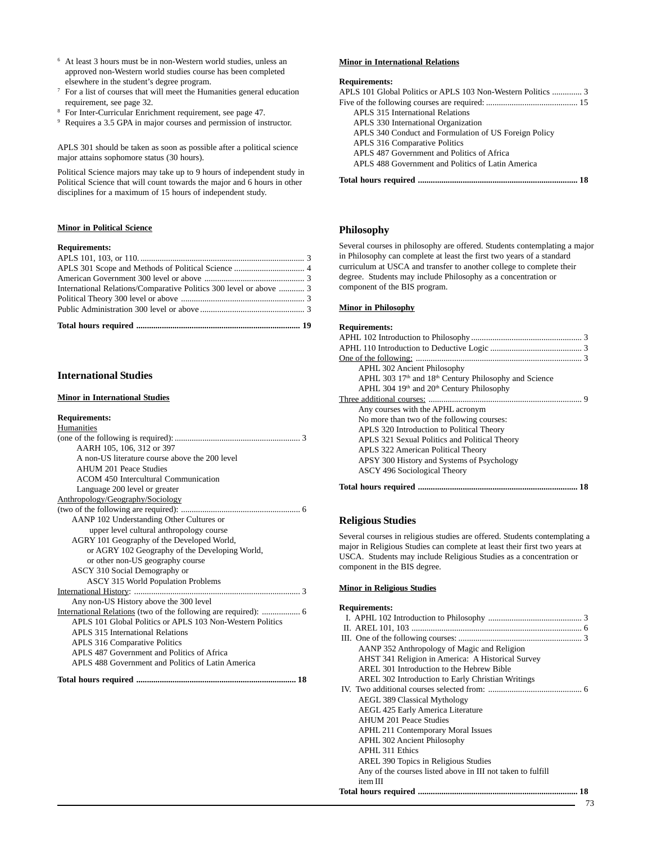- <sup>6</sup> At least 3 hours must be in non-Western world studies, unless an approved non-Western world studies course has been completed elsewhere in the student's degree program.
- <sup>7</sup> For a list of courses that will meet the Humanities general education requirement, see page 32.
- <sup>8</sup> For Inter-Curricular Enrichment requirement, see page 47.
- <sup>9</sup> Requires a 3.5 GPA in major courses and permission of instructor.

APLS 301 should be taken as soon as possible after a political science major attains sophomore status (30 hours).

Political Science majors may take up to 9 hours of independent study in Political Science that will count towards the major and 6 hours in other disciplines for a maximum of 15 hours of independent study.

## **Minor in Political Science**

## **Requirements:**

| International Relations/Comparative Politics 300 level or above  3 |  |
|--------------------------------------------------------------------|--|
|                                                                    |  |
|                                                                    |  |
|                                                                    |  |

## **International Studies**

#### **Minor in International Studies**

#### **Requirements:**

| Humanities                                                |
|-----------------------------------------------------------|
|                                                           |
| AARH 105, 106, 312 or 397                                 |
| A non-US literature course above the 200 level            |
| <b>AHUM 201 Peace Studies</b>                             |
| ACOM 450 Intercultural Communication                      |
| Language 200 level or greater                             |
| Anthropology/Geography/Sociology                          |
|                                                           |
| AANP 102 Understanding Other Cultures or                  |
| upper level cultural anthropology course                  |
| AGRY 101 Geography of the Developed World,                |
| or AGRY 102 Geography of the Developing World,            |
| or other non-US geography course                          |
| ASCY 310 Social Demography or                             |
| <b>ASCY 315 World Population Problems</b>                 |
|                                                           |
| Any non-US History above the 300 level                    |
|                                                           |
| APLS 101 Global Politics or APLS 103 Non-Western Politics |
| APLS 315 International Relations                          |
| <b>APLS 316 Comparative Politics</b>                      |
| APLS 487 Government and Politics of Africa                |
| APLS 488 Government and Politics of Latin America         |
|                                                           |

#### **Minor in International Relations**

## **Requirements:**

| APLS 101 Global Politics or APLS 103 Non-Western Politics  3 |
|--------------------------------------------------------------|
|                                                              |
| <b>APLS</b> 315 International Relations                      |
| APLS 330 International Organization                          |
| APLS 340 Conduct and Formulation of US Foreign Policy        |
| APLS 316 Comparative Politics                                |
| APLS 487 Government and Politics of Africa                   |
| APLS 488 Government and Politics of Latin America            |
|                                                              |

## **Philosophy**

Several courses in philosophy are offered. Students contemplating a major in Philosophy can complete at least the first two years of a standard curriculum at USCA and transfer to another college to complete their degree. Students may include Philosophy as a concentration or component of the BIS program.

#### **Minor in Philosophy**

#### **Requirements:**

## **Religious Studies**

Several courses in religious studies are offered. Students contemplating a major in Religious Studies can complete at least their first two years at USCA. Students may include Religious Studies as a concentration or component in the BIS degree.

## **Minor in Religious Studies**

#### **Requirements:**

| AANP 352 Anthropology of Magic and Religion                 |    |
|-------------------------------------------------------------|----|
| AHST 341 Religion in America: A Historical Survey           |    |
| AREL 301 Introduction to the Hebrew Bible                   |    |
| <b>AREL 302 Introduction to Early Christian Writings</b>    |    |
|                                                             |    |
| <b>AEGL 389 Classical Mythology</b>                         |    |
| AEGL 425 Early America Literature                           |    |
| <b>AHUM 201 Peace Studies</b>                               |    |
| <b>APHL 211 Contemporary Moral Issues</b>                   |    |
| <b>APHL 302 Ancient Philosophy</b>                          |    |
| <b>APHL 311 Ethics</b>                                      |    |
| AREL 390 Topics in Religious Studies                        |    |
| Any of the courses listed above in III not taken to fulfill |    |
| item III                                                    |    |
|                                                             | 18 |
|                                                             |    |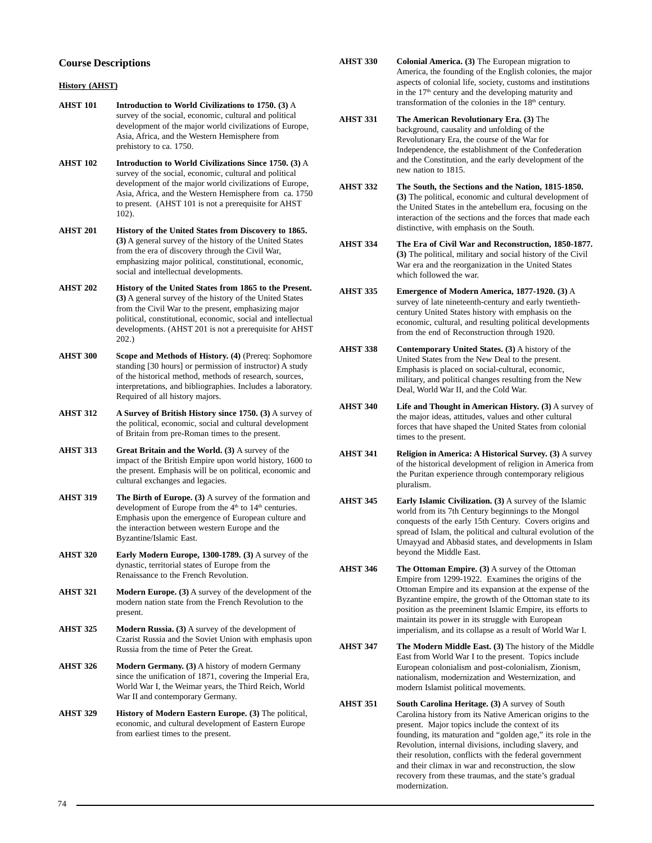## **Course Descriptions**

## **History (AHST)**

- **AHST 101 Introduction to World Civilizations to 1750. (3)** A survey of the social, economic, cultural and political development of the major world civilizations of Europe, Asia, Africa, and the Western Hemisphere from prehistory to ca. 1750.
- **AHST 102 Introduction to World Civilizations Since 1750. (3)** A survey of the social, economic, cultural and political development of the major world civilizations of Europe, Asia, Africa, and the Western Hemisphere from ca. 1750 to present. (AHST 101 is not a prerequisite for AHST 102).
- **AHST 201 History of the United States from Discovery to 1865. (3)** A general survey of the history of the United States from the era of discovery through the Civil War, emphasizing major political, constitutional, economic, social and intellectual developments.
- **AHST 202 History of the United States from 1865 to the Present. (3)** A general survey of the history of the United States from the Civil War to the present, emphasizing major political, constitutional, economic, social and intellectual developments. (AHST 201 is not a prerequisite for AHST 202.)
- **AHST 300 Scope and Methods of History. (4)** (Prereq: Sophomore standing [30 hours] or permission of instructor) A study of the historical method, methods of research, sources, interpretations, and bibliographies. Includes a laboratory. Required of all history majors.
- **AHST 312 A Survey of British History since 1750. (3)** A survey of the political, economic, social and cultural development of Britain from pre-Roman times to the present.
- **AHST 313** Great Britain and the World. (3) A survey of the impact of the British Empire upon world history, 1600 to the present. Emphasis will be on political, economic and cultural exchanges and legacies.
- **AHST 319** The Birth of Europe. (3) A survey of the formation and development of Europe from the  $4<sup>th</sup>$  to  $14<sup>th</sup>$  centuries. Emphasis upon the emergence of European culture and the interaction between western Europe and the Byzantine/Islamic East.
- **AHST 320 Early Modern Europe, 1300-1789. (3)** A survey of the dynastic, territorial states of Europe from the Renaissance to the French Revolution.
- **AHST 321 Modern Europe. (3)** A survey of the development of the modern nation state from the French Revolution to the present.
- **AHST 325 Modern Russia. (3)** A survey of the development of Czarist Russia and the Soviet Union with emphasis upon Russia from the time of Peter the Great.
- **AHST 326 Modern Germany. (3)** A history of modern Germany since the unification of 1871, covering the Imperial Era, World War I, the Weimar years, the Third Reich, World War II and contemporary Germany.
- **AHST 329 History of Modern Eastern Europe. (3)** The political, economic, and cultural development of Eastern Europe from earliest times to the present.
- **AHST 330 Colonial America. (3)** The European migration to America, the founding of the English colonies, the major aspects of colonial life, society, customs and institutions in the 17<sup>th</sup> century and the developing maturity and transformation of the colonies in the  $18<sup>th</sup>$  century.
- **AHST 331 The American Revolutionary Era. (3)** The background, causality and unfolding of the Revolutionary Era, the course of the War for Independence, the establishment of the Confederation and the Constitution, and the early development of the new nation to 1815.
- **AHST 332 The South, the Sections and the Nation, 1815-1850. (3)** The political, economic and cultural development of the United States in the antebellum era, focusing on the interaction of the sections and the forces that made each distinctive, with emphasis on the South.
- **AHST 334 The Era of Civil War and Reconstruction, 1850-1877. (3)** The political, military and social history of the Civil War era and the reorganization in the United States which followed the war.
- **AHST 335 Emergence of Modern America, 1877-1920. (3)** A survey of late nineteenth-century and early twentiethcentury United States history with emphasis on the economic, cultural, and resulting political developments from the end of Reconstruction through 1920.
- **AHST 338 Contemporary United States. (3)** A history of the United States from the New Deal to the present. Emphasis is placed on social-cultural, economic, military, and political changes resulting from the New Deal, World War II, and the Cold War.
- **AHST 340 Life and Thought in American History. (3)** A survey of the major ideas, attitudes, values and other cultural forces that have shaped the United States from colonial times to the present.
- **AHST 341 Religion in America: A Historical Survey. (3)** A survey of the historical development of religion in America from the Puritan experience through contemporary religious pluralism.
- **AHST 345 Early Islamic Civilization. (3)** A survey of the Islamic world from its 7th Century beginnings to the Mongol conquests of the early 15th Century. Covers origins and spread of Islam, the political and cultural evolution of the Umayyad and Abbasid states, and developments in Islam beyond the Middle East.
- **AHST 346 The Ottoman Empire. (3)** A survey of the Ottoman Empire from 1299-1922. Examines the origins of the Ottoman Empire and its expansion at the expense of the Byzantine empire, the growth of the Ottoman state to its position as the preeminent Islamic Empire, its efforts to maintain its power in its struggle with European imperialism, and its collapse as a result of World War I.
- **AHST 347 The Modern Middle East. (3)** The history of the Middle East from World War I to the present. Topics include European colonialism and post-colonialism, Zionism, nationalism, modernization and Westernization, and modern Islamist political movements.
- **AHST 351 South Carolina Heritage. (3)** A survey of South Carolina history from its Native American origins to the present. Major topics include the context of its founding, its maturation and "golden age," its role in the Revolution, internal divisions, including slavery, and their resolution, conflicts with the federal government and their climax in war and reconstruction, the slow recovery from these traumas, and the state's gradual modernization.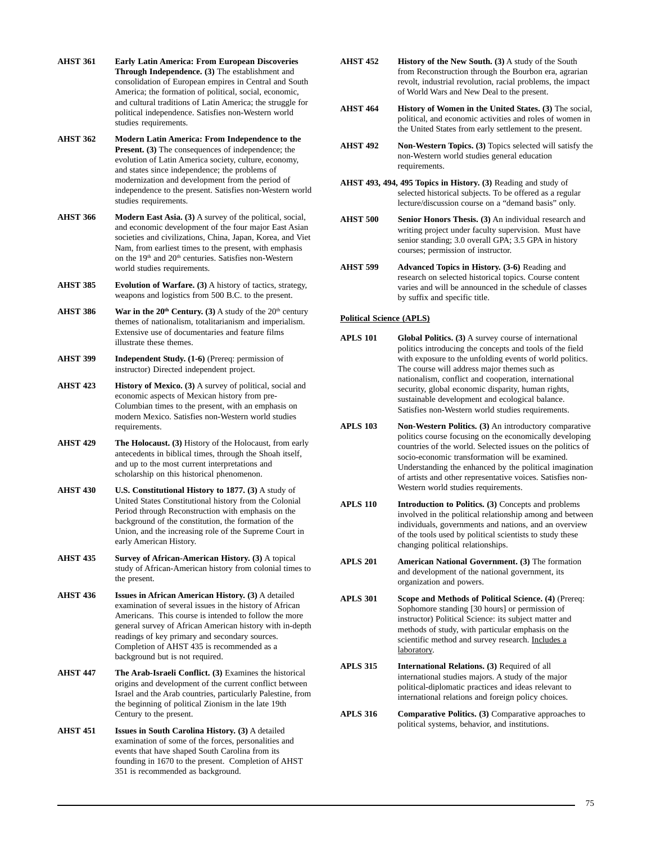- **AHST 361 Early Latin America: From European Discoveries Through Independence. (3)** The establishment and consolidation of European empires in Central and South America; the formation of political, social, economic, and cultural traditions of Latin America; the struggle for political independence. Satisfies non-Western world studies requirements.
- **AHST 362 Modern Latin America: From Independence to the Present.** (3) The consequences of independence; the evolution of Latin America society, culture, economy, and states since independence; the problems of modernization and development from the period of independence to the present. Satisfies non-Western world studies requirements.
- **AHST 366 Modern East Asia. (3)** A survey of the political, social, and economic development of the four major East Asian societies and civilizations, China, Japan, Korea, and Viet Nam, from earliest times to the present, with emphasis on the 19<sup>th</sup> and 20<sup>th</sup> centuries. Satisfies non-Western world studies requirements.
- **AHST 385 Evolution of Warfare. (3)** A history of tactics, strategy, weapons and logistics from 500 B.C. to the present.
- **AHST 386** War in the  $20<sup>th</sup>$  Century. (3) A study of the  $20<sup>th</sup>$  century themes of nationalism, totalitarianism and imperialism. Extensive use of documentaries and feature films illustrate these themes.
- **AHST 399 Independent Study. (1-6)** (Prereq: permission of instructor) Directed independent project.
- AHST 423 **History of Mexico.** (3) A survey of political, social and economic aspects of Mexican history from pre-Columbian times to the present, with an emphasis on modern Mexico. Satisfies non-Western world studies requirements.
- **AHST 429 The Holocaust. (3)** History of the Holocaust, from early antecedents in biblical times, through the Shoah itself, and up to the most current interpretations and scholarship on this historical phenomenon.
- **AHST 430 U.S. Constitutional History to 1877. (3)** A study of United States Constitutional history from the Colonial Period through Reconstruction with emphasis on the background of the constitution, the formation of the Union, and the increasing role of the Supreme Court in early American History.
- **AHST 435 Survey of African-American History. (3)** A topical study of African-American history from colonial times to the present.
- **AHST 436 Issues in African American History. (3)** A detailed examination of several issues in the history of African Americans. This course is intended to follow the more general survey of African American history with in-depth readings of key primary and secondary sources. Completion of AHST 435 is recommended as a background but is not required.
- **AHST 447 The Arab-Israeli Conflict. (3)** Examines the historical origins and development of the current conflict between Israel and the Arab countries, particularly Palestine, from the beginning of political Zionism in the late 19th Century to the present.
- **AHST 451 Issues in South Carolina History. (3)** A detailed examination of some of the forces, personalities and events that have shaped South Carolina from its founding in 1670 to the present. Completion of AHST 351 is recommended as background.
- **AHST 452 History of the New South. (3)** A study of the South from Reconstruction through the Bourbon era, agrarian revolt, industrial revolution, racial problems, the impact of World Wars and New Deal to the present.
- **AHST 464 History of Women in the United States. (3)** The social, political, and economic activities and roles of women in the United States from early settlement to the present.
- AHST 492 Non-Western Topics. (3) Topics selected will satisfy the non-Western world studies general education requirements.
- **AHST 493, 494, 495 Topics in History. (3)** Reading and study of selected historical subjects. To be offered as a regular lecture/discussion course on a "demand basis" only.
- **AHST 500 Senior Honors Thesis. (3)** An individual research and writing project under faculty supervision. Must have senior standing; 3.0 overall GPA; 3.5 GPA in history courses; permission of instructor.
- **AHST 599 Advanced Topics in History. (3-6)** Reading and research on selected historical topics. Course content varies and will be announced in the schedule of classes by suffix and specific title.

## **Political Science (APLS)**

- **APLS 101 Global Politics. (3)** A survey course of international politics introducing the concepts and tools of the field with exposure to the unfolding events of world politics. The course will address major themes such as nationalism, conflict and cooperation, international security, global economic disparity, human rights, sustainable development and ecological balance. Satisfies non-Western world studies requirements.
- **APLS 103 Non-Western Politics. (3)** An introductory comparative politics course focusing on the economically developing countries of the world. Selected issues on the politics of socio-economic transformation will be examined. Understanding the enhanced by the political imagination of artists and other representative voices. Satisfies non-Western world studies requirements.
- **APLS 110 Introduction to Politics. (3)** Concepts and problems involved in the political relationship among and between individuals, governments and nations, and an overview of the tools used by political scientists to study these changing political relationships.
- **APLS 201 American National Government. (3)** The formation and development of the national government, its organization and powers.
- **APLS 301 Scope and Methods of Political Science. (4)** (Prereq: Sophomore standing [30 hours] or permission of instructor) Political Science: its subject matter and methods of study, with particular emphasis on the scientific method and survey research. Includes a laboratory.
- **APLS 315 International Relations. (3)** Required of all international studies majors. A study of the major political-diplomatic practices and ideas relevant to international relations and foreign policy choices.
- **APLS 316 Comparative Politics. (3)** Comparative approaches to political systems, behavior, and institutions.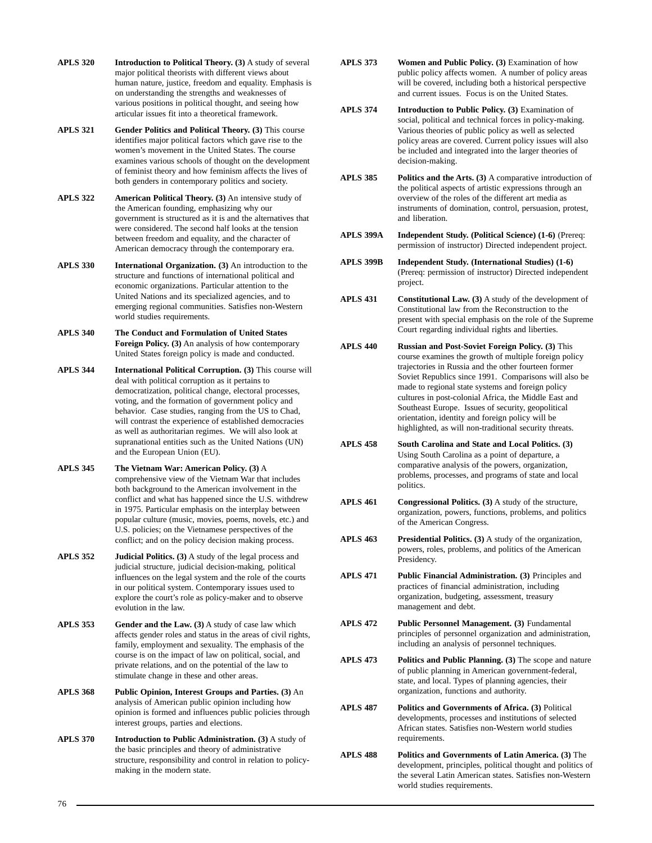- **APLS 320 Introduction to Political Theory. (3)** A study of several major political theorists with different views about human nature, justice, freedom and equality. Emphasis is on understanding the strengths and weaknesses of various positions in political thought, and seeing how articular issues fit into a theoretical framework.
- **APLS 321 Gender Politics and Political Theory. (3)** This course identifies major political factors which gave rise to the women's movement in the United States. The course examines various schools of thought on the development of feminist theory and how feminism affects the lives of both genders in contemporary politics and society.
- **APLS 322 American Political Theory. (3)** An intensive study of the American founding, emphasizing why our government is structured as it is and the alternatives that were considered. The second half looks at the tension between freedom and equality, and the character of American democracy through the contemporary era.
- **APLS 330 International Organization. (3)** An introduction to the structure and functions of international political and economic organizations. Particular attention to the United Nations and its specialized agencies, and to emerging regional communities. Satisfies non-Western world studies requirements.
- **APLS 340 The Conduct and Formulation of United States Foreign Policy. (3)** An analysis of how contemporary United States foreign policy is made and conducted.
- **APLS 344 International Political Corruption. (3)** This course will deal with political corruption as it pertains to democratization, political change, electoral processes, voting, and the formation of government policy and behavior. Case studies, ranging from the US to Chad, will contrast the experience of established democracies as well as authoritarian regimes. We will also look at supranational entities such as the United Nations (UN) and the European Union (EU).
- **APLS 345 The Vietnam War: American Policy. (3)** A comprehensive view of the Vietnam War that includes both background to the American involvement in the conflict and what has happened since the U.S. withdrew in 1975. Particular emphasis on the interplay between popular culture (music, movies, poems, novels, etc.) and U.S. policies; on the Vietnamese perspectives of the conflict; and on the policy decision making process.
- **APLS 352 Judicial Politics. (3)** A study of the legal process and judicial structure, judicial decision-making, political influences on the legal system and the role of the courts in our political system. Contemporary issues used to explore the court's role as policy-maker and to observe evolution in the law.
- **APLS 353 Gender and the Law. (3)** A study of case law which affects gender roles and status in the areas of civil rights, family, employment and sexuality. The emphasis of the course is on the impact of law on political, social, and private relations, and on the potential of the law to stimulate change in these and other areas.
- **APLS 368 Public Opinion, Interest Groups and Parties. (3)** An analysis of American public opinion including how opinion is formed and influences public policies through interest groups, parties and elections.
- **APLS 370 Introduction to Public Administration. (3)** A study of the basic principles and theory of administrative structure, responsibility and control in relation to policymaking in the modern state.
- **APLS 373 Women and Public Policy. (3)** Examination of how public policy affects women. A number of policy areas will be covered, including both a historical perspective and current issues. Focus is on the United States.
- **APLS 374 Introduction to Public Policy. (3)** Examination of social, political and technical forces in policy-making. Various theories of public policy as well as selected policy areas are covered. Current policy issues will also be included and integrated into the larger theories of decision-making.
- **APLS 385 Politics and the Arts. (3)** A comparative introduction of the political aspects of artistic expressions through an overview of the roles of the different art media as instruments of domination, control, persuasion, protest, and liberation.
- **APLS 399A Independent Study. (Political Science) (1-6)** (Prereq: permission of instructor) Directed independent project.
- **APLS 399B Independent Study. (International Studies) (1-6)** (Prereq: permission of instructor) Directed independent project.
- **APLS 431 Constitutional Law. (3)** A study of the development of Constitutional law from the Reconstruction to the present with special emphasis on the role of the Supreme Court regarding individual rights and liberties.
- **APLS 440 Russian and Post-Soviet Foreign Policy. (3)** This course examines the growth of multiple foreign policy trajectories in Russia and the other fourteen former Soviet Republics since 1991. Comparisons will also be made to regional state systems and foreign policy cultures in post-colonial Africa, the Middle East and Southeast Europe. Issues of security, geopolitical orientation, identity and foreign policy will be highlighted, as will non-traditional security threats.
- **APLS 458 South Carolina and State and Local Politics. (3)** Using South Carolina as a point of departure, a comparative analysis of the powers, organization, problems, processes, and programs of state and local politics.
- **APLS 461 Congressional Politics. (3)** A study of the structure, organization, powers, functions, problems, and politics of the American Congress.
- **APLS 463 Presidential Politics. (3)** A study of the organization, powers, roles, problems, and politics of the American Presidency.
- **APLS 471 Public Financial Administration. (3)** Principles and practices of financial administration, including organization, budgeting, assessment, treasury management and debt.
- **APLS 472 Public Personnel Management. (3)** Fundamental principles of personnel organization and administration, including an analysis of personnel techniques.
- **APLS 473 Politics and Public Planning. (3)** The scope and nature of public planning in American government-federal, state, and local. Types of planning agencies, their organization, functions and authority.
- **APLS 487 Politics and Governments of Africa. (3)** Political developments, processes and institutions of selected African states. Satisfies non-Western world studies requirements.
- **APLS 488 Politics and Governments of Latin America. (3)** The development, principles, political thought and politics of the several Latin American states. Satisfies non-Western world studies requirements.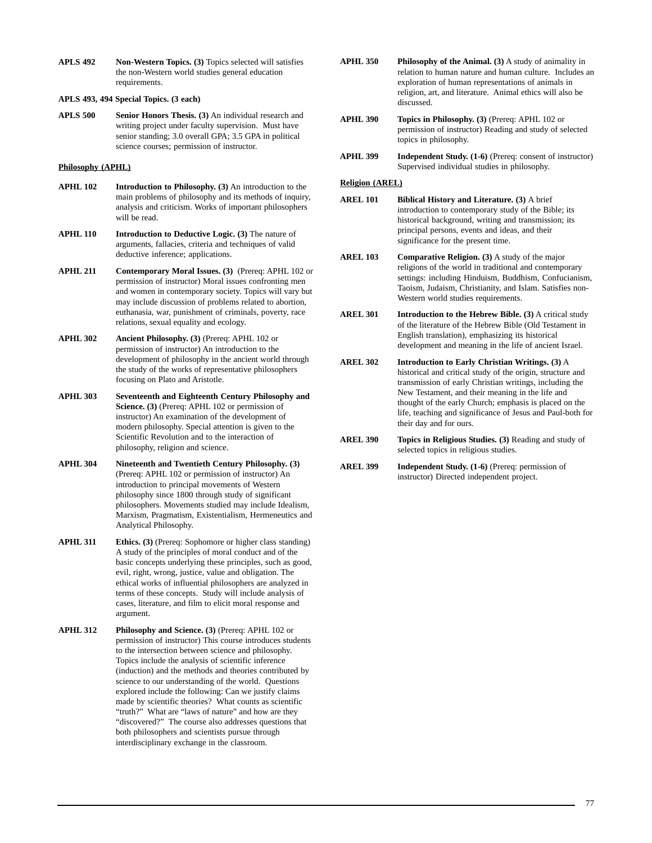**APLS 492 Non-Western Topics. (3)** Topics selected will satisfies the non-Western world studies general education requirements.

## **APLS 493, 494 Special Topics. (3 each)**

**APLS 500 Senior Honors Thesis. (3)** An individual research and writing project under faculty supervision. Must have senior standing; 3.0 overall GPA; 3.5 GPA in political science courses; permission of instructor.

## **Philosophy (APHL)**

- **APHL 102 Introduction to Philosophy. (3)** An introduction to the main problems of philosophy and its methods of inquiry, analysis and criticism. Works of important philosophers will be read.
- **APHL 110** Introduction to Deductive Logic. (3) The nature of arguments, fallacies, criteria and techniques of valid deductive inference; applications.
- **APHL 211 Contemporary Moral Issues. (3)** (Prereq: APHL 102 or permission of instructor) Moral issues confronting men and women in contemporary society. Topics will vary but may include discussion of problems related to abortion, euthanasia, war, punishment of criminals, poverty, race relations, sexual equality and ecology.
- **APHL 302 Ancient Philosophy. (3)** (Prereq: APHL 102 or permission of instructor) An introduction to the development of philosophy in the ancient world through the study of the works of representative philosophers focusing on Plato and Aristotle.
- **APHL 303 Seventeenth and Eighteenth Century Philosophy and Science. (3)** (Prereq: APHL 102 or permission of instructor) An examination of the development of modern philosophy. Special attention is given to the Scientific Revolution and to the interaction of philosophy, religion and science.
- **APHL 304 Nineteenth and Twentieth Century Philosophy. (3)** (Prereq: APHL 102 or permission of instructor) An introduction to principal movements of Western philosophy since 1800 through study of significant philosophers. Movements studied may include Idealism, Marxism, Pragmatism, Existentialism, Hermeneutics and Analytical Philosophy.
- **APHL 311 Ethics. (3)** (Prereq: Sophomore or higher class standing) A study of the principles of moral conduct and of the basic concepts underlying these principles, such as good, evil, right, wrong, justice, value and obligation. The ethical works of influential philosophers are analyzed in terms of these concepts. Study will include analysis of cases, literature, and film to elicit moral response and argument.
- **APHL 312 Philosophy and Science. (3)** (Prereq: APHL 102 or permission of instructor) This course introduces students to the intersection between science and philosophy. Topics include the analysis of scientific inference (induction) and the methods and theories contributed by science to our understanding of the world. Questions explored include the following: Can we justify claims made by scientific theories? What counts as scientific "truth?" What are "laws of nature" and how are they "discovered?" The course also addresses questions that both philosophers and scientists pursue through interdisciplinary exchange in the classroom.
- **APHL 350 Philosophy of the Animal. (3)** A study of animality in relation to human nature and human culture. Includes an exploration of human representations of animals in religion, art, and literature. Animal ethics will also be discussed.
- **APHL 390 Topics in Philosophy. (3)** (Prereq: APHL 102 or permission of instructor) Reading and study of selected topics in philosophy.
- **APHL 399 Independent Study. (1-6)** (Prereq: consent of instructor) Supervised individual studies in philosophy.

## **Religion (AREL)**

- **AREL 101 Biblical History and Literature. (3)** A brief introduction to contemporary study of the Bible; its historical background, writing and transmission; its principal persons, events and ideas, and their significance for the present time.
- **AREL 103 Comparative Religion. (3)** A study of the major religions of the world in traditional and contemporary settings: including Hinduism, Buddhism, Confucianism, Taoism, Judaism, Christianity, and Islam. Satisfies non-Western world studies requirements.
- **AREL 301 Introduction to the Hebrew Bible. (3)** A critical study of the literature of the Hebrew Bible (Old Testament in English translation), emphasizing its historical development and meaning in the life of ancient Israel.
- **AREL 302 Introduction to Early Christian Writings. (3)** A historical and critical study of the origin, structure and transmission of early Christian writings, including the New Testament, and their meaning in the life and thought of the early Church; emphasis is placed on the life, teaching and significance of Jesus and Paul-both for their day and for ours.
- **AREL 390 Topics in Religious Studies. (3)** Reading and study of selected topics in religious studies.
- **AREL 399 Independent Study. (1-6)** (Prereq: permission of instructor) Directed independent project.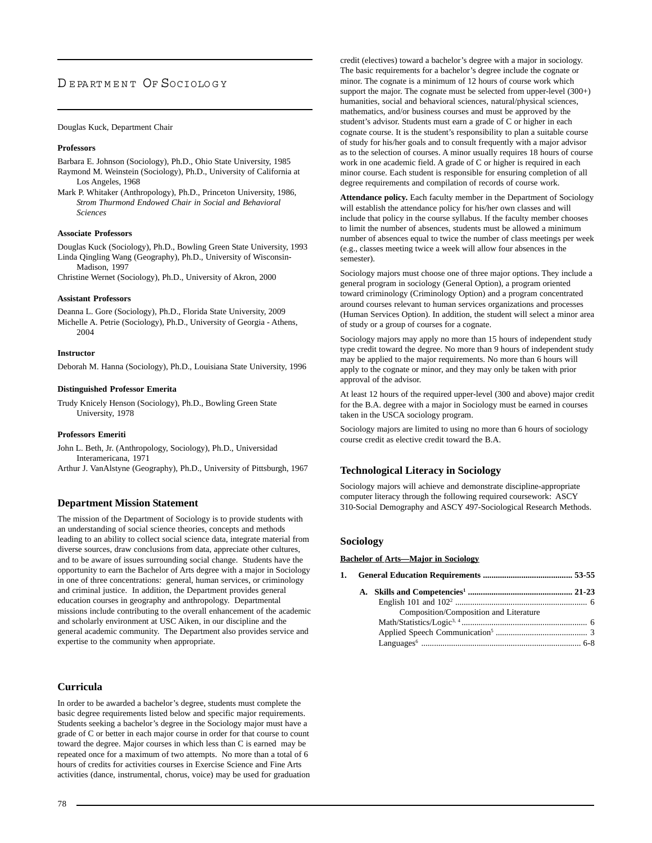# DEPARTMENT OF SOCIOLOGY

#### Douglas Kuck, Department Chair

#### **Professors**

- Barbara E. Johnson (Sociology), Ph.D., Ohio State University, 1985 Raymond M. Weinstein (Sociology), Ph.D., University of California at Los Angeles, 1968
- Mark P. Whitaker (Anthropology), Ph.D., Princeton University, 1986, *Strom Thurmond Endowed Chair in Social and Behavioral Sciences*

#### **Associate Professors**

Douglas Kuck (Sociology), Ph.D., Bowling Green State University, 1993 Linda Qingling Wang (Geography), Ph.D., University of Wisconsin-Madison, 1997

Christine Wernet (Sociology), Ph.D., University of Akron, 2000

#### **Assistant Professors**

Deanna L. Gore (Sociology), Ph.D., Florida State University, 2009 Michelle A. Petrie (Sociology), Ph.D., University of Georgia - Athens, 2004

#### **Instructor**

Deborah M. Hanna (Sociology), Ph.D., Louisiana State University, 1996

#### **Distinguished Professor Emerita**

Trudy Knicely Henson (Sociology), Ph.D., Bowling Green State University, 1978

#### **Professors Emeriti**

John L. Beth, Jr. (Anthropology, Sociology), Ph.D., Universidad Interamericana, 1971

Arthur J. VanAlstyne (Geography), Ph.D., University of Pittsburgh, 1967

#### **Department Mission Statement**

The mission of the Department of Sociology is to provide students with an understanding of social science theories, concepts and methods leading to an ability to collect social science data, integrate material from diverse sources, draw conclusions from data, appreciate other cultures, and to be aware of issues surrounding social change. Students have the opportunity to earn the Bachelor of Arts degree with a major in Sociology in one of three concentrations: general, human services, or criminology and criminal justice. In addition, the Department provides general education courses in geography and anthropology. Departmental missions include contributing to the overall enhancement of the academic and scholarly environment at USC Aiken, in our discipline and the general academic community. The Department also provides service and expertise to the community when appropriate.

## **Curricula**

In order to be awarded a bachelor's degree, students must complete the basic degree requirements listed below and specific major requirements. Students seeking a bachelor's degree in the Sociology major must have a grade of C or better in each major course in order for that course to count toward the degree. Major courses in which less than C is earned may be repeated once for a maximum of two attempts. No more than a total of 6 hours of credits for activities courses in Exercise Science and Fine Arts activities (dance, instrumental, chorus, voice) may be used for graduation credit (electives) toward a bachelor's degree with a major in sociology. The basic requirements for a bachelor's degree include the cognate or minor. The cognate is a minimum of 12 hours of course work which support the major. The cognate must be selected from upper-level (300+) humanities, social and behavioral sciences, natural/physical sciences, mathematics, and/or business courses and must be approved by the student's advisor. Students must earn a grade of C or higher in each cognate course. It is the student's responsibility to plan a suitable course of study for his/her goals and to consult frequently with a major advisor as to the selection of courses. A minor usually requires 18 hours of course work in one academic field. A grade of C or higher is required in each minor course. Each student is responsible for ensuring completion of all degree requirements and compilation of records of course work.

**Attendance policy.** Each faculty member in the Department of Sociology will establish the attendance policy for his/her own classes and will include that policy in the course syllabus. If the faculty member chooses to limit the number of absences, students must be allowed a minimum number of absences equal to twice the number of class meetings per week (e.g., classes meeting twice a week will allow four absences in the semester).

Sociology majors must choose one of three major options. They include a general program in sociology (General Option), a program oriented toward criminology (Criminology Option) and a program concentrated around courses relevant to human services organizations and processes (Human Services Option). In addition, the student will select a minor area of study or a group of courses for a cognate.

Sociology majors may apply no more than 15 hours of independent study type credit toward the degree. No more than 9 hours of independent study may be applied to the major requirements. No more than 6 hours will apply to the cognate or minor, and they may only be taken with prior approval of the advisor.

At least 12 hours of the required upper-level (300 and above) major credit for the B.A. degree with a major in Sociology must be earned in courses taken in the USCA sociology program.

Sociology majors are limited to using no more than 6 hours of sociology course credit as elective credit toward the B.A.

## **Technological Literacy in Sociology**

Sociology majors will achieve and demonstrate discipline-appropriate computer literacy through the following required coursework: ASCY 310-Social Demography and ASCY 497-Sociological Research Methods.

#### **Sociology**

#### **Bachelor of Arts—Major in Sociology**

|  | Composition/Composition and Literature |  |
|--|----------------------------------------|--|
|  |                                        |  |
|  |                                        |  |
|  |                                        |  |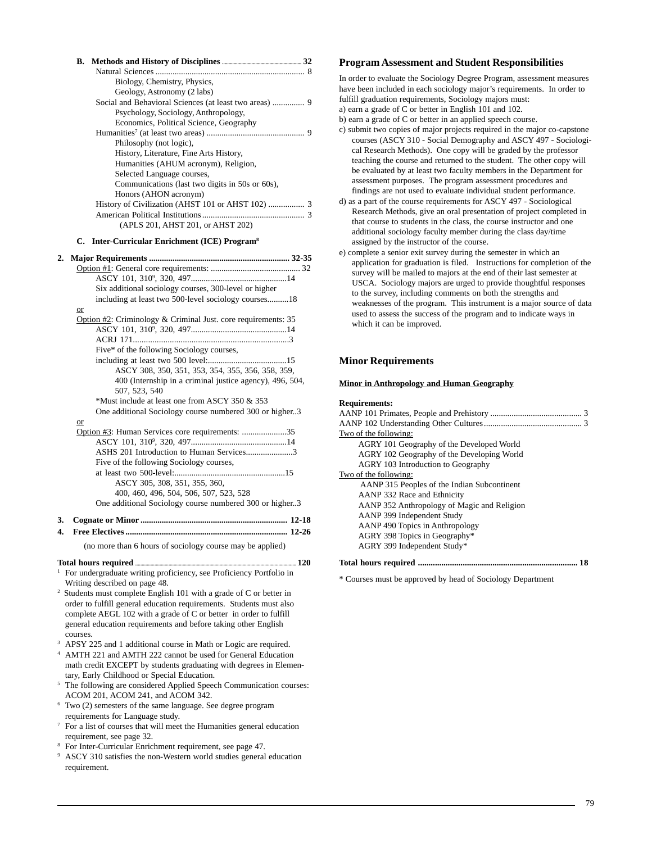|    | В.                                                                 |  |
|----|--------------------------------------------------------------------|--|
|    | Biology, Chemistry, Physics,                                       |  |
|    | Geology, Astronomy (2 labs)                                        |  |
|    | Social and Behavioral Sciences (at least two areas)  9             |  |
|    | Psychology, Sociology, Anthropology,                               |  |
|    | Economics, Political Science, Geography                            |  |
|    |                                                                    |  |
|    | Philosophy (not logic),                                            |  |
|    | History, Literature, Fine Arts History,                            |  |
|    | Humanities (AHUM acronym), Religion,                               |  |
|    | Selected Language courses,                                         |  |
|    | Communications (last two digits in 50s or 60s),                    |  |
|    | Honors (AHON acronym)                                              |  |
|    |                                                                    |  |
|    |                                                                    |  |
|    | (APLS 201, AHST 201, or AHST 202)                                  |  |
|    | <b>Inter-Curricular Enrichment (ICE) Program<sup>8</sup></b><br>C. |  |
| 2. |                                                                    |  |
|    |                                                                    |  |
|    |                                                                    |  |
|    | Six additional sociology courses, 300-level or higher              |  |
|    | including at least two 500-level sociology courses18               |  |
|    | $\overline{\text{or}}$                                             |  |
|    | Option #2: Criminology & Criminal Just. core requirements: 35      |  |
|    |                                                                    |  |
|    |                                                                    |  |
|    | Five* of the following Sociology courses,                          |  |
|    | ASCY 308, 350, 351, 353, 354, 355, 356, 358, 359,                  |  |
|    | 400 (Internship in a criminal justice agency), 496, 504,           |  |
|    | 507, 523, 540                                                      |  |
|    | *Must include at least one from ASCY 350 & 353                     |  |
|    | One additional Sociology course numbered 300 or higher3            |  |
|    | or                                                                 |  |
|    | Option #3: Human Services core requirements: 35                    |  |
|    |                                                                    |  |
|    | ASHS 201 Introduction to Human Services3                           |  |
|    | Five of the following Sociology courses,                           |  |
|    |                                                                    |  |
|    | ASCY 305, 308, 351, 355, 360,                                      |  |
|    | 400, 460, 496, 504, 506, 507, 523, 528                             |  |
|    | One additional Sociology course numbered 300 or higher3            |  |
| 3. |                                                                    |  |
| 4. |                                                                    |  |

(no more than 6 hours of sociology course may be applied)

#### **Total hours required .............................................................................................................................. 120**

- <sup>1</sup> For undergraduate writing proficiency, see Proficiency Portfolio in Writing described on page 48.
- 2 Students must complete English 101 with a grade of C or better in order to fulfill general education requirements. Students must also complete AEGL 102 with a grade of C or better in order to fulfill general education requirements and before taking other English courses.
- <sup>3</sup> APSY 225 and 1 additional course in Math or Logic are required.
- <sup>4</sup> AMTH 221 and AMTH 222 cannot be used for General Education math credit EXCEPT by students graduating with degrees in Elementary, Early Childhood or Special Education.
- <sup>5</sup> The following are considered Applied Speech Communication courses: ACOM 201, ACOM 241, and ACOM 342.
- <sup>6</sup> Two (2) semesters of the same language. See degree program requirements for Language study.
- $7$  For a list of courses that will meet the Humanities general education requirement, see page 32.
- <sup>8</sup> For Inter-Curricular Enrichment requirement, see page 47.<br><sup>9</sup> ASCV 310 satisfies the non-Western world studies general
- ASCY 310 satisfies the non-Western world studies general education requirement.

## **Program Assessment and Student Responsibilities**

In order to evaluate the Sociology Degree Program, assessment measures have been included in each sociology major's requirements. In order to fulfill graduation requirements, Sociology majors must:

a) earn a grade of C or better in English 101 and 102.

- b) earn a grade of C or better in an applied speech course.
- c) submit two copies of major projects required in the major co-capstone courses (ASCY 310 - Social Demography and ASCY 497 - Sociological Research Methods). One copy will be graded by the professor teaching the course and returned to the student. The other copy will be evaluated by at least two faculty members in the Department for assessment purposes. The program assessment procedures and findings are not used to evaluate individual student performance.
- d) as a part of the course requirements for ASCY 497 Sociological Research Methods, give an oral presentation of project completed in that course to students in the class, the course instructor and one additional sociology faculty member during the class day/time assigned by the instructor of the course.
- e) complete a senior exit survey during the semester in which an application for graduation is filed. Instructions for completion of the survey will be mailed to majors at the end of their last semester at USCA. Sociology majors are urged to provide thoughtful responses to the survey, including comments on both the strengths and weaknesses of the program. This instrument is a major source of data used to assess the success of the program and to indicate ways in which it can be improved.

## **Minor Requirements**

#### **Minor in Anthropology and Human Geography**

#### **Requirements:**

| Two of the following:                       |
|---------------------------------------------|
| AGRY 101 Geography of the Developed World   |
| AGRY 102 Geography of the Developing World  |
| AGRY 103 Introduction to Geography          |
| Two of the following:                       |
| AANP 315 Peoples of the Indian Subcontinent |
| AANP 332 Race and Ethnicity                 |
| AANP 352 Anthropology of Magic and Religion |
| AANP 399 Independent Study                  |
| AANP 490 Topics in Anthropology             |
| AGRY 398 Topics in Geography*               |
| AGRY 399 Independent Study*                 |
|                                             |

\* Courses must be approved by head of Sociology Department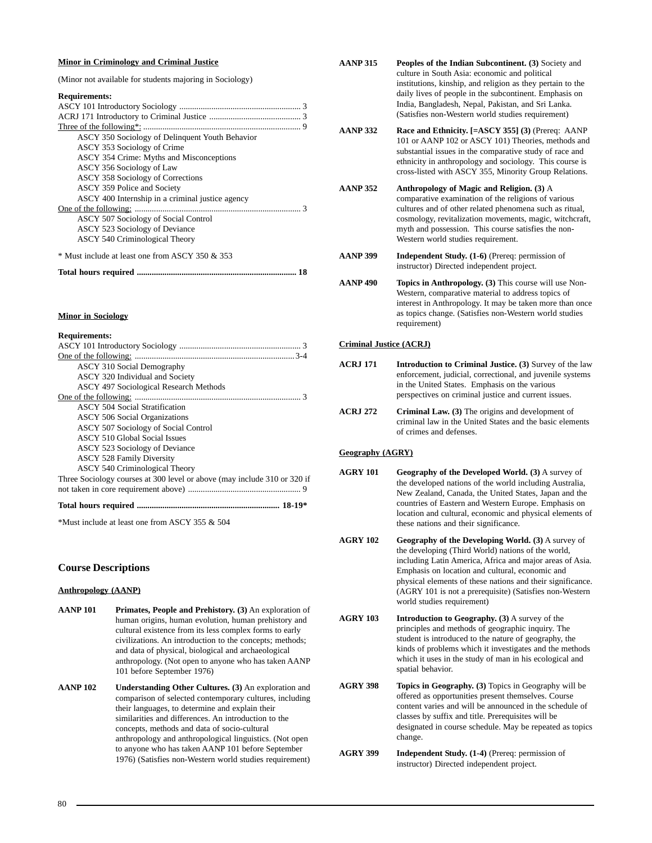#### **Minor in Criminology and Criminal Justice**

(Minor not available for students majoring in Sociology)

#### **Requirements:**

| ASCY 350 Sociology of Delinquent Youth Behavior  |
|--------------------------------------------------|
| ASCY 353 Sociology of Crime                      |
| ASCY 354 Crime: Myths and Misconceptions         |
| ASCY 356 Sociology of Law                        |
| ASCY 358 Sociology of Corrections                |
| ASCY 359 Police and Society                      |
| ASCY 400 Internship in a criminal justice agency |
|                                                  |
| ASCY 507 Sociology of Social Control             |
| ASCY 523 Sociology of Deviance                   |
| <b>ASCY 540 Criminological Theory</b>            |
| * Must include at least one from ASCY 350 & 353  |
|                                                  |

#### **Minor in Sociology**

#### **Requirements:**

| <b>ASCY 310 Social Demography</b>                                        |
|--------------------------------------------------------------------------|
| ASCY 320 Individual and Society                                          |
| <b>ASCY 497 Sociological Research Methods</b>                            |
|                                                                          |
| <b>ASCY 504 Social Stratification</b>                                    |
| <b>ASCY 506 Social Organizations</b>                                     |
| ASCY 507 Sociology of Social Control                                     |
| <b>ASCY 510 Global Social Issues</b>                                     |
| ASCY 523 Sociology of Deviance                                           |
| <b>ASCY 528 Family Diversity</b>                                         |
| <b>ASCY 540 Criminological Theory</b>                                    |
| Three Sociology courses at 300 level or above (may include 310 or 320 if |
|                                                                          |
|                                                                          |

\*Must include at least one from ASCY 355 & 504

## **Course Descriptions**

#### **Anthropology (AANP)**

- **AANP 101 Primates, People and Prehistory. (3)** An exploration of human origins, human evolution, human prehistory and cultural existence from its less complex forms to early civilizations. An introduction to the concepts; methods; and data of physical, biological and archaeological anthropology. (Not open to anyone who has taken AANP 101 before September 1976)
- **AANP 102 Understanding Other Cultures. (3)** An exploration and comparison of selected contemporary cultures, including their languages, to determine and explain their similarities and differences. An introduction to the concepts, methods and data of socio-cultural anthropology and anthropological linguistics. (Not open to anyone who has taken AANP 101 before September 1976) (Satisfies non-Western world studies requirement)
- **AANP 315 Peoples of the Indian Subcontinent. (3)** Society and culture in South Asia: economic and political institutions, kinship, and religion as they pertain to the daily lives of people in the subcontinent. Emphasis on India, Bangladesh, Nepal, Pakistan, and Sri Lanka. (Satisfies non-Western world studies requirement)
- **AANP 332 Race and Ethnicity. [=ASCY 355] (3)** (Prereq: AANP 101 or AANP 102 or ASCY 101) Theories, methods and substantial issues in the comparative study of race and ethnicity in anthropology and sociology. This course is cross-listed with ASCY 355, Minority Group Relations.
- **AANP 352 Anthropology of Magic and Religion. (3)** A comparative examination of the religions of various cultures and of other related phenomena such as ritual, cosmology, revitalization movements, magic, witchcraft, myth and possession. This course satisfies the non-Western world studies requirement.
- **AANP 399 Independent Study. (1-6)** (Prereq: permission of instructor) Directed independent project.
- **AANP 490 Topics in Anthropology. (3)** This course will use Non-Western, comparative material to address topics of interest in Anthropology. It may be taken more than once as topics change. (Satisfies non-Western world studies requirement)

#### **Criminal Justice (ACRJ)**

- **ACRJ 171 Introduction to Criminal Justice. (3)** Survey of the law enforcement, judicial, correctional, and juvenile systems in the United States. Emphasis on the various perspectives on criminal justice and current issues.
- **ACRJ 272 Criminal Law. (3)** The origins and development of criminal law in the United States and the basic elements of crimes and defenses.

## **Geography (AGRY)**

- **AGRY 101 Geography of the Developed World. (3)** A survey of the developed nations of the world including Australia, New Zealand, Canada, the United States, Japan and the countries of Eastern and Western Europe. Emphasis on location and cultural, economic and physical elements of these nations and their significance.
- **AGRY 102 Geography of the Developing World. (3)** A survey of the developing (Third World) nations of the world, including Latin America, Africa and major areas of Asia. Emphasis on location and cultural, economic and physical elements of these nations and their significance. (AGRY 101 is not a prerequisite) (Satisfies non-Western world studies requirement)
- **AGRY 103 Introduction to Geography. (3)** A survey of the principles and methods of geographic inquiry. The student is introduced to the nature of geography, the kinds of problems which it investigates and the methods which it uses in the study of man in his ecological and spatial behavior.
- **AGRY 398 Topics in Geography. (3)** Topics in Geography will be offered as opportunities present themselves. Course content varies and will be announced in the schedule of classes by suffix and title. Prerequisites will be designated in course schedule. May be repeated as topics change.
- **AGRY 399 Independent Study. (1-4)** (Prereq: permission of instructor) Directed independent project.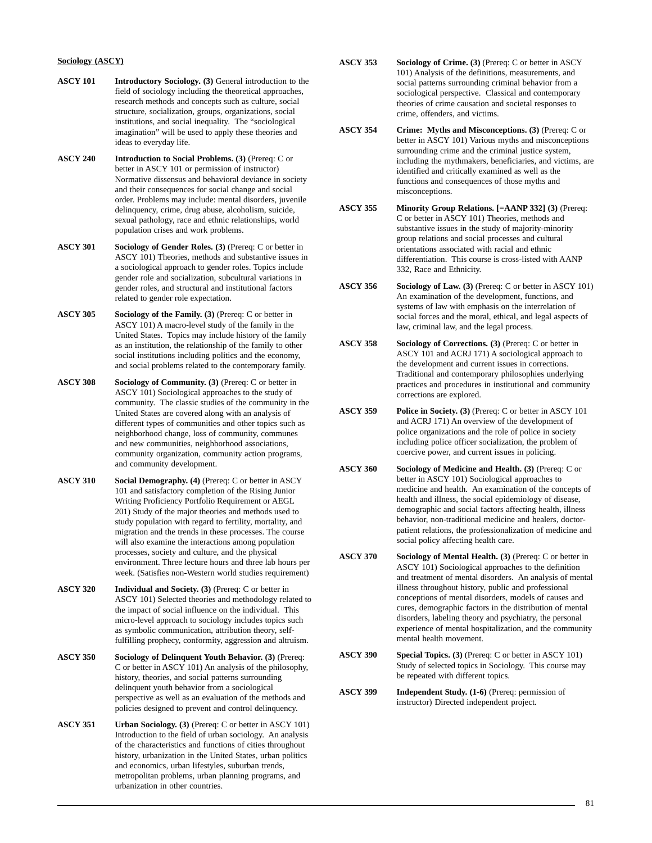## **Sociology (ASCY)**

- **ASCY 101 Introductory Sociology. (3)** General introduction to the field of sociology including the theoretical approaches, research methods and concepts such as culture, social structure, socialization, groups, organizations, social institutions, and social inequality. The "sociological imagination" will be used to apply these theories and ideas to everyday life.
- **ASCY 240 Introduction to Social Problems. (3)** (Prereq: C or better in ASCY 101 or permission of instructor) Normative dissensus and behavioral deviance in society and their consequences for social change and social order. Problems may include: mental disorders, juvenile delinquency, crime, drug abuse, alcoholism, suicide, sexual pathology, race and ethnic relationships, world population crises and work problems.
- **ASCY 301 Sociology of Gender Roles. (3)** (Prereq: C or better in ASCY 101) Theories, methods and substantive issues in a sociological approach to gender roles. Topics include gender role and socialization, subcultural variations in gender roles, and structural and institutional factors related to gender role expectation.
- **ASCY 305 Sociology of the Family. (3)** (Prereq: C or better in ASCY 101) A macro-level study of the family in the United States. Topics may include history of the family as an institution, the relationship of the family to other social institutions including politics and the economy, and social problems related to the contemporary family.
- **ASCY 308 Sociology of Community. (3)** (Prereq: C or better in ASCY 101) Sociological approaches to the study of community. The classic studies of the community in the United States are covered along with an analysis of different types of communities and other topics such as neighborhood change, loss of community, communes and new communities, neighborhood associations, community organization, community action programs, and community development.
- **ASCY 310 Social Demography. (4)** (Prereq: C or better in ASCY 101 and satisfactory completion of the Rising Junior Writing Proficiency Portfolio Requirement or AEGL 201) Study of the major theories and methods used to study population with regard to fertility, mortality, and migration and the trends in these processes. The course will also examine the interactions among population processes, society and culture, and the physical environment. Three lecture hours and three lab hours per week. (Satisfies non-Western world studies requirement)
- **ASCY 320 Individual and Society. (3)** (Prereq: C or better in ASCY 101) Selected theories and methodology related to the impact of social influence on the individual. This micro-level approach to sociology includes topics such as symbolic communication, attribution theory, selffulfilling prophecy, conformity, aggression and altruism.
- **ASCY 350 Sociology of Delinquent Youth Behavior. (3)** (Prereq: C or better in ASCY 101) An analysis of the philosophy, history, theories, and social patterns surrounding delinquent youth behavior from a sociological perspective as well as an evaluation of the methods and policies designed to prevent and control delinquency.
- **ASCY 351 Urban Sociology. (3)** (Prereq: C or better in ASCY 101) Introduction to the field of urban sociology. An analysis of the characteristics and functions of cities throughout history, urbanization in the United States, urban politics and economics, urban lifestyles, suburban trends, metropolitan problems, urban planning programs, and urbanization in other countries.
- **ASCY 353 Sociology of Crime. (3)** (Prereq: C or better in ASCY 101) Analysis of the definitions, measurements, and social patterns surrounding criminal behavior from a sociological perspective. Classical and contemporary theories of crime causation and societal responses to crime, offenders, and victims.
- **ASCY 354 Crime: Myths and Misconceptions. (3)** (Prereq: C or better in ASCY 101) Various myths and misconceptions surrounding crime and the criminal justice system, including the mythmakers, beneficiaries, and victims, are identified and critically examined as well as the functions and consequences of those myths and misconceptions.
- **ASCY 355 Minority Group Relations. [=AANP 332] (3)** (Prereq: C or better in ASCY 101) Theories, methods and substantive issues in the study of majority-minority group relations and social processes and cultural orientations associated with racial and ethnic differentiation. This course is cross-listed with AANP 332, Race and Ethnicity.
- **ASCY 356 Sociology of Law. (3)** (Prereq: C or better in ASCY 101) An examination of the development, functions, and systems of law with emphasis on the interrelation of social forces and the moral, ethical, and legal aspects of law, criminal law, and the legal process.
- **ASCY 358 Sociology of Corrections. (3)** (Prereq: C or better in ASCY 101 and ACRJ 171) A sociological approach to the development and current issues in corrections. Traditional and contemporary philosophies underlying practices and procedures in institutional and community corrections are explored.
- **ASCY 359 Police in Society. (3)** (Prereq: C or better in ASCY 101 and ACRJ 171) An overview of the development of police organizations and the role of police in society including police officer socialization, the problem of coercive power, and current issues in policing.
- **ASCY 360 Sociology of Medicine and Health. (3)** (Prereq: C or better in ASCY 101) Sociological approaches to medicine and health. An examination of the concepts of health and illness, the social epidemiology of disease, demographic and social factors affecting health, illness behavior, non-traditional medicine and healers, doctorpatient relations, the professionalization of medicine and social policy affecting health care.
- **ASCY 370 Sociology of Mental Health. (3)** (Prereq: C or better in ASCY 101) Sociological approaches to the definition and treatment of mental disorders. An analysis of mental illness throughout history, public and professional conceptions of mental disorders, models of causes and cures, demographic factors in the distribution of mental disorders, labeling theory and psychiatry, the personal experience of mental hospitalization, and the community mental health movement.
- **ASCY 390 Special Topics. (3)** (Prereq: C or better in ASCY 101) Study of selected topics in Sociology. This course may be repeated with different topics.
- **ASCY 399 Independent Study. (1-6)** (Prereq: permission of instructor) Directed independent project.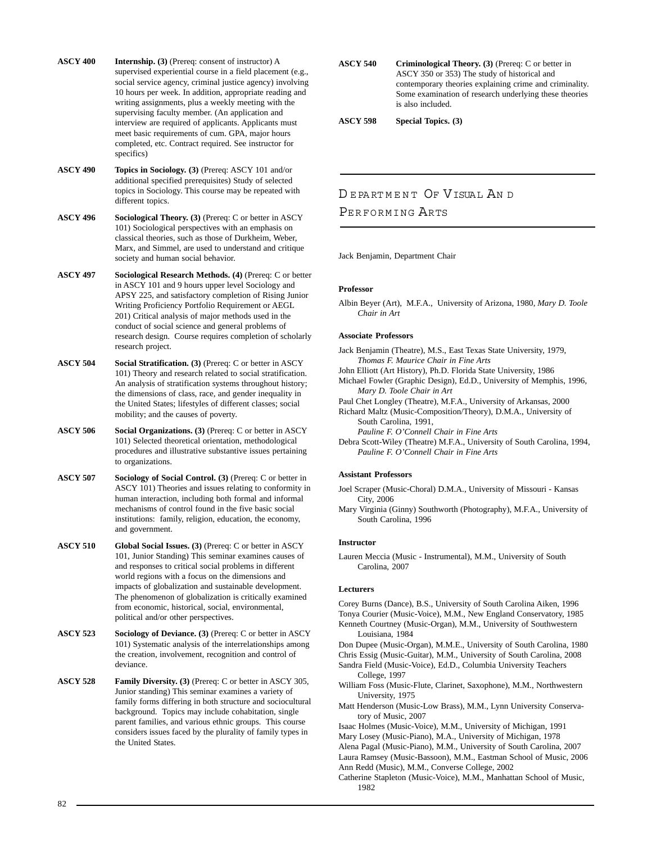- **ASCY 400 Internship. (3)** (Prereq: consent of instructor) A supervised experiential course in a field placement (e.g., social service agency, criminal justice agency) involving 10 hours per week. In addition, appropriate reading and writing assignments, plus a weekly meeting with the supervising faculty member. (An application and interview are required of applicants. Applicants must meet basic requirements of cum. GPA, major hours completed, etc. Contract required. See instructor for specifics)
- **ASCY 490 Topics in Sociology. (3)** (Prereq: ASCY 101 and/or additional specified prerequisites) Study of selected topics in Sociology. This course may be repeated with different topics.

**ASCY 496** Sociological Theory. (3) (Prereq: C or better in ASCY 101) Sociological perspectives with an emphasis on classical theories, such as those of Durkheim, Weber, Marx, and Simmel, are used to understand and critique society and human social behavior.

**ASCY 497 Sociological Research Methods. (4)** (Prereq: C or better in ASCY 101 and 9 hours upper level Sociology and APSY 225, and satisfactory completion of Rising Junior Writing Proficiency Portfolio Requirement or AEGL 201) Critical analysis of major methods used in the conduct of social science and general problems of research design. Course requires completion of scholarly research project.

- **ASCY 504 Social Stratification. (3)** (Prereq: C or better in ASCY 101) Theory and research related to social stratification. An analysis of stratification systems throughout history; the dimensions of class, race, and gender inequality in the United States; lifestyles of different classes; social mobility; and the causes of poverty.
- **ASCY 506** Social Organizations. (3) (Prereq: C or better in ASCY 101) Selected theoretical orientation, methodological procedures and illustrative substantive issues pertaining to organizations.
- **ASCY 507 Sociology of Social Control. (3)** (Prereq: C or better in ASCY 101) Theories and issues relating to conformity in human interaction, including both formal and informal mechanisms of control found in the five basic social institutions: family, religion, education, the economy, and government.

**ASCY 510 Global Social Issues. (3)** (Prereq: C or better in ASCY 101, Junior Standing) This seminar examines causes of and responses to critical social problems in different world regions with a focus on the dimensions and impacts of globalization and sustainable development. The phenomenon of globalization is critically examined from economic, historical, social, environmental, political and/or other perspectives.

**ASCY 523 Sociology of Deviance. (3)** (Prereq: C or better in ASCY 101) Systematic analysis of the interrelationships among the creation, involvement, recognition and control of deviance.

**ASCY 528 Family Diversity. (3)** (Prereq: C or better in ASCY 305, Junior standing) This seminar examines a variety of family forms differing in both structure and sociocultural background. Topics may include cohabitation, single parent families, and various ethnic groups. This course considers issues faced by the plurality of family types in the United States.

**ASCY 540** Criminological Theory. (3) (Prereq: C or better in ASCY 350 or 353) The study of historical and contemporary theories explaining crime and criminality. Some examination of research underlying these theories is also included.

**ASCY 598 Special Topics. (3)**

# DE PARTMENT OF VISUAL AND PERFORMING ARTS

Jack Benjamin, Department Chair

## **Professor**

Albin Beyer (Art), M.F.A., University of Arizona, 1980, *Mary D. Toole Chair in Art*

## **Associate Professors**

- Jack Benjamin (Theatre), M.S., East Texas State University, 1979, *Thomas F. Maurice Chair in Fine Arts*
- John Elliott (Art History), Ph.D. Florida State University, 1986
- Michael Fowler (Graphic Design), Ed.D., University of Memphis, 1996, *Mary D. Toole Chair in Art*
- Paul Chet Longley (Theatre), M.F.A., University of Arkansas, 2000

Richard Maltz (Music-Composition/Theory), D.M.A., University of South Carolina, 1991,

*Pauline F. O'Connell Chair in Fine Arts*

Debra Scott-Wiley (Theatre) M.F.A., University of South Carolina, 1994, *Pauline F. O'Connell Chair in Fine Arts*

## **Assistant Professors**

Joel Scraper (Music-Choral) D.M.A., University of Missouri - Kansas City, 2006

Mary Virginia (Ginny) Southworth (Photography), M.F.A., University of South Carolina, 1996

## **Instructor**

Lauren Meccia (Music - Instrumental), M.M., University of South Carolina, 2007

## **Lecturers**

Corey Burns (Dance), B.S., University of South Carolina Aiken, 1996 Tonya Courier (Music-Voice), M.M., New England Conservatory, 1985 Kenneth Courtney (Music-Organ), M.M., University of Southwestern Louisiana, 1984

Don Dupee (Music-Organ), M.M.E., University of South Carolina, 1980

Chris Essig (Music-Guitar), M.M., University of South Carolina, 2008 Sandra Field (Music-Voice), Ed.D., Columbia University Teachers College, 1997

- William Foss (Music-Flute, Clarinet, Saxophone), M.M., Northwestern University, 1975
- Matt Henderson (Music-Low Brass), M.M., Lynn University Conservatory of Music, 2007

Isaac Holmes (Music-Voice), M.M., University of Michigan, 1991 Mary Losey (Music-Piano), M.A., University of Michigan, 1978 Alena Pagal (Music-Piano), M.M., University of South Carolina, 2007

Laura Ramsey (Music-Bassoon), M.M., Eastman School of Music, 2006 Ann Redd (Music), M.M., Converse College, 2002

Catherine Stapleton (Music-Voice), M.M., Manhattan School of Music, 1982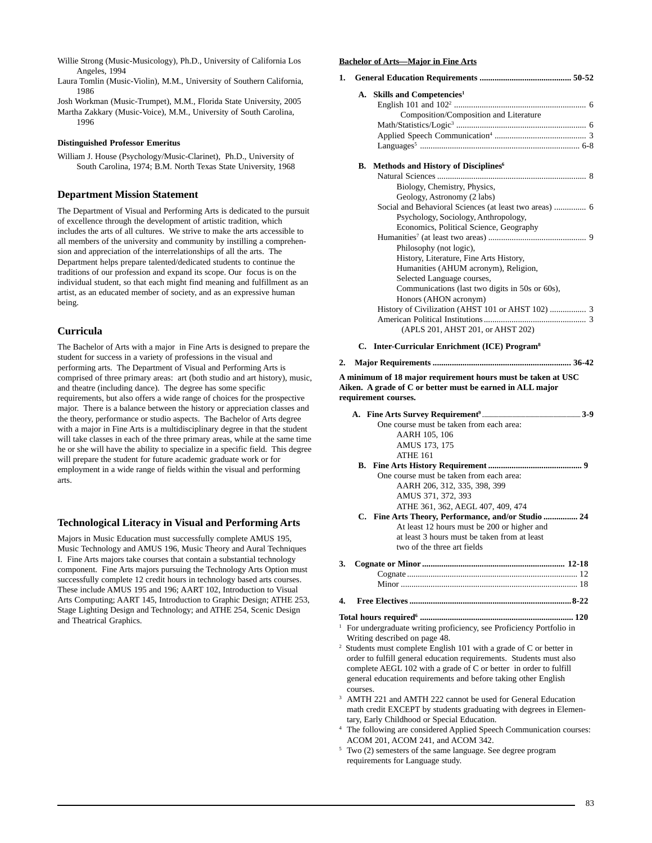- Willie Strong (Music-Musicology), Ph.D., University of California Los Angeles, 1994
- Laura Tomlin (Music-Violin), M.M., University of Southern California, 1986

Josh Workman (Music-Trumpet), M.M., Florida State University, 2005 Martha Zakkary (Music-Voice), M.M., University of South Carolina, 1996

#### **Distinguished Professor Emeritus**

William J. House (Psychology/Music-Clarinet), Ph.D., University of South Carolina, 1974; B.M. North Texas State University, 1968

## **Department Mission Statement**

The Department of Visual and Performing Arts is dedicated to the pursuit of excellence through the development of artistic tradition, which includes the arts of all cultures. We strive to make the arts accessible to all members of the university and community by instilling a comprehension and appreciation of the interrelationships of all the arts. The Department helps prepare talented/dedicated students to continue the traditions of our profession and expand its scope. Our focus is on the individual student, so that each might find meaning and fulfillment as an artist, as an educated member of society, and as an expressive human being.

## **Curricula**

The Bachelor of Arts with a major in Fine Arts is designed to prepare the student for success in a variety of professions in the visual and performing arts. The Department of Visual and Performing Arts is comprised of three primary areas: art (both studio and art history), music, and theatre (including dance). The degree has some specific requirements, but also offers a wide range of choices for the prospective major. There is a balance between the history or appreciation classes and the theory, performance or studio aspects. The Bachelor of Arts degree with a major in Fine Arts is a multidisciplinary degree in that the student will take classes in each of the three primary areas, while at the same time he or she will have the ability to specialize in a specific field. This degree will prepare the student for future academic graduate work or for employment in a wide range of fields within the visual and performing arts.

## **Technological Literacy in Visual and Performing Arts**

Majors in Music Education must successfully complete AMUS 195, Music Technology and AMUS 196, Music Theory and Aural Techniques I. Fine Arts majors take courses that contain a substantial technology component. Fine Arts majors pursuing the Technology Arts Option must successfully complete 12 credit hours in technology based arts courses. These include AMUS 195 and 196; AART 102, Introduction to Visual Arts Computing; AART 145, Introduction to Graphic Design; ATHE 253, Stage Lighting Design and Technology; and ATHE 254, Scenic Design and Theatrical Graphics.

#### **Bachelor of Arts—Major in Fine Arts**

## **1. General Education Requirements ........................................... 50-52** A. Skills and Competencies1

#### **B.** Methods and History of Disciplines<sup>6</sup> Natural Sciences ...................................................................... 8 Biology, Chemistry, Physics, Geology, Astronomy (2 labs) Social and Behavioral Sciences (at least two areas) ............... 6 Psychology, Sociology, Anthropology, Economics, Political Science, Geography Humanities7 (at least two areas) .............................................. 9 Philosophy (not logic), History, Literature, Fine Arts History, Humanities (AHUM acronym), Religion, Selected Language courses, Communications (last two digits in 50s or 60s), Honors (AHON acronym) History of Civilization (AHST 101 or AHST 102) ................. 3 American Political Institutions................................................ 3 (APLS 201, AHST 201, or AHST 202)

#### **C. Inter-Curricular Enrichment (ICE) Program8**

## **2. Major Requirements ................................................................. 36-42**

**A minimum of 18 major requirement hours must be taken at USC Aiken. A grade of C or better must be earned in ALL major requirement courses.**

| One course must be taken from each area:                                            |  |
|-------------------------------------------------------------------------------------|--|
| AARH 105, 106                                                                       |  |
| AMUS 173, 175                                                                       |  |
| <b>ATHE 161</b>                                                                     |  |
|                                                                                     |  |
| One course must be taken from each area:                                            |  |
| AARH 206, 312, 335, 398, 399                                                        |  |
| AMUS 371, 372, 393                                                                  |  |
| ATHE 361, 362, AEGL 407, 409, 474                                                   |  |
| C. Fine Arts Theory, Performance, and/or Studio  24                                 |  |
| At least 12 hours must be 200 or higher and                                         |  |
| at least 3 hours must be taken from at least                                        |  |
| two of the three art fields                                                         |  |
| 3.                                                                                  |  |
|                                                                                     |  |
|                                                                                     |  |
| 4.                                                                                  |  |
|                                                                                     |  |
| <sup>1</sup> For undergraduate writing proficiency, see Proficiency Portfolio in    |  |
| Writing described on page 48.                                                       |  |
| $\overline{a}$<br>Students must complete English 101 with a grade of C or better in |  |
| order to fulfill general education requirements. Students must also                 |  |
| complete AEGL $102$ with a grade of C or better in order to fulfill                 |  |
| general education requirements and before taking other English                      |  |

- <sup>3</sup> AMTH 221 and AMTH 222 cannot be used for General Education math credit EXCEPT by students graduating with degrees in Elementary, Early Childhood or Special Education.
- The following are considered Applied Speech Communication courses: ACOM 201, ACOM 241, and ACOM 342.
- <sup>5</sup> Two (2) semesters of the same language. See degree program requirements for Language study.

courses.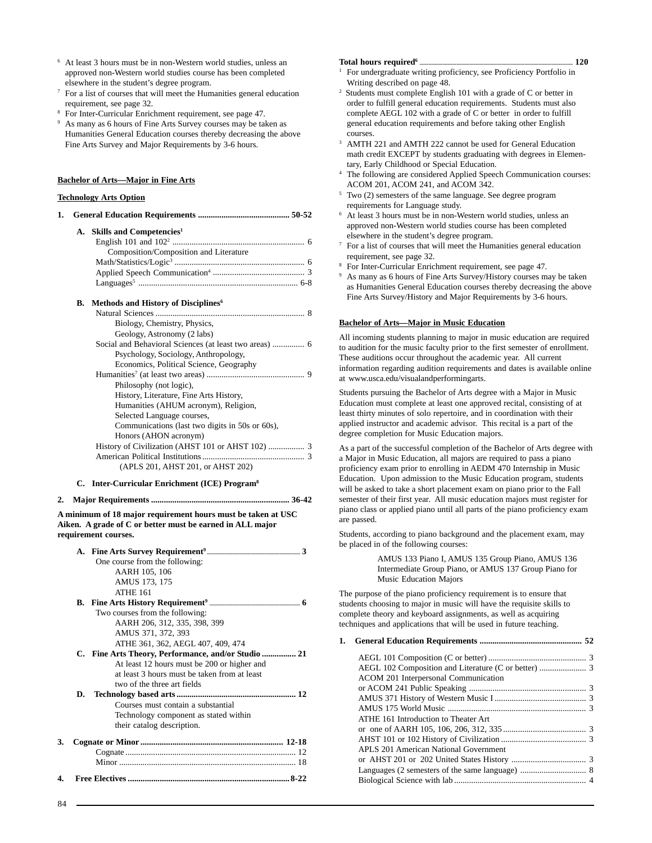- At least 3 hours must be in non-Western world studies, unless an approved non-Western world studies course has been completed elsewhere in the student's degree program.
- <sup>7</sup> For a list of courses that will meet the Humanities general education requirement, see page 32.
- <sup>8</sup> For Inter-Curricular Enrichment requirement, see page 47.
- As many as 6 hours of Fine Arts Survey courses may be taken as Humanities General Education courses thereby decreasing the above Fine Arts Survey and Major Requirements by 3-6 hours.

#### **Bachelor of Arts—Major in Fine Arts**

#### **Technology Arts Option**

| 1. |    |                                                        |
|----|----|--------------------------------------------------------|
|    | А. | Skills and Competencies <sup>1</sup>                   |
|    |    |                                                        |
|    |    | Composition/Composition and Literature                 |
|    |    |                                                        |
|    |    |                                                        |
|    |    |                                                        |
|    | В. | Methods and History of Disciplines <sup>6</sup>        |
|    |    |                                                        |
|    |    | Biology, Chemistry, Physics,                           |
|    |    | Geology, Astronomy (2 labs)                            |
|    |    | Social and Behavioral Sciences (at least two areas)  6 |
|    |    | Psychology, Sociology, Anthropology,                   |
|    |    | Economics, Political Science, Geography                |
|    |    |                                                        |
|    |    | Philosophy (not logic),                                |
|    |    | History, Literature, Fine Arts History,                |
|    |    | Humanities (AHUM acronym), Religion,                   |
|    |    | Selected Language courses,                             |
|    |    | Communications (last two digits in 50s or 60s),        |
|    |    | Honors (AHON acronym)                                  |
|    |    |                                                        |
|    |    | (APLS 201, AHST 201, or AHST 202)                      |
|    |    |                                                        |

#### **C. Inter-Curricular Enrichment (ICE) Program8**

**2. Major Requirements ................................................................. 36-42**

**A minimum of 18 major requirement hours must be taken at USC Aiken. A grade of C or better must be earned in ALL major requirement courses.**

|    |    | One course from the following:                      |
|----|----|-----------------------------------------------------|
|    |    | AARH 105, 106                                       |
|    |    | AMUS 173, 175                                       |
|    |    | <b>ATHE 161</b>                                     |
|    |    |                                                     |
|    |    | Two courses from the following:                     |
|    |    | AARH 206, 312, 335, 398, 399                        |
|    |    | AMUS 371, 372, 393                                  |
|    |    | ATHE 361, 362, AEGL 407, 409, 474                   |
|    |    | C. Fine Arts Theory, Performance, and/or Studio  21 |
|    |    | At least 12 hours must be 200 or higher and         |
|    |    | at least 3 hours must be taken from at least        |
|    |    | two of the three art fields                         |
|    | D. |                                                     |
|    |    | Courses must contain a substantial                  |
|    |    | Technology component as stated within               |
|    |    | their catalog description.                          |
| 3. |    |                                                     |
|    |    |                                                     |
|    |    |                                                     |
| 4. |    |                                                     |

#### **Total hours required6 ........................................................................................................................ 120**

- <sup>1</sup> For undergraduate writing proficiency, see Proficiency Portfolio in Writing described on page 48.
- 2 Students must complete English 101 with a grade of C or better in order to fulfill general education requirements. Students must also complete AEGL 102 with a grade of C or better in order to fulfill general education requirements and before taking other English courses.
- <sup>3</sup> AMTH 221 and AMTH 222 cannot be used for General Education math credit EXCEPT by students graduating with degrees in Elementary, Early Childhood or Special Education.
- The following are considered Applied Speech Communication courses: ACOM 201, ACOM 241, and ACOM 342.
- <sup>5</sup> Two (2) semesters of the same language. See degree program requirements for Language study.
- <sup>6</sup> At least 3 hours must be in non-Western world studies, unless an approved non-Western world studies course has been completed elsewhere in the student's degree program.
- $7$  For a list of courses that will meet the Humanities general education requirement, see page 32.
- <sup>8</sup> For Inter-Curricular Enrichment requirement, see page 47.
- <sup>9</sup> As many as 6 hours of Fine Arts Survey/History courses may be taken as Humanities General Education courses thereby decreasing the above Fine Arts Survey/History and Major Requirements by 3-6 hours.

#### **Bachelor of Arts—Major in Music Education**

All incoming students planning to major in music education are required to audition for the music faculty prior to the first semester of enrollment. These auditions occur throughout the academic year. All current information regarding audition requirements and dates is available online at www.usca.edu/visualandperformingarts.

Students pursuing the Bachelor of Arts degree with a Major in Music Education must complete at least one approved recital, consisting of at least thirty minutes of solo repertoire, and in coordination with their applied instructor and academic advisor. This recital is a part of the degree completion for Music Education majors.

As a part of the successful completion of the Bachelor of Arts degree with a Major in Music Education, all majors are required to pass a piano proficiency exam prior to enrolling in AEDM 470 Internship in Music Education. Upon admission to the Music Education program, students will be asked to take a short placement exam on piano prior to the Fall semester of their first year. All music education majors must register for piano class or applied piano until all parts of the piano proficiency exam are passed.

Students, according to piano background and the placement exam, may be placed in of the following courses:

> AMUS 133 Piano I, AMUS 135 Group Piano, AMUS 136 Intermediate Group Piano, or AMUS 137 Group Piano for Music Education Majors

The purpose of the piano proficiency requirement is to ensure that students choosing to major in music will have the requisite skills to complete theory and keyboard assignments, as well as acquiring techniques and applications that will be used in future teaching.

## **1. General Education Requirements ................................................ 52** AEGL 101 Composition (C or better) .............................................. 3 AEGL 102 Composition and Literature (C or better) ...................... 3 ACOM 201 Interpersonal Communication or ACOM 241 Public Speaking ....................................................... 3 AMUS 371 History of Western Music I ........................................... 3 AMUS 175 World Music ................................................................. 3 ATHE 161 Introduction to Theater Art or one of AARH 105, 106, 206, 312, 335 ....................................... 3 AHST 101 or 102 History of Civilization ........................................ 3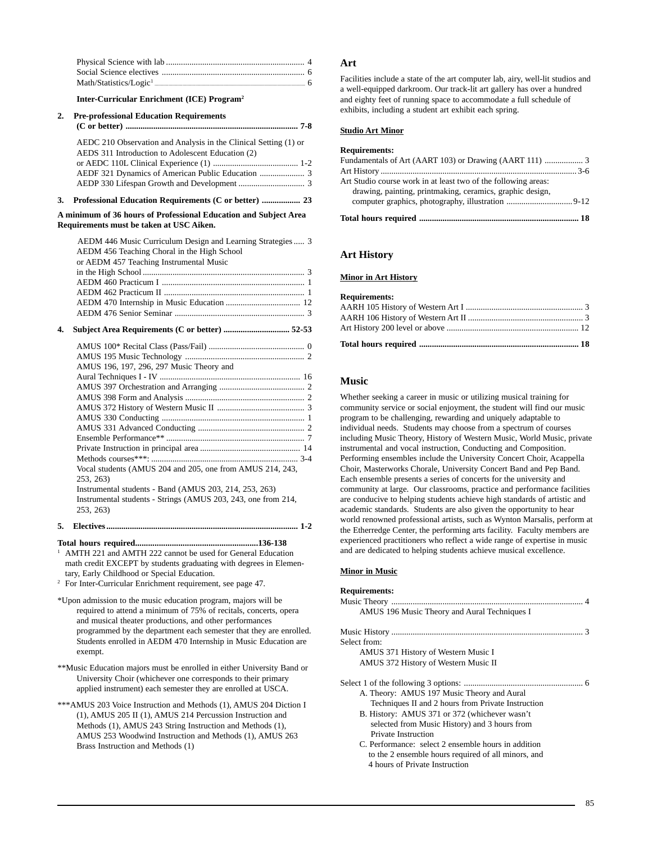## **Inter-Curricular Enrichment (ICE) Program2**

| 2. | <b>Pre-professional Education Requirements</b>                   |
|----|------------------------------------------------------------------|
|    |                                                                  |
|    | AEDC 210 Observation and Analysis in the Clinical Setting (1) or |

| AEDS 311 Introduction to Adolescent Education (2) |  |
|---------------------------------------------------|--|
|                                                   |  |
|                                                   |  |
|                                                   |  |
|                                                   |  |

**3. Professional Education Requirements (C or better) .................. 23**

#### **A minimum of 36 hours of Professional Education and Subject Area Requirements must be taken at USC Aiken.**

|    | AEDM 446 Music Curriculum Design and Learning Strategies  3 |
|----|-------------------------------------------------------------|
|    | AEDM 456 Teaching Choral in the High School                 |
|    | or AEDM 457 Teaching Instrumental Music                     |
|    |                                                             |
|    |                                                             |
|    |                                                             |
|    |                                                             |
|    |                                                             |
| 4. |                                                             |
|    |                                                             |
|    |                                                             |
|    | AMUS 196, 197, 296, 297 Music Theory and                    |

| AMUS 196, 197, 296, 297 Music Theory and                      |  |
|---------------------------------------------------------------|--|
|                                                               |  |
|                                                               |  |
|                                                               |  |
|                                                               |  |
|                                                               |  |
|                                                               |  |
|                                                               |  |
|                                                               |  |
|                                                               |  |
| Vocal students (AMUS 204 and 205, one from AMUS 214, 243,     |  |
| 253, 263)                                                     |  |
| Instrumental students - Band (AMUS 203, 214, 253, 263)        |  |
| Instrumental students - Strings (AMUS 203, 243, one from 214, |  |
| 253, 263                                                      |  |
|                                                               |  |

#### **5. Electives .......................................................................................... 1-2**

**Total hours required.........................................................136-138** <sup>1</sup> AMTH 221 and AMTH 222 cannot be used for General Education math credit EXCEPT by students graduating with degrees in Elementary, Early Childhood or Special Education.

<sup>2</sup> For Inter-Curricular Enrichment requirement, see page 47.

\*Upon admission to the music education program, majors will be required to attend a minimum of 75% of recitals, concerts, opera and musical theater productions, and other performances programmed by the department each semester that they are enrolled. Students enrolled in AEDM 470 Internship in Music Education are exempt.

- \*\*Music Education majors must be enrolled in either University Band or University Choir (whichever one corresponds to their primary applied instrument) each semester they are enrolled at USCA.
- \*\*\*AMUS 203 Voice Instruction and Methods (1), AMUS 204 Diction I (1), AMUS 205 II (1), AMUS 214 Percussion Instruction and Methods (1), AMUS 243 String Instruction and Methods (1), AMUS 253 Woodwind Instruction and Methods (1), AMUS 263 Brass Instruction and Methods (1)

## **Art**

Facilities include a state of the art computer lab, airy, well-lit studios and a well-equipped darkroom. Our track-lit art gallery has over a hundred and eighty feet of running space to accommodate a full schedule of exhibits, including a student art exhibit each spring.

#### **Studio Art Minor**

#### **Requirements:**

| Art Studio course work in at least two of the following areas:<br>drawing, painting, printmaking, ceramics, graphic design, |  |
|-----------------------------------------------------------------------------------------------------------------------------|--|
|                                                                                                                             |  |

## **Art History**

**Minor in Art History**

#### **Requirements:**

## **Music**

Whether seeking a career in music or utilizing musical training for community service or social enjoyment, the student will find our music program to be challenging, rewarding and uniquely adaptable to individual needs. Students may choose from a spectrum of courses including Music Theory, History of Western Music, World Music, private instrumental and vocal instruction, Conducting and Composition. Performing ensembles include the University Concert Choir, Acappella Choir, Masterworks Chorale, University Concert Band and Pep Band. Each ensemble presents a series of concerts for the university and community at large. Our classrooms, practice and performance facilities are conducive to helping students achieve high standards of artistic and academic standards. Students are also given the opportunity to hear world renowned professional artists, such as Wynton Marsalis, perform at the Etherredge Center, the performing arts facility. Faculty members are experienced practitioners who reflect a wide range of expertise in music and are dedicated to helping students achieve musical excellence.

## **Minor in Music**

#### **Requirements:**

| AMUS 196 Music Theory and Aural Techniques I        |  |
|-----------------------------------------------------|--|
|                                                     |  |
| Select from:                                        |  |
| AMUS 371 History of Western Music I                 |  |
| AMUS 372 History of Western Music II                |  |
|                                                     |  |
| A. Theory: AMUS 197 Music Theory and Aural          |  |
| Techniques II and 2 hours from Private Instruction  |  |
| B. History: AMUS 371 or 372 (whichever wasn't       |  |
| selected from Music History) and 3 hours from       |  |
| Private Instruction                                 |  |
| C. Performance: select 2 ensemble hours in addition |  |
| to the 2 ensemble hours required of all minors, and |  |
| 4 hours of Private Instruction                      |  |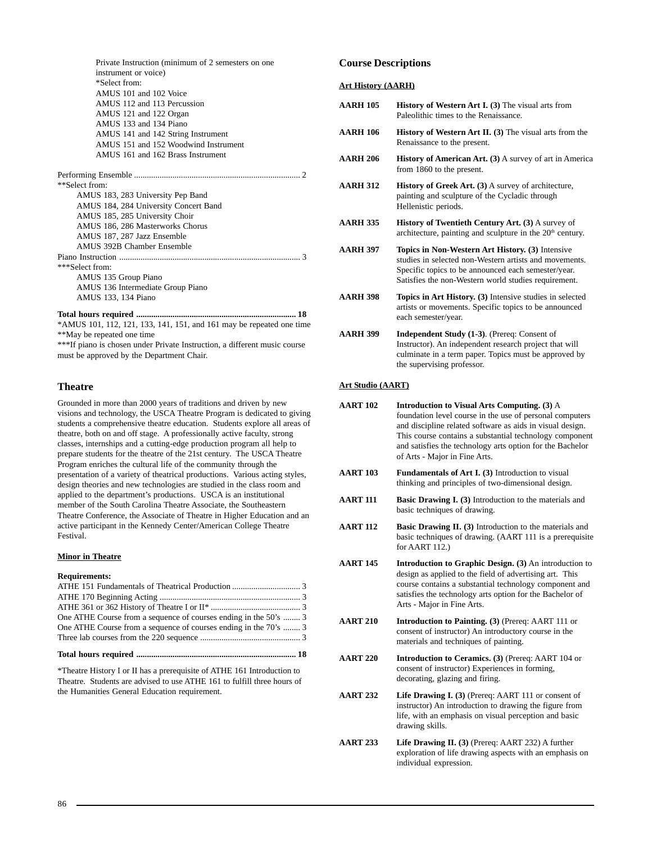| Private Instruction (minimum of 2 semesters on one |  |
|----------------------------------------------------|--|
| instrument or voice)                               |  |
| *Select from:                                      |  |
| AMUS 101 and 102 Voice                             |  |
| AMUS 112 and 113 Percussion                        |  |
| AMUS 121 and 122 Organ                             |  |
| AMUS 133 and 134 Piano                             |  |
| AMUS 141 and 142 String Instrument                 |  |
| AMUS 151 and 152 Woodwind Instrument               |  |
| AMUS 161 and 162 Brass Instrument                  |  |
|                                                    |  |
|                                                    |  |
| **Select from:                                     |  |
| AMUS 183, 283 University Pep Band                  |  |
| AMUS 184, 284 University Concert Band              |  |
| AMUS 185, 285 University Choir                     |  |
| AMUS 186, 286 Masterworks Chorus                   |  |
| AMUS 187, 287 Jazz Ensemble                        |  |
| AMUS 392B Chamber Ensemble                         |  |
|                                                    |  |
| ***Select from:                                    |  |
| AMUS 135 Group Piano                               |  |
| AMUS 136 Intermediate Group Piano                  |  |
| AMUS 133, 134 Piano                                |  |
| $\overline{ }$                                     |  |

**Total hours required ........................................................................... 18** \*AMUS 101, 112, 121, 133, 141, 151, and 161 may be repeated one time \*\*May be repeated one time

\*\*\*If piano is chosen under Private Instruction, a different music course must be approved by the Department Chair.

## **Theatre**

Grounded in more than 2000 years of traditions and driven by new visions and technology, the USCA Theatre Program is dedicated to giving students a comprehensive theatre education. Students explore all areas of theatre, both on and off stage. A professionally active faculty, strong classes, internships and a cutting-edge production program all help to prepare students for the theatre of the 21st century. The USCA Theatre Program enriches the cultural life of the community through the presentation of a variety of theatrical productions. Various acting styles, design theories and new technologies are studied in the class room and applied to the department's productions. USCA is an institutional member of the South Carolina Theatre Associate, the Southeastern Theatre Conference, the Associate of Theatre in Higher Education and an active participant in the Kennedy Center/American College Theatre Festival.

## **Minor in Theatre**

#### **Requirements:**

| One ATHE Course from a sequence of courses ending in the 50's  3 |  |
|------------------------------------------------------------------|--|
| One ATHE Course from a sequence of courses ending in the 70's  3 |  |
|                                                                  |  |
|                                                                  |  |

\*Theatre History I or II has a prerequisite of ATHE 161 Introduction to Theatre. Students are advised to use ATHE 161 to fulfill three hours of the Humanities General Education requirement.

#### **Course Descriptions**

#### **Art History (AARH)**

| <b>AARH 105</b> | <b>History of Western Art I. (3)</b> The visual arts from<br>Paleolithic times to the Renaissance.                                                                                                                        |
|-----------------|---------------------------------------------------------------------------------------------------------------------------------------------------------------------------------------------------------------------------|
| <b>AARH 106</b> | <b>History of Western Art II. (3)</b> The visual arts from the<br>Renaissance to the present.                                                                                                                             |
| <b>AARH 206</b> | History of American Art. (3) A survey of art in America<br>from 1860 to the present.                                                                                                                                      |
| <b>AARH 312</b> | <b>History of Greek Art.</b> (3) A survey of architecture,<br>painting and sculpture of the Cycladic through<br>Hellenistic periods.                                                                                      |
| <b>AARH 335</b> | <b>History of Twentieth Century Art. (3) A survey of</b><br>architecture, painting and sculpture in the 20 <sup>th</sup> century.                                                                                         |
| <b>AARH 397</b> | Topics in Non-Western Art History. (3) Intensive<br>studies in selected non-Western artists and movements.<br>Specific topics to be announced each semester/year.<br>Satisfies the non-Western world studies requirement. |
| <b>AARH 398</b> | <b>Topics in Art History.</b> (3) Intensive studies in selected<br>artists or movements. Specific topics to be announced<br>each semester/year.                                                                           |
| <b>AARH 399</b> | <b>Independent Study (1-3).</b> (Prereq: Consent of<br>Instructor). An independent research project that will<br>culminate in a term paper. Topics must be approved by<br>the supervising professor.                      |

## **Art Studio (AART)**

| AART 102 | Introduction to Visual Arts Computing. (3) A              |
|----------|-----------------------------------------------------------|
|          | foundation level course in the use of personal computers  |
|          | and discipline related software as aids in visual design. |
|          | This course contains a substantial technology component   |
|          | and satisfies the technology arts option for the Bachelor |
|          | of Arts - Major in Fine Arts.                             |
|          |                                                           |

- **AART 103** Fundamentals of Art I. (3) Introduction to visual thinking and principles of two-dimensional design.
- **AART 111 Basic Drawing I. (3)** Introduction to the materials and basic techniques of drawing.
- **AART 112** Basic Drawing II. (3) Introduction to the materials and basic techniques of drawing. (AART 111 is a prerequisite for AART 112.)
- **AART 145 Introduction to Graphic Design. (3)** An introduction to design as applied to the field of advertising art. This course contains a substantial technology component and satisfies the technology arts option for the Bachelor of Arts - Major in Fine Arts.
- **AART 210 Introduction to Painting. (3)** (Prereq: AART 111 or consent of instructor) An introductory course in the materials and techniques of painting.
- **AART 220 Introduction to Ceramics. (3)** (Prereq: AART 104 or consent of instructor) Experiences in forming, decorating, glazing and firing.
- **AART 232 Life Drawing I. (3)** (Prereq: AART 111 or consent of instructor) An introduction to drawing the figure from life, with an emphasis on visual perception and basic drawing skills.
- **AART 233 Life Drawing II. (3)** (Prereq: AART 232) A further exploration of life drawing aspects with an emphasis on individual expression.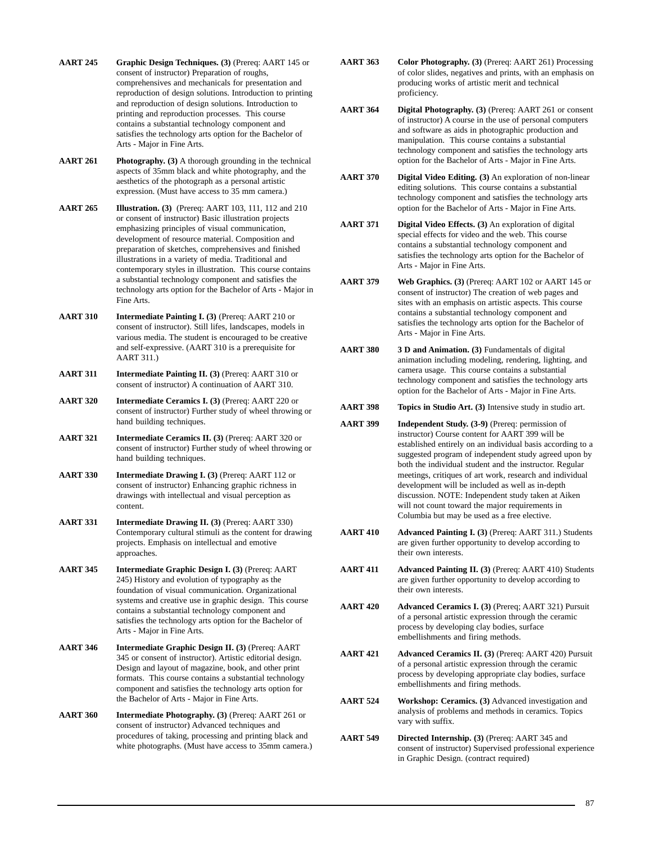- **AART 245 Graphic Design Techniques. (3)** (Prereq: AART 145 or consent of instructor) Preparation of roughs, comprehensives and mechanicals for presentation and reproduction of design solutions. Introduction to printing and reproduction of design solutions. Introduction to printing and reproduction processes. This course contains a substantial technology component and satisfies the technology arts option for the Bachelor of Arts - Major in Fine Arts.
- **AART 261 Photography. (3)** A thorough grounding in the technical aspects of 35mm black and white photography, and the aesthetics of the photograph as a personal artistic expression. (Must have access to 35 mm camera.)
- **AART 265 Illustration. (3)** (Prereq: AART 103, 111, 112 and 210 or consent of instructor) Basic illustration projects emphasizing principles of visual communication, development of resource material. Composition and preparation of sketches, comprehensives and finished illustrations in a variety of media. Traditional and contemporary styles in illustration. This course contains a substantial technology component and satisfies the technology arts option for the Bachelor of Arts - Major in Fine Arts.
- **AART 310 Intermediate Painting I. (3)** (Prereq: AART 210 or consent of instructor). Still lifes, landscapes, models in various media. The student is encouraged to be creative and self-expressive. (AART 310 is a prerequisite for AART 311.)
- **AART 311 Intermediate Painting II. (3)** (Prereq: AART 310 or consent of instructor) A continuation of AART 310.
- **AART 320 Intermediate Ceramics I. (3)** (Prereq: AART 220 or consent of instructor) Further study of wheel throwing or hand building techniques.
- **AART 321 Intermediate Ceramics II. (3)** (Prereq: AART 320 or consent of instructor) Further study of wheel throwing or hand building techniques.
- **AART 330 Intermediate Drawing I. (3)** (Prereq: AART 112 or consent of instructor) Enhancing graphic richness in drawings with intellectual and visual perception as content.
- **AART 331 Intermediate Drawing II. (3)** (Prereq: AART 330) Contemporary cultural stimuli as the content for drawing projects. Emphasis on intellectual and emotive approaches.
- **AART 345 Intermediate Graphic Design I. (3)** (Prereq: AART 245) History and evolution of typography as the foundation of visual communication. Organizational systems and creative use in graphic design. This course contains a substantial technology component and satisfies the technology arts option for the Bachelor of Arts - Major in Fine Arts.
- **AART 346 Intermediate Graphic Design II. (3)** (Prereq: AART 345 or consent of instructor). Artistic editorial design. Design and layout of magazine, book, and other print formats. This course contains a substantial technology component and satisfies the technology arts option for the Bachelor of Arts - Major in Fine Arts.
- **AART 360 Intermediate Photography. (3)** (Prereq: AART 261 or consent of instructor) Advanced techniques and procedures of taking, processing and printing black and white photographs. (Must have access to 35mm camera.)
- **AART 363 Color Photography. (3)** (Prereq: AART 261) Processing of color slides, negatives and prints, with an emphasis on producing works of artistic merit and technical proficiency.
- **AART 364 Digital Photography. (3)** (Prereq: AART 261 or consent of instructor) A course in the use of personal computers and software as aids in photographic production and manipulation. This course contains a substantial technology component and satisfies the technology arts option for the Bachelor of Arts - Major in Fine Arts.
- **AART 370 Digital Video Editing. (3)** An exploration of non-linear editing solutions. This course contains a substantial technology component and satisfies the technology arts option for the Bachelor of Arts - Major in Fine Arts.
- **AART 371 Digital Video Effects. (3)** An exploration of digital special effects for video and the web. This course contains a substantial technology component and satisfies the technology arts option for the Bachelor of Arts - Major in Fine Arts.
- **AART 379 Web Graphics. (3)** (Prereq: AART 102 or AART 145 or consent of instructor) The creation of web pages and sites with an emphasis on artistic aspects. This course contains a substantial technology component and satisfies the technology arts option for the Bachelor of Arts - Major in Fine Arts.
- **AART 380 3 D and Animation. (3)** Fundamentals of digital animation including modeling, rendering, lighting, and camera usage. This course contains a substantial technology component and satisfies the technology arts option for the Bachelor of Arts - Major in Fine Arts.
- **AART 398 Topics in Studio Art. (3)** Intensive study in studio art.
- **AART 399 Independent Study. (3-9)** (Prereq: permission of instructor) Course content for AART 399 will be established entirely on an individual basis according to a suggested program of independent study agreed upon by both the individual student and the instructor. Regular meetings, critiques of art work, research and individual development will be included as well as in-depth discussion. NOTE: Independent study taken at Aiken will not count toward the major requirements in Columbia but may be used as a free elective.
- **AART 410 Advanced Painting I. (3)** (Prereq: AART 311.) Students are given further opportunity to develop according to their own interests.
- **AART 411 Advanced Painting II. (3)** (Prereq: AART 410) Students are given further opportunity to develop according to their own interests.
- **AART 420 Advanced Ceramics I. (3)** (Prereq; AART 321) Pursuit of a personal artistic expression through the ceramic process by developing clay bodies, surface embellishments and firing methods.
- **AART 421 Advanced Ceramics II. (3)** (Prereq: AART 420) Pursuit of a personal artistic expression through the ceramic process by developing appropriate clay bodies, surface embellishments and firing methods.
- **AART 524 Workshop: Ceramics. (3)** Advanced investigation and analysis of problems and methods in ceramics. Topics vary with suffix.
- **AART 549 Directed Internship. (3)** (Prereq: AART 345 and consent of instructor) Supervised professional experience in Graphic Design. (contract required)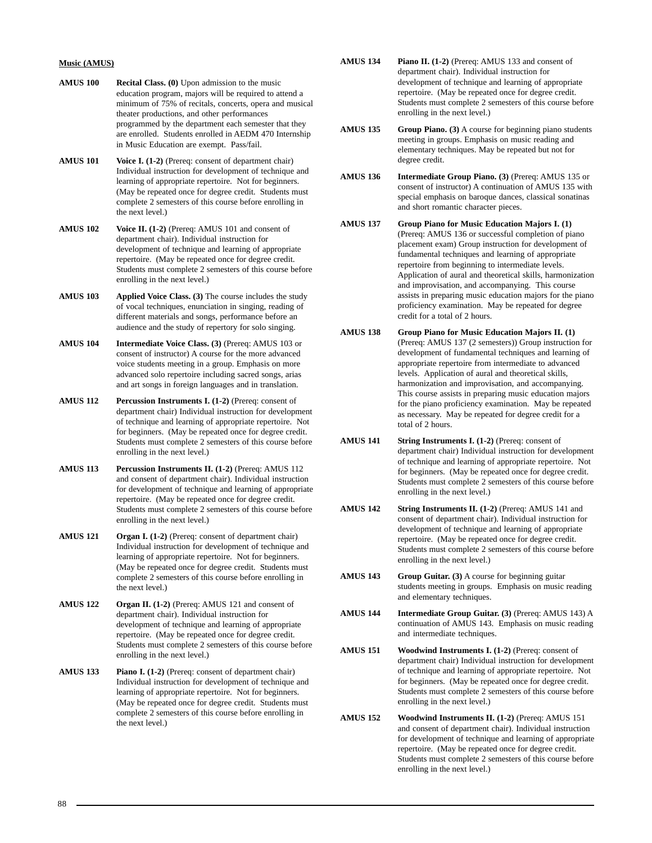#### **Music (AMUS)**

- **AMUS 100 Recital Class. (0)** Upon admission to the music education program, majors will be required to attend a minimum of 75% of recitals, concerts, opera and musical theater productions, and other performances programmed by the department each semester that they are enrolled. Students enrolled in AEDM 470 Internship in Music Education are exempt. Pass/fail.
- **AMUS 101 Voice I. (1-2)** (Prereq: consent of department chair) Individual instruction for development of technique and learning of appropriate repertoire. Not for beginners. (May be repeated once for degree credit. Students must complete 2 semesters of this course before enrolling in the next level.)
- **AMUS 102 Voice II. (1-2)** (Prereq: AMUS 101 and consent of department chair). Individual instruction for development of technique and learning of appropriate repertoire. (May be repeated once for degree credit. Students must complete 2 semesters of this course before enrolling in the next level.)
- **AMUS 103 Applied Voice Class. (3)** The course includes the study of vocal techniques, enunciation in singing, reading of different materials and songs, performance before an audience and the study of repertory for solo singing.
- **AMUS 104 Intermediate Voice Class. (3)** (Prereq: AMUS 103 or consent of instructor) A course for the more advanced voice students meeting in a group. Emphasis on more advanced solo repertoire including sacred songs, arias and art songs in foreign languages and in translation.
- **AMUS 112 Percussion Instruments I. (1-2)** (Prereq: consent of department chair) Individual instruction for development of technique and learning of appropriate repertoire. Not for beginners. (May be repeated once for degree credit. Students must complete 2 semesters of this course before enrolling in the next level.)
- **AMUS 113 Percussion Instruments II. (1-2)** (Prereq: AMUS 112 and consent of department chair). Individual instruction for development of technique and learning of appropriate repertoire. (May be repeated once for degree credit. Students must complete 2 semesters of this course before enrolling in the next level.)
- **AMUS 121 Organ I. (1-2)** (Prereq: consent of department chair) Individual instruction for development of technique and learning of appropriate repertoire. Not for beginners. (May be repeated once for degree credit. Students must complete 2 semesters of this course before enrolling in the next level.)
- **AMUS 122 Organ II. (1-2)** (Prereq: AMUS 121 and consent of department chair). Individual instruction for development of technique and learning of appropriate repertoire. (May be repeated once for degree credit. Students must complete 2 semesters of this course before enrolling in the next level.)
- **AMUS 133 Piano I. (1-2)** (Prereq: consent of department chair) Individual instruction for development of technique and learning of appropriate repertoire. Not for beginners. (May be repeated once for degree credit. Students must complete 2 semesters of this course before enrolling in the next level.)
- **AMUS 134 Piano II. (1-2)** (Prereq: AMUS 133 and consent of department chair). Individual instruction for development of technique and learning of appropriate repertoire. (May be repeated once for degree credit. Students must complete 2 semesters of this course before enrolling in the next level.)
- **AMUS 135 Group Piano. (3)** A course for beginning piano students meeting in groups. Emphasis on music reading and elementary techniques. May be repeated but not for degree credit.
- **AMUS 136 Intermediate Group Piano. (3)** (Prereq: AMUS 135 or consent of instructor) A continuation of AMUS 135 with special emphasis on baroque dances, classical sonatinas and short romantic character pieces.
- **AMUS 137 Group Piano for Music Education Majors I. (1)** (Prereq: AMUS 136 or successful completion of piano placement exam) Group instruction for development of fundamental techniques and learning of appropriate repertoire from beginning to intermediate levels. Application of aural and theoretical skills, harmonization and improvisation, and accompanying. This course assists in preparing music education majors for the piano proficiency examination. May be repeated for degree credit for a total of 2 hours.
- **AMUS 138 Group Piano for Music Education Majors II. (1)** (Prereq: AMUS 137 (2 semesters)) Group instruction for development of fundamental techniques and learning of appropriate repertoire from intermediate to advanced levels. Application of aural and theoretical skills, harmonization and improvisation, and accompanying. This course assists in preparing music education majors for the piano proficiency examination. May be repeated as necessary. May be repeated for degree credit for a total of 2 hours.
- **AMUS 141 String Instruments I. (1-2)** (Prereq: consent of department chair) Individual instruction for development of technique and learning of appropriate repertoire. Not for beginners. (May be repeated once for degree credit. Students must complete 2 semesters of this course before enrolling in the next level.)
- **AMUS 142 String Instruments II. (1-2)** (Prereq: AMUS 141 and consent of department chair). Individual instruction for development of technique and learning of appropriate repertoire. (May be repeated once for degree credit. Students must complete 2 semesters of this course before enrolling in the next level.)
- **AMUS 143 Group Guitar. (3)** A course for beginning guitar students meeting in groups. Emphasis on music reading and elementary techniques.
- **AMUS 144 Intermediate Group Guitar. (3)** (Prereq: AMUS 143) A continuation of AMUS 143. Emphasis on music reading and intermediate techniques.
- **AMUS 151 Woodwind Instruments I. (1-2)** (Prereq: consent of department chair) Individual instruction for development of technique and learning of appropriate repertoire. Not for beginners. (May be repeated once for degree credit. Students must complete 2 semesters of this course before enrolling in the next level.)
- **AMUS 152 Woodwind Instruments II. (1-2)** (Prereq: AMUS 151 and consent of department chair). Individual instruction for development of technique and learning of appropriate repertoire. (May be repeated once for degree credit. Students must complete 2 semesters of this course before enrolling in the next level.)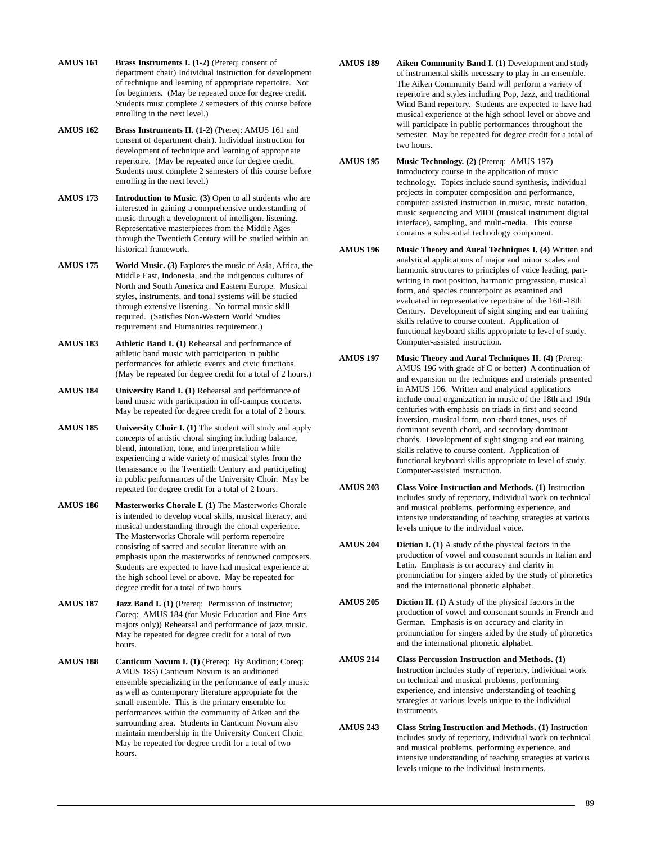- **AMUS 161 Brass Instruments I. (1-2)** (Prereq: consent of department chair) Individual instruction for development of technique and learning of appropriate repertoire. Not for beginners. (May be repeated once for degree credit. Students must complete 2 semesters of this course before enrolling in the next level.)
- **AMUS 162 Brass Instruments II. (1-2)** (Prereq: AMUS 161 and consent of department chair). Individual instruction for development of technique and learning of appropriate repertoire. (May be repeated once for degree credit. Students must complete 2 semesters of this course before enrolling in the next level.)
- **AMUS 173 Introduction to Music. (3)** Open to all students who are interested in gaining a comprehensive understanding of music through a development of intelligent listening. Representative masterpieces from the Middle Ages through the Twentieth Century will be studied within an historical framework.
- **AMUS 175 World Music. (3)** Explores the music of Asia, Africa, the Middle East, Indonesia, and the indigenous cultures of North and South America and Eastern Europe. Musical styles, instruments, and tonal systems will be studied through extensive listening. No formal music skill required. (Satisfies Non-Western World Studies requirement and Humanities requirement.)
- **AMUS 183 Athletic Band I. (1)** Rehearsal and performance of athletic band music with participation in public performances for athletic events and civic functions. (May be repeated for degree credit for a total of 2 hours.)
- **AMUS 184 University Band I. (1)** Rehearsal and performance of band music with participation in off-campus concerts. May be repeated for degree credit for a total of 2 hours.
- **AMUS 185 University Choir I. (1)** The student will study and apply concepts of artistic choral singing including balance, blend, intonation, tone, and interpretation while experiencing a wide variety of musical styles from the Renaissance to the Twentieth Century and participating in public performances of the University Choir. May be repeated for degree credit for a total of 2 hours.
- AMUS 186 Masterworks Chorale I. (1) The Masterworks Chorale is intended to develop vocal skills, musical literacy, and musical understanding through the choral experience. The Masterworks Chorale will perform repertoire consisting of sacred and secular literature with an emphasis upon the masterworks of renowned composers. Students are expected to have had musical experience at the high school level or above. May be repeated for degree credit for a total of two hours.
- AMUS 187 **Jazz Band I.** (1) (Prereq: Permission of instructor; Coreq: AMUS 184 (for Music Education and Fine Arts majors only)) Rehearsal and performance of jazz music. May be repeated for degree credit for a total of two hours.
- **AMUS 188 Canticum Novum I. (1)** (Prereq: By Audition; Coreq: AMUS 185) Canticum Novum is an auditioned ensemble specializing in the performance of early music as well as contemporary literature appropriate for the small ensemble. This is the primary ensemble for performances within the community of Aiken and the surrounding area. Students in Canticum Novum also maintain membership in the University Concert Choir. May be repeated for degree credit for a total of two hours.
- AMUS 189 Aiken Community Band I. (1) Development and study of instrumental skills necessary to play in an ensemble. The Aiken Community Band will perform a variety of repertoire and styles including Pop, Jazz, and traditional Wind Band repertory. Students are expected to have had musical experience at the high school level or above and will participate in public performances throughout the semester. May be repeated for degree credit for a total of two hours.
- **AMUS 195 Music Technology. (2)** (Prereq: AMUS 197) Introductory course in the application of music technology. Topics include sound synthesis, individual projects in computer composition and performance, computer-assisted instruction in music, music notation, music sequencing and MIDI (musical instrument digital interface), sampling, and multi-media. This course contains a substantial technology component.
- **AMUS 196 Music Theory and Aural Techniques I. (4)** Written and analytical applications of major and minor scales and harmonic structures to principles of voice leading, partwriting in root position, harmonic progression, musical form, and species counterpoint as examined and evaluated in representative repertoire of the 16th-18th Century. Development of sight singing and ear training skills relative to course content. Application of functional keyboard skills appropriate to level of study. Computer-assisted instruction.
- **AMUS 197** Music Theory and Aural Techniques II. (4) (Prereq: AMUS 196 with grade of C or better) A continuation of and expansion on the techniques and materials presented in AMUS 196. Written and analytical applications include tonal organization in music of the 18th and 19th centuries with emphasis on triads in first and second inversion, musical form, non-chord tones, uses of dominant seventh chord, and secondary dominant chords. Development of sight singing and ear training skills relative to course content. Application of functional keyboard skills appropriate to level of study. Computer-assisted instruction.
- **AMUS 203 Class Voice Instruction and Methods. (1)** Instruction includes study of repertory, individual work on technical and musical problems, performing experience, and intensive understanding of teaching strategies at various levels unique to the individual voice.
- **AMUS 204 Diction I. (1)** A study of the physical factors in the production of vowel and consonant sounds in Italian and Latin. Emphasis is on accuracy and clarity in pronunciation for singers aided by the study of phonetics and the international phonetic alphabet.
- **AMUS 205 Diction II. (1)** A study of the physical factors in the production of vowel and consonant sounds in French and German. Emphasis is on accuracy and clarity in pronunciation for singers aided by the study of phonetics and the international phonetic alphabet.
- **AMUS 214 Class Percussion Instruction and Methods. (1)** Instruction includes study of repertory, individual work on technical and musical problems, performing experience, and intensive understanding of teaching strategies at various levels unique to the individual instruments.
- **AMUS 243 Class String Instruction and Methods. (1)** Instruction includes study of repertory, individual work on technical and musical problems, performing experience, and intensive understanding of teaching strategies at various levels unique to the individual instruments.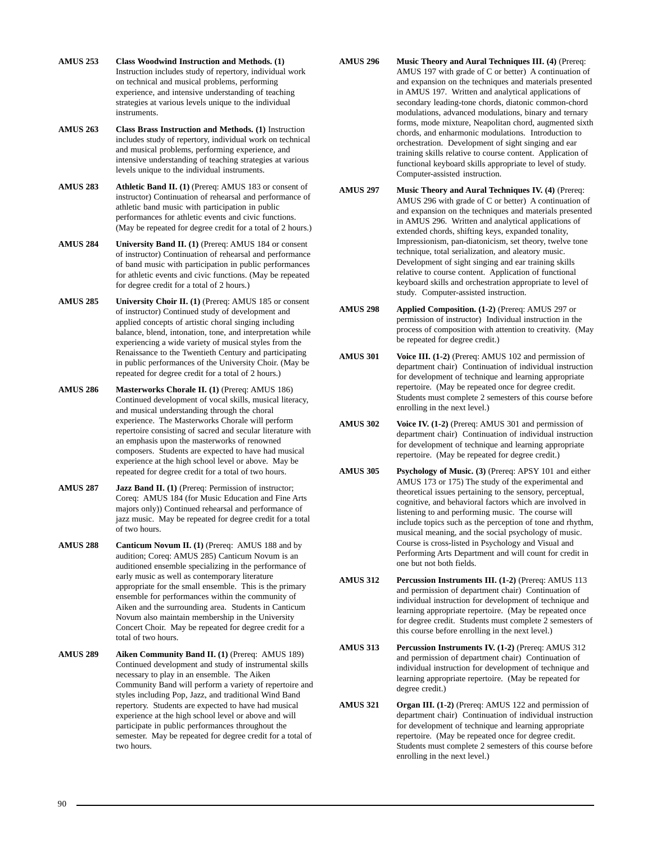- **AMUS 253 Class Woodwind Instruction and Methods. (1)** Instruction includes study of repertory, individual work on technical and musical problems, performing experience, and intensive understanding of teaching strategies at various levels unique to the individual instruments.
- **AMUS 263 Class Brass Instruction and Methods. (1)** Instruction includes study of repertory, individual work on technical and musical problems, performing experience, and intensive understanding of teaching strategies at various levels unique to the individual instruments.
- **AMUS 283 Athletic Band II. (1)** (Prereq: AMUS 183 or consent of instructor) Continuation of rehearsal and performance of athletic band music with participation in public performances for athletic events and civic functions. (May be repeated for degree credit for a total of 2 hours.)
- **AMUS 284 University Band II. (1)** (Prereq: AMUS 184 or consent of instructor) Continuation of rehearsal and performance of band music with participation in public performances for athletic events and civic functions. (May be repeated for degree credit for a total of 2 hours.)
- **AMUS 285 University Choir II. (1)** (Prereq: AMUS 185 or consent of instructor) Continued study of development and applied concepts of artistic choral singing including balance, blend, intonation, tone, and interpretation while experiencing a wide variety of musical styles from the Renaissance to the Twentieth Century and participating in public performances of the University Choir. (May be repeated for degree credit for a total of 2 hours.)
- **AMUS 286 Masterworks Chorale II. (1)** (Prereq: AMUS 186) Continued development of vocal skills, musical literacy, and musical understanding through the choral experience. The Masterworks Chorale will perform repertoire consisting of sacred and secular literature with an emphasis upon the masterworks of renowned composers. Students are expected to have had musical experience at the high school level or above. May be repeated for degree credit for a total of two hours.
- **AMUS 287 Jazz Band II. (1)** (Prereq: Permission of instructor; Coreq: AMUS 184 (for Music Education and Fine Arts majors only)) Continued rehearsal and performance of jazz music. May be repeated for degree credit for a total of two hours.
- AMUS 288 Canticum Novum II. (1) (Prereq: AMUS 188 and by audition; Coreq: AMUS 285) Canticum Novum is an auditioned ensemble specializing in the performance of early music as well as contemporary literature appropriate for the small ensemble. This is the primary ensemble for performances within the community of Aiken and the surrounding area. Students in Canticum Novum also maintain membership in the University Concert Choir. May be repeated for degree credit for a total of two hours.
- **AMUS 289 Aiken Community Band II. (1)** (Prereq: AMUS 189) Continued development and study of instrumental skills necessary to play in an ensemble. The Aiken Community Band will perform a variety of repertoire and styles including Pop, Jazz, and traditional Wind Band repertory. Students are expected to have had musical experience at the high school level or above and will participate in public performances throughout the semester. May be repeated for degree credit for a total of two hours.
- **AMUS 296** Music Theory and Aural Techniques III. (4) (Prereq: AMUS 197 with grade of C or better) A continuation of and expansion on the techniques and materials presented in AMUS 197. Written and analytical applications of secondary leading-tone chords, diatonic common-chord modulations, advanced modulations, binary and ternary forms, mode mixture, Neapolitan chord, augmented sixth chords, and enharmonic modulations. Introduction to orchestration. Development of sight singing and ear training skills relative to course content. Application of functional keyboard skills appropriate to level of study. Computer-assisted instruction.
- **AMUS 297 Music Theory and Aural Techniques IV. (4)** (Prereq: AMUS 296 with grade of C or better) A continuation of and expansion on the techniques and materials presented in AMUS 296. Written and analytical applications of extended chords, shifting keys, expanded tonality, Impressionism, pan-diatonicism, set theory, twelve tone technique, total serialization, and aleatory music. Development of sight singing and ear training skills relative to course content. Application of functional keyboard skills and orchestration appropriate to level of study. Computer-assisted instruction.
- **AMUS 298 Applied Composition. (1-2)** (Prereq: AMUS 297 or permission of instructor) Individual instruction in the process of composition with attention to creativity. (May be repeated for degree credit.)
- AMUS 301 Voice III. (1-2) (Prereq: AMUS 102 and permission of department chair) Continuation of individual instruction for development of technique and learning appropriate repertoire. (May be repeated once for degree credit. Students must complete 2 semesters of this course before enrolling in the next level.)
- **AMUS 302 Voice IV. (1-2)** (Prereq: AMUS 301 and permission of department chair) Continuation of individual instruction for development of technique and learning appropriate repertoire. (May be repeated for degree credit.)
- **AMUS 305 Psychology of Music. (3)** (Prereq: APSY 101 and either AMUS 173 or 175) The study of the experimental and theoretical issues pertaining to the sensory, perceptual, cognitive, and behavioral factors which are involved in listening to and performing music. The course will include topics such as the perception of tone and rhythm, musical meaning, and the social psychology of music. Course is cross-listed in Psychology and Visual and Performing Arts Department and will count for credit in one but not both fields.
- **AMUS 312 Percussion Instruments III. (1-2)** (Prereq: AMUS 113 and permission of department chair) Continuation of individual instruction for development of technique and learning appropriate repertoire. (May be repeated once for degree credit. Students must complete 2 semesters of this course before enrolling in the next level.)
- **AMUS 313 Percussion Instruments IV. (1-2)** (Prereq: AMUS 312 and permission of department chair) Continuation of individual instruction for development of technique and learning appropriate repertoire. (May be repeated for degree credit.)
- **AMUS 321** Organ III. (1-2) (Prereq: AMUS 122 and permission of department chair) Continuation of individual instruction for development of technique and learning appropriate repertoire. (May be repeated once for degree credit. Students must complete 2 semesters of this course before enrolling in the next level.)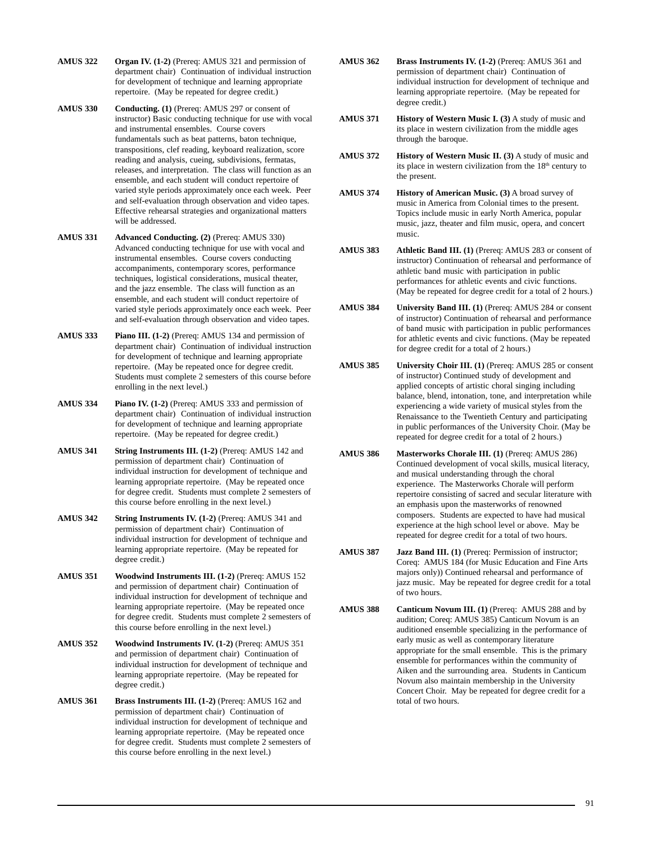- **AMUS 322 Organ IV. (1-2)** (Prereq: AMUS 321 and permission of department chair) Continuation of individual instruction for development of technique and learning appropriate repertoire. (May be repeated for degree credit.)
- **AMUS 330 Conducting. (1)** (Prereq: AMUS 297 or consent of instructor) Basic conducting technique for use with vocal and instrumental ensembles. Course covers fundamentals such as beat patterns, baton technique, transpositions, clef reading, keyboard realization, score reading and analysis, cueing, subdivisions, fermatas, releases, and interpretation. The class will function as an ensemble, and each student will conduct repertoire of varied style periods approximately once each week. Peer and self-evaluation through observation and video tapes. Effective rehearsal strategies and organizational matters will be addressed.
- **AMUS 331 Advanced Conducting. (2)** (Prereq: AMUS 330) Advanced conducting technique for use with vocal and instrumental ensembles. Course covers conducting accompaniments, contemporary scores, performance techniques, logistical considerations, musical theater, and the jazz ensemble. The class will function as an ensemble, and each student will conduct repertoire of varied style periods approximately once each week. Peer and self-evaluation through observation and video tapes.
- **AMUS 333 Piano III. (1-2)** (Prereq: AMUS 134 and permission of department chair) Continuation of individual instruction for development of technique and learning appropriate repertoire. (May be repeated once for degree credit. Students must complete 2 semesters of this course before enrolling in the next level.)
- **AMUS 334 Piano IV. (1-2)** (Prereq: AMUS 333 and permission of department chair) Continuation of individual instruction for development of technique and learning appropriate repertoire. (May be repeated for degree credit.)
- **AMUS 341 String Instruments III. (1-2)** (Prereq: AMUS 142 and permission of department chair) Continuation of individual instruction for development of technique and learning appropriate repertoire. (May be repeated once for degree credit. Students must complete 2 semesters of this course before enrolling in the next level.)
- **AMUS 342 String Instruments IV. (1-2)** (Prereq: AMUS 341 and permission of department chair) Continuation of individual instruction for development of technique and learning appropriate repertoire. (May be repeated for degree credit.)
- **AMUS 351 Woodwind Instruments III. (1-2)** (Prereq: AMUS 152 and permission of department chair) Continuation of individual instruction for development of technique and learning appropriate repertoire. (May be repeated once for degree credit. Students must complete 2 semesters of this course before enrolling in the next level.)
- **AMUS 352 Woodwind Instruments IV. (1-2)** (Prereq: AMUS 351 and permission of department chair) Continuation of individual instruction for development of technique and learning appropriate repertoire. (May be repeated for degree credit.)
- **AMUS 361** Brass Instruments III. (1-2) (Prereq: AMUS 162 and permission of department chair) Continuation of individual instruction for development of technique and learning appropriate repertoire. (May be repeated once for degree credit. Students must complete 2 semesters of this course before enrolling in the next level.)
- **AMUS 362 Brass Instruments IV. (1-2)** (Prereq: AMUS 361 and permission of department chair) Continuation of individual instruction for development of technique and learning appropriate repertoire. (May be repeated for degree credit.)
- **AMUS 371 History of Western Music I. (3)** A study of music and its place in western civilization from the middle ages through the baroque.
- **AMUS 372 History of Western Music II. (3)** A study of music and its place in western civilization from the 18<sup>th</sup> century to the present.
- **AMUS 374 History of American Music. (3)** A broad survey of music in America from Colonial times to the present. Topics include music in early North America, popular music, jazz, theater and film music, opera, and concert music.
- **AMUS 383 Athletic Band III. (1)** (Prereq: AMUS 283 or consent of instructor) Continuation of rehearsal and performance of athletic band music with participation in public performances for athletic events and civic functions. (May be repeated for degree credit for a total of 2 hours.)
- **AMUS 384 University Band III. (1)** (Prereq: AMUS 284 or consent of instructor) Continuation of rehearsal and performance of band music with participation in public performances for athletic events and civic functions. (May be repeated for degree credit for a total of 2 hours.)
- **AMUS 385 University Choir III. (1)** (Prereq: AMUS 285 or consent of instructor) Continued study of development and applied concepts of artistic choral singing including balance, blend, intonation, tone, and interpretation while experiencing a wide variety of musical styles from the Renaissance to the Twentieth Century and participating in public performances of the University Choir. (May be repeated for degree credit for a total of 2 hours.)
- **AMUS 386 Masterworks Chorale III. (1)** (Prereq: AMUS 286) Continued development of vocal skills, musical literacy, and musical understanding through the choral experience. The Masterworks Chorale will perform repertoire consisting of sacred and secular literature with an emphasis upon the masterworks of renowned composers. Students are expected to have had musical experience at the high school level or above. May be repeated for degree credit for a total of two hours.
- **AMUS 387** Jazz Band III. (1) (Prereq: Permission of instructor; Coreq: AMUS 184 (for Music Education and Fine Arts majors only)) Continued rehearsal and performance of jazz music. May be repeated for degree credit for a total of two hours.
- AMUS 388 Canticum Novum III. (1) (Prereq: AMUS 288 and by audition; Coreq: AMUS 385) Canticum Novum is an auditioned ensemble specializing in the performance of early music as well as contemporary literature appropriate for the small ensemble. This is the primary ensemble for performances within the community of Aiken and the surrounding area. Students in Canticum Novum also maintain membership in the University Concert Choir. May be repeated for degree credit for a total of two hours.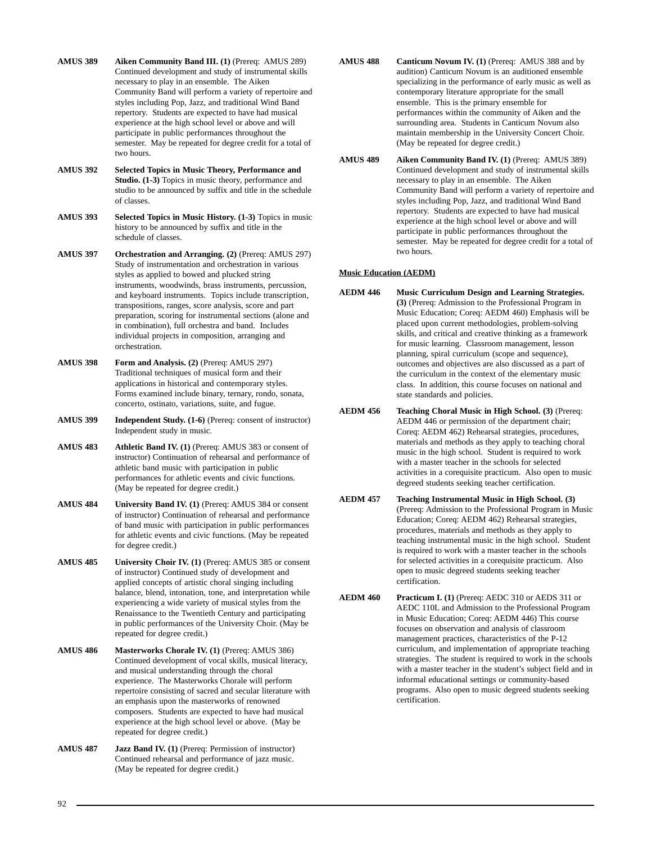**AMUS 389 Aiken Community Band III. (1)** (Prereq: AMUS 289) Continued development and study of instrumental skills necessary to play in an ensemble. The Aiken Community Band will perform a variety of repertoire and styles including Pop, Jazz, and traditional Wind Band repertory. Students are expected to have had musical experience at the high school level or above and will participate in public performances throughout the semester. May be repeated for degree credit for a total of two hours.

- **AMUS 392 Selected Topics in Music Theory, Performance and Studio. (1-3)** Topics in music theory, performance and studio to be announced by suffix and title in the schedule of classes.
- **AMUS 393 Selected Topics in Music History. (1-3)** Topics in music history to be announced by suffix and title in the schedule of classes.

**AMUS 397 Orchestration and Arranging. (2)** (Prereq: AMUS 297) Study of instrumentation and orchestration in various styles as applied to bowed and plucked string instruments, woodwinds, brass instruments, percussion, and keyboard instruments. Topics include transcription, transpositions, ranges, score analysis, score and part preparation, scoring for instrumental sections (alone and in combination), full orchestra and band. Includes individual projects in composition, arranging and orchestration.

- **AMUS 398 Form and Analysis. (2)** (Prereq: AMUS 297) Traditional techniques of musical form and their applications in historical and contemporary styles. Forms examined include binary, ternary, rondo, sonata, concerto, ostinato, variations, suite, and fugue.
- **AMUS 399 Independent Study. (1-6)** (Prereq: consent of instructor) Independent study in music.

**AMUS 483 Athletic Band IV. (1)** (Prereq: AMUS 383 or consent of instructor) Continuation of rehearsal and performance of athletic band music with participation in public performances for athletic events and civic functions. (May be repeated for degree credit.)

- AMUS 484 University Band IV. (1) (Prereq: AMUS 384 or consent of instructor) Continuation of rehearsal and performance of band music with participation in public performances for athletic events and civic functions. (May be repeated for degree credit.)
- **AMUS 485 University Choir IV. (1)** (Prereq: AMUS 385 or consent of instructor) Continued study of development and applied concepts of artistic choral singing including balance, blend, intonation, tone, and interpretation while experiencing a wide variety of musical styles from the Renaissance to the Twentieth Century and participating in public performances of the University Choir. (May be repeated for degree credit.)
- **AMUS 486 Masterworks Chorale IV. (1)** (Prereq: AMUS 386) Continued development of vocal skills, musical literacy, and musical understanding through the choral experience. The Masterworks Chorale will perform repertoire consisting of sacred and secular literature with an emphasis upon the masterworks of renowned composers. Students are expected to have had musical experience at the high school level or above. (May be repeated for degree credit.)
- **AMUS 487 Jazz Band IV. (1)** (Prereq: Permission of instructor) Continued rehearsal and performance of jazz music. (May be repeated for degree credit.)
- **AMUS 488 Canticum Novum IV. (1)** (Prereq: AMUS 388 and by audition) Canticum Novum is an auditioned ensemble specializing in the performance of early music as well as contemporary literature appropriate for the small ensemble. This is the primary ensemble for performances within the community of Aiken and the surrounding area. Students in Canticum Novum also maintain membership in the University Concert Choir. (May be repeated for degree credit.)
- **AMUS 489 Aiken Community Band IV. (1)** (Prereq: AMUS 389) Continued development and study of instrumental skills necessary to play in an ensemble. The Aiken Community Band will perform a variety of repertoire and styles including Pop, Jazz, and traditional Wind Band repertory. Students are expected to have had musical experience at the high school level or above and will participate in public performances throughout the semester. May be repeated for degree credit for a total of two hours.

## **Music Education (AEDM)**

- **AEDM 446 Music Curriculum Design and Learning Strategies. (3)** (Prereq: Admission to the Professional Program in Music Education; Coreq: AEDM 460) Emphasis will be placed upon current methodologies, problem-solving skills, and critical and creative thinking as a framework for music learning. Classroom management, lesson planning, spiral curriculum (scope and sequence), outcomes and objectives are also discussed as a part of the curriculum in the context of the elementary music class. In addition, this course focuses on national and state standards and policies.
- **AEDM 456 Teaching Choral Music in High School. (3)** (Prereq: AEDM 446 or permission of the department chair; Coreq: AEDM 462) Rehearsal strategies, procedures, materials and methods as they apply to teaching choral music in the high school. Student is required to work with a master teacher in the schools for selected activities in a corequisite practicum. Also open to music degreed students seeking teacher certification.
- **AEDM 457 Teaching Instrumental Music in High School. (3)** (Prereq: Admission to the Professional Program in Music Education; Coreq: AEDM 462) Rehearsal strategies, procedures, materials and methods as they apply to teaching instrumental music in the high school. Student is required to work with a master teacher in the schools for selected activities in a corequisite practicum. Also open to music degreed students seeking teacher certification.
- **AEDM 460 Practicum I. (1)** (Prereq: AEDC 310 or AEDS 311 or AEDC 110L and Admission to the Professional Program in Music Education; Coreq: AEDM 446) This course focuses on observation and analysis of classroom management practices, characteristics of the P-12 curriculum, and implementation of appropriate teaching strategies. The student is required to work in the schools with a master teacher in the student's subject field and in informal educational settings or community-based programs. Also open to music degreed students seeking certification.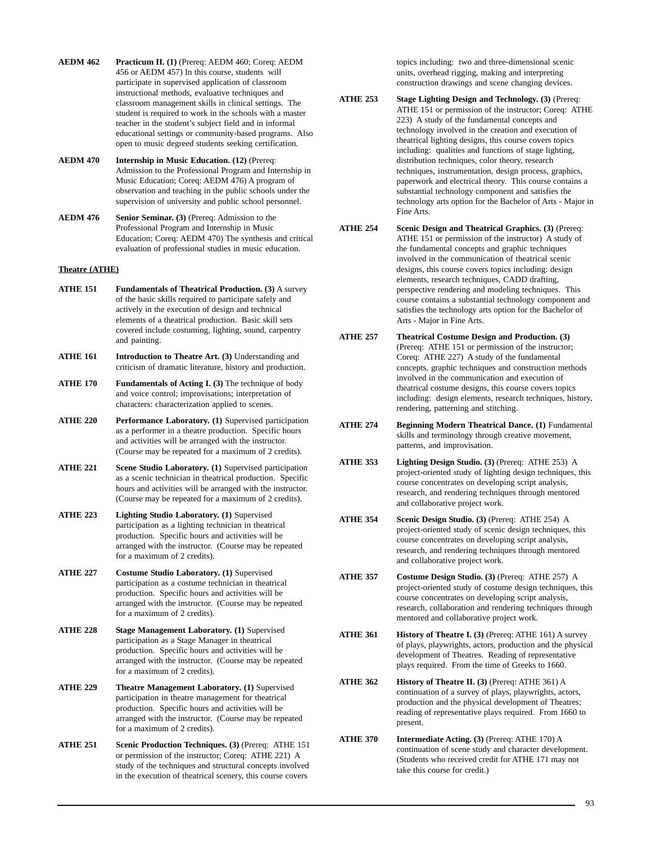- **AEDM 462 Practicum II. (1)** (Prereq: AEDM 460; Coreq: AEDM 456 or AEDM 457) In this course, students will participate in supervised application of classroom instructional methods, evaluative techniques and classroom management skills in clinical settings. The student is required to work in the schools with a master teacher in the student's subject field and in informal educational settings or community-based programs. Also open to music degreed students seeking certification.
- **AEDM 470 Internship in Music Education. (12)** (Prereq: Admission to the Professional Program and Internship in Music Education; Coreq: AEDM 476) A program of observation and teaching in the public schools under the supervision of university and public school personnel.
- **AEDM 476 Senior Seminar. (3)** (Prereq: Admission to the Professional Program and Internship in Music Education; Coreq: AEDM 470) The synthesis and critical evaluation of professional studies in music education.

## **Theatre (ATHE)**

- **ATHE 151 Fundamentals of Theatrical Production. (3)** A survey of the basic skills required to participate safely and actively in the execution of design and technical elements of a theatrical production. Basic skill sets covered include costuming, lighting, sound, carpentry and painting.
- **ATHE 161** Introduction to Theatre Art. (3) Understanding and criticism of dramatic literature, history and production.
- **ATHE 170 Fundamentals of Acting I. (3)** The technique of body and voice control; improvisations; interpretation of characters: characterization applied to scenes.
- **ATHE 220 Performance Laboratory. (1)** Supervised participation as a performer in a theatre production. Specific hours and activities will be arranged with the instructor. (Course may be repeated for a maximum of 2 credits).
- **ATHE 221 Scene Studio Laboratory. (1)** Supervised participation as a scenic technician in theatrical production. Specific hours and activities will be arranged with the instructor. (Course may be repeated for a maximum of 2 credits).
- **ATHE 223 Lighting Studio Laboratory. (1)** Supervised participation as a lighting technician in theatrical production. Specific hours and activities will be arranged with the instructor. (Course may be repeated for a maximum of 2 credits).
- **ATHE 227 Costume Studio Laboratory. (1)** Supervised participation as a costume technician in theatrical production. Specific hours and activities will be arranged with the instructor. (Course may be repeated for a maximum of 2 credits).
- **ATHE 228 Stage Management Laboratory. (1)** Supervised participation as a Stage Manager in theatrical production. Specific hours and activities will be arranged with the instructor. (Course may be repeated for a maximum of 2 credits).
- **ATHE 229 Theatre Management Laboratory. (1)** Supervised participation in theatre management for theatrical production. Specific hours and activities will be arranged with the instructor. (Course may be repeated for a maximum of 2 credits).
- **ATHE 251 Scenic Production Techniques. (3)** (Prereq: ATHE 151 or permission of the instructor; Coreq: ATHE 221) A study of the techniques and structural concepts involved in the execution of theatrical scenery, this course covers

topics including: two and three-dimensional scenic units, overhead rigging, making and interpreting construction drawings and scene changing devices.

- **ATHE 253 Stage Lighting Design and Technology. (3)** (Prereq: ATHE 151 or permission of the instructor; Coreq: ATHE 223) A study of the fundamental concepts and technology involved in the creation and execution of theatrical lighting designs, this course covers topics including: qualities and functions of stage lighting, distribution techniques, color theory, research techniques, instrumentation, design process, graphics, paperwork and electrical theory. This course contains a substantial technology component and satisfies the technology arts option for the Bachelor of Arts - Major in Fine Arts.
- **ATHE 254 Scenic Design and Theatrical Graphics. (3)** (Prereq: ATHE 151 or permission of the instructor) A study of the fundamental concepts and graphic techniques involved in the communication of theatrical scenic designs, this course covers topics including: design elements, research techniques, CADD drafting, perspective rendering and modeling techniques. This course contains a substantial technology component and satisfies the technology arts option for the Bachelor of Arts - Major in Fine Arts.
- **ATHE 257 Theatrical Costume Design and Production. (3)** (Prereq: ATHE 151 or permission of the instructor; Coreq: ATHE 227) A study of the fundamental concepts, graphic techniques and construction methods involved in the communication and execution of theatrical costume designs, this course covers topics including: design elements, research techniques, history, rendering, patterning and stitching.
- **ATHE 274 Beginning Modern Theatrical Dance. (1)** Fundamental skills and terminology through creative movement, patterns, and improvisation.
- **ATHE 353 Lighting Design Studio. (3)** (Prereq: ATHE 253) A project-oriented study of lighting design techniques, this course concentrates on developing script analysis, research, and rendering techniques through mentored and collaborative project work.
- **ATHE 354 Scenic Design Studio. (3)** (Prereq: ATHE 254) A project-oriented study of scenic design techniques, this course concentrates on developing script analysis, research, and rendering techniques through mentored and collaborative project work.
- **ATHE 357 Costume Design Studio. (3)** (Prereq: ATHE 257) A project-oriented study of costume design techniques, this course concentrates on developing script analysis, research, collaboration and rendering techniques through mentored and collaborative project work.
- **ATHE 361 History of Theatre I. (3)** (Prereq: ATHE 161) A survey of plays, playwrights, actors, production and the physical development of Theatres. Reading of representative plays required. From the time of Greeks to 1660.
- **ATHE 362 History of Theatre II. (3) (Prereq: ATHE 361) A** continuation of a survey of plays, playwrights, actors, production and the physical development of Theatres; reading of representative plays required. From 1660 to present.
- **ATHE 370 Intermediate Acting. (3)** (Prereq: ATHE 170) A continuation of scene study and character development. (Students who received credit for ATHE 171 may not take this course for credit.)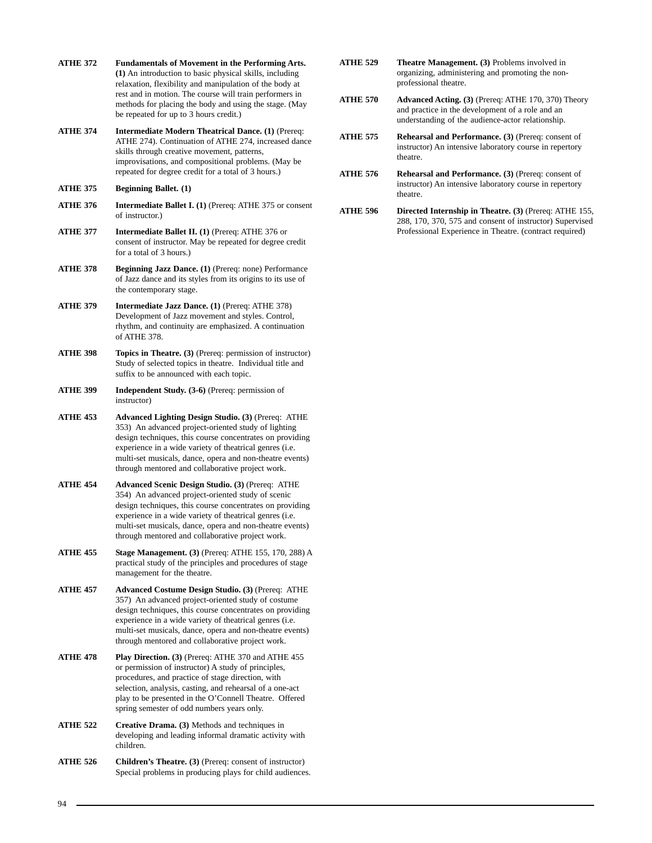- **ATHE 372 Fundamentals of Movement in the Performing Arts. (1)** An introduction to basic physical skills, including relaxation, flexibility and manipulation of the body at rest and in motion. The course will train performers in methods for placing the body and using the stage. (May be repeated for up to 3 hours credit.)
- **ATHE 374 Intermediate Modern Theatrical Dance. (1)** (Prereq: ATHE 274). Continuation of ATHE 274, increased dance skills through creative movement, patterns, improvisations, and compositional problems. (May be repeated for degree credit for a total of 3 hours.)

## **ATHE 375 Beginning Ballet. (1)**

- **ATHE 376 Intermediate Ballet I. (1)** (Prereq: ATHE 375 or consent of instructor.)
- **ATHE 377 Intermediate Ballet II. (1)** (Prereq: ATHE 376 or consent of instructor. May be repeated for degree credit for a total of 3 hours.)
- **ATHE 378 Beginning Jazz Dance. (1)** (Prereq: none) Performance of Jazz dance and its styles from its origins to its use of the contemporary stage.
- **ATHE 379 Intermediate Jazz Dance. (1)** (Prereq: ATHE 378) Development of Jazz movement and styles. Control, rhythm, and continuity are emphasized. A continuation of ATHE 378.
- **ATHE 398 Topics in Theatre. (3)** (Prereq: permission of instructor) Study of selected topics in theatre. Individual title and suffix to be announced with each topic.
- **ATHE 399 Independent Study. (3-6)** (Prereq: permission of instructor)
- **ATHE 453 Advanced Lighting Design Studio. (3)** (Prereq: ATHE 353) An advanced project-oriented study of lighting design techniques, this course concentrates on providing experience in a wide variety of theatrical genres (i.e. multi-set musicals, dance, opera and non-theatre events) through mentored and collaborative project work.
- **ATHE 454 Advanced Scenic Design Studio. (3)** (Prereq: ATHE 354) An advanced project-oriented study of scenic design techniques, this course concentrates on providing experience in a wide variety of theatrical genres (i.e. multi-set musicals, dance, opera and non-theatre events) through mentored and collaborative project work.
- **ATHE 455 Stage Management. (3)** (Prereq: ATHE 155, 170, 288) A practical study of the principles and procedures of stage management for the theatre.
- **ATHE 457 Advanced Costume Design Studio. (3)** (Prereq: ATHE 357) An advanced project-oriented study of costume design techniques, this course concentrates on providing experience in a wide variety of theatrical genres (i.e. multi-set musicals, dance, opera and non-theatre events) through mentored and collaborative project work.
- **ATHE 478 Play Direction. (3)** (Prereq: ATHE 370 and ATHE 455 or permission of instructor) A study of principles, procedures, and practice of stage direction, with selection, analysis, casting, and rehearsal of a one-act play to be presented in the O'Connell Theatre. Offered spring semester of odd numbers years only.
- **ATHE 522 Creative Drama. (3)** Methods and techniques in developing and leading informal dramatic activity with children.
- **ATHE 526 Children's Theatre. (3)** (Prereq: consent of instructor) Special problems in producing plays for child audiences.
- **ATHE 529 Theatre Management. (3)** Problems involved in organizing, administering and promoting the nonprofessional theatre.
- **ATHE 570 Advanced Acting. (3)** (Prereq: ATHE 170, 370) Theory and practice in the development of a role and an understanding of the audience-actor relationship.
- **ATHE 575 Rehearsal and Performance. (3)** (Prereq: consent of instructor) An intensive laboratory course in repertory theatre.
- **ATHE 576 Rehearsal and Performance. (3)** (Prereq: consent of instructor) An intensive laboratory course in repertory theatre.
- **ATHE 596 Directed Internship in Theatre. (3)** (Prereq: ATHE 155, 288, 170, 370, 575 and consent of instructor) Supervised Professional Experience in Theatre. (contract required)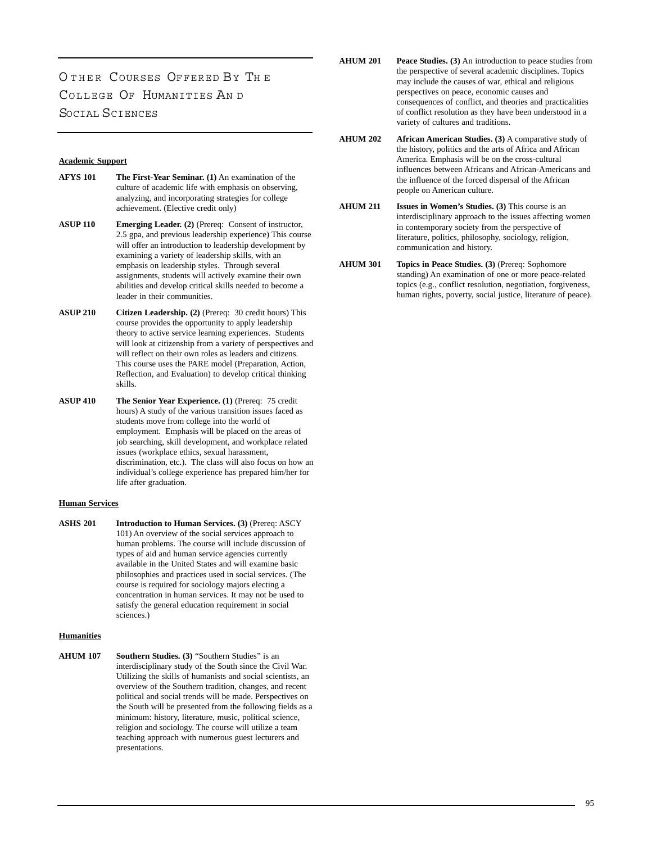# O THER COURSES OFFERED BY TH E COLLEGE OF HUMANITIES AN D SOCIAL SCIENCES

#### **Academic Support**

- **AFYS 101 The First-Year Seminar. (1)** An examination of the culture of academic life with emphasis on observing, analyzing, and incorporating strategies for college achievement. (Elective credit only)
- **ASUP 110 Emerging Leader. (2)** (Prereq: Consent of instructor, 2.5 gpa, and previous leadership experience) This course will offer an introduction to leadership development by examining a variety of leadership skills, with an emphasis on leadership styles. Through several assignments, students will actively examine their own abilities and develop critical skills needed to become a leader in their communities.
- **ASUP 210 Citizen Leadership. (2)** (Prereq: 30 credit hours) This course provides the opportunity to apply leadership theory to active service learning experiences. Students will look at citizenship from a variety of perspectives and will reflect on their own roles as leaders and citizens. This course uses the PARE model (Preparation, Action, Reflection, and Evaluation) to develop critical thinking skills.
- **ASUP 410 The Senior Year Experience. (1)** (Prereq: 75 credit hours) A study of the various transition issues faced as students move from college into the world of employment. Emphasis will be placed on the areas of job searching, skill development, and workplace related issues (workplace ethics, sexual harassment, discrimination, etc.). The class will also focus on how an individual's college experience has prepared him/her for life after graduation.

## **Human Services**

**ASHS 201 Introduction to Human Services. (3)** (Prereq: ASCY 101) An overview of the social services approach to human problems. The course will include discussion of types of aid and human service agencies currently available in the United States and will examine basic philosophies and practices used in social services. (The course is required for sociology majors electing a concentration in human services. It may not be used to satisfy the general education requirement in social sciences.)

#### **Humanities**

**AHUM 107 Southern Studies. (3)** "Southern Studies" is an interdisciplinary study of the South since the Civil War. Utilizing the skills of humanists and social scientists, an overview of the Southern tradition, changes, and recent political and social trends will be made. Perspectives on the South will be presented from the following fields as a minimum: history, literature, music, political science, religion and sociology. The course will utilize a team teaching approach with numerous guest lecturers and presentations.

- **AHUM 201 Peace Studies. (3)** An introduction to peace studies from the perspective of several academic disciplines. Topics may include the causes of war, ethical and religious perspectives on peace, economic causes and consequences of conflict, and theories and practicalities of conflict resolution as they have been understood in a variety of cultures and traditions.
- **AHUM 202 African American Studies. (3)** A comparative study of the history, politics and the arts of Africa and African America. Emphasis will be on the cross-cultural influences between Africans and African-Americans and the influence of the forced dispersal of the African people on American culture.
- **AHUM 211 Issues in Women's Studies. (3)** This course is an interdisciplinary approach to the issues affecting women in contemporary society from the perspective of literature, politics, philosophy, sociology, religion, communication and history.
- **AHUM 301 Topics in Peace Studies. (3)** (Prereq: Sophomore standing) An examination of one or more peace-related topics (e.g., conflict resolution, negotiation, forgiveness, human rights, poverty, social justice, literature of peace).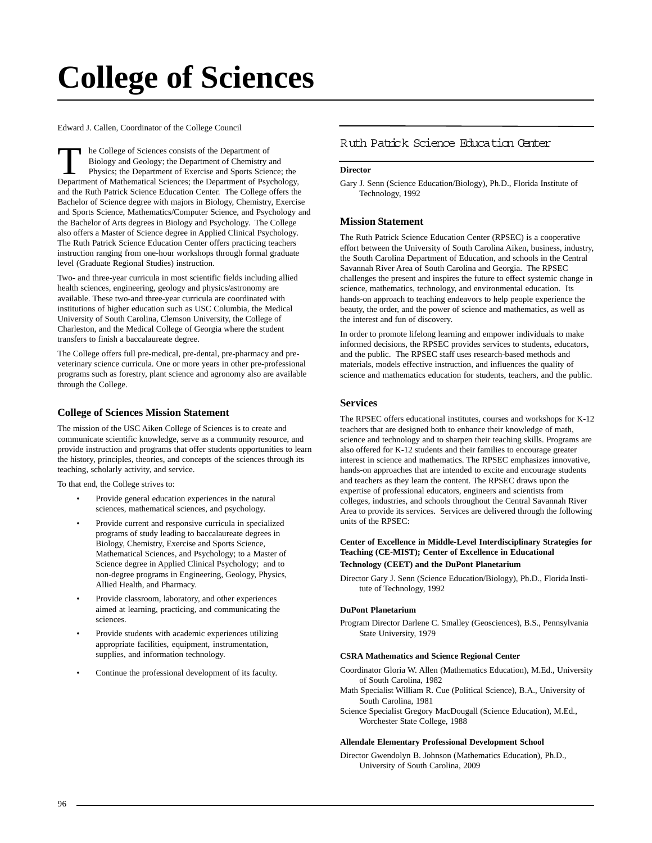# **College of Sciences**

Edward J. Callen, Coordinator of the College Council

The College of Sciences consists of the Department of Biology and Geology; the Department of Chemistry and Physics; the Department of Exercise and Sports Science; the Department of Mathematical Sciences; the Department of Psychology, and the Ruth Patrick Science Education Center. The College offers the Bachelor of Science degree with majors in Biology, Chemistry, Exercise and Sports Science, Mathematics/Computer Science, and Psychology and the Bachelor of Arts degrees in Biology and Psychology. The College also offers a Master of Science degree in Applied Clinical Psychology. The Ruth Patrick Science Education Center offers practicing teachers instruction ranging from one-hour workshops through formal graduate level (Graduate Regional Studies) instruction.

Two- and three-year curricula in most scientific fields including allied health sciences, engineering, geology and physics/astronomy are available. These two-and three-year curricula are coordinated with institutions of higher education such as USC Columbia, the Medical University of South Carolina, Clemson University, the College of Charleston, and the Medical College of Georgia where the student transfers to finish a baccalaureate degree.

The College offers full pre-medical, pre-dental, pre-pharmacy and preveterinary science curricula. One or more years in other pre-professional programs such as forestry, plant science and agronomy also are available through the College.

## **College of Sciences Mission Statement**

The mission of the USC Aiken College of Sciences is to create and communicate scientific knowledge, serve as a community resource, and provide instruction and programs that offer students opportunities to learn the history, principles, theories, and concepts of the sciences through its teaching, scholarly activity, and service.

To that end, the College strives to:

- Provide general education experiences in the natural sciences, mathematical sciences, and psychology.
- Provide current and responsive curricula in specialized programs of study leading to baccalaureate degrees in Biology, Chemistry, Exercise and Sports Science, Mathematical Sciences, and Psychology; to a Master of Science degree in Applied Clinical Psychology; and to non-degree programs in Engineering, Geology, Physics, Allied Health, and Pharmacy.
- Provide classroom, laboratory, and other experiences aimed at learning, practicing, and communicating the sciences.
- Provide students with academic experiences utilizing appropriate facilities, equipment, instrumentation, supplies, and information technology.
- Continue the professional development of its faculty.

## [Ruth Patrick Science Education Center](http://rpsec.usca.edu/)

## **Director**

Gary J. Senn (Science Education/Biology), Ph.D., Florida Institute of Technology, 1992

#### **Mission Statement**

The Ruth Patrick Science Education Center (RPSEC) is a cooperative effort between the University of South Carolina Aiken, business, industry, the South Carolina Department of Education, and schools in the Central Savannah River Area of South Carolina and Georgia. The RPSEC challenges the present and inspires the future to effect systemic change in science, mathematics, technology, and environmental education. Its hands-on approach to teaching endeavors to help people experience the beauty, the order, and the power of science and mathematics, as well as the interest and fun of discovery.

In order to promote lifelong learning and empower individuals to make informed decisions, the RPSEC provides services to students, educators, and the public. The RPSEC staff uses research-based methods and materials, models effective instruction, and influences the quality of science and mathematics education for students, teachers, and the public.

## **Services**

The RPSEC offers educational institutes, courses and workshops for K-12 teachers that are designed both to enhance their knowledge of math, science and technology and to sharpen their teaching skills. Programs are also offered for K-12 students and their families to encourage greater interest in science and mathematics. The RPSEC emphasizes innovative, hands-on approaches that are intended to excite and encourage students and teachers as they learn the content. The RPSEC draws upon the expertise of professional educators, engineers and scientists from colleges, industries, and schools throughout the Central Savannah River Area to provide its services. Services are delivered through the following units of the RPSEC:

#### **Center of Excellence in Middle-Level Interdisciplinary Strategies for Teaching (CE-MIST); Center of Excellence in Educational Technology (CEET) and the DuPont Planetarium**

Director Gary J. Senn (Science Education/Biology), Ph.D., Florida Institute of Technology, 1992

#### **DuPont Planetarium**

Program Director Darlene C. Smalley (Geosciences), B.S., Pennsylvania State University, 1979

#### **CSRA Mathematics and Science Regional Center**

- Coordinator Gloria W. Allen (Mathematics Education), M.Ed., University of South Carolina, 1982
- Math Specialist William R. Cue (Political Science), B.A., University of South Carolina, 1981
- Science Specialist Gregory MacDougall (Science Education), M.Ed., Worchester State College, 1988

#### **Allendale Elementary Professional Development School**

Director Gwendolyn B. Johnson (Mathematics Education), Ph.D., University of South Carolina, 2009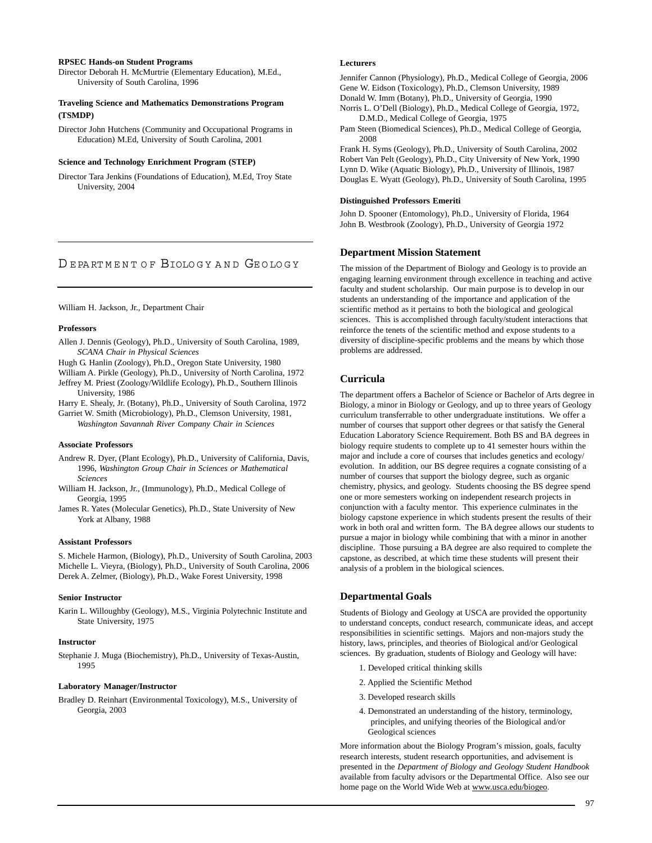#### **RPSEC Hands-on Student Programs**

Director Deborah H. McMurtrie (Elementary Education), M.Ed., University of South Carolina, 1996

#### **Traveling Science and Mathematics Demonstrations Program (TSMDP)**

Director John Hutchens (Community and Occupational Programs in Education) M.Ed, University of South Carolina, 2001

#### **Science and Technology Enrichment Program (STEP)**

Director Tara Jenkins (Foundations of Education), M.Ed, Troy State University, 2004

## D E PA RT M E N T O F BIOLO G Y [AND GE O LO G Y](http://web.usca.edu/biology/)

#### William H. Jackson, Jr., Department Chair

#### **Professors**

- Allen J. Dennis (Geology), Ph.D., University of South Carolina, 1989, *SCANA Chair in Physical Sciences*
- Hugh G. Hanlin (Zoology), Ph.D., Oregon State University, 1980
- William A. Pirkle (Geology), Ph.D., University of North Carolina, 1972
- Jeffrey M. Priest (Zoology/Wildlife Ecology), Ph.D., Southern Illinois University, 1986

Harry E. Shealy, Jr. (Botany), Ph.D., University of South Carolina, 1972

Garriet W. Smith (Microbiology), Ph.D., Clemson University, 1981, *Washington Savannah River Company Chair in Sciences*

#### **Associate Professors**

Andrew R. Dyer, (Plant Ecology), Ph.D., University of California, Davis, 1996, *Washington Group Chair in Sciences or Mathematical Sciences*

- William H. Jackson, Jr., (Immunology), Ph.D., Medical College of Georgia, 1995
- James R. Yates (Molecular Genetics), Ph.D., State University of New York at Albany, 1988

#### **Assistant Professors**

S. Michele Harmon, (Biology), Ph.D., University of South Carolina, 2003 Michelle L. Vieyra, (Biology), Ph.D., University of South Carolina, 2006 Derek A. Zelmer, (Biology), Ph.D., Wake Forest University, 1998

#### **Senior Instructor**

Karin L. Willoughby (Geology), M.S., Virginia Polytechnic Institute and State University, 1975

#### **Instructor**

Stephanie J. Muga (Biochemistry), Ph.D., University of Texas-Austin, 1995

#### **Laboratory Manager/Instructor**

Bradley D. Reinhart (Environmental Toxicology), M.S., University of Georgia, 2003

#### **Lecturers**

Jennifer Cannon (Physiology), Ph.D., Medical College of Georgia, 2006 Gene W. Eidson (Toxicology), Ph.D., Clemson University, 1989 Donald W. Imm (Botany), Ph.D., University of Georgia, 1990

Norris L. O'Dell (Biology), Ph.D., Medical College of Georgia, 1972, D.M.D., Medical College of Georgia, 1975

Pam Steen (Biomedical Sciences), Ph.D., Medical College of Georgia, 2008

Frank H. Syms (Geology), Ph.D., University of South Carolina, 2002 Robert Van Pelt (Geology), Ph.D., City University of New York, 1990 Lynn D. Wike (Aquatic Biology), Ph.D., University of Illinois, 1987 Douglas E. Wyatt (Geology), Ph.D., University of South Carolina, 1995

#### **Distinguished Professors Emeriti**

John D. Spooner (Entomology), Ph.D., University of Florida, 1964 John B. Westbrook (Zoology), Ph.D., University of Georgia 1972

#### **Department Mission Statement**

The mission of the Department of Biology and Geology is to provide an engaging learning environment through excellence in teaching and active faculty and student scholarship. Our main purpose is to develop in our students an understanding of the importance and application of the scientific method as it pertains to both the biological and geological sciences. This is accomplished through faculty/student interactions that reinforce the tenets of the scientific method and expose students to a diversity of discipline-specific problems and the means by which those problems are addressed.

## **Curricula**

The department offers a Bachelor of Science or Bachelor of Arts degree in Biology, a minor in Biology or Geology, and up to three years of Geology curriculum transferrable to other undergraduate institutions. We offer a number of courses that support other degrees or that satisfy the General Education Laboratory Science Requirement. Both BS and BA degrees in biology require students to complete up to 41 semester hours within the major and include a core of courses that includes genetics and ecology/ evolution. In addition, our BS degree requires a cognate consisting of a number of courses that support the biology degree, such as organic chemistry, physics, and geology. Students choosing the BS degree spend one or more semesters working on independent research projects in conjunction with a faculty mentor. This experience culminates in the biology capstone experience in which students present the results of their work in both oral and written form. The BA degree allows our students to pursue a major in biology while combining that with a minor in another discipline. Those pursuing a BA degree are also required to complete the capstone, as described, at which time these students will present their analysis of a problem in the biological sciences.

#### **Departmental Goals**

Students of Biology and Geology at USCA are provided the opportunity to understand concepts, conduct research, communicate ideas, and accept responsibilities in scientific settings. Majors and non-majors study the history, laws, principles, and theories of Biological and/or Geological sciences. By graduation, students of Biology and Geology will have:

- 1. Developed critical thinking skills
- 2. Applied the Scientific Method
- 3. Developed research skills
- 4. Demonstrated an understanding of the history, terminology, principles, and unifying theories of the Biological and/or Geological sciences

More information about the Biology Program's mission, goals, faculty research interests, student research opportunities, and advisement is presented in the *Department of Biology and Geology Student Handbook* available from faculty advisors or the Departmental Office. Also see our home page on the World Wide Web at www.usca.edu/biogeo.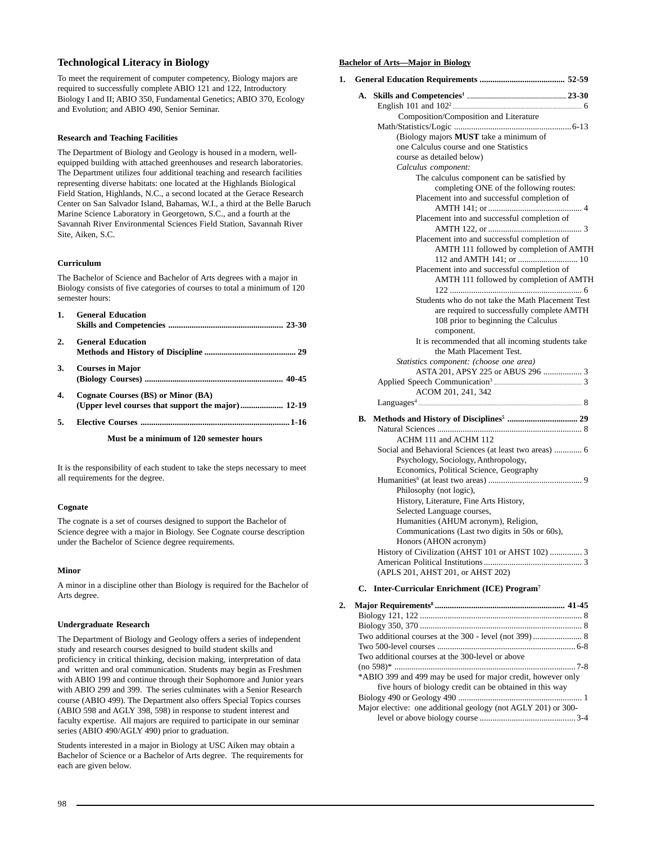## **Technological Literacy in Biology**

To meet the requirement of computer competency, Biology majors are required to successfully complete ABIO 121 and 122, Introductory Biology I and II; ABIO 350, Fundamental Genetics; ABIO 370, Ecology and Evolution; and ABIO 490, Senior Seminar.

## **Research and Teaching Facilities**

The Department of Biology and Geology is housed in a modern, wellequipped building with attached greenhouses and research laboratories. The Department utilizes four additional teaching and research facilities representing diverse habitats: one located at the Highlands Biological Field Station, Highlands, N.C., a second located at the Gerace Research Center on San Salvador Island, Bahamas, W.I., a third at the Belle Baruch Marine Science Laboratory in Georgetown, S.C., and a fourth at the Savannah River Environmental Sciences Field Station, Savannah River Site, Aiken, S.C.

## **Curriculum**

The Bachelor of Science and Bachelor of Arts degrees with a major in Biology consists of five categories of courses to total a minimum of 120 semester hours:

| 1. | <b>General Education</b>           |
|----|------------------------------------|
| 2. | <b>General Education</b>           |
| 3. | <b>Courses in Major</b>            |
| 4. | Cognate Courses (BS) or Minor (BA) |
| 5. |                                    |

**Must be a minimum of 120 semester hours**

It is the responsibility of each student to take the steps necessary to meet all requirements for the degree.

## **Cognate**

The cognate is a set of courses designed to support the Bachelor of Science degree with a major in Biology. See Cognate course description under the Bachelor of Science degree requirements.

## **Minor**

A minor in a discipline other than Biology is required for the Bachelor of Arts degree.

## **Undergraduate Research**

The Department of Biology and Geology offers a series of independent study and research courses designed to build student skills and proficiency in critical thinking, decision making, interpretation of data and written and oral communication. Students may begin as Freshmen with ABIO 199 and continue through their Sophomore and Junior years with ABIO 299 and 399. The series culminates with a Senior Research course (ABIO 499). The Department also offers Special Topics courses (ABIO 598 and AGLY 398, 598) in response to student interest and faculty expertise. All majors are required to participate in our seminar series (ABIO 490/AGLY 490) prior to graduation.

Students interested in a major in Biology at USC Aiken may obtain a Bachelor of Science or a Bachelor of Arts degree. The requirements for each are given below.

#### **Bachelor of Arts—Major in Biology**

| 1. |    |                                                        |
|----|----|--------------------------------------------------------|
|    | А. |                                                        |
|    |    |                                                        |
|    |    | Composition/Composition and Literature                 |
|    |    |                                                        |
|    |    | (Biology majors MUST take a minimum of                 |
|    |    | one Calculus course and one Statistics                 |
|    |    | course as detailed below)                              |
|    |    | Calculus component:                                    |
|    |    | The calculus component can be satisfied by             |
|    |    | completing ONE of the following routes:                |
|    |    | Placement into and successful completion of            |
|    |    |                                                        |
|    |    | Placement into and successful completion of            |
|    |    | Placement into and successful completion of            |
|    |    | AMTH 111 followed by completion of AMTH                |
|    |    |                                                        |
|    |    | Placement into and successful completion of            |
|    |    | AMTH 111 followed by completion of AMTH                |
|    |    |                                                        |
|    |    | Students who do not take the Math Placement Test       |
|    |    | are required to successfully complete AMTH             |
|    |    | 108 prior to beginning the Calculus                    |
|    |    | component.                                             |
|    |    | It is recommended that all incoming students take      |
|    |    | the Math Placement Test.                               |
|    |    | Statistics component: (choose one area)                |
|    |    | ASTA 201, APSY 225 or ABUS 296  3                      |
|    |    |                                                        |
|    |    | ACOM 201, 241, 342                                     |
|    |    |                                                        |
|    |    |                                                        |
|    | В. |                                                        |
|    |    |                                                        |
|    |    | ACHM 111 and ACHM 112                                  |
|    |    | Social and Behavioral Sciences (at least two areas)  6 |
|    |    | Psychology, Sociology, Anthropology,                   |
|    |    | Economics, Political Science, Geography                |
|    |    |                                                        |
|    |    | Philosophy (not logic),                                |
|    |    | History, Literature, Fine Arts History,                |
|    |    | Selected Language courses,                             |
|    |    | Humanities (AHUM acronym), Religion,                   |
|    |    | Communications (Last two digits in 50s or 60s),        |
|    |    | Honors (AHON acronym)                                  |
|    |    | History of Civilization (AHST 101 or AHST 102)  3      |
|    |    |                                                        |
|    |    | (APLS 201, AHST 201, or AHST 202)                      |

## **C. Inter-Curricular Enrichment (ICE) Program7**

| Two additional courses at the 300-level or above              |
|---------------------------------------------------------------|
|                                                               |
| *ABIO 399 and 499 may be used for major credit, however only  |
| five hours of biology credit can be obtained in this way      |
|                                                               |
| Major elective: one additional geology (not AGLY 201) or 300- |
|                                                               |
|                                                               |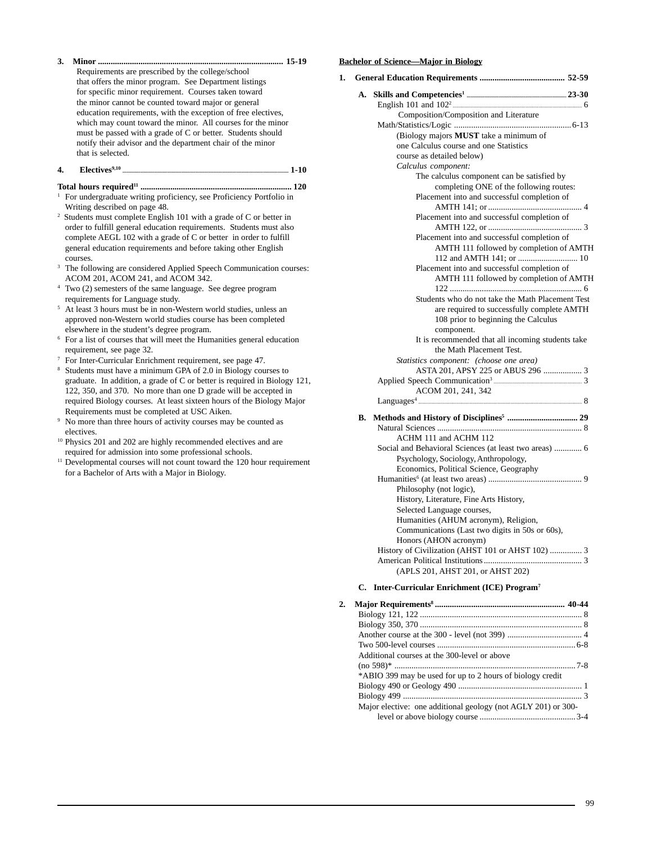**3. Minor ....................................................................................... 15-19** Requirements are prescribed by the college/school that offers the minor program. See Department listings for specific minor requirement. Courses taken toward the minor cannot be counted toward major or general education requirements, with the exception of free electives, which may count toward the minor. All courses for the minor must be passed with a grade of C or better. Students should notify their advisor and the department chair of the minor that is selected.

#### **4. Electives9,10 .................................................................................................................................. 1-10**

## **Total hours required11 ....................................................................... 120**

- <sup>1</sup> For undergraduate writing proficiency, see Proficiency Portfolio in Writing described on page 48.
- Students must complete English 101 with a grade of C or better in order to fulfill general education requirements. Students must also complete AEGL 102 with a grade of C or better in order to fulfill general education requirements and before taking other English courses.
- The following are considered Applied Speech Communication courses: ACOM 201, ACOM 241, and ACOM 342.
- <sup>4</sup> Two (2) semesters of the same language. See degree program requirements for Language study.
- <sup>5</sup> At least 3 hours must be in non-Western world studies, unless an approved non-Western world studies course has been completed elsewhere in the student's degree program.
- <sup>6</sup> For a list of courses that will meet the Humanities general education requirement, see page 32.
- <sup>7</sup> For Inter-Curricular Enrichment requirement, see page 47.
- <sup>8</sup> Students must have a minimum GPA of 2.0 in Biology courses to graduate. In addition, a grade of C or better is required in Biology 121, 122, 350, and 370. No more than one D grade will be accepted in required Biology courses. At least sixteen hours of the Biology Major Requirements must be completed at USC Aiken.
- <sup>9</sup> No more than three hours of activity courses may be counted as electives.
- <sup>10</sup> Physics 201 and 202 are highly recommended electives and are required for admission into some professional schools.
- $11$  Developmental courses will not count toward the 120 hour requirement for a Bachelor of Arts with a Major in Biology.

#### **Bachelor of Science—Major in Biology**

**1. General Education Requirements ........................................ 52-59 A. Skills and Competencies1 .............................................................................. 23-30** English 101 and 1022 ..................................................................................................... 6 Composition/Composition and Literature Math/Statistics/Logic .......................................................6-13 (Biology majors **MUST** take a minimum of one Calculus course and one Statistics course as detailed below) *Calculus component:* The calculus component can be satisfied by completing ONE of the following routes: Placement into and successful completion of AMTH 141; or ............................................ 4 Placement into and successful completion of AMTH 122, or ............................................ 3 Placement into and successful completion of AMTH 111 followed by completion of AMTH 112 and AMTH 141; or ............................ 10 Placement into and successful completion of AMTH 111 followed by completion of AMTH 122 .............................................................. 6 Students who do not take the Math Placement Test are required to successfully complete AMTH 108 prior to beginning the Calculus component. It is recommended that all incoming students take the Math Placement Test. *Statistics component: (choose one area)* ASTA 201, APSY 225 or ABUS 296 .................. 3 Applied Speech Communication3 ..................................................................... 3 ACOM 201, 241, 342 Languages4 ................................................................................................................................ 8

## **B. Methods and History of Disciplines5 ................................. 29**

| $\cdots$                                        |
|-------------------------------------------------|
|                                                 |
| ACHM 111 and ACHM 112                           |
|                                                 |
| Psychology, Sociology, Anthropology,            |
| Economics, Political Science, Geography         |
|                                                 |
| Philosophy (not logic),                         |
| History, Literature, Fine Arts History,         |
| Selected Language courses,                      |
| Humanities (AHUM acronym), Religion,            |
| Communications (Last two digits in 50s or 60s), |
| Honors (AHON acronym)                           |
|                                                 |
|                                                 |
| (APLS 201, AHST 201, or AHST 202)               |

#### **C. Inter-Curricular Enrichment (ICE) Program7**

| Additional courses at the 300-level or above                  |  |
|---------------------------------------------------------------|--|
|                                                               |  |
| *ABIO 399 may be used for up to 2 hours of biology credit     |  |
|                                                               |  |
|                                                               |  |
| Major elective: one additional geology (not AGLY 201) or 300- |  |
|                                                               |  |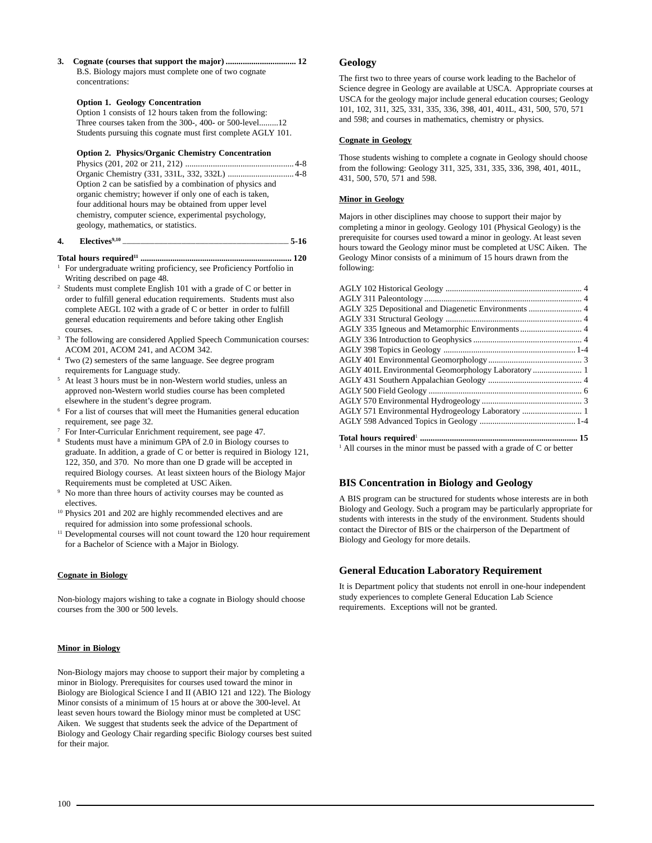**3. Cognate (courses that support the major) ................................. 12** B.S. Biology majors must complete one of two cognate concentrations:

#### **Option 1. Geology Concentration**

Option 1 consists of 12 hours taken from the following: Three courses taken from the 300-, 400- or 500-level.........12 Students pursuing this cognate must first complete AGLY 101.

#### **Option 2. Physics/Organic Chemistry Concentration**

| Option 2 can be satisfied by a combination of physics and |
|-----------------------------------------------------------|
| organic chemistry; however if only one of each is taken,  |
| four additional hours may be obtained from upper level    |
| chemistry, computer science, experimental psychology,     |
| geology, mathematics, or statistics.                      |
|                                                           |

#### **4. Electives9,10 .................................................................................................................................. 5-16**

## **Total hours required11 ....................................................................... 120**

<sup>1</sup> For undergraduate writing proficiency, see Proficiency Portfolio in Writing described on page 48.

- 2 Students must complete English 101 with a grade of C or better in order to fulfill general education requirements. Students must also complete AEGL 102 with a grade of C or better in order to fulfill general education requirements and before taking other English courses.
- <sup>3</sup> The following are considered Applied Speech Communication courses: ACOM 201, ACOM 241, and ACOM 342.
- Two (2) semesters of the same language. See degree program requirements for Language study.
- <sup>5</sup> At least 3 hours must be in non-Western world studies, unless an approved non-Western world studies course has been completed elsewhere in the student's degree program.
- <sup>6</sup> For a list of courses that will meet the Humanities general education requirement, see page 32.
- <sup>7</sup> For Inter-Curricular Enrichment requirement, see page 47.
- <sup>8</sup> Students must have a minimum GPA of 2.0 in Biology courses to graduate. In addition, a grade of C or better is required in Biology 121, 122, 350, and 370. No more than one D grade will be accepted in required Biology courses. At least sixteen hours of the Biology Major Requirements must be completed at USC Aiken.
- <sup>9</sup> No more than three hours of activity courses may be counted as electives.
- <sup>10</sup> Physics 201 and 202 are highly recommended electives and are required for admission into some professional schools.
- <sup>11</sup> Developmental courses will not count toward the 120 hour requirement for a Bachelor of Science with a Major in Biology.

## **Cognate in Biology**

Non-biology majors wishing to take a cognate in Biology should choose courses from the 300 or 500 levels.

## **Minor in Biology**

Non-Biology majors may choose to support their major by completing a minor in Biology. Prerequisites for courses used toward the minor in Biology are Biological Science I and II (ABIO 121 and 122). The Biology Minor consists of a minimum of 15 hours at or above the 300-level. At least seven hours toward the Biology minor must be completed at USC Aiken. We suggest that students seek the advice of the Department of Biology and Geology Chair regarding specific Biology courses best suited for their major.

## **Geology**

The first two to three years of course work leading to the Bachelor of Science degree in Geology are available at USCA. Appropriate courses at USCA for the geology major include general education courses; Geology 101, 102, 311, 325, 331, 335, 336, 398, 401, 401L, 431, 500, 570, 571 and 598; and courses in mathematics, chemistry or physics.

## **Cognate in Geology**

Those students wishing to complete a cognate in Geology should choose from the following: Geology 311, 325, 331, 335, 336, 398, 401, 401L, 431, 500, 570, 571 and 598.

## **Minor in Geology**

Majors in other disciplines may choose to support their major by completing a minor in geology. Geology 101 (Physical Geology) is the prerequisite for courses used toward a minor in geology. At least seven hours toward the Geology minor must be completed at USC Aiken. The Geology Minor consists of a minimum of 15 hours drawn from the following:

| AGLY 335 Igneous and Metamorphic Environments  4                                                                                                                                                                                                                                                                                                                                    |  |
|-------------------------------------------------------------------------------------------------------------------------------------------------------------------------------------------------------------------------------------------------------------------------------------------------------------------------------------------------------------------------------------|--|
|                                                                                                                                                                                                                                                                                                                                                                                     |  |
|                                                                                                                                                                                                                                                                                                                                                                                     |  |
|                                                                                                                                                                                                                                                                                                                                                                                     |  |
|                                                                                                                                                                                                                                                                                                                                                                                     |  |
|                                                                                                                                                                                                                                                                                                                                                                                     |  |
|                                                                                                                                                                                                                                                                                                                                                                                     |  |
|                                                                                                                                                                                                                                                                                                                                                                                     |  |
| AGLY 571 Environmental Hydrogeology Laboratory  1                                                                                                                                                                                                                                                                                                                                   |  |
|                                                                                                                                                                                                                                                                                                                                                                                     |  |
| Total hours required measurements are not all the numerical distributions of 15<br>$\mathbf{1}$ and $\mathbf{1}$ and $\mathbf{1}$ and $\mathbf{1}$ and $\mathbf{1}$ and $\mathbf{1}$ and $\mathbf{1}$ and $\mathbf{1}$ and $\mathbf{1}$ and $\mathbf{1}$ and $\mathbf{1}$ and $\mathbf{1}$ and $\mathbf{1}$ and $\mathbf{1}$ and $\mathbf{1}$ and $\mathbf{1}$ and $\mathbf{1}$ and |  |

<sup>1</sup> All courses in the minor must be passed with a grade of C or better

## **BIS Concentration in Biology and Geology**

A BIS program can be structured for students whose interests are in both Biology and Geology. Such a program may be particularly appropriate for students with interests in the study of the environment. Students should contact the Director of BIS or the chairperson of the Department of Biology and Geology for more details.

## **General Education Laboratory Requirement**

It is Department policy that students not enroll in one-hour independent study experiences to complete General Education Lab Science requirements. Exceptions will not be granted.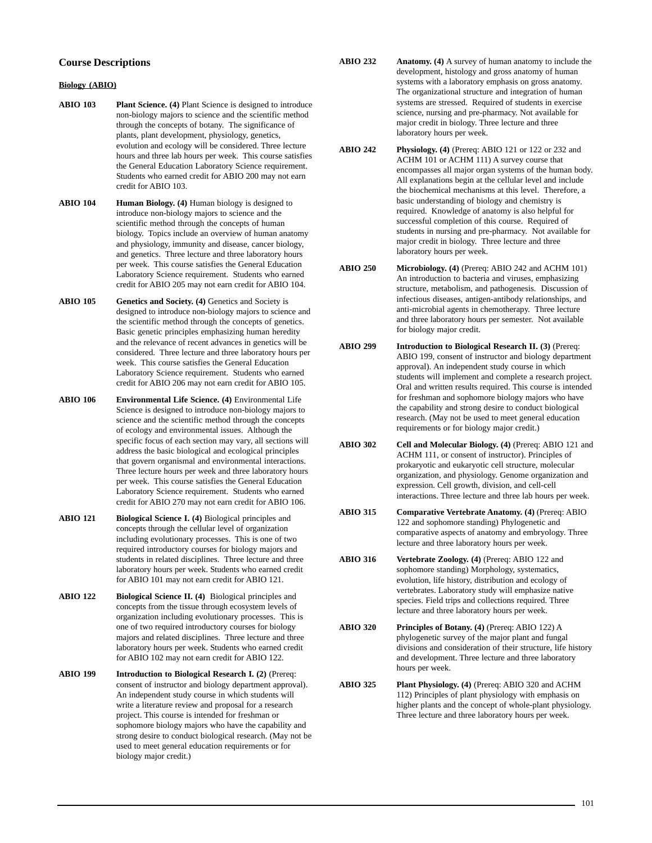## **Course Descriptions**

#### **Biology (ABIO)**

- **ABIO 103 Plant Science. (4)** Plant Science is designed to introduce non-biology majors to science and the scientific method through the concepts of botany. The significance of plants, plant development, physiology, genetics, evolution and ecology will be considered. Three lecture hours and three lab hours per week. This course satisfies the General Education Laboratory Science requirement. Students who earned credit for ABIO 200 may not earn credit for ABIO 103.
- **ABIO 104 Human Biology. (4)** Human biology is designed to introduce non-biology majors to science and the scientific method through the concepts of human biology. Topics include an overview of human anatomy and physiology, immunity and disease, cancer biology, and genetics. Three lecture and three laboratory hours per week. This course satisfies the General Education Laboratory Science requirement. Students who earned credit for ABIO 205 may not earn credit for ABIO 104.
- **ABIO 105 Genetics and Society. (4)** Genetics and Society is designed to introduce non-biology majors to science and the scientific method through the concepts of genetics. Basic genetic principles emphasizing human heredity and the relevance of recent advances in genetics will be considered. Three lecture and three laboratory hours per week. This course satisfies the General Education Laboratory Science requirement. Students who earned credit for ABIO 206 may not earn credit for ABIO 105.
- **ABIO 106 Environmental Life Science. (4)** Environmental Life Science is designed to introduce non-biology majors to science and the scientific method through the concepts of ecology and environmental issues. Although the specific focus of each section may vary, all sections will address the basic biological and ecological principles that govern organismal and environmental interactions. Three lecture hours per week and three laboratory hours per week. This course satisfies the General Education Laboratory Science requirement. Students who earned credit for ABIO 270 may not earn credit for ABIO 106.
- **ABIO 121 Biological Science I. (4)** Biological principles and concepts through the cellular level of organization including evolutionary processes. This is one of two required introductory courses for biology majors and students in related disciplines. Three lecture and three laboratory hours per week. Students who earned credit for ABIO 101 may not earn credit for ABIO 121.
- **ABIO 122 Biological Science II. (4)** Biological principles and concepts from the tissue through ecosystem levels of organization including evolutionary processes. This is one of two required introductory courses for biology majors and related disciplines. Three lecture and three laboratory hours per week. Students who earned credit for ABIO 102 may not earn credit for ABIO 122.
- **ABIO 199 Introduction to Biological Research I. (2)** (Prereq: consent of instructor and biology department approval). An independent study course in which students will write a literature review and proposal for a research project. This course is intended for freshman or sophomore biology majors who have the capability and strong desire to conduct biological research. (May not be used to meet general education requirements or for biology major credit.)
- **ABIO 232 Anatomy. (4)** A survey of human anatomy to include the development, histology and gross anatomy of human systems with a laboratory emphasis on gross anatomy. The organizational structure and integration of human systems are stressed. Required of students in exercise science, nursing and pre-pharmacy. Not available for major credit in biology. Three lecture and three laboratory hours per week.
- **ABIO 242 Physiology. (4)** (Prereq: ABIO 121 or 122 or 232 and ACHM 101 or ACHM 111) A survey course that encompasses all major organ systems of the human body. All explanations begin at the cellular level and include the biochemical mechanisms at this level. Therefore, a basic understanding of biology and chemistry is required. Knowledge of anatomy is also helpful for successful completion of this course. Required of students in nursing and pre-pharmacy. Not available for major credit in biology. Three lecture and three laboratory hours per week.
- **ABIO 250 Microbiology. (4)** (Prereq: ABIO 242 and ACHM 101) An introduction to bacteria and viruses, emphasizing structure, metabolism, and pathogenesis. Discussion of infectious diseases, antigen-antibody relationships, and anti-microbial agents in chemotherapy. Three lecture and three laboratory hours per semester. Not available for biology major credit.
- **ABIO 299 Introduction to Biological Research II. (3)** (Prereq: ABIO 199, consent of instructor and biology department approval). An independent study course in which students will implement and complete a research project. Oral and written results required. This course is intended for freshman and sophomore biology majors who have the capability and strong desire to conduct biological research. (May not be used to meet general education requirements or for biology major credit.)
- **ABIO 302 Cell and Molecular Biology. (4)** (Prereq: ABIO 121 and ACHM 111, or consent of instructor). Principles of prokaryotic and eukaryotic cell structure, molecular organization, and physiology. Genome organization and expression. Cell growth, division, and cell-cell interactions. Three lecture and three lab hours per week.
- **ABIO 315 Comparative Vertebrate Anatomy. (4)** (Prereq: ABIO 122 and sophomore standing) Phylogenetic and comparative aspects of anatomy and embryology. Three lecture and three laboratory hours per week.
- **ABIO 316 Vertebrate Zoology. (4)** (Prereq: ABIO 122 and sophomore standing) Morphology, systematics, evolution, life history, distribution and ecology of vertebrates. Laboratory study will emphasize native species. Field trips and collections required. Three lecture and three laboratory hours per week.
- **ABIO 320 Principles of Botany. (4)** (Prereq: ABIO 122) A phylogenetic survey of the major plant and fungal divisions and consideration of their structure, life history and development. Three lecture and three laboratory hours per week.
- **ABIO 325 Plant Physiology. (4)** (Prereq: ABIO 320 and ACHM 112) Principles of plant physiology with emphasis on higher plants and the concept of whole-plant physiology. Three lecture and three laboratory hours per week.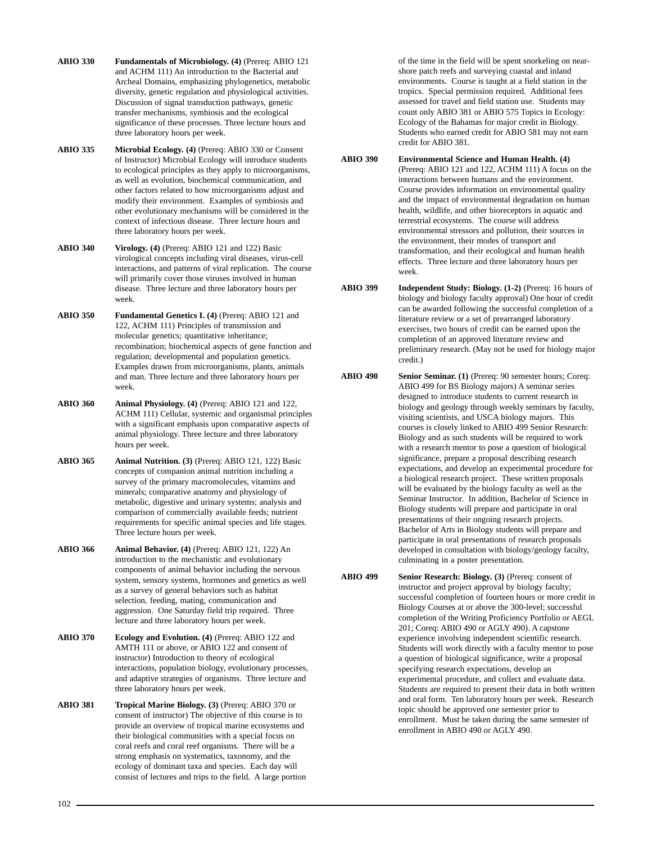- **ABIO 330 Fundamentals of Microbiology. (4)** (Prereq: ABIO 121 and ACHM 111) An introduction to the Bacterial and Archeal Domains, emphasizing phylogenetics, metabolic diversity, genetic regulation and physiological activities. Discussion of signal transduction pathways, genetic transfer mechanisms, symbiosis and the ecological significance of these processes. Three lecture hours and three laboratory hours per week.
- **ABIO 335 Microbial Ecology. (4)** (Prereq: ABIO 330 or Consent of Instructor) Microbial Ecology will introduce students to ecological principles as they apply to microorganisms, as well as evolution, biochemical communication, and other factors related to how microorganisms adjust and modify their environment. Examples of symbiosis and other evolutionary mechanisms will be considered in the context of infectious disease. Three lecture hours and three laboratory hours per week.
- **ABIO 340 Virology. (4)** (Prereq: ABIO 121 and 122) Basic virological concepts including viral diseases, virus-cell interactions, and patterns of viral replication. The course will primarily cover those viruses involved in human disease. Three lecture and three laboratory hours per week.
- **ABIO 350 Fundamental Genetics I. (4)** (Prereq: ABIO 121 and 122, ACHM 111) Principles of transmission and molecular genetics; quantitative inheritance; recombination; biochemical aspects of gene function and regulation; developmental and population genetics. Examples drawn from microorganisms, plants, animals and man. Three lecture and three laboratory hours per week.
- **ABIO 360 Animal Physiology. (4)** (Prereq: ABIO 121 and 122, ACHM 111) Cellular, systemic and organismal principles with a significant emphasis upon comparative aspects of animal physiology. Three lecture and three laboratory hours per week.
- **ABIO 365 Animal Nutrition. (3)** (Prereq: ABIO 121, 122) Basic concepts of companion animal nutrition including a survey of the primary macromolecules, vitamins and minerals; comparative anatomy and physiology of metabolic, digestive and urinary systems; analysis and comparison of commercially available feeds; nutrient requirements for specific animal species and life stages. Three lecture hours per week.
- **ABIO 366 Animal Behavior. (4)** (Prereq: ABIO 121, 122) An introduction to the mechanistic and evolutionary components of animal behavior including the nervous system, sensory systems, hormones and genetics as well as a survey of general behaviors such as habitat selection, feeding, mating, communication and aggression. One Saturday field trip required. Three lecture and three laboratory hours per week.
- **ABIO 370 Ecology and Evolution. (4)** (Prereq: ABIO 122 and AMTH 111 or above, or ABIO 122 and consent of instructor) Introduction to theory of ecological interactions, population biology, evolutionary processes, and adaptive strategies of organisms. Three lecture and three laboratory hours per week.
- **ABIO 381 Tropical Marine Biology. (3)** (Prereq: ABIO 370 or consent of instructor) The objective of this course is to provide an overview of tropical marine ecosystems and their biological communities with a special focus on coral reefs and coral reef organisms. There will be a strong emphasis on systematics, taxonomy, and the ecology of dominant taxa and species. Each day will consist of lectures and trips to the field. A large portion

of the time in the field will be spent snorkeling on nearshore patch reefs and surveying coastal and inland environments. Course is taught at a field station in the tropics. Special permission required. Additional fees assessed for travel and field station use. Students may count only ABIO 381 or ABIO 575 Topics in Ecology: Ecology of the Bahamas for major credit in Biology. Students who earned credit for ABIO 581 may not earn credit for ABIO 381.

- **ABIO 390 Environmental Science and Human Health. (4)** (Prereq: ABIO 121 and 122, ACHM 111) A focus on the interactions between humans and the environment. Course provides information on environmental quality and the impact of environmental degradation on human health, wildlife, and other bioreceptors in aquatic and terrestrial ecosystems. The course will address environmental stressors and pollution, their sources in the environment, their modes of transport and transformation, and their ecological and human health effects. Three lecture and three laboratory hours per week.
- **ABIO 399 Independent Study: Biology. (1-2)** (Prereq: 16 hours of biology and biology faculty approval) One hour of credit can be awarded following the successful completion of a literature review or a set of prearranged laboratory exercises, two hours of credit can be earned upon the completion of an approved literature review and preliminary research. (May not be used for biology major credit.)
- **ABIO 490 Senior Seminar. (1)** (Prereq: 90 semester hours; Coreq: ABIO 499 for BS Biology majors) A seminar series designed to introduce students to current research in biology and geology through weekly seminars by faculty, visiting scientists, and USCA biology majors. This courses is closely linked to ABIO 499 Senior Research: Biology and as such students will be required to work with a research mentor to pose a question of biological significance, prepare a proposal describing research expectations, and develop an experimental procedure for a biological research project. These written proposals will be evaluated by the biology faculty as well as the Seminar Instructor. In addition, Bachelor of Science in Biology students will prepare and participate in oral presentations of their ongoing research projects. Bachelor of Arts in Biology students will prepare and participate in oral presentations of research proposals developed in consultation with biology/geology faculty, culminating in a poster presentation.
- **ABIO 499 Senior Research: Biology. (3)** (Prereq: consent of instructor and project approval by biology faculty; successful completion of fourteen hours or more credit in Biology Courses at or above the 300-level; successful completion of the Writing Proficiency Portfolio or AEGL 201; Coreq: ABIO 490 or AGLY 490). A capstone experience involving independent scientific research. Students will work directly with a faculty mentor to pose a question of biological significance, write a proposal specifying research expectations, develop an experimental procedure, and collect and evaluate data. Students are required to present their data in both written and oral form. Ten laboratory hours per week. Research topic should be approved one semester prior to enrollment. Must be taken during the same semester of enrollment in ABIO 490 or AGLY 490.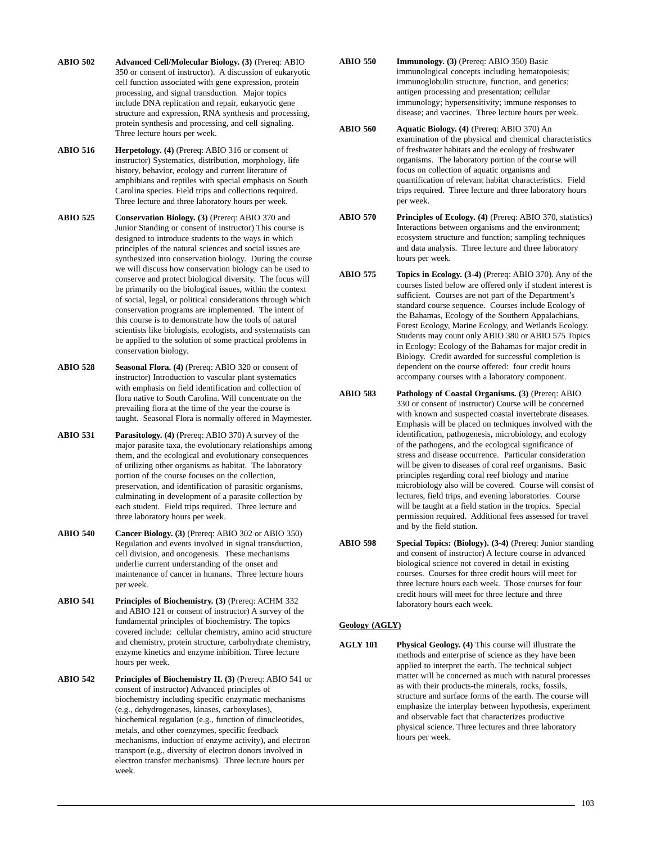- **ABIO 502 Advanced Cell/Molecular Biology. (3)** (Prereq: ABIO 350 or consent of instructor). A discussion of eukaryotic cell function associated with gene expression, protein processing, and signal transduction. Major topics include DNA replication and repair, eukaryotic gene structure and expression, RNA synthesis and processing, protein synthesis and processing, and cell signaling. Three lecture hours per week.
- **ABIO 516 Herpetology. (4)** (Prereq: ABIO 316 or consent of instructor) Systematics, distribution, morphology, life history, behavior, ecology and current literature of amphibians and reptiles with special emphasis on South Carolina species. Field trips and collections required. Three lecture and three laboratory hours per week.
- **ABIO 525 Conservation Biology. (3)** (Prereq: ABIO 370 and Junior Standing or consent of instructor) This course is designed to introduce students to the ways in which principles of the natural sciences and social issues are synthesized into conservation biology. During the course we will discuss how conservation biology can be used to conserve and protect biological diversity. The focus will be primarily on the biological issues, within the context of social, legal, or political considerations through which conservation programs are implemented. The intent of this course is to demonstrate how the tools of natural scientists like biologists, ecologists, and systematists can be applied to the solution of some practical problems in conservation biology.
- **ABIO 528 Seasonal Flora. (4)** (Prereq: ABIO 320 or consent of instructor) Introduction to vascular plant systematics with emphasis on field identification and collection of flora native to South Carolina. Will concentrate on the prevailing flora at the time of the year the course is taught. Seasonal Flora is normally offered in Maymester.
- **ABIO 531 Parasitology. (4)** (Prereq: ABIO 370) A survey of the major parasite taxa, the evolutionary relationships among them, and the ecological and evolutionary consequences of utilizing other organisms as habitat. The laboratory portion of the course focuses on the collection, preservation, and identification of parasitic organisms, culminating in development of a parasite collection by each student. Field trips required. Three lecture and three laboratory hours per week.
- **ABIO 540 Cancer Biology. (3)** (Prereq: ABIO 302 or ABIO 350) Regulation and events involved in signal transduction, cell division, and oncogenesis. These mechanisms underlie current understanding of the onset and maintenance of cancer in humans. Three lecture hours per week.
- **ABIO 541 Principles of Biochemistry. (3)** (Prereq: ACHM 332 and ABIO 121 or consent of instructor) A survey of the fundamental principles of biochemistry. The topics covered include: cellular chemistry, amino acid structure and chemistry, protein structure, carbohydrate chemistry, enzyme kinetics and enzyme inhibition. Three lecture hours per week.
- **ABIO 542** Principles of Biochemistry II. (3) (Prereq: ABIO 541 or consent of instructor) Advanced principles of biochemistry including specific enzymatic mechanisms (e.g., dehydrogenases, kinases, carboxylases), biochemical regulation (e.g., function of dinucleotides, metals, and other coenzymes, specific feedback mechanisms, induction of enzyme activity), and electron transport (e.g., diversity of electron donors involved in electron transfer mechanisms). Three lecture hours per week.
- **ABIO 550 Immunology. (3)** (Prereq: ABIO 350) Basic immunological concepts including hematopoiesis; immunoglobulin structure, function, and genetics; antigen processing and presentation; cellular immunology; hypersensitivity; immune responses to disease; and vaccines. Three lecture hours per week.
- **ABIO 560 Aquatic Biology. (4)** (Prereq: ABIO 370) An examination of the physical and chemical characteristics of freshwater habitats and the ecology of freshwater organisms. The laboratory portion of the course will focus on collection of aquatic organisms and quantification of relevant habitat characteristics. Field trips required. Three lecture and three laboratory hours per week.
- **ABIO 570 Principles of Ecology. (4)** (Prereq: ABIO 370, statistics) Interactions between organisms and the environment; ecosystem structure and function; sampling techniques and data analysis. Three lecture and three laboratory hours per week.
- **ABIO 575 Topics in Ecology. (3-4)** (Prereq: ABIO 370). Any of the courses listed below are offered only if student interest is sufficient. Courses are not part of the Department's standard course sequence. Courses include Ecology of the Bahamas, Ecology of the Southern Appalachians, Forest Ecology, Marine Ecology, and Wetlands Ecology. Students may count only ABIO 380 or ABIO 575 Topics in Ecology: Ecology of the Bahamas for major credit in Biology. Credit awarded for successful completion is dependent on the course offered: four credit hours accompany courses with a laboratory component.
- **ABIO 583 Pathology of Coastal Organisms. (3)** (Prereq: ABIO 330 or consent of instructor) Course will be concerned with known and suspected coastal invertebrate diseases. Emphasis will be placed on techniques involved with the identification, pathogenesis, microbiology, and ecology of the pathogens, and the ecological significance of stress and disease occurrence. Particular consideration will be given to diseases of coral reef organisms. Basic principles regarding coral reef biology and marine microbiology also will be covered. Course will consist of lectures, field trips, and evening laboratories. Course will be taught at a field station in the tropics. Special permission required. Additional fees assessed for travel and by the field station.
- **ABIO 598 Special Topics: (Biology). (3-4)** (Prereq: Junior standing and consent of instructor) A lecture course in advanced biological science not covered in detail in existing courses. Courses for three credit hours will meet for three lecture hours each week. Those courses for four credit hours will meet for three lecture and three laboratory hours each week.

## **Geology (AGLY)**

**AGLY 101 Physical Geology. (4)** This course will illustrate the methods and enterprise of science as they have been applied to interpret the earth. The technical subject matter will be concerned as much with natural processes as with their products-the minerals, rocks, fossils, structure and surface forms of the earth. The course will emphasize the interplay between hypothesis, experiment and observable fact that characterizes productive physical science. Three lectures and three laboratory hours per week.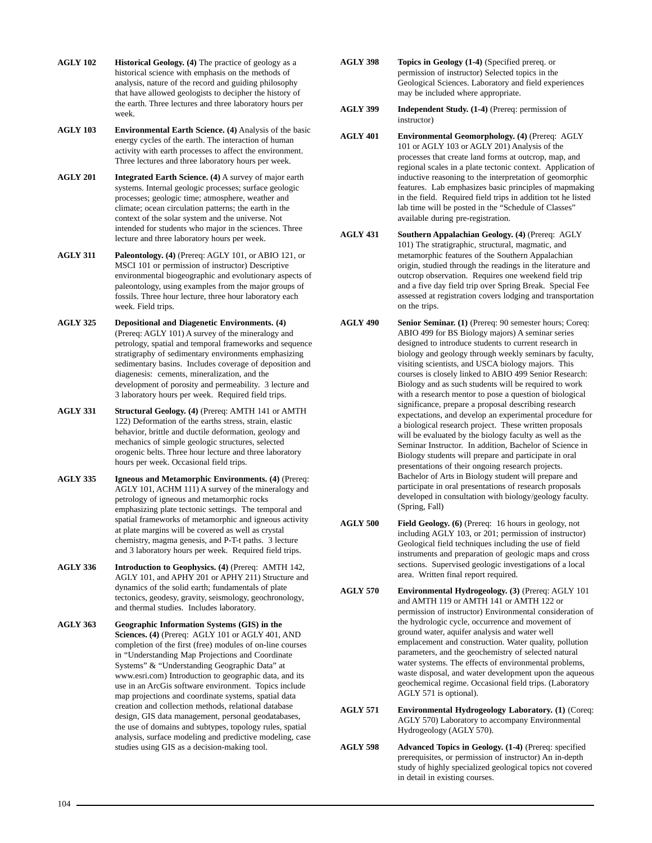- **AGLY 102 Historical Geology. (4)** The practice of geology as a historical science with emphasis on the methods of analysis, nature of the record and guiding philosophy that have allowed geologists to decipher the history of the earth. Three lectures and three laboratory hours per week.
- **AGLY 103 Environmental Earth Science. (4)** Analysis of the basic energy cycles of the earth. The interaction of human activity with earth processes to affect the environment. Three lectures and three laboratory hours per week.
- **AGLY 201 Integrated Earth Science. (4)** A survey of major earth systems. Internal geologic processes; surface geologic processes; geologic time; atmosphere, weather and climate; ocean circulation patterns; the earth in the context of the solar system and the universe. Not intended for students who major in the sciences. Three lecture and three laboratory hours per week.
- **AGLY 311 Paleontology. (4)** (Prereq: AGLY 101, or ABIO 121, or MSCI 101 or permission of instructor) Descriptive environmental biogeographic and evolutionary aspects of paleontology, using examples from the major groups of fossils. Three hour lecture, three hour laboratory each week. Field trips.
- **AGLY 325 Depositional and Diagenetic Environments. (4)** (Prereq: AGLY 101) A survey of the mineralogy and petrology, spatial and temporal frameworks and sequence stratigraphy of sedimentary environments emphasizing sedimentary basins. Includes coverage of deposition and diagenesis: cements, mineralization, and the development of porosity and permeability. 3 lecture and 3 laboratory hours per week. Required field trips.
- **AGLY 331 Structural Geology. (4)** (Prereq: AMTH 141 or AMTH 122) Deformation of the earths stress, strain, elastic behavior, brittle and ductile deformation, geology and mechanics of simple geologic structures, selected orogenic belts. Three hour lecture and three laboratory hours per week. Occasional field trips.
- **AGLY 335 Igneous and Metamorphic Environments. (4)** (Prereq: AGLY 101, ACHM 111) A survey of the mineralogy and petrology of igneous and metamorphic rocks emphasizing plate tectonic settings. The temporal and spatial frameworks of metamorphic and igneous activity at plate margins will be covered as well as crystal chemistry, magma genesis, and P-T-t paths. 3 lecture and 3 laboratory hours per week. Required field trips.
- **AGLY 336 Introduction to Geophysics. (4)** (Prereq: AMTH 142, AGLY 101, and APHY 201 or APHY 211) Structure and dynamics of the solid earth; fundamentals of plate tectonics, geodesy, gravity, seismology, geochronology, and thermal studies. Includes laboratory.
- **AGLY 363 Geographic Information Systems (GIS) in the Sciences. (4)** (Prereq: AGLY 101 or AGLY 401, AND completion of the first (free) modules of on-line courses in "Understanding Map Projections and Coordinate Systems" & "Understanding Geographic Data" at www.esri.com) Introduction to geographic data, and its use in an ArcGis software environment. Topics include map projections and coordinate systems, spatial data creation and collection methods, relational database design, GIS data management, personal geodatabases, the use of domains and subtypes, topology rules, spatial analysis, surface modeling and predictive modeling, case studies using GIS as a decision-making tool.
- **AGLY 398 Topics in Geology (1-4)** (Specified prereq. or permission of instructor) Selected topics in the Geological Sciences. Laboratory and field experiences may be included where appropriate.
- **AGLY 399 Independent Study. (1-4)** (Prereq: permission of instructor)
- **AGLY 401 Environmental Geomorphology. (4)** (Prereq: AGLY 101 or AGLY 103 or AGLY 201) Analysis of the processes that create land forms at outcrop, map, and regional scales in a plate tectonic context. Application of inductive reasoning to the interpretation of geomorphic features. Lab emphasizes basic principles of mapmaking in the field. Required field trips in addition tot he listed lab time will be posted in the "Schedule of Classes" available during pre-registration.
- **AGLY 431 Southern Appalachian Geology. (4)** (Prereq: AGLY 101) The stratigraphic, structural, magmatic, and metamorphic features of the Southern Appalachian origin, studied through the readings in the literature and outcrop observation. Requires one weekend field trip and a five day field trip over Spring Break. Special Fee assessed at registration covers lodging and transportation on the trips.
- **AGLY 490 Senior Seminar. (1)** (Prereq: 90 semester hours; Coreq: ABIO 499 for BS Biology majors) A seminar series designed to introduce students to current research in biology and geology through weekly seminars by faculty, visiting scientists, and USCA biology majors. This courses is closely linked to ABIO 499 Senior Research: Biology and as such students will be required to work with a research mentor to pose a question of biological significance, prepare a proposal describing research expectations, and develop an experimental procedure for a biological research project. These written proposals will be evaluated by the biology faculty as well as the Seminar Instructor. In addition, Bachelor of Science in Biology students will prepare and participate in oral presentations of their ongoing research projects. Bachelor of Arts in Biology student will prepare and participate in oral presentations of research proposals developed in consultation with biology/geology faculty. (Spring, Fall)
- **AGLY 500 Field Geology. (6)** (Prereq: 16 hours in geology, not including AGLY 103, or 201; permission of instructor) Geological field techniques including the use of field instruments and preparation of geologic maps and cross sections. Supervised geologic investigations of a local area. Written final report required.
- **AGLY 570 Environmental Hydrogeology. (3)** (Prereq: AGLY 101 and AMTH 119 or AMTH 141 or AMTH 122 or permission of instructor) Environmental consideration of the hydrologic cycle, occurrence and movement of ground water, aquifer analysis and water well emplacement and construction. Water quality, pollution parameters, and the geochemistry of selected natural water systems. The effects of environmental problems, waste disposal, and water development upon the aqueous geochemical regime. Occasional field trips. (Laboratory AGLY 571 is optional).
- **AGLY 571 Environmental Hydrogeology Laboratory. (1)** (Coreq: AGLY 570) Laboratory to accompany Environmental Hydrogeology (AGLY 570).
- **AGLY 598 Advanced Topics in Geology. (1-4)** (Prereq: specified prerequisites, or permission of instructor) An in-depth study of highly specialized geological topics not covered in detail in existing courses.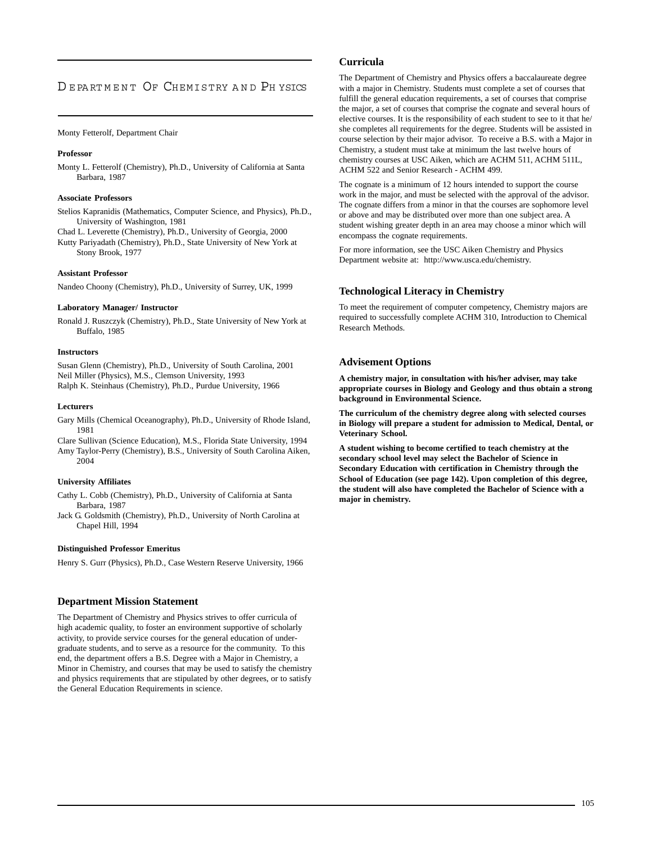## DEPARTMENT OF CHEMISTRY AND PHYSICS

## Monty Fetterolf, Department Chair

## **Professor**

Monty L. Fetterolf (Chemistry), Ph.D., University of California at Santa Barbara, 1987

## **Associate Professors**

Stelios Kapranidis (Mathematics, Computer Science, and Physics), Ph.D., University of Washington, 1981

Chad L. Leverette (Chemistry), Ph.D., University of Georgia, 2000

Kutty Pariyadath (Chemistry), Ph.D., State University of New York at Stony Brook, 1977

## **Assistant Professor**

Nandeo Choony (Chemistry), Ph.D., University of Surrey, UK, 1999

## **Laboratory Manager/ Instructor**

Ronald J. Ruszczyk (Chemistry), Ph.D., State University of New York at Buffalo, 1985

## **Instructors**

Susan Glenn (Chemistry), Ph.D., University of South Carolina, 2001 Neil Miller (Physics), M.S., Clemson University, 1993 Ralph K. Steinhaus (Chemistry), Ph.D., Purdue University, 1966

## **Lecturers**

Gary Mills (Chemical Oceanography), Ph.D., University of Rhode Island, 1981

Clare Sullivan (Science Education), M.S., Florida State University, 1994 Amy Taylor-Perry (Chemistry), B.S., University of South Carolina Aiken, 2004

## **University Affiliates**

Cathy L. Cobb (Chemistry), Ph.D., University of California at Santa Barbara, 1987

Jack G. Goldsmith (Chemistry), Ph.D., University of North Carolina at Chapel Hill, 1994

## **Distinguished Professor Emeritus**

Henry S. Gurr (Physics), Ph.D., Case Western Reserve University, 1966

## **Department Mission Statement**

The Department of Chemistry and Physics strives to offer curricula of high academic quality, to foster an environment supportive of scholarly activity, to provide service courses for the general education of undergraduate students, and to serve as a resource for the community. To this end, the department offers a B.S. Degree with a Major in Chemistry, a Minor in Chemistry, and courses that may be used to satisfy the chemistry and physics requirements that are stipulated by other degrees, or to satisfy the General Education Requirements in science.

## **Curricula**

The Department of Chemistry and Physics offers a baccalaureate degree with a major in Chemistry. Students must complete a set of courses that fulfill the general education requirements, a set of courses that comprise the major, a set of courses that comprise the cognate and several hours of elective courses. It is the responsibility of each student to see to it that he/ she completes all requirements for the degree. Students will be assisted in course selection by their major advisor. To receive a B.S. with a Major in Chemistry, a student must take at minimum the last twelve hours of chemistry courses at USC Aiken, which are ACHM 511, ACHM 511L, ACHM 522 and Senior Research - ACHM 499.

The cognate is a minimum of 12 hours intended to support the course work in the major, and must be selected with the approval of the advisor. The cognate differs from a minor in that the courses are sophomore level or above and may be distributed over more than one subject area. A student wishing greater depth in an area may choose a minor which will encompass the cognate requirements.

For more information, see the USC Aiken Chemistry and Physics Department website at: http://www.usca.edu/chemistry.

## **Technological Literacy in Chemistry**

To meet the requirement of computer competency, Chemistry majors are required to successfully complete ACHM 310, Introduction to Chemical Research Methods.

## **Advisement Options**

**A chemistry major, in consultation with his/her adviser, may take appropriate courses in Biology and Geology and thus obtain a strong background in Environmental Science.**

**The curriculum of the chemistry degree along with selected courses in Biology will prepare a student for admission to Medical, Dental, or Veterinary School.**

**A student wishing to become certified to teach chemistry at the secondary school level may select the Bachelor of Science in Secondary Education with certification in Chemistry through the School of Education (see page 142). Upon completion of this degree, the student will also have completed the Bachelor of Science with a major in chemistry.**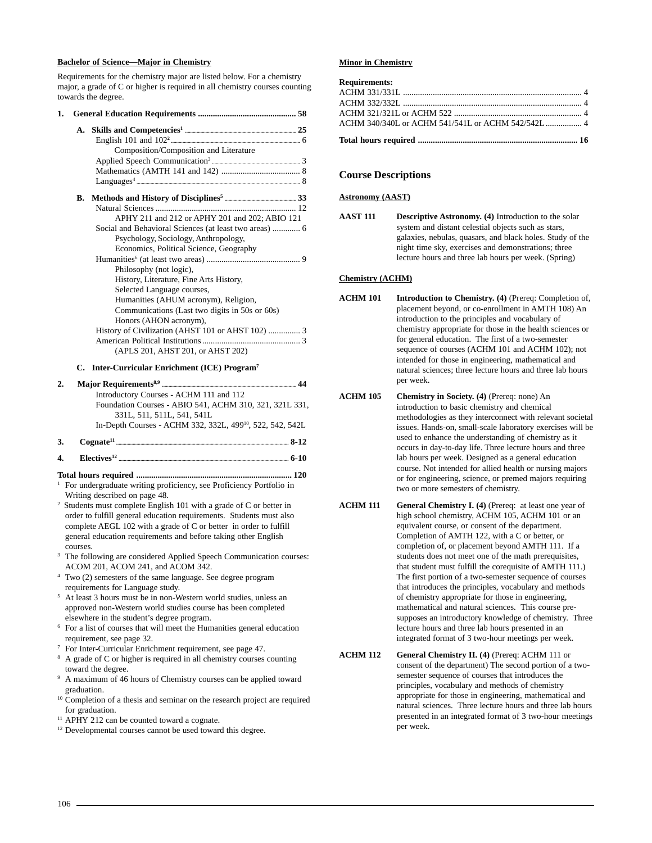## **Bachelor of Science—Major in Chemistry**

Requirements for the chemistry major are listed below. For a chemistry major, a grade of C or higher is required in all chemistry courses counting towards the degree.

| 1. |    |                                                        |
|----|----|--------------------------------------------------------|
|    | A. |                                                        |
|    |    |                                                        |
|    |    | Composition/Composition and Literature                 |
|    |    |                                                        |
|    |    |                                                        |
|    |    |                                                        |
|    |    |                                                        |
|    |    |                                                        |
|    |    | APHY 211 and 212 or APHY 201 and 202; ABIO 121         |
|    |    | Social and Behavioral Sciences (at least two areas)  6 |
|    |    | Psychology, Sociology, Anthropology,                   |
|    |    | Economics, Political Science, Geography                |
|    |    |                                                        |
|    |    | Philosophy (not logic),                                |
|    |    | History, Literature, Fine Arts History,                |
|    |    | Selected Language courses,                             |
|    |    | Humanities (AHUM acronym), Religion,                   |
|    |    | Communications (Last two digits in 50s or 60s)         |
|    |    | Honors (AHON acronym),                                 |
|    |    |                                                        |
|    |    |                                                        |
|    |    | (APLS 201, AHST 201, or AHST 202)                      |

## **C. Inter-Curricular Enrichment (ICE) Program7**

| 2. | 44                                                                    |
|----|-----------------------------------------------------------------------|
|    | Introductory Courses - ACHM 111 and 112                               |
|    | Foundation Courses - ABIO 541, ACHM 310, 321, 321L 331,               |
|    | 331L, 511, 511L, 541, 541L                                            |
|    | In-Depth Courses - ACHM 332, 332L, 499 <sup>10</sup> , 522, 542, 542L |
|    |                                                                       |

- **3. Cognate11 ....................................................................................................................................... 8-12**
- **4. Electives12 ..................................................................................................................................... 6-10**
- **Total hours required ......................................................................... 120** <sup>1</sup> For undergraduate writing proficiency, see Proficiency Portfolio in Writing described on page 48.
- 2 Students must complete English 101 with a grade of C or better in order to fulfill general education requirements. Students must also complete AEGL 102 with a grade of C or better in order to fulfill general education requirements and before taking other English courses.
- The following are considered Applied Speech Communication courses: ACOM 201, ACOM 241, and ACOM 342.
- Two (2) semesters of the same language. See degree program requirements for Language study.
- <sup>5</sup> At least 3 hours must be in non-Western world studies, unless an approved non-Western world studies course has been completed elsewhere in the student's degree program.
- <sup>6</sup> For a list of courses that will meet the Humanities general education requirement, see page 32.
- <sup>7</sup> For Inter-Curricular Enrichment requirement, see page 47.
- <sup>8</sup> A grade of C or higher is required in all chemistry courses counting toward the degree.
- <sup>9</sup> A maximum of 46 hours of Chemistry courses can be applied toward graduation.
- <sup>10</sup> Completion of a thesis and seminar on the research project are required for graduation.
- <sup>11</sup> APHY 212 can be counted toward a cognate.
- <sup>12</sup> Developmental courses cannot be used toward this degree.

#### **Minor in Chemistry**

| <b>Requirements:</b> |  |
|----------------------|--|
|                      |  |
|                      |  |
|                      |  |
|                      |  |
|                      |  |

## **Course Descriptions**

## **Astronomy (AAST)**

**AAST 111 Descriptive Astronomy. (4)** Introduction to the solar system and distant celestial objects such as stars, galaxies, nebulas, quasars, and black holes. Study of the night time sky, exercises and demonstrations; three lecture hours and three lab hours per week. (Spring)

## **Chemistry (ACHM)**

- **ACHM 101 Introduction to Chemistry. (4)** (Prereq: Completion of, placement beyond, or co-enrollment in AMTH 108) An introduction to the principles and vocabulary of chemistry appropriate for those in the health sciences or for general education. The first of a two-semester sequence of courses (ACHM 101 and ACHM 102); not intended for those in engineering, mathematical and natural sciences; three lecture hours and three lab hours per week.
- **ACHM 105 Chemistry in Society. (4)** (Prereq: none) An introduction to basic chemistry and chemical methodologies as they interconnect with relevant societal issues. Hands-on, small-scale laboratory exercises will be used to enhance the understanding of chemistry as it occurs in day-to-day life. Three lecture hours and three lab hours per week. Designed as a general education course. Not intended for allied health or nursing majors or for engineering, science, or premed majors requiring two or more semesters of chemistry.
- **ACHM 111 General Chemistry I. (4)** (Prereq: at least one year of high school chemistry, ACHM 105, ACHM 101 or an equivalent course, or consent of the department. Completion of AMTH 122, with a C or better, or completion of, or placement beyond AMTH 111. If a students does not meet one of the math prerequisites, that student must fulfill the corequisite of AMTH 111.) The first portion of a two-semester sequence of courses that introduces the principles, vocabulary and methods of chemistry appropriate for those in engineering, mathematical and natural sciences. This course presupposes an introductory knowledge of chemistry. Three lecture hours and three lab hours presented in an integrated format of 3 two-hour meetings per week.
- **ACHM 112 General Chemistry II. (4)** (Prereq: ACHM 111 or consent of the department) The second portion of a twosemester sequence of courses that introduces the principles, vocabulary and methods of chemistry appropriate for those in engineering, mathematical and natural sciences. Three lecture hours and three lab hours presented in an integrated format of 3 two-hour meetings per week.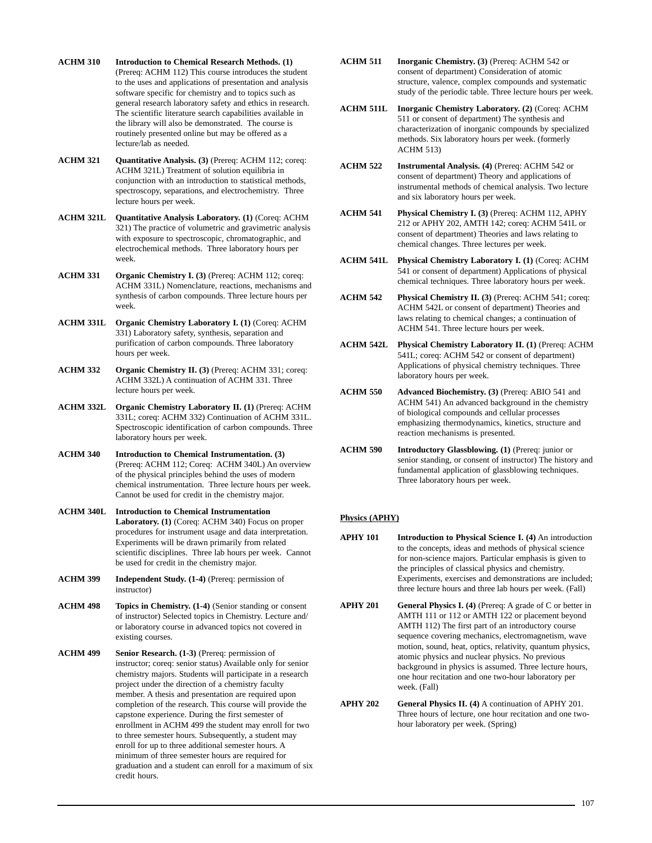- **ACHM 310 Introduction to Chemical Research Methods. (1)** (Prereq: ACHM 112) This course introduces the student to the uses and applications of presentation and analysis software specific for chemistry and to topics such as general research laboratory safety and ethics in research. The scientific literature search capabilities available in the library will also be demonstrated. The course is routinely presented online but may be offered as a lecture/lab as needed.
- **ACHM 321 Quantitative Analysis. (3)** (Prereq: ACHM 112; coreq: ACHM 321L) Treatment of solution equilibria in conjunction with an introduction to statistical methods, spectroscopy, separations, and electrochemistry. Three lecture hours per week.
- **ACHM 321L Quantitative Analysis Laboratory. (1)** (Coreq: ACHM 321) The practice of volumetric and gravimetric analysis with exposure to spectroscopic, chromatographic, and electrochemical methods. Three laboratory hours per week.
- **ACHM 331 Organic Chemistry I. (3)** (Prereq: ACHM 112; coreq: ACHM 331L) Nomenclature, reactions, mechanisms and synthesis of carbon compounds. Three lecture hours per week.
- **ACHM 331L Organic Chemistry Laboratory I. (1)** (Coreq: ACHM 331) Laboratory safety, synthesis, separation and purification of carbon compounds. Three laboratory hours per week.
- **ACHM 332 Organic Chemistry II. (3)** (Prereq: ACHM 331; coreq: ACHM 332L) A continuation of ACHM 331. Three lecture hours per week.
- **ACHM 332L Organic Chemistry Laboratory II. (1)** (Prereq: ACHM 331L; coreq: ACHM 332) Continuation of ACHM 331L. Spectroscopic identification of carbon compounds. Three laboratory hours per week.
- **ACHM 340 Introduction to Chemical Instrumentation. (3)** (Prereq: ACHM 112; Coreq: ACHM 340L) An overview of the physical principles behind the uses of modern chemical instrumentation. Three lecture hours per week. Cannot be used for credit in the chemistry major.
- **ACHM 340L Introduction to Chemical Instrumentation Laboratory. (1)** (Coreq: ACHM 340) Focus on proper procedures for instrument usage and data interpretation. Experiments will be drawn primarily from related scientific disciplines. Three lab hours per week. Cannot be used for credit in the chemistry major.
- **ACHM 399 Independent Study. (1-4)** (Prereq: permission of instructor)
- **ACHM 498 Topics in Chemistry. (1-4)** (Senior standing or consent of instructor) Selected topics in Chemistry. Lecture and/ or laboratory course in advanced topics not covered in existing courses.
- **ACHM 499 Senior Research. (1-3)** (Prereq: permission of instructor; coreq: senior status) Available only for senior chemistry majors. Students will participate in a research project under the direction of a chemistry faculty member. A thesis and presentation are required upon completion of the research. This course will provide the capstone experience. During the first semester of enrollment in ACHM 499 the student may enroll for two to three semester hours. Subsequently, a student may enroll for up to three additional semester hours. A minimum of three semester hours are required for graduation and a student can enroll for a maximum of six credit hours.
- **ACHM 511 Inorganic Chemistry. (3)** (Prereq: ACHM 542 or consent of department) Consideration of atomic structure, valence, complex compounds and systematic study of the periodic table. Three lecture hours per week.
- **ACHM 511L Inorganic Chemistry Laboratory. (2)** (Coreq: ACHM 511 or consent of department) The synthesis and characterization of inorganic compounds by specialized methods. Six laboratory hours per week. (formerly ACHM 513)
- **ACHM 522 Instrumental Analysis. (4)** (Prereq: ACHM 542 or consent of department) Theory and applications of instrumental methods of chemical analysis. Two lecture and six laboratory hours per week.
- **ACHM 541 Physical Chemistry I. (3)** (Prereq: ACHM 112, APHY 212 or APHY 202, AMTH 142; coreq: ACHM 541L or consent of department) Theories and laws relating to chemical changes. Three lectures per week.
- **ACHM 541L Physical Chemistry Laboratory I. (1)** (Coreq: ACHM 541 or consent of department) Applications of physical chemical techniques. Three laboratory hours per week.
- **ACHM 542 Physical Chemistry II. (3)** (Prereq: ACHM 541; coreq: ACHM 542L or consent of department) Theories and laws relating to chemical changes; a continuation of ACHM 541. Three lecture hours per week.
- **ACHM 542L Physical Chemistry Laboratory II. (1)** (Prereq: ACHM 541L; coreq: ACHM 542 or consent of department) Applications of physical chemistry techniques. Three laboratory hours per week.
- **ACHM 550** Advanced Biochemistry. (3) (Prereq: ABIO 541 and ACHM 541) An advanced background in the chemistry of biological compounds and cellular processes emphasizing thermodynamics, kinetics, structure and reaction mechanisms is presented.
- **ACHM 590 Introductory Glassblowing. (1)** (Prereq: junior or senior standing, or consent of instructor) The history and fundamental application of glassblowing techniques. Three laboratory hours per week.

## **Physics (APHY)**

- **APHY 101** Introduction to Physical Science I. (4) An introduction to the concepts, ideas and methods of physical science for non-science majors. Particular emphasis is given to the principles of classical physics and chemistry. Experiments, exercises and demonstrations are included; three lecture hours and three lab hours per week. (Fall)
- **APHY 201 General Physics I. (4)** (Prereq: A grade of C or better in AMTH 111 or 112 or AMTH 122 or placement beyond AMTH 112) The first part of an introductory course sequence covering mechanics, electromagnetism, wave motion, sound, heat, optics, relativity, quantum physics, atomic physics and nuclear physics. No previous background in physics is assumed. Three lecture hours, one hour recitation and one two-hour laboratory per week. (Fall)

**APHY 202 General Physics II. (4)** A continuation of APHY 201. Three hours of lecture, one hour recitation and one twohour laboratory per week. (Spring)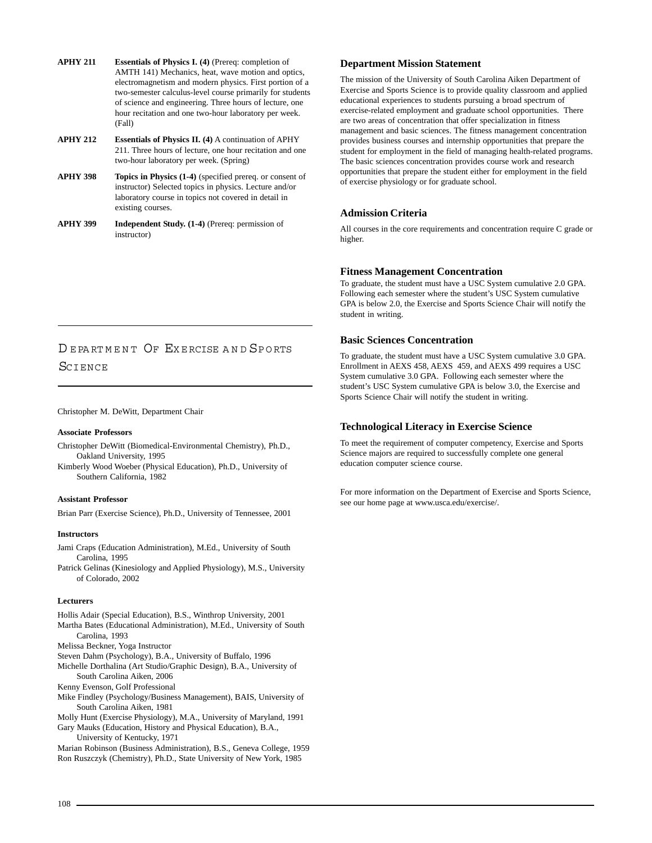- **APHY 211 Essentials of Physics I. (4)** (Prereq: completion of AMTH 141) Mechanics, heat, wave motion and optics, electromagnetism and modern physics. First portion of a two-semester calculus-level course primarily for students of science and engineering. Three hours of lecture, one hour recitation and one two-hour laboratory per week. (Fall)
- **APHY 212 Essentials of Physics II. (4)** A continuation of APHY 211. Three hours of lecture, one hour recitation and one two-hour laboratory per week. (Spring)
- **APHY 398 Topics in Physics (1-4)** (specified prereq. or consent of instructor) Selected topics in physics. Lecture and/or laboratory course in topics not covered in detail in existing courses.
- **APHY 399 Independent Study. (1-4)** (Prereq: permission of instructor)

## DEPARTMENT OF EXERCISE AND SPORTS **SCIENCE**

## Christopher M. DeWitt, Department Chair

## **Associate Professors**

- Christopher DeWitt (Biomedical-Environmental Chemistry), Ph.D., Oakland University, 1995
- Kimberly Wood Woeber (Physical Education), Ph.D., University of Southern California, 1982

## **Assistant Professor**

Brian Parr (Exercise Science), Ph.D., University of Tennessee, 2001

## **Instructors**

- Jami Craps (Education Administration), M.Ed., University of South Carolina, 1995
- Patrick Gelinas (Kinesiology and Applied Physiology), M.S., University of Colorado, 2002

## **Lecturers**

- Hollis Adair (Special Education), B.S., Winthrop University, 2001
- Martha Bates (Educational Administration), M.Ed., University of South Carolina, 1993
- Melissa Beckner, Yoga Instructor
- Steven Dahm (Psychology), B.A., University of Buffalo, 1996
- Michelle Dorthalina (Art Studio/Graphic Design), B.A., University of South Carolina Aiken, 2006
- Kenny Evenson, Golf Professional
- Mike Findley (Psychology/Business Management), BAIS, University of South Carolina Aiken, 1981
- Molly Hunt (Exercise Physiology), M.A., University of Maryland, 1991 Gary Mauks (Education, History and Physical Education), B.A.,
- University of Kentucky, 1971

Marian Robinson (Business Administration), B.S., Geneva College, 1959 Ron Ruszczyk (Chemistry), Ph.D., State University of New York, 1985

## **Department Mission Statement**

The mission of the University of South Carolina Aiken Department of Exercise and Sports Science is to provide quality classroom and applied educational experiences to students pursuing a broad spectrum of exercise-related employment and graduate school opportunities. There are two areas of concentration that offer specialization in fitness management and basic sciences. The fitness management concentration provides business courses and internship opportunities that prepare the student for employment in the field of managing health-related programs. The basic sciences concentration provides course work and research opportunities that prepare the student either for employment in the field of exercise physiology or for graduate school.

## **Admission Criteria**

All courses in the core requirements and concentration require C grade or higher.

## **Fitness Management Concentration**

To graduate, the student must have a USC System cumulative 2.0 GPA. Following each semester where the student's USC System cumulative GPA is below 2.0, the Exercise and Sports Science Chair will notify the student in writing.

## **Basic Sciences Concentration**

To graduate, the student must have a USC System cumulative 3.0 GPA. Enrollment in AEXS 458, AEXS 459, and AEXS 499 requires a USC System cumulative 3.0 GPA. Following each semester where the student's USC System cumulative GPA is below 3.0, the Exercise and Sports Science Chair will notify the student in writing.

## **Technological Literacy in Exercise Science**

To meet the requirement of computer competency, Exercise and Sports Science majors are required to successfully complete one general education computer science course.

For more information on the Department of Exercise and Sports Science, see our home page at www.usca.edu/exercise/.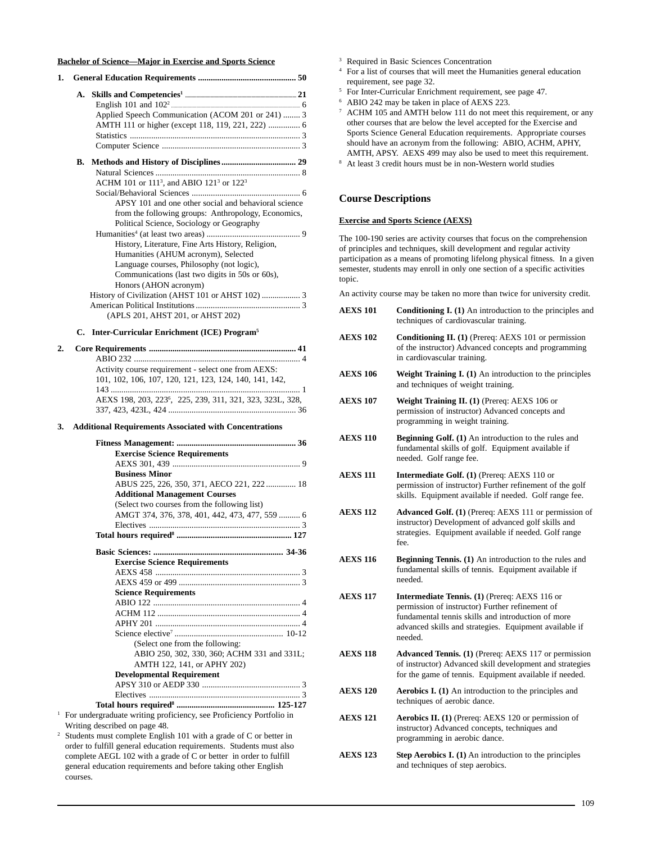### **Bachelor of Science—Major in Exercise and Sports Science**

| 1. |  |                                                                              |  |
|----|--|------------------------------------------------------------------------------|--|
|    |  |                                                                              |  |
|    |  |                                                                              |  |
|    |  | Applied Speech Communication (ACOM 201 or 241)  3                            |  |
|    |  |                                                                              |  |
|    |  |                                                                              |  |
|    |  |                                                                              |  |
|    |  |                                                                              |  |
|    |  |                                                                              |  |
|    |  | ACHM 101 or 111 <sup>3</sup> , and ABIO 121 <sup>3</sup> or 122 <sup>3</sup> |  |
|    |  |                                                                              |  |
|    |  | APSY 101 and one other social and behavioral science                         |  |
|    |  | from the following groups: Anthropology, Economics,                          |  |
|    |  | Political Science, Sociology or Geography                                    |  |
|    |  |                                                                              |  |
|    |  | History, Literature, Fine Arts History, Religion,                            |  |
|    |  | Humanities (AHUM acronym), Selected                                          |  |
|    |  | Language courses, Philosophy (not logic),                                    |  |
|    |  | Communications (last two digits in 50s or 60s),                              |  |
|    |  | Honors (AHON acronym)                                                        |  |
|    |  |                                                                              |  |
|    |  |                                                                              |  |
|    |  | (APLS 201, AHST 201, or AHST 202)                                            |  |
|    |  |                                                                              |  |

## **C. Inter-Curricular Enrichment (ICE) Program5**

| Activity course requirement - select one from AEXS:                   |
|-----------------------------------------------------------------------|
| 101, 102, 106, 107, 120, 121, 123, 124, 140, 141, 142,                |
|                                                                       |
| AEXS 198, 203, 223 <sup>6</sup> , 225, 239, 311, 321, 323, 323L, 328, |
|                                                                       |

## **3. Additional Requirements Associated with Concentrations**

| <b>Exercise Science Requirements</b>                                |
|---------------------------------------------------------------------|
|                                                                     |
| <b>Business Minor</b>                                               |
| ABUS 225, 226, 350, 371, AECO 221, 222 18                           |
| <b>Additional Management Courses</b>                                |
| (Select two courses from the following list)                        |
| AMGT 374, 376, 378, 401, 442, 473, 477, 559  6                      |
|                                                                     |
|                                                                     |
|                                                                     |
| <b>Exercise Science Requirements</b>                                |
|                                                                     |
|                                                                     |
| <b>Science Requirements</b>                                         |
|                                                                     |
|                                                                     |
|                                                                     |
|                                                                     |
| (Select one from the following:                                     |
| ABIO 250, 302, 330, 360; ACHM 331 and 331L;                         |
| AMTH 122, 141, or APHY 202)                                         |
| <b>Developmental Requirement</b>                                    |
|                                                                     |
|                                                                     |
|                                                                     |
| For undergraduate writing proficiency, see Proficiency Portfolio in |
| Writing described on page 48                                        |

<sup>2</sup> Students must complete English 101 with a grade of C or better in order to fulfill general education requirements. Students must also complete AEGL 102 with a grade of C or better in order to fulfill general education requirements and before taking other English courses.

Writing

- <sup>3</sup> Required in Basic Sciences Concentration
- <sup>4</sup> For a list of courses that will meet the Humanities general education requirement, see page 32.
- <sup>5</sup> For Inter-Curricular Enrichment requirement, see page 47.
- <sup>6</sup> ABIO 242 may be taken in place of AEXS 223.
- ACHM 105 and AMTH below 111 do not meet this requirement, or any other courses that are below the level accepted for the Exercise and Sports Science General Education requirements. Appropriate courses should have an acronym from the following: ABIO, ACHM, APHY, AMTH, APSY. AEXS 499 may also be used to meet this requirement.
- <sup>8</sup> At least 3 credit hours must be in non-Western world studies

## **Course Descriptions**

## **Exercise and Sports Science (AEXS)**

The 100-190 series are activity courses that focus on the comprehension of principles and techniques, skill development and regular activity participation as a means of promoting lifelong physical fitness. In a given semester, students may enroll in only one section of a specific activities topic.

An activity course may be taken no more than twice for university credit.

- **AEXS 101** Conditioning **I.** (1) An introduction to the principles and techniques of cardiovascular training. **AEXS 102 Conditioning II. (1)** (Prereq: AEXS 101 or permission of the instructor) Advanced concepts and programming in cardiovascular training. **AEXS 106 Weight Training I. (1)** An introduction to the principles and techniques of weight training. **AEXS 107** Weight Training II. (1) (Prereq: AEXS 106 or permission of instructor) Advanced concepts and programming in weight training. **AEXS 110** Beginning Golf. (1) An introduction to the rules and fundamental skills of golf. Equipment available if needed. Golf range fee. **AEXS 111** Intermediate Golf. (1) (Prereq: AEXS 110 or permission of instructor) Further refinement of the golf skills. Equipment available if needed. Golf range fee. **AEXS 112 Advanced Golf. (1)** (Prereq: AEXS 111 or permission of instructor) Development of advanced golf skills and strategies. Equipment available if needed. Golf range fee. **AEXS 116** Beginning Tennis. (1) An introduction to the rules and fundamental skills of tennis. Equipment available if needed. **AEXS 117 Intermediate Tennis. (1)** (Prereq: AEXS 116 or permission of instructor) Further refinement of fundamental tennis skills and introduction of more advanced skills and strategies. Equipment available if needed. **AEXS 118 Advanced Tennis. (1)** (Prereq: AEXS 117 or permission of instructor) Advanced skill development and strategies for the game of tennis. Equipment available if needed. **AEXS 120 Aerobics I. (1)** An introduction to the principles and techniques of aerobic dance. AEXS 121 Aerobics II. (1) (Prereq: AEXS 120 or permission of instructor) Advanced concepts, techniques and programming in aerobic dance.
	- **AEXS 123 Step Aerobics I. (1)** An introduction to the principles and techniques of step aerobics.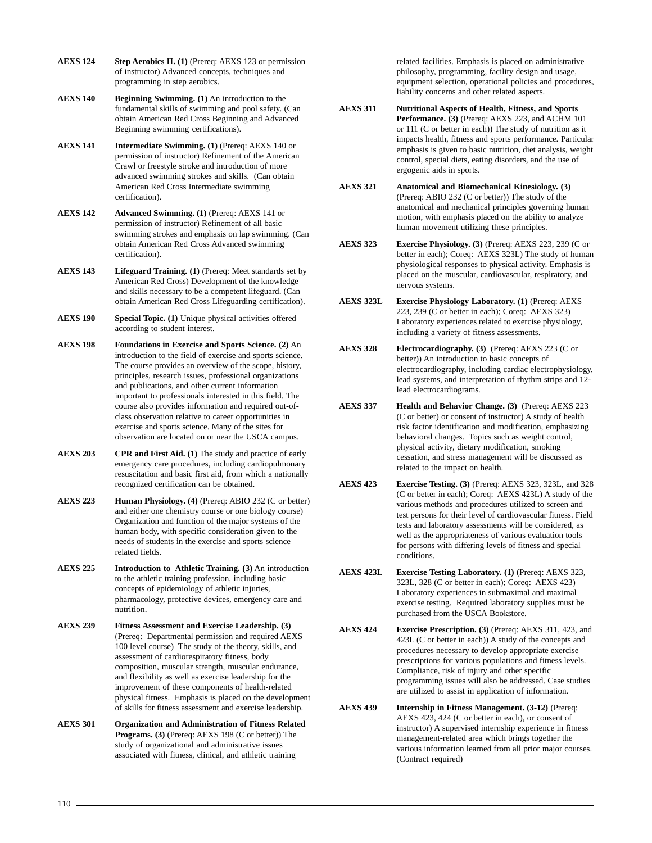- **AEXS 124 Step Aerobics II. (1)** (Prereq: AEXS 123 or permission of instructor) Advanced concepts, techniques and programming in step aerobics.
- **AEXS 140 Beginning Swimming. (1)** An introduction to the fundamental skills of swimming and pool safety. (Can obtain American Red Cross Beginning and Advanced Beginning swimming certifications).
- **AEXS 141 Intermediate Swimming. (1)** (Prereq: AEXS 140 or permission of instructor) Refinement of the American Crawl or freestyle stroke and introduction of more advanced swimming strokes and skills. (Can obtain American Red Cross Intermediate swimming certification).
- **AEXS 142 Advanced Swimming. (1)** (Prereq: AEXS 141 or permission of instructor) Refinement of all basic swimming strokes and emphasis on lap swimming. (Can obtain American Red Cross Advanced swimming certification).
- **AEXS 143 Lifeguard Training. (1)** (Prereq: Meet standards set by American Red Cross) Development of the knowledge and skills necessary to be a competent lifeguard. (Can obtain American Red Cross Lifeguarding certification).
- **AEXS 190 Special Topic. (1)** Unique physical activities offered according to student interest.
- **AEXS 198 Foundations in Exercise and Sports Science. (2)** An introduction to the field of exercise and sports science. The course provides an overview of the scope, history, principles, research issues, professional organizations and publications, and other current information important to professionals interested in this field. The course also provides information and required out-ofclass observation relative to career opportunities in exercise and sports science. Many of the sites for observation are located on or near the USCA campus.
- **AEXS 203 CPR and First Aid. (1)** The study and practice of early emergency care procedures, including cardiopulmonary resuscitation and basic first aid, from which a nationally recognized certification can be obtained.
- **AEXS 223 Human Physiology. (4)** (Prereq: ABIO 232 (C or better) and either one chemistry course or one biology course) Organization and function of the major systems of the human body, with specific consideration given to the needs of students in the exercise and sports science related fields.
- **AEXS 225 Introduction to Athletic Training. (3)** An introduction to the athletic training profession, including basic concepts of epidemiology of athletic injuries, pharmacology, protective devices, emergency care and nutrition.
- **AEXS 239 Fitness Assessment and Exercise Leadership. (3)** (Prereq: Departmental permission and required AEXS 100 level course) The study of the theory, skills, and assessment of cardiorespiratory fitness, body composition, muscular strength, muscular endurance, and flexibility as well as exercise leadership for the improvement of these components of health-related physical fitness. Emphasis is placed on the development of skills for fitness assessment and exercise leadership.
- **AEXS 301 Organization and Administration of Fitness Related Programs. (3)** (Prereq: AEXS 198 (C or better)) The study of organizational and administrative issues associated with fitness, clinical, and athletic training

related facilities. Emphasis is placed on administrative philosophy, programming, facility design and usage, equipment selection, operational policies and procedures, liability concerns and other related aspects.

- **AEXS 311 Nutritional Aspects of Health, Fitness, and Sports Performance. (3)** (Prereq: AEXS 223, and ACHM 101 or 111 (C or better in each)) The study of nutrition as it impacts health, fitness and sports performance. Particular emphasis is given to basic nutrition, diet analysis, weight control, special diets, eating disorders, and the use of ergogenic aids in sports.
- **AEXS 321 Anatomical and Biomechanical Kinesiology. (3)** (Prereq: ABIO 232 (C or better)) The study of the anatomical and mechanical principles governing human motion, with emphasis placed on the ability to analyze human movement utilizing these principles.
- **AEXS 323 Exercise Physiology. (3)** (Prereq: AEXS 223, 239 (C or better in each); Coreq: AEXS 323L) The study of human physiological responses to physical activity. Emphasis is placed on the muscular, cardiovascular, respiratory, and nervous systems.
- **AEXS 323L Exercise Physiology Laboratory. (1)** (Prereq: AEXS 223, 239 (C or better in each); Coreq: AEXS 323) Laboratory experiences related to exercise physiology, including a variety of fitness assessments.
- **AEXS 328 Electrocardiography. (3)** (Prereq: AEXS 223 (C or better)) An introduction to basic concepts of electrocardiography, including cardiac electrophysiology, lead systems, and interpretation of rhythm strips and 12 lead electrocardiograms.
- **AEXS 337 Health and Behavior Change. (3)** (Prereq: AEXS 223 (C or better) or consent of instructor) A study of health risk factor identification and modification, emphasizing behavioral changes. Topics such as weight control, physical activity, dietary modification, smoking cessation, and stress management will be discussed as related to the impact on health.
- **AEXS 423 Exercise Testing. (3)** (Prereq: AEXS 323, 323L, and 328 (C or better in each); Coreq: AEXS 423L) A study of the various methods and procedures utilized to screen and test persons for their level of cardiovascular fitness. Field tests and laboratory assessments will be considered, as well as the appropriateness of various evaluation tools for persons with differing levels of fitness and special conditions.
- **AEXS 423L Exercise Testing Laboratory. (1)** (Prereq: AEXS 323, 323L, 328 (C or better in each); Coreq: AEXS 423) Laboratory experiences in submaximal and maximal exercise testing. Required laboratory supplies must be purchased from the USCA Bookstore.
- **AEXS 424 Exercise Prescription. (3)** (Prereq: AEXS 311, 423, and 423L (C or better in each)) A study of the concepts and procedures necessary to develop appropriate exercise prescriptions for various populations and fitness levels. Compliance, risk of injury and other specific programming issues will also be addressed. Case studies are utilized to assist in application of information.
- **AEXS 439 Internship in Fitness Management. (3-12)** (Prereq: AEXS 423, 424 (C or better in each), or consent of instructor) A supervised internship experience in fitness management-related area which brings together the various information learned from all prior major courses. (Contract required)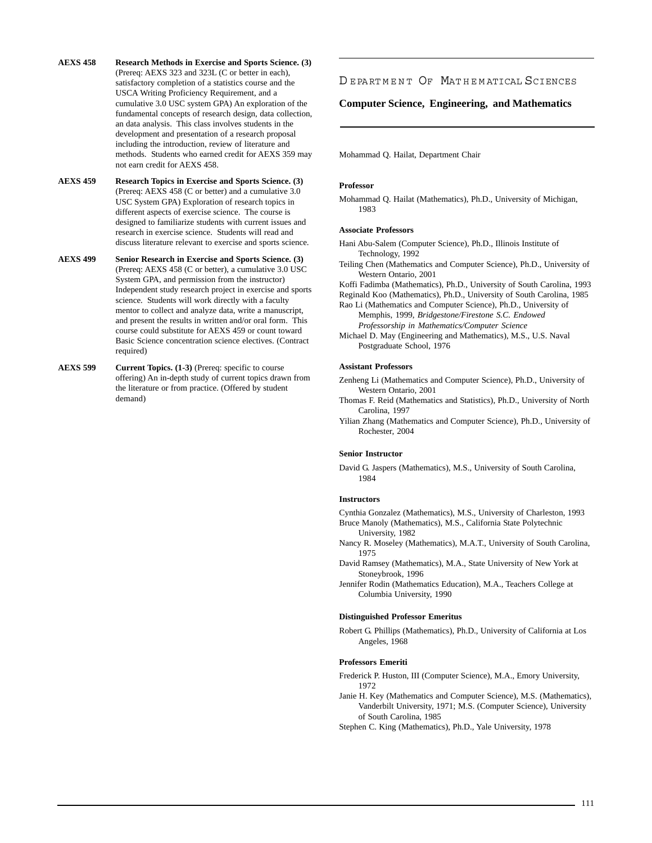- **AEXS 458 Research Methods in Exercise and Sports Science. (3)** (Prereq: AEXS 323 and 323L (C or better in each), satisfactory completion of a statistics course and the USCA Writing Proficiency Requirement, and a cumulative 3.0 USC system GPA) An exploration of the fundamental concepts of research design, data collection, an data analysis. This class involves students in the development and presentation of a research proposal including the introduction, review of literature and methods. Students who earned credit for AEXS 359 may not earn credit for AEXS 458.
- **AEXS 459 Research Topics in Exercise and Sports Science. (3)** (Prereq: AEXS 458 (C or better) and a cumulative 3.0 USC System GPA) Exploration of research topics in different aspects of exercise science. The course is designed to familiarize students with current issues and research in exercise science. Students will read and discuss literature relevant to exercise and sports science.
- **AEXS 499 Senior Research in Exercise and Sports Science. (3)** (Prereq: AEXS 458 (C or better), a cumulative 3.0 USC System GPA, and permission from the instructor) Independent study research project in exercise and sports science. Students will work directly with a faculty mentor to collect and analyze data, write a manuscript, and present the results in written and/or oral form. This course could substitute for AEXS 459 or count toward Basic Science concentration science electives. (Contract required)
- AEXS 599 Current Topics. (1-3) (Prereq: specific to course offering) An in-depth study of current topics drawn from the literature or from practice. (Offered by student demand)

## DEPARTMENT OF MATHEMATICAL SCIENCES

## **Computer Science, Engineering, and Mathematics**

Mohammad Q. Hailat, Department Chair

## **Professor**

Mohammad Q. Hailat (Mathematics), Ph.D., University of Michigan, 1983

## **Associate Professors**

- Hani Abu-Salem (Computer Science), Ph.D., Illinois Institute of Technology, 1992
- Teiling Chen (Mathematics and Computer Science), Ph.D., University of Western Ontario, 2001
- Koffi Fadimba (Mathematics), Ph.D., University of South Carolina, 1993
- Reginald Koo (Mathematics), Ph.D., University of South Carolina, 1985
- Rao Li (Mathematics and Computer Science), Ph.D., University of Memphis, 1999, *Bridgestone/Firestone S.C. Endowed Professorship in Mathematics/Computer Science*
- Michael D. May (Engineering and Mathematics), M.S., U.S. Naval Postgraduate School, 1976

## **Assistant Professors**

- Zenheng Li (Mathematics and Computer Science), Ph.D., University of Western Ontario, 2001
- Thomas F. Reid (Mathematics and Statistics), Ph.D., University of North Carolina, 1997
- Yilian Zhang (Mathematics and Computer Science), Ph.D., University of Rochester, 2004

## **Senior Instructor**

David G. Jaspers (Mathematics), M.S., University of South Carolina, 1984

## **Instructors**

- Cynthia Gonzalez (Mathematics), M.S., University of Charleston, 1993 Bruce Manoly (Mathematics), M.S., California State Polytechnic University, 1982
- Nancy R. Moseley (Mathematics), M.A.T., University of South Carolina, 1975
- David Ramsey (Mathematics), M.A., State University of New York at Stoneybrook, 1996
- Jennifer Rodin (Mathematics Education), M.A., Teachers College at Columbia University, 1990

#### **Distinguished Professor Emeritus**

Robert G. Phillips (Mathematics), Ph.D., University of California at Los Angeles, 1968

#### **Professors Emeriti**

- Frederick P. Huston, III (Computer Science), M.A., Emory University, 1972
- Janie H. Key (Mathematics and Computer Science), M.S. (Mathematics), Vanderbilt University, 1971; M.S. (Computer Science), University of South Carolina, 1985

Stephen C. King (Mathematics), Ph.D., Yale University, 1978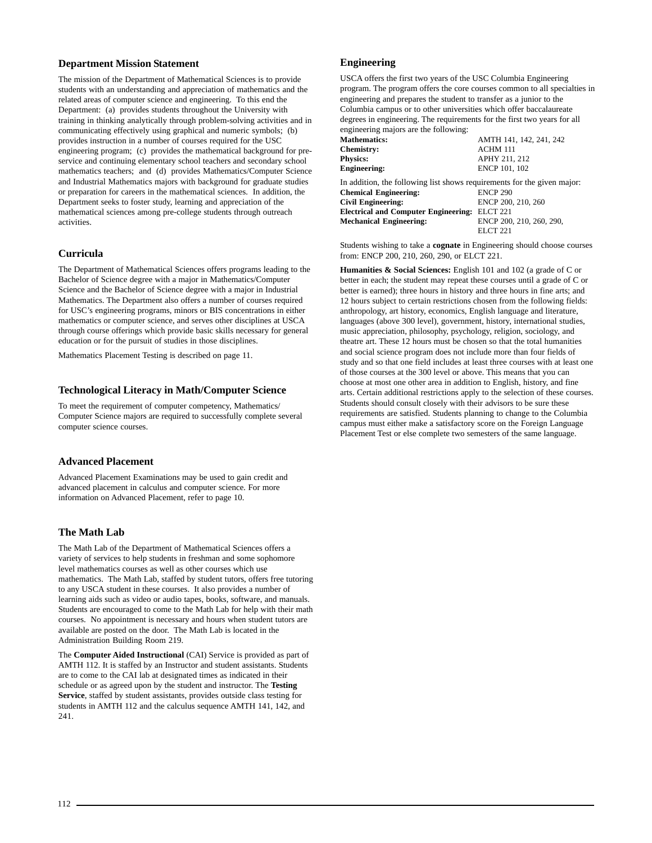## **Department Mission Statement**

The mission of the Department of Mathematical Sciences is to provide students with an understanding and appreciation of mathematics and the related areas of computer science and engineering. To this end the Department: (a) provides students throughout the University with training in thinking analytically through problem-solving activities and in communicating effectively using graphical and numeric symbols; (b) provides instruction in a number of courses required for the USC engineering program; (c) provides the mathematical background for preservice and continuing elementary school teachers and secondary school mathematics teachers; and (d) provides Mathematics/Computer Science and Industrial Mathematics majors with background for graduate studies or preparation for careers in the mathematical sciences. In addition, the Department seeks to foster study, learning and appreciation of the mathematical sciences among pre-college students through outreach activities.

## **Curricula**

The Department of Mathematical Sciences offers programs leading to the Bachelor of Science degree with a major in Mathematics/Computer Science and the Bachelor of Science degree with a major in Industrial Mathematics. The Department also offers a number of courses required for USC's engineering programs, minors or BIS concentrations in either mathematics or computer science, and serves other disciplines at USCA through course offerings which provide basic skills necessary for general education or for the pursuit of studies in those disciplines.

Mathematics Placement Testing is described on page 11.

## **Technological Literacy in Math/Computer Science**

To meet the requirement of computer competency, Mathematics/ Computer Science majors are required to successfully complete several computer science courses.

## **Advanced Placement**

Advanced Placement Examinations may be used to gain credit and advanced placement in calculus and computer science. For more information on Advanced Placement, refer to page 10.

## **The Math Lab**

The Math Lab of the Department of Mathematical Sciences offers a variety of services to help students in freshman and some sophomore level mathematics courses as well as other courses which use mathematics. The Math Lab, staffed by student tutors, offers free tutoring to any USCA student in these courses. It also provides a number of learning aids such as video or audio tapes, books, software, and manuals. Students are encouraged to come to the Math Lab for help with their math courses. No appointment is necessary and hours when student tutors are available are posted on the door. The Math Lab is located in the Administration Building Room 219.

The **Computer Aided Instructional** (CAI) Service is provided as part of AMTH 112. It is staffed by an Instructor and student assistants. Students are to come to the CAI lab at designated times as indicated in their schedule or as agreed upon by the student and instructor. The **Testing Service**, staffed by student assistants, provides outside class testing for students in AMTH 112 and the calculus sequence AMTH 141, 142, and 241.

## **Engineering**

USCA offers the first two years of the USC Columbia Engineering program. The program offers the core courses common to all specialties in engineering and prepares the student to transfer as a junior to the Columbia campus or to other universities which offer baccalaureate degrees in engineering. The requirements for the first two years for all engineering majors are the following:

| $\frac{1}{2}$                                                           |                          |
|-------------------------------------------------------------------------|--------------------------|
| <b>Mathematics:</b>                                                     | AMTH 141, 142, 241, 242  |
| Chemistry:                                                              | ACHM 111                 |
| <b>Physics:</b>                                                         | APHY 211, 212            |
| <b>Engineering:</b>                                                     | ENCP 101, 102            |
| In addition, the following list shows requirements for the given major: |                          |
| <b>Chemical Engineering:</b>                                            | <b>ENCP 290</b>          |
| <b>Civil Engineering:</b>                                               | ENCP 200, 210, 260       |
| <b>Electrical and Computer Engineering: ELCT 221</b>                    |                          |
| <b>Mechanical Engineering:</b>                                          | ENCP 200, 210, 260, 290, |
|                                                                         | ELCT 221                 |

Students wishing to take a **cognate** in Engineering should choose courses from: ENCP 200, 210, 260, 290, or ELCT 221.

**Humanities & Social Sciences:** English 101 and 102 (a grade of C or better in each; the student may repeat these courses until a grade of C or better is earned); three hours in history and three hours in fine arts; and 12 hours subject to certain restrictions chosen from the following fields: anthropology, art history, economics, English language and literature, languages (above 300 level), government, history, international studies, music appreciation, philosophy, psychology, religion, sociology, and theatre art. These 12 hours must be chosen so that the total humanities and social science program does not include more than four fields of study and so that one field includes at least three courses with at least one of those courses at the 300 level or above. This means that you can choose at most one other area in addition to English, history, and fine arts. Certain additional restrictions apply to the selection of these courses. Students should consult closely with their advisors to be sure these requirements are satisfied. Students planning to change to the Columbia campus must either make a satisfactory score on the Foreign Language Placement Test or else complete two semesters of the same language.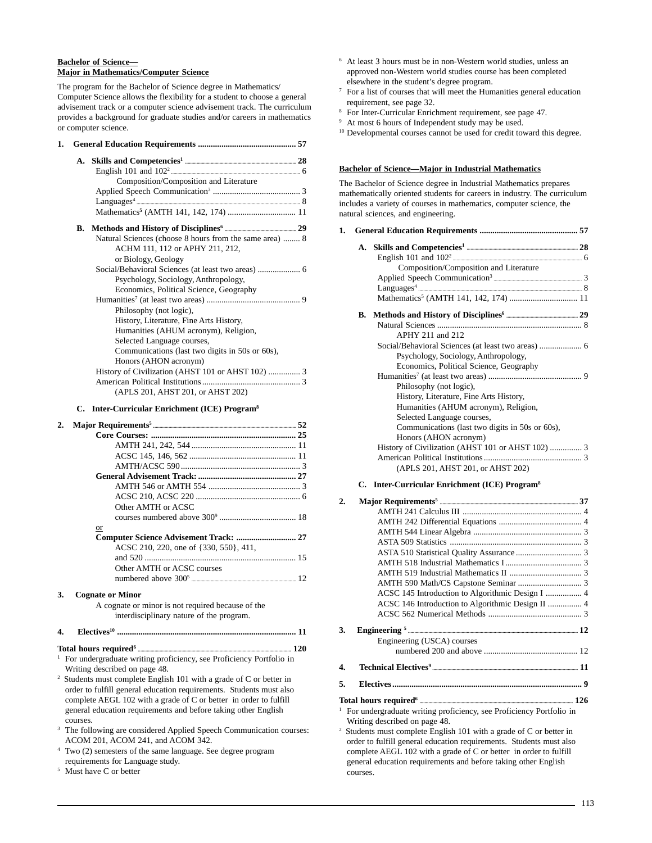## **Bachelor of Science— Major in Mathematics/Computer Science**

The program for the Bachelor of Science degree in Mathematics/ Computer Science allows the flexibility for a student to choose a general advisement track or a computer science advisement track. The curriculum provides a background for graduate studies and/or careers in mathematics or computer science.

| 1. |                                                         |
|----|---------------------------------------------------------|
|    |                                                         |
|    |                                                         |
|    | Composition/Composition and Literature                  |
|    |                                                         |
|    |                                                         |
|    |                                                         |
|    |                                                         |
|    | Natural Sciences (choose 8 hours from the same area)  8 |
|    | ACHM 111, 112 or APHY 211, 212,                         |
|    | or Biology, Geology                                     |
|    | Social/Behavioral Sciences (at least two areas)  6      |
|    | Psychology, Sociology, Anthropology,                    |
|    | Economics, Political Science, Geography                 |
|    |                                                         |
|    | Philosophy (not logic),                                 |
|    | History, Literature, Fine Arts History,                 |
|    | Humanities (AHUM acronym), Religion,                    |
|    | Selected Language courses,                              |
|    | Communications (last two digits in 50s or 60s),         |
|    | Honors (AHON acronym)                                   |
|    |                                                         |
|    |                                                         |
|    | (APLS 201, AHST 201, or AHST 202)                       |

## **C. Inter-Curricular Enrichment (ICE) Program8**

| 2. |                                                   |  |
|----|---------------------------------------------------|--|
|    |                                                   |  |
|    |                                                   |  |
|    |                                                   |  |
|    |                                                   |  |
|    |                                                   |  |
|    |                                                   |  |
|    |                                                   |  |
|    | Other AMTH or ACSC                                |  |
|    |                                                   |  |
|    | or                                                |  |
|    | Computer Science Advisement Track:  27            |  |
|    | ACSC 210, 220, one of {330, 550}, 411,            |  |
|    |                                                   |  |
|    | Other AMTH or ACSC courses                        |  |
|    |                                                   |  |
| 3. | <b>Cognate or Minor</b>                           |  |
|    | A cognate or minor is not required because of the |  |
|    | intendicatelingur noture of the nuconom           |  |

interdisciplinary nature of the program.

## **4. Electives10 .................................................................................... 11**

**Total hours required6 ........................................................................................................................ 120** <sup>1</sup> For undergraduate writing proficiency, see Proficiency Portfolio in Writing described on page 48.

- 2 Students must complete English 101 with a grade of C or better in order to fulfill general education requirements. Students must also complete AEGL 102 with a grade of C or better in order to fulfill general education requirements and before taking other English courses.
- The following are considered Applied Speech Communication courses: ACOM 201, ACOM 241, and ACOM 342.
- <sup>4</sup> Two (2) semesters of the same language. See degree program requirements for Language study.
- Must have C or better
- <sup>6</sup> At least 3 hours must be in non-Western world studies, unless an approved non-Western world studies course has been completed elsewhere in the student's degree program.
- <sup>7</sup> For a list of courses that will meet the Humanities general education requirement, see page 32.
- <sup>8</sup> For Inter-Curricular Enrichment requirement, see page 47.
- <sup>9</sup> At most 6 hours of Independent study may be used.
- <sup>10</sup> Developmental courses cannot be used for credit toward this degree.

## **Bachelor of Science—Major in Industrial Mathematics**

The Bachelor of Science degree in Industrial Mathematics prepares mathematically oriented students for careers in industry. The curriculum includes a variety of courses in mathematics, computer science, the natural sciences, and engineering.

| А. |                                                   |  |
|----|---------------------------------------------------|--|
|    |                                                   |  |
|    | Composition/Composition and Literature            |  |
|    |                                                   |  |
|    |                                                   |  |
|    |                                                   |  |
| В. |                                                   |  |
|    |                                                   |  |
|    | APHY 211 and 212                                  |  |
|    |                                                   |  |
|    | Psychology, Sociology, Anthropology,              |  |
|    | Economics, Political Science, Geography           |  |
|    |                                                   |  |
|    | Philosophy (not logic),                           |  |
|    | History, Literature, Fine Arts History,           |  |
|    | Humanities (AHUM acronym), Religion,              |  |
|    | Selected Language courses,                        |  |
|    | Communications (last two digits in 50s or 60s),   |  |
|    | Honors (AHON acronym)                             |  |
|    | History of Civilization (AHST 101 or AHST 102)  3 |  |
|    |                                                   |  |
|    | (APLS 201, AHST 201, or AHST 202)                 |  |
|    |                                                   |  |

## **C. Inter-Curricular Enrichment (ICE) Program8**

| $\overline{2}$ . |                                                                                |  |
|------------------|--------------------------------------------------------------------------------|--|
|                  |                                                                                |  |
|                  |                                                                                |  |
|                  |                                                                                |  |
|                  |                                                                                |  |
|                  |                                                                                |  |
|                  |                                                                                |  |
|                  |                                                                                |  |
|                  |                                                                                |  |
|                  | ACSC 145 Introduction to Algorithmic Design I  4                               |  |
|                  |                                                                                |  |
|                  |                                                                                |  |
| 3.               |                                                                                |  |
|                  | Engineering (USCA) courses                                                     |  |
|                  |                                                                                |  |
| 4.               |                                                                                |  |
| 5.               |                                                                                |  |
|                  |                                                                                |  |
|                  | For undergraduate writing proficiency, see Proficiency Portfolio in            |  |
|                  | Writing described on page 48.                                                  |  |
|                  | <sup>2</sup> Students must complete English 101 with a grade of C or better in |  |

order to fulfill general education requirements. Students must also complete AEGL 102 with a grade of C or better in order to fulfill general education requirements and before taking other English courses.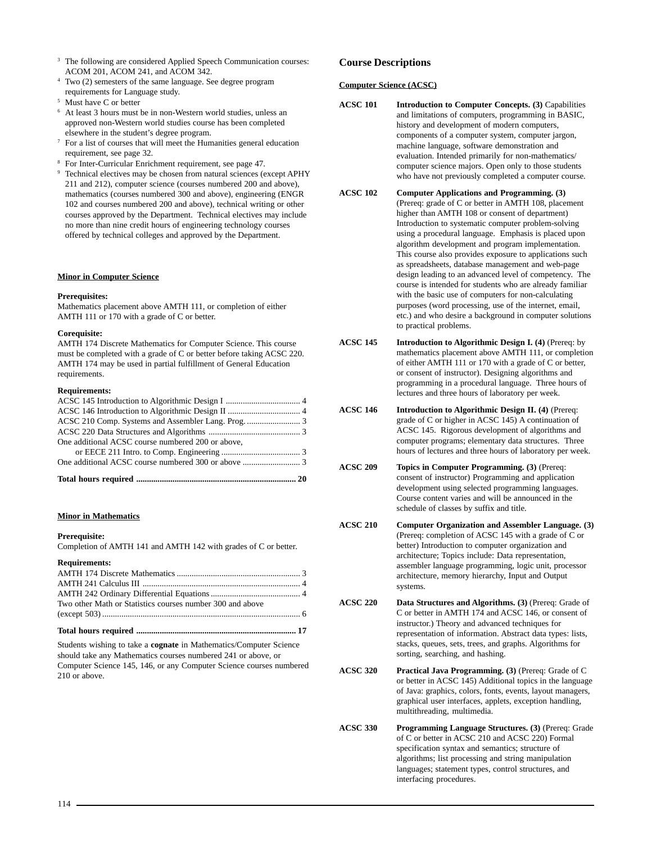- <sup>3</sup> The following are considered Applied Speech Communication courses: ACOM 201, ACOM 241, and ACOM 342.
- <sup>4</sup> Two (2) semesters of the same language. See degree program requirements for Language study.
- Must have C or better
- <sup>6</sup> At least 3 hours must be in non-Western world studies, unless an approved non-Western world studies course has been completed elsewhere in the student's degree program.
- <sup>7</sup> For a list of courses that will meet the Humanities general education requirement, see page 32.
- <sup>8</sup> For Inter-Curricular Enrichment requirement, see page 47.
- <sup>9</sup> Technical electives may be chosen from natural sciences (except APHY 211 and 212), computer science (courses numbered 200 and above), mathematics (courses numbered 300 and above), engineering (ENGR 102 and courses numbered 200 and above), technical writing or other courses approved by the Department. Technical electives may include no more than nine credit hours of engineering technology courses offered by technical colleges and approved by the Department.

## **Minor in Computer Science**

## **Prerequisites:**

Mathematics placement above AMTH 111, or completion of either AMTH 111 or 170 with a grade of C or better.

## **Corequisite:**

AMTH 174 Discrete Mathematics for Computer Science. This course must be completed with a grade of C or better before taking ACSC 220. AMTH 174 may be used in partial fulfillment of General Education requirements.

## **Requirements:**

| One additional ACSC course numbered 200 or above, |  |
|---------------------------------------------------|--|
|                                                   |  |
|                                                   |  |
|                                                   |  |

## **Minor in Mathematics**

## **Prerequisite:**

Completion of AMTH 141 and AMTH 142 with grades of C or better.

## **Requirements:**

| Two other Math or Statistics courses number 300 and above |  |
|-----------------------------------------------------------|--|
|                                                           |  |
|                                                           |  |

**Total hours required ........................................................................... 17**

Students wishing to take a **cognate** in Mathematics/Computer Science should take any Mathematics courses numbered 241 or above, or Computer Science 145, 146, or any Computer Science courses numbered 210 or above.

## **Course Descriptions**

## **Computer Science (ACSC)**

- **ACSC 101 Introduction to Computer Concepts. (3)** Capabilities and limitations of computers, programming in BASIC, history and development of modern computers, components of a computer system, computer jargon, machine language, software demonstration and evaluation. Intended primarily for non-mathematics/ computer science majors. Open only to those students who have not previously completed a computer course.
- **ACSC 102 Computer Applications and Programming. (3)** (Prereq: grade of C or better in AMTH 108, placement higher than AMTH 108 or consent of department) Introduction to systematic computer problem-solving using a procedural language. Emphasis is placed upon algorithm development and program implementation. This course also provides exposure to applications such as spreadsheets, database management and web-page design leading to an advanced level of competency. The course is intended for students who are already familiar with the basic use of computers for non-calculating purposes (word processing, use of the internet, email, etc.) and who desire a background in computer solutions to practical problems.
- **ACSC 145 Introduction to Algorithmic Design I. (4)** (Prereq: by mathematics placement above AMTH 111, or completion of either AMTH 111 or 170 with a grade of C or better, or consent of instructor). Designing algorithms and programming in a procedural language. Three hours of lectures and three hours of laboratory per week.
- **ACSC 146 Introduction to Algorithmic Design II. (4)** (Prereq: grade of C or higher in ACSC 145) A continuation of ACSC 145. Rigorous development of algorithms and computer programs; elementary data structures. Three hours of lectures and three hours of laboratory per week.
- **ACSC 209 Topics in Computer Programming. (3)** (Prereq: consent of instructor) Programming and application development using selected programming languages. Course content varies and will be announced in the schedule of classes by suffix and title.
- **ACSC 210 Computer Organization and Assembler Language. (3)** (Prereq: completion of ACSC 145 with a grade of C or better) Introduction to computer organization and architecture; Topics include: Data representation, assembler language programming, logic unit, processor architecture, memory hierarchy, Input and Output systems.
- **ACSC 220 Data Structures and Algorithms. (3)** (Prereq: Grade of C or better in AMTH 174 and ACSC 146, or consent of instructor.) Theory and advanced techniques for representation of information. Abstract data types: lists, stacks, queues, sets, trees, and graphs. Algorithms for sorting, searching, and hashing.
- **ACSC 320 Practical Java Programming. (3)** (Prereq: Grade of C or better in ACSC 145) Additional topics in the language of Java: graphics, colors, fonts, events, layout managers, graphical user interfaces, applets, exception handling, multithreading, multimedia.
- **ACSC 330 Programming Language Structures. (3)** (Prereq: Grade of C or better in ACSC 210 and ACSC 220) Formal specification syntax and semantics; structure of algorithms; list processing and string manipulation languages; statement types, control structures, and interfacing procedures.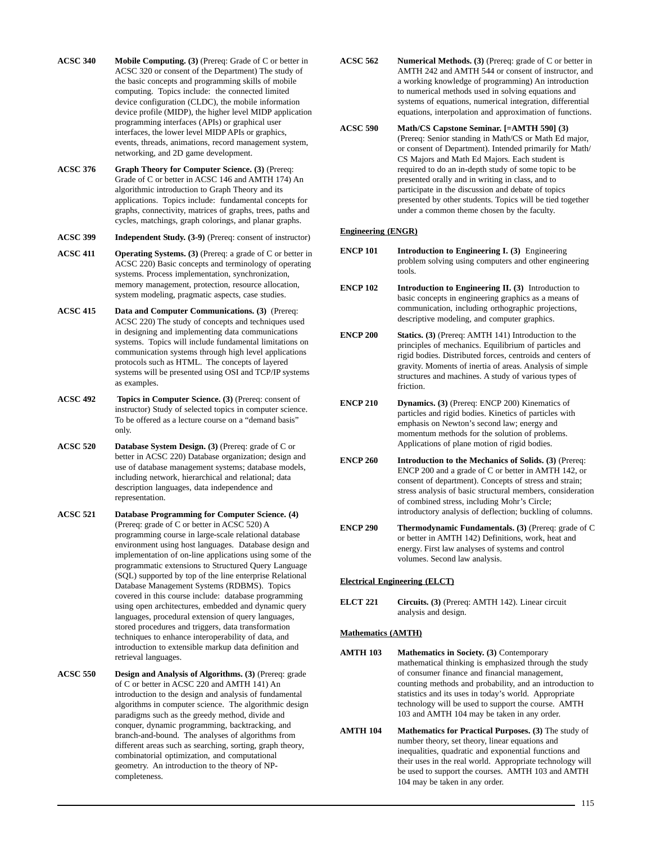- **ACSC 340 Mobile Computing. (3)** (Prereq: Grade of C or better in ACSC 320 or consent of the Department) The study of the basic concepts and programming skills of mobile computing. Topics include: the connected limited device configuration (CLDC), the mobile information device profile (MIDP), the higher level MIDP application programming interfaces (APIs) or graphical user interfaces, the lower level MIDP APIs or graphics, events, threads, animations, record management system, networking, and 2D game development.
- **ACSC 376 Graph Theory for Computer Science. (3)** (Prereq: Grade of C or better in ACSC 146 and AMTH 174) An algorithmic introduction to Graph Theory and its applications. Topics include: fundamental concepts for graphs, connectivity, matrices of graphs, trees, paths and cycles, matchings, graph colorings, and planar graphs.

**ACSC 399 Independent Study. (3-9)** (Prereq: consent of instructor)

- **ACSC 411 Operating Systems. (3)** (Prereq: a grade of C or better in ACSC 220) Basic concepts and terminology of operating systems. Process implementation, synchronization, memory management, protection, resource allocation, system modeling, pragmatic aspects, case studies.
- **ACSC 415 Data and Computer Communications. (3)** (Prereq: ACSC 220) The study of concepts and techniques used in designing and implementing data communications systems. Topics will include fundamental limitations on communication systems through high level applications protocols such as HTML. The concepts of layered systems will be presented using OSI and TCP/IP systems as examples.
- **ACSC 492 Topics in Computer Science. (3)** (Prereq: consent of instructor) Study of selected topics in computer science. To be offered as a lecture course on a "demand basis" only.
- **ACSC 520 Database System Design. (3)** (Prereq: grade of C or better in ACSC 220) Database organization; design and use of database management systems; database models, including network, hierarchical and relational; data description languages, data independence and representation.
- **ACSC 521 Database Programming for Computer Science. (4)** (Prereq: grade of C or better in ACSC 520) A programming course in large-scale relational database environment using host languages. Database design and implementation of on-line applications using some of the programmatic extensions to Structured Query Language (SQL) supported by top of the line enterprise Relational Database Management Systems (RDBMS). Topics covered in this course include: database programming using open architectures, embedded and dynamic query languages, procedural extension of query languages, stored procedures and triggers, data transformation techniques to enhance interoperability of data, and introduction to extensible markup data definition and retrieval languages.
- **ACSC 550 Design and Analysis of Algorithms. (3)** (Prereq: grade of C or better in ACSC 220 and AMTH 141) An introduction to the design and analysis of fundamental algorithms in computer science. The algorithmic design paradigms such as the greedy method, divide and conquer, dynamic programming, backtracking, and branch-and-bound. The analyses of algorithms from different areas such as searching, sorting, graph theory, combinatorial optimization, and computational geometry. An introduction to the theory of NPcompleteness.
- **ACSC 562 Numerical Methods. (3)** (Prereq: grade of C or better in AMTH 242 and AMTH 544 or consent of instructor, and a working knowledge of programming) An introduction to numerical methods used in solving equations and systems of equations, numerical integration, differential equations, interpolation and approximation of functions.
- **ACSC 590 Math/CS Capstone Seminar. [=AMTH 590] (3)** (Prereq: Senior standing in Math/CS or Math Ed major, or consent of Department). Intended primarily for Math/ CS Majors and Math Ed Majors. Each student is required to do an in-depth study of some topic to be presented orally and in writing in class, and to participate in the discussion and debate of topics presented by other students. Topics will be tied together under a common theme chosen by the faculty.

## **Engineering (ENGR)**

- **ENCP 101** Introduction to Engineering I. (3) Engineering problem solving using computers and other engineering tools.
- **ENCP 102** Introduction to Engineering II. (3) Introduction to basic concepts in engineering graphics as a means of communication, including orthographic projections, descriptive modeling, and computer graphics.
- **ENCP 200 Statics. (3)** (Prereq: AMTH 141) Introduction to the principles of mechanics. Equilibrium of particles and rigid bodies. Distributed forces, centroids and centers of gravity. Moments of inertia of areas. Analysis of simple structures and machines. A study of various types of friction.
- **ENCP 210** Dynamics. (3) (Prereq: ENCP 200) Kinematics of particles and rigid bodies. Kinetics of particles with emphasis on Newton's second law; energy and momentum methods for the solution of problems. Applications of plane motion of rigid bodies.
- **ENCP 260** Introduction to the Mechanics of Solids. (3) (Prereq: ENCP 200 and a grade of C or better in AMTH 142, or consent of department). Concepts of stress and strain; stress analysis of basic structural members, consideration of combined stress, including Mohr's Circle; introductory analysis of deflection; buckling of columns.
- **ENCP 290 Thermodynamic Fundamentals. (3)** (Prereq: grade of C or better in AMTH 142) Definitions, work, heat and energy. First law analyses of systems and control volumes. Second law analysis.

## **Electrical Engineering (ELCT)**

**ELCT 221 Circuits. (3)** (Prereq: AMTH 142). Linear circuit analysis and design.

## **Mathematics (AMTH)**

- **AMTH 103 Mathematics in Society. (3)** Contemporary mathematical thinking is emphasized through the study of consumer finance and financial management, counting methods and probability, and an introduction to statistics and its uses in today's world. Appropriate technology will be used to support the course. AMTH 103 and AMTH 104 may be taken in any order.
- **AMTH 104 Mathematics for Practical Purposes. (3)** The study of number theory, set theory, linear equations and inequalities, quadratic and exponential functions and their uses in the real world. Appropriate technology will be used to support the courses. AMTH 103 and AMTH 104 may be taken in any order.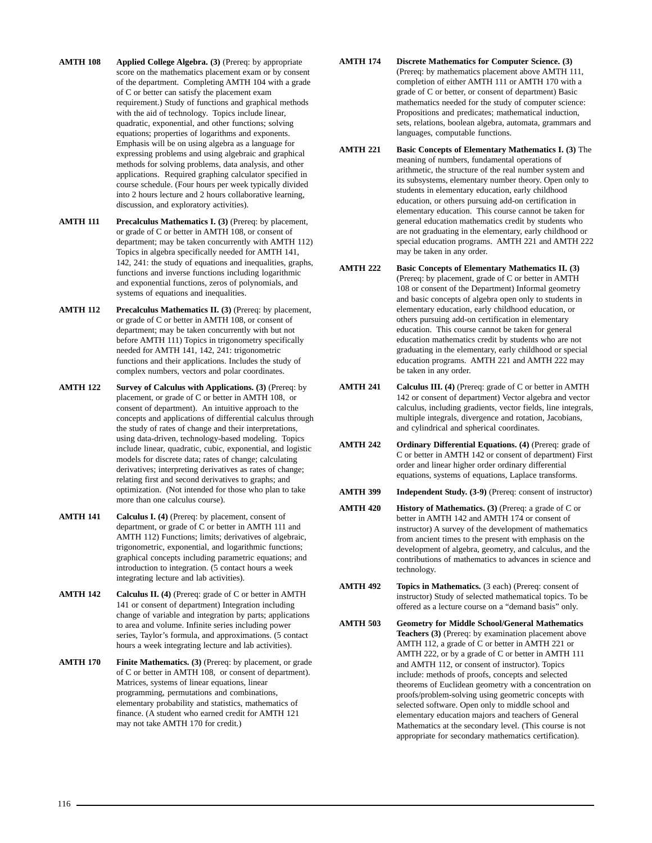- **AMTH 108** Applied College Algebra. (3) (Prereq: by appropriate score on the mathematics placement exam or by consent of the department. Completing AMTH 104 with a grade of C or better can satisfy the placement exam requirement.) Study of functions and graphical methods with the aid of technology. Topics include linear, quadratic, exponential, and other functions; solving equations; properties of logarithms and exponents. Emphasis will be on using algebra as a language for expressing problems and using algebraic and graphical methods for solving problems, data analysis, and other applications. Required graphing calculator specified in course schedule. (Four hours per week typically divided into 2 hours lecture and 2 hours collaborative learning, discussion, and exploratory activities).
- **AMTH 111 Precalculus Mathematics I. (3)** (Prereq: by placement, or grade of C or better in AMTH 108, or consent of department; may be taken concurrently with AMTH 112) Topics in algebra specifically needed for AMTH 141, 142, 241: the study of equations and inequalities, graphs, functions and inverse functions including logarithmic and exponential functions, zeros of polynomials, and systems of equations and inequalities.
- **AMTH 112 Precalculus Mathematics II. (3)** (Prereq: by placement, or grade of C or better in AMTH 108, or consent of department; may be taken concurrently with but not before AMTH 111) Topics in trigonometry specifically needed for AMTH 141, 142, 241: trigonometric functions and their applications. Includes the study of complex numbers, vectors and polar coordinates.
- **AMTH 122 Survey of Calculus with Applications. (3)** (Prereq: by placement, or grade of C or better in AMTH 108, or consent of department). An intuitive approach to the concepts and applications of differential calculus through the study of rates of change and their interpretations, using data-driven, technology-based modeling. Topics include linear, quadratic, cubic, exponential, and logistic models for discrete data; rates of change; calculating derivatives; interpreting derivatives as rates of change; relating first and second derivatives to graphs; and optimization. (Not intended for those who plan to take more than one calculus course).
- **AMTH 141 Calculus I. (4)** (Prereq: by placement, consent of department, or grade of C or better in AMTH 111 and AMTH 112) Functions; limits; derivatives of algebraic, trigonometric, exponential, and logarithmic functions; graphical concepts including parametric equations; and introduction to integration. (5 contact hours a week integrating lecture and lab activities).
- **AMTH 142 Calculus II. (4)** (Prereq: grade of C or better in AMTH 141 or consent of department) Integration including change of variable and integration by parts; applications to area and volume. Infinite series including power series, Taylor's formula, and approximations. (5 contact hours a week integrating lecture and lab activities).
- **AMTH 170 Finite Mathematics. (3)** (Prereq: by placement, or grade of C or better in AMTH 108, or consent of department). Matrices, systems of linear equations, linear programming, permutations and combinations, elementary probability and statistics, mathematics of finance. (A student who earned credit for AMTH 121 may not take AMTH 170 for credit.)
- **AMTH 174 Discrete Mathematics for Computer Science. (3)** (Prereq: by mathematics placement above AMTH 111, completion of either AMTH 111 or AMTH 170 with a grade of C or better, or consent of department) Basic mathematics needed for the study of computer science: Propositions and predicates; mathematical induction, sets, relations, boolean algebra, automata, grammars and languages, computable functions.
- **AMTH 221** Basic Concepts of Elementary Mathematics I. (3) The meaning of numbers, fundamental operations of arithmetic, the structure of the real number system and its subsystems, elementary number theory. Open only to students in elementary education, early childhood education, or others pursuing add-on certification in elementary education. This course cannot be taken for general education mathematics credit by students who are not graduating in the elementary, early childhood or special education programs. AMTH 221 and AMTH 222 may be taken in any order.
- **AMTH 222 Basic Concepts of Elementary Mathematics II. (3)** (Prereq: by placement, grade of C or better in AMTH 108 or consent of the Department) Informal geometry and basic concepts of algebra open only to students in elementary education, early childhood education, or others pursuing add-on certification in elementary education. This course cannot be taken for general education mathematics credit by students who are not graduating in the elementary, early childhood or special education programs. AMTH 221 and AMTH 222 may be taken in any order.
- **AMTH 241 Calculus III. (4)** (Prereq: grade of C or better in AMTH 142 or consent of department) Vector algebra and vector calculus, including gradients, vector fields, line integrals, multiple integrals, divergence and rotation, Jacobians, and cylindrical and spherical coordinates.
- **AMTH 242 Ordinary Differential Equations. (4)** (Prereq: grade of C or better in AMTH 142 or consent of department) First order and linear higher order ordinary differential equations, systems of equations, Laplace transforms.
- **AMTH 399 Independent Study. (3-9)** (Prereq: consent of instructor)
- **AMTH 420 History of Mathematics. (3) (Prereq: a grade of C or** better in AMTH 142 and AMTH 174 or consent of instructor) A survey of the development of mathematics from ancient times to the present with emphasis on the development of algebra, geometry, and calculus, and the contributions of mathematics to advances in science and technology.
- **AMTH 492 Topics in Mathematics.** (3 each) (Prereq: consent of instructor) Study of selected mathematical topics. To be offered as a lecture course on a "demand basis" only.
- **AMTH 503 Geometry for Middle School/General Mathematics Teachers (3)** (Prereq: by examination placement above AMTH 112, a grade of C or better in AMTH 221 or AMTH 222, or by a grade of C or better in AMTH 111 and AMTH 112, or consent of instructor). Topics include: methods of proofs, concepts and selected theorems of Euclidean geometry with a concentration on proofs/problem-solving using geometric concepts with selected software. Open only to middle school and elementary education majors and teachers of General Mathematics at the secondary level. (This course is not appropriate for secondary mathematics certification).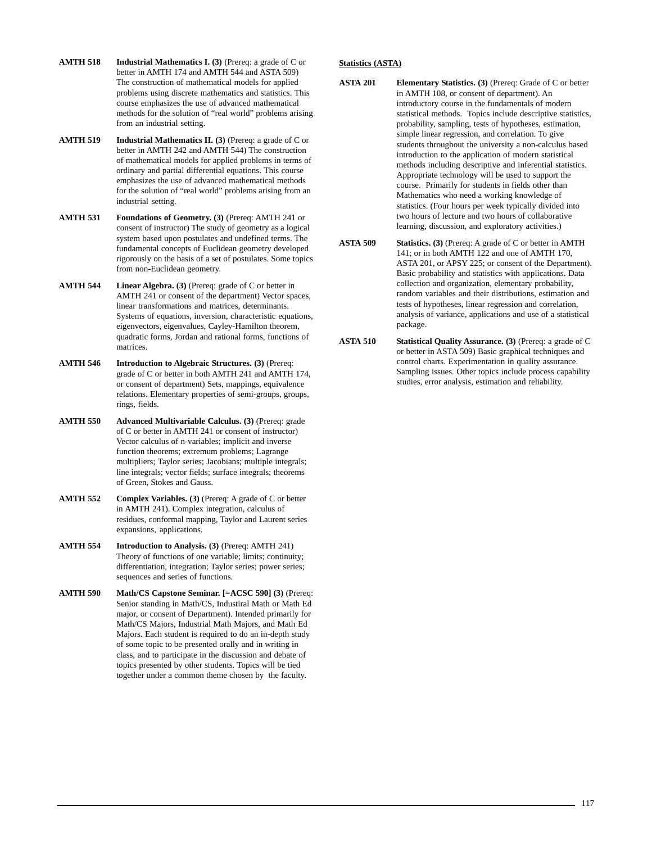- **AMTH 518** Industrial Mathematics I. (3) (Prereq: a grade of C or better in AMTH 174 and AMTH 544 and ASTA 509) The construction of mathematical models for applied problems using discrete mathematics and statistics. This course emphasizes the use of advanced mathematical methods for the solution of "real world" problems arising from an industrial setting.
- **AMTH 519** Industrial Mathematics II. (3) (Prereq: a grade of C or better in AMTH 242 and AMTH 544) The construction of mathematical models for applied problems in terms of ordinary and partial differential equations. This course emphasizes the use of advanced mathematical methods for the solution of "real world" problems arising from an industrial setting.
- **AMTH 531 Foundations of Geometry. (3)** (Prereq: AMTH 241 or consent of instructor) The study of geometry as a logical system based upon postulates and undefined terms. The fundamental concepts of Euclidean geometry developed rigorously on the basis of a set of postulates. Some topics from non-Euclidean geometry.
- **AMTH 544 Linear Algebra. (3)** (Prereq: grade of C or better in AMTH 241 or consent of the department) Vector spaces, linear transformations and matrices, determinants. Systems of equations, inversion, characteristic equations, eigenvectors, eigenvalues, Cayley-Hamilton theorem, quadratic forms, Jordan and rational forms, functions of matrices.
- **AMTH 546 Introduction to Algebraic Structures. (3)** (Prereq: grade of C or better in both AMTH 241 and AMTH 174, or consent of department) Sets, mappings, equivalence relations. Elementary properties of semi-groups, groups, rings, fields.
- **AMTH 550 Advanced Multivariable Calculus. (3)** (Prereq: grade of C or better in AMTH 241 or consent of instructor) Vector calculus of n-variables; implicit and inverse function theorems; extremum problems; Lagrange multipliers; Taylor series; Jacobians; multiple integrals; line integrals; vector fields; surface integrals; theorems of Green, Stokes and Gauss.
- **AMTH 552 Complex Variables. (3)** (Prereq: A grade of C or better in AMTH 241). Complex integration, calculus of residues, conformal mapping, Taylor and Laurent series expansions, applications.
- **AMTH 554 Introduction to Analysis. (3)** (Prereq: AMTH 241) Theory of functions of one variable; limits; continuity; differentiation, integration; Taylor series; power series; sequences and series of functions.
- **AMTH 590 Math/CS Capstone Seminar. [=ACSC 590] (3)** (Prereq: Senior standing in Math/CS, Industiral Math or Math Ed major, or consent of Department). Intended primarily for Math/CS Majors, Industrial Math Majors, and Math Ed Majors. Each student is required to do an in-depth study of some topic to be presented orally and in writing in class, and to participate in the discussion and debate of topics presented by other students. Topics will be tied together under a common theme chosen by the faculty.

## **Statistics (ASTA)**

- **ASTA 201 Elementary Statistics. (3)** (Prereq: Grade of C or better in AMTH 108, or consent of department). An introductory course in the fundamentals of modern statistical methods. Topics include descriptive statistics, probability, sampling, tests of hypotheses, estimation, simple linear regression, and correlation. To give students throughout the university a non-calculus based introduction to the application of modern statistical methods including descriptive and inferential statistics. Appropriate technology will be used to support the course. Primarily for students in fields other than Mathematics who need a working knowledge of statistics. (Four hours per week typically divided into two hours of lecture and two hours of collaborative learning, discussion, and exploratory activities.)
- **ASTA 509 Statistics. (3)** (Prereq: A grade of C or better in AMTH 141; or in both AMTH 122 and one of AMTH 170, ASTA 201, or APSY 225; or consent of the Department). Basic probability and statistics with applications. Data collection and organization, elementary probability, random variables and their distributions, estimation and tests of hypotheses, linear regression and correlation, analysis of variance, applications and use of a statistical package.
- **ASTA 510** Statistical Quality Assurance. (3) (Prereq: a grade of C or better in ASTA 509) Basic graphical techniques and control charts. Experimentation in quality assurance. Sampling issues. Other topics include process capability studies, error analysis, estimation and reliability.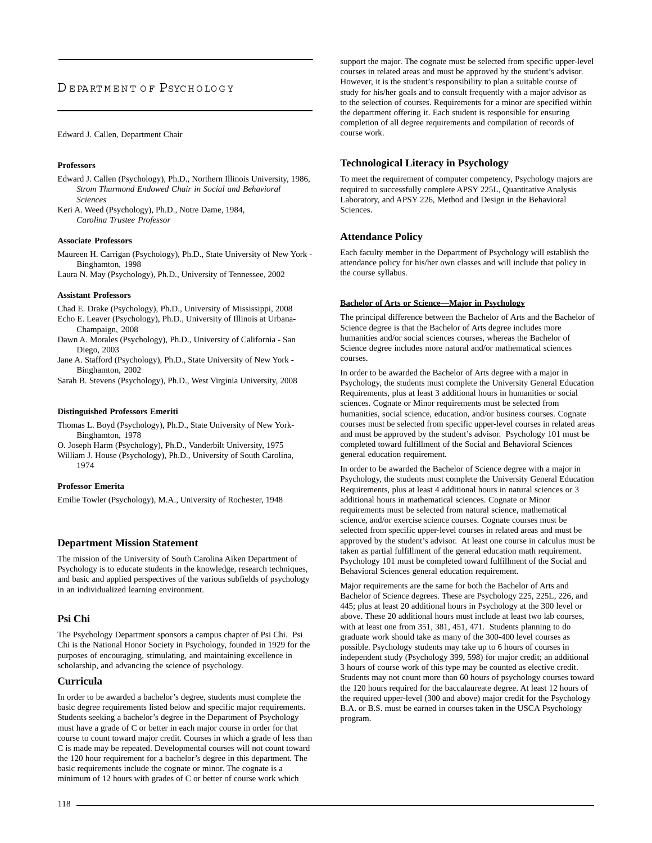## D E PA RT M E N T O F [PSYC H O LO G Y](http://www.usca.edu/psychology/)

## Edward J. Callen, Department Chair

## **Professors**

Edward J. Callen (Psychology), Ph.D., Northern Illinois University, 1986, *Strom Thurmond Endowed Chair in Social and Behavioral Sciences*

Keri A. Weed (Psychology), Ph.D., Notre Dame, 1984, *Carolina Trustee Professor*

#### **Associate Professors**

Maureen H. Carrigan (Psychology), Ph.D., State University of New York - Binghamton, 1998

Laura N. May (Psychology), Ph.D., University of Tennessee, 2002

#### **Assistant Professors**

Chad E. Drake (Psychology), Ph.D., University of Mississippi, 2008

- Echo E. Leaver (Psychology), Ph.D., University of Illinois at Urbana-Champaign, 2008
- Dawn A. Morales (Psychology), Ph.D., University of California San Diego, 2003
- Jane A. Stafford (Psychology), Ph.D., State University of New York Binghamton, 2002

Sarah B. Stevens (Psychology), Ph.D., West Virginia University, 2008

## **Distinguished Professors Emeriti**

Thomas L. Boyd (Psychology), Ph.D., State University of New York-Binghamton, 1978

O. Joseph Harm (Psychology), Ph.D., Vanderbilt University, 1975 William J. House (Psychology), Ph.D., University of South Carolina, 1974

## **Professor Emerita**

Emilie Towler (Psychology), M.A., University of Rochester, 1948

## **Department Mission Statement**

The mission of the University of South Carolina Aiken Department of Psychology is to educate students in the knowledge, research techniques, and basic and applied perspectives of the various subfields of psychology in an individualized learning environment.

## **Psi Chi**

The Psychology Department sponsors a campus chapter of Psi Chi. Psi Chi is the National Honor Society in Psychology, founded in 1929 for the purposes of encouraging, stimulating, and maintaining excellence in scholarship, and advancing the science of psychology.

### **Curricula**

In order to be awarded a bachelor's degree, students must complete the basic degree requirements listed below and specific major requirements. Students seeking a bachelor's degree in the Department of Psychology must have a grade of C or better in each major course in order for that course to count toward major credit. Courses in which a grade of less than C is made may be repeated. Developmental courses will not count toward the 120 hour requirement for a bachelor's degree in this department. The basic requirements include the cognate or minor. The cognate is a minimum of 12 hours with grades of C or better of course work which

support the major. The cognate must be selected from specific upper-level courses in related areas and must be approved by the student's advisor. However, it is the student's responsibility to plan a suitable course of study for his/her goals and to consult frequently with a major advisor as to the selection of courses. Requirements for a minor are specified within the department offering it. Each student is responsible for ensuring completion of all degree requirements and compilation of records of course work.

## **Technological Literacy in Psychology**

To meet the requirement of computer competency, Psychology majors are required to successfully complete APSY 225L, Quantitative Analysis Laboratory, and APSY 226, Method and Design in the Behavioral Sciences.

## **Attendance Policy**

Each faculty member in the Department of Psychology will establish the attendance policy for his/her own classes and will include that policy in the course syllabus.

## **Bachelor of Arts or Science—Major in Psychology**

The principal difference between the Bachelor of Arts and the Bachelor of Science degree is that the Bachelor of Arts degree includes more humanities and/or social sciences courses, whereas the Bachelor of Science degree includes more natural and/or mathematical sciences courses.

In order to be awarded the Bachelor of Arts degree with a major in Psychology, the students must complete the University General Education Requirements, plus at least 3 additional hours in humanities or social sciences. Cognate or Minor requirements must be selected from humanities, social science, education, and/or business courses. Cognate courses must be selected from specific upper-level courses in related areas and must be approved by the student's advisor. Psychology 101 must be completed toward fulfillment of the Social and Behavioral Sciences general education requirement.

In order to be awarded the Bachelor of Science degree with a major in Psychology, the students must complete the University General Education Requirements, plus at least 4 additional hours in natural sciences or 3 additional hours in mathematical sciences. Cognate or Minor requirements must be selected from natural science, mathematical science, and/or exercise science courses. Cognate courses must be selected from specific upper-level courses in related areas and must be approved by the student's advisor. At least one course in calculus must be taken as partial fulfillment of the general education math requirement. Psychology 101 must be completed toward fulfillment of the Social and Behavioral Sciences general education requirement.

Major requirements are the same for both the Bachelor of Arts and Bachelor of Science degrees. These are Psychology 225, 225L, 226, and 445; plus at least 20 additional hours in Psychology at the 300 level or above. These 20 additional hours must include at least two lab courses, with at least one from 351, 381, 451, 471. Students planning to do graduate work should take as many of the 300-400 level courses as possible. Psychology students may take up to 6 hours of courses in independent study (Psychology 399, 598) for major credit; an additional 3 hours of course work of this type may be counted as elective credit. Students may not count more than 60 hours of psychology courses toward the 120 hours required for the baccalaureate degree. At least 12 hours of the required upper-level (300 and above) major credit for the Psychology B.A. or B.S. must be earned in courses taken in the USCA Psychology program.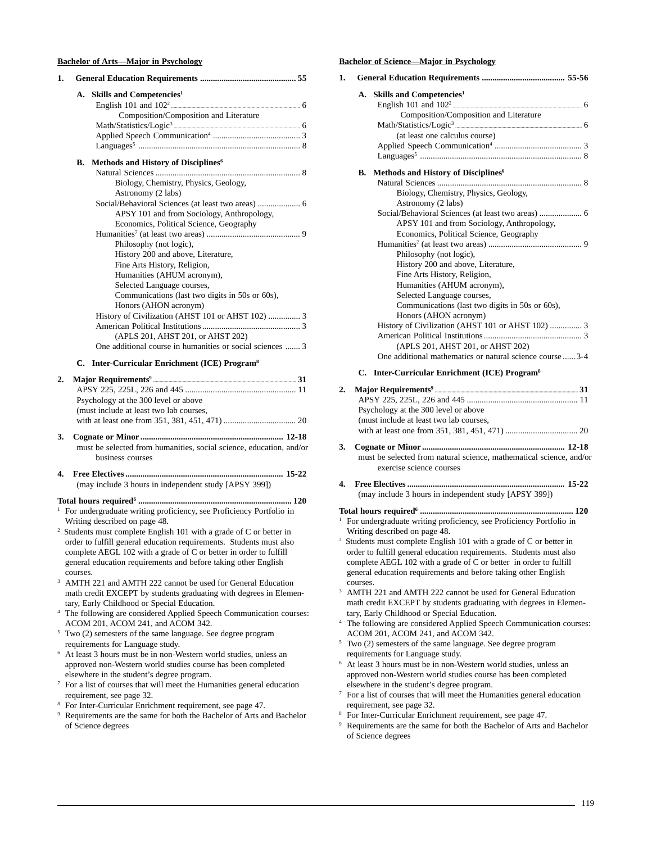## **Bachelor of Arts—Major in Psychology**

| 1. |           |                                                                                                                                     |
|----|-----------|-------------------------------------------------------------------------------------------------------------------------------------|
|    | <b>A.</b> | Skills and Competencies <sup>1</sup>                                                                                                |
|    |           |                                                                                                                                     |
|    |           | Composition/Composition and Literature                                                                                              |
|    |           |                                                                                                                                     |
|    |           |                                                                                                                                     |
|    |           |                                                                                                                                     |
|    | В.        | Methods and History of Disciplines <sup>6</sup>                                                                                     |
|    |           | Biology, Chemistry, Physics, Geology,                                                                                               |
|    |           | Astronomy (2 labs)                                                                                                                  |
|    |           |                                                                                                                                     |
|    |           | APSY 101 and from Sociology, Anthropology,                                                                                          |
|    |           | Economics, Political Science, Geography                                                                                             |
|    |           | Philosophy (not logic),                                                                                                             |
|    |           | History 200 and above, Literature,                                                                                                  |
|    |           | Fine Arts History, Religion,                                                                                                        |
|    |           | Humanities (AHUM acronym),                                                                                                          |
|    |           | Selected Language courses,                                                                                                          |
|    |           | Communications (last two digits in 50s or 60s),<br>Honors (AHON acronym)                                                            |
|    |           | History of Civilization (AHST 101 or AHST 102)  3                                                                                   |
|    |           |                                                                                                                                     |
|    |           | (APLS 201, AHST 201, or AHST 202)                                                                                                   |
|    |           | One additional course in humanities or social sciences  3                                                                           |
|    |           | C. Inter-Curricular Enrichment (ICE) Program <sup>8</sup>                                                                           |
| 2. |           |                                                                                                                                     |
|    |           |                                                                                                                                     |
|    |           | Psychology at the 300 level or above                                                                                                |
|    |           | (must include at least two lab courses,                                                                                             |
|    |           |                                                                                                                                     |
| 3. |           |                                                                                                                                     |
|    |           | must be selected from humanities, social science, education, and/or                                                                 |
|    |           | business courses                                                                                                                    |
| 4. |           | ……… 15-22                                                                                                                           |
|    |           | (may include 3 hours in independent study [APSY 399])                                                                               |
|    |           |                                                                                                                                     |
|    |           | <sup>1</sup> For undergraduate writing proficiency, see Proficiency Portfolio in                                                    |
|    |           | Writing described on page 48.                                                                                                       |
|    |           | <sup>2</sup> Students must complete English 101 with a grade of C or better in                                                      |
|    |           | order to fulfill general education requirements. Students must also                                                                 |
|    |           | complete AEGL 102 with a grade of C or better in order to fulfill<br>general education requirements and before taking other English |
|    | courses.  |                                                                                                                                     |
|    |           | <sup>3</sup> AMTH 221 and AMTH 222 cannot be used for General Education                                                             |
|    |           | math credit EXCEPT by students graduating with degrees in Elemen-                                                                   |
|    |           | tary, Early Childhood or Special Education.                                                                                         |
|    |           | <sup>4</sup> The following are considered Applied Speech Communication courses:                                                     |
|    |           | ACOM 201, ACOM 241, and ACOM 342.<br><sup>5</sup> Two (2) semesters of the same language. See degree program                        |
|    |           | requirements for Language study.                                                                                                    |
|    |           | <sup>6</sup> At least 3 hours must be in non-Western world studies, unless an                                                       |
|    |           | approved non-Western world studies course has been completed                                                                        |
|    |           | elsewhere in the student's degree program.                                                                                          |
|    |           | <sup>7</sup> For a list of courses that will meet the Humanities general education                                                  |
|    |           | requirement, see page 32.                                                                                                           |
|    |           | <sup>8</sup> For Inter-Curricular Enrichment requirement, see page 47.                                                              |

<sup>9</sup> Requirements are the same for both the Bachelor of Arts and Bachelor of Science degrees

## **Bachelor of Science—Major in Psychology**

| 1. |          |                                                                                                                                |           |
|----|----------|--------------------------------------------------------------------------------------------------------------------------------|-----------|
|    | А.       | Skills and Competencies <sup>1</sup>                                                                                           |           |
|    |          |                                                                                                                                |           |
|    |          | Composition/Composition and Literature                                                                                         |           |
|    |          | (at least one calculus course)                                                                                                 |           |
|    |          |                                                                                                                                |           |
|    |          |                                                                                                                                |           |
|    | В.       | Methods and History of Disciplines <sup>6</sup>                                                                                |           |
|    |          |                                                                                                                                |           |
|    |          | Biology, Chemistry, Physics, Geology,                                                                                          |           |
|    |          | Astronomy (2 labs)                                                                                                             |           |
|    |          | Social/Behavioral Sciences (at least two areas)  6<br>APSY 101 and from Sociology, Anthropology,                               |           |
|    |          | Economics, Political Science, Geography                                                                                        |           |
|    |          |                                                                                                                                |           |
|    |          | Philosophy (not logic),                                                                                                        |           |
|    |          | History 200 and above, Literature,                                                                                             |           |
|    |          | Fine Arts History, Religion,                                                                                                   |           |
|    |          | Humanities (AHUM acronym),                                                                                                     |           |
|    |          | Selected Language courses,<br>Communications (last two digits in 50s or 60s),                                                  |           |
|    |          | Honors (AHON acronym)                                                                                                          |           |
|    |          | History of Civilization (AHST 101 or AHST 102)  3                                                                              |           |
|    |          |                                                                                                                                |           |
|    |          | (APLS 201, AHST 201, or AHST 202)                                                                                              |           |
|    |          | One additional mathematics or natural science course  3-4                                                                      |           |
|    | C.       | Inter-Curricular Enrichment (ICE) Program <sup>8</sup>                                                                         |           |
| 2. |          |                                                                                                                                |           |
|    |          |                                                                                                                                |           |
|    |          | Psychology at the 300 level or above<br>(must include at least two lab courses,                                                |           |
|    |          |                                                                                                                                |           |
|    |          |                                                                                                                                |           |
| 3. |          | must be selected from natural science, mathematical science, and/or                                                            |           |
|    |          | exercise science courses                                                                                                       |           |
|    |          |                                                                                                                                |           |
| 4. |          | (may include 3 hours in independent study [APSY 399])                                                                          | ……. 15-22 |
|    |          |                                                                                                                                |           |
|    |          |                                                                                                                                |           |
|    |          | <sup>1</sup> For undergraduate writing proficiency, see Proficiency Portfolio in<br>Writing described on page 48.              |           |
|    |          | <sup>2</sup> Students must complete English 101 with a grade of C or better in                                                 |           |
|    |          | order to fulfill general education requirements. Students must also                                                            |           |
|    |          | complete AEGL 102 with a grade of C or better in order to fulfill                                                              |           |
|    |          | general education requirements and before taking other English                                                                 |           |
|    | courses. |                                                                                                                                |           |
| 3  |          | AMTH 221 and AMTH 222 cannot be used for General Education                                                                     |           |
|    |          | math credit EXCEPT by students graduating with degrees in Elemen-<br>tary, Early Childhood or Special Education.               |           |
|    |          | <sup>4</sup> The following are considered Applied Speech Communication courses:                                                |           |
|    |          | ACOM 201, ACOM 241, and ACOM 342.                                                                                              |           |
|    |          | <sup>5</sup> Two (2) semesters of the same language. See degree program                                                        |           |
|    |          | requirements for Language study.                                                                                               |           |
| 6  |          | At least 3 hours must be in non-Western world studies, unless an                                                               |           |
|    |          | approved non-Western world studies course has been completed                                                                   |           |
|    |          | elsewhere in the student's degree program.<br>$\sqrt{7}$ For a list of courses that will meet the Humanities general education |           |
|    |          | requirement, see page 32.                                                                                                      |           |
|    |          | <sup>8</sup> For Inter-Curricular Enrichment requirement, see page 47.                                                         |           |
|    |          | <sup>9</sup> Requirements are the same for both the Bachelor of Arts and Bachelor                                              |           |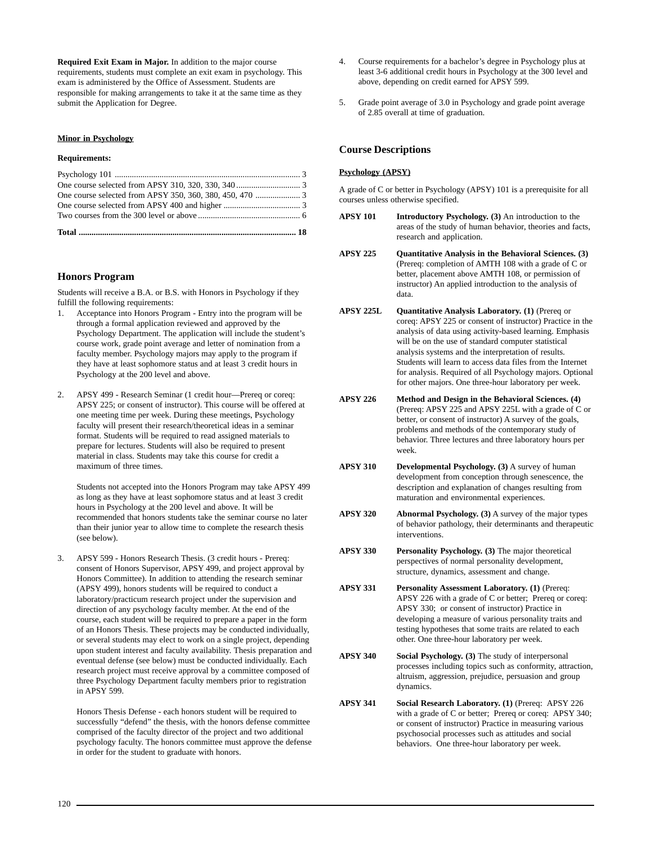**Required Exit Exam in Major.** In addition to the major course requirements, students must complete an exit exam in psychology. This exam is administered by the Office of Assessment. Students are responsible for making arrangements to take it at the same time as they submit the Application for Degree.

## **Minor in Psychology**

## **Requirements:**

## **Honors Program**

Students will receive a B.A. or B.S. with Honors in Psychology if they fulfill the following requirements:

- 1. Acceptance into Honors Program Entry into the program will be through a formal application reviewed and approved by the Psychology Department. The application will include the student's course work, grade point average and letter of nomination from a faculty member. Psychology majors may apply to the program if they have at least sophomore status and at least 3 credit hours in Psychology at the 200 level and above.
- 2. APSY 499 Research Seminar (1 credit hour—Prereq or coreq: APSY 225; or consent of instructor). This course will be offered at one meeting time per week. During these meetings, Psychology faculty will present their research/theoretical ideas in a seminar format. Students will be required to read assigned materials to prepare for lectures. Students will also be required to present material in class. Students may take this course for credit a maximum of three times.

Students not accepted into the Honors Program may take APSY 499 as long as they have at least sophomore status and at least 3 credit hours in Psychology at the 200 level and above. It will be recommended that honors students take the seminar course no later than their junior year to allow time to complete the research thesis (see below).

3. APSY 599 - Honors Research Thesis. (3 credit hours - Prereq: consent of Honors Supervisor, APSY 499, and project approval by Honors Committee). In addition to attending the research seminar (APSY 499), honors students will be required to conduct a laboratory/practicum research project under the supervision and direction of any psychology faculty member. At the end of the course, each student will be required to prepare a paper in the form of an Honors Thesis. These projects may be conducted individually, or several students may elect to work on a single project, depending upon student interest and faculty availability. Thesis preparation and eventual defense (see below) must be conducted individually. Each research project must receive approval by a committee composed of three Psychology Department faculty members prior to registration in APSY 599.

Honors Thesis Defense - each honors student will be required to successfully "defend" the thesis, with the honors defense committee comprised of the faculty director of the project and two additional psychology faculty. The honors committee must approve the defense in order for the student to graduate with honors.

- 4. Course requirements for a bachelor's degree in Psychology plus at least 3-6 additional credit hours in Psychology at the 300 level and above, depending on credit earned for APSY 599.
- 5. Grade point average of 3.0 in Psychology and grade point average of 2.85 overall at time of graduation.

## **Course Descriptions**

## **Psychology (APSY)**

A grade of C or better in Psychology (APSY) 101 is a prerequisite for all courses unless otherwise specified.

- **APSY 101 Introductory Psychology. (3)** An introduction to the areas of the study of human behavior, theories and facts, research and application.
- **APSY 225 Quantitative Analysis in the Behavioral Sciences. (3)** (Prereq: completion of AMTH 108 with a grade of C or better, placement above AMTH 108, or permission of instructor) An applied introduction to the analysis of data.
- **APSY 225L Quantitative Analysis Laboratory. (1)** (Prereq or coreq: APSY 225 or consent of instructor) Practice in the analysis of data using activity-based learning. Emphasis will be on the use of standard computer statistical analysis systems and the interpretation of results. Students will learn to access data files from the Internet for analysis. Required of all Psychology majors. Optional for other majors. One three-hour laboratory per week.
- **APSY 226 Method and Design in the Behavioral Sciences. (4)** (Prereq: APSY 225 and APSY 225L with a grade of C or better, or consent of instructor) A survey of the goals, problems and methods of the contemporary study of behavior. Three lectures and three laboratory hours per week.
- **APSY 310 Developmental Psychology. (3)** A survey of human development from conception through senescence, the description and explanation of changes resulting from maturation and environmental experiences.
- **APSY 320 Abnormal Psychology. (3)** A survey of the major types of behavior pathology, their determinants and therapeutic interventions.
- **APSY 330 Personality Psychology. (3)** The major theoretical perspectives of normal personality development, structure, dynamics, assessment and change.
- **APSY 331 Personality Assessment Laboratory. (1)** (Prereq: APSY 226 with a grade of C or better; Prereq or coreq: APSY 330; or consent of instructor) Practice in developing a measure of various personality traits and testing hypotheses that some traits are related to each other. One three-hour laboratory per week.
- **APSY 340 Social Psychology. (3)** The study of interpersonal processes including topics such as conformity, attraction, altruism, aggression, prejudice, persuasion and group dynamics.
- **APSY 341 Social Research Laboratory. (1)** (Prereq: APSY 226 with a grade of C or better; Prereq or coreq: APSY 340; or consent of instructor) Practice in measuring various psychosocial processes such as attitudes and social behaviors. One three-hour laboratory per week.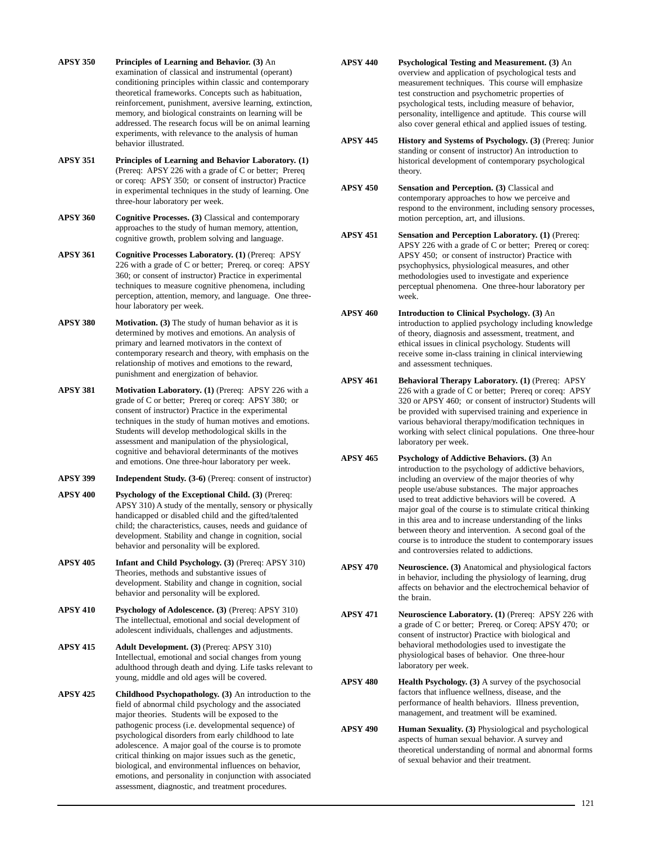- **APSY 350 Principles of Learning and Behavior. (3)** An examination of classical and instrumental (operant) conditioning principles within classic and contemporary theoretical frameworks. Concepts such as habituation, reinforcement, punishment, aversive learning, extinction, memory, and biological constraints on learning will be addressed. The research focus will be on animal learning experiments, with relevance to the analysis of human behavior illustrated.
- **APSY 351 Principles of Learning and Behavior Laboratory. (1)** (Prereq: APSY 226 with a grade of C or better; Prereq or coreq: APSY 350; or consent of instructor) Practice in experimental techniques in the study of learning. One three-hour laboratory per week.
- **APSY 360 Cognitive Processes. (3)** Classical and contemporary approaches to the study of human memory, attention, cognitive growth, problem solving and language.
- **APSY 361 Cognitive Processes Laboratory. (1)** (Prereq: APSY 226 with a grade of C or better; Prereq. or coreq: APSY 360; or consent of instructor) Practice in experimental techniques to measure cognitive phenomena, including perception, attention, memory, and language. One threehour laboratory per week.
- **APSY 380 Motivation. (3)** The study of human behavior as it is determined by motives and emotions. An analysis of primary and learned motivators in the context of contemporary research and theory, with emphasis on the relationship of motives and emotions to the reward, punishment and energization of behavior.
- **APSY 381 Motivation Laboratory. (1)** (Prereq: APSY 226 with a grade of C or better; Prereq or coreq: APSY 380; or consent of instructor) Practice in the experimental techniques in the study of human motives and emotions. Students will develop methodological skills in the assessment and manipulation of the physiological, cognitive and behavioral determinants of the motives and emotions. One three-hour laboratory per week.
- **APSY 399 Independent Study. (3-6)** (Prereq: consent of instructor)
- **APSY 400 Psychology of the Exceptional Child. (3)** (Prereq: APSY 310) A study of the mentally, sensory or physically handicapped or disabled child and the gifted/talented child; the characteristics, causes, needs and guidance of development. Stability and change in cognition, social behavior and personality will be explored.
- **APSY 405 Infant and Child Psychology. (3)** (Prereq: APSY 310) Theories, methods and substantive issues of development. Stability and change in cognition, social behavior and personality will be explored.
- **APSY 410 Psychology of Adolescence. (3)** (Prereq: APSY 310) The intellectual, emotional and social development of adolescent individuals, challenges and adjustments.
- **APSY 415 Adult Development. (3)** (Prereq: APSY 310) Intellectual, emotional and social changes from young adulthood through death and dying. Life tasks relevant to young, middle and old ages will be covered.
- **APSY 425 Childhood Psychopathology. (3)** An introduction to the field of abnormal child psychology and the associated major theories. Students will be exposed to the pathogenic process (i.e. developmental sequence) of psychological disorders from early childhood to late adolescence. A major goal of the course is to promote critical thinking on major issues such as the genetic, biological, and environmental influences on behavior, emotions, and personality in conjunction with associated assessment, diagnostic, and treatment procedures.
- **APSY 440 Psychological Testing and Measurement. (3)** An overview and application of psychological tests and measurement techniques. This course will emphasize test construction and psychometric properties of psychological tests, including measure of behavior, personality, intelligence and aptitude. This course will also cover general ethical and applied issues of testing.
- **APSY 445 History and Systems of Psychology. (3)** (Prereq: Junior standing or consent of instructor) An introduction to historical development of contemporary psychological theory.
- **APSY 450 Sensation and Perception. (3)** Classical and contemporary approaches to how we perceive and respond to the environment, including sensory processes, motion perception, art, and illusions.
- **APSY 451 Sensation and Perception Laboratory. (1)** (Prereq: APSY 226 with a grade of C or better; Prereq or coreq: APSY 450; or consent of instructor) Practice with psychophysics, physiological measures, and other methodologies used to investigate and experience perceptual phenomena. One three-hour laboratory per week.
- **APSY 460 Introduction to Clinical Psychology. (3)** An introduction to applied psychology including knowledge of theory, diagnosis and assessment, treatment, and ethical issues in clinical psychology. Students will receive some in-class training in clinical interviewing and assessment techniques.
- **APSY 461 Behavioral Therapy Laboratory. (1)** (Prereq: APSY 226 with a grade of C or better; Prereq or coreq: APSY 320 or APSY 460; or consent of instructor) Students will be provided with supervised training and experience in various behavioral therapy/modification techniques in working with select clinical populations. One three-hour laboratory per week.
- **APSY 465 Psychology of Addictive Behaviors. (3)** An introduction to the psychology of addictive behaviors, including an overview of the major theories of why people use/abuse substances. The major approaches used to treat addictive behaviors will be covered. A major goal of the course is to stimulate critical thinking in this area and to increase understanding of the links between theory and intervention. A second goal of the course is to introduce the student to contemporary issues and controversies related to addictions.
- **APSY 470 Neuroscience. (3)** Anatomical and physiological factors in behavior, including the physiology of learning, drug affects on behavior and the electrochemical behavior of the brain.
- **APSY 471 Neuroscience Laboratory. (1)** (Prereq: APSY 226 with a grade of C or better; Prereq. or Coreq: APSY 470; or consent of instructor) Practice with biological and behavioral methodologies used to investigate the physiological bases of behavior. One three-hour laboratory per week.
- **APSY 480** Health Psychology. (3) A survey of the psychosocial factors that influence wellness, disease, and the performance of health behaviors. Illness prevention, management, and treatment will be examined.
- **APSY 490 Human Sexuality. (3)** Physiological and psychological aspects of human sexual behavior. A survey and theoretical understanding of normal and abnormal forms of sexual behavior and their treatment.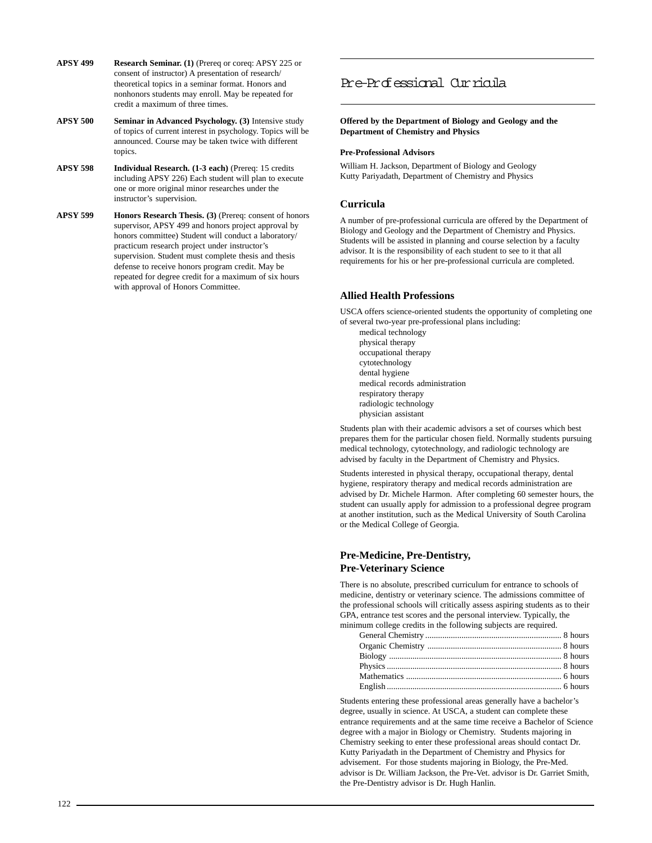- **APSY 499 Research Seminar. (1)** (Prereq or coreq: APSY 225 or consent of instructor) A presentation of research/ theoretical topics in a seminar format. Honors and nonhonors students may enroll. May be repeated for credit a maximum of three times.
- **APSY 500 Seminar in Advanced Psychology. (3)** Intensive study of topics of current interest in psychology. Topics will be announced. Course may be taken twice with different topics.
- **APSY 598 Individual Research. (1-3 each)** (Prereq: 15 credits including APSY 226) Each student will plan to execute one or more original minor researches under the instructor's supervision.
- **APSY 599 Honors Research Thesis. (3)** (Prereq: consent of honors supervisor, APSY 499 and honors project approval by honors committee) Student will conduct a laboratory/ practicum research project under instructor's supervision. Student must complete thesis and thesis defense to receive honors program credit. May be repeated for degree credit for a maximum of six hours with approval of Honors Committee.

## Pre-Professional Curricula

**Offered by the Department of Biology and Geology and the Department of Chemistry and Physics**

## **Pre-Professional Advisors**

William H. Jackson, Department of Biology and Geology Kutty Pariyadath, Department of Chemistry and Physics

## **Curricula**

A number of pre-professional curricula are offered by the Department of Biology and Geology and the Department of Chemistry and Physics. Students will be assisted in planning and course selection by a faculty advisor. It is the responsibility of each student to see to it that all requirements for his or her pre-professional curricula are completed.

## **Allied Health Professions**

USCA offers science-oriented students the opportunity of completing one of several two-year pre-professional plans including:

medical technology physical therapy occupational therapy cytotechnology dental hygiene medical records administration respiratory therapy radiologic technology physician assistant

Students plan with their academic advisors a set of courses which best prepares them for the particular chosen field. Normally students pursuing medical technology, cytotechnology, and radiologic technology are advised by faculty in the Department of Chemistry and Physics.

Students interested in physical therapy, occupational therapy, dental hygiene, respiratory therapy and medical records administration are advised by Dr. Michele Harmon. After completing 60 semester hours, the student can usually apply for admission to a professional degree program at another institution, such as the Medical University of South Carolina or the Medical College of Georgia.

## **Pre-Medicine, Pre-Dentistry, Pre-Veterinary Science**

There is no absolute, prescribed curriculum for entrance to schools of medicine, dentistry or veterinary science. The admissions committee of the professional schools will critically assess aspiring students as to their GPA, entrance test scores and the personal interview. Typically, the minimum college credits in the following subjects are required.

Students entering these professional areas generally have a bachelor's degree, usually in science. At USCA, a student can complete these entrance requirements and at the same time receive a Bachelor of Science degree with a major in Biology or Chemistry. Students majoring in Chemistry seeking to enter these professional areas should contact Dr. Kutty Pariyadath in the Department of Chemistry and Physics for advisement. For those students majoring in Biology, the Pre-Med. advisor is Dr. William Jackson, the Pre-Vet. advisor is Dr. Garriet Smith, the Pre-Dentistry advisor is Dr. Hugh Hanlin.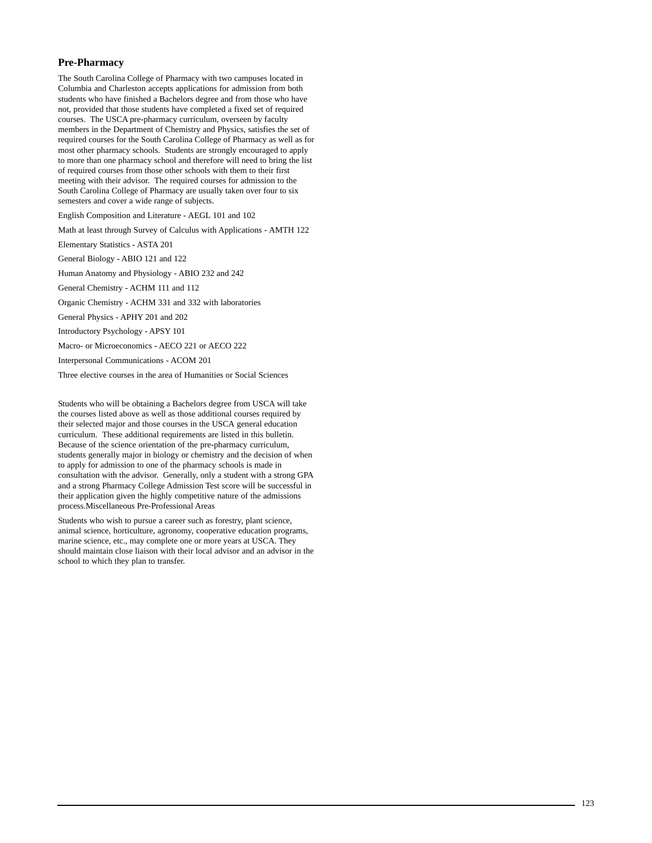## **Pre-Pharmacy**

The South Carolina College of Pharmacy with two campuses located in Columbia and Charleston accepts applications for admission from both students who have finished a Bachelors degree and from those who have not, provided that those students have completed a fixed set of required courses. The USCA pre-pharmacy curriculum, overseen by faculty members in the Department of Chemistry and Physics, satisfies the set of required courses for the South Carolina College of Pharmacy as well as for most other pharmacy schools. Students are strongly encouraged to apply to more than one pharmacy school and therefore will need to bring the list of required courses from those other schools with them to their first meeting with their advisor. The required courses for admission to the South Carolina College of Pharmacy are usually taken over four to six semesters and cover a wide range of subjects.

English Composition and Literature - AEGL 101 and 102

Math at least through Survey of Calculus with Applications - AMTH 122

Elementary Statistics - ASTA 201

General Biology - ABIO 121 and 122

Human Anatomy and Physiology - ABIO 232 and 242

General Chemistry - ACHM 111 and 112

Organic Chemistry - ACHM 331 and 332 with laboratories

General Physics - APHY 201 and 202

Introductory Psychology - APSY 101

Macro- or Microeconomics - AECO 221 or AECO 222

Interpersonal Communications - ACOM 201

Three elective courses in the area of Humanities or Social Sciences

Students who will be obtaining a Bachelors degree from USCA will take the courses listed above as well as those additional courses required by their selected major and those courses in the USCA general education curriculum. These additional requirements are listed in this bulletin. Because of the science orientation of the pre-pharmacy curriculum, students generally major in biology or chemistry and the decision of when to apply for admission to one of the pharmacy schools is made in consultation with the advisor. Generally, only a student with a strong GPA and a strong Pharmacy College Admission Test score will be successful in their application given the highly competitive nature of the admissions process.Miscellaneous Pre-Professional Areas

Students who wish to pursue a career such as forestry, plant science, animal science, horticulture, agronomy, cooperative education programs, marine science, etc., may complete one or more years at USCA. They should maintain close liaison with their local advisor and an advisor in the school to which they plan to transfer.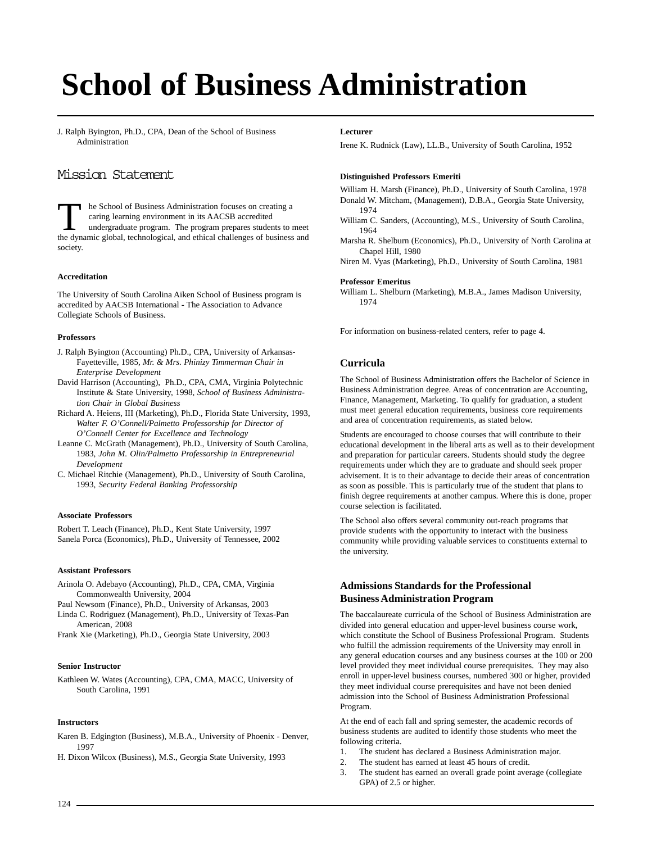# **[School of Business Administration](http://www.usca.edu/soba/)**

J. Ralph Byington, Ph.D., CPA, Dean of the School of Business Administration

## Mission Statement

The School of Business Administration focuses on creating a caring learning environment in its AACSB accredited undergraduate program. The program prepares students to meet the dynamic global, technological, and ethical challenges of business and society.

## **Accreditation**

The University of South Carolina Aiken School of Business program is accredited by AACSB International - The Association to Advance Collegiate Schools of Business.

## **Professors**

- J. Ralph Byington (Accounting) Ph.D., CPA, University of Arkansas-Fayetteville, 1985, *Mr. & Mrs. Phinizy Timmerman Chair in Enterprise Development*
- David Harrison (Accounting), Ph.D., CPA, CMA, Virginia Polytechnic Institute & State University, 1998, *School of Business Administration Chair in Global Business*
- Richard A. Heiens, III (Marketing), Ph.D., Florida State University, 1993, *Walter F. O'Connell/Palmetto Professorship for Director of O'Connell Center for Excellence and Technology*
- Leanne C. McGrath (Management), Ph.D., University of South Carolina, 1983, *John M. Olin/Palmetto Professorship in Entrepreneurial Development*
- C. Michael Ritchie (Management), Ph.D., University of South Carolina, 1993, *Security Federal Banking Professorship*

## **Associate Professors**

Robert T. Leach (Finance), Ph.D., Kent State University, 1997 Sanela Porca (Economics), Ph.D., University of Tennessee, 2002

## **Assistant Professors**

Arinola O. Adebayo (Accounting), Ph.D., CPA, CMA, Virginia Commonwealth University, 2004

Paul Newsom (Finance), Ph.D., University of Arkansas, 2003

Linda C. Rodriguez (Management), Ph.D., University of Texas-Pan American, 2008

Frank Xie (Marketing), Ph.D., Georgia State University, 2003

## **Senior Instructor**

Kathleen W. Wates (Accounting), CPA, CMA, MACC, University of South Carolina, 1991

## **Instructors**

Karen B. Edgington (Business), M.B.A., University of Phoenix - Denver, 1997

H. Dixon Wilcox (Business), M.S., Georgia State University, 1993

#### **Lecturer**

Irene K. Rudnick (Law), LL.B., University of South Carolina, 1952

## **Distinguished Professors Emeriti**

William H. Marsh (Finance), Ph.D., University of South Carolina, 1978 Donald W. Mitcham, (Management), D.B.A., Georgia State University, 1974

- William C. Sanders, (Accounting), M.S., University of South Carolina, 1964
- Marsha R. Shelburn (Economics), Ph.D., University of North Carolina at Chapel Hill, 1980

Niren M. Vyas (Marketing), Ph.D., University of South Carolina, 1981

#### **Professor Emeritus**

William L. Shelburn (Marketing), M.B.A., James Madison University, 1974

For information on business-related centers, refer to page 4.

## **Curricula**

The School of Business Administration offers the Bachelor of Science in Business Administration degree. Areas of concentration are Accounting, Finance, Management, Marketing. To qualify for graduation, a student must meet general education requirements, business core requirements and area of concentration requirements, as stated below.

Students are encouraged to choose courses that will contribute to their educational development in the liberal arts as well as to their development and preparation for particular careers. Students should study the degree requirements under which they are to graduate and should seek proper advisement. It is to their advantage to decide their areas of concentration as soon as possible. This is particularly true of the student that plans to finish degree requirements at another campus. Where this is done, proper course selection is facilitated.

The School also offers several community out-reach programs that provide students with the opportunity to interact with the business community while providing valuable services to constituents external to the university.

## **Admissions Standards for the Professional Business Administration Program**

The baccalaureate curricula of the School of Business Administration are divided into general education and upper-level business course work, which constitute the School of Business Professional Program. Students who fulfill the admission requirements of the University may enroll in any general education courses and any business courses at the 100 or 200 level provided they meet individual course prerequisites. They may also enroll in upper-level business courses, numbered 300 or higher, provided they meet individual course prerequisites and have not been denied admission into the School of Business Administration Professional Program.

At the end of each fall and spring semester, the academic records of business students are audited to identify those students who meet the following criteria.

- 1. The student has declared a Business Administration major.
- 2. The student has earned at least 45 hours of credit.
- 3. The student has earned an overall grade point average (collegiate GPA) of 2.5 or higher.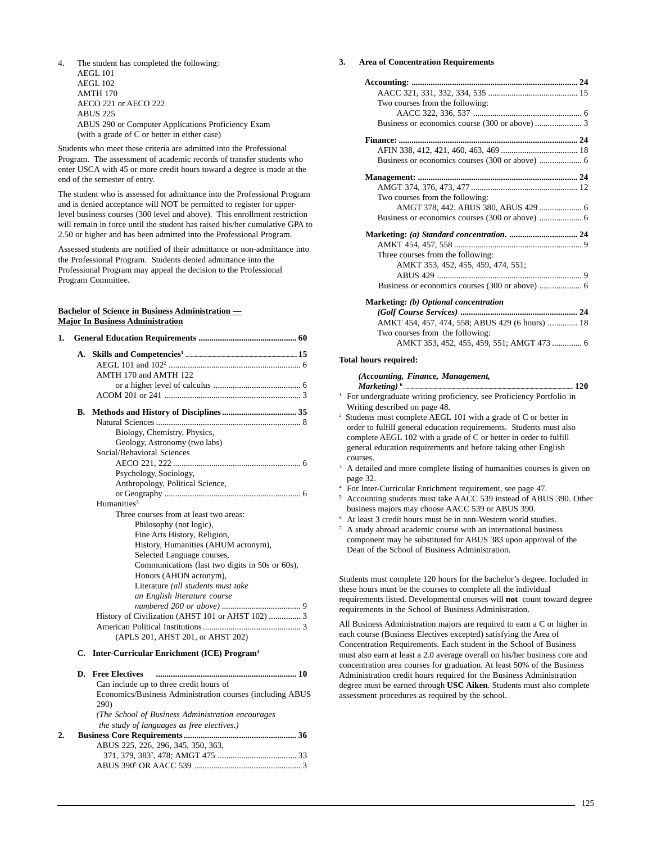4. The student has completed the following: AEGL 101 AEGL 102 AMTH 170 AECO 221 or AECO 222 ABUS 225 ABUS 290 or Computer Applications Proficiency Exam (with a grade of C or better in either case)

Students who meet these criteria are admitted into the Professional Program. The assessment of academic records of transfer students who enter USCA with 45 or more credit hours toward a degree is made at the end of the semester of entry.

The student who is assessed for admittance into the Professional Program and is denied acceptance will NOT be permitted to register for upperlevel business courses (300 level and above). This enrollment restriction will remain in force until the student has raised his/her cumulative GPA to 2.50 or higher and has been admitted into the Professional Program.

Assessed students are notified of their admittance or non-admittance into the Professional Program. Students denied admittance into the Professional Program may appeal the decision to the Professional Program Committee.

## **Bachelor of Science in Business Administration — Major In Business Administration**

| 1. |    |                                                           |
|----|----|-----------------------------------------------------------|
|    |    | AMTH 170 and AMTH 122                                     |
|    | B. |                                                           |
|    |    |                                                           |
|    |    | Biology, Chemistry, Physics,                              |
|    |    | Geology, Astronomy (two labs)                             |
|    |    | Social/Behavioral Sciences                                |
|    |    |                                                           |
|    |    | Psychology, Sociology,                                    |
|    |    | Anthropology, Political Science,                          |
|    |    |                                                           |
|    |    | Humanities <sup>3</sup>                                   |
|    |    | Three courses from at least two areas:                    |
|    |    | Philosophy (not logic),                                   |
|    |    | Fine Arts History, Religion,                              |
|    |    | History, Humanities (AHUM acronym),                       |
|    |    | Selected Language courses,                                |
|    |    | Communications (last two digits in 50s or 60s),           |
|    |    | Honors (AHON acronym),                                    |
|    |    | Literature (all students must take                        |
|    |    | an English literature course                              |
|    |    |                                                           |
|    |    | History of Civilization (AHST 101 or AHST 102)  3         |
|    |    |                                                           |
|    |    | (APLS 201, AHST 201, or AHST 202)                         |
|    |    | C. Inter-Curricular Enrichment (ICE) Program <sup>4</sup> |

|    | <b>D.</b> Free Electives                                  |  |
|----|-----------------------------------------------------------|--|
|    | Can include up to three credit hours of                   |  |
|    | Economics/Business Administration courses (including ABUS |  |
|    | <b>290</b> )                                              |  |
|    | (The School of Business Administration encourages)        |  |
|    | the study of languages as free electives.)                |  |
| 2. |                                                           |  |
|    | ABUS 225, 226, 296, 345, 350, 363,                        |  |
|    |                                                           |  |
|    |                                                           |  |
|    |                                                           |  |

## **3. Area of Concentration Requirements**

| Two courses from the following:                 |  |
|-------------------------------------------------|--|
|                                                 |  |
|                                                 |  |
|                                                 |  |
|                                                 |  |
|                                                 |  |
|                                                 |  |
|                                                 |  |
| Two courses from the following:                 |  |
| AMGT 378, 442, ABUS 380, ABUS 429  6            |  |
|                                                 |  |
|                                                 |  |
|                                                 |  |
| Three courses from the following:               |  |
| AMKT 353, 452, 455, 459, 474, 551;              |  |
|                                                 |  |
|                                                 |  |
| Marketing: (b) Optional concentration           |  |
|                                                 |  |
| AMKT 454, 457, 474, 558; ABUS 429 (6 hours)  18 |  |

## AMKT 353, 452, 455, 459, 551; AMGT 473 .............. 6

## **Total hours required:**

## *(Accounting, Finance, Management,*

Two courses from the following:

- *Marketing)***<sup>6</sup> .................................................................................................................................... 120** <sup>1</sup> For undergraduate writing proficiency, see Proficiency Portfolio in Writing described on page 48.
- 2 Students must complete AEGL 101 with a grade of C or better in order to fulfill general education requirements. Students must also complete AEGL 102 with a grade of C or better in order to fulfill general education requirements and before taking other English courses.
- <sup>3</sup> A detailed and more complete listing of humanities courses is given on page 32.
- <sup>4</sup> For Inter-Curricular Enrichment requirement, see page 47.
- <sup>5</sup> Accounting students must take AACC 539 instead of ABUS 390. Other business majors may choose AACC 539 or ABUS 390.
- <sup>6</sup> At least 3 credit hours must be in non-Western world studies. <sup>7</sup> A study abroad academic course with an international business component may be substituted for ABUS 383 upon approval of the Dean of the School of Business Administration.

Students must complete 120 hours for the bachelor's degree. Included in these hours must be the courses to complete all the individual requirements listed. Developmental courses will **not** count toward degree requirements in the School of Business Administration.

All Business Administration majors are required to earn a C or higher in each course (Business Electives excepted) satisfying the Area of Concentration Requirements. Each student in the School of Business must also earn at least a 2.0 average overall on his/her business core and concentration area courses for graduation. At least 50% of the Business Administration credit hours required for the Business Administration degree must be earned through **USC Aiken**. Students must also complete assessment procedures as required by the school.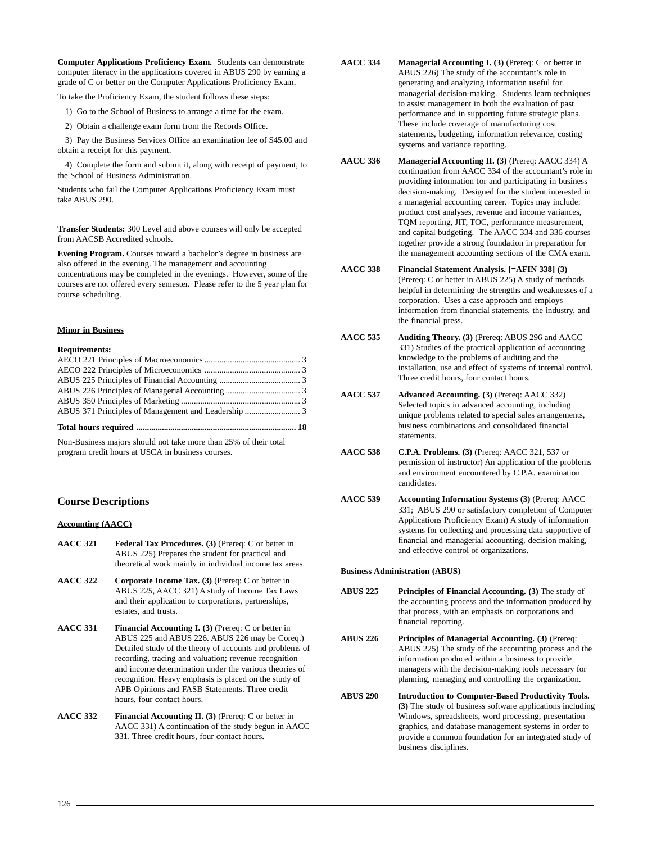**Computer Applications Proficiency Exam.** Students can demonstrate computer literacy in the applications covered in ABUS 290 by earning a grade of C or better on the Computer Applications Proficiency Exam.

To take the Proficiency Exam, the student follows these steps:

- 1) Go to the School of Business to arrange a time for the exam.
- 2) Obtain a challenge exam form from the Records Office.

3) Pay the Business Services Office an examination fee of \$45.00 and obtain a receipt for this payment.

4) Complete the form and submit it, along with receipt of payment, to the School of Business Administration.

Students who fail the Computer Applications Proficiency Exam must take ABUS 290.

**Transfer Students:** 300 Level and above courses will only be accepted from AACSB Accredited schools.

**Evening Program.** Courses toward a bachelor's degree in business are also offered in the evening. The management and accounting concentrations may be completed in the evenings. However, some of the courses are not offered every semester. Please refer to the 5 year plan for course scheduling.

## **Minor in Business**

## **Requirements:**

Non-Business majors should not take more than 25% of their total program credit hours at USCA in business courses.

## **Course Descriptions**

## **Accounting (AACC)**

- **AACC 321 Federal Tax Procedures. (3)** (Prereq: C or better in ABUS 225) Prepares the student for practical and theoretical work mainly in individual income tax areas.
- **AACC 322 Corporate Income Tax. (3)** (Prereq: C or better in ABUS 225, AACC 321) A study of Income Tax Laws and their application to corporations, partnerships, estates, and trusts.
- **AACC 331 Financial Accounting I. (3)** (Prereq: C or better in ABUS 225 and ABUS 226. ABUS 226 may be Coreq.) Detailed study of the theory of accounts and problems of recording, tracing and valuation; revenue recognition and income determination under the various theories of recognition. Heavy emphasis is placed on the study of APB Opinions and FASB Statements. Three credit hours, four contact hours.
- **AACC 332 Financial Accounting II. (3)** (Prereq: C or better in AACC 331) A continuation of the study begun in AACC 331. Three credit hours, four contact hours.
- **AACC 334 Managerial Accounting I. (3)** (Prereq: C or better in ABUS 226) The study of the accountant's role in generating and analyzing information useful for managerial decision-making. Students learn techniques to assist management in both the evaluation of past performance and in supporting future strategic plans. These include coverage of manufacturing cost statements, budgeting, information relevance, costing systems and variance reporting.
- **AACC 336 Managerial Accounting II. (3)** (Prereq: AACC 334) A continuation from AACC 334 of the accountant's role in providing information for and participating in business decision-making. Designed for the student interested in a managerial accounting career. Topics may include: product cost analyses, revenue and income variances, TQM reporting, JIT, TOC, performance measurement, and capital budgeting. The AACC 334 and 336 courses together provide a strong foundation in preparation for the management accounting sections of the CMA exam.
- **AACC 338 Financial Statement Analysis. [=AFIN 338] (3)** (Prereq: C or better in ABUS 225) A study of methods helpful in determining the strengths and weaknesses of a corporation. Uses a case approach and employs information from financial statements, the industry, and the financial press.
- **AACC 535 Auditing Theory. (3)** (Prereq: ABUS 296 and AACC 331) Studies of the practical application of accounting knowledge to the problems of auditing and the installation, use and effect of systems of internal control. Three credit hours, four contact hours.
- **AACC 537 Advanced Accounting. (3)** (Prereq: AACC 332) Selected topics in advanced accounting, including unique problems related to special sales arrangements, business combinations and consolidated financial statements.
- **AACC 538 C.P.A. Problems. (3)** (Prereq: AACC 321, 537 or permission of instructor) An application of the problems and environment encountered by C.P.A. examination candidates.
- **AACC 539 Accounting Information Systems (3)** (Prereq: AACC 331; ABUS 290 or satisfactory completion of Computer Applications Proficiency Exam) A study of information systems for collecting and processing data supportive of financial and managerial accounting, decision making, and effective control of organizations.

## **Business Administration (ABUS)**

- **ABUS 225 Principles of Financial Accounting. (3)** The study of the accounting process and the information produced by that process, with an emphasis on corporations and financial reporting.
- **ABUS 226 Principles of Managerial Accounting. (3)** (Prereq: ABUS 225) The study of the accounting process and the information produced within a business to provide managers with the decision-making tools necessary for planning, managing and controlling the organization.
- **ABUS 290 Introduction to Computer-Based Productivity Tools. (3)** The study of business software applications including Windows, spreadsheets, word processing, presentation graphics, and database management systems in order to provide a common foundation for an integrated study of business disciplines.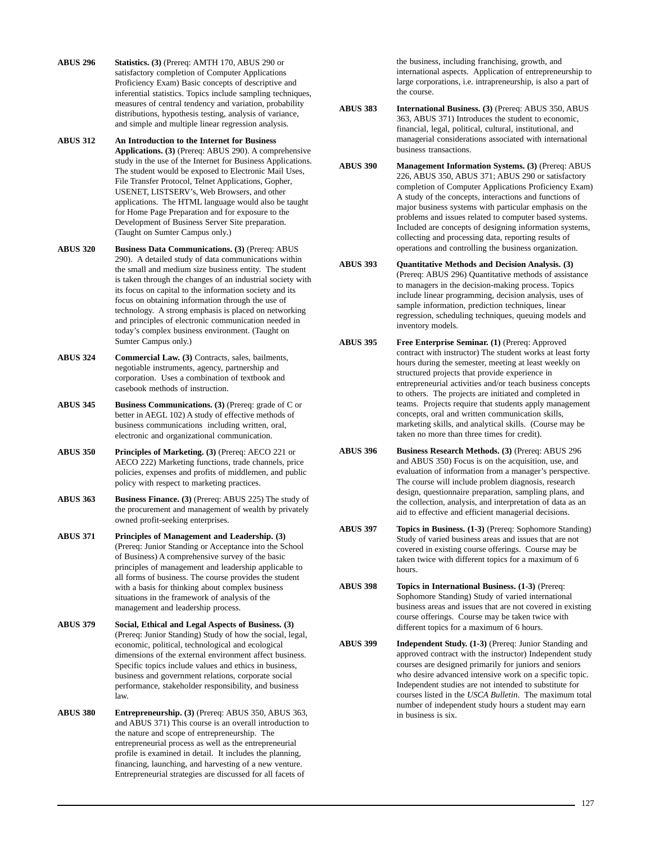- **ABUS 296 Statistics. (3)** (Prereq: AMTH 170, ABUS 290 or satisfactory completion of Computer Applications Proficiency Exam) Basic concepts of descriptive and inferential statistics. Topics include sampling techniques, measures of central tendency and variation, probability distributions, hypothesis testing, analysis of variance, and simple and multiple linear regression analysis.
- **ABUS 312 An Introduction to the Internet for Business Applications. (3)** (Prereq: ABUS 290). A comprehensive study in the use of the Internet for Business Applications. The student would be exposed to Electronic Mail Uses, File Transfer Protocol, Telnet Applications, Gopher, USENET, LISTSERV's, Web Browsers, and other applications. The HTML language would also be taught for Home Page Preparation and for exposure to the Development of Business Server Site preparation. (Taught on Sumter Campus only.)
- **ABUS 320 Business Data Communications. (3)** (Prereq: ABUS 290). A detailed study of data communications within the small and medium size business entity. The student is taken through the changes of an industrial society with its focus on capital to the information society and its focus on obtaining information through the use of technology. A strong emphasis is placed on networking and principles of electronic communication needed in today's complex business environment. (Taught on Sumter Campus only.)
- **ABUS 324 Commercial Law. (3)** Contracts, sales, bailments, negotiable instruments, agency, partnership and corporation. Uses a combination of textbook and casebook methods of instruction.
- **ABUS 345 Business Communications. (3)** (Prereq: grade of C or better in AEGL 102) A study of effective methods of business communications including written, oral, electronic and organizational communication.
- **ABUS 350 Principles of Marketing. (3)** (Prereq: AECO 221 or AECO 222) Marketing functions, trade channels, price policies, expenses and profits of middlemen, and public policy with respect to marketing practices.
- **ABUS 363 Business Finance. (3)** (Prereq: ABUS 225) The study of the procurement and management of wealth by privately owned profit-seeking enterprises.
- **ABUS 371 Principles of Management and Leadership. (3)** (Prereq: Junior Standing or Acceptance into the School of Business) A comprehensive survey of the basic principles of management and leadership applicable to all forms of business. The course provides the student with a basis for thinking about complex business situations in the framework of analysis of the management and leadership process.
- **ABUS 379 Social, Ethical and Legal Aspects of Business. (3)** (Prereq: Junior Standing) Study of how the social, legal, economic, political, technological and ecological dimensions of the external environment affect business. Specific topics include values and ethics in business, business and government relations, corporate social performance, stakeholder responsibility, and business law.
- **ABUS 380 Entrepreneurship. (3)** (Prereq: ABUS 350, ABUS 363, and ABUS 371) This course is an overall introduction to the nature and scope of entrepreneurship. The entrepreneurial process as well as the entrepreneurial profile is examined in detail. It includes the planning, financing, launching, and harvesting of a new venture. Entrepreneurial strategies are discussed for all facets of

the business, including franchising, growth, and international aspects. Application of entrepreneurship to large corporations, i.e. intrapreneurship, is also a part of the course.

- **ABUS 383 International Business. (3)** (Prereq: ABUS 350, ABUS 363, ABUS 371) Introduces the student to economic, financial, legal, political, cultural, institutional, and managerial considerations associated with international business transactions.
- **ABUS 390 Management Information Systems. (3)** (Prereq: ABUS 226, ABUS 350, ABUS 371; ABUS 290 or satisfactory completion of Computer Applications Proficiency Exam) A study of the concepts, interactions and functions of major business systems with particular emphasis on the problems and issues related to computer based systems. Included are concepts of designing information systems, collecting and processing data, reporting results of operations and controlling the business organization.
- **ABUS 393 Quantitative Methods and Decision Analysis. (3)** (Prereq: ABUS 296) Quantitative methods of assistance to managers in the decision-making process. Topics include linear programming, decision analysis, uses of sample information, prediction techniques, linear regression, scheduling techniques, queuing models and inventory models.
- **ABUS 395 Free Enterprise Seminar. (1)** (Prereq: Approved contract with instructor) The student works at least forty hours during the semester, meeting at least weekly on structured projects that provide experience in entrepreneurial activities and/or teach business concepts to others. The projects are initiated and completed in teams. Projects require that students apply management concepts, oral and written communication skills, marketing skills, and analytical skills. (Course may be taken no more than three times for credit).
- **ABUS 396 Business Research Methods. (3)** (Prereq: ABUS 296 and ABUS 350) Focus is on the acquisition, use, and evaluation of information from a manager's perspective. The course will include problem diagnosis, research design, questionnaire preparation, sampling plans, and the collection, analysis, and interpretation of data as an aid to effective and efficient managerial decisions.
- **ABUS 397 Topics in Business. (1-3)** (Prereq: Sophomore Standing) Study of varied business areas and issues that are not covered in existing course offerings. Course may be taken twice with different topics for a maximum of 6 hours.
- **ABUS 398 Topics in International Business. (1-3)** (Prereq: Sophomore Standing) Study of varied international business areas and issues that are not covered in existing course offerings. Course may be taken twice with different topics for a maximum of 6 hours.
- **ABUS 399 Independent Study. (1-3)** (Prereq: Junior Standing and approved contract with the instructor) Independent study courses are designed primarily for juniors and seniors who desire advanced intensive work on a specific topic. Independent studies are not intended to substitute for courses listed in the *USCA Bulletin*. The maximum total number of independent study hours a student may earn in business is six.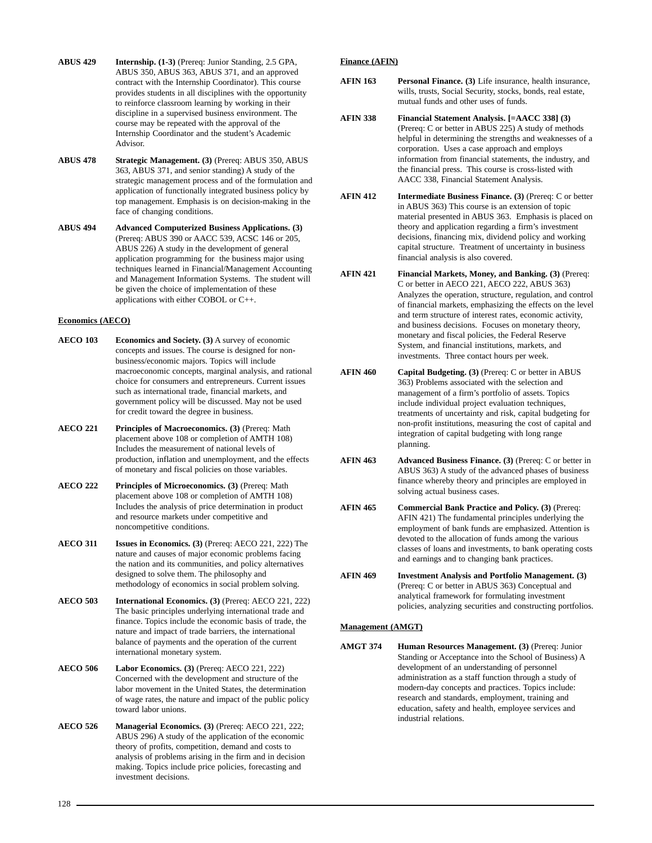- **ABUS 429 Internship. (1-3)** (Prereq: Junior Standing, 2.5 GPA, ABUS 350, ABUS 363, ABUS 371, and an approved contract with the Internship Coordinator). This course provides students in all disciplines with the opportunity to reinforce classroom learning by working in their discipline in a supervised business environment. The course may be repeated with the approval of the Internship Coordinator and the student's Academic Advisor.
- **ABUS 478 Strategic Management. (3)** (Prereq: ABUS 350, ABUS 363, ABUS 371, and senior standing) A study of the strategic management process and of the formulation and application of functionally integrated business policy by top management. Emphasis is on decision-making in the face of changing conditions.
- **ABUS 494 Advanced Computerized Business Applications. (3)** (Prereq: ABUS 390 or AACC 539, ACSC 146 or 205, ABUS 226) A study in the development of general application programming for the business major using techniques learned in Financial/Management Accounting and Management Information Systems. The student will be given the choice of implementation of these applications with either COBOL or C++.

## **Economics (AECO)**

- **AECO 103 Economics and Society. (3)** A survey of economic concepts and issues. The course is designed for nonbusiness/economic majors. Topics will include macroeconomic concepts, marginal analysis, and rational choice for consumers and entrepreneurs. Current issues such as international trade, financial markets, and government policy will be discussed. May not be used for credit toward the degree in business.
- **AECO 221 Principles of Macroeconomics. (3)** (Prereq: Math placement above 108 or completion of AMTH 108) Includes the measurement of national levels of production, inflation and unemployment, and the effects of monetary and fiscal policies on those variables.
- **AECO 222 Principles of Microeconomics. (3)** (Prereq: Math placement above 108 or completion of AMTH 108) Includes the analysis of price determination in product and resource markets under competitive and noncompetitive conditions.
- **AECO 311 Issues in Economics. (3)** (Prereq: AECO 221, 222) The nature and causes of major economic problems facing the nation and its communities, and policy alternatives designed to solve them. The philosophy and methodology of economics in social problem solving.
- **AECO 503 International Economics. (3)** (Prereq: AECO 221, 222) The basic principles underlying international trade and finance. Topics include the economic basis of trade, the nature and impact of trade barriers, the international balance of payments and the operation of the current international monetary system.
- **AECO 506 Labor Economics. (3)** (Prereq: AECO 221, 222) Concerned with the development and structure of the labor movement in the United States, the determination of wage rates, the nature and impact of the public policy toward labor unions.
- **AECO 526 Managerial Economics. (3)** (Prereq: AECO 221, 222; ABUS 296) A study of the application of the economic theory of profits, competition, demand and costs to analysis of problems arising in the firm and in decision making. Topics include price policies, forecasting and investment decisions.

## **Finance (AFIN)**

- **AFIN 163 Personal Finance. (3)** Life insurance, health insurance, wills, trusts, Social Security, stocks, bonds, real estate, mutual funds and other uses of funds.
- **AFIN 338 Financial Statement Analysis. [=AACC 338] (3)** (Prereq: C or better in ABUS 225) A study of methods helpful in determining the strengths and weaknesses of a corporation. Uses a case approach and employs information from financial statements, the industry, and the financial press. This course is cross-listed with AACC 338, Financial Statement Analysis.
- **AFIN 412 Intermediate Business Finance. (3)** (Prereq: C or better in ABUS 363) This course is an extension of topic material presented in ABUS 363. Emphasis is placed on theory and application regarding a firm's investment decisions, financing mix, dividend policy and working capital structure. Treatment of uncertainty in business financial analysis is also covered.
- **AFIN 421 Financial Markets, Money, and Banking. (3)** (Prereq: C or better in AECO 221, AECO 222, ABUS 363) Analyzes the operation, structure, regulation, and control of financial markets, emphasizing the effects on the level and term structure of interest rates, economic activity, and business decisions. Focuses on monetary theory, monetary and fiscal policies, the Federal Reserve System, and financial institutions, markets, and investments. Three contact hours per week.
- **AFIN 460 Capital Budgeting. (3)** (Prereq: C or better in ABUS 363) Problems associated with the selection and management of a firm's portfolio of assets. Topics include individual project evaluation techniques, treatments of uncertainty and risk, capital budgeting for non-profit institutions, measuring the cost of capital and integration of capital budgeting with long range planning.
- **AFIN 463 Advanced Business Finance. (3)** (Prereq: C or better in ABUS 363) A study of the advanced phases of business finance whereby theory and principles are employed in solving actual business cases.
- **AFIN 465 Commercial Bank Practice and Policy. (3)** (Prereq: AFIN 421) The fundamental principles underlying the employment of bank funds are emphasized. Attention is devoted to the allocation of funds among the various classes of loans and investments, to bank operating costs and earnings and to changing bank practices.
- **AFIN 469 Investment Analysis and Portfolio Management. (3)** (Prereq: C or better in ABUS 363) Conceptual and analytical framework for formulating investment policies, analyzing securities and constructing portfolios.

## **Management (AMGT)**

**AMGT 374 Human Resources Management. (3)** (Prereq: Junior Standing or Acceptance into the School of Business) A development of an understanding of personnel administration as a staff function through a study of modern-day concepts and practices. Topics include: research and standards, employment, training and education, safety and health, employee services and industrial relations.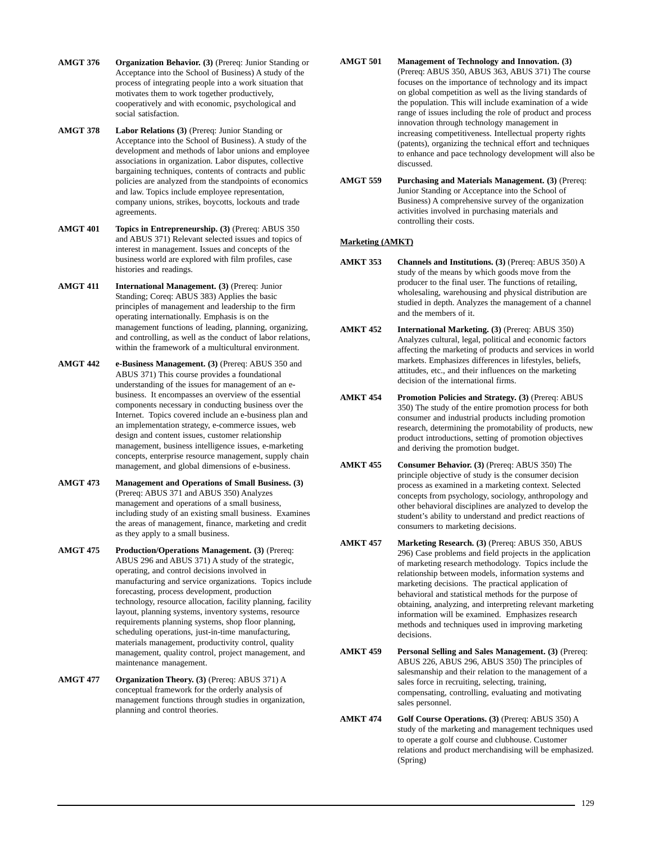- **AMGT 376 Organization Behavior. (3)** (Prereq: Junior Standing or Acceptance into the School of Business) A study of the process of integrating people into a work situation that motivates them to work together productively, cooperatively and with economic, psychological and social satisfaction.
- **AMGT 378 Labor Relations (3)** (Prereq: Junior Standing or Acceptance into the School of Business). A study of the development and methods of labor unions and employee associations in organization. Labor disputes, collective bargaining techniques, contents of contracts and public policies are analyzed from the standpoints of economics and law. Topics include employee representation, company unions, strikes, boycotts, lockouts and trade agreements.
- **AMGT 401 Topics in Entrepreneurship. (3)** (Prereq: ABUS 350 and ABUS 371) Relevant selected issues and topics of interest in management. Issues and concepts of the business world are explored with film profiles, case histories and readings.
- AMGT 411 **International Management.** (3) (Prereq: Junior Standing; Coreq: ABUS 383) Applies the basic principles of management and leadership to the firm operating internationally. Emphasis is on the management functions of leading, planning, organizing, and controlling, as well as the conduct of labor relations, within the framework of a multicultural environment.
- **AMGT 442 e-Business Management. (3)** (Prereq: ABUS 350 and ABUS 371) This course provides a foundational understanding of the issues for management of an ebusiness. It encompasses an overview of the essential components necessary in conducting business over the Internet. Topics covered include an e-business plan and an implementation strategy, e-commerce issues, web design and content issues, customer relationship management, business intelligence issues, e-marketing concepts, enterprise resource management, supply chain management, and global dimensions of e-business.
- **AMGT 473 Management and Operations of Small Business. (3)** (Prereq: ABUS 371 and ABUS 350) Analyzes management and operations of a small business, including study of an existing small business. Examines the areas of management, finance, marketing and credit as they apply to a small business.
- **AMGT 475 Production/Operations Management. (3)** (Prereq: ABUS 296 and ABUS 371) A study of the strategic, operating, and control decisions involved in manufacturing and service organizations. Topics include forecasting, process development, production technology, resource allocation, facility planning, facility layout, planning systems, inventory systems, resource requirements planning systems, shop floor planning, scheduling operations, just-in-time manufacturing, materials management, productivity control, quality management, quality control, project management, and maintenance management.
- **AMGT 477 Organization Theory. (3)** (Prereq: ABUS 371) A conceptual framework for the orderly analysis of management functions through studies in organization, planning and control theories.
- **AMGT 501 Management of Technology and Innovation. (3)** (Prereq: ABUS 350, ABUS 363, ABUS 371) The course focuses on the importance of technology and its impact on global competition as well as the living standards of the population. This will include examination of a wide range of issues including the role of product and process innovation through technology management in increasing competitiveness. Intellectual property rights (patents), organizing the technical effort and techniques to enhance and pace technology development will also be discussed.
- **AMGT 559 Purchasing and Materials Management. (3)** (Prereq: Junior Standing or Acceptance into the School of Business) A comprehensive survey of the organization activities involved in purchasing materials and controlling their costs.

## **Marketing (AMKT)**

- **AMKT 353 Channels and Institutions. (3)** (Prereq: ABUS 350) A study of the means by which goods move from the producer to the final user. The functions of retailing, wholesaling, warehousing and physical distribution are studied in depth. Analyzes the management of a channel and the members of it.
- **AMKT 452 International Marketing. (3)** (Prereq: ABUS 350) Analyzes cultural, legal, political and economic factors affecting the marketing of products and services in world markets. Emphasizes differences in lifestyles, beliefs, attitudes, etc., and their influences on the marketing decision of the international firms.
- **AMKT 454 Promotion Policies and Strategy. (3)** (Prereq: ABUS 350) The study of the entire promotion process for both consumer and industrial products including promotion research, determining the promotability of products, new product introductions, setting of promotion objectives and deriving the promotion budget.
- **AMKT 455 Consumer Behavior. (3)** (Prereq: ABUS 350) The principle objective of study is the consumer decision process as examined in a marketing context. Selected concepts from psychology, sociology, anthropology and other behavioral disciplines are analyzed to develop the student's ability to understand and predict reactions of consumers to marketing decisions.
- **AMKT 457 Marketing Research. (3)** (Prereq: ABUS 350, ABUS 296) Case problems and field projects in the application of marketing research methodology. Topics include the relationship between models, information systems and marketing decisions. The practical application of behavioral and statistical methods for the purpose of obtaining, analyzing, and interpreting relevant marketing information will be examined. Emphasizes research methods and techniques used in improving marketing decisions.
- **AMKT 459 Personal Selling and Sales Management. (3)** (Prereq: ABUS 226, ABUS 296, ABUS 350) The principles of salesmanship and their relation to the management of a sales force in recruiting, selecting, training, compensating, controlling, evaluating and motivating sales personnel.
- **AMKT 474 Golf Course Operations. (3)** (Prereq: ABUS 350) A study of the marketing and management techniques used to operate a golf course and clubhouse. Customer relations and product merchandising will be emphasized. (Spring)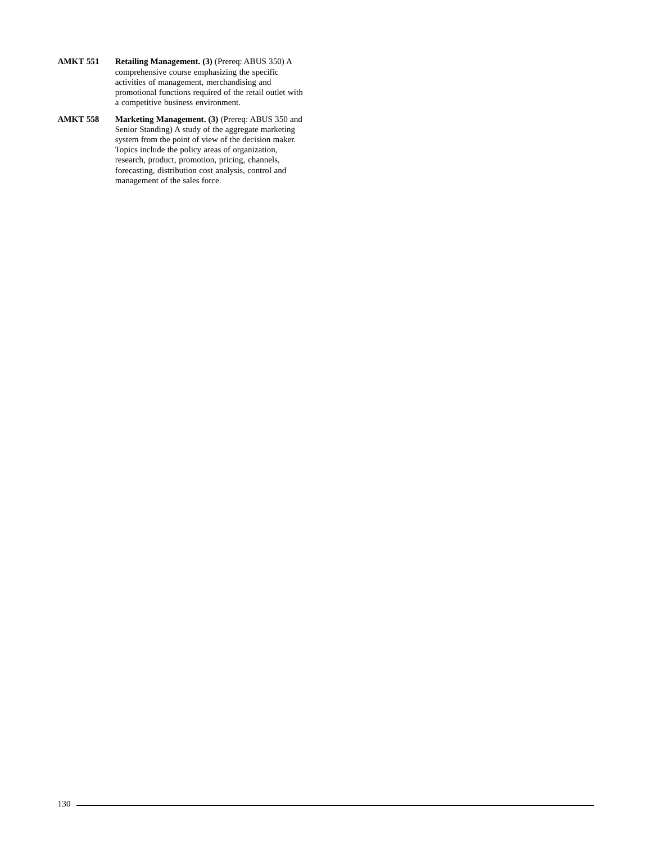- **AMKT 551 Retailing Management. (3)** (Prereq: ABUS 350) A comprehensive course emphasizing the specific activities of management, merchandising and promotional functions required of the retail outlet with a competitive business environment.
- **AMKT 558 Marketing Management. (3)** (Prereq: ABUS 350 and Senior Standing) A study of the aggregate marketing system from the point of view of the decision maker. Topics include the policy areas of organization, research, product, promotion, pricing, channels, forecasting, distribution cost analysis, control and management of the sales force.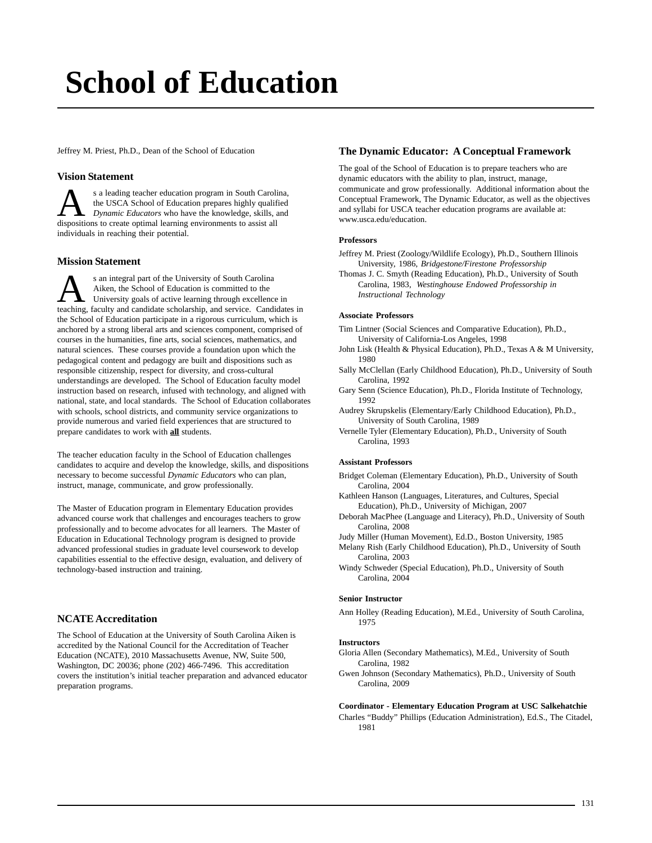## **[School of Education](http://www.usca.edu/education/)**

Jeffrey M. Priest, Ph.D., Dean of the School of Education

## **Vision Statement**

s a leading teacher education program in South Carolina, the USCA School of Education prepares highly qualified *Dynamic Educators* who have the knowledge, skills, and dispositions to create optimal learning environments to assist all individuals in reaching their potential.

## **Mission Statement**

S an integral part of the University of South Carolina<br>Aiken, the School of Education is committed to the<br>University goals of active learning through excellence in<br>teaching faculty and candidate scholarship and service. Ca Aiken, the School of Education is committed to the teaching, faculty and candidate scholarship, and service. Candidates in the School of Education participate in a rigorous curriculum, which is anchored by a strong liberal arts and sciences component, comprised of courses in the humanities, fine arts, social sciences, mathematics, and natural sciences. These courses provide a foundation upon which the pedagogical content and pedagogy are built and dispositions such as responsible citizenship, respect for diversity, and cross-cultural understandings are developed. The School of Education faculty model instruction based on research, infused with technology, and aligned with national, state, and local standards. The School of Education collaborates with schools, school districts, and community service organizations to provide numerous and varied field experiences that are structured to prepare candidates to work with **all** students.

The teacher education faculty in the School of Education challenges candidates to acquire and develop the knowledge, skills, and dispositions necessary to become successful *Dynamic Educators* who can plan, instruct, manage, communicate, and grow professionally.

The Master of Education program in Elementary Education provides advanced course work that challenges and encourages teachers to grow professionally and to become advocates for all learners. The Master of Education in Educational Technology program is designed to provide advanced professional studies in graduate level coursework to develop capabilities essential to the effective design, evaluation, and delivery of technology-based instruction and training.

## **NCATE Accreditation**

The School of Education at the University of South Carolina Aiken is accredited by the National Council for the Accreditation of Teacher Education (NCATE), 2010 Massachusetts Avenue, NW, Suite 500, Washington, DC 20036; phone (202) 466-7496. This accreditation covers the institution's initial teacher preparation and advanced educator preparation programs.

## **The Dynamic Educator: A Conceptual Framework**

The goal of the School of Education is to prepare teachers who are dynamic educators with the ability to plan, instruct, manage, communicate and grow professionally. Additional information about the Conceptual Framework, The Dynamic Educator, as well as the objectives and syllabi for USCA teacher education programs are available at: www.usca.edu/education.

## **Professors**

- Jeffrey M. Priest (Zoology/Wildlife Ecology), Ph.D., Southern Illinois University, 1986, *Bridgestone/Firestone Professorship*
- Thomas J. C. Smyth (Reading Education), Ph.D., University of South Carolina, 1983, *Westinghouse Endowed Professorship in Instructional Technology*

## **Associate Professors**

- Tim Lintner (Social Sciences and Comparative Education), Ph.D., University of California-Los Angeles, 1998
- John Lisk (Health & Physical Education), Ph.D., Texas A & M University, 1980
- Sally McClellan (Early Childhood Education), Ph.D., University of South Carolina, 1992
- Gary Senn (Science Education), Ph.D., Florida Institute of Technology, 1992
- Audrey Skrupskelis (Elementary/Early Childhood Education), Ph.D., University of South Carolina, 1989
- Vernelle Tyler (Elementary Education), Ph.D., University of South Carolina, 1993

## **Assistant Professors**

- Bridget Coleman (Elementary Education), Ph.D., University of South Carolina, 2004
- Kathleen Hanson (Languages, Literatures, and Cultures, Special Education), Ph.D., University of Michigan, 2007
- Deborah MacPhee (Language and Literacy), Ph.D., University of South Carolina, 2008
- Judy Miller (Human Movement), Ed.D., Boston University, 1985
- Melany Rish (Early Childhood Education), Ph.D., University of South Carolina, 2003
- Windy Schweder (Special Education), Ph.D., University of South Carolina, 2004

## **Senior Instructor**

Ann Holley (Reading Education), M.Ed., University of South Carolina, 1975

## **Instructors**

- Gloria Allen (Secondary Mathematics), M.Ed., University of South Carolina, 1982
- Gwen Johnson (Secondary Mathematics), Ph.D., University of South Carolina, 2009

## **Coordinator - Elementary Education Program at USC Salkehatchie**

Charles "Buddy" Phillips (Education Administration), Ed.S., The Citadel, 1981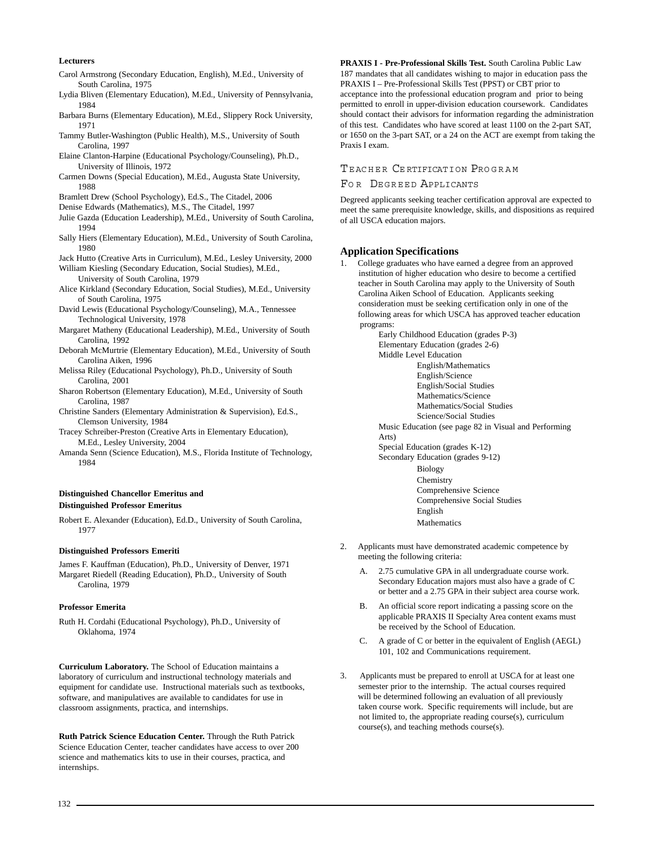## **Lecturers**

- Carol Armstrong (Secondary Education, English), M.Ed., University of South Carolina, 1975
- Lydia Bliven (Elementary Education), M.Ed., University of Pennsylvania, 1984
- Barbara Burns (Elementary Education), M.Ed., Slippery Rock University, 1971
- Tammy Butler-Washington (Public Health), M.S., University of South Carolina, 1997
- Elaine Clanton-Harpine (Educational Psychology/Counseling), Ph.D., University of Illinois, 1972
- Carmen Downs (Special Education), M.Ed., Augusta State University, 1988
- Bramlett Drew (School Psychology), Ed.S., The Citadel, 2006
- Denise Edwards (Mathematics), M.S., The Citadel, 1997
- Julie Gazda (Education Leadership), M.Ed., University of South Carolina, 1994
- Sally Hiers (Elementary Education), M.Ed., University of South Carolina, 1980
- Jack Hutto (Creative Arts in Curriculum), M.Ed., Lesley University, 2000
- William Kiesling (Secondary Education, Social Studies), M.Ed., University of South Carolina, 1979
- Alice Kirkland (Secondary Education, Social Studies), M.Ed., University of South Carolina, 1975
- David Lewis (Educational Psychology/Counseling), M.A., Tennessee Technological University, 1978
- Margaret Matheny (Educational Leadership), M.Ed., University of South Carolina, 1992
- Deborah McMurtrie (Elementary Education), M.Ed., University of South Carolina Aiken, 1996
- Melissa Riley (Educational Psychology), Ph.D., University of South Carolina, 2001
- Sharon Robertson (Elementary Education), M.Ed., University of South Carolina, 1987
- Christine Sanders (Elementary Administration & Supervision), Ed.S., Clemson University, 1984
- Tracey Schreiber-Preston (Creative Arts in Elementary Education), M.Ed., Lesley University, 2004
- Amanda Senn (Science Education), M.S., Florida Institute of Technology, 1984

## **Distinguished Chancellor Emeritus and Distinguished Professor Emeritus**

Robert E. Alexander (Education), Ed.D., University of South Carolina, 1977

## **Distinguished Professors Emeriti**

James F. Kauffman (Education), Ph.D., University of Denver, 1971 Margaret Riedell (Reading Education), Ph.D., University of South Carolina, 1979

## **Professor Emerita**

Ruth H. Cordahi (Educational Psychology), Ph.D., University of Oklahoma, 1974

**Curriculum Laboratory.** The School of Education maintains a laboratory of curriculum and instructional technology materials and equipment for candidate use. Instructional materials such as textbooks, software, and manipulatives are available to candidates for use in classroom assignments, practica, and internships.

**Ruth Patrick Science Education Center.** Through the Ruth Patrick Science Education Center, teacher candidates have access to over 200 science and mathematics kits to use in their courses, practica, and internships.

**PRAXIS I - Pre-Professional Skills Test.** South Carolina Public Law 187 mandates that all candidates wishing to major in education pass the PRAXIS I – Pre-Professional Skills Test (PPST) or CBT prior to acceptance into the professional education program and prior to being permitted to enroll in upper-division education coursework. Candidates should contact their advisors for information regarding the administration of this test. Candidates who have scored at least 1100 on the 2-part SAT, or 1650 on the 3-part SAT, or a 24 on the ACT are exempt from taking the Praxis I exam.

## TEACHER CERTIFICATION PROGRAM

## FO R DEGREED APPLICANTS

Degreed applicants seeking teacher certification approval are expected to meet the same prerequisite knowledge, skills, and dispositions as required of all USCA education majors.

## **Application Specifications**

1. College graduates who have earned a degree from an approved institution of higher education who desire to become a certified teacher in South Carolina may apply to the University of South Carolina Aiken School of Education. Applicants seeking consideration must be seeking certification only in one of the following areas for which USCA has approved teacher education programs:

> Early Childhood Education (grades P-3) Elementary Education (grades 2-6) Middle Level Education English/Mathematics English/Science English/Social Studies Mathematics/Science Mathematics/Social Studies Science/Social Studies Music Education (see page 82 in Visual and Performing Arts) Special Education (grades K-12) Secondary Education (grades 9-12) Biology **Chemistry** Comprehensive Science Comprehensive Social Studies English Mathematics

- 2. Applicants must have demonstrated academic competence by meeting the following criteria:
	- A. 2.75 cumulative GPA in all undergraduate course work. Secondary Education majors must also have a grade of C or better and a 2.75 GPA in their subject area course work.
	- B. An official score report indicating a passing score on the applicable PRAXIS II Specialty Area content exams must be received by the School of Education.
	- C. A grade of C or better in the equivalent of English (AEGL) 101, 102 and Communications requirement.
- 3. Applicants must be prepared to enroll at USCA for at least one semester prior to the internship. The actual courses required will be determined following an evaluation of all previously taken course work. Specific requirements will include, but are not limited to, the appropriate reading course(s), curriculum course(s), and teaching methods course(s).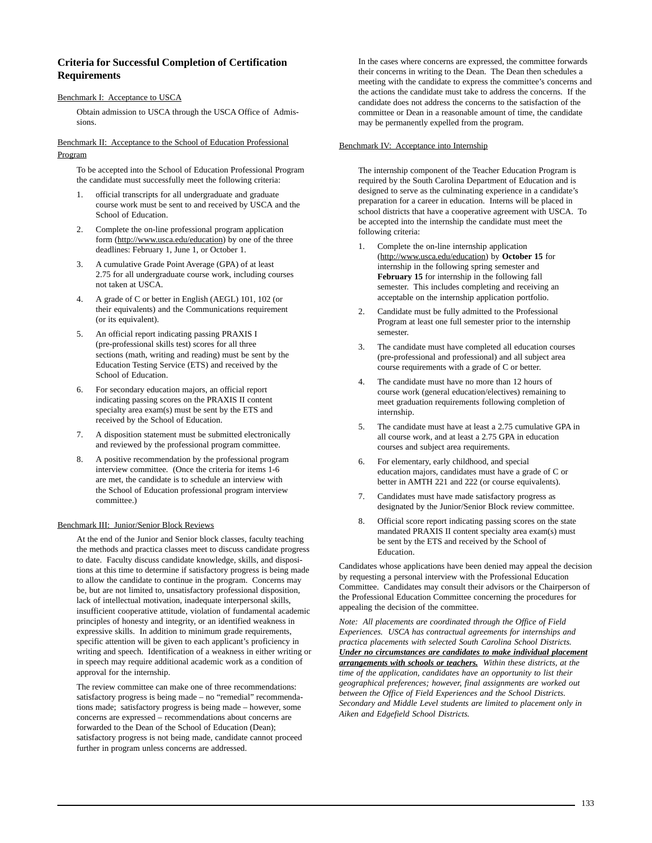## **Criteria for Successful Completion of Certification Requirements**

## Benchmark I: Acceptance to USCA

Obtain admission to USCA through the USCA Office of Admissions.

## Benchmark II: Acceptance to the School of Education Professional Program

To be accepted into the School of Education Professional Program the candidate must successfully meet the following criteria:

- 1. official transcripts for all undergraduate and graduate course work must be sent to and received by USCA and the School of Education.
- 2. Complete the on-line professional program application form (http://www.usca.edu/education) by one of the three deadlines: February 1, June 1, or October 1.
- 3. A cumulative Grade Point Average (GPA) of at least 2.75 for all undergraduate course work, including courses not taken at USCA.
- 4. A grade of C or better in English (AEGL) 101, 102 (or their equivalents) and the Communications requirement (or its equivalent).
- 5. An official report indicating passing PRAXIS I (pre-professional skills test) scores for all three sections (math, writing and reading) must be sent by the Education Testing Service (ETS) and received by the School of Education.
- For secondary education majors, an official report indicating passing scores on the PRAXIS II content specialty area exam(s) must be sent by the ETS and received by the School of Education.
- 7. A disposition statement must be submitted electronically and reviewed by the professional program committee.
- 8. A positive recommendation by the professional program interview committee. (Once the criteria for items 1-6 are met, the candidate is to schedule an interview with the School of Education professional program interview committee.)

## Benchmark III: Junior/Senior Block Reviews

At the end of the Junior and Senior block classes, faculty teaching the methods and practica classes meet to discuss candidate progress to date. Faculty discuss candidate knowledge, skills, and dispositions at this time to determine if satisfactory progress is being made to allow the candidate to continue in the program. Concerns may be, but are not limited to, unsatisfactory professional disposition, lack of intellectual motivation, inadequate interpersonal skills, insufficient cooperative attitude, violation of fundamental academic principles of honesty and integrity, or an identified weakness in expressive skills. In addition to minimum grade requirements, specific attention will be given to each applicant's proficiency in writing and speech. Identification of a weakness in either writing or in speech may require additional academic work as a condition of approval for the internship.

The review committee can make one of three recommendations: satisfactory progress is being made – no "remedial" recommendations made; satisfactory progress is being made – however, some concerns are expressed – recommendations about concerns are forwarded to the Dean of the School of Education (Dean); satisfactory progress is not being made, candidate cannot proceed further in program unless concerns are addressed.

In the cases where concerns are expressed, the committee forwards their concerns in writing to the Dean. The Dean then schedules a meeting with the candidate to express the committee's concerns and the actions the candidate must take to address the concerns. If the candidate does not address the concerns to the satisfaction of the committee or Dean in a reasonable amount of time, the candidate may be permanently expelled from the program.

## Benchmark IV: Acceptance into Internship

The internship component of the Teacher Education Program is required by the South Carolina Department of Education and is designed to serve as the culminating experience in a candidate's preparation for a career in education. Interns will be placed in school districts that have a cooperative agreement with USCA. To be accepted into the internship the candidate must meet the following criteria:

- 1. Complete the on-line internship application (http://www.usca.edu/education) by **October 15** for internship in the following spring semester and **February 15** for internship in the following fall semester. This includes completing and receiving an acceptable on the internship application portfolio.
- 2. Candidate must be fully admitted to the Professional Program at least one full semester prior to the internship semester.
- 3. The candidate must have completed all education courses (pre-professional and professional) and all subject area course requirements with a grade of C or better.
- 4. The candidate must have no more than 12 hours of course work (general education/electives) remaining to meet graduation requirements following completion of internship.
- 5. The candidate must have at least a 2.75 cumulative GPA in all course work, and at least a 2.75 GPA in education courses and subject area requirements.
- 6. For elementary, early childhood, and special education majors, candidates must have a grade of C or better in AMTH 221 and 222 (or course equivalents).
- 7. Candidates must have made satisfactory progress as designated by the Junior/Senior Block review committee.
- 8. Official score report indicating passing scores on the state mandated PRAXIS II content specialty area exam(s) must be sent by the ETS and received by the School of Education.

Candidates whose applications have been denied may appeal the decision by requesting a personal interview with the Professional Education Committee. Candidates may consult their advisors or the Chairperson of the Professional Education Committee concerning the procedures for appealing the decision of the committee.

*Note: All placements are coordinated through the Office of Field Experiences. USCA has contractual agreements for internships and practica placements with selected South Carolina School Districts. Under no circumstances are candidates to make individual placement arrangements with schools or teachers. Within these districts, at the time of the application, candidates have an opportunity to list their geographical preferences; however, final assignments are worked out between the Office of Field Experiences and the School Districts. Secondary and Middle Level students are limited to placement only in Aiken and Edgefield School Districts.*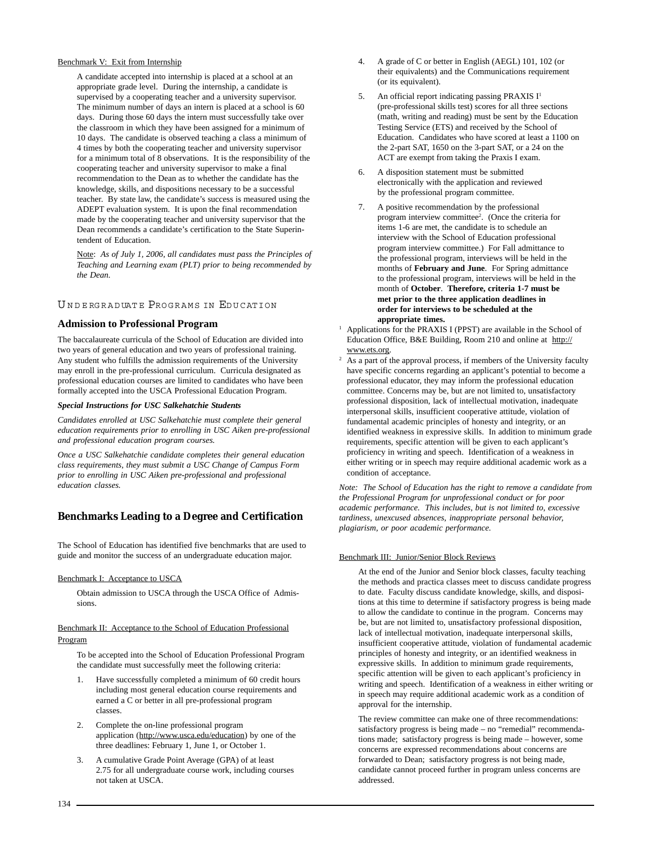## Benchmark V: Exit from Internship

A candidate accepted into internship is placed at a school at an appropriate grade level. During the internship, a candidate is supervised by a cooperating teacher and a university supervisor. The minimum number of days an intern is placed at a school is 60 days. During those 60 days the intern must successfully take over the classroom in which they have been assigned for a minimum of 10 days. The candidate is observed teaching a class a minimum of 4 times by both the cooperating teacher and university supervisor for a minimum total of 8 observations. It is the responsibility of the cooperating teacher and university supervisor to make a final recommendation to the Dean as to whether the candidate has the knowledge, skills, and dispositions necessary to be a successful teacher. By state law, the candidate's success is measured using the ADEPT evaluation system. It is upon the final recommendation made by the cooperating teacher and university supervisor that the Dean recommends a candidate's certification to the State Superintendent of Education.

Note: *As of July 1, 2006, all candidates must pass the Principles of Teaching and Learning exam (PLT) prior to being recommended by the Dean.*

## UNDERGRADUATE PROGRAMS IN EDUCATION

## **Admission to Professional Program**

The baccalaureate curricula of the School of Education are divided into two years of general education and two years of professional training. Any student who fulfills the admission requirements of the University may enroll in the pre-professional curriculum. Curricula designated as professional education courses are limited to candidates who have been formally accepted into the USCA Professional Education Program.

## *Special Instructions for USC Salkehatchie Students*

*Candidates enrolled at USC Salkehatchie must complete their general education requirements prior to enrolling in USC Aiken pre-professional and professional education program courses.*

*Once a USC Salkehatchie candidate completes their general education class requirements, they must submit a USC Change of Campus Form prior to enrolling in USC Aiken pre-professional and professional education classes.*

## **Benchmarks Leading to a Degree and Certification**

The School of Education has identified five benchmarks that are used to guide and monitor the success of an undergraduate education major.

## Benchmark I: Acceptance to USCA

Obtain admission to USCA through the USCA Office of Admissions.

## Benchmark II: Acceptance to the School of Education Professional Program

To be accepted into the School of Education Professional Program the candidate must successfully meet the following criteria:

- Have successfully completed a minimum of 60 credit hours including most general education course requirements and earned a C or better in all pre-professional program classes.
- 2. Complete the on-line professional program application (http://www.usca.edu/education) by one of the three deadlines: February 1, June 1, or October 1.
- 3. A cumulative Grade Point Average (GPA) of at least 2.75 for all undergraduate course work, including courses not taken at USCA.
- 4. A grade of C or better in English (AEGL) 101, 102 (or their equivalents) and the Communications requirement (or its equivalent).
- 5. An official report indicating passing PRAXIS  $I<sup>1</sup>$ (pre-professional skills test) scores for all three sections (math, writing and reading) must be sent by the Education Testing Service (ETS) and received by the School of Education. Candidates who have scored at least a 1100 on the 2-part SAT, 1650 on the 3-part SAT, or a 24 on the ACT are exempt from taking the Praxis I exam.
- 6. A disposition statement must be submitted electronically with the application and reviewed by the professional program committee.
- 7. A positive recommendation by the professional program interview committee2 . (Once the criteria for items 1-6 are met, the candidate is to schedule an interview with the School of Education professional program interview committee.) For Fall admittance to the professional program, interviews will be held in the months of **February and June**. For Spring admittance to the professional program, interviews will be held in the month of **October**. **Therefore, criteria 1-7 must be met prior to the three application deadlines in order for interviews to be scheduled at the appropriate times.**
- <sup>1</sup> Applications for the PRAXIS I (PPST) are available in the School of Education Office, B&E Building, Room 210 and online at http:// www.ets.org.
- $\overline{a}$  As a part of the approval process, if members of the University faculty have specific concerns regarding an applicant's potential to become a professional educator, they may inform the professional education committee. Concerns may be, but are not limited to, unsatisfactory professional disposition, lack of intellectual motivation, inadequate interpersonal skills, insufficient cooperative attitude, violation of fundamental academic principles of honesty and integrity, or an identified weakness in expressive skills. In addition to minimum grade requirements, specific attention will be given to each applicant's proficiency in writing and speech. Identification of a weakness in either writing or in speech may require additional academic work as a condition of acceptance.

*Note: The School of Education has the right to remove a candidate from the Professional Program for unprofessional conduct or for poor academic performance. This includes, but is not limited to, excessive tardiness, unexcused absences, inappropriate personal behavior, plagiarism, or poor academic performance.*

## Benchmark III: Junior/Senior Block Reviews

At the end of the Junior and Senior block classes, faculty teaching the methods and practica classes meet to discuss candidate progress to date. Faculty discuss candidate knowledge, skills, and dispositions at this time to determine if satisfactory progress is being made to allow the candidate to continue in the program. Concerns may be, but are not limited to, unsatisfactory professional disposition, lack of intellectual motivation, inadequate interpersonal skills, insufficient cooperative attitude, violation of fundamental academic principles of honesty and integrity, or an identified weakness in expressive skills. In addition to minimum grade requirements, specific attention will be given to each applicant's proficiency in writing and speech. Identification of a weakness in either writing or in speech may require additional academic work as a condition of approval for the internship.

The review committee can make one of three recommendations: satisfactory progress is being made – no "remedial" recommendations made; satisfactory progress is being made – however, some concerns are expressed recommendations about concerns are forwarded to Dean; satisfactory progress is not being made, candidate cannot proceed further in program unless concerns are addressed.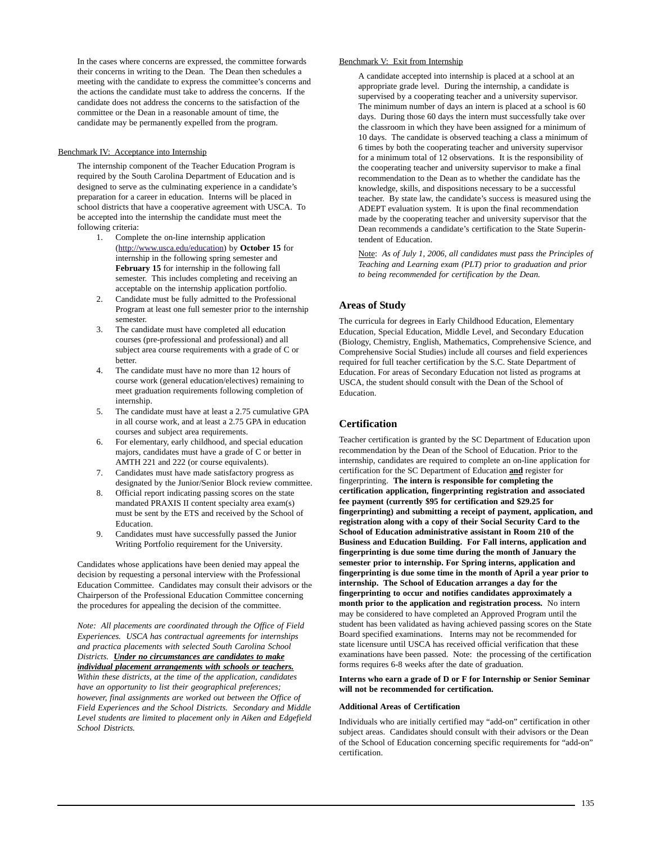In the cases where concerns are expressed, the committee forwards their concerns in writing to the Dean. The Dean then schedules a meeting with the candidate to express the committee's concerns and the actions the candidate must take to address the concerns. If the candidate does not address the concerns to the satisfaction of the committee or the Dean in a reasonable amount of time, the candidate may be permanently expelled from the program.

## Benchmark IV: Acceptance into Internship

The internship component of the Teacher Education Program is required by the South Carolina Department of Education and is designed to serve as the culminating experience in a candidate's preparation for a career in education. Interns will be placed in school districts that have a cooperative agreement with USCA. To be accepted into the internship the candidate must meet the following criteria:

- 1. Complete the on-line internship application (http://www.usca.edu/education) by **October 15** for internship in the following spring semester and **February 15** for internship in the following fall semester. This includes completing and receiving an acceptable on the internship application portfolio.
- 2. Candidate must be fully admitted to the Professional Program at least one full semester prior to the internship semester.
- 3. The candidate must have completed all education courses (pre-professional and professional) and all subject area course requirements with a grade of C or better.
- 4. The candidate must have no more than 12 hours of course work (general education/electives) remaining to meet graduation requirements following completion of internship.
- 5. The candidate must have at least a 2.75 cumulative GPA in all course work, and at least a 2.75 GPA in education courses and subject area requirements.
- 6. For elementary, early childhood, and special education majors, candidates must have a grade of C or better in AMTH 221 and 222 (or course equivalents).
- 7. Candidates must have made satisfactory progress as designated by the Junior/Senior Block review committee.
- 8. Official report indicating passing scores on the state mandated PRAXIS II content specialty area exam(s) must be sent by the ETS and received by the School of Education.
- 9. Candidates must have successfully passed the Junior Writing Portfolio requirement for the University.

Candidates whose applications have been denied may appeal the decision by requesting a personal interview with the Professional Education Committee. Candidates may consult their advisors or the Chairperson of the Professional Education Committee concerning the procedures for appealing the decision of the committee.

*Note: All placements are coordinated through the Office of Field Experiences. USCA has contractual agreements for internships and practica placements with selected South Carolina School Districts. Under no circumstances are candidates to make individual placement arrangements with schools or teachers. Within these districts, at the time of the application, candidates have an opportunity to list their geographical preferences; however, final assignments are worked out between the Office of Field Experiences and the School Districts. Secondary and Middle Level students are limited to placement only in Aiken and Edgefield School Districts.*

## Benchmark V: Exit from Internship

A candidate accepted into internship is placed at a school at an appropriate grade level. During the internship, a candidate is supervised by a cooperating teacher and a university supervisor. The minimum number of days an intern is placed at a school is 60 days. During those 60 days the intern must successfully take over the classroom in which they have been assigned for a minimum of 10 days. The candidate is observed teaching a class a minimum of 6 times by both the cooperating teacher and university supervisor for a minimum total of 12 observations. It is the responsibility of the cooperating teacher and university supervisor to make a final recommendation to the Dean as to whether the candidate has the knowledge, skills, and dispositions necessary to be a successful teacher. By state law, the candidate's success is measured using the ADEPT evaluation system. It is upon the final recommendation made by the cooperating teacher and university supervisor that the Dean recommends a candidate's certification to the State Superintendent of Education.

Note: *As of July 1, 2006, all candidates must pass the Principles of Teaching and Learning exam (PLT) prior to graduation and prior to being recommended for certification by the Dean.*

## **Areas of Study**

The curricula for degrees in Early Childhood Education, Elementary Education, Special Education, Middle Level, and Secondary Education (Biology, Chemistry, English, Mathematics, Comprehensive Science, and Comprehensive Social Studies) include all courses and field experiences required for full teacher certification by the S.C. State Department of Education. For areas of Secondary Education not listed as programs at USCA, the student should consult with the Dean of the School of Education.

## **Certification**

Teacher certification is granted by the SC Department of Education upon recommendation by the Dean of the School of Education. Prior to the internship, candidates are required to complete an on-line application for certification for the SC Department of Education **and** register for fingerprinting. **The intern is responsible for completing the certification application, fingerprinting registration and associated fee payment (currently \$95 for certification and \$29.25 for fingerprinting) and submitting a receipt of payment, application, and registration along with a copy of their Social Security Card to the School of Education administrative assistant in Room 210 of the Business and Education Building. For Fall interns, application and fingerprinting is due some time during the month of January the semester prior to internship. For Spring interns, application and fingerprinting is due some time in the month of April a year prior to internship. The School of Education arranges a day for the fingerprinting to occur and notifies candidates approximately a month prior to the application and registration process.** No intern may be considered to have completed an Approved Program until the student has been validated as having achieved passing scores on the State Board specified examinations. Interns may not be recommended for state licensure until USCA has received official verification that these examinations have been passed. Note: the processing of the certification forms requires 6-8 weeks after the date of graduation.

## **Interns who earn a grade of D or F for Internship or Senior Seminar will not be recommended for certification.**

## **Additional Areas of Certification**

Individuals who are initially certified may "add-on" certification in other subject areas. Candidates should consult with their advisors or the Dean of the School of Education concerning specific requirements for "add-on" certification.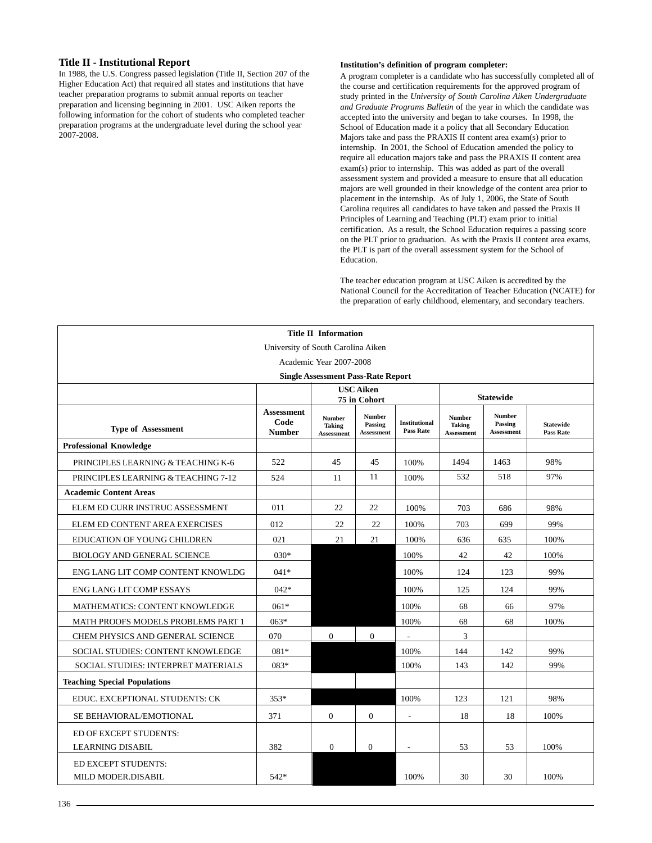## **Title II - Institutional Report**

In 1988, the U.S. Congress passed legislation (Title II, Section 207 of the Higher Education Act) that required all states and institutions that have teacher preparation programs to submit annual reports on teacher preparation and licensing beginning in 2001. USC Aiken reports the following information for the cohort of students who completed teacher preparation programs at the undergraduate level during the school year 2007-2008.

## **Institution's definition of program completer:**

A program completer is a candidate who has successfully completed all of the course and certification requirements for the approved program of study printed in the *University of South Carolina Aiken Undergraduate and Graduate Programs Bulletin* of the year in which the candidate was accepted into the university and began to take courses. In 1998, the School of Education made it a policy that all Secondary Education Majors take and pass the PRAXIS II content area exam(s) prior to internship. In 2001, the School of Education amended the policy to require all education majors take and pass the PRAXIS II content area exam(s) prior to internship. This was added as part of the overall assessment system and provided a measure to ensure that all education majors are well grounded in their knowledge of the content area prior to placement in the internship. As of July 1, 2006, the State of South Carolina requires all candidates to have taken and passed the Praxis II Principles of Learning and Teaching (PLT) exam prior to initial certification. As a result, the School Education requires a passing score on the PLT prior to graduation. As with the Praxis II content area exams, the PLT is part of the overall assessment system for the School of Education.

The teacher education program at USC Aiken is accredited by the National Council for the Accreditation of Teacher Education (NCATE) for the preparation of early childhood, elementary, and secondary teachers.

| <b>Title II Information</b>                          |                                            |                                                     |                                               |                                          |                                                     |                                               |                                      |
|------------------------------------------------------|--------------------------------------------|-----------------------------------------------------|-----------------------------------------------|------------------------------------------|-----------------------------------------------------|-----------------------------------------------|--------------------------------------|
| University of South Carolina Aiken                   |                                            |                                                     |                                               |                                          |                                                     |                                               |                                      |
| Academic Year 2007-2008                              |                                            |                                                     |                                               |                                          |                                                     |                                               |                                      |
| <b>Single Assessment Pass-Rate Report</b>            |                                            |                                                     |                                               |                                          |                                                     |                                               |                                      |
| <b>USC</b> Aiken<br><b>Statewide</b><br>75 in Cohort |                                            |                                                     |                                               |                                          |                                                     |                                               |                                      |
| <b>Type of Assessment</b>                            | <b>Assessment</b><br>Code<br><b>Number</b> | <b>Number</b><br><b>Taking</b><br><b>Assessment</b> | <b>Number</b><br>Passing<br><b>Assessment</b> | <b>Institutional</b><br><b>Pass Rate</b> | <b>Number</b><br><b>Taking</b><br><b>Assessment</b> | <b>Number</b><br>Passing<br><b>Assessment</b> | <b>Statewide</b><br><b>Pass Rate</b> |
| <b>Professional Knowledge</b>                        |                                            |                                                     |                                               |                                          |                                                     |                                               |                                      |
| PRINCIPLES LEARNING & TEACHING K-6                   | 522                                        | 45                                                  | 45                                            | 100%                                     | 1494                                                | 1463                                          | 98%                                  |
| PRINCIPLES LEARNING & TEACHING 7-12                  | 524                                        | 11                                                  | 11                                            | 100%                                     | 532                                                 | 518                                           | 97%                                  |
| <b>Academic Content Areas</b>                        |                                            |                                                     |                                               |                                          |                                                     |                                               |                                      |
| ELEM ED CURR INSTRUC ASSESSMENT                      | 011                                        | 22                                                  | 22                                            | 100%                                     | 703                                                 | 686                                           | 98%                                  |
| ELEM ED CONTENT AREA EXERCISES                       | 012                                        | 22                                                  | 22                                            | 100%                                     | 703                                                 | 699                                           | 99%                                  |
| <b>EDUCATION OF YOUNG CHILDREN</b>                   | 021                                        | 21                                                  | 21                                            | 100%                                     | 636                                                 | 635                                           | 100%                                 |
| BIOLOGY AND GENERAL SCIENCE                          | $030*$                                     |                                                     |                                               | 100%                                     | 42                                                  | 42                                            | 100%                                 |
| ENG LANG LIT COMP CONTENT KNOWLDG                    | $041*$                                     |                                                     |                                               | 100%                                     | 124                                                 | 123                                           | 99%                                  |
| <b>ENG LANG LIT COMP ESSAYS</b>                      | $042*$                                     |                                                     |                                               | 100%                                     | 125                                                 | 124                                           | 99%                                  |
| MATHEMATICS: CONTENT KNOWLEDGE                       | $061*$                                     |                                                     |                                               | 100%                                     | 68                                                  | 66                                            | 97%                                  |
| <b>MATH PROOFS MODELS PROBLEMS PART 1</b>            | $063*$                                     |                                                     |                                               | 100%                                     | 68                                                  | 68                                            | 100%                                 |
| CHEM PHYSICS AND GENERAL SCIENCE                     | 070                                        | $\mathbf{0}$                                        | $\overline{0}$                                | $\overline{a}$                           | 3                                                   |                                               |                                      |
| SOCIAL STUDIES: CONTENT KNOWLEDGE                    | 081*                                       |                                                     |                                               | 100%                                     | 144                                                 | 142                                           | 99%                                  |
| SOCIAL STUDIES: INTERPRET MATERIALS                  | 083*                                       |                                                     |                                               | 100%                                     | 143                                                 | 142                                           | 99%                                  |
| <b>Teaching Special Populations</b>                  |                                            |                                                     |                                               |                                          |                                                     |                                               |                                      |
| EDUC. EXCEPTIONAL STUDENTS: CK                       | $353*$                                     |                                                     |                                               | 100%                                     | 123                                                 | 121                                           | 98%                                  |
| SE BEHAVIORAL/EMOTIONAL                              | 371                                        | $\Omega$                                            | $\mathbf{0}$                                  | ÷,                                       | 18                                                  | 18                                            | 100%                                 |
| ED OF EXCEPT STUDENTS:                               |                                            |                                                     |                                               |                                          |                                                     |                                               |                                      |
| <b>LEARNING DISABIL</b>                              | 382                                        | $\mathbf{0}$                                        | $\mathbf{0}$                                  | $\overline{\phantom{a}}$                 | 53                                                  | 53                                            | 100%                                 |
| ED EXCEPT STUDENTS:<br>MILD MODER.DISABIL            | $542*$                                     |                                                     |                                               | 100%                                     | 30                                                  | 30                                            | 100%                                 |
|                                                      |                                            |                                                     |                                               |                                          |                                                     |                                               |                                      |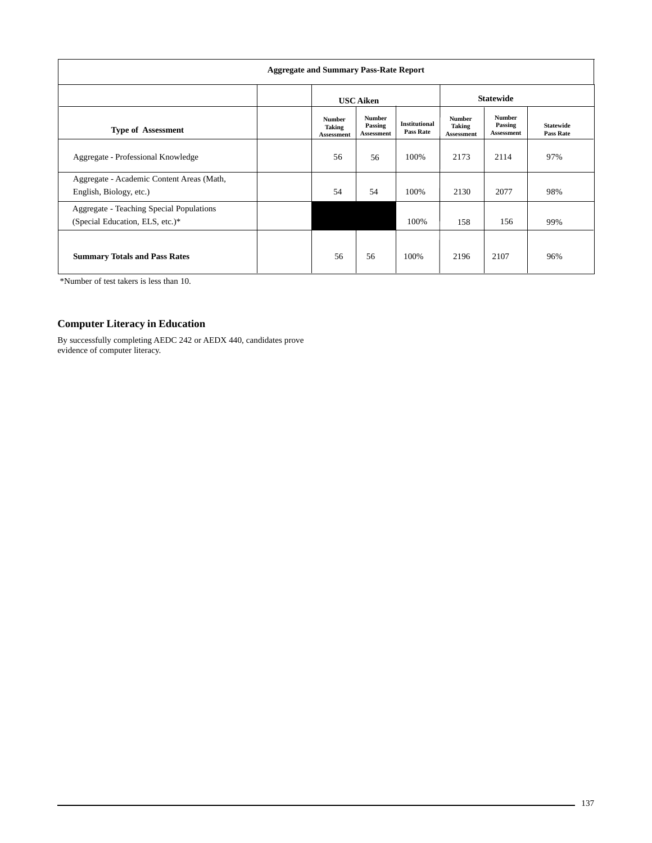| <b>Aggregate and Summary Pass-Rate Report</b>                               |                                                     |                                               |                                          |                                                     |                                               |                                      |  |
|-----------------------------------------------------------------------------|-----------------------------------------------------|-----------------------------------------------|------------------------------------------|-----------------------------------------------------|-----------------------------------------------|--------------------------------------|--|
|                                                                             |                                                     | <b>USC Aiken</b>                              |                                          |                                                     | <b>Statewide</b>                              |                                      |  |
| <b>Type of Assessment</b>                                                   | <b>Number</b><br><b>Taking</b><br><b>Assessment</b> | <b>Number</b><br>Passing<br><b>Assessment</b> | <b>Institutional</b><br><b>Pass Rate</b> | <b>Number</b><br><b>Taking</b><br><b>Assessment</b> | <b>Number</b><br>Passing<br><b>Assessment</b> | <b>Statewide</b><br><b>Pass Rate</b> |  |
| Aggregate - Professional Knowledge                                          | 56                                                  | 56                                            | 100%                                     | 2173                                                | 2114                                          | 97%                                  |  |
| Aggregate - Academic Content Areas (Math,<br>English, Biology, etc.)        | 54                                                  | 54                                            | 100%                                     | 2130                                                | 2077                                          | 98%                                  |  |
| Aggregate - Teaching Special Populations<br>(Special Education, ELS, etc.)* |                                                     |                                               | 100%                                     | 158                                                 | 156                                           | 99%                                  |  |
| <b>Summary Totals and Pass Rates</b>                                        | 56                                                  | 56                                            | 100%                                     | 2196                                                | 2107                                          | 96%                                  |  |

\*Number of test takers is less than 10.

## **Computer Literacy in Education**

By successfully completing AEDC 242 or AEDX 440, candidates prove evidence of computer literacy.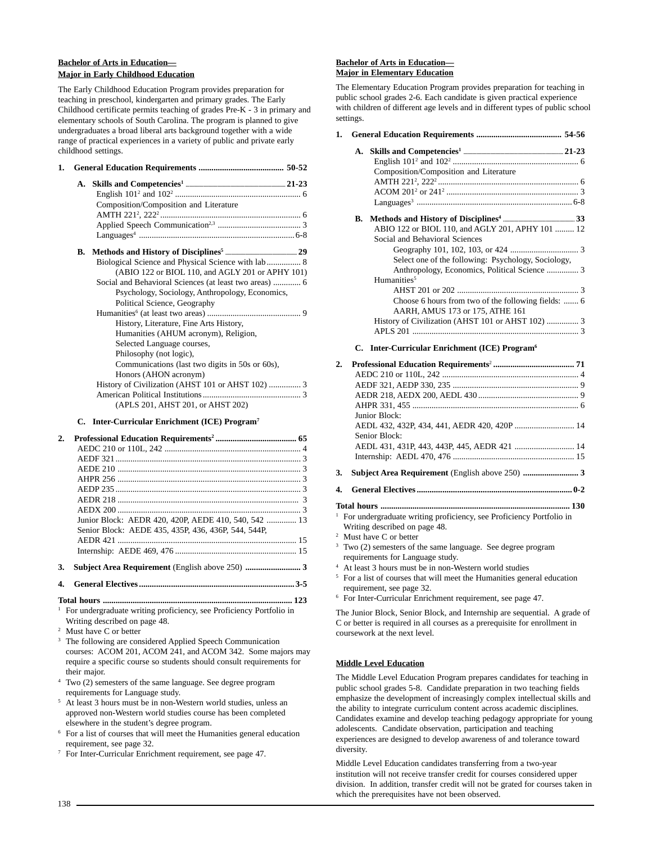## **Bachelor of Arts in Education— Major in Early Childhood Education**

The Early Childhood Education Program provides preparation for teaching in preschool, kindergarten and primary grades. The Early Childhood certificate permits teaching of grades Pre-K - 3 in primary and elementary schools of South Carolina. The program is planned to give undergraduates a broad liberal arts background together with a wide range of practical experiences in a variety of public and private early childhood settings.

| 1. |    |                                                        |
|----|----|--------------------------------------------------------|
|    | A. |                                                        |
|    |    |                                                        |
|    |    | Composition/Composition and Literature                 |
|    |    |                                                        |
|    |    |                                                        |
|    |    |                                                        |
|    |    |                                                        |
|    |    | Biological Science and Physical Science with lab 8     |
|    |    | (ABIO 122 or BIOL 110, and AGLY 201 or APHY 101)       |
|    |    | Social and Behavioral Sciences (at least two areas)  6 |
|    |    | Psychology, Sociology, Anthropology, Economics,        |
|    |    | Political Science, Geography                           |
|    |    |                                                        |
|    |    | History, Literature, Fine Arts History,                |
|    |    | Humanities (AHUM acronym), Religion,                   |
|    |    | Selected Language courses,                             |
|    |    | Philosophy (not logic),                                |
|    |    | Communications (last two digits in 50s or 60s),        |
|    |    | Honors (AHON acronym)                                  |
|    |    |                                                        |
|    |    |                                                        |
|    |    | (APLS 201, AHST 201, or AHST 202)                      |
|    |    |                                                        |

## **C. Inter-Curricular Enrichment (ICE) Program7**

| 2. |                                                      |  |
|----|------------------------------------------------------|--|
|    |                                                      |  |
|    |                                                      |  |
|    |                                                      |  |
|    |                                                      |  |
|    |                                                      |  |
|    |                                                      |  |
|    |                                                      |  |
|    | Junior Block: AEDR 420, 420P, AEDE 410, 540, 542  13 |  |
|    | Senior Block: AEDE 435, 435P, 436, 436P, 544, 544P.  |  |
|    |                                                      |  |
|    |                                                      |  |
| 3. |                                                      |  |

- **4. General Electives ......................................................................... 3-5**
- **Total hours ......................................................................................... 123**

<sup>1</sup> For undergraduate writing proficiency, see Proficiency Portfolio in Writing described on page 48.

<sup>2</sup> Must have C or better

<sup>3</sup> The following are considered Applied Speech Communication courses: ACOM 201, ACOM 241, and ACOM 342. Some majors may require a specific course so students should consult requirements for their major.

- <sup>4</sup> Two (2) semesters of the same language. See degree program requirements for Language study.
- <sup>5</sup> At least 3 hours must be in non-Western world studies, unless an approved non-Western world studies course has been completed elsewhere in the student's degree program.
- <sup>6</sup> For a list of courses that will meet the Humanities general education requirement, see page 32.
- <sup>7</sup> For Inter-Curricular Enrichment requirement, see page 47.

## **Bachelor of Arts in Education— Major in Elementary Education**

The Elementary Education Program provides preparation for teaching in public school grades 2-6. Each candidate is given practical experience with children of different age levels and in different types of public school settings.

|  | Composition/Composition and Literature              |
|--|-----------------------------------------------------|
|  |                                                     |
|  |                                                     |
|  |                                                     |
|  |                                                     |
|  | ABIO 122 or BIOL 110, and AGLY 201, APHY 101  12    |
|  | Social and Behavioral Sciences                      |
|  |                                                     |
|  | Select one of the following: Psychology, Sociology, |
|  |                                                     |
|  | Humanities <sup>5</sup>                             |
|  |                                                     |
|  | Choose 6 hours from two of the following fields:  6 |
|  | AARH, AMUS 173 or 175, ATHE 161                     |
|  | History of Civilization (AHST 101 or AHST 102)  3   |
|  |                                                     |
|  |                                                     |

## **C. Inter-Curricular Enrichment (ICE) Program6**

| 2. |                                                                                  |  |
|----|----------------------------------------------------------------------------------|--|
|    |                                                                                  |  |
|    |                                                                                  |  |
|    |                                                                                  |  |
|    |                                                                                  |  |
|    | Junior Block:                                                                    |  |
|    | AEDL 432, 432P, 434, 441, AEDR 420, 420P  14                                     |  |
|    | Senior Block:                                                                    |  |
|    |                                                                                  |  |
|    |                                                                                  |  |
| 3. | Subject Area Requirement (English above 250)  3                                  |  |
| 4. |                                                                                  |  |
|    |                                                                                  |  |
|    | <sup>1</sup> For undergraduate writing proficiency, see Proficiency Portfolio in |  |
|    | Writing described on page 48.                                                    |  |
|    | $2M+1$ $2M$                                                                      |  |

- <sup>2</sup> Must have C or better
- <sup>3</sup> Two (2) semesters of the same language. See degree program requirements for Language study.
- At least 3 hours must be in non-Western world studies
- <sup>5</sup> For a list of courses that will meet the Humanities general education requirement, see page 32.
- <sup>6</sup> For Inter-Curricular Enrichment requirement, see page 47.

The Junior Block, Senior Block, and Internship are sequential. A grade of C or better is required in all courses as a prerequisite for enrollment in coursework at the next level.

## **Middle Level Education**

The Middle Level Education Program prepares candidates for teaching in public school grades 5-8. Candidate preparation in two teaching fields emphasize the development of increasingly complex intellectual skills and the ability to integrate curriculum content across academic disciplines. Candidates examine and develop teaching pedagogy appropriate for young adolescents. Candidate observation, participation and teaching experiences are designed to develop awareness of and tolerance toward diversity.

Middle Level Education candidates transferring from a two-year institution will not receive transfer credit for courses considered upper division. In addition, transfer credit will not be grated for courses taken in which the prerequisites have not been observed.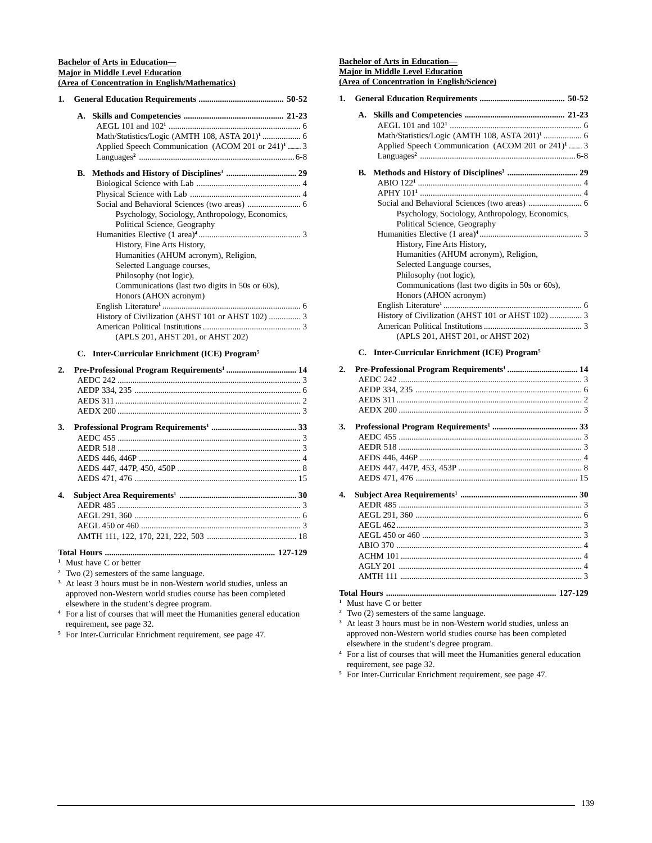## **Bachelor of Arts in Education— Major in Middle Level Education (Area of Concentration in English/Mathematics)**

| 1. |    |                                                               |
|----|----|---------------------------------------------------------------|
|    |    |                                                               |
|    |    |                                                               |
|    |    | Math/Statistics/Logic (AMTH 108, ASTA 201) <sup>1</sup> 6     |
|    |    | Applied Speech Communication (ACOM 201 or 241) <sup>1</sup> 3 |
|    |    |                                                               |
|    | В. |                                                               |
|    |    |                                                               |
|    |    |                                                               |
|    |    |                                                               |
|    |    | Psychology, Sociology, Anthropology, Economics,               |
|    |    | Political Science, Geography                                  |
|    |    |                                                               |
|    |    | History, Fine Arts History,                                   |
|    |    | Humanities (AHUM acronym), Religion,                          |
|    |    | Selected Language courses,                                    |
|    |    | Philosophy (not logic),                                       |
|    |    | Communications (last two digits in 50s or 60s),               |
|    |    | Honors (AHON acronym)                                         |
|    |    |                                                               |
|    |    | History of Civilization (AHST 101 or AHST 102)  3             |
|    |    |                                                               |
|    |    | (APLS 201, AHST 201, or AHST 202)                             |
|    |    |                                                               |

**C. Inter-Curricular Enrichment (ICE) Program5**

| 2. |  |
|----|--|
|    |  |
|    |  |
|    |  |
|    |  |
| 3. |  |
|    |  |
|    |  |
|    |  |
|    |  |
|    |  |
| 4. |  |
|    |  |
|    |  |
|    |  |
|    |  |
|    |  |

**<sup>1</sup>** Must have C or better

**<sup>2</sup>** Two (2) semesters of the same language.

**<sup>3</sup>** At least 3 hours must be in non-Western world studies, unless an approved non-Western world studies course has been completed elsewhere in the student's degree program.

**<sup>4</sup>** For a list of courses that will meet the Humanities general education requirement, see page 32.

**<sup>5</sup>** For Inter-Curricular Enrichment requirement, see page 47.

## **Bachelor of Arts in Education— Major in Middle Level Education (Area of Concentration in English/Science)**

| 1.               |                                                               |  |
|------------------|---------------------------------------------------------------|--|
|                  |                                                               |  |
|                  | Math/Statistics/Logic (AMTH 108, ASTA 201) <sup>1</sup> 6     |  |
|                  | Applied Speech Communication (ACOM 201 or 241) <sup>1</sup> 3 |  |
|                  |                                                               |  |
|                  | В.                                                            |  |
|                  |                                                               |  |
|                  |                                                               |  |
|                  |                                                               |  |
|                  | Psychology, Sociology, Anthropology, Economics,               |  |
|                  | Political Science, Geography                                  |  |
|                  |                                                               |  |
|                  | History, Fine Arts History,                                   |  |
|                  | Humanities (AHUM acronym), Religion,                          |  |
|                  | Selected Language courses,                                    |  |
|                  | Philosophy (not logic),                                       |  |
|                  | Communications (last two digits in 50s or 60s),               |  |
|                  | Honors (AHON acronym)                                         |  |
|                  |                                                               |  |
|                  | History of Civilization (AHST 101 or AHST 102)  3             |  |
|                  |                                                               |  |
|                  | (APLS 201, AHST 201, or AHST 202)                             |  |
|                  | C. Inter-Curricular Enrichment (ICE) Program <sup>5</sup>     |  |
| $\overline{2}$ . | Pre-Professional Program Requirements <sup>1</sup> 14         |  |
|                  |                                                               |  |
|                  |                                                               |  |
|                  |                                                               |  |
|                  |                                                               |  |
| 3.               |                                                               |  |
|                  |                                                               |  |
|                  |                                                               |  |
|                  |                                                               |  |
|                  |                                                               |  |

| 4. |  |
|----|--|
|    |  |
|    |  |
|    |  |
|    |  |
|    |  |
|    |  |
|    |  |
|    |  |
|    |  |

AEDS 471, 476 ............................................................................ 15

**<sup>1</sup>** Must have C or better

**<sup>2</sup>** Two (2) semesters of the same language.

**<sup>3</sup>** At least 3 hours must be in non-Western world studies, unless an approved non-Western world studies course has been completed elsewhere in the student's degree program.

**<sup>4</sup>** For a list of courses that will meet the Humanities general education requirement, see page 32.

**<sup>5</sup>** For Inter-Curricular Enrichment requirement, see page 47.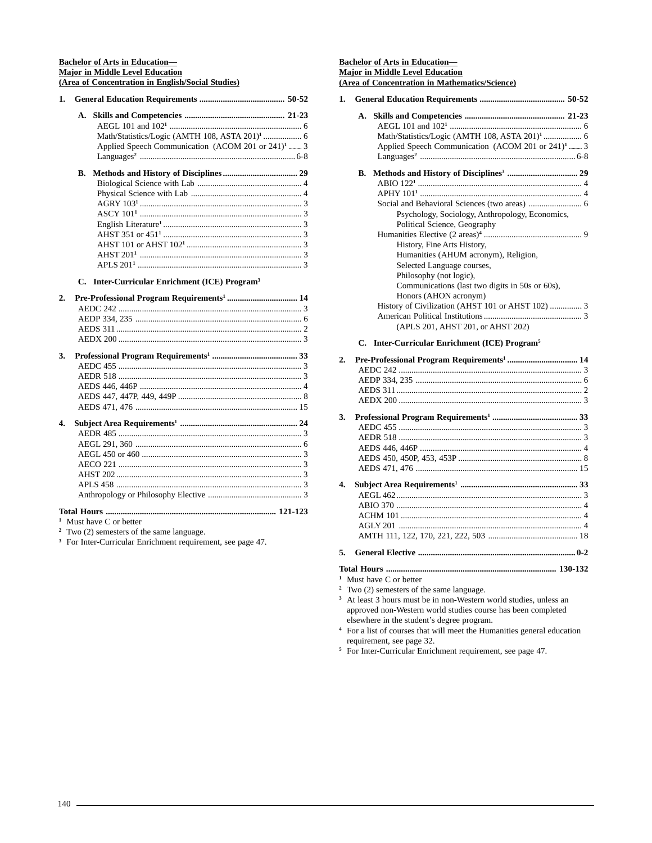## **Bachelor of Arts in Education— Major in Middle Level Education (Area of Concentration in English/Social Studies)**

| 1. |                                                       |                                                               |  |
|----|-------------------------------------------------------|---------------------------------------------------------------|--|
|    | A.                                                    |                                                               |  |
|    |                                                       |                                                               |  |
|    |                                                       | Math/Statistics/Logic (AMTH 108, ASTA 201) <sup>1</sup> 6     |  |
|    |                                                       | Applied Speech Communication (ACOM 201 or 241) <sup>1</sup> 3 |  |
|    |                                                       |                                                               |  |
|    | B.                                                    |                                                               |  |
|    |                                                       |                                                               |  |
|    |                                                       |                                                               |  |
|    |                                                       |                                                               |  |
|    |                                                       |                                                               |  |
|    |                                                       |                                                               |  |
|    |                                                       |                                                               |  |
|    |                                                       |                                                               |  |
|    |                                                       |                                                               |  |
|    |                                                       |                                                               |  |
|    | C.                                                    | Inter-Curricular Enrichment (ICE) Program <sup>3</sup>        |  |
| 2. | Pre-Professional Program Requirements <sup>1</sup> 14 |                                                               |  |
|    |                                                       |                                                               |  |
|    |                                                       |                                                               |  |
|    |                                                       |                                                               |  |
|    |                                                       |                                                               |  |
| 3. |                                                       |                                                               |  |
|    |                                                       |                                                               |  |
|    |                                                       |                                                               |  |
|    |                                                       |                                                               |  |
|    |                                                       |                                                               |  |
|    |                                                       |                                                               |  |
| 4. |                                                       |                                                               |  |
|    |                                                       |                                                               |  |
|    |                                                       |                                                               |  |
|    |                                                       |                                                               |  |
|    |                                                       |                                                               |  |
|    |                                                       |                                                               |  |
|    |                                                       |                                                               |  |
|    |                                                       |                                                               |  |
|    |                                                       |                                                               |  |

**<sup>1</sup>** Must have C or better

**<sup>2</sup>** Two (2) semesters of the same language.

<sup>3</sup> For Inter-Curricular Enrichment requirement, see page 47.

## **Bachelor of Arts in Education— Major in Middle Level Education (Area of Concentration in Mathematics/Science)**

| 1. |                                                                                                                                                                                                                                                                                                                                                                                             |
|----|---------------------------------------------------------------------------------------------------------------------------------------------------------------------------------------------------------------------------------------------------------------------------------------------------------------------------------------------------------------------------------------------|
|    | A.<br>Math/Statistics/Logic (AMTH 108, ASTA 201) <sup>1</sup> 6<br>Applied Speech Communication (ACOM 201 or 241) <sup>1</sup> 3                                                                                                                                                                                                                                                            |
|    | В.<br>Psychology, Sociology, Anthropology, Economics,<br>Political Science, Geography<br>History, Fine Arts History,<br>Humanities (AHUM acronym), Religion,<br>Selected Language courses,<br>Philosophy (not logic),<br>Communications (last two digits in 50s or 60s),<br>Honors (AHON acronym)<br>History of Civilization (AHST 101 or AHST 102)  3<br>(APLS 201, AHST 201, or AHST 202) |
|    | Inter-Curricular Enrichment (ICE) Program <sup>5</sup><br>C.                                                                                                                                                                                                                                                                                                                                |
| 2. | Pre-Professional Program Requirements <sup>1</sup> 14                                                                                                                                                                                                                                                                                                                                       |
| 3. |                                                                                                                                                                                                                                                                                                                                                                                             |
| 4. |                                                                                                                                                                                                                                                                                                                                                                                             |

**5. General Elective .......................................................................... 0-2**

**Total Hours ................................................................................ 130-132**

**<sup>1</sup>** Must have C or better

**<sup>2</sup>** Two (2) semesters of the same language. <sup>3</sup> At least 3 hours must be in non-Western world studies, unless an approved non-Western world studies course has been completed elsewhere in the student's degree program.

**<sup>4</sup>** For a list of courses that will meet the Humanities general education requirement, see page 32.

**<sup>5</sup>** For Inter-Curricular Enrichment requirement, see page 47.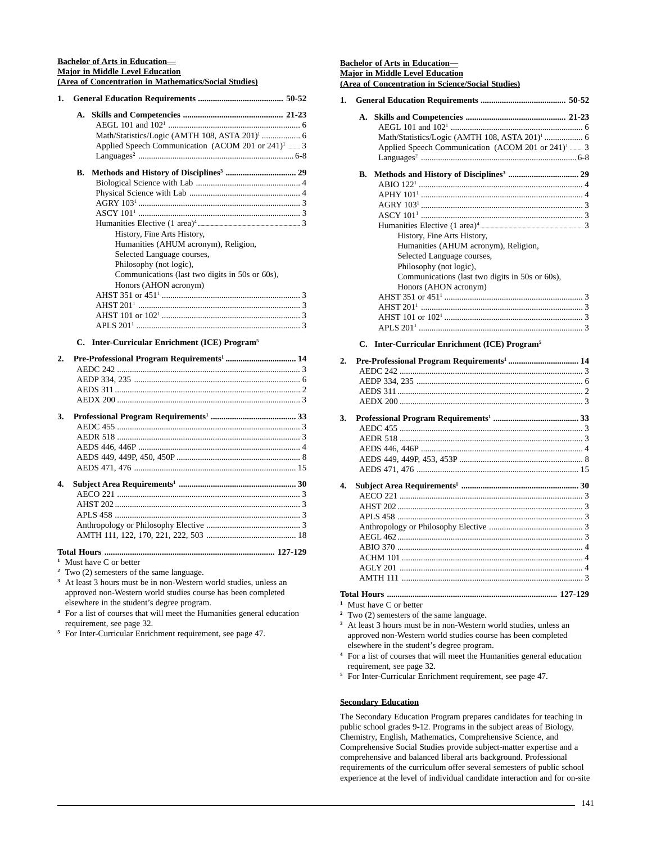### **Bachelor of Arts in Education— Major in Middle Level Education (Area of Concentration in Mathematics/Social Studies)**

|    | Math/Statistics/Logic (AMTH 108, ASTA 201) <sup>1</sup> 6<br>Applied Speech Communication (ACOM 201 or 241) <sup>1</sup> 3 |
|----|----------------------------------------------------------------------------------------------------------------------------|
| В. |                                                                                                                            |
|    |                                                                                                                            |
|    |                                                                                                                            |
|    |                                                                                                                            |
|    |                                                                                                                            |
|    |                                                                                                                            |
|    | History, Fine Arts History,                                                                                                |
|    | Humanities (AHUM acronym), Religion,                                                                                       |
|    | Selected Language courses,                                                                                                 |
|    | Philosophy (not logic),                                                                                                    |
|    | Communications (last two digits in 50s or 60s),                                                                            |
|    | Honors (AHON acronym)                                                                                                      |
|    |                                                                                                                            |
|    |                                                                                                                            |
|    |                                                                                                                            |
|    |                                                                                                                            |

### **C. Inter-Curricular Enrichment (ICE) Program5**

| 2. |                                                                                                                                                                                                                                                                                                             |  |
|----|-------------------------------------------------------------------------------------------------------------------------------------------------------------------------------------------------------------------------------------------------------------------------------------------------------------|--|
|    |                                                                                                                                                                                                                                                                                                             |  |
|    |                                                                                                                                                                                                                                                                                                             |  |
|    |                                                                                                                                                                                                                                                                                                             |  |
|    |                                                                                                                                                                                                                                                                                                             |  |
| 3. |                                                                                                                                                                                                                                                                                                             |  |
|    |                                                                                                                                                                                                                                                                                                             |  |
|    |                                                                                                                                                                                                                                                                                                             |  |
|    |                                                                                                                                                                                                                                                                                                             |  |
|    |                                                                                                                                                                                                                                                                                                             |  |
|    |                                                                                                                                                                                                                                                                                                             |  |
| 4. |                                                                                                                                                                                                                                                                                                             |  |
|    |                                                                                                                                                                                                                                                                                                             |  |
|    |                                                                                                                                                                                                                                                                                                             |  |
|    |                                                                                                                                                                                                                                                                                                             |  |
|    |                                                                                                                                                                                                                                                                                                             |  |
|    |                                                                                                                                                                                                                                                                                                             |  |
|    |                                                                                                                                                                                                                                                                                                             |  |
|    | $\mathbf{1}$ , $\mathbf{1}$ , $\mathbf{1}$ , $\mathbf{1}$ , $\mathbf{1}$ , $\mathbf{1}$ , $\mathbf{1}$ , $\mathbf{1}$ , $\mathbf{1}$ , $\mathbf{1}$ , $\mathbf{1}$ , $\mathbf{1}$ , $\mathbf{1}$ , $\mathbf{1}$ , $\mathbf{1}$ , $\mathbf{1}$ , $\mathbf{1}$ , $\mathbf{1}$ , $\mathbf{1}$ , $\mathbf{1}$ , |  |

- **<sup>1</sup>** Must have C or better
- **<sup>2</sup>** Two (2) semesters of the same language.
- **<sup>3</sup>** At least 3 hours must be in non-Western world studies, unless an approved non-Western world studies course has been completed elsewhere in the student's degree program.
- **<sup>4</sup>** For a list of courses that will meet the Humanities general education requirement, see page 32.
- **<sup>5</sup>** For Inter-Curricular Enrichment requirement, see page 47.

### **Bachelor of Arts in Education— Major in Middle Level Education (Area of Concentration in Science/Social Studies)**

|  | Math/Statistics/Logic (AMTH 108, ASTA 201) <sup>1</sup> 6     |  |
|--|---------------------------------------------------------------|--|
|  | Applied Speech Communication (ACOM 201 or 241) <sup>1</sup> 3 |  |
|  |                                                               |  |
|  |                                                               |  |
|  |                                                               |  |
|  |                                                               |  |
|  |                                                               |  |
|  |                                                               |  |
|  |                                                               |  |
|  | History, Fine Arts History,                                   |  |
|  | Humanities (AHUM acronym), Religion,                          |  |
|  | Selected Language courses,                                    |  |
|  | Philosophy (not logic),                                       |  |
|  | Communications (last two digits in 50s or 60s),               |  |
|  | Honors (AHON acronym)                                         |  |
|  |                                                               |  |
|  |                                                               |  |
|  |                                                               |  |
|  |                                                               |  |
|  | $C$ Into Countarlos Engishment (ICE) December $^5$            |  |

### **C. Inter-Curricular Enrichment (ICE) Program5**

| 2.               |  |
|------------------|--|
|                  |  |
|                  |  |
|                  |  |
|                  |  |
| 3.               |  |
|                  |  |
|                  |  |
|                  |  |
|                  |  |
|                  |  |
| $\overline{4}$ . |  |
|                  |  |
|                  |  |
|                  |  |
|                  |  |
|                  |  |
|                  |  |
|                  |  |
|                  |  |
|                  |  |
|                  |  |

**<sup>1</sup>** Must have C or better

- **<sup>2</sup>** Two (2) semesters of the same language.
- **<sup>3</sup>** At least 3 hours must be in non-Western world studies, unless an approved non-Western world studies course has been completed elsewhere in the student's degree program.
- **<sup>4</sup>** For a list of courses that will meet the Humanities general education requirement, see page 32.
- **<sup>5</sup>** For Inter-Curricular Enrichment requirement, see page 47.

# **Secondary Education**

The Secondary Education Program prepares candidates for teaching in public school grades 9-12. Programs in the subject areas of Biology, Chemistry, English, Mathematics, Comprehensive Science, and Comprehensive Social Studies provide subject-matter expertise and a comprehensive and balanced liberal arts background. Professional requirements of the curriculum offer several semesters of public school experience at the level of individual candidate interaction and for on-site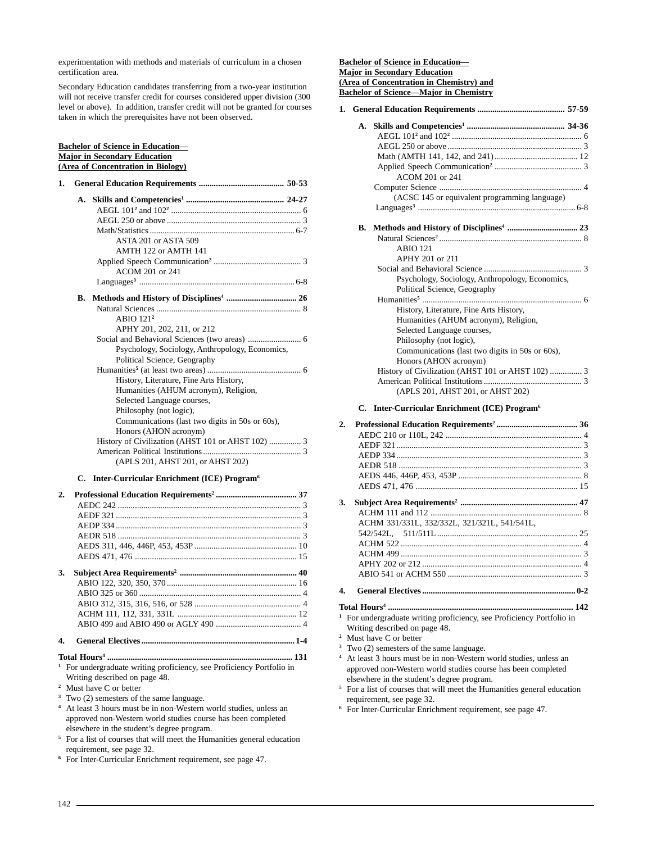experimentation with methods and materials of curriculum in a chosen certification area.

Secondary Education candidates transferring from a two-year institution will not receive transfer credit for courses considered upper division (300 level or above). In addition, transfer credit will not be granted for courses taken in which the prerequisites have not been observed.

### **Bachelor of Science in Education— Major in Secondary Education (Area of Concentration in Biology)**

| 1. |    |                                                 |
|----|----|-------------------------------------------------|
|    |    |                                                 |
|    |    |                                                 |
|    |    |                                                 |
|    |    |                                                 |
|    |    | ASTA 201 or ASTA 509                            |
|    |    | AMTH 122 or AMTH 141                            |
|    |    |                                                 |
|    |    | ACOM 201 or 241                                 |
|    |    |                                                 |
|    | В. |                                                 |
|    |    |                                                 |
|    |    | $ABIO$ 121 <sup>2</sup>                         |
|    |    | APHY 201, 202, 211, or 212                      |
|    |    |                                                 |
|    |    | Psychology, Sociology, Anthropology, Economics, |
|    |    | Political Science, Geography                    |
|    |    |                                                 |
|    |    | History, Literature, Fine Arts History,         |
|    |    | Humanities (AHUM acronym), Religion,            |
|    |    | Selected Language courses,                      |
|    |    | Philosophy (not logic),                         |
|    |    | Communications (last two digits in 50s or 60s), |
|    |    | Honors (AHON acronym)                           |
|    |    |                                                 |
|    |    |                                                 |
|    |    | (APLS 201, AHST 201, or AHST 202)               |

### **C. Inter-Curricular Enrichment (ICE) Program6**

| 2. |  |
|----|--|
|    |  |
|    |  |
|    |  |
|    |  |
|    |  |
|    |  |
| 3. |  |
|    |  |
|    |  |
|    |  |
|    |  |
|    |  |
| 4. |  |

- **Total Hours4 ....................................................................................... 131**
- **<sup>1</sup>** For undergraduate writing proficiency, see Proficiency Portfolio in Writing described on page 48.
- **<sup>2</sup>** Must have C or better
- <sup>3</sup> Two  $(2)$  semesters of the same language.
- **<sup>4</sup>** At least 3 hours must be in non-Western world studies, unless an approved non-Western world studies course has been completed elsewhere in the student's degree program.
- **<sup>5</sup>** For a list of courses that will meet the Humanities general education requirement, see page 32.
- **<sup>6</sup>** For Inter-Curricular Enrichment requirement, see page 47.

### **Bachelor of Science in Education— Major in Secondary Education (Area of Concentration in Chemistry) and Bachelor of Science—Major in Chemistry**

|    | ACOM 201 or 241                                   |  |
|----|---------------------------------------------------|--|
|    |                                                   |  |
|    | (ACSC 145 or equivalent programming language)     |  |
|    |                                                   |  |
| В. |                                                   |  |
|    |                                                   |  |
|    | <b>ABIO 121</b>                                   |  |
|    | APHY 201 or 211                                   |  |
|    |                                                   |  |
|    | Psychology, Sociology, Anthropology, Economics,   |  |
|    | Political Science, Geography                      |  |
|    |                                                   |  |
|    | History, Literature, Fine Arts History,           |  |
|    | Humanities (AHUM acronym), Religion,              |  |
|    | Selected Language courses,                        |  |
|    | Philosophy (not logic),                           |  |
|    | Communications (last two digits in 50s or 60s),   |  |
|    | Honors (AHON acronym)                             |  |
|    | History of Civilization (AHST 101 or AHST 102)  3 |  |
|    |                                                   |  |
|    | (APLS 201, AHST 201, or AHST 202)                 |  |
|    |                                                   |  |

### **C. Inter-Curricular Enrichment (ICE) Program6**

| 2. |                                                                                                                                                                                                                                     |  |
|----|-------------------------------------------------------------------------------------------------------------------------------------------------------------------------------------------------------------------------------------|--|
|    |                                                                                                                                                                                                                                     |  |
|    |                                                                                                                                                                                                                                     |  |
|    |                                                                                                                                                                                                                                     |  |
|    |                                                                                                                                                                                                                                     |  |
|    |                                                                                                                                                                                                                                     |  |
|    |                                                                                                                                                                                                                                     |  |
| 3. |                                                                                                                                                                                                                                     |  |
|    |                                                                                                                                                                                                                                     |  |
|    | ACHM 331/331L, 332/332L, 321/321L, 541/541L,                                                                                                                                                                                        |  |
|    |                                                                                                                                                                                                                                     |  |
|    |                                                                                                                                                                                                                                     |  |
|    |                                                                                                                                                                                                                                     |  |
|    |                                                                                                                                                                                                                                     |  |
|    |                                                                                                                                                                                                                                     |  |
| 4. |                                                                                                                                                                                                                                     |  |
|    |                                                                                                                                                                                                                                     |  |
|    | <sup>1</sup> For undergraduate writing proficiency, see Proficiency Portfolio in                                                                                                                                                    |  |
|    | Writing described on page 48.                                                                                                                                                                                                       |  |
|    | <sup>2</sup> Must have C or better                                                                                                                                                                                                  |  |
|    | <sup>3</sup> Two (2) semesters of the same language.                                                                                                                                                                                |  |
|    | $\overline{a}$ , and the contract of the contract of the contract of the contract of the contract of the contract of the contract of the contract of the contract of the contract of the contract of the contract of the contract o |  |

**<sup>4</sup>** At least 3 hours must be in non-Western world studies, unless an approved non-Western world studies course has been completed elsewhere in the student's degree program.

- **<sup>5</sup>** For a list of courses that will meet the Humanities general education requirement, see page 32.
- **<sup>6</sup>** For Inter-Curricular Enrichment requirement, see page 47.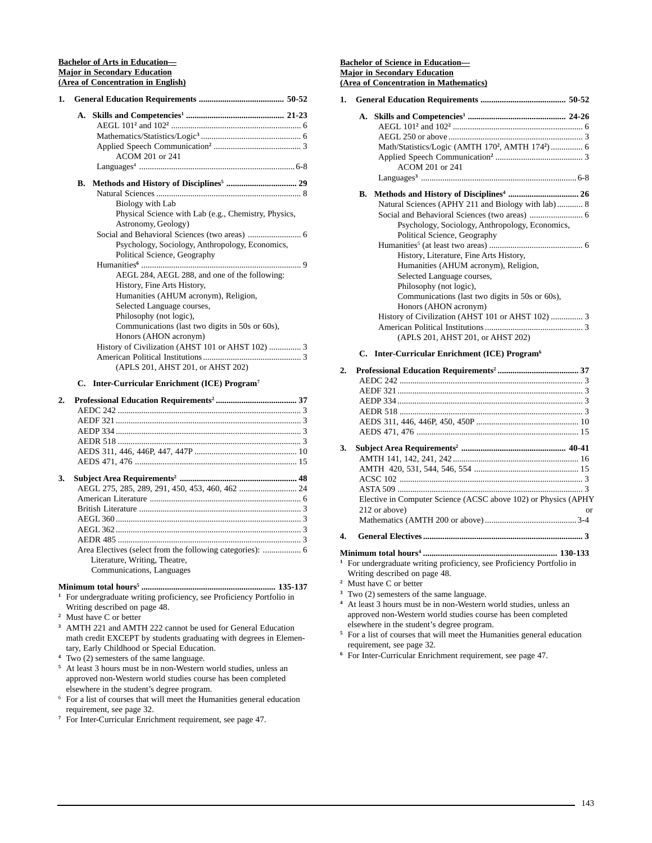### **Bachelor of Arts in Education— Major in Secondary Education (Area of Concentration in English)**

| 1. |    |                                                      |
|----|----|------------------------------------------------------|
|    |    |                                                      |
|    |    |                                                      |
|    |    |                                                      |
|    |    |                                                      |
|    |    | ACOM 201 or 241                                      |
|    |    |                                                      |
|    | В. |                                                      |
|    |    |                                                      |
|    |    | Biology with Lab                                     |
|    |    | Physical Science with Lab (e.g., Chemistry, Physics, |
|    |    | Astronomy, Geology)                                  |
|    |    |                                                      |
|    |    | Psychology, Sociology, Anthropology, Economics,      |
|    |    | Political Science, Geography                         |
|    |    |                                                      |
|    |    | AEGL 284, AEGL 288, and one of the following:        |
|    |    | History, Fine Arts History,                          |
|    |    | Humanities (AHUM acronym), Religion,                 |
|    |    | Selected Language courses,                           |
|    |    | Philosophy (not logic),                              |
|    |    | Communications (last two digits in 50s or 60s),      |
|    |    | Honors (AHON acronym)                                |
|    |    |                                                      |
|    |    |                                                      |
|    |    | (APLS 201, AHST 201, or AHST 202)                    |
|    |    |                                                      |

# **C. Inter-Curricular Enrichment (ICE) Program7**

| 2. |                                                           |  |
|----|-----------------------------------------------------------|--|
|    |                                                           |  |
|    |                                                           |  |
|    |                                                           |  |
|    |                                                           |  |
|    |                                                           |  |
|    |                                                           |  |
| 3. |                                                           |  |
|    |                                                           |  |
|    |                                                           |  |
|    |                                                           |  |
|    |                                                           |  |
|    |                                                           |  |
|    |                                                           |  |
|    | Area Electives (select from the following categories):  6 |  |
|    | Literature, Writing, Theatre,                             |  |
|    | Communications, Languages                                 |  |

### **Minimum total hours5 ............................................................... 135-137 <sup>1</sup>** For undergraduate writing proficiency, see Proficiency Portfolio in Writing described on page 48.

- **<sup>2</sup>** Must have C or better
- **<sup>3</sup>** AMTH 221 and AMTH 222 cannot be used for General Education math credit EXCEPT by students graduating with degrees in Elementary, Early Childhood or Special Education.
- **<sup>4</sup>** Two (2) semesters of the same language.
- **<sup>5</sup>** At least 3 hours must be in non-Western world studies, unless an approved non-Western world studies course has been completed elsewhere in the student's degree program.
- <sup>6</sup> For a list of courses that will meet the Humanities general education requirement, see page 32.
- **<sup>7</sup>** For Inter-Curricular Enrichment requirement, see page 47.

# **Bachelor of Science in Education— Major in Secondary Education**

|    | (Area of Concentration in Mathematics)                                                                                                                                                                                                                                                                                                                                                                                                                         |
|----|----------------------------------------------------------------------------------------------------------------------------------------------------------------------------------------------------------------------------------------------------------------------------------------------------------------------------------------------------------------------------------------------------------------------------------------------------------------|
| 1. |                                                                                                                                                                                                                                                                                                                                                                                                                                                                |
|    | A.<br>Math/Statistics/Logic (AMTH 170 <sup>2</sup> , AMTH 174 <sup>2</sup> )  6<br>ACOM 201 or 241                                                                                                                                                                                                                                                                                                                                                             |
|    | В.<br>Natural Sciences (APHY 211 and Biology with lab)  8<br>Psychology, Sociology, Anthropology, Economics,<br>Political Science, Geography<br>History, Literature, Fine Arts History,<br>Humanities (AHUM acronym), Religion,<br>Selected Language courses,<br>Philosophy (not logic),<br>Communications (last two digits in 50s or 60s),<br>Honors (AHON acronym)<br>History of Civilization (AHST 101 or AHST 102)  3<br>(APLS 201, AHST 201, or AHST 202) |
|    | Inter-Curricular Enrichment (ICE) Program <sup>6</sup><br>C.                                                                                                                                                                                                                                                                                                                                                                                                   |
| 2. |                                                                                                                                                                                                                                                                                                                                                                                                                                                                |
| 3. | Elective in Computer Science (ACSC above 102) or Physics (APHY<br>212 or above)<br><sub>or</sub>                                                                                                                                                                                                                                                                                                                                                               |
| 4. |                                                                                                                                                                                                                                                                                                                                                                                                                                                                |
|    | <sup>1</sup> For undergraduate writing proficiency, see Proficiency Portfolio in<br>Writing described on page 48.<br><sup>2</sup> Must have C or better<br><sup>3</sup> Two (2) semesters of the same language.                                                                                                                                                                                                                                                |

- **<sup>4</sup>** At least 3 hours must be in non-Western world studies, unless an approved non-Western world studies course has been completed elsewhere in the student's degree program.
- **<sup>5</sup>** For a list of courses that will meet the Humanities general education requirement, see page 32.
- **<sup>6</sup>** For Inter-Curricular Enrichment requirement, see page 47.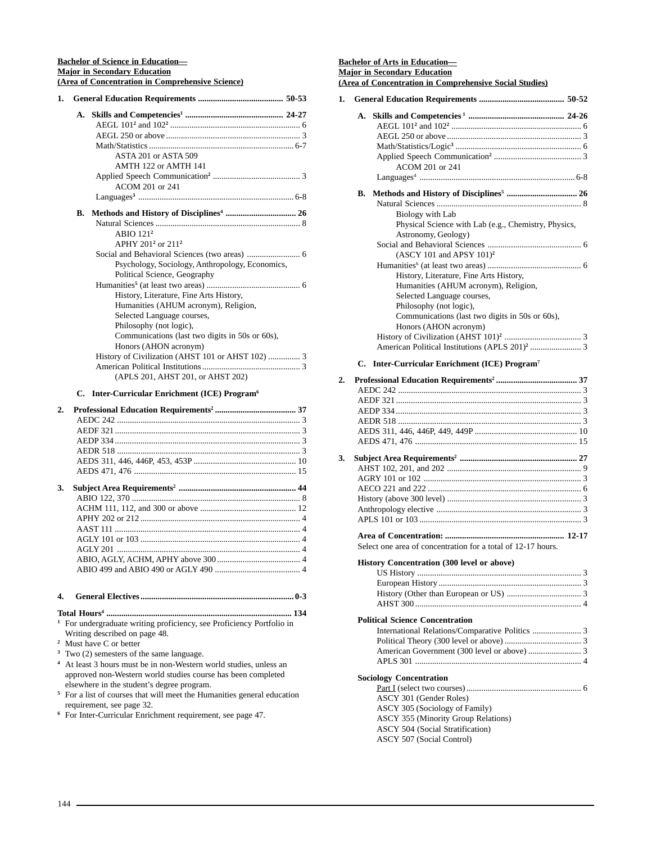### **Bachelor of Science in Education— Major in Secondary Education (Area of Concentration in Comprehensive Science)**

| 1. |    |                                                                                                                                                                                             |
|----|----|---------------------------------------------------------------------------------------------------------------------------------------------------------------------------------------------|
|    | A. | ASTA 201 or ASTA 509<br>AMTH 122 or AMTH 141<br>ACOM 201 or 241                                                                                                                             |
|    | В. | ABIO 121 <sup>2</sup><br>APHY 201 <sup>2</sup> or 211 <sup>2</sup>                                                                                                                          |
|    |    | Psychology, Sociology, Anthropology, Economics,<br>Political Science, Geography                                                                                                             |
|    |    | History, Literature, Fine Arts History,<br>Humanities (AHUM acronym), Religion,<br>Selected Language courses,<br>Philosophy (not logic),<br>Communications (last two digits in 50s or 60s), |
|    |    | Honors (AHON acronym)                                                                                                                                                                       |
|    |    | History of Civilization (AHST 101 or AHST 102)  3<br>(APLS 201, AHST 201, or AHST 202)                                                                                                      |
|    | C. | Inter-Curricular Enrichment (ICE) Program <sup>6</sup>                                                                                                                                      |
| 2. |    |                                                                                                                                                                                             |
|    |    |                                                                                                                                                                                             |
|    |    |                                                                                                                                                                                             |
|    |    |                                                                                                                                                                                             |
|    |    |                                                                                                                                                                                             |
|    |    |                                                                                                                                                                                             |
|    |    |                                                                                                                                                                                             |
| 3. |    |                                                                                                                                                                                             |
|    |    |                                                                                                                                                                                             |
|    |    |                                                                                                                                                                                             |
|    |    |                                                                                                                                                                                             |
|    |    |                                                                                                                                                                                             |
|    |    |                                                                                                                                                                                             |
|    |    |                                                                                                                                                                                             |
|    |    |                                                                                                                                                                                             |
|    |    |                                                                                                                                                                                             |
| 4. |    |                                                                                                                                                                                             |
|    |    |                                                                                                                                                                                             |
|    |    | <sup>1</sup> For undergraduate writing proficiency, see Proficiency Portfolio in                                                                                                            |

- Writing described on page 48.
- <sup>2</sup> Must have C or better
- **<sup>3</sup>** Two (2) semesters of the same language.
- **<sup>4</sup>** At least 3 hours must be in non-Western world studies, unless an approved non-Western world studies course has been completed elsewhere in the student's degree program.
- **<sup>5</sup>** For a list of courses that will meet the Humanities general education requirement, see page 32.
- **<sup>6</sup>** For Inter-Curricular Enrichment requirement, see page 47.

### **Bachelor of Arts in Education— Major in Secondary Education (Area of Concentration in Comprehensive Social Studies)**

| 1. |                                                                                 |
|----|---------------------------------------------------------------------------------|
|    | А.                                                                              |
|    |                                                                                 |
|    | ACOM 201 or 241                                                                 |
|    |                                                                                 |
|    | В.<br>Biology with Lab                                                          |
|    | Physical Science with Lab (e.g., Chemistry, Physics,<br>Astronomy, Geology)     |
|    | (ASCY 101 and APSY 101) <sup>2</sup>                                            |
|    | History, Literature, Fine Arts History,<br>Humanities (AHUM acronym), Religion, |
|    | Selected Language courses,<br>Philosophy (not logic),                           |
|    | Communications (last two digits in 50s or 60s),<br>Honors (AHON acronym)        |
|    |                                                                                 |
|    | C. Inter-Curricular Enrichment (ICE) Program <sup>7</sup>                       |
| 2. |                                                                                 |
|    |                                                                                 |
|    |                                                                                 |
|    |                                                                                 |
| 3. |                                                                                 |
|    |                                                                                 |
|    |                                                                                 |
|    |                                                                                 |
|    |                                                                                 |
|    | Select one area of concentration for a total of 12-17 hours.                    |
|    | <b>History Concentration (300 level or above)</b>                               |
|    |                                                                                 |
|    |                                                                                 |
|    | <b>Political Science Concentration</b>                                          |
|    |                                                                                 |
|    |                                                                                 |
|    | <b>Sociology Concentration</b>                                                  |
|    | ASCY 301 (Gender Roles)                                                         |
|    | ASCY 305 (Sociology of Family)                                                  |
|    | <b>ASCY 355 (Minority Group Relations)</b>                                      |
|    | ASCY 504 (Social Stratification)<br>ASCY 507 (Social Control)                   |
|    |                                                                                 |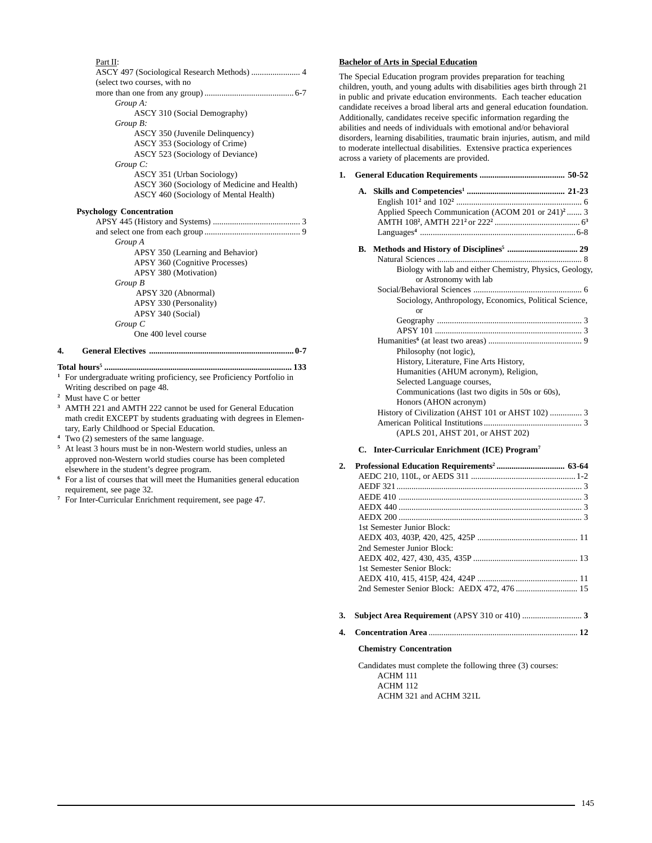### Part II:

| ASCY 497 (Sociological Research Methods)  4 |
|---------------------------------------------|
| (select two courses, with no                |
|                                             |
| Group A:                                    |
| ASCY 310 (Social Demography)                |
| Group B:                                    |
| ASCY 350 (Juvenile Delinquency)             |
| ASCY 353 (Sociology of Crime)               |
| ASCY 523 (Sociology of Deviance)            |
| $Group\ C.$                                 |
| ASCY 351 (Urban Sociology)                  |
| ASCY 360 (Sociology of Medicine and Health) |
| ASCY 460 (Sociology of Mental Health)       |
| <b>Psychology Concentration</b>             |
|                                             |
|                                             |
| Group A                                     |
| APSY 350 (Learning and Behavior)            |
| APSY 360 (Cognitive Processes)              |
| APSY 380 (Motivation)                       |
| Group B                                     |
| APSY 320 (Abnormal)                         |
| APSY 330 (Personality)                      |
| APSY 340 (Social)                           |

*Group C*

One 400 level course

### **4. General Electives .................................................................... 0-7**

**Total hours5 ........................................................................................ 133 <sup>1</sup>** For undergraduate writing proficiency, see Proficiency Portfolio in

- Writing described on page 48.
- **<sup>2</sup>** Must have C or better
- **<sup>3</sup>** AMTH 221 and AMTH 222 cannot be used for General Education math credit EXCEPT by students graduating with degrees in Elementary, Early Childhood or Special Education.
- Two (2) semesters of the same language.
- **<sup>5</sup>** At least 3 hours must be in non-Western world studies, unless an approved non-Western world studies course has been completed elsewhere in the student's degree program.
- **<sup>6</sup>** For a list of courses that will meet the Humanities general education requirement, see page 32.
- **<sup>7</sup>** For Inter-Curricular Enrichment requirement, see page 47.

### **Bachelor of Arts in Special Education**

The Special Education program provides preparation for teaching children, youth, and young adults with disabilities ages birth through 21 in public and private education environments. Each teacher education candidate receives a broad liberal arts and general education foundation. Additionally, candidates receive specific information regarding the abilities and needs of individuals with emotional and/or behavioral disorders, learning disabilities, traumatic brain injuries, autism, and mild to moderate intellectual disabilities. Extensive practica experiences across a variety of placements are provided.

# **1. General Education Requirements ........................................ 50-52**

|    | Applied Speech Communication (ACOM 201 or 241) <sup>2</sup> 3 |
|----|---------------------------------------------------------------|
| В. |                                                               |
|    |                                                               |
|    | Biology with lab and either Chemistry, Physics, Geology,      |
|    | or Astronomy with lab                                         |
|    |                                                               |
|    | Sociology, Anthropology, Economics, Political Science,        |
|    | or                                                            |
|    |                                                               |
|    |                                                               |
|    |                                                               |
|    | Philosophy (not logic),                                       |
|    | History, Literature, Fine Arts History,                       |
|    | Humanities (AHUM acronym), Religion,                          |
|    | Selected Language courses,                                    |
|    | Communications (last two digits in 50s or 60s),               |
|    | Honors (AHON acronym)                                         |
|    | History of Civilization (AHST 101 or AHST 102)  3             |
|    |                                                               |
|    | (APLS 201, AHST 201, or AHST 202)                             |

### **C. Inter-Curricular Enrichment (ICE) Program7**

| 2. |                                              |  |
|----|----------------------------------------------|--|
|    |                                              |  |
|    |                                              |  |
|    |                                              |  |
|    |                                              |  |
|    |                                              |  |
|    | 1st Semester Junior Block:                   |  |
|    |                                              |  |
|    | 2nd Semester Junior Block:                   |  |
|    |                                              |  |
|    | 1st Semester Senior Block:                   |  |
|    |                                              |  |
|    | 2nd Semester Senior Block: AEDX 472, 476  15 |  |
| 3. |                                              |  |
| 4. |                                              |  |

### **Chemistry Concentration**

Candidates must complete the following three (3) courses: ACHM 111 ACHM 112 ACHM 321 and ACHM 321L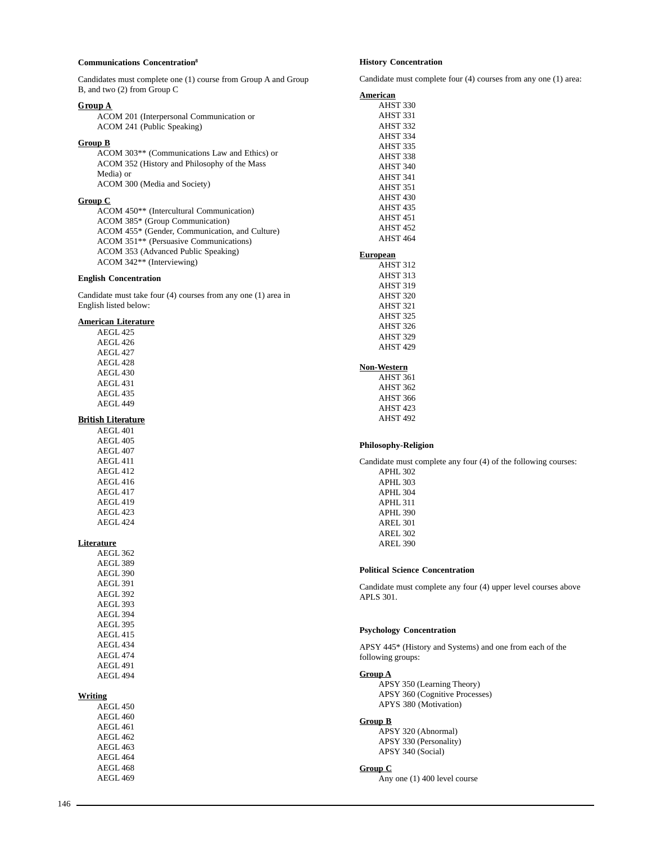### **Communications Concentration8**

Candidates must complete one (1) course from Group A and Group B, and two (2) from Group C

### **Group A**

| ACOM 201 (Interpersonal Communication or |
|------------------------------------------|
| ACOM 241 (Public Speaking)               |

### **Group B**

ACOM 303\*\* (Communications Law and Ethics) or ACOM 352 (History and Philosophy of the Mass Media) or ACOM 300 (Media and Society)

### **Group C**

| ACOM 450 <sup>**</sup> (Intercultural Communication) |
|------------------------------------------------------|
| ACOM 385* (Group Communication)                      |
| ACOM 455* (Gender, Communication, and Culture)       |
| ACOM 351** (Persuasive Communications)               |
| ACOM 353 (Advanced Public Speaking)                  |
| ACOM 342 <sup>**</sup> (Interviewing)                |

### **English Concentration**

Candidate must take four (4) courses from any one (1) area in English listed below:

### **American Literature**

| AEGL 425            |
|---------------------|
| AEGL 426            |
| AEGL 427            |
| AEGL 428            |
| AEGL 430            |
| AEGL 431            |
| AEGL <sub>435</sub> |
| AEGL 449            |

# **British Literature**

AEGL 401 AEGL 405 AEGL 407 AEGL 411 AEGL 412 AEGL 416 AEGL 417 AEGL 419 AEGL 423 AEGL 424

#### **Literature**

| AEGL 362        |
|-----------------|
| AEGL 389        |
| AEGL 390        |
| AEGL 391        |
| AEGL 392        |
| AEGL 393        |
| AEGL 394        |
| <b>AEGL 395</b> |
| AEGL 415        |
| <b>AEGL434</b>  |
| <b>AEGL474</b>  |
| AEGL 491        |
| AEGL 494        |

### **Writing**

AEGL 450 AEGL 460 AEGL 461 AEGL 462 AEGL 463 AEGL 464 AEGL 468 AEGL 469

### **History Concentration**

Candidate must complete four (4) courses from any one (1) area:

| Candidate must complete four $(4)$ courses from any one $(1)$ area |  |
|--------------------------------------------------------------------|--|
| <u>American</u>                                                    |  |
| AHST 330                                                           |  |
| AHST 331                                                           |  |
| AHST 332                                                           |  |
| AHST 334                                                           |  |
| AHST 335                                                           |  |
| AHST 338                                                           |  |
| AHST 340                                                           |  |
| AHST 341                                                           |  |
| AHST 351                                                           |  |
| AHST 430                                                           |  |
| AHST <sub>435</sub>                                                |  |
| AHST <sub>451</sub>                                                |  |
| AHST <sub>452</sub>                                                |  |
| AHST <sub>464</sub>                                                |  |
| <b>European</b>                                                    |  |
| AHST 312                                                           |  |
| AHST 313                                                           |  |
| AHST 319                                                           |  |
| AHST 320                                                           |  |
| AHST 321                                                           |  |
| AHST 325                                                           |  |
| AHST 326                                                           |  |
| AHST 329                                                           |  |
| AHST <sub>429</sub>                                                |  |
| Non-Western                                                        |  |
| AHST 361                                                           |  |
| AHST 362                                                           |  |
| AHST 366                                                           |  |
| AHST <sub>423</sub>                                                |  |
| AHST <sub>492</sub>                                                |  |
|                                                                    |  |
| <b>Philosophy-Religion</b>                                         |  |
| Candidate must complete any four (4) of the following courses:     |  |
| APHL 302                                                           |  |
| APHL 303                                                           |  |
| APHL 304                                                           |  |
| APHL 311                                                           |  |
| APHL 390                                                           |  |
| <b>AREL 301</b>                                                    |  |
| <b>AREL 302</b>                                                    |  |
| <b>AREL 390</b>                                                    |  |
|                                                                    |  |
| <b>Political Science Concentration</b>                             |  |
| Candidate must complete any four (4) upper level courses above     |  |

# **Political Science Concentration**

any four (4) upper level courses above APLS 301.

### **Psychology Concentration**

APSY 445\* (History and Systems) and one from each of the following groups:

### **Group A**

APSY 350 (Learning Theory) APSY 360 (Cognitive Processes) APYS 380 (Motivation)

#### **Group B**

APSY 320 (Abnormal) APSY 330 (Personality) APSY 340 (Social)

### **Group C**

Any one (1) 400 level course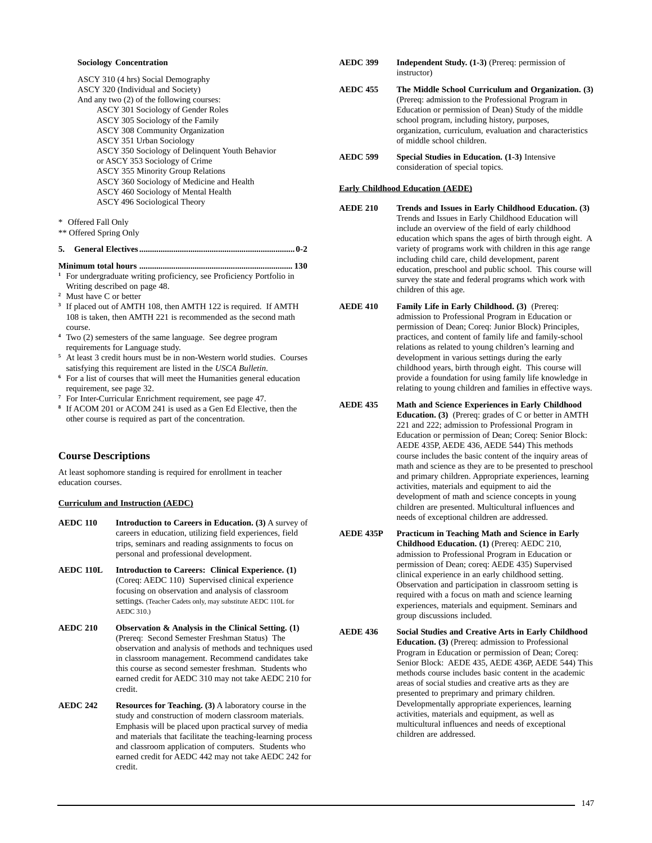### **Sociology Concentration**

ASCY 310 (4 hrs) Social Demography ASCY 320 (Individual and Society) And any two (2) of the following courses: ASCY 301 Sociology of Gender Roles ASCY 305 Sociology of the Family ASCY 308 Community Organization ASCY 351 Urban Sociology ASCY 350 Sociology of Delinquent Youth Behavior or ASCY 353 Sociology of Crime ASCY 355 Minority Group Relations ASCY 360 Sociology of Medicine and Health ASCY 460 Sociology of Mental Health ASCY 496 Sociological Theory

- \* Offered Fall Only
- \*\* Offered Spring Only

**5. General Electives ......................................................................... 0-2**

### **Minimum total hours ........................................................................ 130**

- **<sup>1</sup>** For undergraduate writing proficiency, see Proficiency Portfolio in Writing described on page 48.
- **<sup>2</sup>** Must have C or better
- **<sup>3</sup>** If placed out of AMTH 108, then AMTH 122 is required. If AMTH 108 is taken, then AMTH 221 is recommended as the second math course.
- **<sup>4</sup>** Two (2) semesters of the same language. See degree program requirements for Language study.
- **<sup>5</sup>** At least 3 credit hours must be in non-Western world studies. Courses satisfying this requirement are listed in the *USCA Bulletin*.
- **<sup>6</sup>** For a list of courses that will meet the Humanities general education requirement, see page 32.
- **<sup>7</sup>** For Inter-Curricular Enrichment requirement, see page 47.
- **<sup>8</sup>** If ACOM 201 or ACOM 241 is used as a Gen Ed Elective, then the other course is required as part of the concentration.

### **Course Descriptions**

At least sophomore standing is required for enrollment in teacher education courses.

### **Curriculum and Instruction (AEDC)**

- **AEDC 110 Introduction to Careers in Education. (3)** A survey of careers in education, utilizing field experiences, field trips, seminars and reading assignments to focus on personal and professional development.
- **AEDC 110L Introduction to Careers: Clinical Experience. (1)** (Coreq: AEDC 110) Supervised clinical experience focusing on observation and analysis of classroom settings. (Teacher Cadets only, may substitute AEDC 110L for AEDC 310.)
- **AEDC 210 Observation & Analysis in the Clinical Setting. (1)** (Prereq: Second Semester Freshman Status) The observation and analysis of methods and techniques used in classroom management. Recommend candidates take this course as second semester freshman. Students who earned credit for AEDC 310 may not take AEDC 210 for credit.
- **AEDC 242 Resources for Teaching. (3)** A laboratory course in the study and construction of modern classroom materials. Emphasis will be placed upon practical survey of media and materials that facilitate the teaching-learning process and classroom application of computers. Students who earned credit for AEDC 442 may not take AEDC 242 for credit.
- **AEDC 399 Independent Study. (1-3)** (Prereq: permission of instructor)
- **AEDC 455 The Middle School Curriculum and Organization. (3)** (Prereq: admission to the Professional Program in Education or permission of Dean) Study of the middle school program, including history, purposes, organization, curriculum, evaluation and characteristics of middle school children.
- **AEDC 599 Special Studies in Education. (1-3)** Intensive consideration of special topics.

### **Early Childhood Education (AEDE)**

- **AEDE 210 Trends and Issues in Early Childhood Education. (3)** Trends and Issues in Early Childhood Education will include an overview of the field of early childhood education which spans the ages of birth through eight. A variety of programs work with children in this age range including child care, child development, parent education, preschool and public school. This course will survey the state and federal programs which work with children of this age.
- **AEDE 410 Family Life in Early Childhood. (3)** (Prereq: admission to Professional Program in Education or permission of Dean; Coreq: Junior Block) Principles, practices, and content of family life and family-school relations as related to young children's learning and development in various settings during the early childhood years, birth through eight. This course will provide a foundation for using family life knowledge in relating to young children and families in effective ways.
- **AEDE 435 Math and Science Experiences in Early Childhood Education. (3)** (Prereq: grades of C or better in AMTH 221 and 222; admission to Professional Program in Education or permission of Dean; Coreq: Senior Block: AEDE 435P, AEDE 436, AEDE 544) This methods course includes the basic content of the inquiry areas of math and science as they are to be presented to preschool and primary children. Appropriate experiences, learning activities, materials and equipment to aid the development of math and science concepts in young children are presented. Multicultural influences and needs of exceptional children are addressed.
- **AEDE 435P Practicum in Teaching Math and Science in Early Childhood Education. (1)** (Prereq: AEDC 210, admission to Professional Program in Education or permission of Dean; coreq: AEDE 435) Supervised clinical experience in an early childhood setting. Observation and participation in classroom setting is required with a focus on math and science learning experiences, materials and equipment. Seminars and group discussions included.
- **AEDE 436 Social Studies and Creative Arts in Early Childhood Education. (3)** (Prereq: admission to Professional Program in Education or permission of Dean; Coreq: Senior Block: AEDE 435, AEDE 436P, AEDE 544) This methods course includes basic content in the academic areas of social studies and creative arts as they are presented to preprimary and primary children. Developmentally appropriate experiences, learning activities, materials and equipment, as well as multicultural influences and needs of exceptional children are addressed.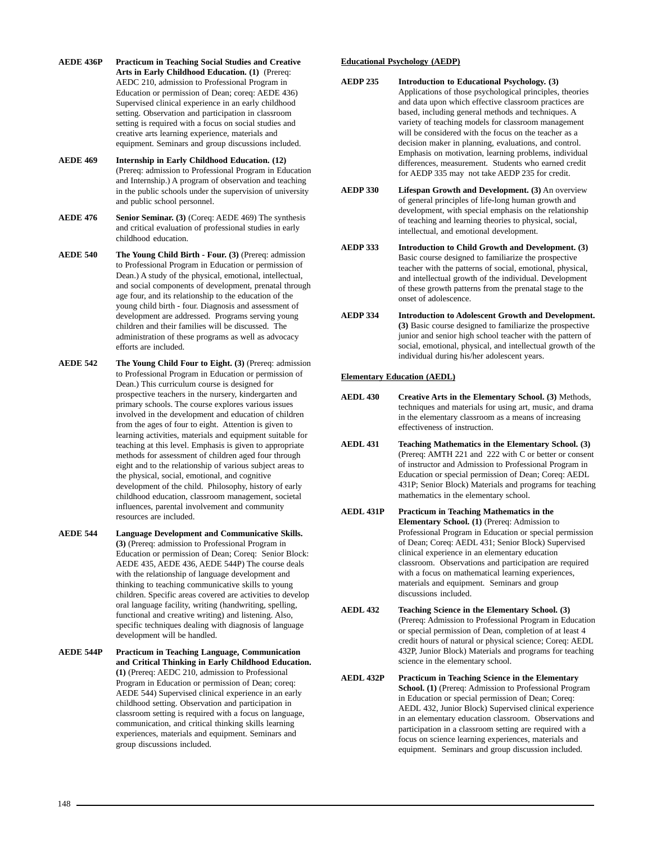- **AEDE 436P Practicum in Teaching Social Studies and Creative Arts in Early Childhood Education. (1)** (Prereq: AEDC 210, admission to Professional Program in Education or permission of Dean; coreq: AEDE 436) Supervised clinical experience in an early childhood setting. Observation and participation in classroom setting is required with a focus on social studies and creative arts learning experience, materials and equipment. Seminars and group discussions included.
- **AEDE 469 Internship in Early Childhood Education. (12)** (Prereq: admission to Professional Program in Education and Internship.) A program of observation and teaching in the public schools under the supervision of university and public school personnel.
- **AEDE 476** Senior Seminar. (3) (Coreq: AEDE 469) The synthesis and critical evaluation of professional studies in early childhood education.
- **AEDE 540 The Young Child Birth Four. (3)** (Prereq: admission to Professional Program in Education or permission of Dean.) A study of the physical, emotional, intellectual, and social components of development, prenatal through age four, and its relationship to the education of the young child birth - four. Diagnosis and assessment of development are addressed. Programs serving young children and their families will be discussed. The administration of these programs as well as advocacy efforts are included.
- **AEDE 542 The Young Child Four to Eight. (3)** (Prereq: admission to Professional Program in Education or permission of Dean.) This curriculum course is designed for prospective teachers in the nursery, kindergarten and primary schools. The course explores various issues involved in the development and education of children from the ages of four to eight. Attention is given to learning activities, materials and equipment suitable for teaching at this level. Emphasis is given to appropriate methods for assessment of children aged four through eight and to the relationship of various subject areas to the physical, social, emotional, and cognitive development of the child. Philosophy, history of early childhood education, classroom management, societal influences, parental involvement and community resources are included.
- **AEDE 544 Language Development and Communicative Skills. (3)** (Prereq: admission to Professional Program in Education or permission of Dean; Coreq: Senior Block: AEDE 435, AEDE 436, AEDE 544P) The course deals with the relationship of language development and thinking to teaching communicative skills to young children. Specific areas covered are activities to develop oral language facility, writing (handwriting, spelling, functional and creative writing) and listening. Also, specific techniques dealing with diagnosis of language development will be handled.
- **AEDE 544P Practicum in Teaching Language, Communication and Critical Thinking in Early Childhood Education. (1)** (Prereq: AEDC 210, admission to Professional Program in Education or permission of Dean; coreq: AEDE 544) Supervised clinical experience in an early childhood setting. Observation and participation in classroom setting is required with a focus on language, communication, and critical thinking skills learning experiences, materials and equipment. Seminars and group discussions included.

### **Educational Psychology (AEDP)**

- **AEDP 235 Introduction to Educational Psychology. (3)** Applications of those psychological principles, theories and data upon which effective classroom practices are based, including general methods and techniques. A variety of teaching models for classroom management will be considered with the focus on the teacher as a decision maker in planning, evaluations, and control. Emphasis on motivation, learning problems, individual differences, measurement. Students who earned credit for AEDP 335 may not take AEDP 235 for credit.
- **AEDP 330 Lifespan Growth and Development. (3)** An overview of general principles of life-long human growth and development, with special emphasis on the relationship of teaching and learning theories to physical, social, intellectual, and emotional development.
- **AEDP 333 Introduction to Child Growth and Development. (3)** Basic course designed to familiarize the prospective teacher with the patterns of social, emotional, physical, and intellectual growth of the individual. Development of these growth patterns from the prenatal stage to the onset of adolescence.
- **AEDP 334 Introduction to Adolescent Growth and Development. (3)** Basic course designed to familiarize the prospective junior and senior high school teacher with the pattern of social, emotional, physical, and intellectual growth of the individual during his/her adolescent years.

### **Elementary Education (AEDL)**

- **AEDL 430 Creative Arts in the Elementary School. (3)** Methods, techniques and materials for using art, music, and drama in the elementary classroom as a means of increasing effectiveness of instruction.
- **AEDL 431 Teaching Mathematics in the Elementary School. (3)** (Prereq: AMTH 221 and 222 with C or better or consent of instructor and Admission to Professional Program in Education or special permission of Dean; Coreq: AEDL 431P; Senior Block) Materials and programs for teaching mathematics in the elementary school.
- **AEDL 431P Practicum in Teaching Mathematics in the Elementary School. (1)** (Prereq: Admission to Professional Program in Education or special permission of Dean; Coreq: AEDL 431; Senior Block) Supervised clinical experience in an elementary education classroom. Observations and participation are required with a focus on mathematical learning experiences, materials and equipment. Seminars and group discussions included.
- **AEDL 432 Teaching Science in the Elementary School. (3)** (Prereq: Admission to Professional Program in Education or special permission of Dean, completion of at least 4 credit hours of natural or physical science; Coreq: AEDL 432P, Junior Block) Materials and programs for teaching science in the elementary school.
- **AEDL 432P Practicum in Teaching Science in the Elementary School. (1)** (Prereq: Admission to Professional Program in Education or special permission of Dean; Coreq: AEDL 432, Junior Block) Supervised clinical experience in an elementary education classroom. Observations and participation in a classroom setting are required with a focus on science learning experiences, materials and equipment. Seminars and group discussion included.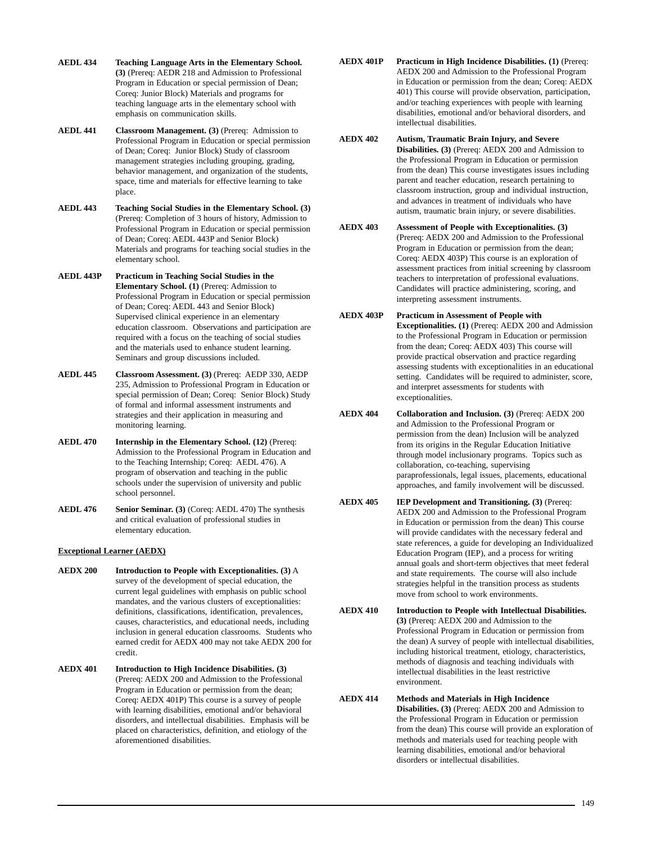- **AEDL 434 Teaching Language Arts in the Elementary School. (3)** (Prereq: AEDR 218 and Admission to Professional Program in Education or special permission of Dean; Coreq: Junior Block) Materials and programs for teaching language arts in the elementary school with emphasis on communication skills.
- **AEDL 441 Classroom Management. (3)** (Prereq: Admission to Professional Program in Education or special permission of Dean; Coreq: Junior Block) Study of classroom management strategies including grouping, grading, behavior management, and organization of the students, space, time and materials for effective learning to take place.
- **AEDL 443 Teaching Social Studies in the Elementary School. (3)** (Prereq: Completion of 3 hours of history, Admission to Professional Program in Education or special permission of Dean; Coreq: AEDL 443P and Senior Block) Materials and programs for teaching social studies in the elementary school.
- **AEDL 443P Practicum in Teaching Social Studies in the Elementary School. (1)** (Prereq: Admission to Professional Program in Education or special permission of Dean; Coreq: AEDL 443 and Senior Block) Supervised clinical experience in an elementary education classroom. Observations and participation are required with a focus on the teaching of social studies and the materials used to enhance student learning. Seminars and group discussions included.
- **AEDL 445 Classroom Assessment. (3)** (Prereq: AEDP 330, AEDP 235, Admission to Professional Program in Education or special permission of Dean; Coreq: Senior Block) Study of formal and informal assessment instruments and strategies and their application in measuring and monitoring learning.
- **AEDL 470 Internship in the Elementary School. (12)** (Prereq: Admission to the Professional Program in Education and to the Teaching Internship; Coreq: AEDL 476). A program of observation and teaching in the public schools under the supervision of university and public school personnel.
- **AEDL 476** Senior Seminar. (3) (Coreq: AEDL 470) The synthesis and critical evaluation of professional studies in elementary education.

### **Exceptional Learner (AEDX)**

- **AEDX 200 Introduction to People with Exceptionalities. (3)** A survey of the development of special education, the current legal guidelines with emphasis on public school mandates, and the various clusters of exceptionalities: definitions, classifications, identification, prevalences, causes, characteristics, and educational needs, including inclusion in general education classrooms. Students who earned credit for AEDX 400 may not take AEDX 200 for credit.
- **AEDX 401 Introduction to High Incidence Disabilities. (3)** (Prereq: AEDX 200 and Admission to the Professional Program in Education or permission from the dean; Coreq: AEDX 401P) This course is a survey of people with learning disabilities, emotional and/or behavioral disorders, and intellectual disabilities. Emphasis will be placed on characteristics, definition, and etiology of the aforementioned disabilities.
- **AEDX 401P Practicum in High Incidence Disabilities. (1)** (Prereq: AEDX 200 and Admission to the Professional Program in Education or permission from the dean; Coreq: AEDX 401) This course will provide observation, participation, and/or teaching experiences with people with learning disabilities, emotional and/or behavioral disorders, and intellectual disabilities.
- **AEDX 402 Autism, Traumatic Brain Injury, and Severe Disabilities. (3)** (Prereq: AEDX 200 and Admission to the Professional Program in Education or permission from the dean) This course investigates issues including parent and teacher education, research pertaining to classroom instruction, group and individual instruction, and advances in treatment of individuals who have autism, traumatic brain injury, or severe disabilities.
- **AEDX 403 Assessment of People with Exceptionalities. (3)** (Prereq: AEDX 200 and Admission to the Professional Program in Education or permission from the dean; Coreq: AEDX 403P) This course is an exploration of assessment practices from initial screening by classroom teachers to interpretation of professional evaluations. Candidates will practice administering, scoring, and interpreting assessment instruments.
- **AEDX 403P Practicum in Assessment of People with Exceptionalities. (1)** (Prereq: AEDX 200 and Admission to the Professional Program in Education or permission from the dean; Coreq: AEDX 403) This course will provide practical observation and practice regarding assessing students with exceptionalities in an educational setting. Candidates will be required to administer, score, and interpret assessments for students with exceptionalities.
- **AEDX 404** Collaboration and Inclusion. (3) (Prereq: AEDX 200 and Admission to the Professional Program or permission from the dean) Inclusion will be analyzed from its origins in the Regular Education Initiative through model inclusionary programs. Topics such as collaboration, co-teaching, supervising paraprofessionals, legal issues, placements, educational approaches, and family involvement will be discussed.
- **AEDX 405** IEP Development and Transitioning. (3) (Prereq: AEDX 200 and Admission to the Professional Program in Education or permission from the dean) This course will provide candidates with the necessary federal and state references, a guide for developing an Individualized Education Program (IEP), and a process for writing annual goals and short-term objectives that meet federal and state requirements. The course will also include strategies helpful in the transition process as students move from school to work environments.
- **AEDX 410 Introduction to People with Intellectual Disabilities. (3)** (Prereq: AEDX 200 and Admission to the Professional Program in Education or permission from the dean) A survey of people with intellectual disabilities, including historical treatment, etiology, characteristics, methods of diagnosis and teaching individuals with intellectual disabilities in the least restrictive environment.
- **AEDX 414 Methods and Materials in High Incidence Disabilities. (3)** (Prereq: AEDX 200 and Admission to the Professional Program in Education or permission from the dean) This course will provide an exploration of methods and materials used for teaching people with learning disabilities, emotional and/or behavioral disorders or intellectual disabilities.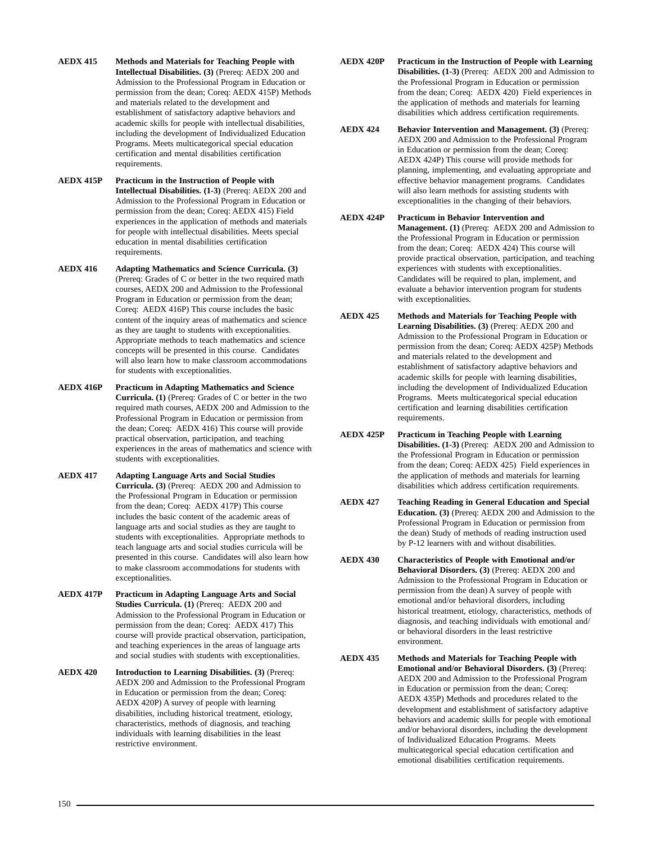- **AEDX 415 Methods and Materials for Teaching People with Intellectual Disabilities. (3)** (Prereq: AEDX 200 and Admission to the Professional Program in Education or permission from the dean; Coreq: AEDX 415P) Methods and materials related to the development and establishment of satisfactory adaptive behaviors and academic skills for people with intellectual disabilities, including the development of Individualized Education Programs. Meets multicategorical special education certification and mental disabilities certification requirements.
- **AEDX 415P Practicum in the Instruction of People with Intellectual Disabilities. (1-3)** (Prereq: AEDX 200 and Admission to the Professional Program in Education or permission from the dean; Coreq: AEDX 415) Field experiences in the application of methods and materials for people with intellectual disabilities. Meets special education in mental disabilities certification requirements.
- **AEDX 416 Adapting Mathematics and Science Curricula. (3)** (Prereq: Grades of C or better in the two required math courses, AEDX 200 and Admission to the Professional Program in Education or permission from the dean; Coreq: AEDX 416P) This course includes the basic content of the inquiry areas of mathematics and science as they are taught to students with exceptionalities. Appropriate methods to teach mathematics and science concepts will be presented in this course. Candidates will also learn how to make classroom accommodations for students with exceptionalities.
- **AEDX 416P Practicum in Adapting Mathematics and Science Curricula. (1)** (Prereq: Grades of C or better in the two required math courses, AEDX 200 and Admission to the Professional Program in Education or permission from the dean; Coreq: AEDX 416) This course will provide practical observation, participation, and teaching experiences in the areas of mathematics and science with students with exceptionalities.
- **AEDX 417 Adapting Language Arts and Social Studies Curricula. (3)** (Prereq: AEDX 200 and Admission to the Professional Program in Education or permission from the dean; Coreq: AEDX 417P) This course includes the basic content of the academic areas of language arts and social studies as they are taught to students with exceptionalities. Appropriate methods to teach language arts and social studies curricula will be presented in this course. Candidates will also learn how to make classroom accommodations for students with exceptionalities.
- **AEDX 417P Practicum in Adapting Language Arts and Social Studies Curricula. (1)** (Prereq: AEDX 200 and Admission to the Professional Program in Education or permission from the dean; Coreq: AEDX 417) This course will provide practical observation, participation, and teaching experiences in the areas of language arts and social studies with students with exceptionalities.
- **AEDX 420 Introduction to Learning Disabilities. (3)** (Prereq: AEDX 200 and Admission to the Professional Program in Education or permission from the dean; Coreq: AEDX 420P) A survey of people with learning disabilities, including historical treatment, etiology, characteristics, methods of diagnosis, and teaching individuals with learning disabilities in the least restrictive environment.
- **AEDX 420P Practicum in the Instruction of People with Learning Disabilities. (1-3)** (Prereq: AEDX 200 and Admission to the Professional Program in Education or permission from the dean; Coreq: AEDX 420) Field experiences in the application of methods and materials for learning disabilities which address certification requirements.
- **AEDX 424 Behavior Intervention and Management. (3)** (Prereq: AEDX 200 and Admission to the Professional Program in Education or permission from the dean; Coreq: AEDX 424P) This course will provide methods for planning, implementing, and evaluating appropriate and effective behavior management programs. Candidates will also learn methods for assisting students with exceptionalities in the changing of their behaviors.
- **AEDX 424P Practicum in Behavior Intervention and Management. (1)** (Prereq: AEDX 200 and Admission to the Professional Program in Education or permission from the dean; Coreq: AEDX 424) This course will provide practical observation, participation, and teaching experiences with students with exceptionalities. Candidates will be required to plan, implement, and evaluate a behavior intervention program for students with exceptionalities.
- **AEDX 425 Methods and Materials for Teaching People with Learning Disabilities. (3)** (Prereq: AEDX 200 and Admission to the Professional Program in Education or permission from the dean; Coreq: AEDX 425P) Methods and materials related to the development and establishment of satisfactory adaptive behaviors and academic skills for people with learning disabilities, including the development of Individualized Education Programs. Meets multicategorical special education certification and learning disabilities certification requirements.
- **AEDX 425P Practicum in Teaching People with Learning Disabilities. (1-3)** (Prereq: AEDX 200 and Admission to the Professional Program in Education or permission from the dean; Coreq: AEDX 425) Field experiences in the application of methods and materials for learning disabilities which address certification requirements.
- **AEDX 427 Teaching Reading in General Education and Special Education. (3)** (Prereq: AEDX 200 and Admission to the Professional Program in Education or permission from the dean) Study of methods of reading instruction used by P-12 learners with and without disabilities.
- **AEDX 430 Characteristics of People with Emotional and/or Behavioral Disorders. (3)** (Prereq: AEDX 200 and Admission to the Professional Program in Education or permission from the dean) A survey of people with emotional and/or behavioral disorders, including historical treatment, etiology, characteristics, methods of diagnosis, and teaching individuals with emotional and/ or behavioral disorders in the least restrictive environment.
- **AEDX 435 Methods and Materials for Teaching People with Emotional and/or Behavioral Disorders. (3)** (Prereq: AEDX 200 and Admission to the Professional Program in Education or permission from the dean; Coreq: AEDX 435P) Methods and procedures related to the development and establishment of satisfactory adaptive behaviors and academic skills for people with emotional and/or behavioral disorders, including the development of Individualized Education Programs. Meets multicategorical special education certification and emotional disabilities certification requirements.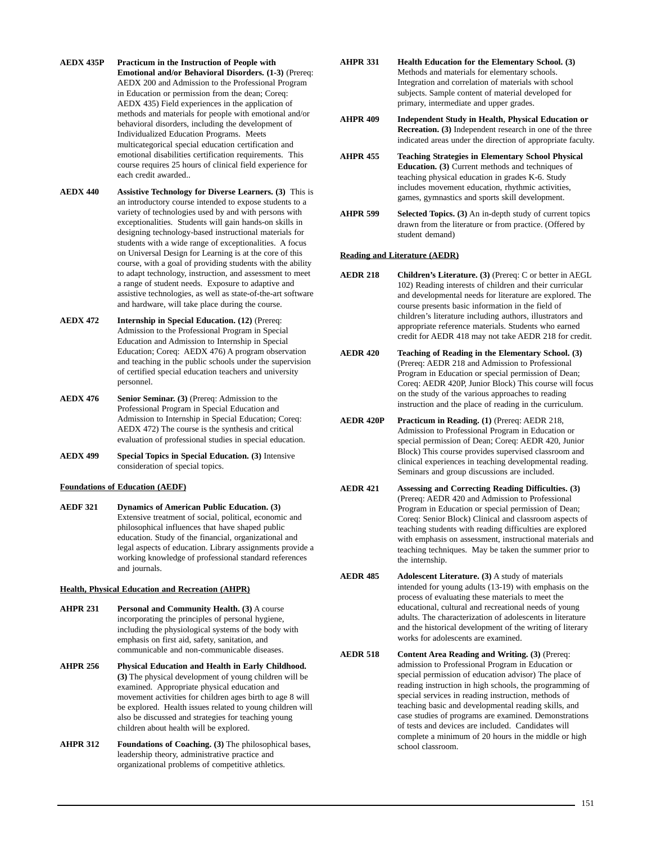- **AEDX 435P Practicum in the Instruction of People with Emotional and/or Behavioral Disorders. (1-3)** (Prereq: AEDX 200 and Admission to the Professional Program in Education or permission from the dean; Coreq: AEDX 435) Field experiences in the application of methods and materials for people with emotional and/or behavioral disorders, including the development of Individualized Education Programs. Meets multicategorical special education certification and emotional disabilities certification requirements. This course requires 25 hours of clinical field experience for each credit awarded..
- **AEDX 440 Assistive Technology for Diverse Learners. (3)** This is an introductory course intended to expose students to a variety of technologies used by and with persons with exceptionalities. Students will gain hands-on skills in designing technology-based instructional materials for students with a wide range of exceptionalities. A focus on Universal Design for Learning is at the core of this course, with a goal of providing students with the ability to adapt technology, instruction, and assessment to meet a range of student needs. Exposure to adaptive and assistive technologies, as well as state-of-the-art software and hardware, will take place during the course.
- **AEDX 472 Internship in Special Education. (12)** (Prereq: Admission to the Professional Program in Special Education and Admission to Internship in Special Education; Coreq: AEDX 476) A program observation and teaching in the public schools under the supervision of certified special education teachers and university personnel.
- **AEDX 476 Senior Seminar. (3)** (Prereq: Admission to the Professional Program in Special Education and Admission to Internship in Special Education; Coreq: AEDX 472) The course is the synthesis and critical evaluation of professional studies in special education.
- **AEDX 499 Special Topics in Special Education. (3)** Intensive consideration of special topics.

### **Foundations of Education (AEDF)**

**AEDF 321 Dynamics of American Public Education. (3)** Extensive treatment of social, political, economic and philosophical influences that have shaped public education. Study of the financial, organizational and legal aspects of education. Library assignments provide a working knowledge of professional standard references and journals.

### **Health, Physical Education and Recreation (AHPR)**

- **AHPR 231 Personal and Community Health. (3)** A course incorporating the principles of personal hygiene, including the physiological systems of the body with emphasis on first aid, safety, sanitation, and communicable and non-communicable diseases.
- **AHPR 256 Physical Education and Health in Early Childhood. (3)** The physical development of young children will be examined. Appropriate physical education and movement activities for children ages birth to age 8 will be explored. Health issues related to young children will also be discussed and strategies for teaching young children about health will be explored.
- **AHPR 312 Foundations of Coaching. (3)** The philosophical bases, leadership theory, administrative practice and organizational problems of competitive athletics.
- **AHPR 331 Health Education for the Elementary School. (3)** Methods and materials for elementary schools. Integration and correlation of materials with school subjects. Sample content of material developed for primary, intermediate and upper grades.
- **AHPR 409 Independent Study in Health, Physical Education or Recreation. (3)** Independent research in one of the three indicated areas under the direction of appropriate faculty.
- **AHPR 455 Teaching Strategies in Elementary School Physical Education. (3)** Current methods and techniques of teaching physical education in grades K-6. Study includes movement education, rhythmic activities, games, gymnastics and sports skill development.
- **AHPR 599** Selected Topics. (3) An in-depth study of current topics drawn from the literature or from practice. (Offered by student demand)

### **Reading and Literature (AEDR)**

- **AEDR 218 Children's Literature. (3)** (Prereq: C or better in AEGL 102) Reading interests of children and their curricular and developmental needs for literature are explored. The course presents basic information in the field of children's literature including authors, illustrators and appropriate reference materials. Students who earned credit for AEDR 418 may not take AEDR 218 for credit.
- **AEDR 420 Teaching of Reading in the Elementary School. (3)** (Prereq: AEDR 218 and Admission to Professional Program in Education or special permission of Dean; Coreq: AEDR 420P, Junior Block) This course will focus on the study of the various approaches to reading instruction and the place of reading in the curriculum.
- **AEDR 420P Practicum in Reading. (1)** (Prereq: AEDR 218, Admission to Professional Program in Education or special permission of Dean; Coreq: AEDR 420, Junior Block) This course provides supervised classroom and clinical experiences in teaching developmental reading. Seminars and group discussions are included.
- **AEDR 421 Assessing and Correcting Reading Difficulties. (3)** (Prereq: AEDR 420 and Admission to Professional Program in Education or special permission of Dean; Coreq: Senior Block) Clinical and classroom aspects of teaching students with reading difficulties are explored with emphasis on assessment, instructional materials and teaching techniques. May be taken the summer prior to the internship.
- **AEDR 485 Adolescent Literature. (3)** A study of materials intended for young adults (13-19) with emphasis on the process of evaluating these materials to meet the educational, cultural and recreational needs of young adults. The characterization of adolescents in literature and the historical development of the writing of literary works for adolescents are examined.
- **AEDR 518 Content Area Reading and Writing. (3)** (Prereq: admission to Professional Program in Education or special permission of education advisor) The place of reading instruction in high schools, the programming of special services in reading instruction, methods of teaching basic and developmental reading skills, and case studies of programs are examined. Demonstrations of tests and devices are included. Candidates will complete a minimum of 20 hours in the middle or high school classroom.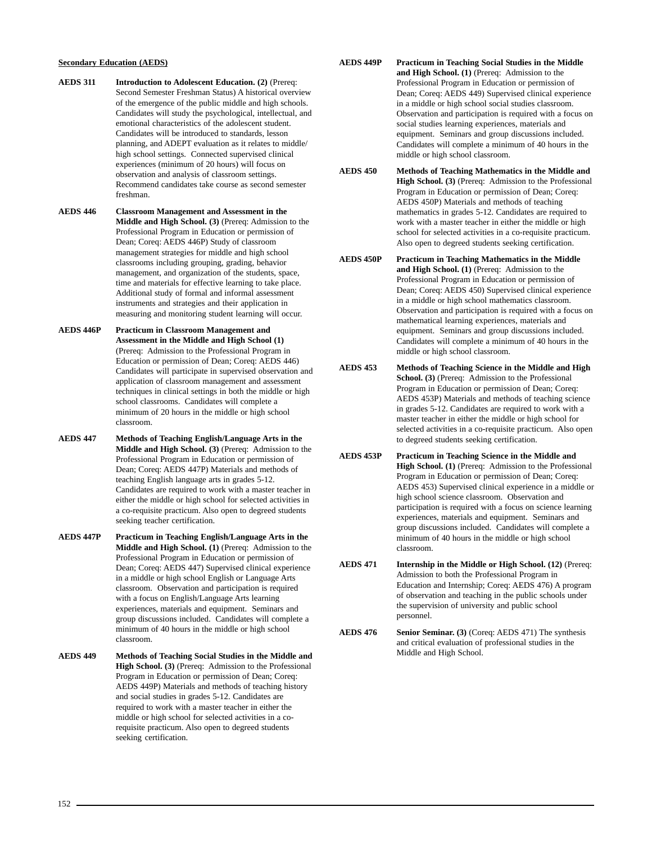### **Secondary Education (AEDS)**

- **AEDS 311 Introduction to Adolescent Education. (2)** (Prereq: Second Semester Freshman Status) A historical overview of the emergence of the public middle and high schools. Candidates will study the psychological, intellectual, and emotional characteristics of the adolescent student. Candidates will be introduced to standards, lesson planning, and ADEPT evaluation as it relates to middle/ high school settings. Connected supervised clinical experiences (minimum of 20 hours) will focus on observation and analysis of classroom settings. Recommend candidates take course as second semester freshman.
- **AEDS 446 Classroom Management and Assessment in the Middle and High School. (3)** (Prereq: Admission to the Professional Program in Education or permission of Dean; Coreq: AEDS 446P) Study of classroom management strategies for middle and high school classrooms including grouping, grading, behavior management, and organization of the students, space, time and materials for effective learning to take place. Additional study of formal and informal assessment instruments and strategies and their application in measuring and monitoring student learning will occur.
- **AEDS 446P Practicum in Classroom Management and Assessment in the Middle and High School (1)** (Prereq: Admission to the Professional Program in Education or permission of Dean; Coreq: AEDS 446) Candidates will participate in supervised observation and application of classroom management and assessment techniques in clinical settings in both the middle or high school classrooms. Candidates will complete a minimum of 20 hours in the middle or high school classroom.
- **AEDS 447 Methods of Teaching English/Language Arts in the Middle and High School. (3)** (Prereq: Admission to the Professional Program in Education or permission of Dean; Coreq: AEDS 447P) Materials and methods of teaching English language arts in grades 5-12. Candidates are required to work with a master teacher in either the middle or high school for selected activities in a co-requisite practicum. Also open to degreed students seeking teacher certification.
- **AEDS 447P Practicum in Teaching English/Language Arts in the Middle and High School. (1)** (Prereq: Admission to the Professional Program in Education or permission of Dean; Coreq: AEDS 447) Supervised clinical experience in a middle or high school English or Language Arts classroom. Observation and participation is required with a focus on English/Language Arts learning experiences, materials and equipment. Seminars and group discussions included. Candidates will complete a minimum of 40 hours in the middle or high school classroom.
- **AEDS 449 Methods of Teaching Social Studies in the Middle and High School. (3)** (Prereq: Admission to the Professional Program in Education or permission of Dean; Coreq: AEDS 449P) Materials and methods of teaching history and social studies in grades 5-12. Candidates are required to work with a master teacher in either the middle or high school for selected activities in a corequisite practicum. Also open to degreed students seeking certification.
- **AEDS 449P Practicum in Teaching Social Studies in the Middle and High School. (1)** (Prereq: Admission to the Professional Program in Education or permission of Dean; Coreq: AEDS 449) Supervised clinical experience in a middle or high school social studies classroom. Observation and participation is required with a focus on social studies learning experiences, materials and equipment. Seminars and group discussions included. Candidates will complete a minimum of 40 hours in the middle or high school classroom.
- **AEDS 450 Methods of Teaching Mathematics in the Middle and High School. (3)** (Prereq: Admission to the Professional Program in Education or permission of Dean; Coreq: AEDS 450P) Materials and methods of teaching mathematics in grades 5-12. Candidates are required to work with a master teacher in either the middle or high school for selected activities in a co-requisite practicum. Also open to degreed students seeking certification.
- **AEDS 450P Practicum in Teaching Mathematics in the Middle and High School. (1)** (Prereq: Admission to the Professional Program in Education or permission of Dean; Coreq: AEDS 450) Supervised clinical experience in a middle or high school mathematics classroom. Observation and participation is required with a focus on mathematical learning experiences, materials and equipment. Seminars and group discussions included. Candidates will complete a minimum of 40 hours in the middle or high school classroom.
- **AEDS 453 Methods of Teaching Science in the Middle and High School. (3)** (Prereq: Admission to the Professional Program in Education or permission of Dean; Coreq: AEDS 453P) Materials and methods of teaching science in grades 5-12. Candidates are required to work with a master teacher in either the middle or high school for selected activities in a co-requisite practicum. Also open to degreed students seeking certification.
- **AEDS 453P Practicum in Teaching Science in the Middle and High School. (1)** (Prereq: Admission to the Professional Program in Education or permission of Dean; Coreq: AEDS 453) Supervised clinical experience in a middle or high school science classroom. Observation and participation is required with a focus on science learning experiences, materials and equipment. Seminars and group discussions included. Candidates will complete a minimum of 40 hours in the middle or high school classroom.
- **AEDS 471 Internship in the Middle or High School. (12)** (Prereq: Admission to both the Professional Program in Education and Internship; Coreq: AEDS 476) A program of observation and teaching in the public schools under the supervision of university and public school personnel.
- **AEDS 476** Senior Seminar. (3) (Coreq: AEDS 471) The synthesis and critical evaluation of professional studies in the Middle and High School.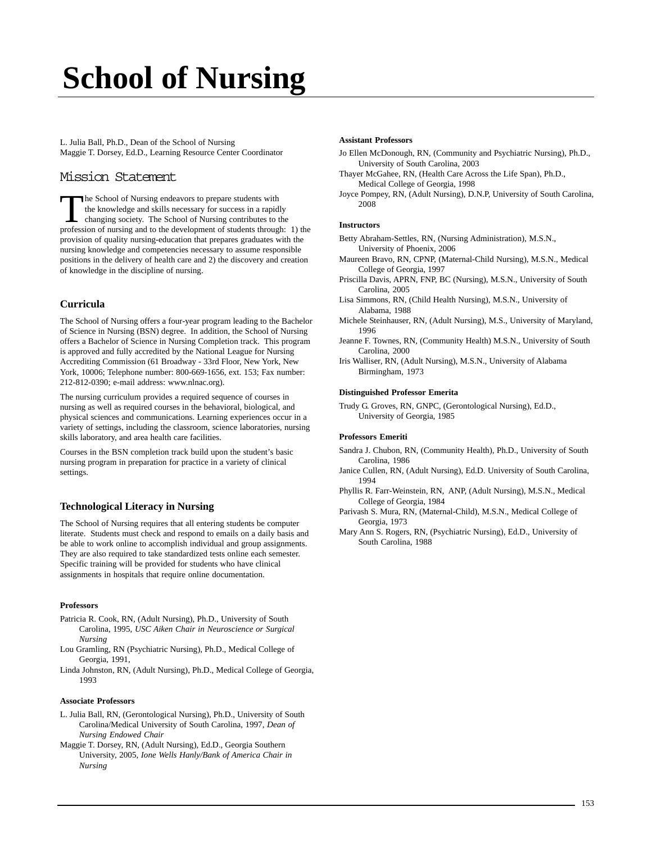# **[School of Nursing](http://web.usca.edu/nursing/)**

L. Julia Ball, Ph.D., Dean of the School of Nursing Maggie T. Dorsey, Ed.D., Learning Resource Center Coordinator

# Mission Statement

The School of Nursing endeavors to prepare students with the knowledge and skills necessary for success in a rapidly changing society. The School of Nursing contributes to the profession of nursing and to the development of students through: 1) the provision of quality nursing-education that prepares graduates with the nursing knowledge and competencies necessary to assume responsible positions in the delivery of health care and 2) the discovery and creation of knowledge in the discipline of nursing.

# **Curricula**

The School of Nursing offers a four-year program leading to the Bachelor of Science in Nursing (BSN) degree. In addition, the School of Nursing offers a Bachelor of Science in Nursing Completion track. This program is approved and fully accredited by the National League for Nursing Accrediting Commission (61 Broadway - 33rd Floor, New York, New York, 10006; Telephone number: 800-669-1656, ext. 153; Fax number: 212-812-0390; e-mail address: www.nlnac.org).

The nursing curriculum provides a required sequence of courses in nursing as well as required courses in the behavioral, biological, and physical sciences and communications. Learning experiences occur in a variety of settings, including the classroom, science laboratories, nursing skills laboratory, and area health care facilities.

Courses in the BSN completion track build upon the student's basic nursing program in preparation for practice in a variety of clinical settings.

# **Technological Literacy in Nursing**

The School of Nursing requires that all entering students be computer literate. Students must check and respond to emails on a daily basis and be able to work online to accomplish individual and group assignments. They are also required to take standardized tests online each semester. Specific training will be provided for students who have clinical assignments in hospitals that require online documentation.

### **Professors**

- Patricia R. Cook, RN, (Adult Nursing), Ph.D., University of South Carolina, 1995, *USC Aiken Chair in Neuroscience or Surgical Nursing*
- Lou Gramling, RN (Psychiatric Nursing), Ph.D., Medical College of Georgia, 1991,
- Linda Johnston, RN, (Adult Nursing), Ph.D., Medical College of Georgia, 1993

### **Associate Professors**

- L. Julia Ball, RN, (Gerontological Nursing), Ph.D., University of South Carolina/Medical University of South Carolina, 1997, *Dean of Nursing Endowed Chair*
- Maggie T. Dorsey, RN, (Adult Nursing), Ed.D., Georgia Southern University, 2005, *Ione Wells Hanly/Bank of America Chair in Nursing*

### **Assistant Professors**

- Jo Ellen McDonough, RN, (Community and Psychiatric Nursing), Ph.D., University of South Carolina, 2003
- Thayer McGahee, RN, (Health Care Across the Life Span), Ph.D., Medical College of Georgia, 1998
- Joyce Pompey, RN, (Adult Nursing), D.N.P, University of South Carolina, 2008

### **Instructors**

- Betty Abraham-Settles, RN, (Nursing Administration), M.S.N., University of Phoenix, 2006
- Maureen Bravo, RN, CPNP, (Maternal-Child Nursing), M.S.N., Medical College of Georgia, 1997
- Priscilla Davis, APRN, FNP, BC (Nursing), M.S.N., University of South Carolina, 2005
- Lisa Simmons, RN, (Child Health Nursing), M.S.N., University of Alabama, 1988
- Michele Steinhauser, RN, (Adult Nursing), M.S., University of Maryland, 1996
- Jeanne F. Townes, RN, (Community Health) M.S.N., University of South Carolina, 2000
- Iris Walliser, RN, (Adult Nursing), M.S.N., University of Alabama Birmingham, 1973

### **Distinguished Professor Emerita**

Trudy G. Groves, RN, GNPC, (Gerontological Nursing), Ed.D., University of Georgia, 1985

### **Professors Emeriti**

- Sandra J. Chubon, RN, (Community Health), Ph.D., University of South Carolina, 1986
- Janice Cullen, RN, (Adult Nursing), Ed.D. University of South Carolina, 1994
- Phyllis R. Farr-Weinstein, RN, ANP, (Adult Nursing), M.S.N., Medical College of Georgia, 1984
- Parivash S. Mura, RN, (Maternal-Child), M.S.N., Medical College of Georgia, 1973
- Mary Ann S. Rogers, RN, (Psychiatric Nursing), Ed.D., University of South Carolina, 1988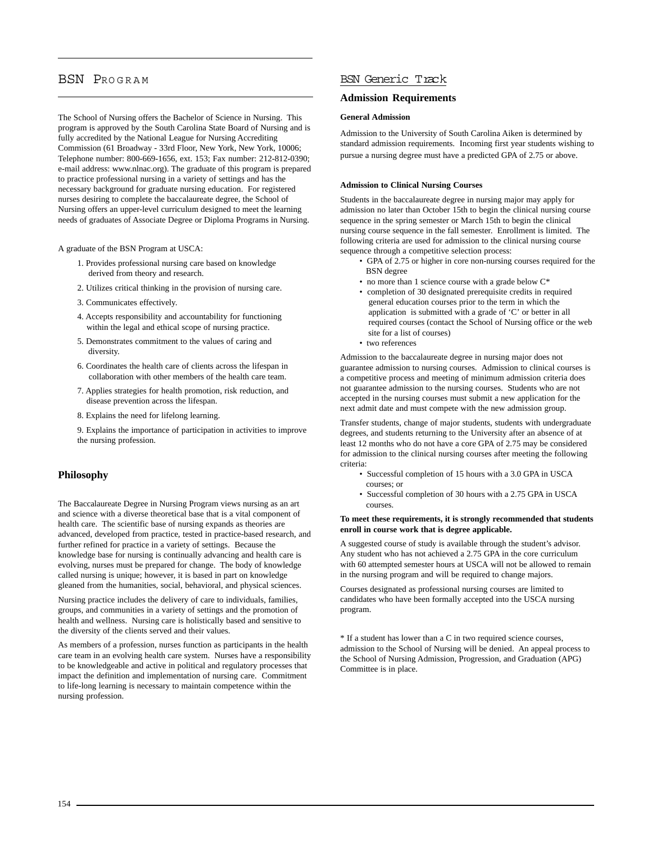# BSN PROGRAM

The School of Nursing offers the Bachelor of Science in Nursing. This program is approved by the South Carolina State Board of Nursing and is fully accredited by the National League for Nursing Accrediting Commission (61 Broadway - 33rd Floor, New York, New York, 10006; Telephone number: 800-669-1656, ext. 153; Fax number: 212-812-0390; e-mail address: www.nlnac.org). The graduate of this program is prepared to practice professional nursing in a variety of settings and has the necessary background for graduate nursing education. For registered nurses desiring to complete the baccalaureate degree, the School of Nursing offers an upper-level curriculum designed to meet the learning needs of graduates of Associate Degree or Diploma Programs in Nursing.

A graduate of the BSN Program at USCA:

- 1. Provides professional nursing care based on knowledge derived from theory and research.
- 2. Utilizes critical thinking in the provision of nursing care.
- 3. Communicates effectively.
- 4. Accepts responsibility and accountability for functioning within the legal and ethical scope of nursing practice.
- 5. Demonstrates commitment to the values of caring and diversity.
- 6. Coordinates the health care of clients across the lifespan in collaboration with other members of the health care team.
- 7. Applies strategies for health promotion, risk reduction, and disease prevention across the lifespan.
- 8. Explains the need for lifelong learning.

9. Explains the importance of participation in activities to improve the nursing profession.

### **Philosophy**

The Baccalaureate Degree in Nursing Program views nursing as an art and science with a diverse theoretical base that is a vital component of health care. The scientific base of nursing expands as theories are advanced, developed from practice, tested in practice-based research, and further refined for practice in a variety of settings. Because the knowledge base for nursing is continually advancing and health care is evolving, nurses must be prepared for change. The body of knowledge called nursing is unique; however, it is based in part on knowledge gleaned from the humanities, social, behavioral, and physical sciences.

Nursing practice includes the delivery of care to individuals, families, groups, and communities in a variety of settings and the promotion of health and wellness. Nursing care is holistically based and sensitive to the diversity of the clients served and their values.

As members of a profession, nurses function as participants in the health care team in an evolving health care system. Nurses have a responsibility to be knowledgeable and active in political and regulatory processes that impact the definition and implementation of nursing care. Commitment to life-long learning is necessary to maintain competence within the nursing profession.

### BSN Generic Track

### **Admission Requirements**

### **General Admission**

Admission to the University of South Carolina Aiken is determined by standard admission requirements. Incoming first year students wishing to pursue a nursing degree must have a predicted GPA of 2.75 or above.

### **Admission to Clinical Nursing Courses**

Students in the baccalaureate degree in nursing major may apply for admission no later than October 15th to begin the clinical nursing course sequence in the spring semester or March 15th to begin the clinical nursing course sequence in the fall semester. Enrollment is limited. The following criteria are used for admission to the clinical nursing course sequence through a competitive selection process:

- GPA of 2.75 or higher in core non-nursing courses required for the BSN degree
- no more than 1 science course with a grade below  $C^*$
- completion of 30 designated prerequisite credits in required general education courses prior to the term in which the application is submitted with a grade of 'C' or better in all required courses (contact the School of Nursing office or the web site for a list of courses)
- two references

Admission to the baccalaureate degree in nursing major does not guarantee admission to nursing courses. Admission to clinical courses is a competitive process and meeting of minimum admission criteria does not guarantee admission to the nursing courses. Students who are not accepted in the nursing courses must submit a new application for the next admit date and must compete with the new admission group.

Transfer students, change of major students, students with undergraduate degrees, and students returning to the University after an absence of at least 12 months who do not have a core GPA of 2.75 may be considered for admission to the clinical nursing courses after meeting the following criteria:

- Successful completion of 15 hours with a 3.0 GPA in USCA courses; or
- Successful completion of 30 hours with a 2.75 GPA in USCA courses.

### **To meet these requirements, it is strongly recommended that students enroll in course work that is degree applicable.**

A suggested course of study is available through the student's advisor. Any student who has not achieved a 2.75 GPA in the core curriculum with 60 attempted semester hours at USCA will not be allowed to remain in the nursing program and will be required to change majors.

Courses designated as professional nursing courses are limited to candidates who have been formally accepted into the USCA nursing program.

\* If a student has lower than a C in two required science courses, admission to the School of Nursing will be denied. An appeal process to the School of Nursing Admission, Progression, and Graduation (APG) Committee is in place.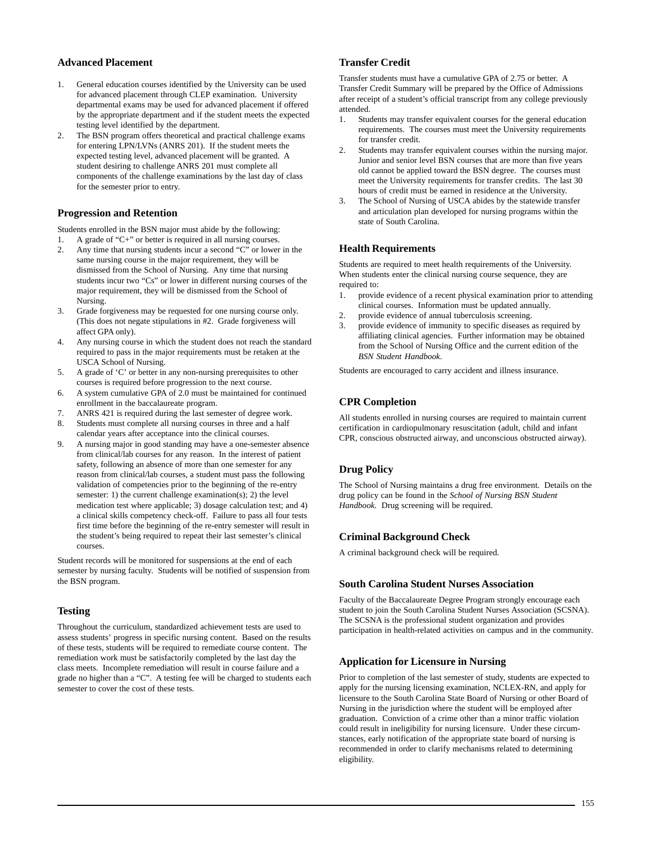### **Advanced Placement**

- 1. General education courses identified by the University can be used for advanced placement through CLEP examination. University departmental exams may be used for advanced placement if offered by the appropriate department and if the student meets the expected testing level identified by the department.
- 2. The BSN program offers theoretical and practical challenge exams for entering LPN/LVNs (ANRS 201). If the student meets the expected testing level, advanced placement will be granted. A student desiring to challenge ANRS 201 must complete all components of the challenge examinations by the last day of class for the semester prior to entry.

# **Progression and Retention**

Students enrolled in the BSN major must abide by the following:

- 1. A grade of "C+" or better is required in all nursing courses. 2. Any time that nursing students incur a second "C" or lower in the same nursing course in the major requirement, they will be dismissed from the School of Nursing. Any time that nursing students incur two "Cs" or lower in different nursing courses of the major requirement, they will be dismissed from the School of Nursing.
- 3. Grade forgiveness may be requested for one nursing course only. (This does not negate stipulations in #2. Grade forgiveness will affect GPA only).
- 4. Any nursing course in which the student does not reach the standard required to pass in the major requirements must be retaken at the USCA School of Nursing.
- 5. A grade of 'C' or better in any non-nursing prerequisites to other courses is required before progression to the next course.
- 6. A system cumulative GPA of 2.0 must be maintained for continued enrollment in the baccalaureate program.
- 7. ANRS 421 is required during the last semester of degree work.
- 8. Students must complete all nursing courses in three and a half calendar years after acceptance into the clinical courses.
- 9. A nursing major in good standing may have a one-semester absence from clinical/lab courses for any reason. In the interest of patient safety, following an absence of more than one semester for any reason from clinical/lab courses, a student must pass the following validation of competencies prior to the beginning of the re-entry semester: 1) the current challenge examination(s); 2) the level medication test where applicable; 3) dosage calculation test; and 4) a clinical skills competency check-off. Failure to pass all four tests first time before the beginning of the re-entry semester will result in the student's being required to repeat their last semester's clinical courses.

Student records will be monitored for suspensions at the end of each semester by nursing faculty. Students will be notified of suspension from the BSN program.

# **Testing**

Throughout the curriculum, standardized achievement tests are used to assess students' progress in specific nursing content. Based on the results of these tests, students will be required to remediate course content. The remediation work must be satisfactorily completed by the last day the class meets. Incomplete remediation will result in course failure and a grade no higher than a "C". A testing fee will be charged to students each semester to cover the cost of these tests.

# **Transfer Credit**

Transfer students must have a cumulative GPA of 2.75 or better. A Transfer Credit Summary will be prepared by the Office of Admissions after receipt of a student's official transcript from any college previously attended.

- 1. Students may transfer equivalent courses for the general education requirements. The courses must meet the University requirements for transfer credit.
- 2. Students may transfer equivalent courses within the nursing major. Junior and senior level BSN courses that are more than five years old cannot be applied toward the BSN degree. The courses must meet the University requirements for transfer credits. The last 30 hours of credit must be earned in residence at the University.
- 3. The School of Nursing of USCA abides by the statewide transfer and articulation plan developed for nursing programs within the state of South Carolina.

# **Health Requirements**

Students are required to meet health requirements of the University. When students enter the clinical nursing course sequence, they are required to:

- 1. provide evidence of a recent physical examination prior to attending clinical courses. Information must be updated annually.
- 2. provide evidence of annual tuberculosis screening.
- provide evidence of immunity to specific diseases as required by affiliating clinical agencies. Further information may be obtained from the School of Nursing Office and the current edition of the *BSN Student Handbook*.

Students are encouraged to carry accident and illness insurance.

# **CPR Completion**

All students enrolled in nursing courses are required to maintain current certification in cardiopulmonary resuscitation (adult, child and infant CPR, conscious obstructed airway, and unconscious obstructed airway).

# **Drug Policy**

The School of Nursing maintains a drug free environment. Details on the drug policy can be found in the *School of Nursing BSN Student Handbook.* Drug screening will be required.

### **Criminal Background Check**

A criminal background check will be required.

### **South Carolina Student Nurses Association**

Faculty of the Baccalaureate Degree Program strongly encourage each student to join the South Carolina Student Nurses Association (SCSNA). The SCSNA is the professional student organization and provides participation in health-related activities on campus and in the community.

### **Application for Licensure in Nursing**

Prior to completion of the last semester of study, students are expected to apply for the nursing licensing examination, NCLEX-RN, and apply for licensure to the South Carolina State Board of Nursing or other Board of Nursing in the jurisdiction where the student will be employed after graduation. Conviction of a crime other than a minor traffic violation could result in ineligibility for nursing licensure. Under these circumstances, early notification of the appropriate state board of nursing is recommended in order to clarify mechanisms related to determining eligibility.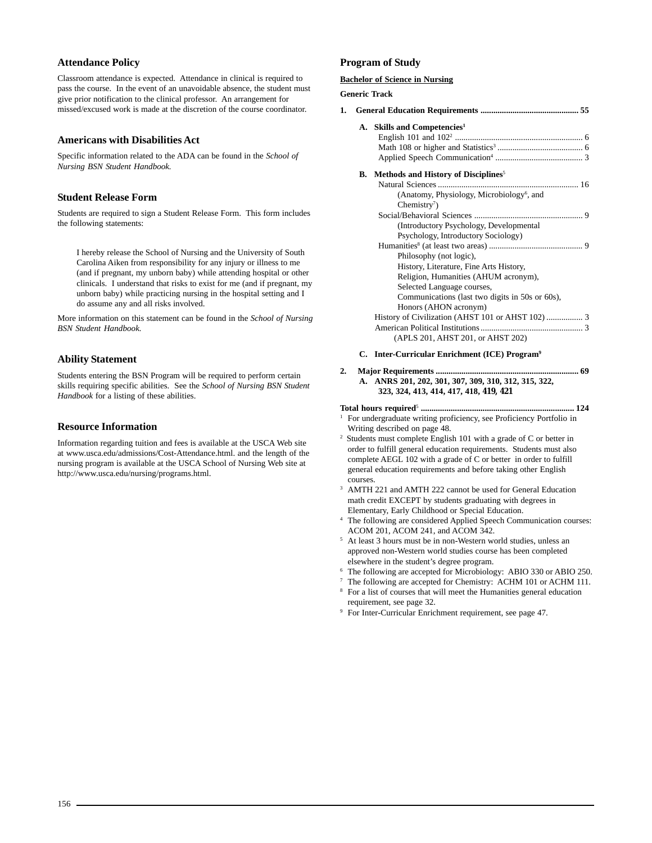# **Attendance Policy**

Classroom attendance is expected. Attendance in clinical is required to pass the course. In the event of an unavoidable absence, the student must give prior notification to the clinical professor. An arrangement for missed/excused work is made at the discretion of the course coordinator.

### **Americans with Disabilities Act**

Specific information related to the ADA can be found in the *School of Nursing BSN Student Handbook.*

### **Student Release Form**

Students are required to sign a Student Release Form. This form includes the following statements:

I hereby release the School of Nursing and the University of South Carolina Aiken from responsibility for any injury or illness to me (and if pregnant, my unborn baby) while attending hospital or other clinicals. I understand that risks to exist for me (and if pregnant, my unborn baby) while practicing nursing in the hospital setting and I do assume any and all risks involved.

More information on this statement can be found in the *School of Nursing BSN Student Handbook.*

### **Ability Statement**

Students entering the BSN Program will be required to perform certain skills requiring specific abilities. See the *School of Nursing BSN Student Handbook* for a listing of these abilities.

### **Resource Information**

Information regarding tuition and fees is available at the USCA Web site at www.usca.edu/admissions/Cost-Attendance.html. and the length of the nursing program is available at the USCA School of Nursing Web site at http://www.usca.edu/nursing/programs.html.

### **Program of Study**

### **Bachelor of Science in Nursing**

### **Generic Track**

| 1. |                                                           |
|----|-----------------------------------------------------------|
|    | A. Skills and Competencies <sup>1</sup>                   |
|    | <b>B.</b> Methods and History of Disciplines <sup>5</sup> |
|    |                                                           |
|    | (Anatomy, Physiology, Microbiology <sup>6</sup> , and     |
|    | Chemistry $\frac{7}{2}$                                   |
|    |                                                           |
|    | (Introductory Psychology, Developmental                   |
|    | Psychology, Introductory Sociology)                       |
|    |                                                           |
|    | Philosophy (not logic),                                   |
|    | History, Literature, Fine Arts History,                   |
|    | Religion, Humanities (AHUM acronym),                      |
|    | Selected Language courses,                                |
|    | Communications (last two digits in 50s or 60s),           |
|    | Honors (AHON acronym)                                     |
|    |                                                           |
|    |                                                           |
|    | (APLS 201, AHST 201, or AHST 202)                         |
|    |                                                           |

### **C. Inter-Curricular Enrichment (ICE) Program9**

### **2. Major Requirements ................................................................... 69 A. ANRS 201, 202, 301, 307, 309, 310, 312, 315, 322, 323, 324, 413, 414, 417, 418, 419, 421**

- **Total hours required**<sup>5</sup> **........................................................................ 124** <sup>1</sup> For undergraduate writing proficiency, see Proficiency Portfolio in
- Writing described on page 48. 2 Students must complete English 101 with a grade of C or better in order to fulfill general education requirements. Students must also complete AEGL 102 with a grade of C or better in order to fulfill general education requirements and before taking other English courses.
- <sup>3</sup> AMTH 221 and AMTH 222 cannot be used for General Education math credit EXCEPT by students graduating with degrees in Elementary, Early Childhood or Special Education.
- <sup>4</sup> The following are considered Applied Speech Communication courses: ACOM 201, ACOM 241, and ACOM 342.
- <sup>5</sup> At least 3 hours must be in non-Western world studies, unless an approved non-Western world studies course has been completed elsewhere in the student's degree program.
- <sup>6</sup> The following are accepted for Microbiology: ABIO 330 or ABIO 250.
- <sup>7</sup> The following are accepted for Chemistry: ACHM 101 or ACHM 111.
- <sup>8</sup> For a list of courses that will meet the Humanities general education requirement, see page 32.
- <sup>9</sup> For Inter-Curricular Enrichment requirement, see page 47.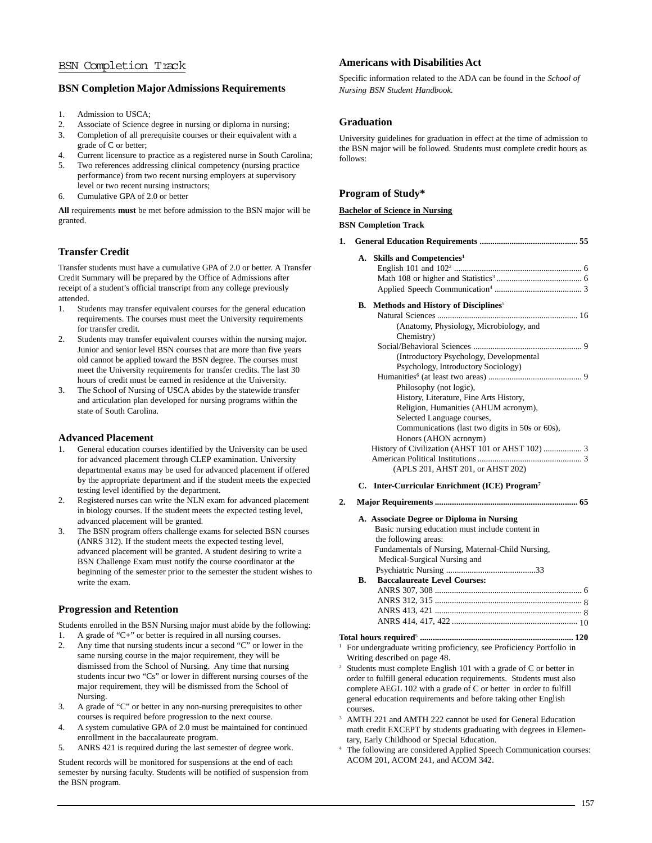# BSN Completion Track

# **BSN Completion Major Admissions Requirements**

- 1. Admission to USCA;
- 2. Associate of Science degree in nursing or diploma in nursing;<br>3. Completion of all prerequisite courses or their equivalent with
- Completion of all prerequisite courses or their equivalent with a grade of C or better;
- 4. Current licensure to practice as a registered nurse in South Carolina;
- 5. Two references addressing clinical competency (nursing practice performance) from two recent nursing employers at supervisory level or two recent nursing instructors;
- 6. Cumulative GPA of 2.0 or better

**All** requirements **must** be met before admission to the BSN major will be granted.

# **Transfer Credit**

Transfer students must have a cumulative GPA of 2.0 or better. A Transfer Credit Summary will be prepared by the Office of Admissions after receipt of a student's official transcript from any college previously attended.

- 1. Students may transfer equivalent courses for the general education requirements. The courses must meet the University requirements for transfer credit.
- 2. Students may transfer equivalent courses within the nursing major. Junior and senior level BSN courses that are more than five years old cannot be applied toward the BSN degree. The courses must meet the University requirements for transfer credits. The last 30 hours of credit must be earned in residence at the University.
- 3. The School of Nursing of USCA abides by the statewide transfer and articulation plan developed for nursing programs within the state of South Carolina.

### **Advanced Placement**

- 1. General education courses identified by the University can be used for advanced placement through CLEP examination. University departmental exams may be used for advanced placement if offered by the appropriate department and if the student meets the expected testing level identified by the department.
- 2. Registered nurses can write the NLN exam for advanced placement in biology courses. If the student meets the expected testing level, advanced placement will be granted.
- 3. The BSN program offers challenge exams for selected BSN courses (ANRS 312). If the student meets the expected testing level, advanced placement will be granted. A student desiring to write a BSN Challenge Exam must notify the course coordinator at the beginning of the semester prior to the semester the student wishes to write the exam.

# **Progression and Retention**

Students enrolled in the BSN Nursing major must abide by the following:

- 1. A grade of "C+" or better is required in all nursing courses.
- 2. Any time that nursing students incur a second "C" or lower in the same nursing course in the major requirement, they will be dismissed from the School of Nursing. Any time that nursing students incur two "Cs" or lower in different nursing courses of the major requirement, they will be dismissed from the School of Nursing.
- 3. A grade of "C" or better in any non-nursing prerequisites to other courses is required before progression to the next course.
- 4. A system cumulative GPA of 2.0 must be maintained for continued enrollment in the baccalaureate program.
- 5. ANRS 421 is required during the last semester of degree work.

Student records will be monitored for suspensions at the end of each semester by nursing faculty. Students will be notified of suspension from the BSN program.

### **Americans with Disabilities Act**

Specific information related to the ADA can be found in the *School of Nursing BSN Student Handbook.*

# **Graduation**

University guidelines for graduation in effect at the time of admission to the BSN major will be followed. Students must complete credit hours as follows:

# **Program of Study\***

**Bachelor of Science in Nursing**

### **BSN Completion Track**

| 1. |  |  |
|----|--|--|
|----|--|--|

### **A. Skills and Competencies1**

English 101 and 1022 ............................................................ 6 Math 108 or higher and Statistics3 ........................................ 6 Applied Speech Communication4 ......................................... 3

### **B.** Methods and History of Disciplines<sup>5</sup>

| (Anatomy, Physiology, Microbiology, and         |
|-------------------------------------------------|
| Chemistry)                                      |
|                                                 |
| (Introductory Psychology, Developmental)        |
| Psychology, Introductory Sociology)             |
|                                                 |
| Philosophy (not logic),                         |
| History, Literature, Fine Arts History,         |
| Religion, Humanities (AHUM acronym),            |
| Selected Language courses,                      |
| Communications (last two digits in 50s or 60s), |
| Honors (AHON acronym)                           |
|                                                 |
|                                                 |
| (APLS 201, AHST 201, or AHST 202)               |

### **C. Inter-Curricular Enrichment (ICE) Program7**

**2. Major Requirements ................................................................... 65**

### **A. Associate Degree or Diploma in Nursing**

|    | Basic nursing education must include content in  |
|----|--------------------------------------------------|
|    | the following areas:                             |
|    | Fundamentals of Nursing, Maternal-Child Nursing, |
|    | Medical-Surgical Nursing and                     |
|    |                                                  |
| B. | <b>Baccalaureate Level Courses:</b>              |
|    |                                                  |
|    |                                                  |
|    |                                                  |
|    |                                                  |
|    |                                                  |

### **Total hours required**<sup>5</sup> **........................................................................ 120**

- <sup>1</sup> For undergraduate writing proficiency, see Proficiency Portfolio in Writing described on page 48.
- Students must complete English 101 with a grade of C or better in order to fulfill general education requirements. Students must also complete AEGL 102 with a grade of C or better in order to fulfill general education requirements and before taking other English courses.
- <sup>3</sup> AMTH 221 and AMTH 222 cannot be used for General Education math credit EXCEPT by students graduating with degrees in Elementary, Early Childhood or Special Education.
- <sup>4</sup> The following are considered Applied Speech Communication courses: ACOM 201, ACOM 241, and ACOM 342.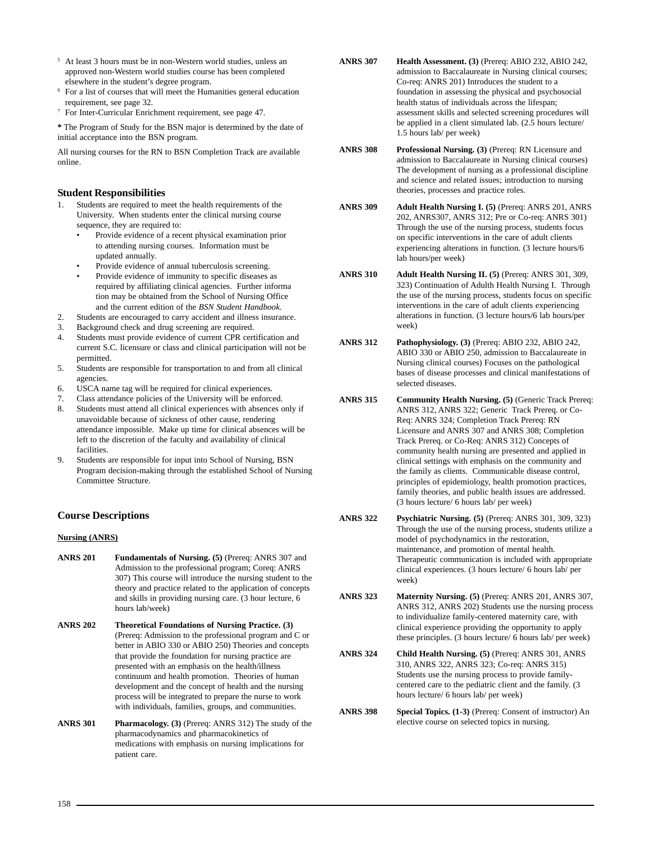- <sup>5</sup> At least 3 hours must be in non-Western world studies, unless an approved non-Western world studies course has been completed elsewhere in the student's degree program.
- <sup>6</sup> For a list of courses that will meet the Humanities general education requirement, see page 32.
- <sup>7</sup> For Inter-Curricular Enrichment requirement, see page 47.

**\*** The Program of Study for the BSN major is determined by the date of initial acceptance into the BSN program.

All nursing courses for the RN to BSN Completion Track are available online.

### **Student Responsibilities**

- Students are required to meet the health requirements of the University. When students enter the clinical nursing course sequence, they are required to:
	- Provide evidence of a recent physical examination prior to attending nursing courses. Information must be updated annually.
	- Provide evidence of annual tuberculosis screening.
	- Provide evidence of immunity to specific diseases as required by affiliating clinical agencies. Further informa tion may be obtained from the School of Nursing Office and the current edition of the *BSN Student Handbook*.
- 2. Students are encouraged to carry accident and illness insurance.
- 3. Background check and drug screening are required.
- 4. Students must provide evidence of current CPR certification and current S.C. licensure or class and clinical participation will not be permitted.
- 5. Students are responsible for transportation to and from all clinical agencies.
- 6. USCA name tag will be required for clinical experiences.
- 7. Class attendance policies of the University will be enforced.
- 8. Students must attend all clinical experiences with absences only if unavoidable because of sickness of other cause, rendering attendance impossible. Make up time for clinical absences will be left to the discretion of the faculty and availability of clinical facilities.
- 9. Students are responsible for input into School of Nursing, BSN Program decision-making through the established School of Nursing Committee Structure.

# **Course Descriptions**

### **Nursing (ANRS)**

- **ANRS 201 Fundamentals of Nursing. (5)** (Prereq: ANRS 307 and Admission to the professional program; Coreq: ANRS 307) This course will introduce the nursing student to the theory and practice related to the application of concepts and skills in providing nursing care. (3 hour lecture, 6 hours lab/week)
- **ANRS 202 Theoretical Foundations of Nursing Practice. (3)** (Prereq: Admission to the professional program and C or better in ABIO 330 or ABIO 250) Theories and concepts that provide the foundation for nursing practice are presented with an emphasis on the health/illness continuum and health promotion. Theories of human development and the concept of health and the nursing process will be integrated to prepare the nurse to work with individuals, families, groups, and communities.
- **ANRS 301 Pharmacology. (3)** (Prereq: ANRS 312) The study of the pharmacodynamics and pharmacokinetics of medications with emphasis on nursing implications for patient care.
- **ANRS 307 Health Assessment. (3)** (Prereq: ABIO 232, ABIO 242, admission to Baccalaureate in Nursing clinical courses; Co-req: ANRS 201) Introduces the student to a foundation in assessing the physical and psychosocial health status of individuals across the lifespan; assessment skills and selected screening procedures will be applied in a client simulated lab. (2.5 hours lecture/ 1.5 hours lab/ per week)
- **ANRS 308 Professional Nursing. (3)** (Prereq: RN Licensure and admission to Baccalaureate in Nursing clinical courses) The development of nursing as a professional discipline and science and related issues; introduction to nursing theories, processes and practice roles.
- **ANRS 309 Adult Health Nursing I. (5)** (Prereq: ANRS 201, ANRS 202, ANRS307, ANRS 312; Pre or Co-req: ANRS 301) Through the use of the nursing process, students focus on specific interventions in the care of adult clients experiencing alterations in function. (3 lecture hours/6 lab hours/per week)
- **ANRS 310 Adult Health Nursing II. (5)** (Prereq: ANRS 301, 309, 323) Continuation of Adulth Health Nursing I. Through the use of the nursing process, students focus on specific interventions in the care of adult clients experiencing alterations in function. (3 lecture hours/6 lab hours/per week)
- **ANRS 312 Pathophysiology. (3)** (Prereq: ABIO 232, ABIO 242, ABIO 330 or ABIO 250, admission to Baccalaureate in Nursing clinical courses) Focuses on the pathological bases of disease processes and clinical manifestations of selected diseases.
- **ANRS 315 Community Health Nursing. (5)** (Generic Track Prereq: ANRS 312, ANRS 322; Generic Track Prereq. or Co-Req: ANRS 324; Completion Track Prereq: RN Licensure and ANRS 307 and ANRS 308; Completion Track Prereq. or Co-Req: ANRS 312) Concepts of community health nursing are presented and applied in clinical settings with emphasis on the community and the family as clients. Communicable disease control, principles of epidemiology, health promotion practices, family theories, and public health issues are addressed. (3 hours lecture/ 6 hours lab/ per week)
- **ANRS 322 Psychiatric Nursing. (5)** (Prereq: ANRS 301, 309, 323) Through the use of the nursing process, students utilize a model of psychodynamics in the restoration, maintenance, and promotion of mental health. Therapeutic communication is included with appropriate clinical experiences. (3 hours lecture/ 6 hours lab/ per week)
- **ANRS 323 Maternity Nursing. (5)** (Prereq: ANRS 201, ANRS 307, ANRS 312, ANRS 202) Students use the nursing process to individualize family-centered maternity care, with clinical experience providing the opportunity to apply these principles. (3 hours lecture/ 6 hours lab/ per week)
- **ANRS 324 Child Health Nursing. (5)** (Prereq: ANRS 301, ANRS 310, ANRS 322, ANRS 323; Co-req: ANRS 315) Students use the nursing process to provide familycentered care to the pediatric client and the family. (3 hours lecture/ 6 hours lab/ per week)
- **ANRS 398 Special Topics. (1-3)** (Prereq: Consent of instructor) An elective course on selected topics in nursing.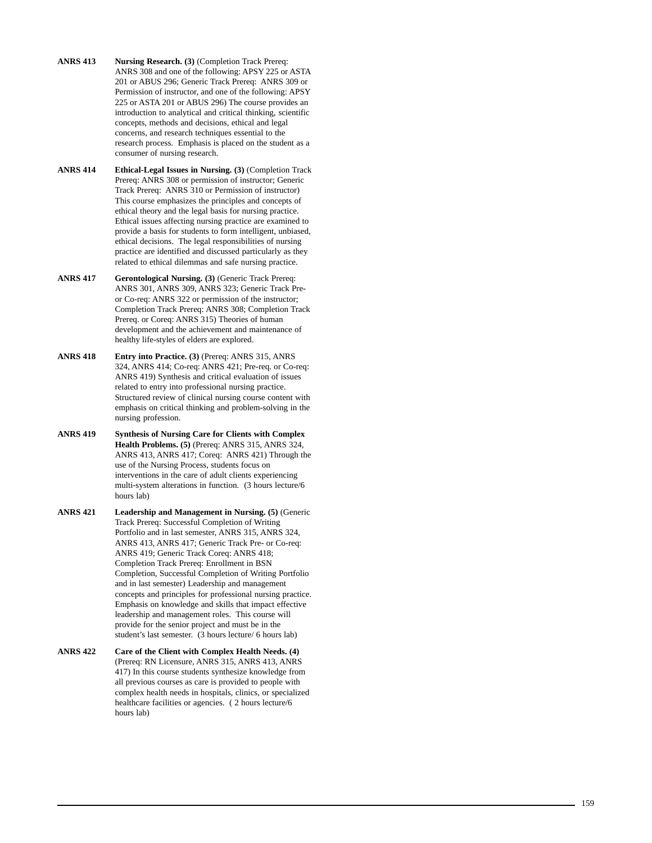- **ANRS 413 Nursing Research. (3)** (Completion Track Prereq: ANRS 308 and one of the following: APSY 225 or ASTA 201 or ABUS 296; Generic Track Prereq: ANRS 309 or Permission of instructor, and one of the following: APSY 225 or ASTA 201 or ABUS 296) The course provides an introduction to analytical and critical thinking, scientific concepts, methods and decisions, ethical and legal concerns, and research techniques essential to the research process. Emphasis is placed on the student as a consumer of nursing research.
- **ANRS 414 Ethical-Legal Issues in Nursing. (3)** (Completion Track Prereq: ANRS 308 or permission of instructor; Generic Track Prereq: ANRS 310 or Permission of instructor) This course emphasizes the principles and concepts of ethical theory and the legal basis for nursing practice. Ethical issues affecting nursing practice are examined to provide a basis for students to form intelligent, unbiased, ethical decisions. The legal responsibilities of nursing practice are identified and discussed particularly as they related to ethical dilemmas and safe nursing practice.
- **ANRS 417 Gerontological Nursing. (3)** (Generic Track Prereq: ANRS 301, ANRS 309, ANRS 323; Generic Track Preor Co-req: ANRS 322 or permission of the instructor; Completion Track Prereq: ANRS 308; Completion Track Prereq. or Coreq: ANRS 315) Theories of human development and the achievement and maintenance of healthy life-styles of elders are explored.
- **ANRS 418 Entry into Practice. (3)** (Prereq: ANRS 315, ANRS 324, ANRS 414; Co-req: ANRS 421; Pre-req. or Co-req: ANRS 419) Synthesis and critical evaluation of issues related to entry into professional nursing practice. Structured review of clinical nursing course content with emphasis on critical thinking and problem-solving in the nursing profession.
- **ANRS 419 Synthesis of Nursing Care for Clients with Complex Health Problems. (5)** (Prereq: ANRS 315, ANRS 324, ANRS 413, ANRS 417; Coreq: ANRS 421) Through the use of the Nursing Process, students focus on interventions in the care of adult clients experiencing multi-system alterations in function. (3 hours lecture/6 hours lab)
- **ANRS 421 Leadership and Management in Nursing. (5)** (Generic Track Prereq: Successful Completion of Writing Portfolio and in last semester, ANRS 315, ANRS 324, ANRS 413, ANRS 417; Generic Track Pre- or Co-req: ANRS 419; Generic Track Coreq: ANRS 418; Completion Track Prereq: Enrollment in BSN Completion, Successful Completion of Writing Portfolio and in last semester) Leadership and management concepts and principles for professional nursing practice. Emphasis on knowledge and skills that impact effective leadership and management roles. This course will provide for the senior project and must be in the student's last semester. (3 hours lecture/ 6 hours lab)
- **ANRS 422 Care of the Client with Complex Health Needs. (4)** (Prereq: RN Licensure, ANRS 315, ANRS 413, ANRS 417) In this course students synthesize knowledge from all previous courses as care is provided to people with complex health needs in hospitals, clinics, or specialized healthcare facilities or agencies. ( 2 hours lecture/6 hours lab)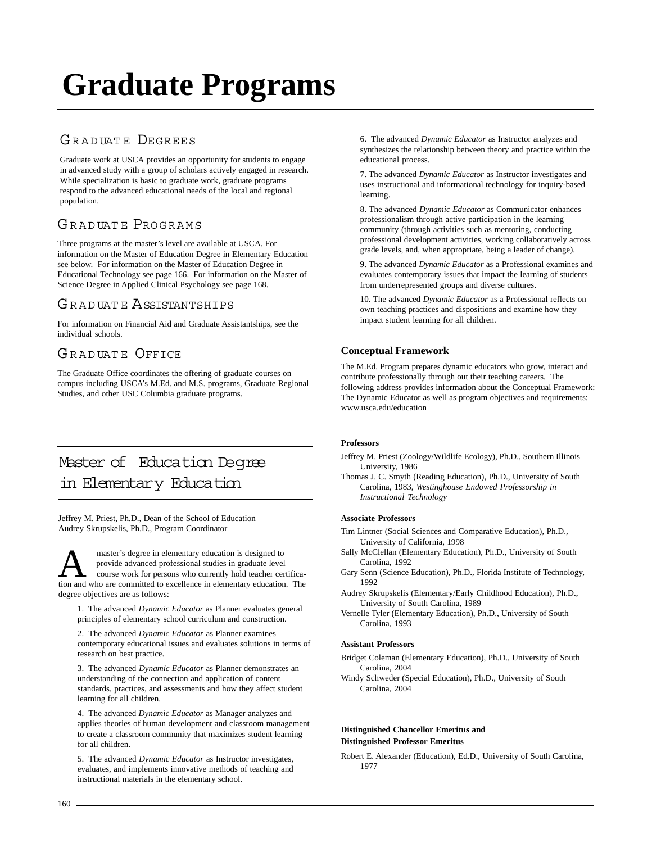# **[Graduate Programs](http://www.usca.edu/admissions/Graduateadmissions.html)**

# GRADUATE DEGREES

Graduate work at USCA provides an opportunity for students to engage in advanced study with a group of scholars actively engaged in research. While specialization is basic to graduate work, graduate programs respond to the advanced educational needs of the local and regional population.

# GRADUATE PROGRAMS

Three programs at the master's level are available at USCA. For information on the Master of Education Degree in Elementary Education see below. For information on the Master of Education Degree in Educational Technology see page 166. For information on the Master of Science Degree in Applied Clinical Psychology see page 168.

# GRADUATE ASSISTANTSHIPS

For information on Financial Aid and Graduate Assistantships, see the individual schools.

# GRADUATE OFFICE

The Graduate Office coordinates the offering of graduate courses on campus including USCA's M.Ed. and M.S. programs, Graduate Regional Studies, and other USC Columbia graduate programs.

# [Master of Education Degree](http://www.usca.edu/education/elementaryedmasters.html) in Elementary Education

Jeffrey M. Priest, Ph.D., Dean of the School of Education Audrey Skrupskelis, Ph.D., Program Coordinator

**A** master's degree in elementary education is designed to<br>
course work for persons who currently hold teacher certifica-<br>
tion and who are committed to excellence in elementary education. The provide advanced professional studies in graduate level tion and who are committed to excellence in elementary education. The degree objectives are as follows:

1. The advanced *Dynamic Educator* as Planner evaluates general principles of elementary school curriculum and construction.

2. The advanced *Dynamic Educator* as Planner examines contemporary educational issues and evaluates solutions in terms of research on best practice.

3. The advanced *Dynamic Educator* as Planner demonstrates an understanding of the connection and application of content standards, practices, and assessments and how they affect student learning for all children.

4. The advanced *Dynamic Educator* as Manager analyzes and applies theories of human development and classroom management to create a classroom community that maximizes student learning for all children.

5. The advanced *Dynamic Educator* as Instructor investigates, evaluates, and implements innovative methods of teaching and instructional materials in the elementary school.

6. The advanced *Dynamic Educator* as Instructor analyzes and synthesizes the relationship between theory and practice within the educational process.

7. The advanced *Dynamic Educator* as Instructor investigates and uses instructional and informational technology for inquiry-based learning.

8. The advanced *Dynamic Educator* as Communicator enhances professionalism through active participation in the learning community (through activities such as mentoring, conducting professional development activities, working collaboratively across grade levels, and, when appropriate, being a leader of change).

9. The advanced *Dynamic Educator* as a Professional examines and evaluates contemporary issues that impact the learning of students from underrepresented groups and diverse cultures.

10. The advanced *Dynamic Educator* as a Professional reflects on own teaching practices and dispositions and examine how they impact student learning for all children.

# **Conceptual Framework**

The M.Ed. Program prepares dynamic educators who grow, interact and contribute professionally through out their teaching careers. The following address provides information about the Conceptual Framework: The Dynamic Educator as well as program objectives and requirements: www.usca.edu/education

### **Professors**

- Jeffrey M. Priest (Zoology/Wildlife Ecology), Ph.D., Southern Illinois University, 1986
- Thomas J. C. Smyth (Reading Education), Ph.D., University of South Carolina, 1983, *Westinghouse Endowed Professorship in Instructional Technology*

### **Associate Professors**

- Tim Lintner (Social Sciences and Comparative Education), Ph.D., University of California, 1998
- Sally McClellan (Elementary Education), Ph.D., University of South Carolina, 1992
- Gary Senn (Science Education), Ph.D., Florida Institute of Technology, 1992
- Audrey Skrupskelis (Elementary/Early Childhood Education), Ph.D., University of South Carolina, 1989
- Vernelle Tyler (Elementary Education), Ph.D., University of South Carolina, 1993

### **Assistant Professors**

- Bridget Coleman (Elementary Education), Ph.D., University of South Carolina, 2004
- Windy Schweder (Special Education), Ph.D., University of South Carolina, 2004

### **Distinguished Chancellor Emeritus and Distinguished Professor Emeritus**

Robert E. Alexander (Education), Ed.D., University of South Carolina, 1977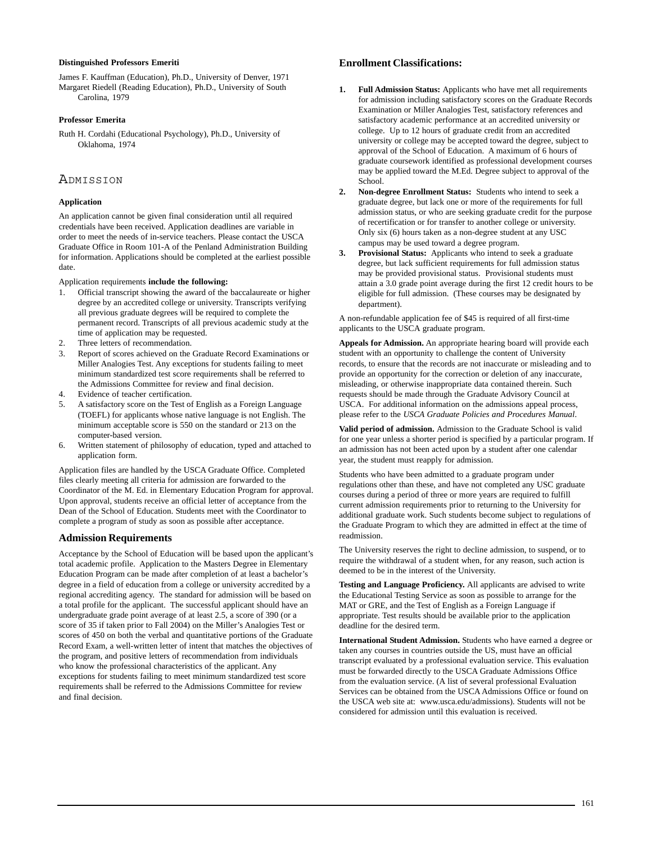### **Distinguished Professors Emeriti**

James F. Kauffman (Education), Ph.D., University of Denver, 1971 Margaret Riedell (Reading Education), Ph.D., University of South Carolina, 1979

### **Professor Emerita**

Ruth H. Cordahi (Educational Psychology), Ph.D., University of Oklahoma, 1974

### ADMISSION

### **Application**

An application cannot be given final consideration until all required credentials have been received. Application deadlines are variable in order to meet the needs of in-service teachers. Please contact the USCA Graduate Office in Room 101-A of the Penland Administration Building for information. Applications should be completed at the earliest possible date.

Application requirements **include the following:**

- 1. Official transcript showing the award of the baccalaureate or higher degree by an accredited college or university. Transcripts verifying all previous graduate degrees will be required to complete the permanent record. Transcripts of all previous academic study at the time of application may be requested.
- 2. Three letters of recommendation.
- 3. Report of scores achieved on the Graduate Record Examinations or Miller Analogies Test. Any exceptions for students failing to meet minimum standardized test score requirements shall be referred to the Admissions Committee for review and final decision.
- 4. Evidence of teacher certification.
- 5. A satisfactory score on the Test of English as a Foreign Language (TOEFL) for applicants whose native language is not English. The minimum acceptable score is 550 on the standard or 213 on the computer-based version.
- 6. Written statement of philosophy of education, typed and attached to application form.

Application files are handled by the USCA Graduate Office. Completed files clearly meeting all criteria for admission are forwarded to the Coordinator of the M. Ed. in Elementary Education Program for approval. Upon approval, students receive an official letter of acceptance from the Dean of the School of Education. Students meet with the Coordinator to complete a program of study as soon as possible after acceptance.

### **Admission Requirements**

Acceptance by the School of Education will be based upon the applicant's total academic profile. Application to the Masters Degree in Elementary Education Program can be made after completion of at least a bachelor's degree in a field of education from a college or university accredited by a regional accrediting agency. The standard for admission will be based on a total profile for the applicant. The successful applicant should have an undergraduate grade point average of at least 2.5, a score of 390 (or a score of 35 if taken prior to Fall 2004) on the Miller's Analogies Test or scores of 450 on both the verbal and quantitative portions of the Graduate Record Exam, a well-written letter of intent that matches the objectives of the program, and positive letters of recommendation from individuals who know the professional characteristics of the applicant. Any exceptions for students failing to meet minimum standardized test score requirements shall be referred to the Admissions Committee for review and final decision.

### **Enrollment Classifications:**

- **1. Full Admission Status:** Applicants who have met all requirements for admission including satisfactory scores on the Graduate Records Examination or Miller Analogies Test, satisfactory references and satisfactory academic performance at an accredited university or college. Up to 12 hours of graduate credit from an accredited university or college may be accepted toward the degree, subject to approval of the School of Education. A maximum of 6 hours of graduate coursework identified as professional development courses may be applied toward the M.Ed. Degree subject to approval of the School.
- **2. Non-degree Enrollment Status:** Students who intend to seek a graduate degree, but lack one or more of the requirements for full admission status, or who are seeking graduate credit for the purpose of recertification or for transfer to another college or university. Only six (6) hours taken as a non-degree student at any USC campus may be used toward a degree program.
- **3. Provisional Status:** Applicants who intend to seek a graduate degree, but lack sufficient requirements for full admission status may be provided provisional status. Provisional students must attain a 3.0 grade point average during the first 12 credit hours to be eligible for full admission. (These courses may be designated by department).

A non-refundable application fee of \$45 is required of all first-time applicants to the USCA graduate program.

**Appeals for Admission.** An appropriate hearing board will provide each student with an opportunity to challenge the content of University records, to ensure that the records are not inaccurate or misleading and to provide an opportunity for the correction or deletion of any inaccurate, misleading, or otherwise inappropriate data contained therein. Such requests should be made through the Graduate Advisory Council at USCA. For additional information on the admissions appeal process, please refer to the *USCA Graduate Policies and Procedures Manual*.

**Valid period of admission.** Admission to the Graduate School is valid for one year unless a shorter period is specified by a particular program. If an admission has not been acted upon by a student after one calendar year, the student must reapply for admission.

Students who have been admitted to a graduate program under regulations other than these, and have not completed any USC graduate courses during a period of three or more years are required to fulfill current admission requirements prior to returning to the University for additional graduate work. Such students become subject to regulations of the Graduate Program to which they are admitted in effect at the time of readmission.

The University reserves the right to decline admission, to suspend, or to require the withdrawal of a student when, for any reason, such action is deemed to be in the interest of the University.

**Testing and Language Proficiency.** All applicants are advised to write the Educational Testing Service as soon as possible to arrange for the MAT or GRE, and the Test of English as a Foreign Language if appropriate. Test results should be available prior to the application deadline for the desired term.

**International Student Admission.** Students who have earned a degree or taken any courses in countries outside the US, must have an official transcript evaluated by a professional evaluation service. This evaluation must be forwarded directly to the USCA Graduate Admissions Office from the evaluation service. (A list of several professional Evaluation Services can be obtained from the USCA Admissions Office or found on the USCA web site at: www.usca.edu/admissions). Students will not be considered for admission until this evaluation is received.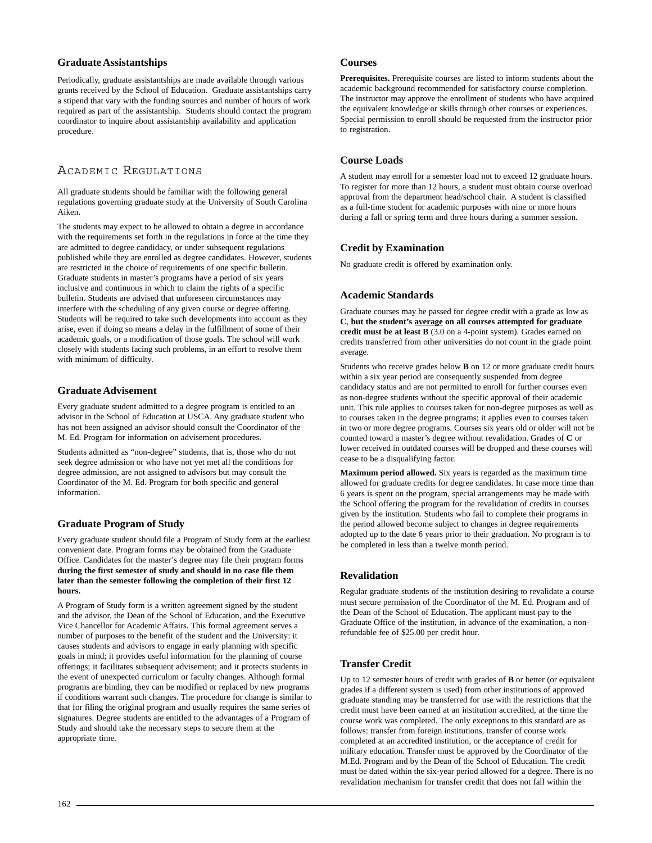### **Graduate Assistantships**

Periodically, graduate assistantships are made available through various grants received by the School of Education. Graduate assistantships carry a stipend that vary with the funding sources and number of hours of work required as part of the assistantship. Students should contact the program coordinator to inquire about assistantship availability and application procedure.

# ACADEMIC REGULATIONS

All graduate students should be familiar with the following general regulations governing graduate study at the University of South Carolina Aiken.

The students may expect to be allowed to obtain a degree in accordance with the requirements set forth in the regulations in force at the time they are admitted to degree candidacy, or under subsequent regulations published while they are enrolled as degree candidates. However, students are restricted in the choice of requirements of one specific bulletin. Graduate students in master's programs have a period of six years inclusive and continuous in which to claim the rights of a specific bulletin. Students are advised that unforeseen circumstances may interfere with the scheduling of any given course or degree offering. Students will be required to take such developments into account as they arise, even if doing so means a delay in the fulfillment of some of their academic goals, or a modification of those goals. The school will work closely with students facing such problems, in an effort to resolve them with minimum of difficulty.

### **Graduate Advisement**

Every graduate student admitted to a degree program is entitled to an advisor in the School of Education at USCA. Any graduate student who has not been assigned an advisor should consult the Coordinator of the M. Ed. Program for information on advisement procedures.

Students admitted as "non-degree" students, that is, those who do not seek degree admission or who have not yet met all the conditions for degree admission, are not assigned to advisors but may consult the Coordinator of the M. Ed. Program for both specific and general information.

### **Graduate Program of Study**

Every graduate student should file a Program of Study form at the earliest convenient date. Program forms may be obtained from the Graduate Office. Candidates for the master's degree may file their program forms **during the first semester of study and should in no case file them later than the semester following the completion of their first 12 hours.**

A Program of Study form is a written agreement signed by the student and the advisor, the Dean of the School of Education, and the Executive Vice Chancellor for Academic Affairs. This formal agreement serves a number of purposes to the benefit of the student and the University: it causes students and advisors to engage in early planning with specific goals in mind; it provides useful information for the planning of course offerings; it facilitates subsequent advisement; and it protects students in the event of unexpected curriculum or faculty changes. Although formal programs are binding, they can be modified or replaced by new programs if conditions warrant such changes. The procedure for change is similar to that for filing the original program and usually requires the same series of signatures. Degree students are entitled to the advantages of a Program of Study and should take the necessary steps to secure them at the appropriate time.

### **Courses**

**Prerequisites.** Prerequisite courses are listed to inform students about the academic background recommended for satisfactory course completion. The instructor may approve the enrollment of students who have acquired the equivalent knowledge or skills through other courses or experiences. Special permission to enroll should be requested from the instructor prior to registration.

### **Course Loads**

A student may enroll for a semester load not to exceed 12 graduate hours. To register for more than 12 hours, a student must obtain course overload approval from the department head/school chair. A student is classified as a full-time student for academic purposes with nine or more hours during a fall or spring term and three hours during a summer session.

### **Credit by Examination**

No graduate credit is offered by examination only.

### **Academic Standards**

Graduate courses may be passed for degree credit with a grade as low as **C**, **but the student's average on all courses attempted for graduate credit must be at least B** (3.0 on a 4-point system). Grades earned on credits transferred from other universities do not count in the grade point average.

Students who receive grades below **B** on 12 or more graduate credit hours within a six year period are consequently suspended from degree candidacy status and are not permitted to enroll for further courses even as non-degree students without the specific approval of their academic unit. This rule applies to courses taken for non-degree purposes as well as to courses taken in the degree programs; it applies even to courses taken in two or more degree programs. Courses six years old or older will not be counted toward a master's degree without revalidation. Grades of **C** or lower received in outdated courses will be dropped and these courses will cease to be a disqualifying factor.

**Maximum period allowed.** Six years is regarded as the maximum time allowed for graduate credits for degree candidates. In case more time than 6 years is spent on the program, special arrangements may be made with the School offering the program for the revalidation of credits in courses given by the institution. Students who fail to complete their programs in the period allowed become subject to changes in degree requirements adopted up to the date 6 years prior to their graduation. No program is to be completed in less than a twelve month period.

### **Revalidation**

Regular graduate students of the institution desiring to revalidate a course must secure permission of the Coordinator of the M. Ed. Program and of the Dean of the School of Education. The applicant must pay to the Graduate Office of the institution, in advance of the examination, a nonrefundable fee of \$25.00 per credit hour.

### **Transfer Credit**

Up to 12 semester hours of credit with grades of **B** or better (or equivalent grades if a different system is used) from other institutions of approved graduate standing may be transferred for use with the restrictions that the credit must have been earned at an institution accredited, at the time the course work was completed. The only exceptions to this standard are as follows: transfer from foreign institutions, transfer of course work completed at an accredited institution, or the acceptance of credit for military education. Transfer must be approved by the Coordinator of the M.Ed. Program and by the Dean of the School of Education. The credit must be dated within the six-year period allowed for a degree. There is no revalidation mechanism for transfer credit that does not fall within the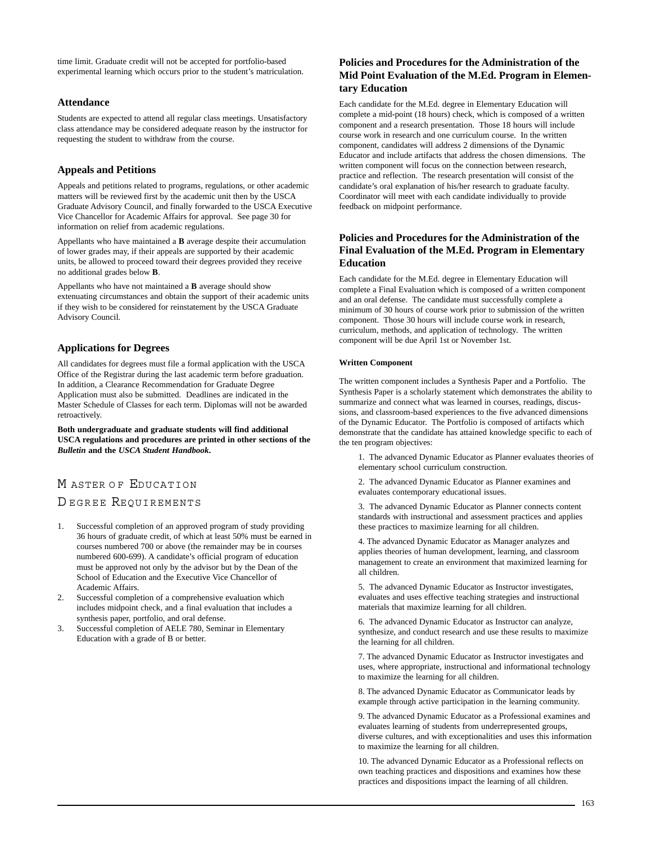time limit. Graduate credit will not be accepted for portfolio-based experimental learning which occurs prior to the student's matriculation.

### **Attendance**

Students are expected to attend all regular class meetings. Unsatisfactory class attendance may be considered adequate reason by the instructor for requesting the student to withdraw from the course.

### **Appeals and Petitions**

Appeals and petitions related to programs, regulations, or other academic matters will be reviewed first by the academic unit then by the USCA Graduate Advisory Council, and finally forwarded to the USCA Executive Vice Chancellor for Academic Affairs for approval. See page 30 for information on relief from academic regulations.

Appellants who have maintained a **B** average despite their accumulation of lower grades may, if their appeals are supported by their academic units, be allowed to proceed toward their degrees provided they receive no additional grades below **B**.

Appellants who have not maintained a **B** average should show extenuating circumstances and obtain the support of their academic units if they wish to be considered for reinstatement by the USCA Graduate Advisory Council.

### **Applications for Degrees**

All candidates for degrees must file a formal application with the USCA Office of the Registrar during the last academic term before graduation. In addition, a Clearance Recommendation for Graduate Degree Application must also be submitted. Deadlines are indicated in the Master Schedule of Classes for each term. Diplomas will not be awarded retroactively.

**Both undergraduate and graduate students will find additional USCA regulations and procedures are printed in other sections of the** *Bulletin* **and the** *USCA Student Handbook***.**

# M ASTER OF EDUCATION

# D EGREE REQUIREMENTS

- 1. Successful completion of an approved program of study providing 36 hours of graduate credit, of which at least 50% must be earned in courses numbered 700 or above (the remainder may be in courses numbered 600-699). A candidate's official program of education must be approved not only by the advisor but by the Dean of the School of Education and the Executive Vice Chancellor of Academic Affairs.
- 2. Successful completion of a comprehensive evaluation which includes midpoint check, and a final evaluation that includes a synthesis paper, portfolio, and oral defense.
- 3. Successful completion of AELE 780, Seminar in Elementary Education with a grade of B or better.

# **Policies and Procedures for the Administration of the Mid Point Evaluation of the M.Ed. Program in Elementary Education**

Each candidate for the M.Ed. degree in Elementary Education will complete a mid-point (18 hours) check, which is composed of a written component and a research presentation. Those 18 hours will include course work in research and one curriculum course. In the written component, candidates will address 2 dimensions of the Dynamic Educator and include artifacts that address the chosen dimensions. The written component will focus on the connection between research, practice and reflection. The research presentation will consist of the candidate's oral explanation of his/her research to graduate faculty. Coordinator will meet with each candidate individually to provide feedback on midpoint performance.

# **Policies and Procedures for the Administration of the Final Evaluation of the M.Ed. Program in Elementary Education**

Each candidate for the M.Ed. degree in Elementary Education will complete a Final Evaluation which is composed of a written component and an oral defense. The candidate must successfully complete a minimum of 30 hours of course work prior to submission of the written component. Those 30 hours will include course work in research, curriculum, methods, and application of technology. The written component will be due April 1st or November 1st.

### **Written Component**

The written component includes a Synthesis Paper and a Portfolio. The Synthesis Paper is a scholarly statement which demonstrates the ability to summarize and connect what was learned in courses, readings, discussions, and classroom-based experiences to the five advanced dimensions of the Dynamic Educator. The Portfolio is composed of artifacts which demonstrate that the candidate has attained knowledge specific to each of the ten program objectives:

1. The advanced Dynamic Educator as Planner evaluates theories of elementary school curriculum construction.

2. The advanced Dynamic Educator as Planner examines and evaluates contemporary educational issues.

3. The advanced Dynamic Educator as Planner connects content standards with instructional and assessment practices and applies these practices to maximize learning for all children.

4. The advanced Dynamic Educator as Manager analyzes and applies theories of human development, learning, and classroom management to create an environment that maximized learning for all children.

5. The advanced Dynamic Educator as Instructor investigates, evaluates and uses effective teaching strategies and instructional materials that maximize learning for all children.

6. The advanced Dynamic Educator as Instructor can analyze, synthesize, and conduct research and use these results to maximize the learning for all children.

7. The advanced Dynamic Educator as Instructor investigates and uses, where appropriate, instructional and informational technology to maximize the learning for all children.

8. The advanced Dynamic Educator as Communicator leads by example through active participation in the learning community.

9. The advanced Dynamic Educator as a Professional examines and evaluates learning of students from underrepresented groups, diverse cultures, and with exceptionalities and uses this information to maximize the learning for all children.

10. The advanced Dynamic Educator as a Professional reflects on own teaching practices and dispositions and examines how these practices and dispositions impact the learning of all children.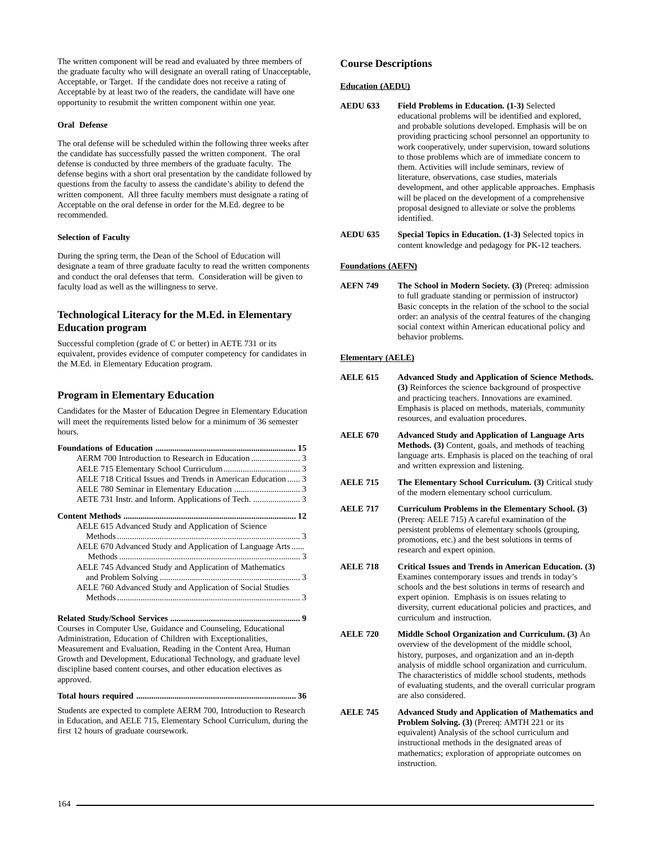The written component will be read and evaluated by three members of the graduate faculty who will designate an overall rating of Unacceptable, Acceptable, or Target. If the candidate does not receive a rating of Acceptable by at least two of the readers, the candidate will have one opportunity to resubmit the written component within one year.

### **Oral Defense**

The oral defense will be scheduled within the following three weeks after the candidate has successfully passed the written component. The oral defense is conducted by three members of the graduate faculty. The defense begins with a short oral presentation by the candidate followed by questions from the faculty to assess the candidate's ability to defend the written component. All three faculty members must designate a rating of Acceptable on the oral defense in order for the M.Ed. degree to be recommended.

### **Selection of Faculty**

During the spring term, the Dean of the School of Education will designate a team of three graduate faculty to read the written components and conduct the oral defenses that term. Consideration will be given to faculty load as well as the willingness to serve.

# **Technological Literacy for the M.Ed. in Elementary Education program**

Successful completion (grade of C or better) in AETE 731 or its equivalent, provides evidence of computer competency for candidates in the M.Ed. in Elementary Education program.

### **Program in Elementary Education**

Candidates for the Master of Education Degree in Elementary Education will meet the requirements listed below for a minimum of 36 semester hours.

| AELE 718 Critical Issues and Trends in American Education  3                                                                  |
|-------------------------------------------------------------------------------------------------------------------------------|
|                                                                                                                               |
|                                                                                                                               |
|                                                                                                                               |
| AELE 615 Advanced Study and Application of Science                                                                            |
|                                                                                                                               |
| AELE 670 Advanced Study and Application of Language Arts                                                                      |
| AELE 745 Advanced Study and Application of Mathematics                                                                        |
| AELE 760 Advanced Study and Application of Social Studies                                                                     |
|                                                                                                                               |
|                                                                                                                               |
| Courses in Computer Use, Guidance and Counseling, Educational<br>Administration, Education of Children with Exceptionalities, |
| Measurement and Evaluation, Reading in the Content Area, Human                                                                |
| Growth and Development, Educational Technology, and graduate level                                                            |
| discipline based content courses, and other education electives as<br>approved.                                               |

**Total hours required ........................................................................... 36**

Students are expected to complete AERM 700, Introduction to Research in Education, and AELE 715, Elementary School Curriculum, during the first 12 hours of graduate coursework.

### **Course Descriptions**

### **Education (AEDU)**

- **AEDU 633 Field Problems in Education. (1-3)** Selected educational problems will be identified and explored, and probable solutions developed. Emphasis will be on providing practicing school personnel an opportunity to work cooperatively, under supervision, toward solutions to those problems which are of immediate concern to them. Activities will include seminars, review of literature, observations, case studies, materials development, and other applicable approaches. Emphasis will be placed on the development of a comprehensive proposal designed to alleviate or solve the problems identified.
- **AEDU 635 Special Topics in Education. (1-3)** Selected topics in content knowledge and pedagogy for PK-12 teachers.

### **Foundations (AEFN)**

**AEFN 749** The School in Modern Society. (3) (Prereq: admission to full graduate standing or permission of instructor) Basic concepts in the relation of the school to the social order: an analysis of the central features of the changing social context within American educational policy and behavior problems.

### **Elementary (AELE)**

- **AELE 615 Advanced Study and Application of Science Methods. (3)** Reinforces the science background of prospective and practicing teachers. Innovations are examined. Emphasis is placed on methods, materials, community resources, and evaluation procedures.
- **AELE 670 Advanced Study and Application of Language Arts Methods. (3)** Content, goals, and methods of teaching language arts. Emphasis is placed on the teaching of oral and written expression and listening.
- **AELE 715** The Elementary School Curriculum. (3) Critical study of the modern elementary school curriculum.
- **AELE 717 Curriculum Problems in the Elementary School. (3)** (Prereq: AELE 715) A careful examination of the persistent problems of elementary schools (grouping, promotions, etc.) and the best solutions in terms of research and expert opinion.
- **AELE 718 Critical Issues and Trends in American Education. (3)** Examines contemporary issues and trends in today's schools and the best solutions in terms of research and expert opinion. Emphasis is on issues relating to diversity, current educational policies and practices, and curriculum and instruction.
- **AELE 720 Middle School Organization and Curriculum. (3)** An overview of the development of the middle school, history, purposes, and organization and an in-depth analysis of middle school organization and curriculum. The characteristics of middle school students, methods of evaluating students, and the overall curricular program are also considered.
- **AELE 745 Advanced Study and Application of Mathematics and Problem Solving. (3)** (Prereq: AMTH 221 or its equivalent) Analysis of the school curriculum and instructional methods in the designated areas of mathematics; exploration of appropriate outcomes on instruction.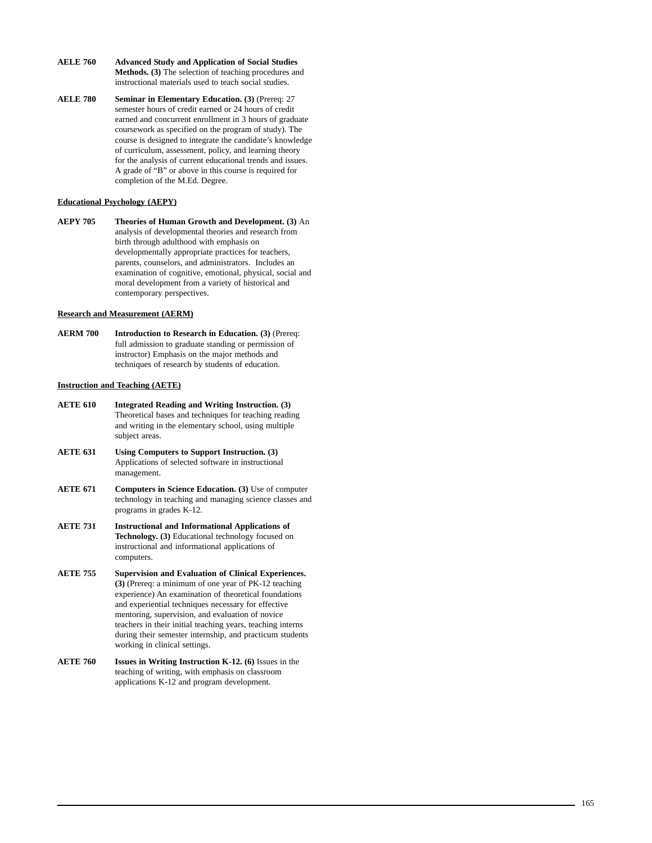- **AELE 760 Advanced Study and Application of Social Studies Methods. (3)** The selection of teaching procedures and instructional materials used to teach social studies.
- **AELE 780** Seminar in Elementary Education. (3) (Prereq: 27 semester hours of credit earned or 24 hours of credit earned and concurrent enrollment in 3 hours of graduate coursework as specified on the program of study). The course is designed to integrate the candidate's knowledge of curriculum, assessment, policy, and learning theory for the analysis of current educational trends and issues. A grade of "B" or above in this course is required for completion of the M.Ed. Degree.

### **Educational Psychology (AEPY)**

**AEPY 705 Theories of Human Growth and Development. (3)** An analysis of developmental theories and research from birth through adulthood with emphasis on developmentally appropriate practices for teachers, parents, counselors, and administrators. Includes an examination of cognitive, emotional, physical, social and moral development from a variety of historical and contemporary perspectives.

### **Research and Measurement (AERM)**

**AERM 700** Introduction to Research in Education. (3) (Prereq: full admission to graduate standing or permission of instructor) Emphasis on the major methods and techniques of research by students of education.

### **Instruction and Teaching (AETE)**

- **AETE 610 Integrated Reading and Writing Instruction. (3)** Theoretical bases and techniques for teaching reading and writing in the elementary school, using multiple subject areas.
- **AETE 631 Using Computers to Support Instruction. (3)** Applications of selected software in instructional management.
- **AETE 671** Computers in Science Education. (3) Use of computer technology in teaching and managing science classes and programs in grades K-12.
- **AETE 731 Instructional and Informational Applications of Technology. (3)** Educational technology focused on instructional and informational applications of computers.
- **AETE 755 Supervision and Evaluation of Clinical Experiences. (3)** (Prereq: a minimum of one year of PK-12 teaching experience) An examination of theoretical foundations and experiential techniques necessary for effective mentoring, supervision, and evaluation of novice teachers in their initial teaching years, teaching interns during their semester internship, and practicum students working in clinical settings.
- **AETE 760 Issues in Writing Instruction K-12. (6)** Issues in the teaching of writing, with emphasis on classroom applications K-12 and program development.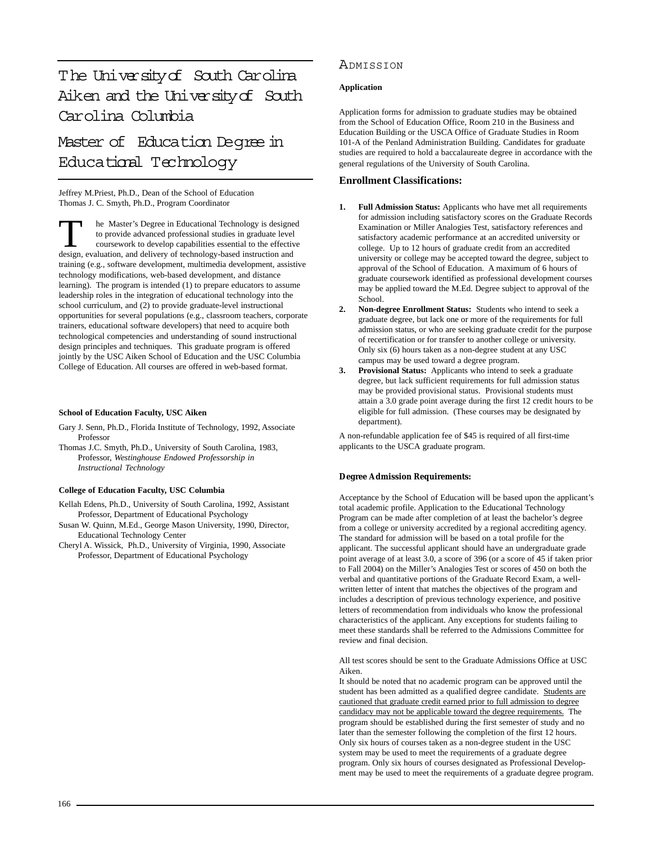# The University of South Carolina Aiken and the University of South Carolina Columbia

[Master of Education Degree in](http://edtech.usca.edu/) Educational Technology

Jeffrey M.Priest, Ph.D., Dean of the School of Education Thomas J. C. Smyth, Ph.D., Program Coordinator

T<br>
The Master's Degree in Educational Technology is designed<br>
to provide advanced professional studies in graduate level<br>
coursework to develop capabilities essential to the effective<br>
design evaluation and delivery of tec to provide advanced professional studies in graduate level design, evaluation, and delivery of technology-based instruction and training (e.g., software development, multimedia development, assistive technology modifications, web-based development, and distance learning). The program is intended (1) to prepare educators to assume leadership roles in the integration of educational technology into the school curriculum, and (2) to provide graduate-level instructional opportunities for several populations (e.g., classroom teachers, corporate trainers, educational software developers) that need to acquire both technological competencies and understanding of sound instructional design principles and techniques. This graduate program is offered jointly by the USC Aiken School of Education and the USC Columbia College of Education. All courses are offered in web-based format.

### **School of Education Faculty, USC Aiken**

- Gary J. Senn, Ph.D., Florida Institute of Technology, 1992, Associate Professor
- Thomas J.C. Smyth, Ph.D., University of South Carolina, 1983, Professor, *Westinghouse Endowed Professorship in Instructional Technology*

### **College of Education Faculty, USC Columbia**

- Kellah Edens, Ph.D., University of South Carolina, 1992, Assistant Professor, Department of Educational Psychology
- Susan W. Quinn, M.Ed., George Mason University, 1990, Director, Educational Technology Center
- Cheryl A. Wissick, Ph.D., University of Virginia, 1990, Associate Professor, Department of Educational Psychology

# ADMISSION

### **Application**

Application forms for admission to graduate studies may be obtained from the School of Education Office, Room 210 in the Business and Education Building or the USCA Office of Graduate Studies in Room 101-A of the Penland Administration Building. Candidates for graduate studies are required to hold a baccalaureate degree in accordance with the general regulations of the University of South Carolina.

### **Enrollment Classifications:**

- **1. Full Admission Status:** Applicants who have met all requirements for admission including satisfactory scores on the Graduate Records Examination or Miller Analogies Test, satisfactory references and satisfactory academic performance at an accredited university or college. Up to 12 hours of graduate credit from an accredited university or college may be accepted toward the degree, subject to approval of the School of Education. A maximum of 6 hours of graduate coursework identified as professional development courses may be applied toward the M.Ed. Degree subject to approval of the School.
- **2. Non-degree Enrollment Status:** Students who intend to seek a graduate degree, but lack one or more of the requirements for full admission status, or who are seeking graduate credit for the purpose of recertification or for transfer to another college or university. Only six (6) hours taken as a non-degree student at any USC campus may be used toward a degree program.
- **3. Provisional Status:** Applicants who intend to seek a graduate degree, but lack sufficient requirements for full admission status may be provided provisional status. Provisional students must attain a 3.0 grade point average during the first 12 credit hours to be eligible for full admission. (These courses may be designated by department).

A non-refundable application fee of \$45 is required of all first-time applicants to the USCA graduate program.

### **Degree Admission Requirements:**

Acceptance by the School of Education will be based upon the applicant's total academic profile. Application to the Educational Technology Program can be made after completion of at least the bachelor's degree from a college or university accredited by a regional accrediting agency. The standard for admission will be based on a total profile for the applicant. The successful applicant should have an undergraduate grade point average of at least 3.0, a score of 396 (or a score of 45 if taken prior to Fall 2004) on the Miller's Analogies Test or scores of 450 on both the verbal and quantitative portions of the Graduate Record Exam, a wellwritten letter of intent that matches the objectives of the program and includes a description of previous technology experience, and positive letters of recommendation from individuals who know the professional characteristics of the applicant. Any exceptions for students failing to meet these standards shall be referred to the Admissions Committee for review and final decision.

All test scores should be sent to the Graduate Admissions Office at USC Aiken.

It should be noted that no academic program can be approved until the student has been admitted as a qualified degree candidate. Students are cautioned that graduate credit earned prior to full admission to degree candidacy may not be applicable toward the degree requirements. The program should be established during the first semester of study and no later than the semester following the completion of the first 12 hours. Only six hours of courses taken as a non-degree student in the USC system may be used to meet the requirements of a graduate degree program. Only six hours of courses designated as Professional Development may be used to meet the requirements of a graduate degree program.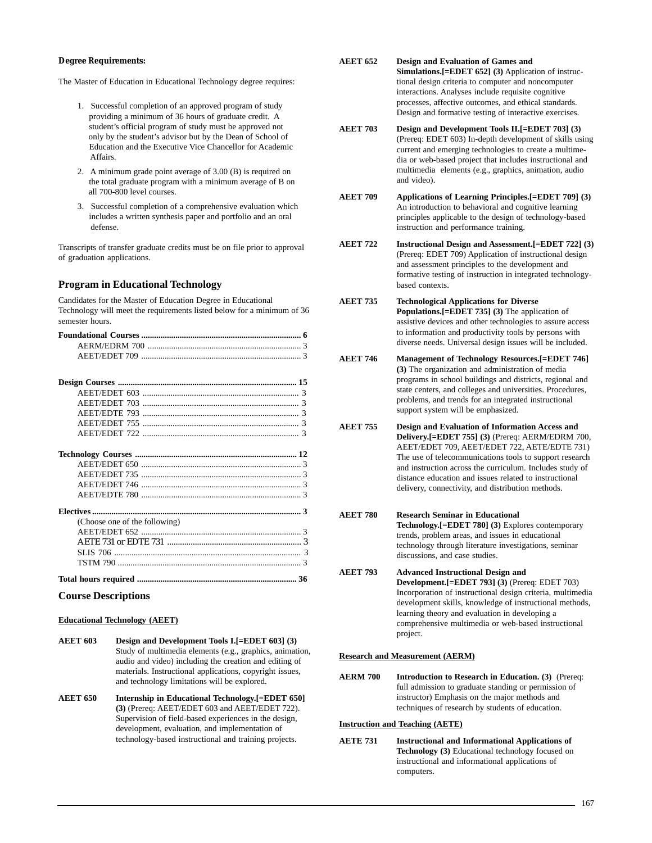### **Degree Requirements:**

The Master of Education in Educational Technology degree requires:

- 1. Successful completion of an approved program of study providing a minimum of 36 hours of graduate credit. A student's official program of study must be approved not only by the student's advisor but by the Dean of School of Education and the Executive Vice Chancellor for Academic Affairs.
- 2. A minimum grade point average of 3.00 (B) is required on the total graduate program with a minimum average of B on all 700-800 level courses.
- 3. Successful completion of a comprehensive evaluation which includes a written synthesis paper and portfolio and an oral defense.

Transcripts of transfer graduate credits must be on file prior to approval of graduation applications.

# **Program in Educational Technology**

Candidates for the Master of Education Degree in Educational Technology will meet the requirements listed below for a minimum of 36 semester hours.

| (Choose one of the following) |  |
|-------------------------------|--|
|                               |  |
|                               |  |
|                               |  |
|                               |  |
|                               |  |

### **Course Descriptions**

### **Educational Technology (AEET)**

- **AEET 603 Design and Development Tools I.[=EDET 603] (3)** Study of multimedia elements (e.g., graphics, animation, audio and video) including the creation and editing of materials. Instructional applications, copyright issues, and technology limitations will be explored.
- **AEET 650 Internship in Educational Technology.[=EDET 650] (3)** (Prereq: AEET/EDET 603 and AEET/EDET 722). Supervision of field-based experiences in the design, development, evaluation, and implementation of technology-based instructional and training projects.
- **AEET 652 Design and Evaluation of Games and Simulations.[=EDET 652] (3)** Application of instructional design criteria to computer and noncomputer interactions. Analyses include requisite cognitive processes, affective outcomes, and ethical standards. Design and formative testing of interactive exercises.
- **AEET 703 Design and Development Tools II.[=EDET 703] (3)** (Prereq: EDET 603) In-depth development of skills using current and emerging technologies to create a multimedia or web-based project that includes instructional and multimedia elements (e.g., graphics, animation, audio and video).
- **AEET 709 Applications of Learning Principles.[=EDET 709] (3)** An introduction to behavioral and cognitive learning principles applicable to the design of technology-based instruction and performance training.
- **AEET 722 Instructional Design and Assessment.[=EDET 722] (3)** (Prereq: EDET 709) Application of instructional design and assessment principles to the development and formative testing of instruction in integrated technologybased contexts.
- **AEET 735 Technological Applications for Diverse Populations.[=EDET 735] (3)** The application of assistive devices and other technologies to assure access to information and productivity tools by persons with diverse needs. Universal design issues will be included.
- **AEET 746 Management of Technology Resources.[=EDET 746] (3)** The organization and administration of media programs in school buildings and districts, regional and state centers, and colleges and universities. Procedures, problems, and trends for an integrated instructional support system will be emphasized.
- **AEET 755 Design and Evaluation of Information Access and Delivery.[=EDET 755] (3)** (Prereq: AERM/EDRM 700, AEET/EDET 709, AEET/EDET 722, AETE/EDTE 731) The use of telecommunications tools to support research and instruction across the curriculum. Includes study of distance education and issues related to instructional delivery, connectivity, and distribution methods.
- **AEET 780 Research Seminar in Educational Technology.[=EDET 780] (3)** Explores contemporary trends, problem areas, and issues in educational technology through literature investigations, seminar discussions, and case studies.
- **AEET 793 Advanced Instructional Design and Development.[=EDET 793] (3)** (Prereq: EDET 703) Incorporation of instructional design criteria, multimedia development skills, knowledge of instructional methods, learning theory and evaluation in developing a comprehensive multimedia or web-based instructional project.

### **Research and Measurement (AERM)**

**AERM 700** Introduction to Research in Education. (3) (Prereq: full admission to graduate standing or permission of instructor) Emphasis on the major methods and techniques of research by students of education.

### **Instruction and Teaching (AETE)**

**AETE 731 Instructional and Informational Applications of Technology (3)** Educational technology focused on instructional and informational applications of computers.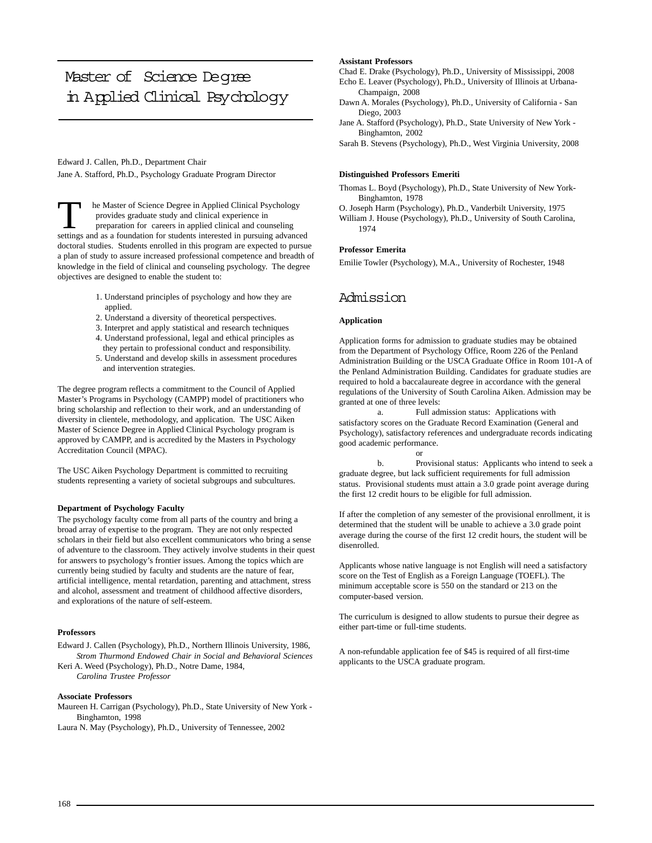# Master of Science Deqree [in Applied Clinical Psychology](http://www.usca.edu/psychology/)

Edward J. Callen, Ph.D., Department Chair Jane A. Stafford, Ph.D., Psychology Graduate Program Director

T he Master of Science Degree in Applied Clinical Psychology<br>provides graduate study and clinical experience in<br>preparation for careers in applied clinical and counseling<br>settings and as a foundation for students intereste provides graduate study and clinical experience in settings and as a foundation for students interested in pursuing advanced doctoral studies. Students enrolled in this program are expected to pursue a plan of study to assure increased professional competence and breadth of knowledge in the field of clinical and counseling psychology. The degree objectives are designed to enable the student to:

- 1. Understand principles of psychology and how they are applied.
- 2. Understand a diversity of theoretical perspectives.
- 3. Interpret and apply statistical and research techniques
- 4. Understand professional, legal and ethical principles as they pertain to professional conduct and responsibility.
- 5. Understand and develop skills in assessment procedures and intervention strategies.

The degree program reflects a commitment to the Council of Applied Master's Programs in Psychology (CAMPP) model of practitioners who bring scholarship and reflection to their work, and an understanding of diversity in clientele, methodology, and application. The USC Aiken Master of Science Degree in Applied Clinical Psychology program is approved by CAMPP, and is accredited by the Masters in Psychology Accreditation Council (MPAC).

The USC Aiken Psychology Department is committed to recruiting students representing a variety of societal subgroups and subcultures.

### **Department of Psychology Faculty**

The psychology faculty come from all parts of the country and bring a broad array of expertise to the program. They are not only respected scholars in their field but also excellent communicators who bring a sense of adventure to the classroom. They actively involve students in their quest for answers to psychology's frontier issues. Among the topics which are currently being studied by faculty and students are the nature of fear, artificial intelligence, mental retardation, parenting and attachment, stress and alcohol, assessment and treatment of childhood affective disorders, and explorations of the nature of self-esteem.

### **Professors**

Edward J. Callen (Psychology), Ph.D., Northern Illinois University, 1986, *Strom Thurmond Endowed Chair in Social and Behavioral Sciences* Keri A. Weed (Psychology), Ph.D., Notre Dame, 1984, *Carolina Trustee Professor*

### **Associate Professors**

Maureen H. Carrigan (Psychology), Ph.D., State University of New York - Binghamton, 1998

Laura N. May (Psychology), Ph.D., University of Tennessee, 2002

### **Assistant Professors**

- Chad E. Drake (Psychology), Ph.D., University of Mississippi, 2008
- Echo E. Leaver (Psychology), Ph.D., University of Illinois at Urbana-Champaign, 2008
- Dawn A. Morales (Psychology), Ph.D., University of California San Diego, 2003
- Jane A. Stafford (Psychology), Ph.D., State University of New York Binghamton, 2002
- Sarah B. Stevens (Psychology), Ph.D., West Virginia University, 2008

### **Distinguished Professors Emeriti**

Thomas L. Boyd (Psychology), Ph.D., State University of New York-Binghamton, 1978

- O. Joseph Harm (Psychology), Ph.D., Vanderbilt University, 1975
- William J. House (Psychology), Ph.D., University of South Carolina, 1974

### **Professor Emerita**

Emilie Towler (Psychology), M.A., University of Rochester, 1948

# Admission

### **Application**

Application forms for admission to graduate studies may be obtained from the Department of Psychology Office, Room 226 of the Penland Administration Building or the USCA Graduate Office in Room 101-A of the Penland Administration Building. Candidates for graduate studies are required to hold a baccalaureate degree in accordance with the general regulations of the University of South Carolina Aiken. Admission may be granted at one of three levels:

a. Full admission status: Applications with satisfactory scores on the Graduate Record Examination (General and Psychology), satisfactory references and undergraduate records indicating good academic performance. or

b. Provisional status: Applicants who intend to seek a graduate degree, but lack sufficient requirements for full admission status. Provisional students must attain a 3.0 grade point average during the first 12 credit hours to be eligible for full admission.

If after the completion of any semester of the provisional enrollment, it is determined that the student will be unable to achieve a 3.0 grade point average during the course of the first 12 credit hours, the student will be disenrolled.

Applicants whose native language is not English will need a satisfactory score on the Test of English as a Foreign Language (TOEFL). The minimum acceptable score is 550 on the standard or 213 on the computer-based version.

The curriculum is designed to allow students to pursue their degree as either part-time or full-time students.

A non-refundable application fee of \$45 is required of all first-time applicants to the USCA graduate program.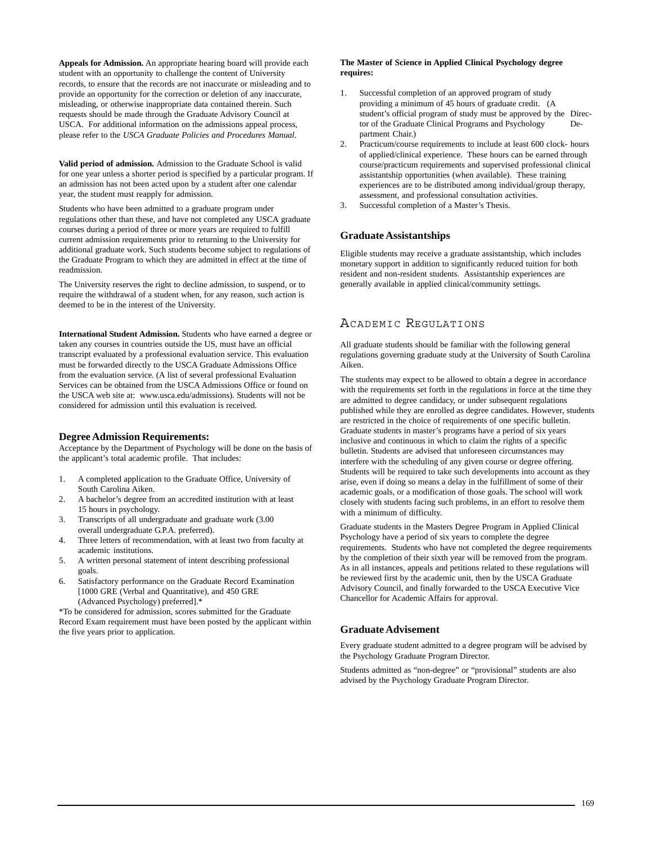**Appeals for Admission.** An appropriate hearing board will provide each student with an opportunity to challenge the content of University records, to ensure that the records are not inaccurate or misleading and to provide an opportunity for the correction or deletion of any inaccurate, misleading, or otherwise inappropriate data contained therein. Such requests should be made through the Graduate Advisory Council at USCA. For additional information on the admissions appeal process, please refer to the *USCA Graduate Policies and Procedures Manual*.

**Valid period of admission.** Admission to the Graduate School is valid for one year unless a shorter period is specified by a particular program. If an admission has not been acted upon by a student after one calendar year, the student must reapply for admission.

Students who have been admitted to a graduate program under regulations other than these, and have not completed any USCA graduate courses during a period of three or more years are required to fulfill current admission requirements prior to returning to the University for additional graduate work. Such students become subject to regulations of the Graduate Program to which they are admitted in effect at the time of readmission.

The University reserves the right to decline admission, to suspend, or to require the withdrawal of a student when, for any reason, such action is deemed to be in the interest of the University.

**International Student Admission.** Students who have earned a degree or taken any courses in countries outside the US, must have an official transcript evaluated by a professional evaluation service. This evaluation must be forwarded directly to the USCA Graduate Admissions Office from the evaluation service. (A list of several professional Evaluation Services can be obtained from the USCA Admissions Office or found on the USCA web site at: www.usca.edu/admissions). Students will not be considered for admission until this evaluation is received.

### **Degree Admission Requirements:**

Acceptance by the Department of Psychology will be done on the basis of the applicant's total academic profile. That includes:

- 1. A completed application to the Graduate Office, University of South Carolina Aiken.
- 2. A bachelor's degree from an accredited institution with at least 15 hours in psychology.
- 3. Transcripts of all undergraduate and graduate work (3.00 overall undergraduate G.P.A. preferred).
- 4. Three letters of recommendation, with at least two from faculty at academic institutions.
- 5. A written personal statement of intent describing professional goals.
- Satisfactory performance on the Graduate Record Examination [1000 GRE (Verbal and Quantitative), and 450 GRE (Advanced Psychology) preferred].\*

\*To be considered for admission, scores submitted for the Graduate Record Exam requirement must have been posted by the applicant within the five years prior to application.

### **The Master of Science in Applied Clinical Psychology degree requires:**

- 1. Successful completion of an approved program of study providing a minimum of 45 hours of graduate credit. (A student's official program of study must be approved by the Director of the Graduate Clinical Programs and Psychology Department Chair.)
- 2. Practicum/course requirements to include at least 600 clock- hours of applied/clinical experience. These hours can be earned through course/practicum requirements and supervised professional clinical assistantship opportunities (when available). These training experiences are to be distributed among individual/group therapy, assessment, and professional consultation activities.
- 3. Successful completion of a Master's Thesis.

### **Graduate Assistantships**

Eligible students may receive a graduate assistantship, which includes monetary support in addition to significantly reduced tuition for both resident and non-resident students. Assistantship experiences are generally available in applied clinical/community settings.

# ACADEMIC REGULATIONS

All graduate students should be familiar with the following general regulations governing graduate study at the University of South Carolina Aiken.

The students may expect to be allowed to obtain a degree in accordance with the requirements set forth in the regulations in force at the time they are admitted to degree candidacy, or under subsequent regulations published while they are enrolled as degree candidates. However, students are restricted in the choice of requirements of one specific bulletin. Graduate students in master's programs have a period of six years inclusive and continuous in which to claim the rights of a specific bulletin. Students are advised that unforeseen circumstances may interfere with the scheduling of any given course or degree offering. Students will be required to take such developments into account as they arise, even if doing so means a delay in the fulfillment of some of their academic goals, or a modification of those goals. The school will work closely with students facing such problems, in an effort to resolve them with a minimum of difficulty.

Graduate students in the Masters Degree Program in Applied Clinical Psychology have a period of six years to complete the degree requirements. Students who have not completed the degree requirements by the completion of their sixth year will be removed from the program. As in all instances, appeals and petitions related to these regulations will be reviewed first by the academic unit, then by the USCA Graduate Advisory Council, and finally forwarded to the USCA Executive Vice Chancellor for Academic Affairs for approval.

### **Graduate Advisement**

Every graduate student admitted to a degree program will be advised by the Psychology Graduate Program Director.

Students admitted as "non-degree" or "provisional" students are also advised by the Psychology Graduate Program Director.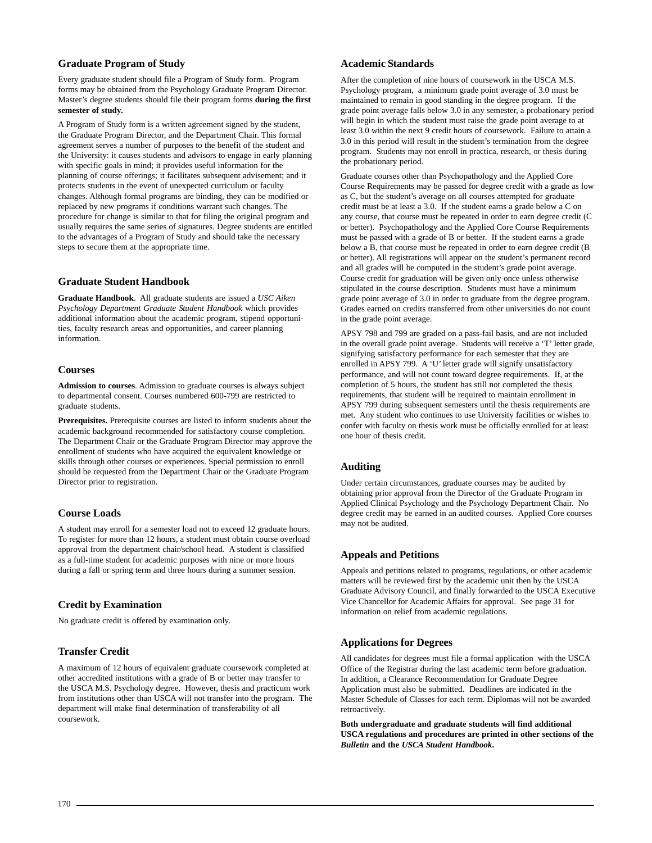### **Graduate Program of Study**

Every graduate student should file a Program of Study form. Program forms may be obtained from the Psychology Graduate Program Director. Master's degree students should file their program forms **during the first semester of study.**

A Program of Study form is a written agreement signed by the student, the Graduate Program Director, and the Department Chair. This formal agreement serves a number of purposes to the benefit of the student and the University: it causes students and advisors to engage in early planning with specific goals in mind; it provides useful information for the planning of course offerings; it facilitates subsequent advisement; and it protects students in the event of unexpected curriculum or faculty changes. Although formal programs are binding, they can be modified or replaced by new programs if conditions warrant such changes. The procedure for change is similar to that for filing the original program and usually requires the same series of signatures. Degree students are entitled to the advantages of a Program of Study and should take the necessary steps to secure them at the appropriate time.

# **Graduate Student Handbook**

**Graduate Handbook**. All graduate students are issued a *USC Aiken Psychology Department Graduate Student Handbook* which provides additional information about the academic program, stipend opportunities, faculty research areas and opportunities, and career planning information.

### **Courses**

**Admission to courses**. Admission to graduate courses is always subject to departmental consent. Courses numbered 600-799 are restricted to graduate students.

**Prerequisites.** Prerequisite courses are listed to inform students about the academic background recommended for satisfactory course completion. The Department Chair or the Graduate Program Director may approve the enrollment of students who have acquired the equivalent knowledge or skills through other courses or experiences. Special permission to enroll should be requested from the Department Chair or the Graduate Program Director prior to registration.

### **Course Loads**

A student may enroll for a semester load not to exceed 12 graduate hours. To register for more than 12 hours, a student must obtain course overload approval from the department chair/school head. A student is classified as a full-time student for academic purposes with nine or more hours during a fall or spring term and three hours during a summer session.

### **Credit by Examination**

No graduate credit is offered by examination only.

### **Transfer Credit**

A maximum of 12 hours of equivalent graduate coursework completed at other accredited institutions with a grade of B or better may transfer to the USCA M.S. Psychology degree. However, thesis and practicum work from institutions other than USCA will not transfer into the program. The department will make final determination of transferability of all coursework.

### **Academic Standards**

After the completion of nine hours of coursework in the USCA M.S. Psychology program, a minimum grade point average of 3.0 must be maintained to remain in good standing in the degree program. If the grade point average falls below 3.0 in any semester, a probationary period will begin in which the student must raise the grade point average to at least 3.0 within the next 9 credit hours of coursework. Failure to attain a 3.0 in this period will result in the student's termination from the degree program. Students may not enroll in practica, research, or thesis during the probationary period.

Graduate courses other than Psychopathology and the Applied Core Course Requirements may be passed for degree credit with a grade as low as C, but the student's average on all courses attempted for graduate credit must be at least a 3.0. If the student earns a grade below a C on any course, that course must be repeated in order to earn degree credit (C or better). Psychopathology and the Applied Core Course Requirements must be passed with a grade of B or better. If the student earns a grade below a B, that course must be repeated in order to earn degree credit (B or better). All registrations will appear on the student's permanent record and all grades will be computed in the student's grade point average. Course credit for graduation will be given only once unless otherwise stipulated in the course description. Students must have a minimum grade point average of 3.0 in order to graduate from the degree program. Grades earned on credits transferred from other universities do not count in the grade point average.

APSY 798 and 799 are graded on a pass-fail basis, and are not included in the overall grade point average. Students will receive a 'T' letter grade, signifying satisfactory performance for each semester that they are enrolled in APSY 799. A 'U' letter grade will signify unsatisfactory performance, and will not count toward degree requirements. If, at the completion of 5 hours, the student has still not completed the thesis requirements, that student will be required to maintain enrollment in APSY 799 during subsequent semesters until the thesis requirements are met. Any student who continues to use University facilities or wishes to confer with faculty on thesis work must be officially enrolled for at least one hour of thesis credit.

### **Auditing**

Under certain circumstances, graduate courses may be audited by obtaining prior approval from the Director of the Graduate Program in Applied Clinical Psychology and the Psychology Department Chair. No degree credit may be earned in an audited courses. Applied Core courses may not be audited.

### **Appeals and Petitions**

Appeals and petitions related to programs, regulations, or other academic matters will be reviewed first by the academic unit then by the USCA Graduate Advisory Council, and finally forwarded to the USCA Executive Vice Chancellor for Academic Affairs for approval. See page 31 for information on relief from academic regulations.

### **Applications for Degrees**

All candidates for degrees must file a formal application with the USCA Office of the Registrar during the last academic term before graduation. In addition, a Clearance Recommendation for Graduate Degree Application must also be submitted. Deadlines are indicated in the Master Schedule of Classes for each term. Diplomas will not be awarded retroactively.

**Both undergraduate and graduate students will find additional USCA regulations and procedures are printed in other sections of the** *Bulletin* **and the** *USCA Student Handbook***.**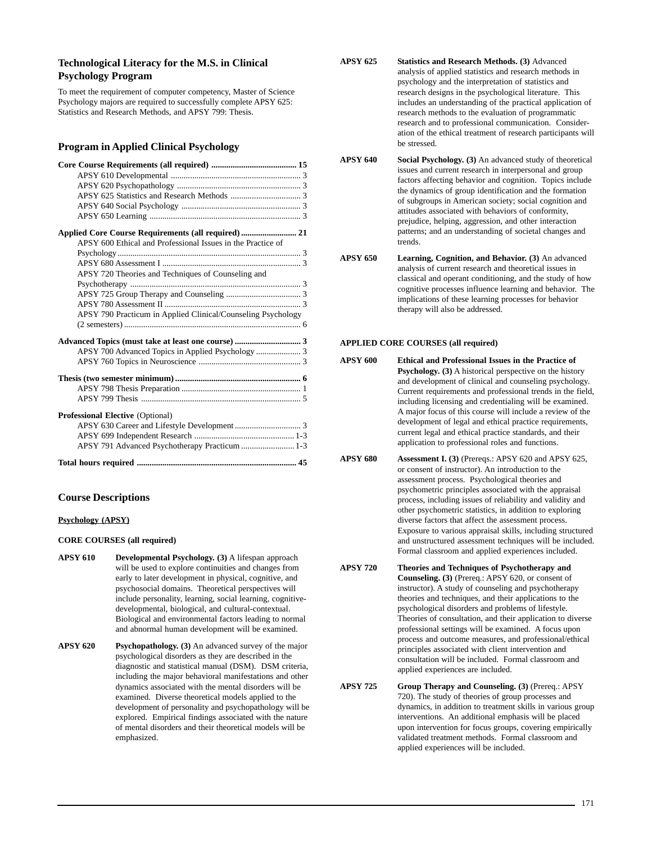# **Technological Literacy for the M.S. in Clinical Psychology Program**

To meet the requirement of computer competency, Master of Science Psychology majors are required to successfully complete APSY 625: Statistics and Research Methods, and APSY 799: Thesis.

### **Program in Applied Clinical Psychology**

| APSY 600 Ethical and Professional Issues in the Practice of  |  |
|--------------------------------------------------------------|--|
|                                                              |  |
|                                                              |  |
| APSY 720 Theories and Techniques of Counseling and           |  |
|                                                              |  |
|                                                              |  |
|                                                              |  |
| APSY 790 Practicum in Applied Clinical/Counseling Psychology |  |
|                                                              |  |
|                                                              |  |
| APSY 700 Advanced Topics in Applied Psychology  3            |  |
|                                                              |  |
|                                                              |  |
|                                                              |  |
|                                                              |  |
| <b>Professional Elective (Optional)</b>                      |  |
|                                                              |  |
|                                                              |  |
| APSY 791 Advanced Psychotherapy Practicum  1-3               |  |
|                                                              |  |

### **Course Descriptions**

### **Psychology (APSY)**

### **CORE COURSES (all required)**

- **APSY 610 Developmental Psychology. (3)** A lifespan approach will be used to explore continuities and changes from early to later development in physical, cognitive, and psychosocial domains. Theoretical perspectives will include personality, learning, social learning, cognitivedevelopmental, biological, and cultural-contextual. Biological and environmental factors leading to normal and abnormal human development will be examined.
- **APSY 620 Psychopathology. (3)** An advanced survey of the major psychological disorders as they are described in the diagnostic and statistical manual (DSM). DSM criteria, including the major behavioral manifestations and other dynamics associated with the mental disorders will be examined. Diverse theoretical models applied to the development of personality and psychopathology will be explored. Empirical findings associated with the nature of mental disorders and their theoretical models will be emphasized.
- **APSY 625 Statistics and Research Methods. (3)** Advanced analysis of applied statistics and research methods in psychology and the interpretation of statistics and research designs in the psychological literature. This includes an understanding of the practical application of research methods to the evaluation of programmatic research and to professional communication. Consideration of the ethical treatment of research participants will be stressed.
- **APSY 640 Social Psychology. (3)** An advanced study of theoretical issues and current research in interpersonal and group factors affecting behavior and cognition. Topics include the dynamics of group identification and the formation of subgroups in American society; social cognition and attitudes associated with behaviors of conformity, prejudice, helping, aggression, and other interaction patterns; and an understanding of societal changes and trends.
- **APSY 650 Learning, Cognition, and Behavior. (3)** An advanced analysis of current research and theoretical issues in classical and operant conditioning, and the study of how cognitive processes influence learning and behavior. The implications of these learning processes for behavior therapy will also be addressed.

### **APPLIED CORE COURSES (all required)**

- **APSY 600 Ethical and Professional Issues in the Practice of Psychology. (3)** A historical perspective on the history and development of clinical and counseling psychology. Current requirements and professional trends in the field, including licensing and credentialing will be examined. A major focus of this course will include a review of the development of legal and ethical practice requirements, current legal and ethical practice standards, and their application to professional roles and functions.
- **APSY 680 Assessment I. (3)** (Prereqs.: APSY 620 and APSY 625, or consent of instructor). An introduction to the assessment process. Psychological theories and psychometric principles associated with the appraisal process, including issues of reliability and validity and other psychometric statistics, in addition to exploring diverse factors that affect the assessment process. Exposure to various appraisal skills, including structured and unstructured assessment techniques will be included. Formal classroom and applied experiences included.
- **APSY 720 Theories and Techniques of Psychotherapy and Counseling. (3)** (Prereq.: APSY 620, or consent of instructor). A study of counseling and psychotherapy theories and techniques, and their applications to the psychological disorders and problems of lifestyle. Theories of consultation, and their application to diverse professional settings will be examined. A focus upon process and outcome measures, and professional/ethical principles associated with client intervention and consultation will be included. Formal classroom and applied experiences are included.
- **APSY 725 Group Therapy and Counseling. (3)** (Prereq.: APSY 720). The study of theories of group processes and dynamics, in addition to treatment skills in various group interventions. An additional emphasis will be placed upon intervention for focus groups, covering empirically validated treatment methods. Formal classroom and applied experiences will be included.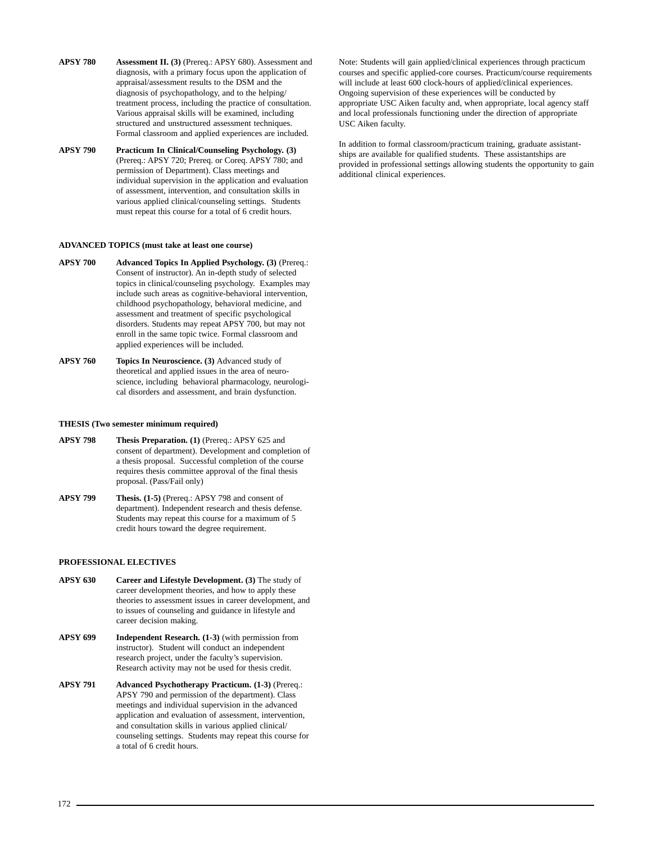- **APSY 780 Assessment II. (3)** (Prereq.: APSY 680). Assessment and diagnosis, with a primary focus upon the application of appraisal/assessment results to the DSM and the diagnosis of psychopathology, and to the helping/ treatment process, including the practice of consultation. Various appraisal skills will be examined, including structured and unstructured assessment techniques. Formal classroom and applied experiences are included.
- **APSY 790 Practicum In Clinical/Counseling Psychology. (3)** (Prereq.: APSY 720; Prereq. or Coreq. APSY 780; and permission of Department). Class meetings and individual supervision in the application and evaluation of assessment, intervention, and consultation skills in various applied clinical/counseling settings. Students must repeat this course for a total of 6 credit hours.

### **ADVANCED TOPICS (must take at least one course)**

- **APSY 700 Advanced Topics In Applied Psychology. (3)** (Prereq.: Consent of instructor). An in-depth study of selected topics in clinical/counseling psychology. Examples may include such areas as cognitive-behavioral intervention, childhood psychopathology, behavioral medicine, and assessment and treatment of specific psychological disorders. Students may repeat APSY 700, but may not enroll in the same topic twice. Formal classroom and applied experiences will be included.
- **APSY 760 Topics In Neuroscience. (3)** Advanced study of theoretical and applied issues in the area of neuroscience, including behavioral pharmacology, neurological disorders and assessment, and brain dysfunction.

#### **THESIS (Two semester minimum required)**

- **APSY 798 Thesis Preparation. (1)** (Prereq.: APSY 625 and consent of department). Development and completion of a thesis proposal. Successful completion of the course requires thesis committee approval of the final thesis proposal. (Pass/Fail only)
- **APSY 799 Thesis. (1-5)** (Prereq.: APSY 798 and consent of department). Independent research and thesis defense. Students may repeat this course for a maximum of 5 credit hours toward the degree requirement.

### **PROFESSIONAL ELECTIVES**

- **APSY 630 Career and Lifestyle Development. (3)** The study of career development theories, and how to apply these theories to assessment issues in career development, and to issues of counseling and guidance in lifestyle and career decision making.
- **APSY 699** Independent Research. (1-3) (with permission from instructor). Student will conduct an independent research project, under the faculty's supervision. Research activity may not be used for thesis credit.
- **APSY 791 Advanced Psychotherapy Practicum. (1-3)** (Prereq.: APSY 790 and permission of the department). Class meetings and individual supervision in the advanced application and evaluation of assessment, intervention, and consultation skills in various applied clinical/ counseling settings. Students may repeat this course for a total of 6 credit hours.

Note: Students will gain applied/clinical experiences through practicum courses and specific applied-core courses. Practicum/course requirements will include at least 600 clock-hours of applied/clinical experiences. Ongoing supervision of these experiences will be conducted by appropriate USC Aiken faculty and, when appropriate, local agency staff and local professionals functioning under the direction of appropriate USC Aiken faculty.

In addition to formal classroom/practicum training, graduate assistantships are available for qualified students. These assistantships are provided in professional settings allowing students the opportunity to gain additional clinical experiences.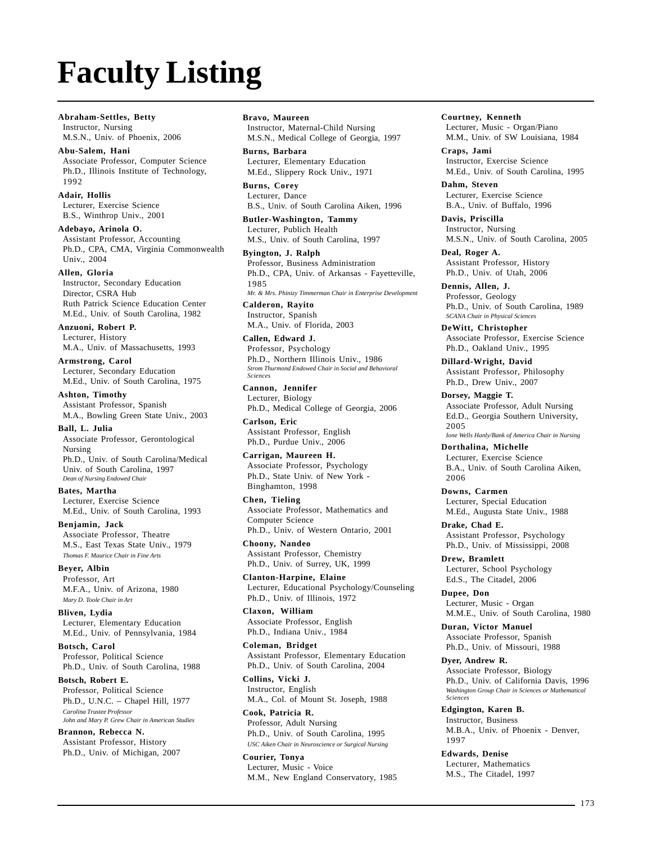# **Faculty Listing**

**Abraham-Settles, Betty** Instructor, Nursing M.S.N., Univ. of Phoenix, 2006

### **Abu-Salem, Hani** Associate Professor, Computer Science Ph.D., Illinois Institute of Technology, 1992

**Adair, Hollis** Lecturer, Exercise Science B.S., Winthrop Univ., 2001

**Adebayo, Arinola O.** Assistant Professor, Accounting Ph.D., CPA, CMA, Virginia Commonwealth Univ., 2004

**Allen, Gloria** Instructor, Secondary Education Director, CSRA Hub Ruth Patrick Science Education Center M.Ed., Univ. of South Carolina, 1982

**Anzuoni, Robert P.** Lecturer, History M.A., Univ. of Massachusetts, 1993

**Armstrong, Carol** Lecturer, Secondary Education M.Ed., Univ. of South Carolina, 1975

**Ashton, Timothy** Assistant Professor, Spanish M.A., Bowling Green State Univ., 2003

**Ball, L. Julia** Associate Professor, Gerontological Nursing Ph.D., Univ. of South Carolina/Medical Univ. of South Carolina, 1997 *Dean of Nursing Endowed Chair*

**Bates, Martha** Lecturer, Exercise Science M.Ed., Univ. of South Carolina, 1993

**Benjamin, Jack** Associate Professor, Theatre M.S., East Texas State Univ., 1979 *Thomas F. Maurice Chair in Fine Arts*

**Beyer, Albin** Professor, Art M.F.A., Univ. of Arizona, 1980 *Mary D. Toole Chair in Art*

**Bliven, Lydia** Lecturer, Elementary Education M.Ed., Univ. of Pennsylvania, 1984

**Botsch, Carol** Professor, Political Science Ph.D., Univ. of South Carolina, 1988

**Botsch, Robert E.** Professor, Political Science Ph.D., U.N.C. – Chapel Hill, 1977 *Carolina Trustee Professor John and Mary P. Grew Chair in American Studies*

**Brannon, Rebecca N.** Assistant Professor, History Ph.D., Univ. of Michigan, 2007 **Bravo, Maureen** Instructor, Maternal-Child Nursing M.S.N., Medical College of Georgia, 1997

**Burns, Barbara** Lecturer, Elementary Education M.Ed., Slippery Rock Univ., 1971

**Burns, Corey** Lecturer, Dance B.S., Univ. of South Carolina Aiken, 1996

**Butler-Washington, Tammy** Lecturer, Publich Health M.S., Univ. of South Carolina, 1997

**Byington, J. Ralph** Professor, Business Administration Ph.D., CPA, Univ. of Arkansas - Fayetteville, 1985 *Mr. & Mrs. Phinizy Timmerman Chair in Enterprise Development* **Calderon, Rayito**

Instructor, Spanish M.A., Univ. of Florida, 2003

**Callen, Edward J.** Professor, Psychology Ph.D., Northern Illinois Univ., 1986 *Strom Thurmond Endowed Chair in Social and Behavioral Sciences*

**Cannon, Jennifer** Lecturer, Biology Ph.D., Medical College of Georgia, 2006

**Carlson, Eric** Assistant Professor, English Ph.D., Purdue Univ., 2006

**Carrigan, Maureen H.** Associate Professor, Psychology Ph.D., State Univ. of New York - Binghamton, 1998

**Chen, Tieling** Associate Professor, Mathematics and Computer Science Ph.D., Univ. of Western Ontario, 2001

**Choony, Nandeo** Assistant Professor, Chemistry Ph.D., Univ. of Surrey, UK, 1999

**Clanton-Harpine, Elaine** Lecturer, Educational Psychology/Counseling Ph.D., Univ. of Illinois, 1972

**Claxon, William** Associate Professor, English Ph.D., Indiana Univ., 1984

**Coleman, Bridget** Assistant Professor, Elementary Education Ph.D., Univ. of South Carolina, 2004

**Collins, Vicki J.** Instructor, English M.A., Col. of Mount St. Joseph, 1988

**Cook, Patricia R.** Professor, Adult Nursing Ph.D., Univ. of South Carolina, 1995 *USC Aiken Chair in Neuroscience or Surgical Nursing*

**Courier, Tonya** Lecturer, Music - Voice M.M., New England Conservatory, 1985 **Courtney, Kenneth** Lecturer, Music - Organ/Piano M.M., Univ. of SW Louisiana, 1984

**Craps, Jami** Instructor, Exercise Science M.Ed., Univ. of South Carolina, 1995

**Dahm, Steven** Lecturer, Exercise Science B.A., Univ. of Buffalo, 1996

**Davis, Priscilla** Instructor, Nursing M.S.N., Univ. of South Carolina, 2005

**Deal, Roger A.** Assistant Professor, History Ph.D., Univ. of Utah, 2006

**Dennis, Allen, J.** Professor, Geology Ph.D., Univ. of South Carolina, 1989 *SCANA Chair in Physical Sciences*

**DeWitt, Christopher** Associate Professor, Exercise Science Ph.D., Oakland Univ., 1995

**Dillard-Wright, David** Assistant Professor, Philosophy Ph.D., Drew Univ., 2007

**Dorsey, Maggie T.** Associate Professor, Adult Nursing Ed.D., Georgia Southern University, 2005 *Ione Wells Hanly/Bank of America Chair in Nursing*

**Dorthalina, Michelle** Lecturer, Exercise Science B.A., Univ. of South Carolina Aiken, 2006

**Downs, Carmen** Lecturer, Special Education M.Ed., Augusta State Univ., 1988

**Drake, Chad E.** Assistant Professor, Psychology Ph.D., Univ. of Mississippi, 2008

**Drew, Bramlett** Lecturer, School Psychology Ed.S., The Citadel, 2006

**Dupee, Don** Lecturer, Music - Organ M.M.E., Univ. of South Carolina, 1980

**Duran, Victor Manuel** Associate Professor, Spanish Ph.D., Univ. of Missouri, 1988

**Dyer, Andrew R.** Associate Professor, Biology Ph.D., Univ. of California Davis, 1996 *Washington Group Chair in Sciences or Mathematical Sciences*

**Edgington, Karen B.** Instructor, Business M.B.A., Univ. of Phoenix - Denver, 1997

**Edwards, Denise** Lecturer, Mathematics M.S., The Citadel, 1997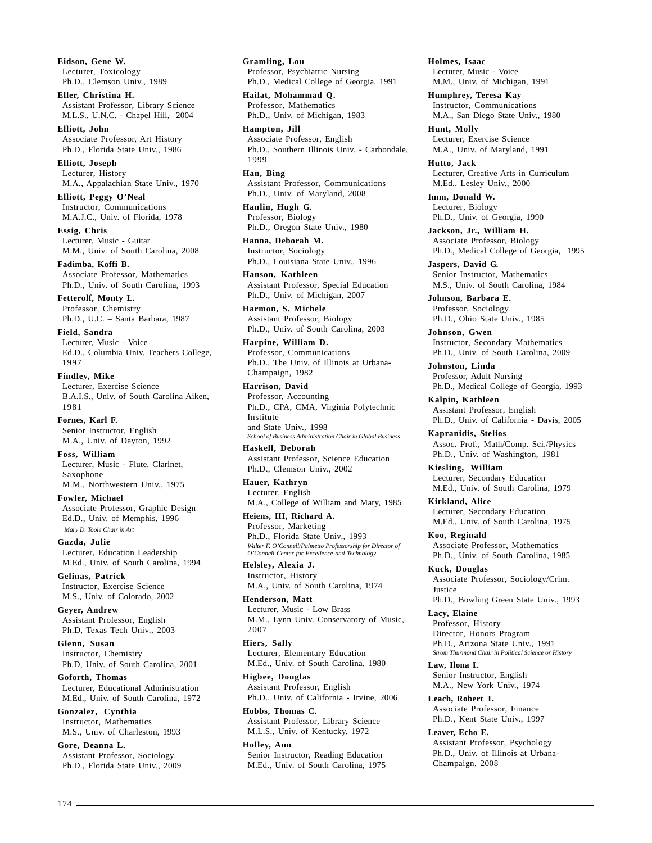**Eidson, Gene W.** Lecturer, Toxicology Ph.D., Clemson Univ., 1989

**Eller, Christina H.** Assistant Professor, Library Science M.L.S., U.N.C. - Chapel Hill, 2004

**Elliott, John** Associate Professor, Art History Ph.D., Florida State Univ., 1986

**Elliott, Joseph** Lecturer, History M.A., Appalachian State Univ., 1970

**Elliott, Peggy O'Neal** Instructor, Communications M.A.J.C., Univ. of Florida, 1978

**Essig, Chris** Lecturer, Music - Guitar M.M., Univ. of South Carolina, 2008

**Fadimba, Koffi B.** Associate Professor, Mathematics Ph.D., Univ. of South Carolina, 1993

**Fetterolf, Monty L.** Professor, Chemistry Ph.D., U.C. – Santa Barbara, 1987

**Field, Sandra** Lecturer, Music - Voice Ed.D., Columbia Univ. Teachers College, 1997

**Findley, Mike** Lecturer, Exercise Science B.A.I.S., Univ. of South Carolina Aiken, 1981

**Fornes, Karl F.** Senior Instructor, English M.A., Univ. of Dayton, 1992

**Foss, William** Lecturer, Music - Flute, Clarinet, Saxophone M.M., Northwestern Univ., 1975

**Fowler, Michael** Associate Professor, Graphic Design Ed.D., Univ. of Memphis, 1996 *Mary D. Toole Chair in Art*

**Gazda, Julie** Lecturer, Education Leadership M.Ed., Univ. of South Carolina, 1994

**Gelinas, Patrick** Instructor, Exercise Science M.S., Univ. of Colorado, 2002

**Geyer, Andrew** Assistant Professor, English Ph.D, Texas Tech Univ., 2003

**Glenn, Susan** Instructor, Chemistry Ph.D, Univ. of South Carolina, 2001

**Goforth, Thomas** Lecturer, Educational Administration M.Ed., Univ. of South Carolina, 1972

**Gonzalez, Cynthia** Instructor, Mathematics M.S., Univ. of Charleston, 1993

**Gore, Deanna L.** Assistant Professor, Sociology Ph.D., Florida State Univ., 2009 **Gramling, Lou** Professor, Psychiatric Nursing Ph.D., Medical College of Georgia, 1991

**Hailat, Mohammad Q.** Professor, Mathematics Ph.D., Univ. of Michigan, 1983

**Hampton, Jill** Associate Professor, English Ph.D., Southern Illinois Univ. - Carbondale, 1999

**Han, Bing** Assistant Professor, Communications Ph.D., Univ. of Maryland, 2008

**Hanlin, Hugh G.** Professor, Biology Ph.D., Oregon State Univ., 1980

**Hanna, Deborah M.** Instructor, Sociology Ph.D., Louisiana State Univ., 1996

**Hanson, Kathleen** Assistant Professor, Special Education Ph.D., Univ. of Michigan, 2007

**Harmon, S. Michele** Assistant Professor, Biology Ph.D., Univ. of South Carolina, 2003

**Harpine, William D.** Professor, Communications Ph.D., The Univ. of Illinois at Urbana-Champaign, 1982

**Harrison, David** Professor, Accounting Ph.D., CPA, CMA, Virginia Polytechnic Institute and State Univ., 1998 *School of Business Administration Chair in Global Business*

**Haskell, Deborah** Assistant Professor, Science Education Ph.D., Clemson Univ., 2002

**Hauer, Kathryn** Lecturer, English M.A., College of William and Mary, 1985

**Heiens, III, Richard A.** Professor, Marketing Ph.D., Florida State Univ., 1993 *Walter F. O'Connell/Palmetto Professorship for Director of O'Connell Center for Excellence and Technology*

**Helsley, Alexia J.** Instructor, History M.A., Univ. of South Carolina, 1974

**Henderson, Matt** Lecturer, Music - Low Brass M.M., Lynn Univ. Conservatory of Music, 2007

**Hiers, Sally** Lecturer, Elementary Education M.Ed., Univ. of South Carolina, 1980

**Higbee, Douglas** Assistant Professor, English Ph.D., Univ. of California - Irvine, 2006

**Hobbs, Thomas C.** Assistant Professor, Library Science M.L.S., Univ. of Kentucky, 1972

**Holley, Ann** Senior Instructor, Reading Education M.Ed., Univ. of South Carolina, 1975 **Holmes, Isaac** Lecturer, Music - Voice M.M., Univ. of Michigan, 1991

**Humphrey, Teresa Kay** Instructor, Communications M.A., San Diego State Univ., 1980

**Hunt, Molly** Lecturer, Exercise Science M.A., Univ. of Maryland, 1991

**Hutto, Jack** Lecturer, Creative Arts in Curriculum M.Ed., Lesley Univ., 2000

**Imm, Donald W.** Lecturer, Biology Ph.D., Univ. of Georgia, 1990

**Jackson, Jr., William H.** Associate Professor, Biology Ph.D., Medical College of Georgia, 1995

**Jaspers, David G.** Senior Instructor, Mathematics M.S., Univ. of South Carolina, 1984

**Johnson, Barbara E.** Professor, Sociology Ph.D., Ohio State Univ., 1985

**Johnson, Gwen** Instructor, Secondary Mathematics Ph.D., Univ. of South Carolina, 2009

**Johnston, Linda** Professor, Adult Nursing Ph.D., Medical College of Georgia, 1993

**Kalpin, Kathleen** Assistant Professor, English Ph.D., Univ. of California - Davis, 2005

**Kapranidis, Stelios** Assoc. Prof., Math/Comp. Sci./Physics Ph.D., Univ. of Washington, 1981

**Kiesling, William** Lecturer, Secondary Education M.Ed., Univ. of South Carolina, 1979

**Kirkland, Alice** Lecturer, Secondary Education M.Ed., Univ. of South Carolina, 1975

**Koo, Reginald** Associate Professor, Mathematics Ph.D., Univ. of South Carolina, 1985

**Kuck, Douglas** Associate Professor, Sociology/Crim. Justice Ph.D., Bowling Green State Univ., 1993

**Lacy, Elaine** Professor, History

Director, Honors Program Ph.D., Arizona State Univ., 1991

*Strom Thurmond Chair in Political Science or History* **Law, Ilona I.** Senior Instructor, English

M.A., New York Univ., 1974

**Leach, Robert T.** Associate Professor, Finance Ph.D., Kent State Univ., 1997

**Leaver, Echo E.** Assistant Professor, Psychology Ph.D., Univ. of Illinois at Urbana-Champaign, 2008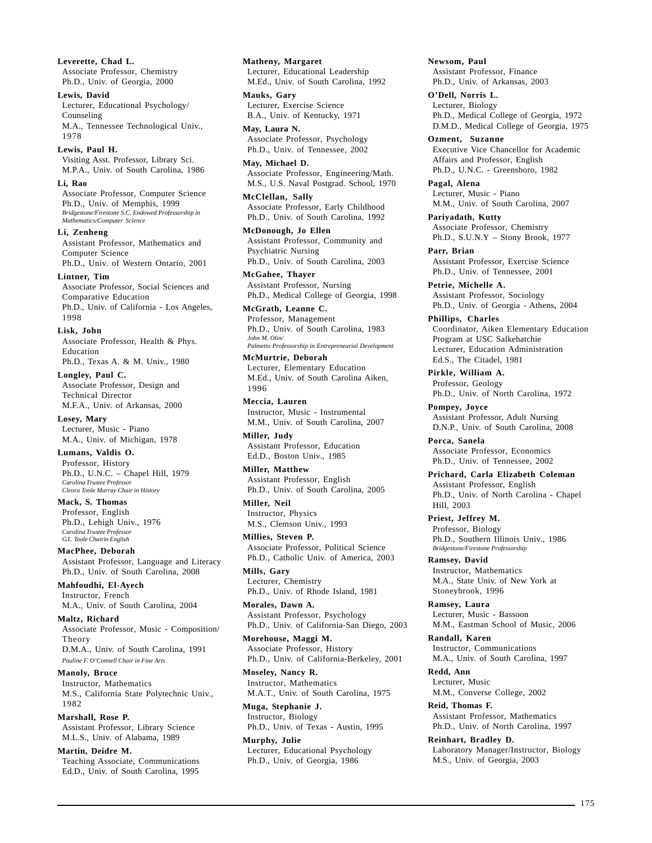**Leverette, Chad L.** Associate Professor, Chemistry Ph.D., Univ. of Georgia, 2000

**Lewis, David** Lecturer, Educational Psychology/ Counseling M.A., Tennessee Technological Univ., 1978

**Lewis, Paul H.** Visiting Asst. Professor, Library Sci.

M.P.A., Univ. of South Carolina, 1986 **Li, Rao**

Associate Professor, Computer Science Ph.D., Univ. of Memphis, 1999 *Bridgestone/Firestone S.C. Endowed Professorship in Mathematics/Computer Science*

**Li, Zenheng**

Assistant Professor, Mathematics and Computer Science Ph.D., Univ. of Western Ontario, 2001

**Lintner, Tim** Associate Professor, Social Sciences and Comparative Education Ph.D., Univ. of California - Los Angeles, 1998

**Lisk, John**

Associate Professor, Health & Phys. Education Ph.D., Texas A. & M. Univ., 1980

**Longley, Paul C.** Associate Professor, Design and Technical Director M.F.A., Univ. of Arkansas, 2000

**Losey, Mary** Lecturer, Music - Piano M.A., Univ. of Michigan, 1978

**Lumans, Valdis O.** Professor, History Ph.D., U.N.C. – Chapel Hill, 1979 *Carolina Trustee Professor Cleora Toole Murray Chair in History*

**Mack, S. Thomas** Professor, English Ph.D., Lehigh Univ., 1976 *Carolina Trustee Professor G.L. Toole Chairin English*

**MacPhee, Deborah** Assistant Professor, Language and Literacy Ph.D., Univ. of South Carolina, 2008

**Mahfoudhi, El-Ayech** Instructor, French M.A., Univ. of South Carolina, 2004

**Maltz, Richard** Associate Professor, Music - Composition/ Theory D.M.A., Univ. of South Carolina, 1991 *Pauline F. O'Connell Chair in Fine Arts*

**Manoly, Bruce** Instructor, Mathematics M.S., California State Polytechnic Univ., 1982

**Marshall, Rose P.** Assistant Professor, Library Science M.L.S., Univ. of Alabama, 1989

**Martin, Deidre M.** Teaching Associate, Communications Ed.D., Univ. of South Carolina, 1995 **Matheny, Margaret** Lecturer, Educational Leadership M.Ed., Univ. of South Carolina, 1992

**Mauks, Gary** Lecturer, Exercise Science B.A., Univ. of Kentucky, 1971

**May, Laura N.** Associate Professor, Psychology Ph.D., Univ. of Tennessee, 2002

**May, Michael D.** Associate Professor, Engineering/Math. M.S., U.S. Naval Postgrad. School, 1970

**McClellan, Sally** Associate Professor, Early Childhood Ph.D., Univ. of South Carolina, 1992

**McDonough, Jo Ellen** Assistant Professor, Community and Psychiatric Nursing Ph.D., Univ. of South Carolina, 2003

**McGahee, Thayer** Assistant Professor, Nursing Ph.D., Medical College of Georgia, 1998

**McGrath, Leanne C.** Professor, Management Ph.D., Univ. of South Carolina, 1983 *John M. Olin/ Palmetto Professorship in Entrepreneurial Development*

**McMurtrie, Deborah** Lecturer, Elementary Education M.Ed., Univ. of South Carolina Aiken, 1996

**Meccia, Lauren** Instructor, Music - Instrumental M.M., Univ. of South Carolina, 2007

**Miller, Judy** Assistant Professor, Education Ed.D., Boston Univ., 1985

**Miller, Matthew** Assistant Professor, English Ph.D., Univ. of South Carolina, 2005

**Miller, Neil** Instructor, Physics M.S., Clemson Univ., 1993

**Millies, Steven P.** Associate Professor, Political Science Ph.D., Catholic Univ. of America, 2003

**Mills, Gary** Lecturer, Chemistry Ph.D., Univ. of Rhode Island, 1981

**Morales, Dawn A.** Assistant Professor, Psychology Ph.D., Univ. of California-San Diego, 2003

**Morehouse, Maggi M.** Associate Professor, History Ph.D., Univ. of California-Berkeley, 2001

**Moseley, Nancy R.** Instructor, Mathematics M.A.T., Univ. of South Carolina, 1975

**Muga, Stephanie J.** Instructor, Biology Ph.D., Univ. of Texas - Austin, 1995

**Murphy, Julie** Lecturer, Educational Psychology Ph.D., Univ. of Georgia, 1986

**Newsom, Paul** Assistant Professor, Finance Ph.D., Univ. of Arkansas, 2003

**O'Dell, Norris L.** Lecturer, Biology Ph.D., Medical College of Georgia, 1972 D.M.D., Medical College of Georgia, 1975

**Ozment, Suzanne** Executive Vice Chancellor for Academic Affairs and Professor, English Ph.D., U.N.C. - Greensboro, 1982

**Pagal, Alena** Lecturer, Music - Piano M.M., Univ. of South Carolina, 2007

**Pariyadath, Kutty** Associate Professor, Chemistry Ph.D., S.U.N.Y – Stony Brook, 1977

**Parr, Brian** Assistant Professor, Exercise Science Ph.D., Univ. of Tennessee, 2001

**Petrie, Michelle A.** Assistant Professor, Sociology Ph.D., Univ. of Georgia - Athens, 2004

**Phillips, Charles** Coordinator, Aiken Elementary Education Program at USC Salkehatchie Lecturer, Education Administration Ed.S., The Citadel, 1981

**Pirkle, William A.** Professor, Geology Ph.D., Univ. of North Carolina, 1972

**Pompey, Joyce** Assistant Professor, Adult Nursing D.N.P., Univ. of South Carolina, 2008

**Porca, Sanela** Associate Professor, Economics Ph.D., Univ. of Tennessee, 2002

**Prichard, Carla Elizabeth Coleman** Assistant Professor, English Ph.D., Univ. of North Carolina - Chapel Hill, 2003

**Priest, Jeffrey M.** Professor, Biology Ph.D., Southern Illinois Univ., 1986 *Bridgestone/Firestone Professorship*

**Ramsey, David** Instructor, Mathematics M.A., State Univ. of New York at Stoneybrook, 1996

**Ramsey, Laura** Lecturer, Music - Bassoon M.M., Eastman School of Music, 2006

**Randall, Karen** Instructor, Communications M.A., Univ. of South Carolina, 1997

**Redd, Ann** Lecturer, Music M.M., Converse College, 2002

**Reid, Thomas F.** Assistant Professor, Mathematics Ph.D., Univ. of North Carolina, 1997

**Reinhart, Bradley D.** Laboratory Manager/Instructor, Biology M.S., Univ. of Georgia, 2003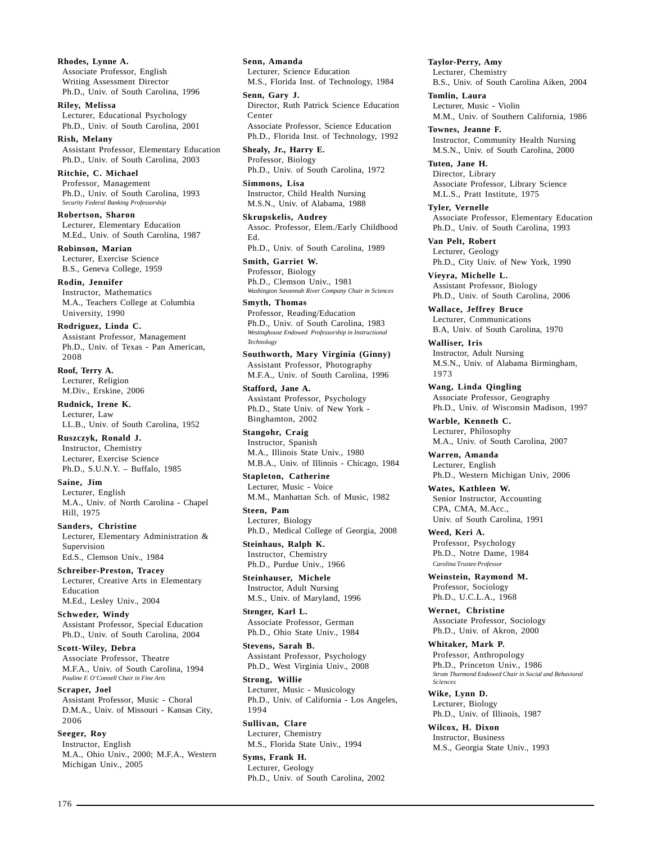**Rhodes, Lynne A.** Associate Professor, English Writing Assessment Director Ph.D., Univ. of South Carolina, 1996

**Riley, Melissa** Lecturer, Educational Psychology Ph.D., Univ. of South Carolina, 2001

**Rish, Melany** Assistant Professor, Elementary Education Ph.D., Univ. of South Carolina, 2003

**Ritchie, C. Michael** Professor, Management Ph.D., Univ. of South Carolina, 1993 *Security Federal Banking Professorship*

**Robertson, Sharon** Lecturer, Elementary Education M.Ed., Univ. of South Carolina, 1987

**Robinson, Marian** Lecturer, Exercise Science B.S., Geneva College, 1959

**Rodin, Jennifer** Instructor, Mathematics M.A., Teachers College at Columbia University, 1990

**Rodriguez, Linda C.** Assistant Professor, Management Ph.D., Univ. of Texas - Pan American, 2008

**Roof, Terry A.** Lecturer, Religion M.Div., Erskine, 2006

**Rudnick, Irene K.** Lecturer, Law LL.B., Univ. of South Carolina, 1952

**Ruszczyk, Ronald J.** Instructor, Chemistry Lecturer, Exercise Science Ph.D., S.U.N.Y. – Buffalo, 1985

**Saine, Jim** Lecturer, English M.A., Univ. of North Carolina - Chapel Hill, 1975

**Sanders, Christine** Lecturer, Elementary Administration & Supervision Ed.S., Clemson Univ., 1984

**Schreiber-Preston, Tracey** Lecturer, Creative Arts in Elementary Education M.Ed., Lesley Univ., 2004

**Schweder, Windy** Assistant Professor, Special Education Ph.D., Univ. of South Carolina, 2004

**Scott-Wiley, Debra** Associate Professor, Theatre M.F.A., Univ. of South Carolina, 1994 *Pauline F. O'Connell Chair in Fine Arts*

**Scraper, Joel** Assistant Professor, Music - Choral D.M.A., Univ. of Missouri - Kansas City, 2006

**Seeger, Roy** Instructor, English M.A., Ohio Univ., 2000; M.F.A., Western Michigan Univ., 2005

**Senn, Amanda** Lecturer, Science Education M.S., Florida Inst. of Technology, 1984

**Senn, Gary J.** Director, Ruth Patrick Science Education Center Associate Professor, Science Education Ph.D., Florida Inst. of Technology, 1992

**Shealy, Jr., Harry E.** Professor, Biology Ph.D., Univ. of South Carolina, 1972

**Simmons, Lisa** Instructor, Child Health Nursing M.S.N., Univ. of Alabama, 1988

**Skrupskelis, Audrey** Assoc. Professor, Elem./Early Childhood Ed.

Ph.D., Univ. of South Carolina, 1989

**Smith, Garriet W.** Professor, Biology Ph.D., Clemson Univ., 1981 *Washington Savannah River Company Chair in Sciences*

**Smyth, Thomas** Professor, Reading/Education Ph.D., Univ. of South Carolina, 1983 *Westinghouse Endowed Professorship in Instructional Technology*

**Southworth, Mary Virginia (Ginny)** Assistant Professor, Photography M.F.A., Univ. of South Carolina, 1996

**Stafford, Jane A.** Assistant Professor, Psychology Ph.D., State Univ. of New York - Binghamton, 2002

**Stangohr, Craig** Instructor, Spanish M.A., Illinois State Univ., 1980 M.B.A., Univ. of Illinois - Chicago, 1984

**Stapleton, Catherine** Lecturer, Music - Voice M.M., Manhattan Sch. of Music, 1982

**Steen, Pam** Lecturer, Biology Ph.D., Medical College of Georgia, 2008

**Steinhaus, Ralph K.** Instructor, Chemistry

Ph.D., Purdue Univ., 1966 **Steinhauser, Michele**

Instructor, Adult Nursing M.S., Univ. of Maryland, 1996 **Stenger, Karl L.**

Associate Professor, German Ph.D., Ohio State Univ., 1984

**Stevens, Sarah B.** Assistant Professor, Psychology Ph.D., West Virginia Univ., 2008

**Strong, Willie** Lecturer, Music - Musicology Ph.D., Univ. of California - Los Angeles, 1994

**Sullivan, Clare** Lecturer, Chemistry M.S., Florida State Univ., 1994

**Syms, Frank H.** Lecturer, Geology Ph.D., Univ. of South Carolina, 2002 **Taylor-Perry, Amy** Lecturer, Chemistry B.S., Univ. of South Carolina Aiken, 2004

**Tomlin, Laura** Lecturer, Music - Violin M.M., Univ. of Southern California, 1986

**Townes, Jeanne F.** Instructor, Community Health Nursing M.S.N., Univ. of South Carolina, 2000

**Tuten, Jane H.** Director, Library Associate Professor, Library Science M.L.S., Pratt Institute, 1975

**Tyler, Vernelle** Associate Professor, Elementary Education Ph.D., Univ. of South Carolina, 1993

**Van Pelt, Robert** Lecturer, Geology Ph.D., City Univ. of New York, 1990

**Vieyra, Michelle L.** Assistant Professor, Biology Ph.D., Univ. of South Carolina, 2006

**Wallace, Jeffrey Bruce** Lecturer, Communications B.A, Univ. of South Carolina, 1970

**Walliser, Iris** Instructor, Adult Nursing M.S.N., Univ. of Alabama Birmingham, 1973

**Wang, Linda Qingling** Associate Professor, Geography Ph.D., Univ. of Wisconsin Madison, 1997

**Warble, Kenneth C.** Lecturer, Philosophy M.A., Univ. of South Carolina, 2007

**Warren, Amanda** Lecturer, English Ph.D., Western Michigan Univ, 2006

**Wates, Kathleen W.** Senior Instructor, Accounting CPA, CMA, M.Acc., Univ. of South Carolina, 1991

**Weed, Keri A.** Professor, Psychology Ph.D., Notre Dame, 1984 *Carolina Trustee Professor*

**Weinstein, Raymond M.** Professor, Sociology Ph.D., U.C.L.A., 1968

**Wernet, Christine** Associate Professor, Sociology Ph.D., Univ. of Akron, 2000

**Whitaker, Mark P.** Professor, Anthropology Ph.D., Princeton Univ., 1986 *Strom Thurmond Endowed Chair in Social and Behavioral Sciences*

**Wike, Lynn D.** Lecturer, Biology Ph.D., Univ. of Illinois, 1987

**Wilcox, H. Dixon** Instructor, Business M.S., Georgia State Univ., 1993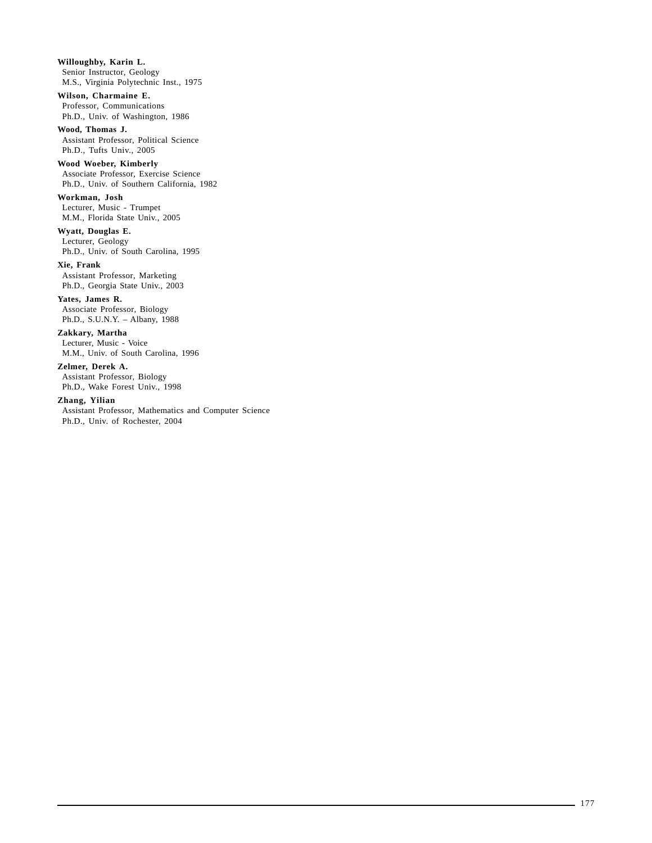**Willoughby, Karin L.** Senior Instructor, Geology M.S., Virginia Polytechnic Inst., 1975

## **Wilson, Charmaine E.**

Professor, Communications Ph.D., Univ. of Washington, 1986

**Wood, Thomas J.** Assistant Professor, Political Science Ph.D., Tufts Univ., 2005

#### **Wood Woeber, Kimberly**

Associate Professor, Exercise Science Ph.D., Univ. of Southern California, 1982

### **Workman, Josh**

Lecturer, Music - Trumpet M.M., Florida State Univ., 2005

## **Wyatt, Douglas E.**

Lecturer, Geology Ph.D., Univ. of South Carolina, 1995

#### **Xie, Frank** Assistant Professor, Marketing Ph.D., Georgia State Univ., 2003

**Yates, James R.** Associate Professor, Biology Ph.D., S.U.N.Y. – Albany, 1988

## **Zakkary, Martha**

Lecturer, Music - Voice M.M., Univ. of South Carolina, 1996

### **Zelmer, Derek A.**

Assistant Professor, Biology Ph.D., Wake Forest Univ., 1998

### **Zhang, Yilian**

Assistant Professor, Mathematics and Computer Science Ph.D., Univ. of Rochester, 2004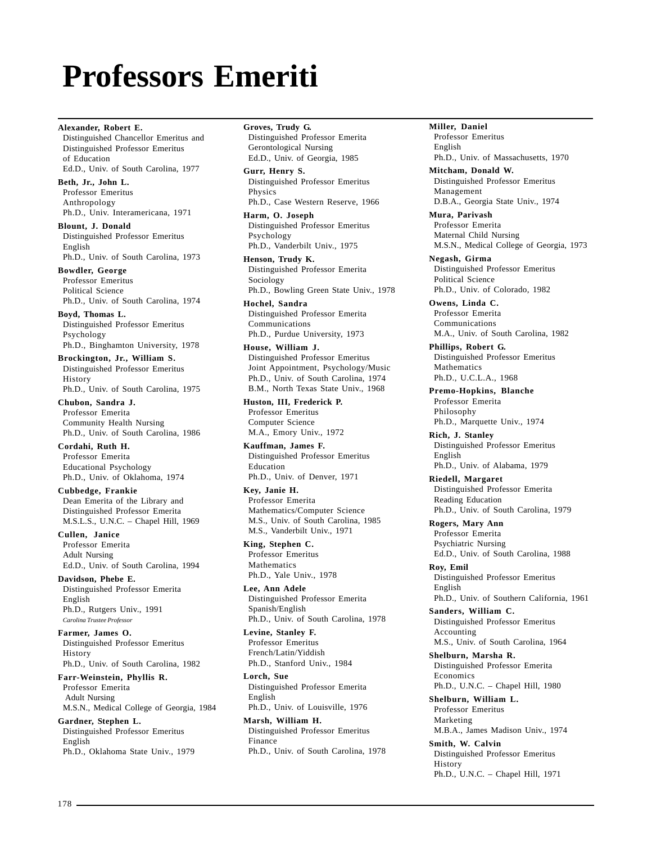# **Professors Emeriti**

**Alexander, Robert E.** Distinguished Chancellor Emeritus and Distinguished Professor Emeritus of Education Ed.D., Univ. of South Carolina, 1977

**Beth, Jr., John L.** Professor Emeritus Anthropology Ph.D., Univ. Interamericana, 1971

**Blount, J. Donald** Distinguished Professor Emeritus English Ph.D., Univ. of South Carolina, 1973

**Bowdler, George** Professor Emeritus Political Science Ph.D., Univ. of South Carolina, 1974

**Boyd, Thomas L.** Distinguished Professor Emeritus Psychology Ph.D., Binghamton University, 1978

**Brockington, Jr., William S.** Distinguished Professor Emeritus History Ph.D., Univ. of South Carolina, 1975

**Chubon, Sandra J.** Professor Emerita Community Health Nursing Ph.D., Univ. of South Carolina, 1986

**Cordahi, Ruth H.** Professor Emerita Educational Psychology Ph.D., Univ. of Oklahoma, 1974

**Cubbedge, Frankie** Dean Emerita of the Library and Distinguished Professor Emerita M.S.L.S., U.N.C. – Chapel Hill, 1969

**Cullen, Janice** Professor Emerita Adult Nursing Ed.D., Univ. of South Carolina, 1994

**Davidson, Phebe E.** Distinguished Professor Emerita English Ph.D., Rutgers Univ., 1991 *Carolina Trustee Professor*

**Farmer, James O.** Distinguished Professor Emeritus History Ph.D., Univ. of South Carolina, 1982

**Farr-Weinstein, Phyllis R.** Professor Emerita Adult Nursing M.S.N., Medical College of Georgia, 1984

**Gardner, Stephen L.** Distinguished Professor Emeritus English Ph.D., Oklahoma State Univ., 1979

#### **Groves, Trudy G.** Distinguished Professor Emerita Gerontological Nursing

Ed.D., Univ. of Georgia, 1985 **Gurr, Henry S.** Distinguished Professor Emeritus Physics

Ph.D., Case Western Reserve, 1966 **Harm, O. Joseph**

Distinguished Professor Emeritus Psychology Ph.D., Vanderbilt Univ., 1975

**Henson, Trudy K.** Distinguished Professor Emerita Sociology Ph.D., Bowling Green State Univ., 1978

**Hochel, Sandra** Distinguished Professor Emerita Communications Ph.D., Purdue University, 1973

**House, William J.** Distinguished Professor Emeritus Joint Appointment, Psychology/Music Ph.D., Univ. of South Carolina, 1974 B.M., North Texas State Univ., 1968

**Huston, III, Frederick P.** Professor Emeritus Computer Science M.A., Emory Univ., 1972

**Kauffman, James F.** Distinguished Professor Emeritus Education Ph.D., Univ. of Denver, 1971

**Key, Janie H.** Professor Emerita Mathematics/Computer Science M.S., Univ. of South Carolina, 1985

M.S., Vanderbilt Univ., 1971 **King, Stephen C.**

Professor Emeritus Mathematics Ph.D., Yale Univ., 1978

**Lee, Ann Adele** Distinguished Professor Emerita Spanish/English Ph.D., Univ. of South Carolina, 1978

**Levine, Stanley F.** Professor Emeritus French/Latin/Yiddish Ph.D., Stanford Univ., 1984

**Lorch, Sue** Distinguished Professor Emerita English Ph.D., Univ. of Louisville, 1976

**Marsh, William H.** Distinguished Professor Emeritus Finance Ph.D., Univ. of South Carolina, 1978 **Miller, Daniel** Professor Emeritus English Ph.D., Univ. of Massachusetts, 1970

**Mitcham, Donald W.** Distinguished Professor Emeritus Management D.B.A., Georgia State Univ., 1974

**Mura, Parivash** Professor Emerita Maternal Child Nursing M.S.N., Medical College of Georgia, 1973

**Negash, Girma** Distinguished Professor Emeritus Political Science Ph.D., Univ. of Colorado, 1982

**Owens, Linda C.** Professor Emerita Communications M.A., Univ. of South Carolina, 1982

**Phillips, Robert G.** Distinguished Professor Emeritus Mathematics Ph.D., U.C.L.A., 1968

**Premo-Hopkins, Blanche** Professor Emerita Philosophy Ph.D., Marquette Univ., 1974

**Rich, J. Stanley** Distinguished Professor Emeritus English Ph.D., Univ. of Alabama, 1979

**Riedell, Margaret** Distinguished Professor Emerita Reading Education Ph.D., Univ. of South Carolina, 1979

**Rogers, Mary Ann** Professor Emerita Psychiatric Nursing Ed.D., Univ. of South Carolina, 1988

**Roy, Emil** Distinguished Professor Emeritus English Ph.D., Univ. of Southern California, 1961

**Sanders, William C.** Distinguished Professor Emeritus Accounting M.S., Univ. of South Carolina, 1964

**Shelburn, Marsha R.** Distinguished Professor Emerita Economics Ph.D., U.N.C. – Chapel Hill, 1980

**Shelburn, William L.** Professor Emeritus Marketing M.B.A., James Madison Univ., 1974

**Smith, W. Calvin** Distinguished Professor Emeritus History Ph.D., U.N.C. – Chapel Hill, 1971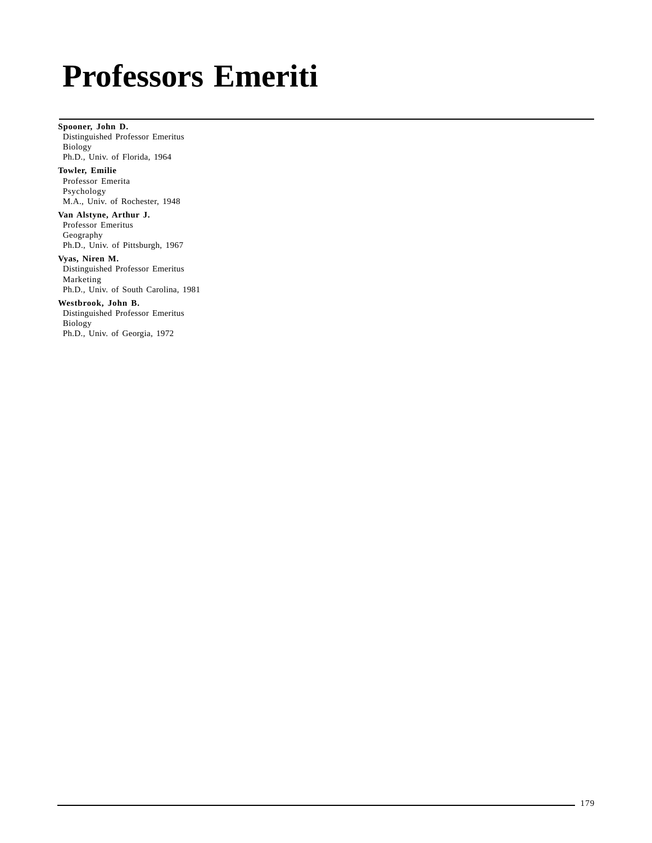# **Professors Emeriti**

**Spooner, John D.** Distinguished Professor Emeritus Biology Ph.D., Univ. of Florida, 1964

**Towler, Emilie** Professor Emerita Psychology M.A., Univ. of Rochester, 1948

**Van Alstyne, Arthur J.** Professor Emeritus Geography Ph.D., Univ. of Pittsburgh, 1967

**Vyas, Niren M.** Distinguished Professor Emeritus Marketing Ph.D., Univ. of South Carolina, 1981

**Westbrook, John B.** Distinguished Professor Emeritus Biology Ph.D., Univ. of Georgia, 1972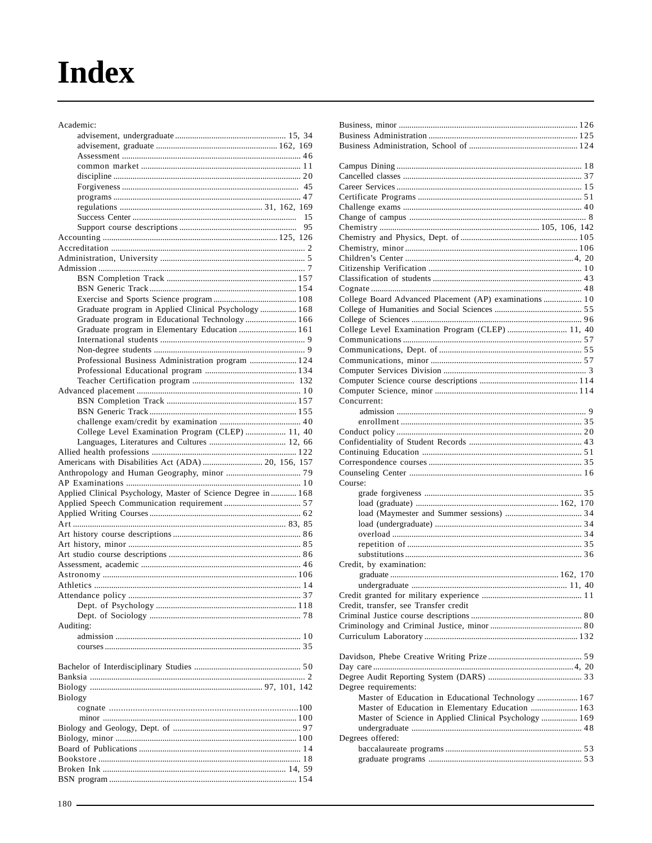# **Index**

| Academic:                                                     |    |
|---------------------------------------------------------------|----|
|                                                               |    |
|                                                               |    |
|                                                               |    |
|                                                               |    |
|                                                               |    |
|                                                               |    |
|                                                               |    |
|                                                               |    |
|                                                               | 15 |
|                                                               | 95 |
|                                                               |    |
|                                                               |    |
|                                                               |    |
|                                                               |    |
|                                                               |    |
|                                                               |    |
|                                                               |    |
| Graduate program in Applied Clinical Psychology  168          |    |
| Graduate program in Educational Technology 166                |    |
| Graduate program in Elementary Education  161                 |    |
|                                                               |    |
|                                                               |    |
|                                                               |    |
| Professional Business Administration program  124             |    |
|                                                               |    |
|                                                               |    |
|                                                               |    |
|                                                               |    |
|                                                               |    |
|                                                               |    |
| College Level Examination Program (CLEP)  11, 40              |    |
|                                                               |    |
|                                                               |    |
|                                                               |    |
| Americans with Disabilities Act (ADA)  20, 156, 157           |    |
|                                                               |    |
|                                                               |    |
| Applied Clinical Psychology, Master of Science Degree in  168 |    |
|                                                               |    |
|                                                               |    |
|                                                               |    |
|                                                               |    |
|                                                               |    |
|                                                               |    |
|                                                               |    |
|                                                               |    |
|                                                               |    |
|                                                               |    |
|                                                               |    |
|                                                               |    |
|                                                               |    |
| Auditing:                                                     |    |
|                                                               |    |
|                                                               |    |
|                                                               |    |
|                                                               |    |
|                                                               |    |
|                                                               |    |
| <b>Biology</b>                                                |    |
|                                                               |    |
|                                                               |    |
|                                                               |    |
|                                                               |    |
|                                                               |    |

| College Board Advanced Placement (AP) examinations 10                                                  |  |
|--------------------------------------------------------------------------------------------------------|--|
|                                                                                                        |  |
|                                                                                                        |  |
| College Level Examination Program (CLEP)  11, 40                                                       |  |
|                                                                                                        |  |
|                                                                                                        |  |
|                                                                                                        |  |
|                                                                                                        |  |
|                                                                                                        |  |
|                                                                                                        |  |
| Concurrent:                                                                                            |  |
|                                                                                                        |  |
|                                                                                                        |  |
|                                                                                                        |  |
|                                                                                                        |  |
|                                                                                                        |  |
|                                                                                                        |  |
|                                                                                                        |  |
| Course:                                                                                                |  |
|                                                                                                        |  |
|                                                                                                        |  |
|                                                                                                        |  |
|                                                                                                        |  |
|                                                                                                        |  |
|                                                                                                        |  |
|                                                                                                        |  |
| Credit, by examination:                                                                                |  |
|                                                                                                        |  |
|                                                                                                        |  |
|                                                                                                        |  |
| Credit, transfer, see Transfer credit                                                                  |  |
|                                                                                                        |  |
|                                                                                                        |  |
|                                                                                                        |  |
|                                                                                                        |  |
|                                                                                                        |  |
|                                                                                                        |  |
|                                                                                                        |  |
| Degree requirements:                                                                                   |  |
| Master of Education in Educational Technology  167<br>Master of Education in Elementary Education  163 |  |
| Master of Science in Applied Clinical Psychology  169                                                  |  |
|                                                                                                        |  |
| Degrees offered:                                                                                       |  |
|                                                                                                        |  |
|                                                                                                        |  |
|                                                                                                        |  |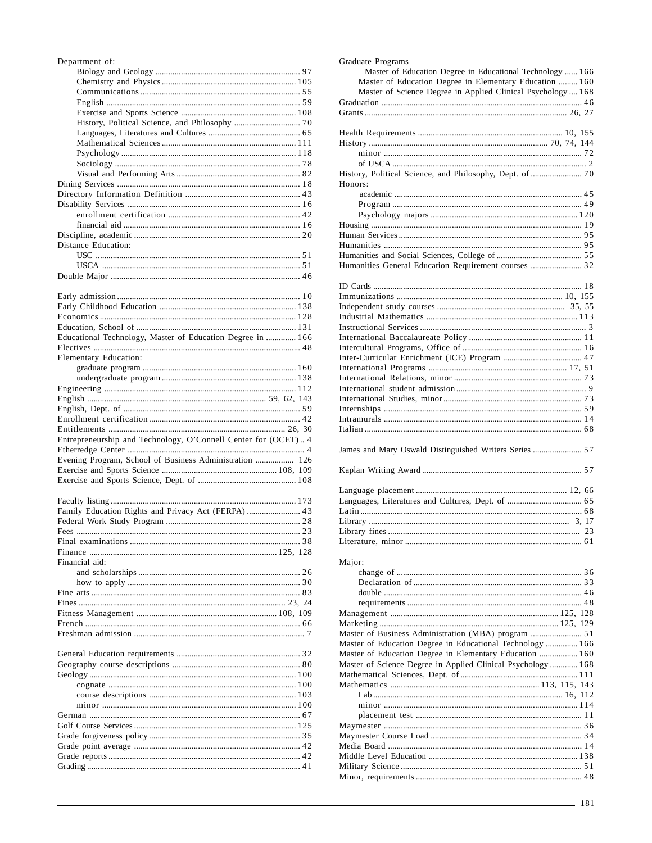| Department of:                                                                                                                                                                                                                                                                                                                               |  |
|----------------------------------------------------------------------------------------------------------------------------------------------------------------------------------------------------------------------------------------------------------------------------------------------------------------------------------------------|--|
|                                                                                                                                                                                                                                                                                                                                              |  |
|                                                                                                                                                                                                                                                                                                                                              |  |
|                                                                                                                                                                                                                                                                                                                                              |  |
|                                                                                                                                                                                                                                                                                                                                              |  |
|                                                                                                                                                                                                                                                                                                                                              |  |
|                                                                                                                                                                                                                                                                                                                                              |  |
|                                                                                                                                                                                                                                                                                                                                              |  |
|                                                                                                                                                                                                                                                                                                                                              |  |
|                                                                                                                                                                                                                                                                                                                                              |  |
|                                                                                                                                                                                                                                                                                                                                              |  |
|                                                                                                                                                                                                                                                                                                                                              |  |
|                                                                                                                                                                                                                                                                                                                                              |  |
|                                                                                                                                                                                                                                                                                                                                              |  |
|                                                                                                                                                                                                                                                                                                                                              |  |
|                                                                                                                                                                                                                                                                                                                                              |  |
|                                                                                                                                                                                                                                                                                                                                              |  |
|                                                                                                                                                                                                                                                                                                                                              |  |
| Distance Education:                                                                                                                                                                                                                                                                                                                          |  |
|                                                                                                                                                                                                                                                                                                                                              |  |
|                                                                                                                                                                                                                                                                                                                                              |  |
|                                                                                                                                                                                                                                                                                                                                              |  |
|                                                                                                                                                                                                                                                                                                                                              |  |
|                                                                                                                                                                                                                                                                                                                                              |  |
|                                                                                                                                                                                                                                                                                                                                              |  |
| $\alpha$ ii $\alpha$ ii $\alpha$ ii $\alpha$ ii $\alpha$ ii $\alpha$ ii $\alpha$ ii $\alpha$ ii $\alpha$ ii $\alpha$ ii $\alpha$ ii $\alpha$ ii $\alpha$ ii $\alpha$ ii $\alpha$ ii $\alpha$ ii $\alpha$ ii $\alpha$ ii $\alpha$ ii $\alpha$ ii $\alpha$ ii $\alpha$ ii $\alpha$ ii $\alpha$ ii $\alpha$ ii $\alpha$ ii $\alpha$ ii $\alpha$ |  |

| Educational Technology, Master of Education Degree in  166     |
|----------------------------------------------------------------|
|                                                                |
|                                                                |
|                                                                |
|                                                                |
|                                                                |
|                                                                |
|                                                                |
|                                                                |
|                                                                |
| Entrepreneurship and Technology, O'Connell Center for (OCET) 4 |
|                                                                |
| Evening Program, School of Business Administration  126        |
|                                                                |
|                                                                |
|                                                                |

| Financial aid: |  |
|----------------|--|
|                |  |
|                |  |
|                |  |
|                |  |
|                |  |
|                |  |
|                |  |
|                |  |

| Grading $\sim$ 41 |  |
|-------------------|--|

| Graduate Programs                                                   |  |
|---------------------------------------------------------------------|--|
| Master of Education Degree in Educational Technology  166           |  |
| Master of Education Degree in Elementary Education  160             |  |
| Master of Science Degree in Applied Clinical Psychology  168        |  |
|                                                                     |  |
|                                                                     |  |
|                                                                     |  |
|                                                                     |  |
|                                                                     |  |
|                                                                     |  |
|                                                                     |  |
| History, Political Science, and Philosophy, Dept. of  70<br>Honors: |  |
|                                                                     |  |
|                                                                     |  |
|                                                                     |  |
|                                                                     |  |
|                                                                     |  |
|                                                                     |  |
|                                                                     |  |
| Humanities General Education Requirement courses  32                |  |
|                                                                     |  |
|                                                                     |  |
|                                                                     |  |
|                                                                     |  |
|                                                                     |  |
|                                                                     |  |
|                                                                     |  |
|                                                                     |  |
|                                                                     |  |
|                                                                     |  |
|                                                                     |  |
|                                                                     |  |
|                                                                     |  |
|                                                                     |  |
|                                                                     |  |
|                                                                     |  |
|                                                                     |  |
| James and Mary Oswald Distinguished Writers Series  57              |  |
|                                                                     |  |
|                                                                     |  |
|                                                                     |  |
|                                                                     |  |
|                                                                     |  |
|                                                                     |  |
|                                                                     |  |
|                                                                     |  |
| Major:                                                              |  |
|                                                                     |  |
|                                                                     |  |
|                                                                     |  |
|                                                                     |  |
|                                                                     |  |
|                                                                     |  |
|                                                                     |  |
|                                                                     |  |
| Master of Education Degree in Educational Technology  166           |  |
| Master of Education Degree in Elementary Education  160             |  |
| Master of Science Degree in Applied Clinical Psychology  168        |  |
|                                                                     |  |
|                                                                     |  |
|                                                                     |  |
|                                                                     |  |
|                                                                     |  |
|                                                                     |  |
|                                                                     |  |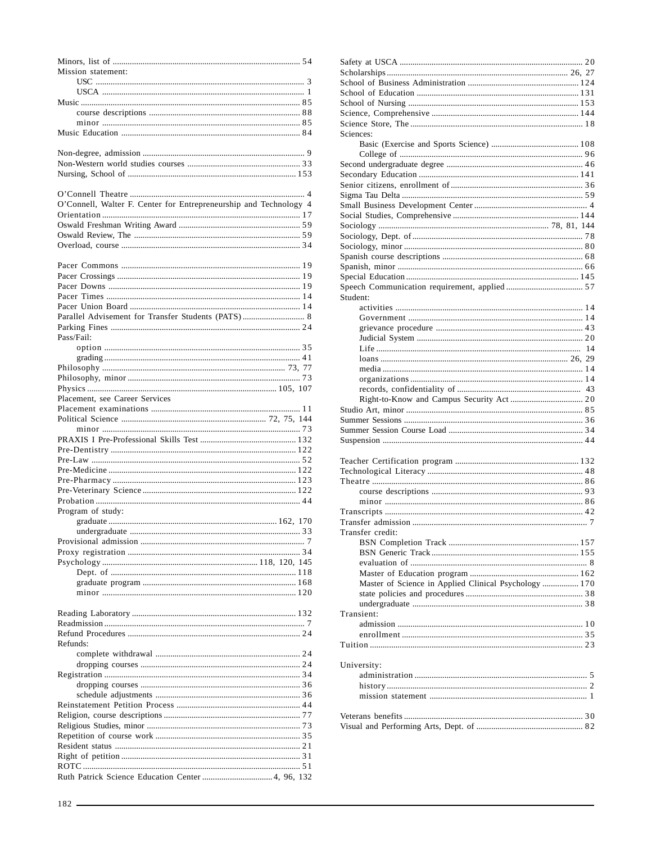| Mission statement:                                                |
|-------------------------------------------------------------------|
|                                                                   |
|                                                                   |
|                                                                   |
|                                                                   |
|                                                                   |
|                                                                   |
|                                                                   |
|                                                                   |
|                                                                   |
| O'Connell, Walter F. Center for Entrepreneurship and Technology 4 |
|                                                                   |
|                                                                   |
|                                                                   |
|                                                                   |
|                                                                   |
|                                                                   |
|                                                                   |
|                                                                   |
|                                                                   |
|                                                                   |
| Pass/Fail:                                                        |
|                                                                   |
|                                                                   |
|                                                                   |
|                                                                   |
| Placement, see Career Services                                    |
|                                                                   |
|                                                                   |
|                                                                   |
|                                                                   |
|                                                                   |
|                                                                   |
|                                                                   |
|                                                                   |
| Program of study:                                                 |
|                                                                   |
|                                                                   |
|                                                                   |
|                                                                   |
|                                                                   |
|                                                                   |
|                                                                   |
|                                                                   |
|                                                                   |
|                                                                   |
| Refunds:                                                          |
|                                                                   |
|                                                                   |
|                                                                   |
|                                                                   |
|                                                                   |
|                                                                   |
|                                                                   |
|                                                                   |
|                                                                   |
|                                                                   |
|                                                                   |

| Right of petition |
|-------------------|
| ROTC              |
| Ruth Patrick Sci  |
|                   |
|                   |
| $182 -$           |

| Sciences:        |                                                       |  |
|------------------|-------------------------------------------------------|--|
|                  |                                                       |  |
|                  |                                                       |  |
|                  |                                                       |  |
|                  |                                                       |  |
|                  |                                                       |  |
|                  |                                                       |  |
|                  |                                                       |  |
|                  |                                                       |  |
|                  |                                                       |  |
|                  |                                                       |  |
|                  |                                                       |  |
|                  |                                                       |  |
|                  |                                                       |  |
|                  |                                                       |  |
|                  |                                                       |  |
|                  |                                                       |  |
| Student:         |                                                       |  |
|                  |                                                       |  |
|                  |                                                       |  |
|                  |                                                       |  |
|                  |                                                       |  |
|                  |                                                       |  |
|                  |                                                       |  |
|                  |                                                       |  |
|                  |                                                       |  |
|                  |                                                       |  |
|                  |                                                       |  |
|                  |                                                       |  |
|                  |                                                       |  |
|                  |                                                       |  |
|                  |                                                       |  |
|                  |                                                       |  |
|                  |                                                       |  |
|                  |                                                       |  |
|                  |                                                       |  |
|                  |                                                       |  |
|                  |                                                       |  |
|                  |                                                       |  |
|                  |                                                       |  |
|                  |                                                       |  |
|                  |                                                       |  |
|                  |                                                       |  |
| Transfer credit: |                                                       |  |
|                  |                                                       |  |
|                  |                                                       |  |
|                  |                                                       |  |
|                  |                                                       |  |
|                  |                                                       |  |
|                  | Master of Science in Applied Clinical Psychology  170 |  |
|                  |                                                       |  |
|                  |                                                       |  |
| Transient:       |                                                       |  |
|                  |                                                       |  |
|                  |                                                       |  |
|                  |                                                       |  |
|                  |                                                       |  |
| University:      |                                                       |  |
|                  |                                                       |  |
|                  |                                                       |  |
|                  |                                                       |  |
|                  |                                                       |  |
|                  |                                                       |  |
|                  |                                                       |  |
|                  |                                                       |  |